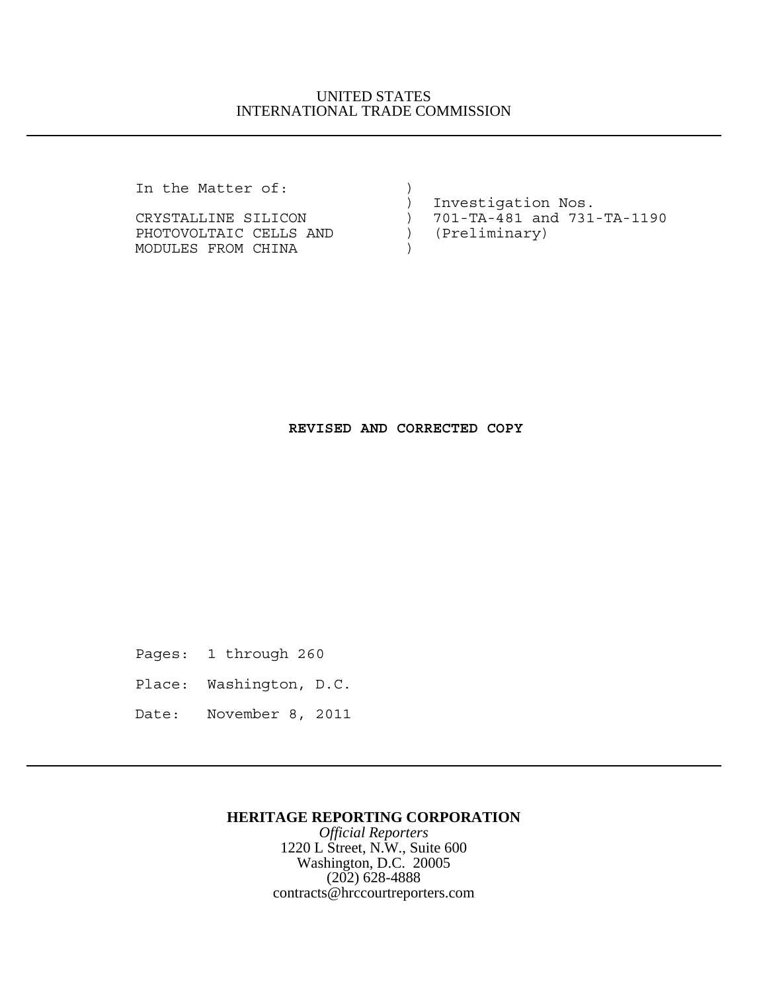## UNITED STATES INTERNATIONAL TRADE COMMISSION

In the Matter of:  $\qquad)$ 

PHOTOVOLTAIC CELLS AND ) MODULES FROM CHINA (1999)

 ) Investigation Nos. CRYSTALLINE SILICON ) 701-TA-481 and 731-TA-1190<br>PHOTOVOLTAIC CELLS AND ) (Preliminary)

## **REVISED AND CORRECTED COPY**

Pages: 1 through 260

- Place: Washington, D.C.
- Date: November 8, 2011

## **HERITAGE REPORTING CORPORATION**

*Official Reporters* 1220 L Street, N.W., Suite 600 Washington, D.C. 20005 (202) 628-4888 contracts@hrccourtreporters.com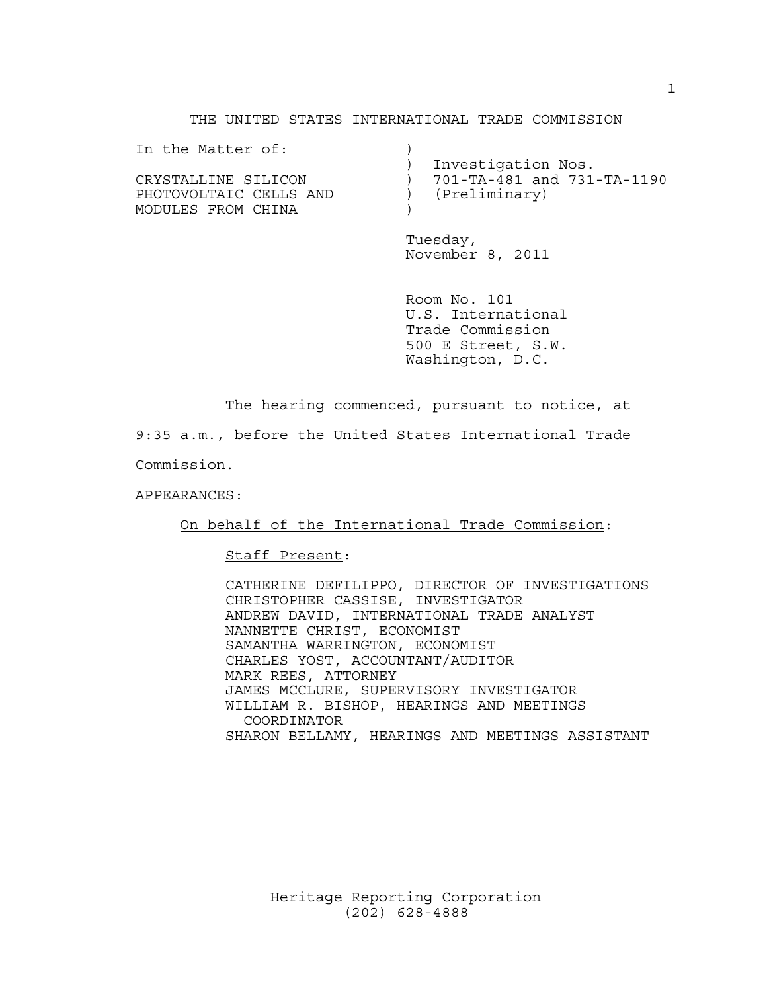#### THE UNITED STATES INTERNATIONAL TRADE COMMISSION

| In the Matter of:      |                            |
|------------------------|----------------------------|
|                        | Investigation Nos.         |
| CRYSTALLINE SILICON    | 701-TA-481 and 731-TA-1190 |
| PHOTOVOLTAIC CELLS AND | (Preliminary)              |
| MODULES FROM CHINA     |                            |
|                        |                            |

Tuesday, November 8, 2011

Room No. 101 U.S. International Trade Commission 500 E Street, S.W. Washington, D.C.

The hearing commenced, pursuant to notice, at

9:35 a.m., before the United States International Trade

Commission.

APPEARANCES:

On behalf of the International Trade Commission:

Staff Present:

CATHERINE DEFILIPPO, DIRECTOR OF INVESTIGATIONS CHRISTOPHER CASSISE, INVESTIGATOR ANDREW DAVID, INTERNATIONAL TRADE ANALYST NANNETTE CHRIST, ECONOMIST SAMANTHA WARRINGTON, ECONOMIST CHARLES YOST, ACCOUNTANT/AUDITOR MARK REES, ATTORNEY JAMES MCCLURE, SUPERVISORY INVESTIGATOR WILLIAM R. BISHOP, HEARINGS AND MEETINGS COORDINATOR SHARON BELLAMY, HEARINGS AND MEETINGS ASSISTANT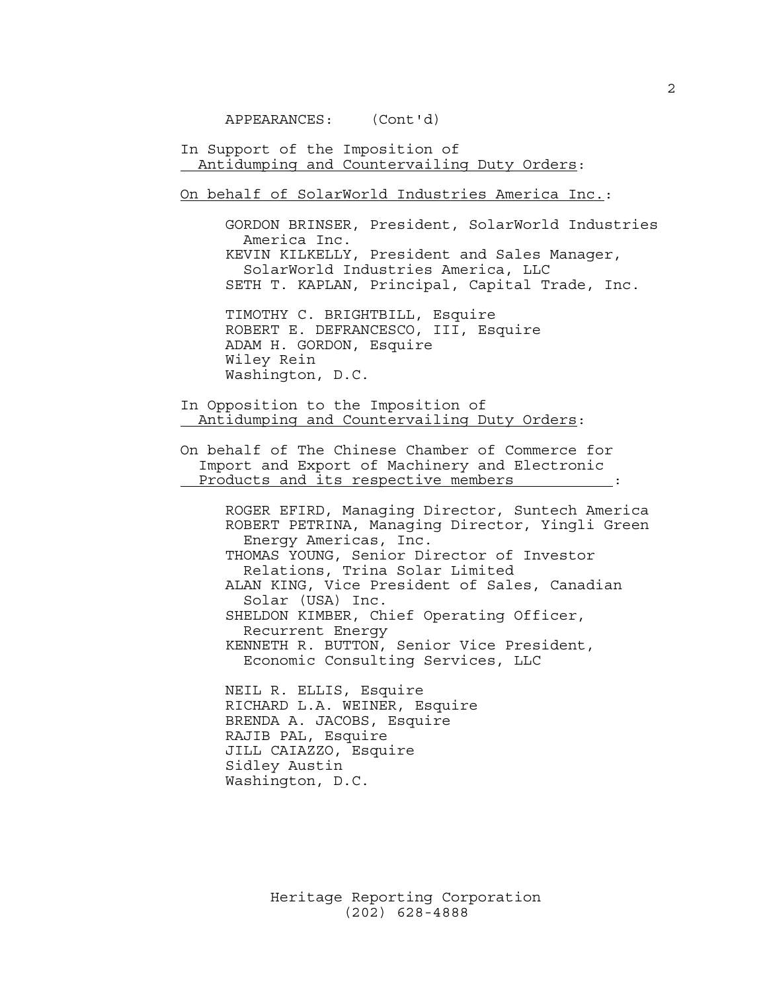APPEARANCES: (Cont'd)

In Support of the Imposition of Antidumping and Countervailing Duty Orders:

On behalf of SolarWorld Industries America Inc.:

GORDON BRINSER, President, SolarWorld Industries America Inc. KEVIN KILKELLY, President and Sales Manager, SolarWorld Industries America, LLC SETH T. KAPLAN, Principal, Capital Trade, Inc.

TIMOTHY C. BRIGHTBILL, Esquire ROBERT E. DEFRANCESCO, III, Esquire ADAM H. GORDON, Esquire Wiley Rein Washington, D.C.

In Opposition to the Imposition of Antidumping and Countervailing Duty Orders:

On behalf of The Chinese Chamber of Commerce for Import and Export of Machinery and Electronic Products and its respective members :

ROGER EFIRD, Managing Director, Suntech America ROBERT PETRINA, Managing Director, Yingli Green Energy Americas, Inc. THOMAS YOUNG, Senior Director of Investor Relations, Trina Solar Limited ALAN KING, Vice President of Sales, Canadian Solar (USA) Inc. SHELDON KIMBER, Chief Operating Officer, Recurrent Energy KENNETH R. BUTTON, Senior Vice President, Economic Consulting Services, LLC

NEIL R. ELLIS, Esquire RICHARD L.A. WEINER, Esquire BRENDA A. JACOBS, Esquire RAJIB PAL, Esquire JILL CAIAZZO, Esquire Sidley Austin Washington, D.C.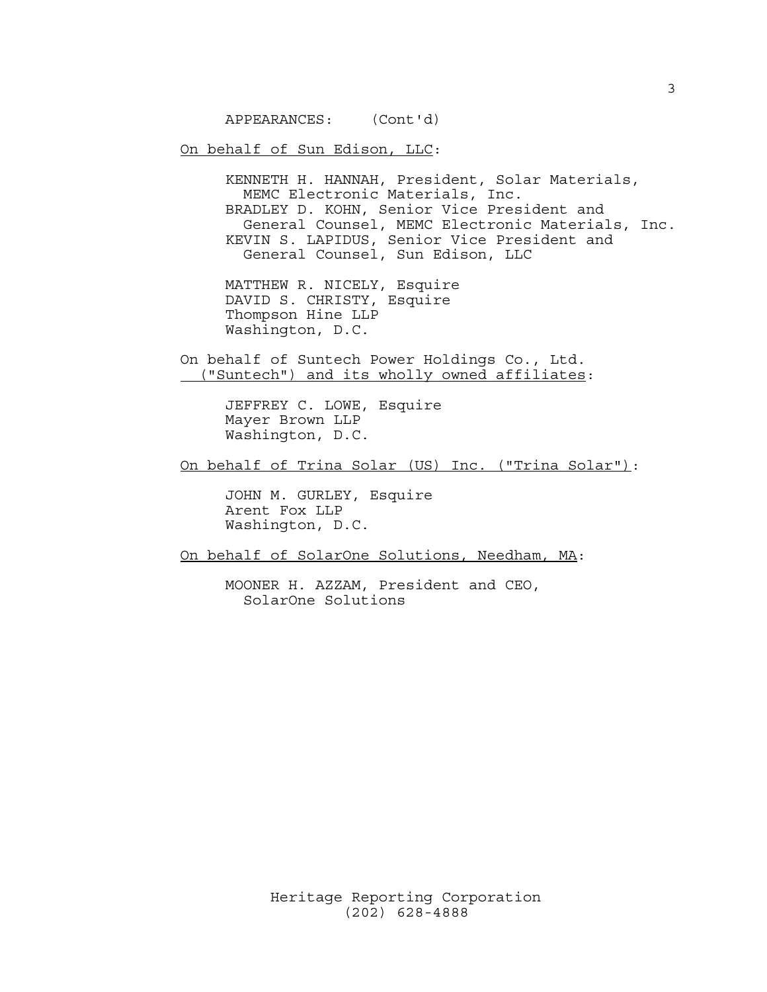APPEARANCES: (Cont'd)

On behalf of Sun Edison, LLC:

KENNETH H. HANNAH, President, Solar Materials, MEMC Electronic Materials, Inc. BRADLEY D. KOHN, Senior Vice President and General Counsel, MEMC Electronic Materials, Inc. KEVIN S. LAPIDUS, Senior Vice President and General Counsel, Sun Edison, LLC

MATTHEW R. NICELY, Esquire DAVID S. CHRISTY, Esquire Thompson Hine LLP Washington, D.C.

On behalf of Suntech Power Holdings Co., Ltd. ("Suntech") and its wholly owned affiliates:

> JEFFREY C. LOWE, Esquire Mayer Brown LLP Washington, D.C.

On behalf of Trina Solar (US) Inc. ("Trina Solar"):

JOHN M. GURLEY, Esquire Arent Fox LLP Washington, D.C.

On behalf of SolarOne Solutions, Needham, MA:

MOONER H. AZZAM, President and CEO, SolarOne Solutions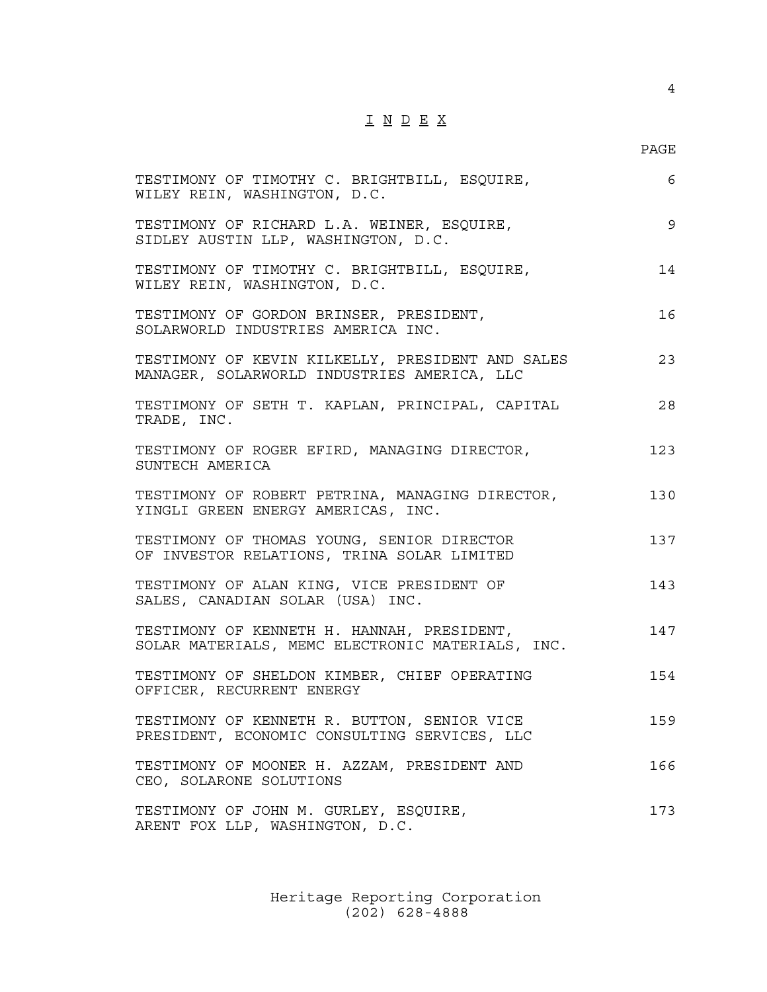# I N D E X

4

| TESTIMONY OF TIMOTHY C. BRIGHTBILL, ESQUIRE,<br>WILEY REIN, WASHINGTON, D.C.                    | 6   |
|-------------------------------------------------------------------------------------------------|-----|
| TESTIMONY OF RICHARD L.A. WEINER, ESQUIRE,<br>SIDLEY AUSTIN LLP, WASHINGTON, D.C.               | 9   |
| TESTIMONY OF TIMOTHY C. BRIGHTBILL, ESQUIRE,<br>WILEY REIN, WASHINGTON, D.C.                    | 14  |
| TESTIMONY OF GORDON BRINSER, PRESIDENT,<br>SOLARWORLD INDUSTRIES AMERICA INC.                   | 16  |
| TESTIMONY OF KEVIN KILKELLY, PRESIDENT AND SALES<br>MANAGER, SOLARWORLD INDUSTRIES AMERICA, LLC | 23  |
| TESTIMONY OF SETH T. KAPLAN, PRINCIPAL, CAPITAL<br>TRADE, INC.                                  | 28  |
| TESTIMONY OF ROGER EFIRD, MANAGING DIRECTOR,<br>SUNTECH AMERICA                                 | 123 |
| TESTIMONY OF ROBERT PETRINA, MANAGING DIRECTOR,<br>YINGLI GREEN ENERGY AMERICAS, INC.           | 130 |
| TESTIMONY OF THOMAS YOUNG, SENIOR DIRECTOR<br>OF INVESTOR RELATIONS, TRINA SOLAR LIMITED        | 137 |
| TESTIMONY OF ALAN KING, VICE PRESIDENT OF<br>SALES, CANADIAN SOLAR (USA) INC.                   | 143 |
| TESTIMONY OF KENNETH H. HANNAH, PRESIDENT,<br>SOLAR MATERIALS, MEMC ELECTRONIC MATERIALS, INC.  | 147 |
| TESTIMONY OF SHELDON KIMBER, CHIEF OPERATING<br>OFFICER, RECURRENT ENERGY                       | 154 |
| TESTIMONY OF KENNETH R. BUTTON, SENIOR VICE<br>PRESIDENT, ECONOMIC CONSULTING SERVICES, LLC     | 159 |
| TESTIMONY OF MOONER H. AZZAM, PRESIDENT AND<br>CEO, SOLARONE SOLUTIONS                          | 166 |
| TESTIMONY OF JOHN M. GURLEY, ESQUIRE,<br>ARENT FOX LLP, WASHINGTON, D.C.                        | 173 |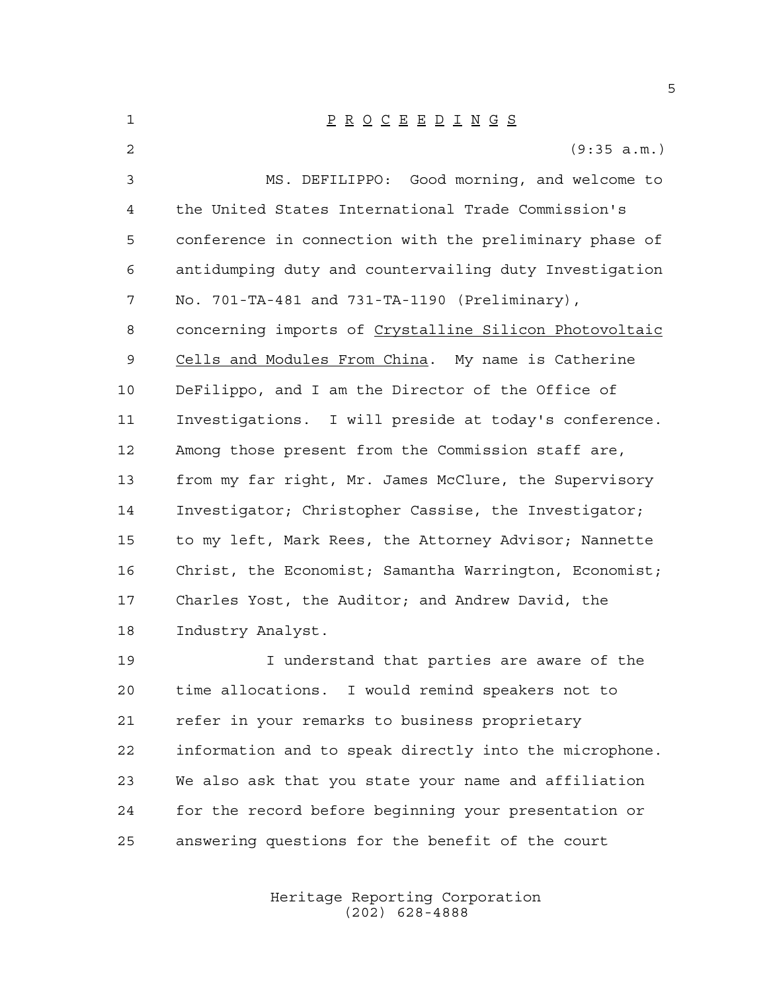| 1              | $\underline{P} \underline{R} \underline{O} \underline{C} \underline{E} \underline{E} \underline{D} \underline{I} \underline{N} \underline{G} \underline{S}$ |
|----------------|-------------------------------------------------------------------------------------------------------------------------------------------------------------|
| $\overline{a}$ | (9:35 a.m.)                                                                                                                                                 |
| 3              | MS. DEFILIPPO: Good morning, and welcome to                                                                                                                 |
| 4              | the United States International Trade Commission's                                                                                                          |
| 5              | conference in connection with the preliminary phase of                                                                                                      |
| 6              | antidumping duty and countervailing duty Investigation                                                                                                      |
| 7              | No. 701-TA-481 and 731-TA-1190 (Preliminary),                                                                                                               |
| 8              | concerning imports of Crystalline Silicon Photovoltaic                                                                                                      |
| 9              | Cells and Modules From China. My name is Catherine                                                                                                          |
| 10             | DeFilippo, and I am the Director of the Office of                                                                                                           |
| 11             | Investigations. I will preside at today's conference.                                                                                                       |
| 12             | Among those present from the Commission staff are,                                                                                                          |
| 13             | from my far right, Mr. James McClure, the Supervisory                                                                                                       |
| 14             | Investigator; Christopher Cassise, the Investigator;                                                                                                        |
| 15             | to my left, Mark Rees, the Attorney Advisor; Nannette                                                                                                       |
| 16             | Christ, the Economist; Samantha Warrington, Economist;                                                                                                      |
| 17             | Charles Yost, the Auditor; and Andrew David, the                                                                                                            |
| 18             | Industry Analyst.                                                                                                                                           |
| 19             | I understand that parties are aware of the                                                                                                                  |
| 20             | time allocations. I would remind speakers not to                                                                                                            |
| 21             | refer in your remarks to business proprietary                                                                                                               |
| 22             | information and to speak directly into the microphone.                                                                                                      |

We also ask that you state your name and affiliation

for the record before beginning your presentation or

Heritage Reporting Corporation (202) 628-4888

answering questions for the benefit of the court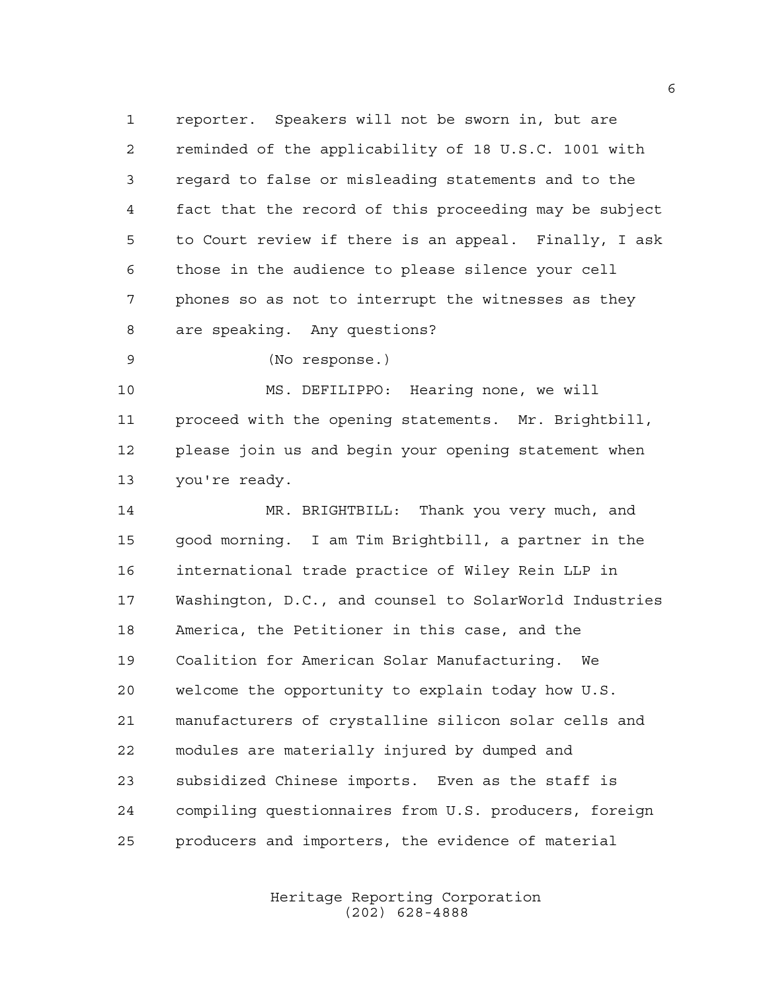reporter. Speakers will not be sworn in, but are reminded of the applicability of 18 U.S.C. 1001 with regard to false or misleading statements and to the fact that the record of this proceeding may be subject to Court review if there is an appeal. Finally, I ask those in the audience to please silence your cell phones so as not to interrupt the witnesses as they are speaking. Any questions?

(No response.)

 MS. DEFILIPPO: Hearing none, we will proceed with the opening statements. Mr. Brightbill, please join us and begin your opening statement when you're ready.

 MR. BRIGHTBILL: Thank you very much, and good morning. I am Tim Brightbill, a partner in the international trade practice of Wiley Rein LLP in Washington, D.C., and counsel to SolarWorld Industries America, the Petitioner in this case, and the Coalition for American Solar Manufacturing. We welcome the opportunity to explain today how U.S. manufacturers of crystalline silicon solar cells and modules are materially injured by dumped and subsidized Chinese imports. Even as the staff is compiling questionnaires from U.S. producers, foreign producers and importers, the evidence of material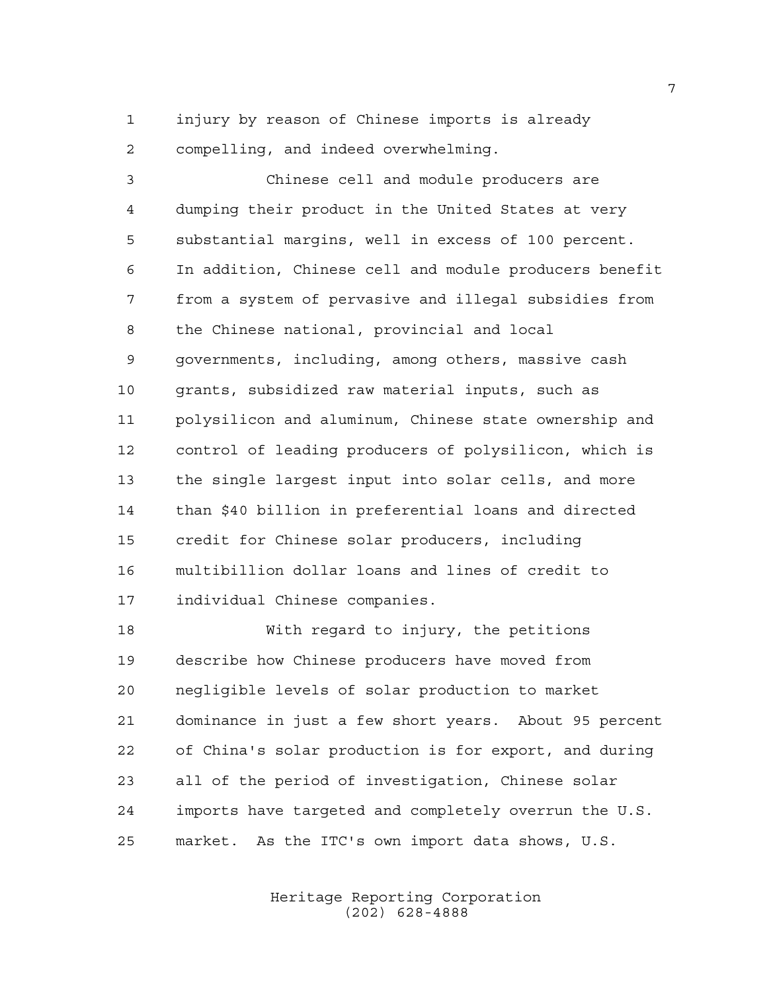injury by reason of Chinese imports is already compelling, and indeed overwhelming.

 Chinese cell and module producers are dumping their product in the United States at very substantial margins, well in excess of 100 percent. In addition, Chinese cell and module producers benefit from a system of pervasive and illegal subsidies from the Chinese national, provincial and local governments, including, among others, massive cash grants, subsidized raw material inputs, such as polysilicon and aluminum, Chinese state ownership and control of leading producers of polysilicon, which is the single largest input into solar cells, and more than \$40 billion in preferential loans and directed credit for Chinese solar producers, including multibillion dollar loans and lines of credit to individual Chinese companies.

 With regard to injury, the petitions describe how Chinese producers have moved from negligible levels of solar production to market dominance in just a few short years. About 95 percent of China's solar production is for export, and during all of the period of investigation, Chinese solar imports have targeted and completely overrun the U.S. market. As the ITC's own import data shows, U.S.

> Heritage Reporting Corporation (202) 628-4888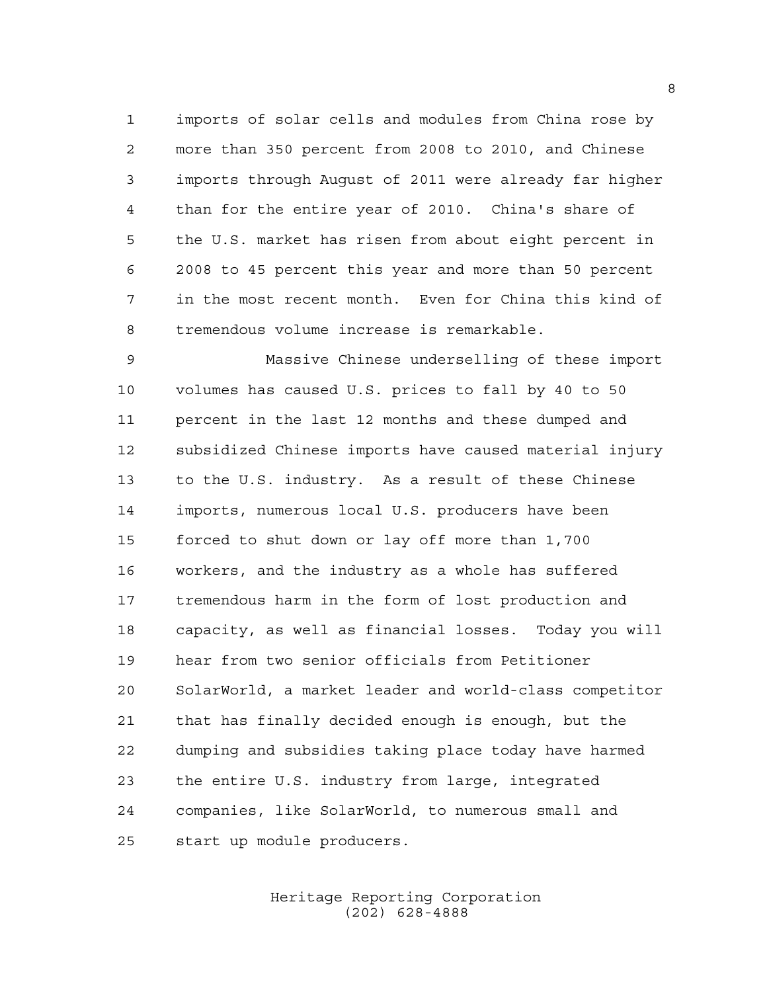imports of solar cells and modules from China rose by more than 350 percent from 2008 to 2010, and Chinese imports through August of 2011 were already far higher than for the entire year of 2010. China's share of the U.S. market has risen from about eight percent in 2008 to 45 percent this year and more than 50 percent in the most recent month. Even for China this kind of tremendous volume increase is remarkable.

 Massive Chinese underselling of these import volumes has caused U.S. prices to fall by 40 to 50 percent in the last 12 months and these dumped and subsidized Chinese imports have caused material injury to the U.S. industry. As a result of these Chinese imports, numerous local U.S. producers have been forced to shut down or lay off more than 1,700 workers, and the industry as a whole has suffered tremendous harm in the form of lost production and capacity, as well as financial losses. Today you will hear from two senior officials from Petitioner SolarWorld, a market leader and world-class competitor that has finally decided enough is enough, but the dumping and subsidies taking place today have harmed the entire U.S. industry from large, integrated companies, like SolarWorld, to numerous small and start up module producers.

### Heritage Reporting Corporation (202) 628-4888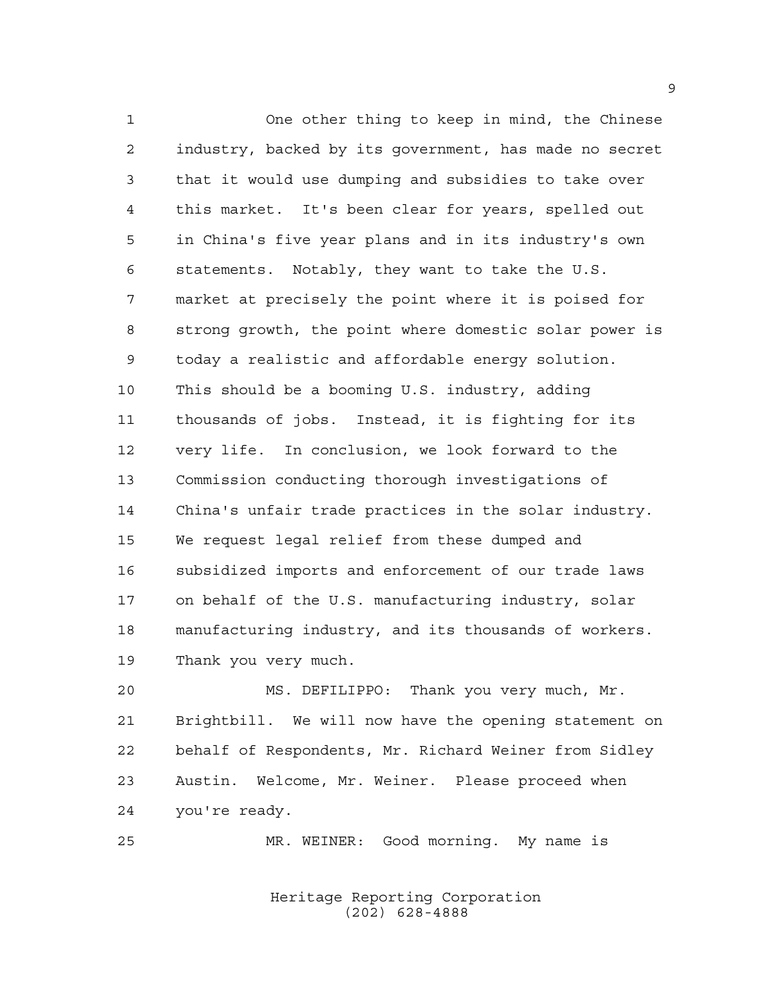One other thing to keep in mind, the Chinese industry, backed by its government, has made no secret that it would use dumping and subsidies to take over this market. It's been clear for years, spelled out in China's five year plans and in its industry's own statements. Notably, they want to take the U.S. market at precisely the point where it is poised for strong growth, the point where domestic solar power is today a realistic and affordable energy solution. This should be a booming U.S. industry, adding thousands of jobs. Instead, it is fighting for its very life. In conclusion, we look forward to the Commission conducting thorough investigations of China's unfair trade practices in the solar industry. We request legal relief from these dumped and subsidized imports and enforcement of our trade laws on behalf of the U.S. manufacturing industry, solar manufacturing industry, and its thousands of workers. Thank you very much.

 MS. DEFILIPPO: Thank you very much, Mr. Brightbill. We will now have the opening statement on behalf of Respondents, Mr. Richard Weiner from Sidley Austin. Welcome, Mr. Weiner. Please proceed when you're ready.

MR. WEINER: Good morning. My name is

Heritage Reporting Corporation (202) 628-4888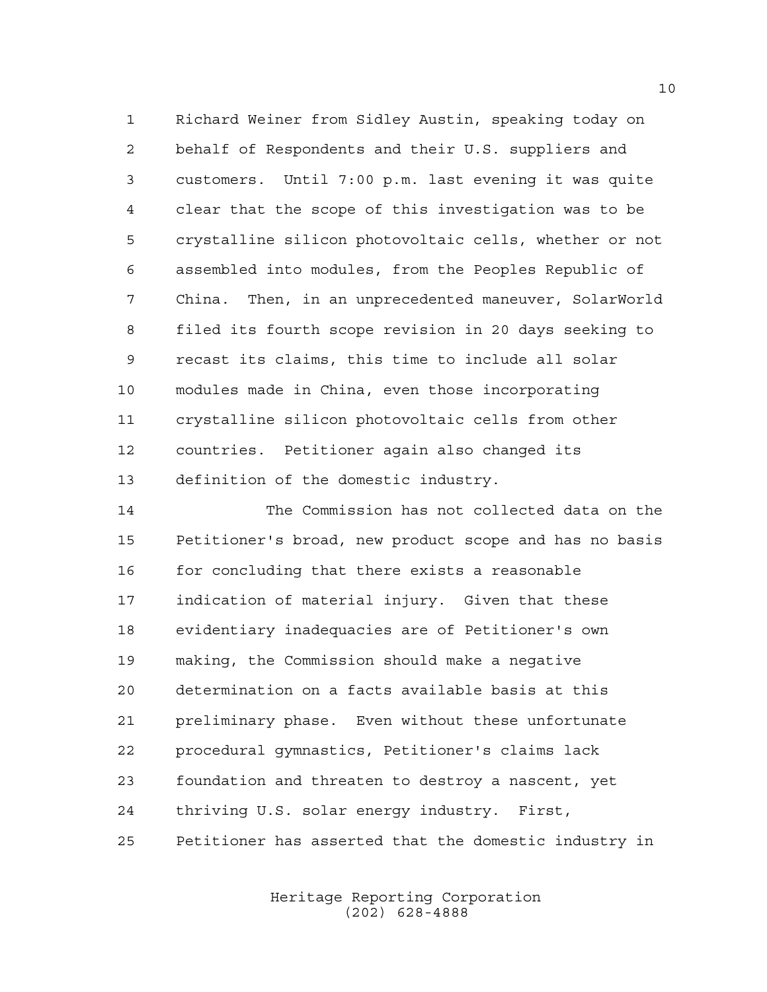Richard Weiner from Sidley Austin, speaking today on behalf of Respondents and their U.S. suppliers and customers. Until 7:00 p.m. last evening it was quite clear that the scope of this investigation was to be crystalline silicon photovoltaic cells, whether or not assembled into modules, from the Peoples Republic of China. Then, in an unprecedented maneuver, SolarWorld filed its fourth scope revision in 20 days seeking to recast its claims, this time to include all solar modules made in China, even those incorporating crystalline silicon photovoltaic cells from other countries. Petitioner again also changed its definition of the domestic industry.

 The Commission has not collected data on the Petitioner's broad, new product scope and has no basis for concluding that there exists a reasonable indication of material injury. Given that these evidentiary inadequacies are of Petitioner's own making, the Commission should make a negative determination on a facts available basis at this preliminary phase. Even without these unfortunate procedural gymnastics, Petitioner's claims lack foundation and threaten to destroy a nascent, yet thriving U.S. solar energy industry. First, Petitioner has asserted that the domestic industry in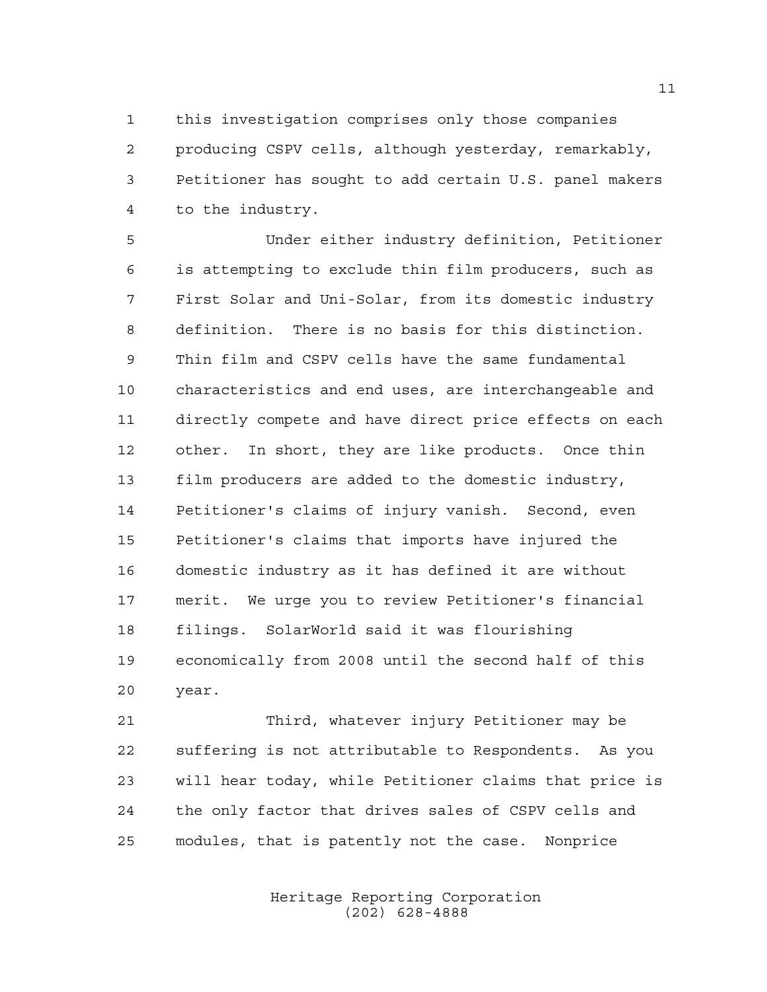this investigation comprises only those companies producing CSPV cells, although yesterday, remarkably, Petitioner has sought to add certain U.S. panel makers to the industry.

 Under either industry definition, Petitioner is attempting to exclude thin film producers, such as First Solar and Uni-Solar, from its domestic industry definition. There is no basis for this distinction. Thin film and CSPV cells have the same fundamental characteristics and end uses, are interchangeable and directly compete and have direct price effects on each other. In short, they are like products. Once thin film producers are added to the domestic industry, Petitioner's claims of injury vanish. Second, even Petitioner's claims that imports have injured the domestic industry as it has defined it are without merit. We urge you to review Petitioner's financial filings. SolarWorld said it was flourishing economically from 2008 until the second half of this year.

 Third, whatever injury Petitioner may be suffering is not attributable to Respondents. As you will hear today, while Petitioner claims that price is the only factor that drives sales of CSPV cells and modules, that is patently not the case. Nonprice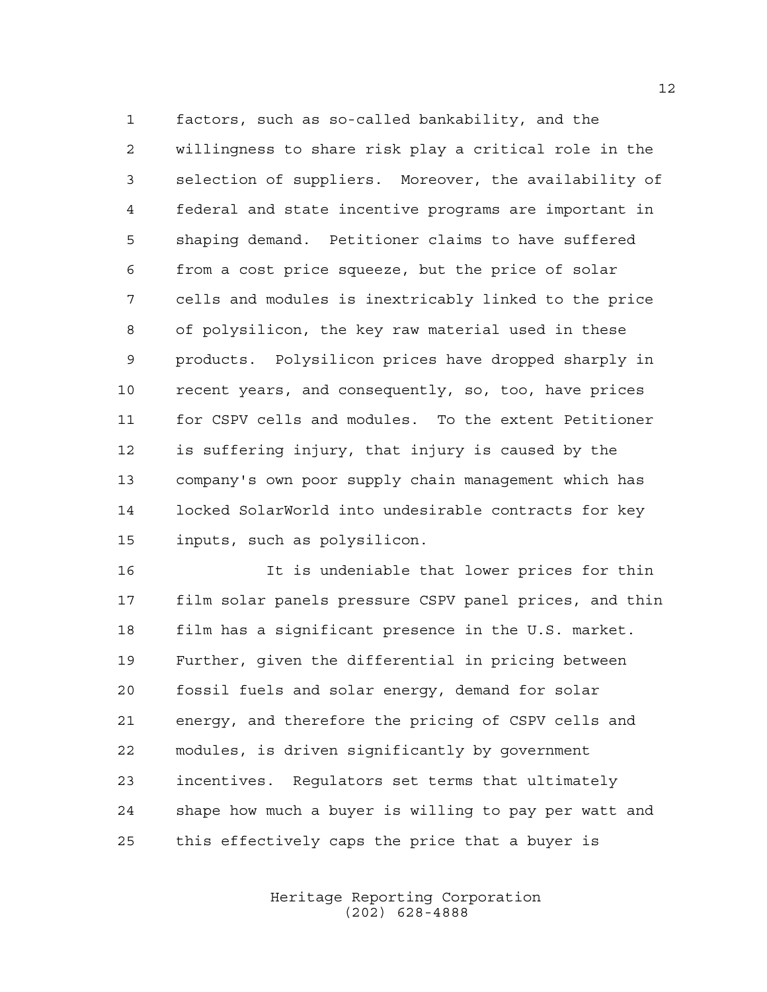factors, such as so-called bankability, and the willingness to share risk play a critical role in the selection of suppliers. Moreover, the availability of federal and state incentive programs are important in shaping demand. Petitioner claims to have suffered from a cost price squeeze, but the price of solar cells and modules is inextricably linked to the price of polysilicon, the key raw material used in these products. Polysilicon prices have dropped sharply in recent years, and consequently, so, too, have prices for CSPV cells and modules. To the extent Petitioner is suffering injury, that injury is caused by the company's own poor supply chain management which has locked SolarWorld into undesirable contracts for key inputs, such as polysilicon.

 It is undeniable that lower prices for thin film solar panels pressure CSPV panel prices, and thin film has a significant presence in the U.S. market. Further, given the differential in pricing between fossil fuels and solar energy, demand for solar energy, and therefore the pricing of CSPV cells and modules, is driven significantly by government incentives. Regulators set terms that ultimately shape how much a buyer is willing to pay per watt and this effectively caps the price that a buyer is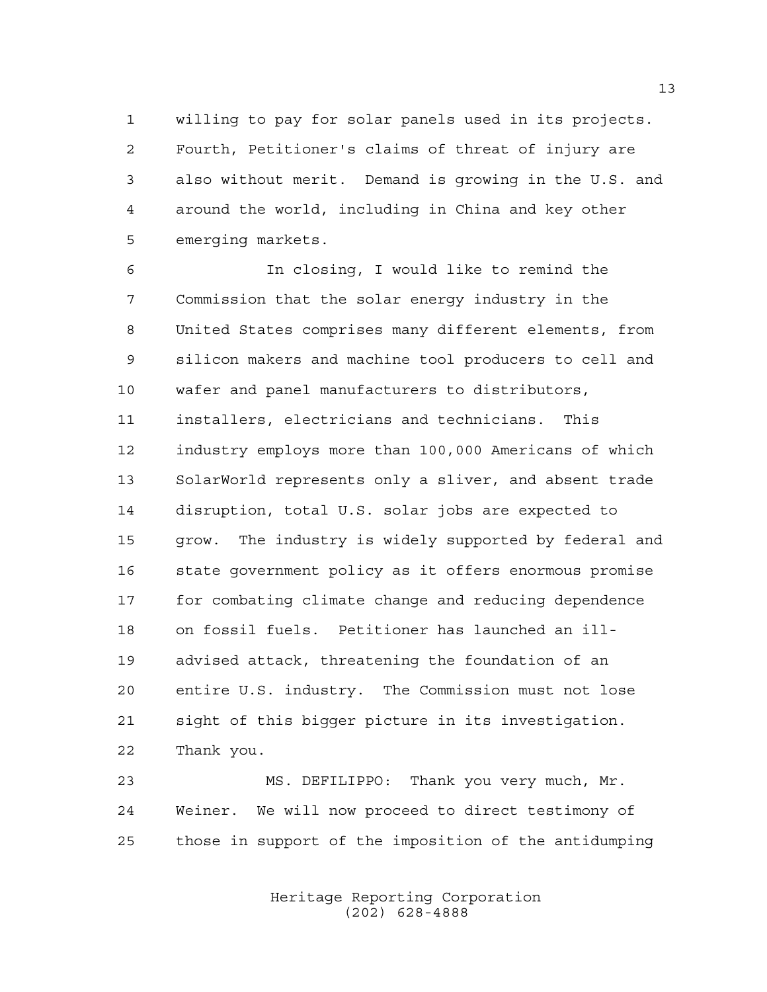willing to pay for solar panels used in its projects. Fourth, Petitioner's claims of threat of injury are also without merit. Demand is growing in the U.S. and around the world, including in China and key other emerging markets.

 In closing, I would like to remind the Commission that the solar energy industry in the United States comprises many different elements, from silicon makers and machine tool producers to cell and wafer and panel manufacturers to distributors, installers, electricians and technicians. This industry employs more than 100,000 Americans of which SolarWorld represents only a sliver, and absent trade disruption, total U.S. solar jobs are expected to grow. The industry is widely supported by federal and state government policy as it offers enormous promise for combating climate change and reducing dependence on fossil fuels. Petitioner has launched an ill- advised attack, threatening the foundation of an entire U.S. industry. The Commission must not lose sight of this bigger picture in its investigation. Thank you.

 MS. DEFILIPPO: Thank you very much, Mr. Weiner. We will now proceed to direct testimony of those in support of the imposition of the antidumping

> Heritage Reporting Corporation (202) 628-4888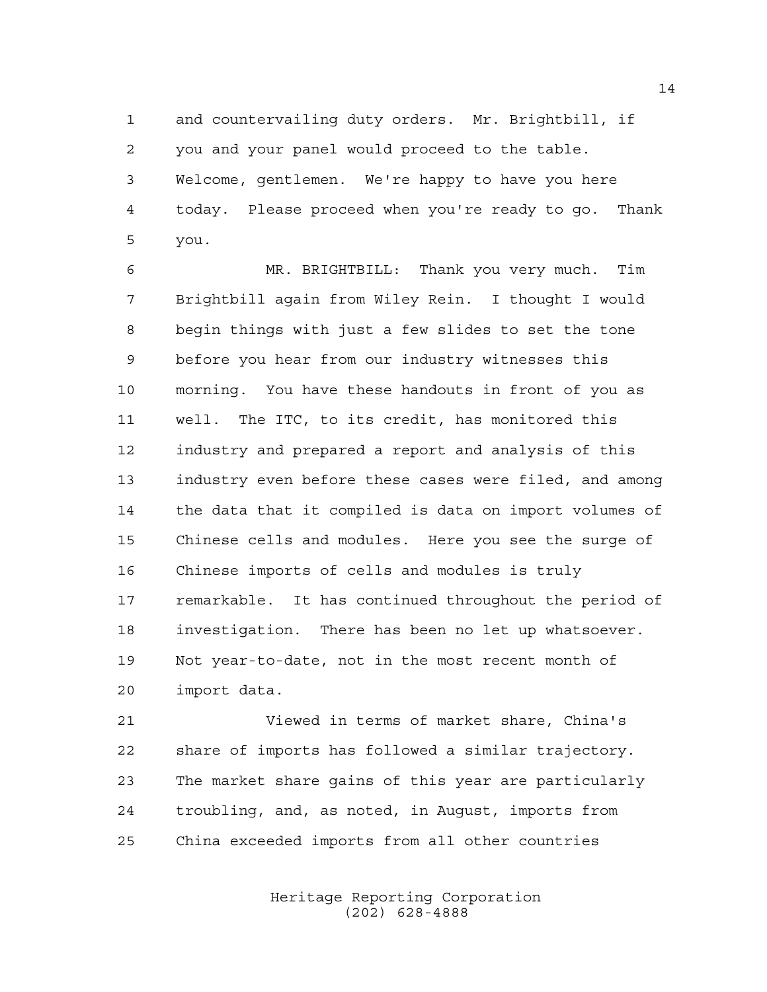and countervailing duty orders. Mr. Brightbill, if you and your panel would proceed to the table. Welcome, gentlemen. We're happy to have you here today. Please proceed when you're ready to go. Thank you.

 MR. BRIGHTBILL: Thank you very much. Tim Brightbill again from Wiley Rein. I thought I would begin things with just a few slides to set the tone before you hear from our industry witnesses this morning. You have these handouts in front of you as well. The ITC, to its credit, has monitored this industry and prepared a report and analysis of this industry even before these cases were filed, and among the data that it compiled is data on import volumes of Chinese cells and modules. Here you see the surge of Chinese imports of cells and modules is truly remarkable. It has continued throughout the period of investigation. There has been no let up whatsoever. Not year-to-date, not in the most recent month of import data.

 Viewed in terms of market share, China's share of imports has followed a similar trajectory. The market share gains of this year are particularly troubling, and, as noted, in August, imports from China exceeded imports from all other countries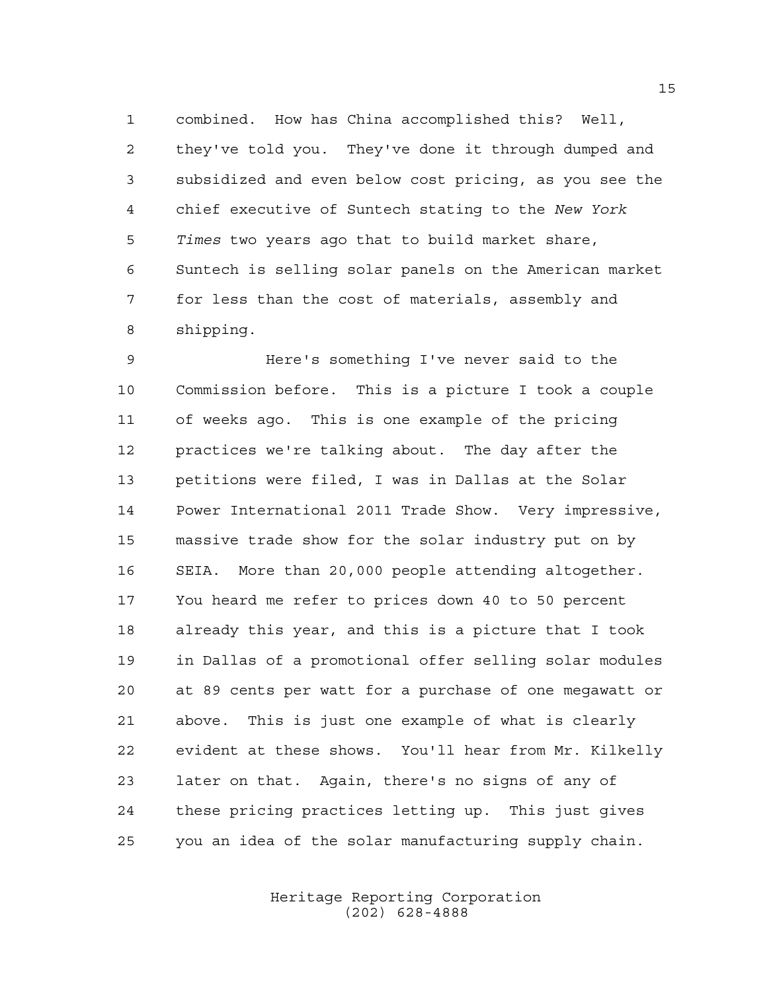combined. How has China accomplished this? Well, they've told you. They've done it through dumped and subsidized and even below cost pricing, as you see the chief executive of Suntech stating to the *New York Times* two years ago that to build market share, Suntech is selling solar panels on the American market for less than the cost of materials, assembly and shipping.

 Here's something I've never said to the Commission before. This is a picture I took a couple of weeks ago. This is one example of the pricing practices we're talking about. The day after the petitions were filed, I was in Dallas at the Solar Power International 2011 Trade Show. Very impressive, massive trade show for the solar industry put on by SEIA. More than 20,000 people attending altogether. You heard me refer to prices down 40 to 50 percent already this year, and this is a picture that I took in Dallas of a promotional offer selling solar modules at 89 cents per watt for a purchase of one megawatt or above. This is just one example of what is clearly evident at these shows. You'll hear from Mr. Kilkelly later on that. Again, there's no signs of any of these pricing practices letting up. This just gives you an idea of the solar manufacturing supply chain.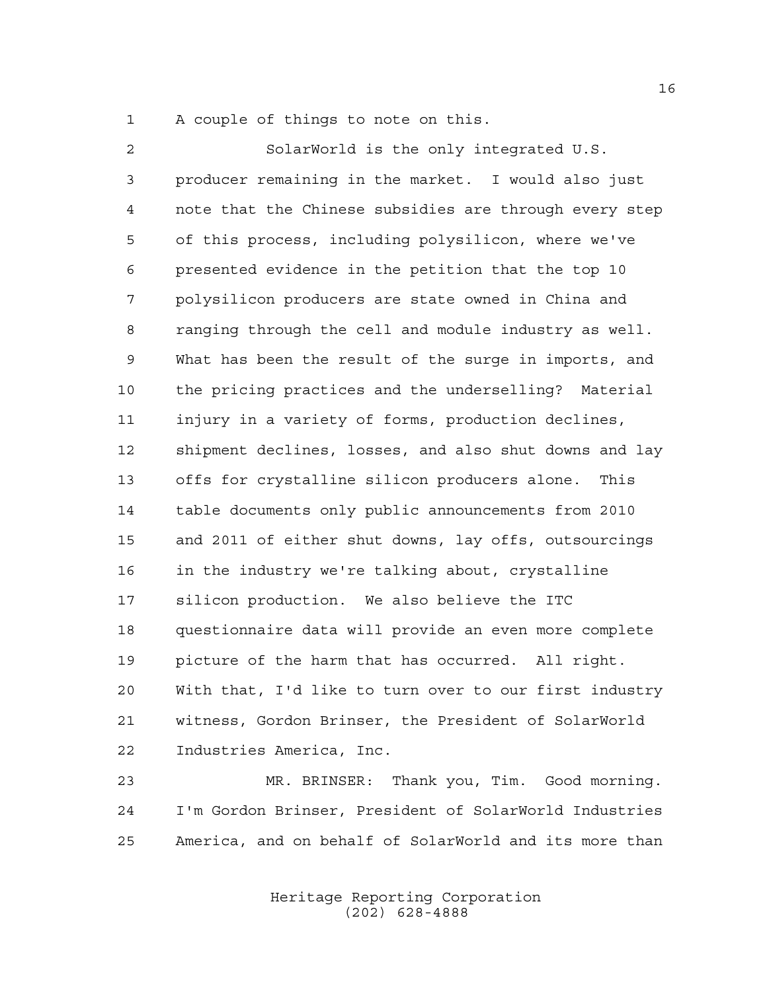A couple of things to note on this.

 SolarWorld is the only integrated U.S. producer remaining in the market. I would also just note that the Chinese subsidies are through every step of this process, including polysilicon, where we've presented evidence in the petition that the top 10 polysilicon producers are state owned in China and ranging through the cell and module industry as well. What has been the result of the surge in imports, and the pricing practices and the underselling? Material injury in a variety of forms, production declines, shipment declines, losses, and also shut downs and lay offs for crystalline silicon producers alone. This table documents only public announcements from 2010 and 2011 of either shut downs, lay offs, outsourcings in the industry we're talking about, crystalline silicon production. We also believe the ITC questionnaire data will provide an even more complete picture of the harm that has occurred. All right. With that, I'd like to turn over to our first industry witness, Gordon Brinser, the President of SolarWorld Industries America, Inc.

 MR. BRINSER: Thank you, Tim. Good morning. I'm Gordon Brinser, President of SolarWorld Industries America, and on behalf of SolarWorld and its more than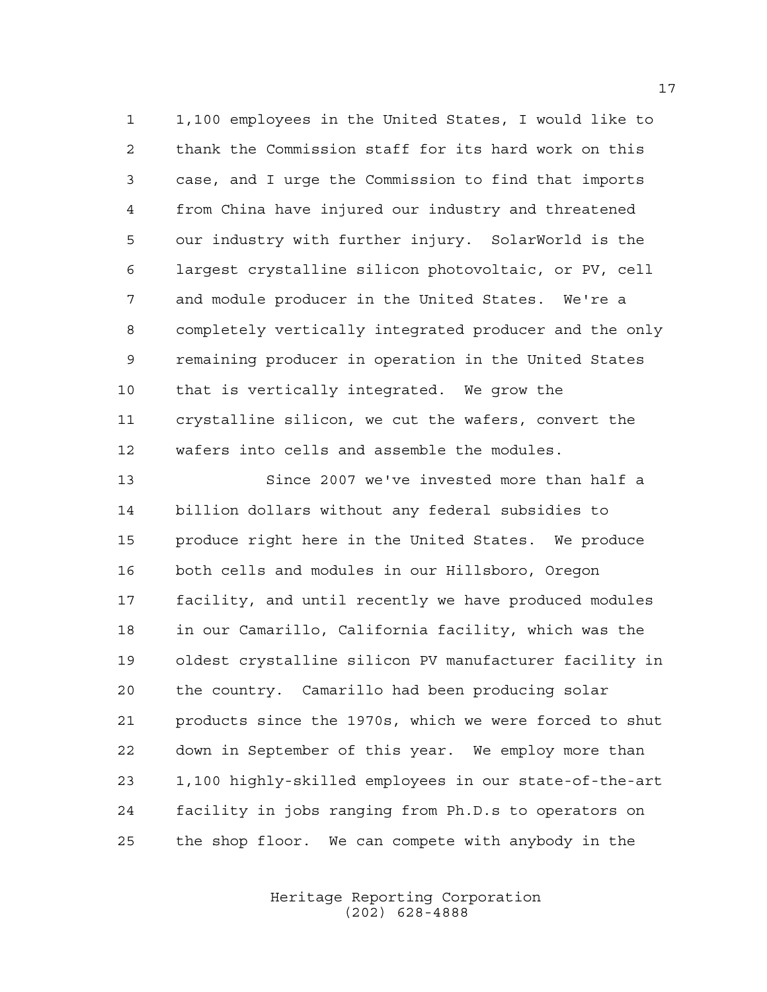1,100 employees in the United States, I would like to thank the Commission staff for its hard work on this case, and I urge the Commission to find that imports from China have injured our industry and threatened our industry with further injury. SolarWorld is the largest crystalline silicon photovoltaic, or PV, cell and module producer in the United States. We're a completely vertically integrated producer and the only remaining producer in operation in the United States that is vertically integrated. We grow the crystalline silicon, we cut the wafers, convert the wafers into cells and assemble the modules.

 Since 2007 we've invested more than half a billion dollars without any federal subsidies to produce right here in the United States. We produce both cells and modules in our Hillsboro, Oregon facility, and until recently we have produced modules in our Camarillo, California facility, which was the oldest crystalline silicon PV manufacturer facility in the country. Camarillo had been producing solar products since the 1970s, which we were forced to shut down in September of this year. We employ more than 1,100 highly-skilled employees in our state-of-the-art facility in jobs ranging from Ph.D.s to operators on the shop floor. We can compete with anybody in the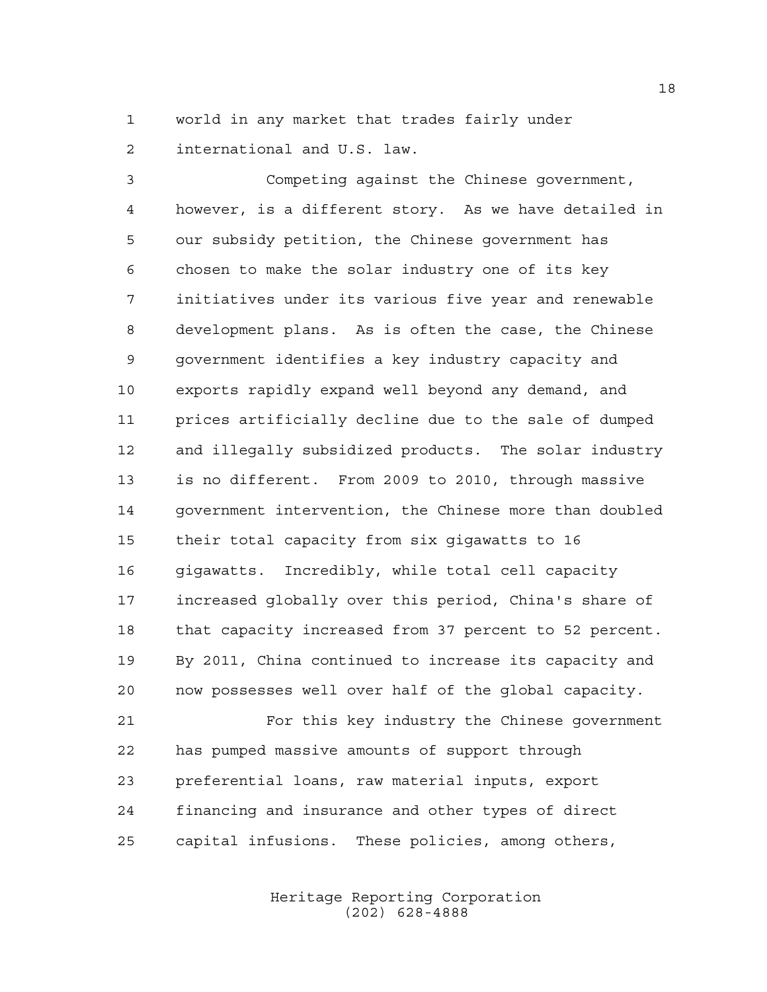world in any market that trades fairly under international and U.S. law.

 Competing against the Chinese government, however, is a different story. As we have detailed in our subsidy petition, the Chinese government has chosen to make the solar industry one of its key initiatives under its various five year and renewable development plans. As is often the case, the Chinese government identifies a key industry capacity and exports rapidly expand well beyond any demand, and prices artificially decline due to the sale of dumped and illegally subsidized products. The solar industry is no different. From 2009 to 2010, through massive government intervention, the Chinese more than doubled their total capacity from six gigawatts to 16 gigawatts. Incredibly, while total cell capacity increased globally over this period, China's share of that capacity increased from 37 percent to 52 percent. By 2011, China continued to increase its capacity and now possesses well over half of the global capacity.

 For this key industry the Chinese government has pumped massive amounts of support through preferential loans, raw material inputs, export financing and insurance and other types of direct capital infusions. These policies, among others,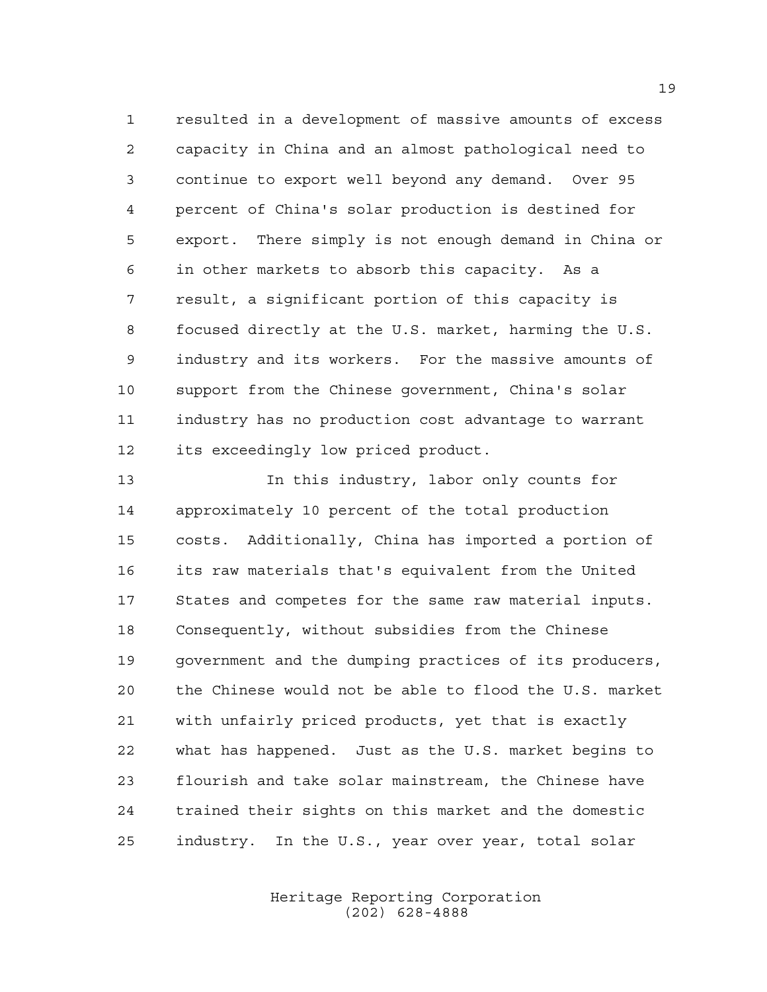resulted in a development of massive amounts of excess capacity in China and an almost pathological need to continue to export well beyond any demand. Over 95 percent of China's solar production is destined for export. There simply is not enough demand in China or in other markets to absorb this capacity. As a result, a significant portion of this capacity is focused directly at the U.S. market, harming the U.S. industry and its workers. For the massive amounts of support from the Chinese government, China's solar industry has no production cost advantage to warrant its exceedingly low priced product.

 In this industry, labor only counts for approximately 10 percent of the total production costs. Additionally, China has imported a portion of its raw materials that's equivalent from the United States and competes for the same raw material inputs. Consequently, without subsidies from the Chinese government and the dumping practices of its producers, the Chinese would not be able to flood the U.S. market with unfairly priced products, yet that is exactly what has happened. Just as the U.S. market begins to flourish and take solar mainstream, the Chinese have trained their sights on this market and the domestic industry. In the U.S., year over year, total solar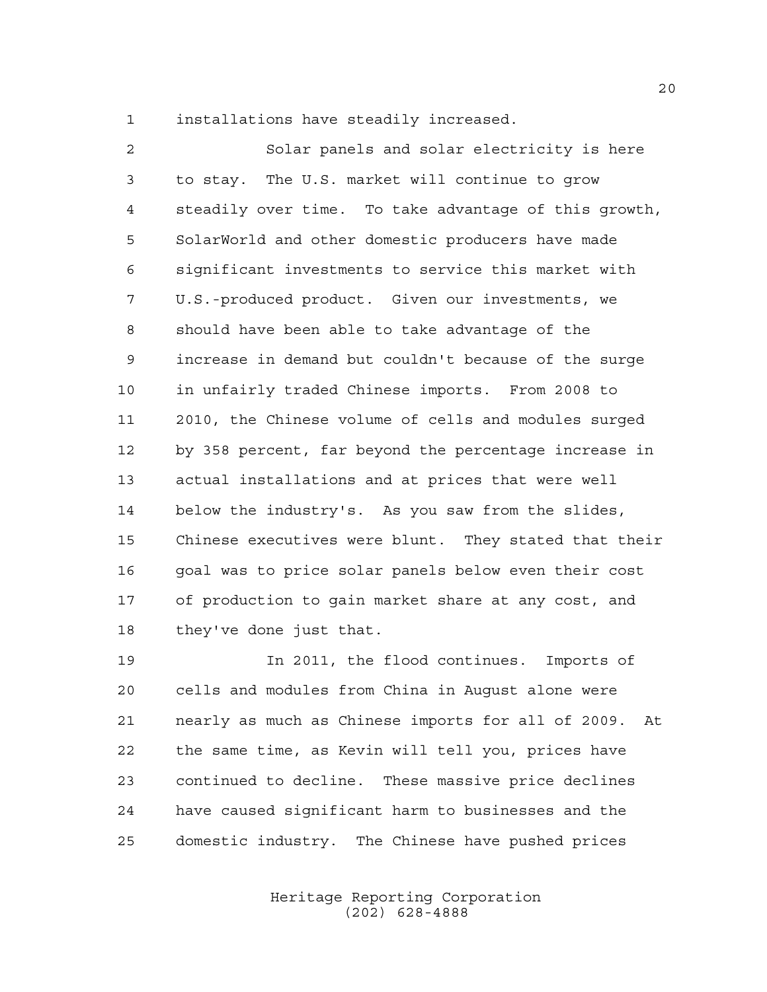installations have steadily increased.

 Solar panels and solar electricity is here to stay. The U.S. market will continue to grow steadily over time. To take advantage of this growth, SolarWorld and other domestic producers have made significant investments to service this market with U.S.-produced product. Given our investments, we should have been able to take advantage of the increase in demand but couldn't because of the surge in unfairly traded Chinese imports. From 2008 to 2010, the Chinese volume of cells and modules surged by 358 percent, far beyond the percentage increase in actual installations and at prices that were well below the industry's. As you saw from the slides, Chinese executives were blunt. They stated that their goal was to price solar panels below even their cost of production to gain market share at any cost, and they've done just that.

 In 2011, the flood continues. Imports of cells and modules from China in August alone were nearly as much as Chinese imports for all of 2009. At the same time, as Kevin will tell you, prices have continued to decline. These massive price declines have caused significant harm to businesses and the domestic industry. The Chinese have pushed prices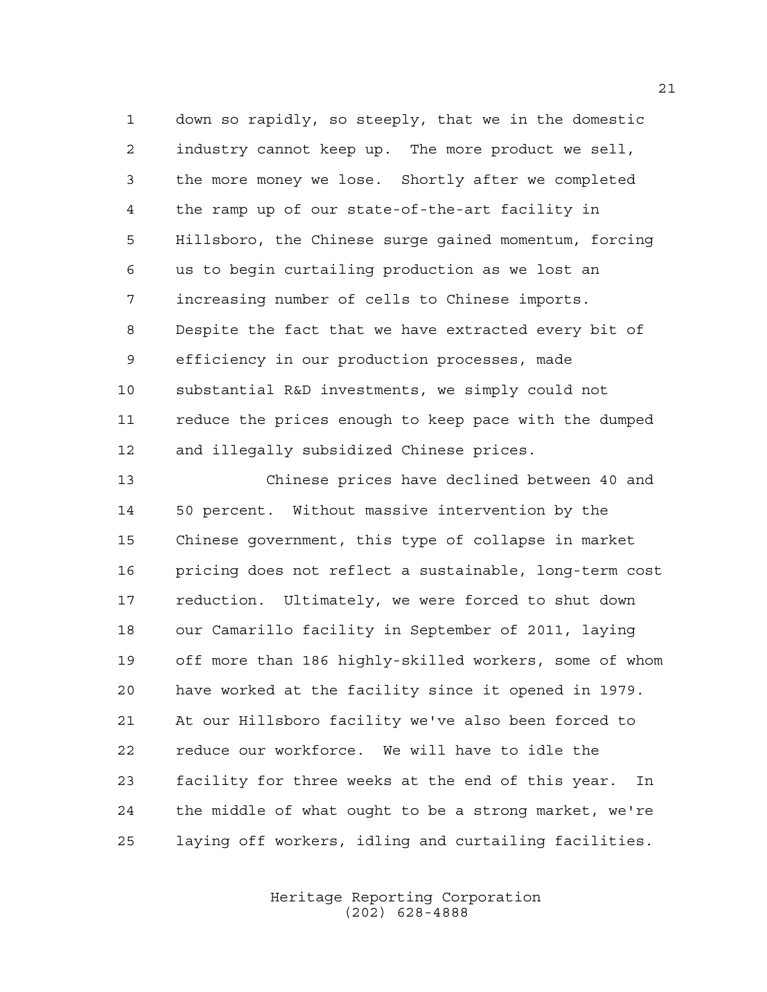down so rapidly, so steeply, that we in the domestic industry cannot keep up. The more product we sell, the more money we lose. Shortly after we completed the ramp up of our state-of-the-art facility in Hillsboro, the Chinese surge gained momentum, forcing us to begin curtailing production as we lost an increasing number of cells to Chinese imports. Despite the fact that we have extracted every bit of efficiency in our production processes, made substantial R&D investments, we simply could not reduce the prices enough to keep pace with the dumped and illegally subsidized Chinese prices.

 Chinese prices have declined between 40 and 50 percent. Without massive intervention by the Chinese government, this type of collapse in market pricing does not reflect a sustainable, long-term cost reduction. Ultimately, we were forced to shut down our Camarillo facility in September of 2011, laying off more than 186 highly-skilled workers, some of whom have worked at the facility since it opened in 1979. At our Hillsboro facility we've also been forced to reduce our workforce. We will have to idle the facility for three weeks at the end of this year. In the middle of what ought to be a strong market, we're laying off workers, idling and curtailing facilities.

> Heritage Reporting Corporation (202) 628-4888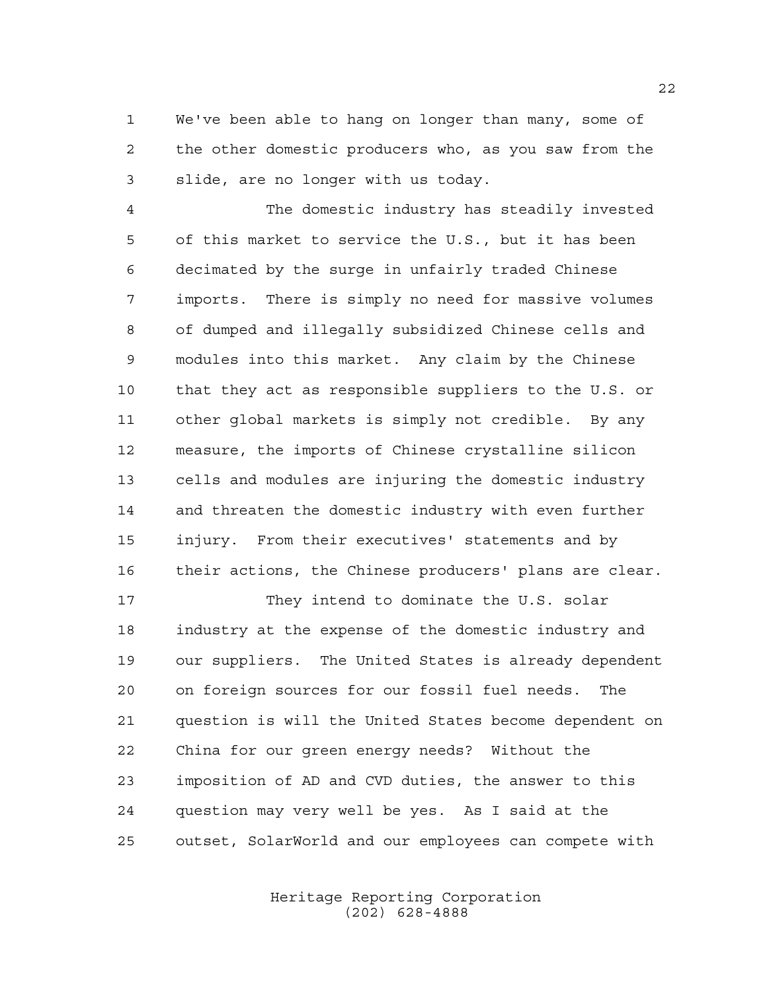We've been able to hang on longer than many, some of the other domestic producers who, as you saw from the slide, are no longer with us today.

 The domestic industry has steadily invested of this market to service the U.S., but it has been decimated by the surge in unfairly traded Chinese imports. There is simply no need for massive volumes of dumped and illegally subsidized Chinese cells and modules into this market. Any claim by the Chinese that they act as responsible suppliers to the U.S. or other global markets is simply not credible. By any measure, the imports of Chinese crystalline silicon cells and modules are injuring the domestic industry and threaten the domestic industry with even further injury. From their executives' statements and by their actions, the Chinese producers' plans are clear.

17 They intend to dominate the U.S. solar industry at the expense of the domestic industry and our suppliers. The United States is already dependent on foreign sources for our fossil fuel needs. The question is will the United States become dependent on China for our green energy needs? Without the imposition of AD and CVD duties, the answer to this question may very well be yes. As I said at the outset, SolarWorld and our employees can compete with

> Heritage Reporting Corporation (202) 628-4888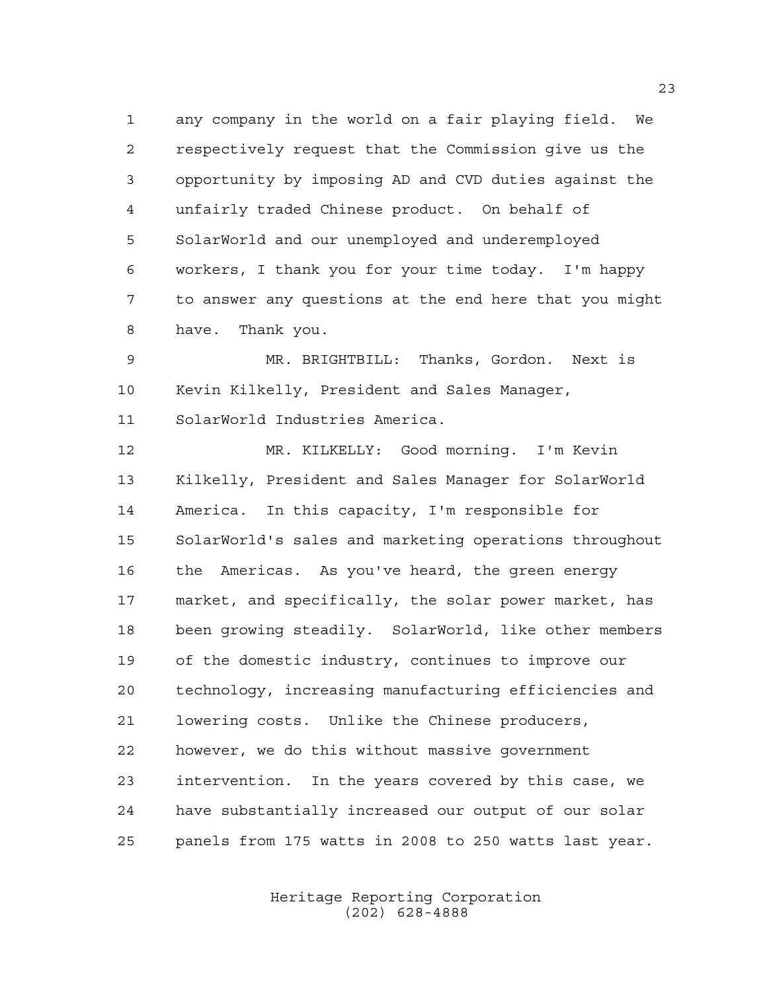any company in the world on a fair playing field. We respectively request that the Commission give us the opportunity by imposing AD and CVD duties against the unfairly traded Chinese product. On behalf of SolarWorld and our unemployed and underemployed workers, I thank you for your time today. I'm happy to answer any questions at the end here that you might have. Thank you.

 MR. BRIGHTBILL: Thanks, Gordon. Next is Kevin Kilkelly, President and Sales Manager, SolarWorld Industries America.

 MR. KILKELLY: Good morning. I'm Kevin Kilkelly, President and Sales Manager for SolarWorld America. In this capacity, I'm responsible for SolarWorld's sales and marketing operations throughout the Americas. As you've heard, the green energy market, and specifically, the solar power market, has been growing steadily. SolarWorld, like other members of the domestic industry, continues to improve our technology, increasing manufacturing efficiencies and lowering costs. Unlike the Chinese producers, however, we do this without massive government intervention. In the years covered by this case, we have substantially increased our output of our solar panels from 175 watts in 2008 to 250 watts last year.

> Heritage Reporting Corporation (202) 628-4888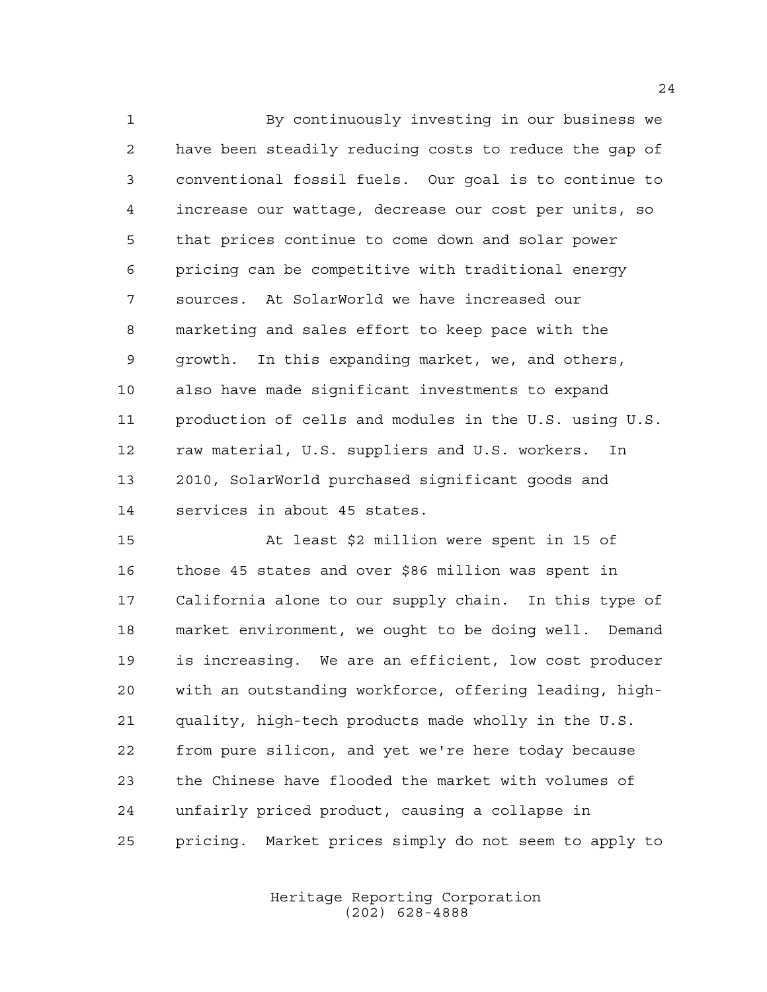By continuously investing in our business we have been steadily reducing costs to reduce the gap of conventional fossil fuels. Our goal is to continue to increase our wattage, decrease our cost per units, so that prices continue to come down and solar power pricing can be competitive with traditional energy sources. At SolarWorld we have increased our marketing and sales effort to keep pace with the growth. In this expanding market, we, and others, also have made significant investments to expand production of cells and modules in the U.S. using U.S. raw material, U.S. suppliers and U.S. workers. In 2010, SolarWorld purchased significant goods and services in about 45 states.

 At least \$2 million were spent in 15 of those 45 states and over \$86 million was spent in California alone to our supply chain. In this type of market environment, we ought to be doing well. Demand is increasing. We are an efficient, low cost producer with an outstanding workforce, offering leading, high- quality, high-tech products made wholly in the U.S. from pure silicon, and yet we're here today because the Chinese have flooded the market with volumes of unfairly priced product, causing a collapse in pricing. Market prices simply do not seem to apply to

> Heritage Reporting Corporation (202) 628-4888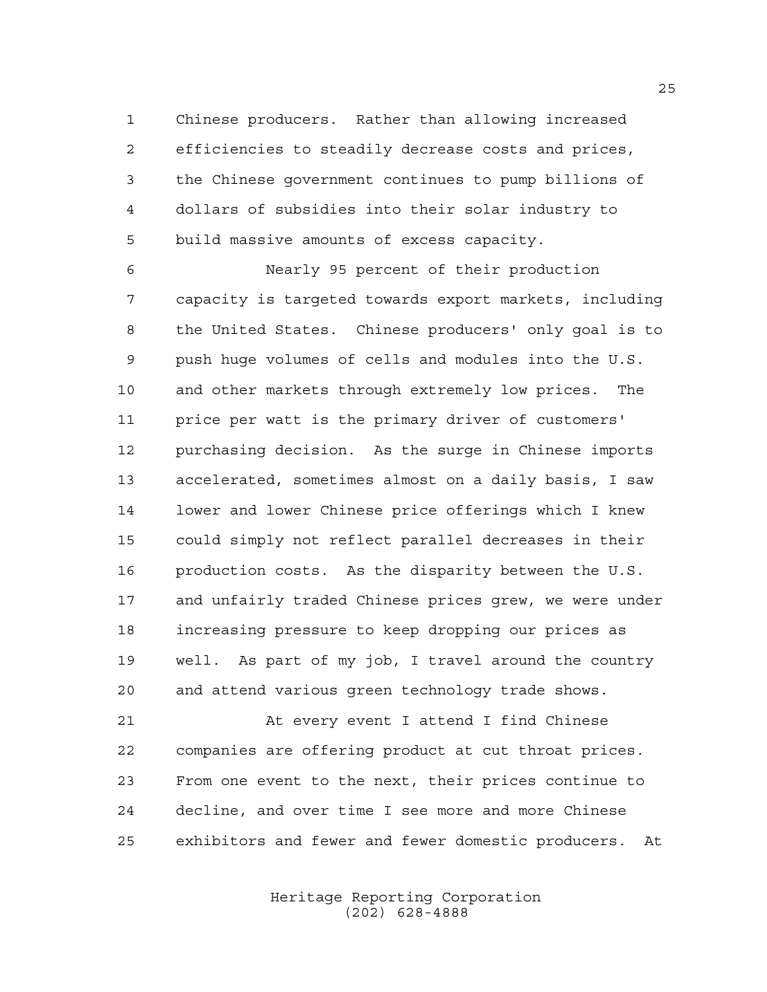Chinese producers. Rather than allowing increased efficiencies to steadily decrease costs and prices, the Chinese government continues to pump billions of dollars of subsidies into their solar industry to build massive amounts of excess capacity.

 Nearly 95 percent of their production capacity is targeted towards export markets, including the United States. Chinese producers' only goal is to push huge volumes of cells and modules into the U.S. and other markets through extremely low prices. The price per watt is the primary driver of customers' purchasing decision. As the surge in Chinese imports accelerated, sometimes almost on a daily basis, I saw lower and lower Chinese price offerings which I knew could simply not reflect parallel decreases in their production costs. As the disparity between the U.S. and unfairly traded Chinese prices grew, we were under increasing pressure to keep dropping our prices as well. As part of my job, I travel around the country and attend various green technology trade shows.

 At every event I attend I find Chinese companies are offering product at cut throat prices. From one event to the next, their prices continue to decline, and over time I see more and more Chinese exhibitors and fewer and fewer domestic producers. At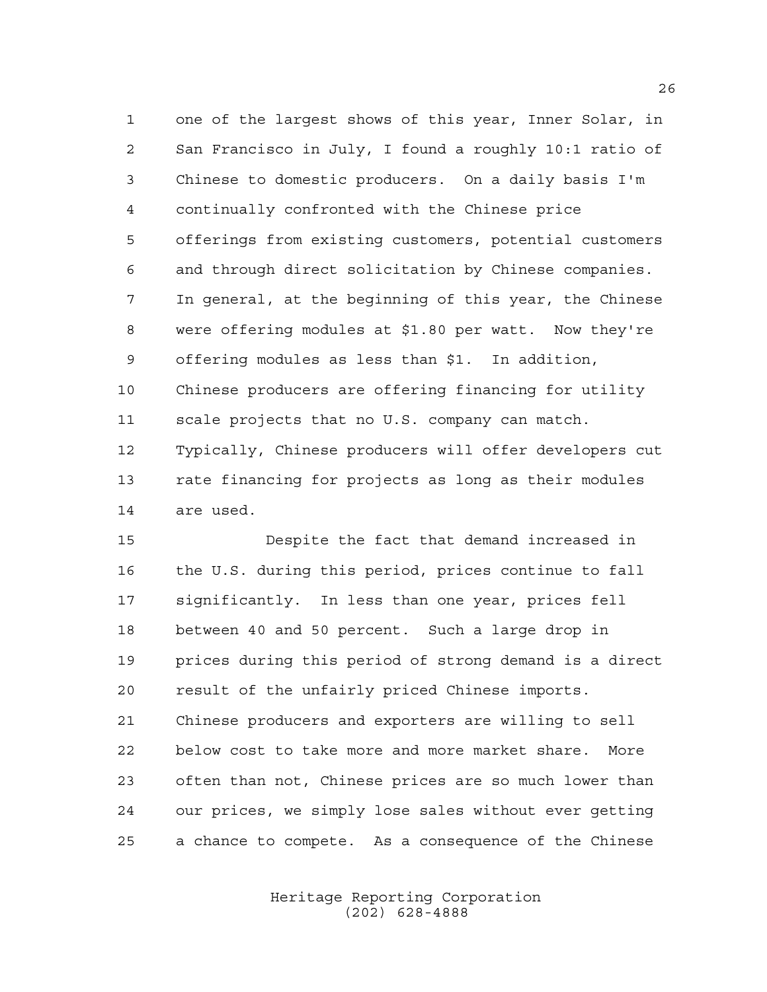one of the largest shows of this year, Inner Solar, in San Francisco in July, I found a roughly 10:1 ratio of Chinese to domestic producers. On a daily basis I'm continually confronted with the Chinese price offerings from existing customers, potential customers and through direct solicitation by Chinese companies. In general, at the beginning of this year, the Chinese were offering modules at \$1.80 per watt. Now they're offering modules as less than \$1. In addition, Chinese producers are offering financing for utility scale projects that no U.S. company can match. Typically, Chinese producers will offer developers cut rate financing for projects as long as their modules are used.

 Despite the fact that demand increased in the U.S. during this period, prices continue to fall significantly. In less than one year, prices fell between 40 and 50 percent. Such a large drop in prices during this period of strong demand is a direct result of the unfairly priced Chinese imports. Chinese producers and exporters are willing to sell below cost to take more and more market share. More often than not, Chinese prices are so much lower than our prices, we simply lose sales without ever getting a chance to compete. As a consequence of the Chinese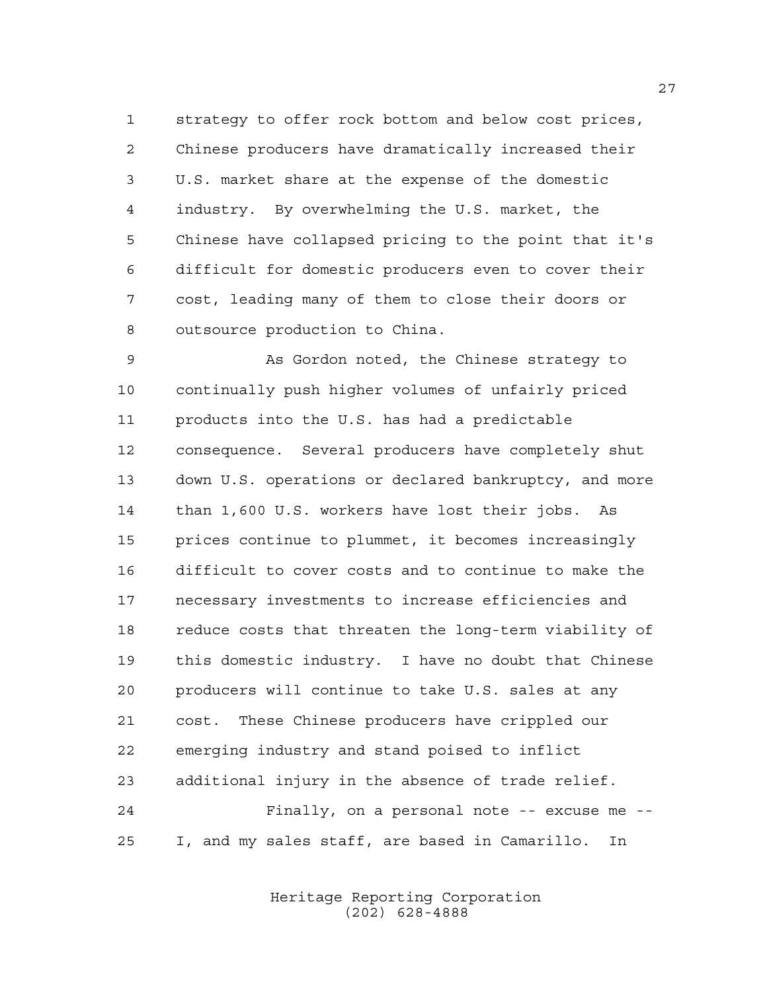strategy to offer rock bottom and below cost prices, Chinese producers have dramatically increased their U.S. market share at the expense of the domestic industry. By overwhelming the U.S. market, the Chinese have collapsed pricing to the point that it's difficult for domestic producers even to cover their cost, leading many of them to close their doors or outsource production to China.

 As Gordon noted, the Chinese strategy to continually push higher volumes of unfairly priced products into the U.S. has had a predictable consequence. Several producers have completely shut down U.S. operations or declared bankruptcy, and more than 1,600 U.S. workers have lost their jobs. As prices continue to plummet, it becomes increasingly difficult to cover costs and to continue to make the necessary investments to increase efficiencies and reduce costs that threaten the long-term viability of this domestic industry. I have no doubt that Chinese producers will continue to take U.S. sales at any cost. These Chinese producers have crippled our emerging industry and stand poised to inflict additional injury in the absence of trade relief. Finally, on a personal note -- excuse me -- I, and my sales staff, are based in Camarillo. In

> Heritage Reporting Corporation (202) 628-4888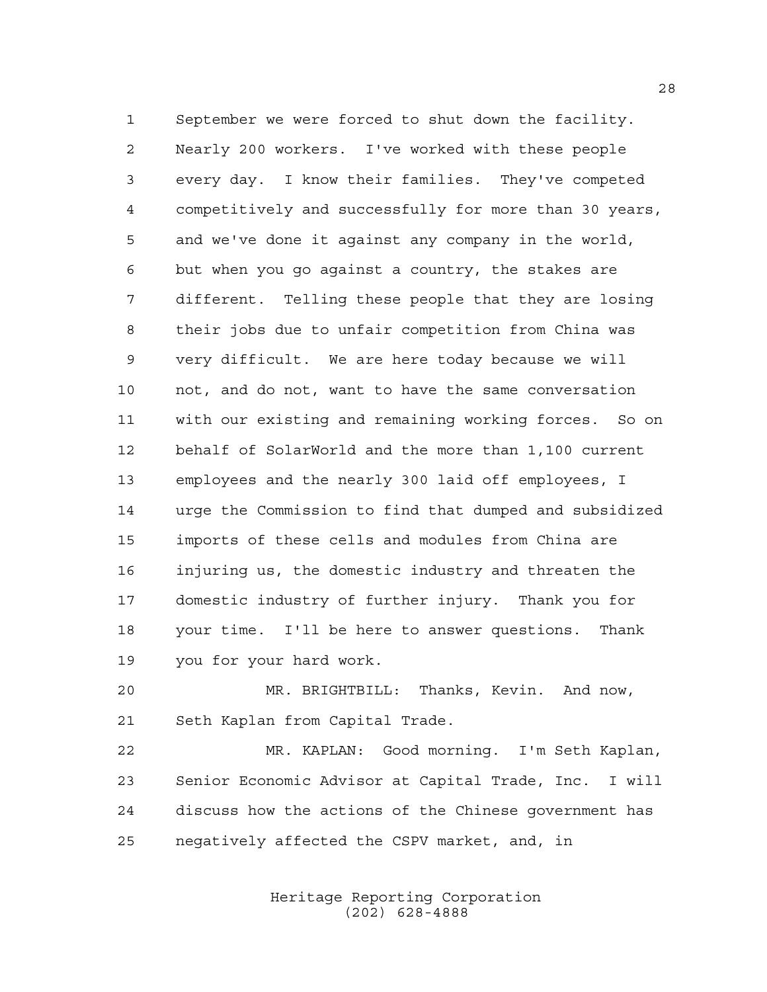September we were forced to shut down the facility. Nearly 200 workers. I've worked with these people every day. I know their families. They've competed competitively and successfully for more than 30 years, and we've done it against any company in the world, but when you go against a country, the stakes are different. Telling these people that they are losing their jobs due to unfair competition from China was very difficult. We are here today because we will not, and do not, want to have the same conversation with our existing and remaining working forces. So on behalf of SolarWorld and the more than 1,100 current employees and the nearly 300 laid off employees, I urge the Commission to find that dumped and subsidized imports of these cells and modules from China are injuring us, the domestic industry and threaten the domestic industry of further injury. Thank you for your time. I'll be here to answer questions. Thank you for your hard work.

 MR. BRIGHTBILL: Thanks, Kevin. And now, Seth Kaplan from Capital Trade.

 MR. KAPLAN: Good morning. I'm Seth Kaplan, Senior Economic Advisor at Capital Trade, Inc. I will discuss how the actions of the Chinese government has negatively affected the CSPV market, and, in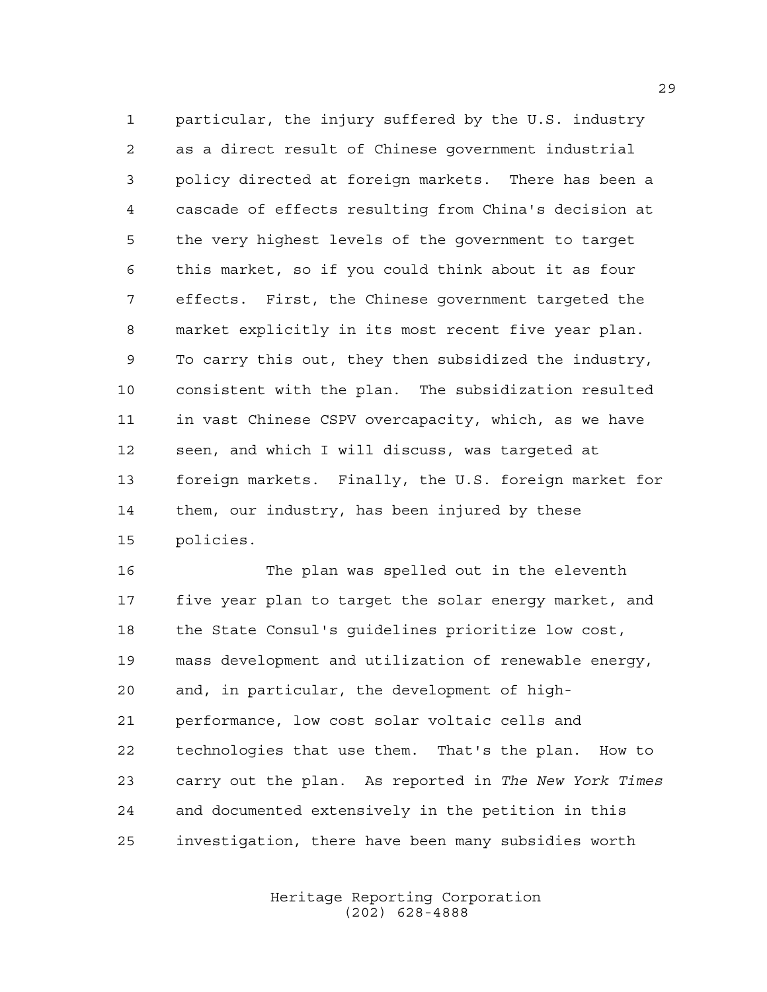particular, the injury suffered by the U.S. industry as a direct result of Chinese government industrial policy directed at foreign markets. There has been a cascade of effects resulting from China's decision at the very highest levels of the government to target this market, so if you could think about it as four effects. First, the Chinese government targeted the market explicitly in its most recent five year plan. To carry this out, they then subsidized the industry, consistent with the plan. The subsidization resulted in vast Chinese CSPV overcapacity, which, as we have seen, and which I will discuss, was targeted at foreign markets. Finally, the U.S. foreign market for them, our industry, has been injured by these policies.

 The plan was spelled out in the eleventh five year plan to target the solar energy market, and the State Consul's guidelines prioritize low cost, mass development and utilization of renewable energy, and, in particular, the development of high- performance, low cost solar voltaic cells and technologies that use them. That's the plan. How to carry out the plan. As reported in *The New York Times* and documented extensively in the petition in this investigation, there have been many subsidies worth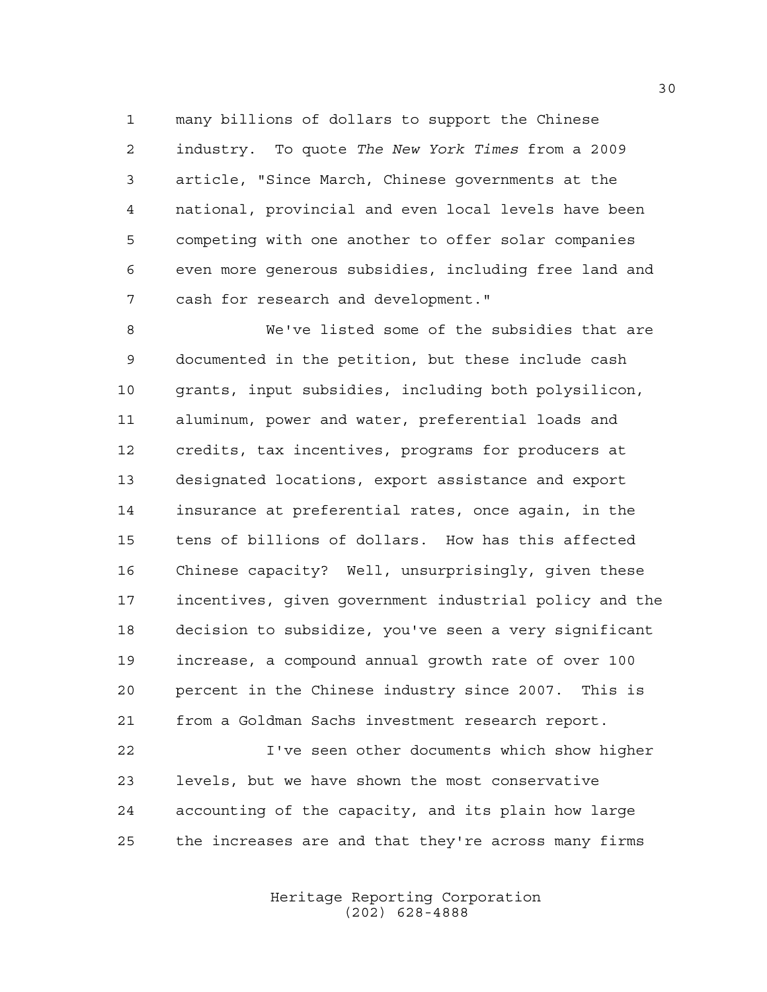many billions of dollars to support the Chinese industry. To quote *The New York Times* from a 2009 article, "Since March, Chinese governments at the national, provincial and even local levels have been competing with one another to offer solar companies even more generous subsidies, including free land and cash for research and development."

 We've listed some of the subsidies that are documented in the petition, but these include cash grants, input subsidies, including both polysilicon, aluminum, power and water, preferential loads and credits, tax incentives, programs for producers at designated locations, export assistance and export insurance at preferential rates, once again, in the tens of billions of dollars. How has this affected Chinese capacity? Well, unsurprisingly, given these incentives, given government industrial policy and the decision to subsidize, you've seen a very significant increase, a compound annual growth rate of over 100 percent in the Chinese industry since 2007. This is from a Goldman Sachs investment research report.

 I've seen other documents which show higher levels, but we have shown the most conservative accounting of the capacity, and its plain how large the increases are and that they're across many firms

> Heritage Reporting Corporation (202) 628-4888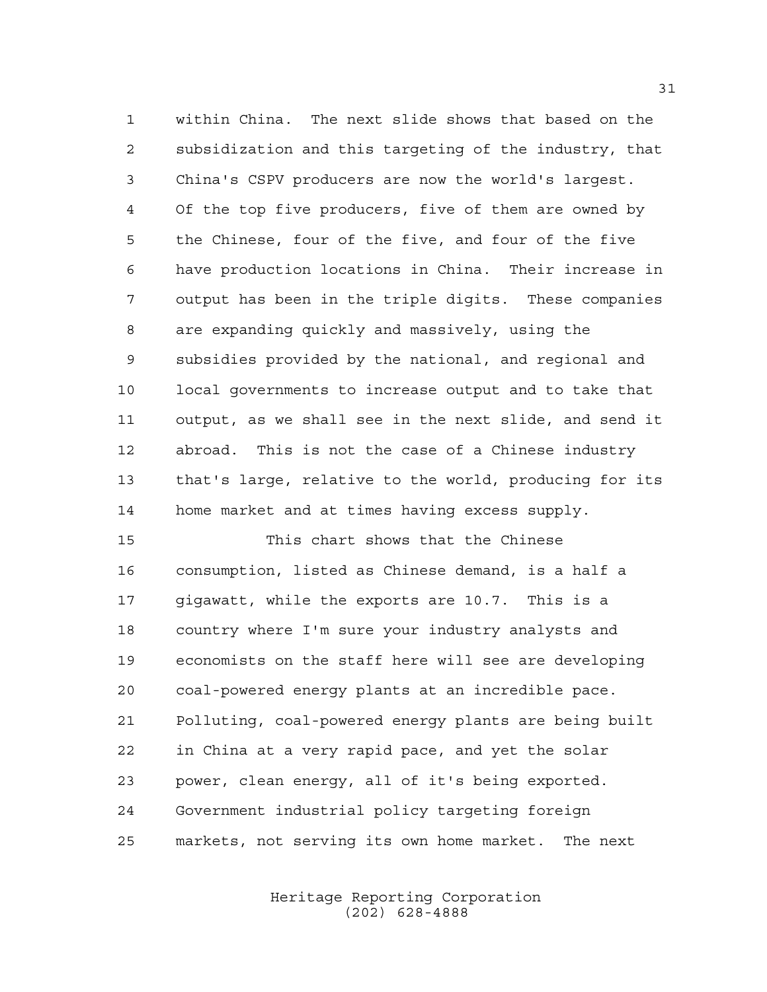within China. The next slide shows that based on the subsidization and this targeting of the industry, that China's CSPV producers are now the world's largest. Of the top five producers, five of them are owned by the Chinese, four of the five, and four of the five have production locations in China. Their increase in output has been in the triple digits. These companies are expanding quickly and massively, using the subsidies provided by the national, and regional and local governments to increase output and to take that output, as we shall see in the next slide, and send it abroad. This is not the case of a Chinese industry that's large, relative to the world, producing for its home market and at times having excess supply.

 This chart shows that the Chinese consumption, listed as Chinese demand, is a half a gigawatt, while the exports are 10.7. This is a country where I'm sure your industry analysts and economists on the staff here will see are developing coal-powered energy plants at an incredible pace. Polluting, coal-powered energy plants are being built in China at a very rapid pace, and yet the solar power, clean energy, all of it's being exported. Government industrial policy targeting foreign markets, not serving its own home market. The next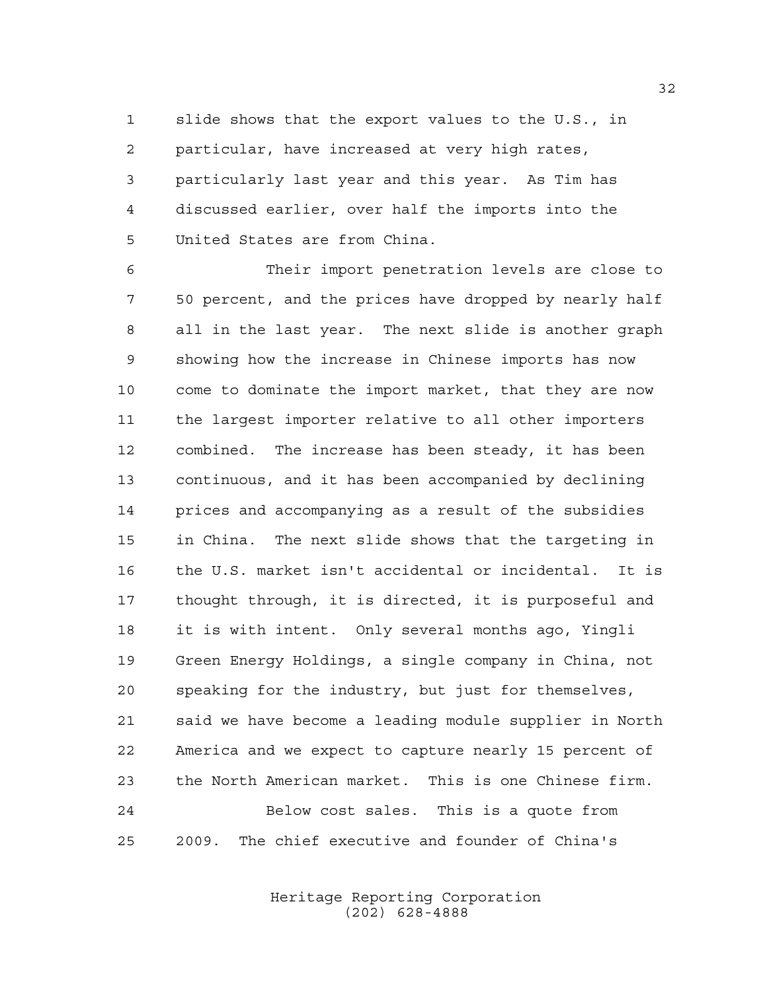slide shows that the export values to the U.S., in particular, have increased at very high rates, particularly last year and this year. As Tim has discussed earlier, over half the imports into the United States are from China.

 Their import penetration levels are close to 50 percent, and the prices have dropped by nearly half all in the last year. The next slide is another graph showing how the increase in Chinese imports has now come to dominate the import market, that they are now the largest importer relative to all other importers combined. The increase has been steady, it has been continuous, and it has been accompanied by declining prices and accompanying as a result of the subsidies in China. The next slide shows that the targeting in the U.S. market isn't accidental or incidental. It is thought through, it is directed, it is purposeful and it is with intent. Only several months ago, Yingli Green Energy Holdings, a single company in China, not speaking for the industry, but just for themselves, said we have become a leading module supplier in North America and we expect to capture nearly 15 percent of the North American market. This is one Chinese firm. Below cost sales. This is a quote from 2009. The chief executive and founder of China's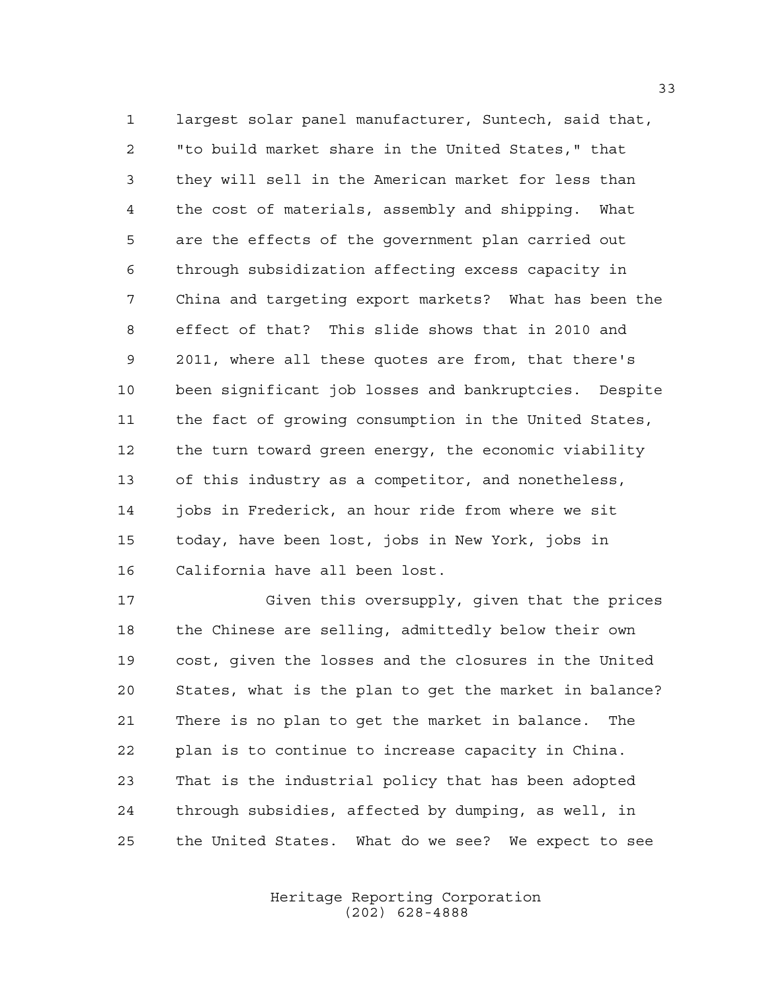largest solar panel manufacturer, Suntech, said that, "to build market share in the United States," that they will sell in the American market for less than the cost of materials, assembly and shipping. What are the effects of the government plan carried out through subsidization affecting excess capacity in China and targeting export markets? What has been the effect of that? This slide shows that in 2010 and 2011, where all these quotes are from, that there's been significant job losses and bankruptcies. Despite the fact of growing consumption in the United States, the turn toward green energy, the economic viability of this industry as a competitor, and nonetheless, jobs in Frederick, an hour ride from where we sit today, have been lost, jobs in New York, jobs in California have all been lost.

 Given this oversupply, given that the prices the Chinese are selling, admittedly below their own cost, given the losses and the closures in the United States, what is the plan to get the market in balance? There is no plan to get the market in balance. The plan is to continue to increase capacity in China. That is the industrial policy that has been adopted through subsidies, affected by dumping, as well, in the United States. What do we see? We expect to see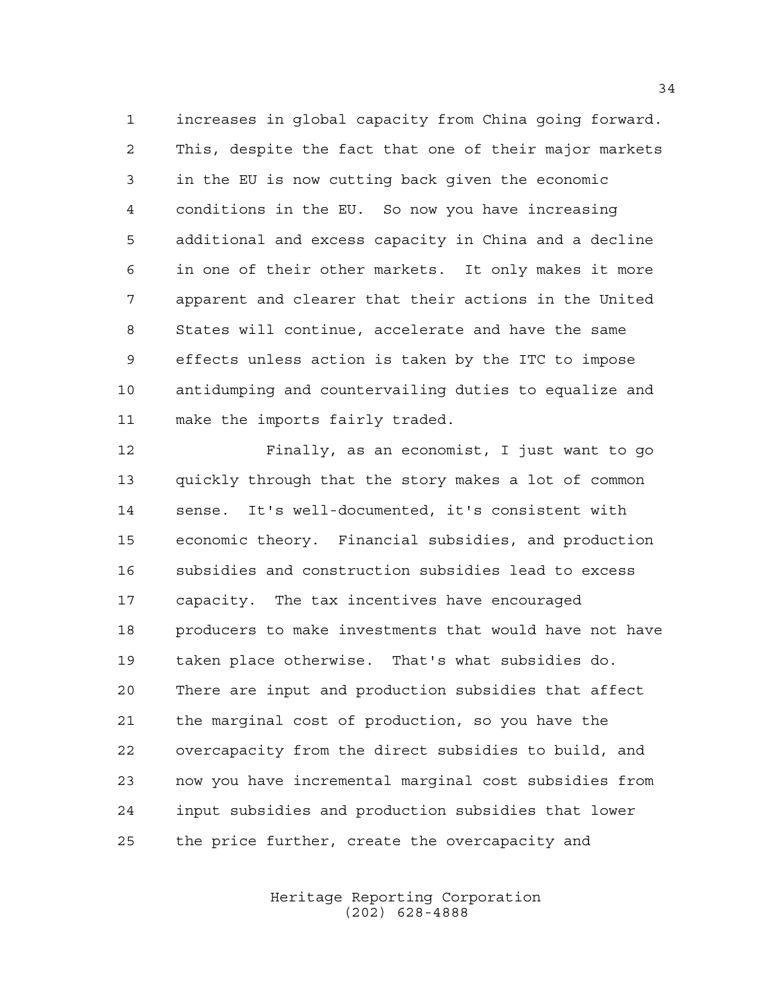increases in global capacity from China going forward. This, despite the fact that one of their major markets in the EU is now cutting back given the economic conditions in the EU. So now you have increasing additional and excess capacity in China and a decline in one of their other markets. It only makes it more apparent and clearer that their actions in the United States will continue, accelerate and have the same effects unless action is taken by the ITC to impose antidumping and countervailing duties to equalize and make the imports fairly traded.

 Finally, as an economist, I just want to go quickly through that the story makes a lot of common sense. It's well-documented, it's consistent with economic theory. Financial subsidies, and production subsidies and construction subsidies lead to excess capacity. The tax incentives have encouraged producers to make investments that would have not have taken place otherwise. That's what subsidies do. There are input and production subsidies that affect the marginal cost of production, so you have the overcapacity from the direct subsidies to build, and now you have incremental marginal cost subsidies from input subsidies and production subsidies that lower the price further, create the overcapacity and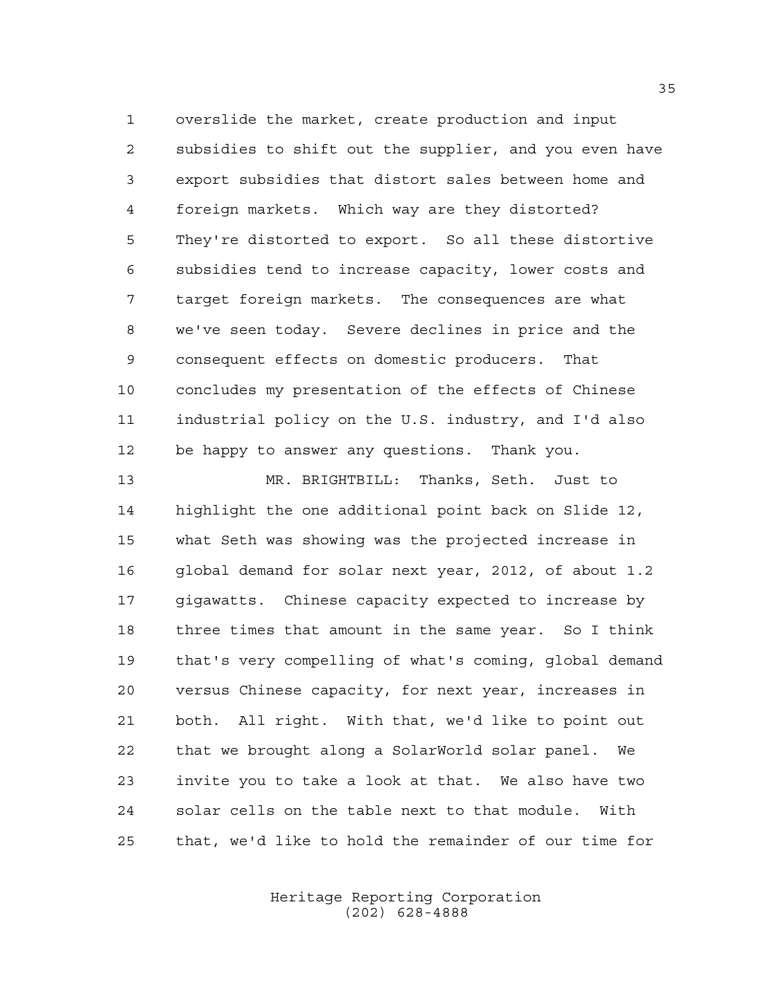overslide the market, create production and input subsidies to shift out the supplier, and you even have export subsidies that distort sales between home and foreign markets. Which way are they distorted? They're distorted to export. So all these distortive subsidies tend to increase capacity, lower costs and target foreign markets. The consequences are what we've seen today. Severe declines in price and the consequent effects on domestic producers. That concludes my presentation of the effects of Chinese industrial policy on the U.S. industry, and I'd also be happy to answer any questions. Thank you.

 MR. BRIGHTBILL: Thanks, Seth. Just to highlight the one additional point back on Slide 12, what Seth was showing was the projected increase in global demand for solar next year, 2012, of about 1.2 gigawatts. Chinese capacity expected to increase by three times that amount in the same year. So I think that's very compelling of what's coming, global demand versus Chinese capacity, for next year, increases in both. All right. With that, we'd like to point out that we brought along a SolarWorld solar panel. We invite you to take a look at that. We also have two solar cells on the table next to that module. With that, we'd like to hold the remainder of our time for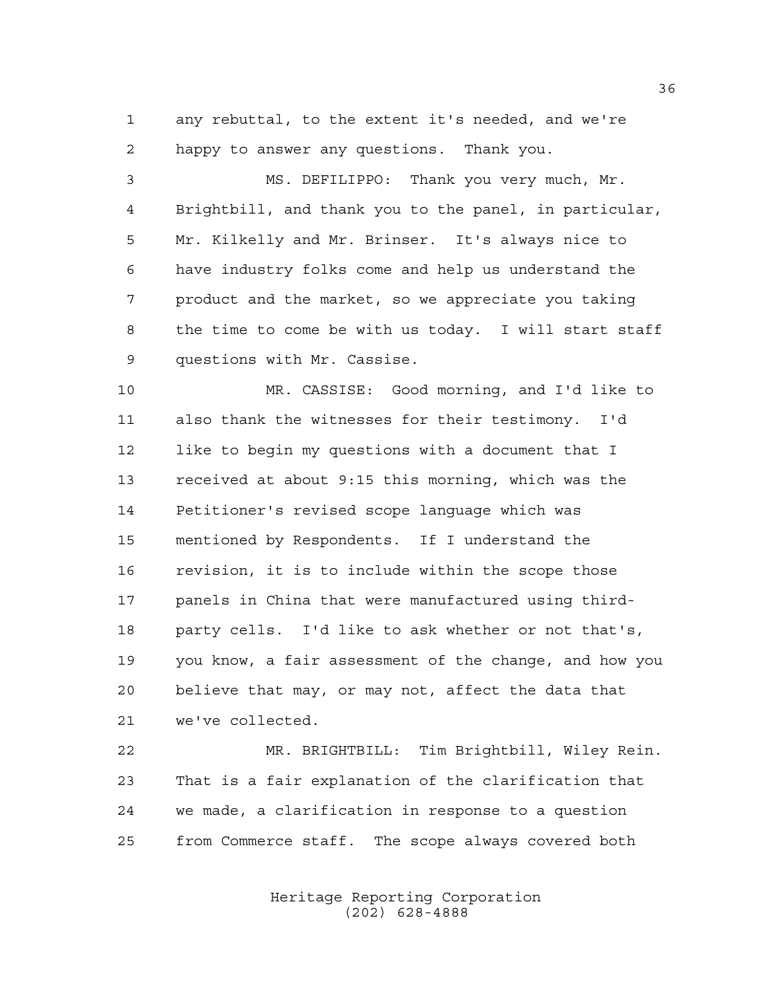any rebuttal, to the extent it's needed, and we're happy to answer any questions. Thank you.

 MS. DEFILIPPO: Thank you very much, Mr. Brightbill, and thank you to the panel, in particular, Mr. Kilkelly and Mr. Brinser. It's always nice to have industry folks come and help us understand the product and the market, so we appreciate you taking the time to come be with us today. I will start staff questions with Mr. Cassise.

 MR. CASSISE: Good morning, and I'd like to also thank the witnesses for their testimony. I'd like to begin my questions with a document that I received at about 9:15 this morning, which was the Petitioner's revised scope language which was mentioned by Respondents. If I understand the revision, it is to include within the scope those panels in China that were manufactured using third- party cells. I'd like to ask whether or not that's, you know, a fair assessment of the change, and how you believe that may, or may not, affect the data that we've collected.

 MR. BRIGHTBILL: Tim Brightbill, Wiley Rein. That is a fair explanation of the clarification that we made, a clarification in response to a question from Commerce staff. The scope always covered both

> Heritage Reporting Corporation (202) 628-4888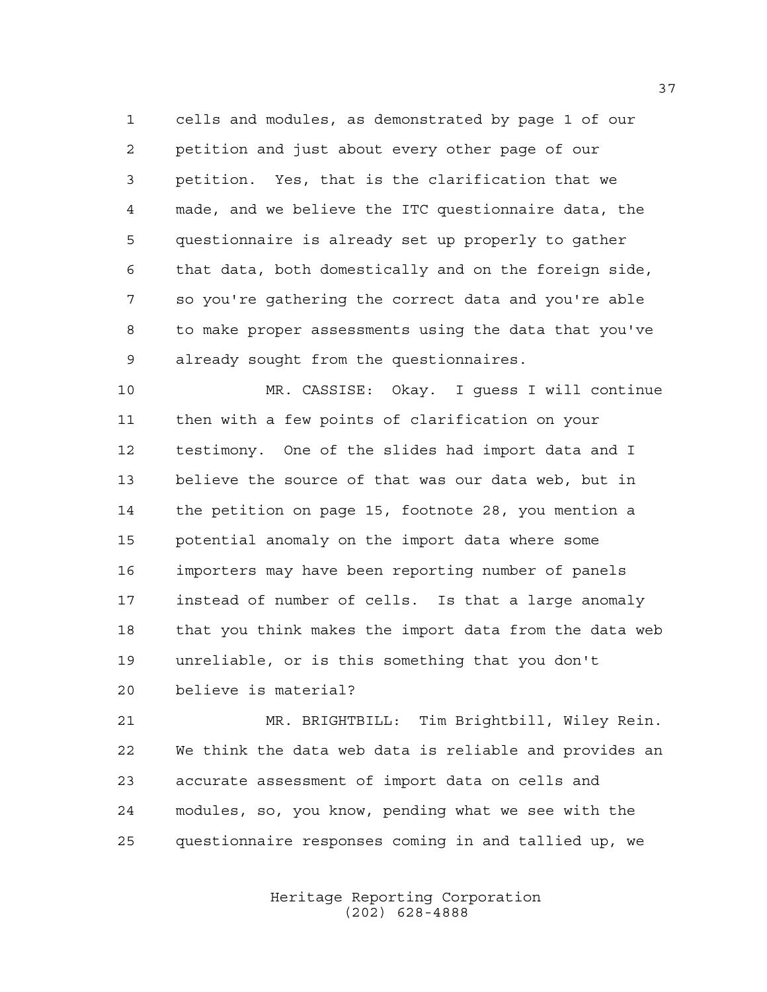cells and modules, as demonstrated by page 1 of our petition and just about every other page of our petition. Yes, that is the clarification that we made, and we believe the ITC questionnaire data, the questionnaire is already set up properly to gather that data, both domestically and on the foreign side, so you're gathering the correct data and you're able to make proper assessments using the data that you've already sought from the questionnaires.

 MR. CASSISE: Okay. I guess I will continue then with a few points of clarification on your testimony. One of the slides had import data and I believe the source of that was our data web, but in the petition on page 15, footnote 28, you mention a potential anomaly on the import data where some importers may have been reporting number of panels instead of number of cells. Is that a large anomaly that you think makes the import data from the data web unreliable, or is this something that you don't believe is material?

 MR. BRIGHTBILL: Tim Brightbill, Wiley Rein. We think the data web data is reliable and provides an accurate assessment of import data on cells and modules, so, you know, pending what we see with the questionnaire responses coming in and tallied up, we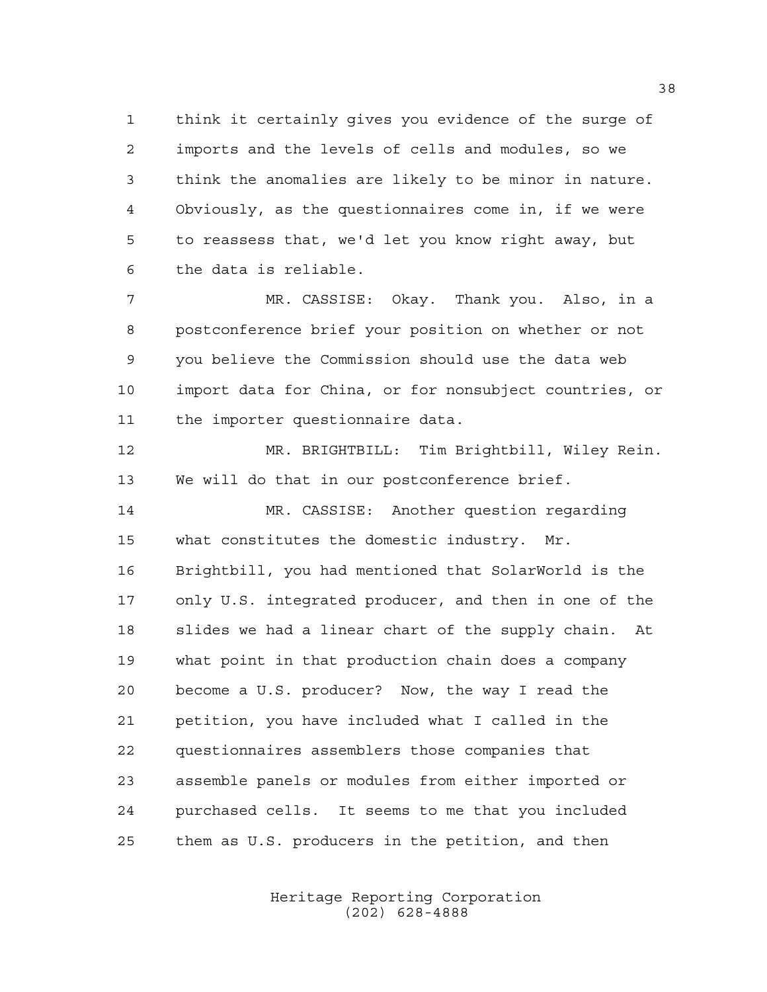think it certainly gives you evidence of the surge of imports and the levels of cells and modules, so we think the anomalies are likely to be minor in nature. Obviously, as the questionnaires come in, if we were to reassess that, we'd let you know right away, but the data is reliable.

 MR. CASSISE: Okay. Thank you. Also, in a postconference brief your position on whether or not you believe the Commission should use the data web import data for China, or for nonsubject countries, or the importer questionnaire data.

 MR. BRIGHTBILL: Tim Brightbill, Wiley Rein. We will do that in our postconference brief.

 MR. CASSISE: Another question regarding what constitutes the domestic industry. Mr. Brightbill, you had mentioned that SolarWorld is the only U.S. integrated producer, and then in one of the slides we had a linear chart of the supply chain. At what point in that production chain does a company become a U.S. producer? Now, the way I read the petition, you have included what I called in the questionnaires assemblers those companies that assemble panels or modules from either imported or purchased cells. It seems to me that you included them as U.S. producers in the petition, and then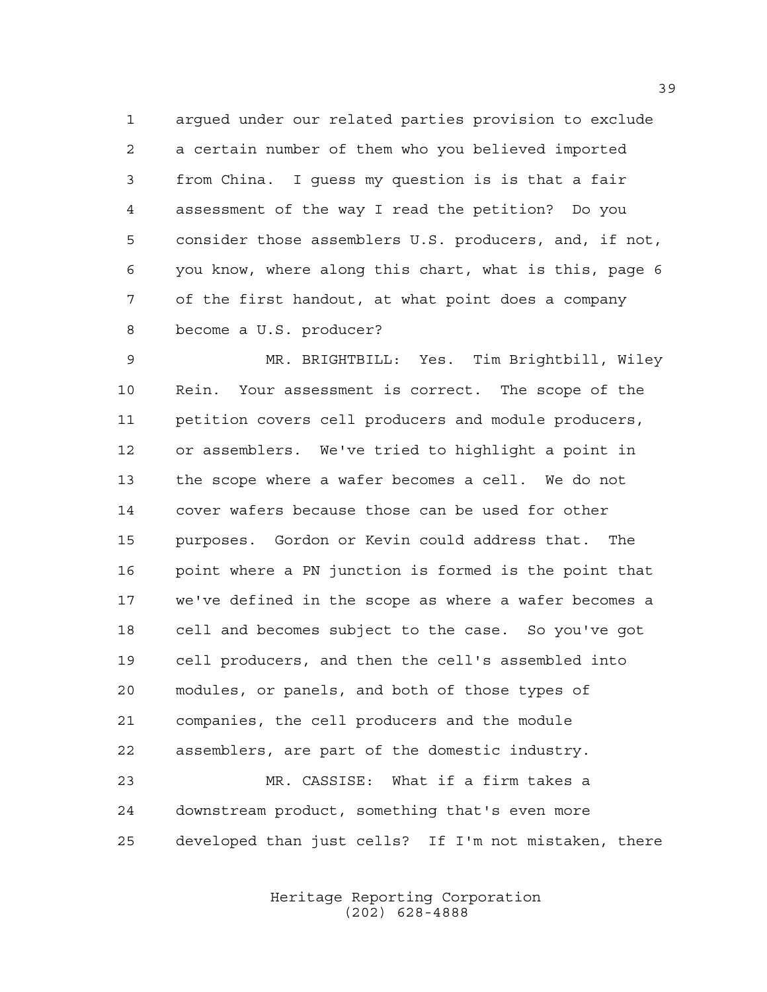argued under our related parties provision to exclude a certain number of them who you believed imported from China. I guess my question is is that a fair assessment of the way I read the petition? Do you consider those assemblers U.S. producers, and, if not, you know, where along this chart, what is this, page 6 of the first handout, at what point does a company become a U.S. producer?

 MR. BRIGHTBILL: Yes. Tim Brightbill, Wiley Rein. Your assessment is correct. The scope of the petition covers cell producers and module producers, or assemblers. We've tried to highlight a point in the scope where a wafer becomes a cell. We do not cover wafers because those can be used for other purposes. Gordon or Kevin could address that. The point where a PN junction is formed is the point that we've defined in the scope as where a wafer becomes a cell and becomes subject to the case. So you've got cell producers, and then the cell's assembled into modules, or panels, and both of those types of companies, the cell producers and the module assemblers, are part of the domestic industry. MR. CASSISE: What if a firm takes a

 downstream product, something that's even more developed than just cells? If I'm not mistaken, there

> Heritage Reporting Corporation (202) 628-4888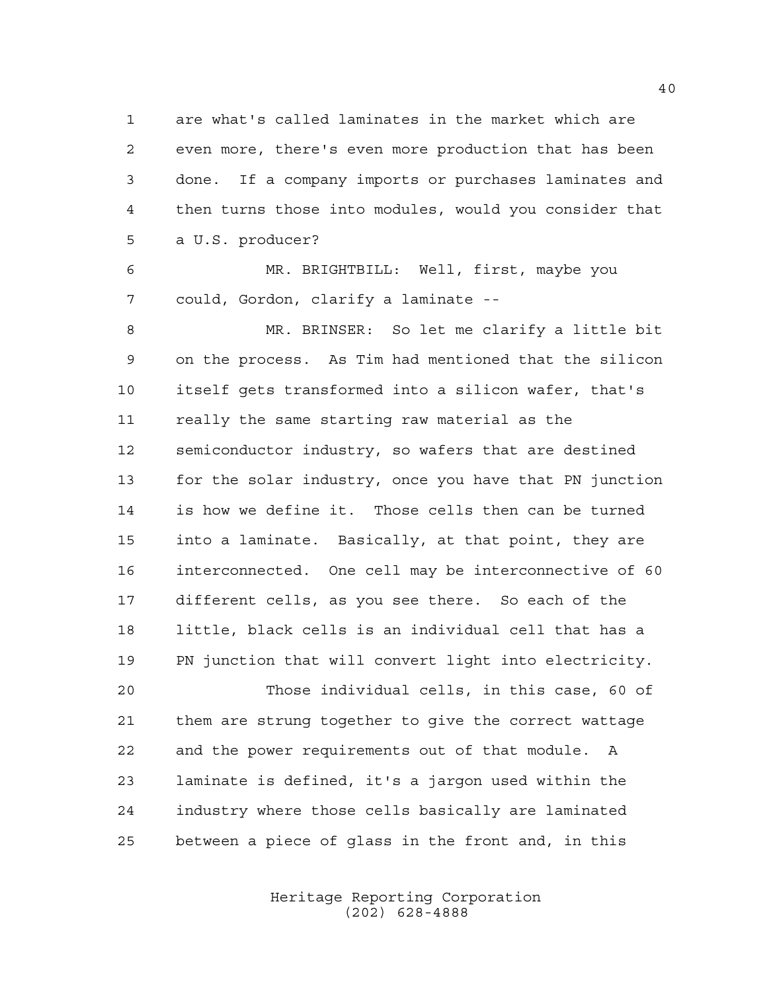are what's called laminates in the market which are even more, there's even more production that has been done. If a company imports or purchases laminates and then turns those into modules, would you consider that a U.S. producer?

 MR. BRIGHTBILL: Well, first, maybe you could, Gordon, clarify a laminate --

 MR. BRINSER: So let me clarify a little bit on the process. As Tim had mentioned that the silicon itself gets transformed into a silicon wafer, that's really the same starting raw material as the semiconductor industry, so wafers that are destined for the solar industry, once you have that PN junction is how we define it. Those cells then can be turned into a laminate. Basically, at that point, they are interconnected. One cell may be interconnective of 60 different cells, as you see there. So each of the little, black cells is an individual cell that has a PN junction that will convert light into electricity. Those individual cells, in this case, 60 of them are strung together to give the correct wattage and the power requirements out of that module. A laminate is defined, it's a jargon used within the industry where those cells basically are laminated

between a piece of glass in the front and, in this

Heritage Reporting Corporation (202) 628-4888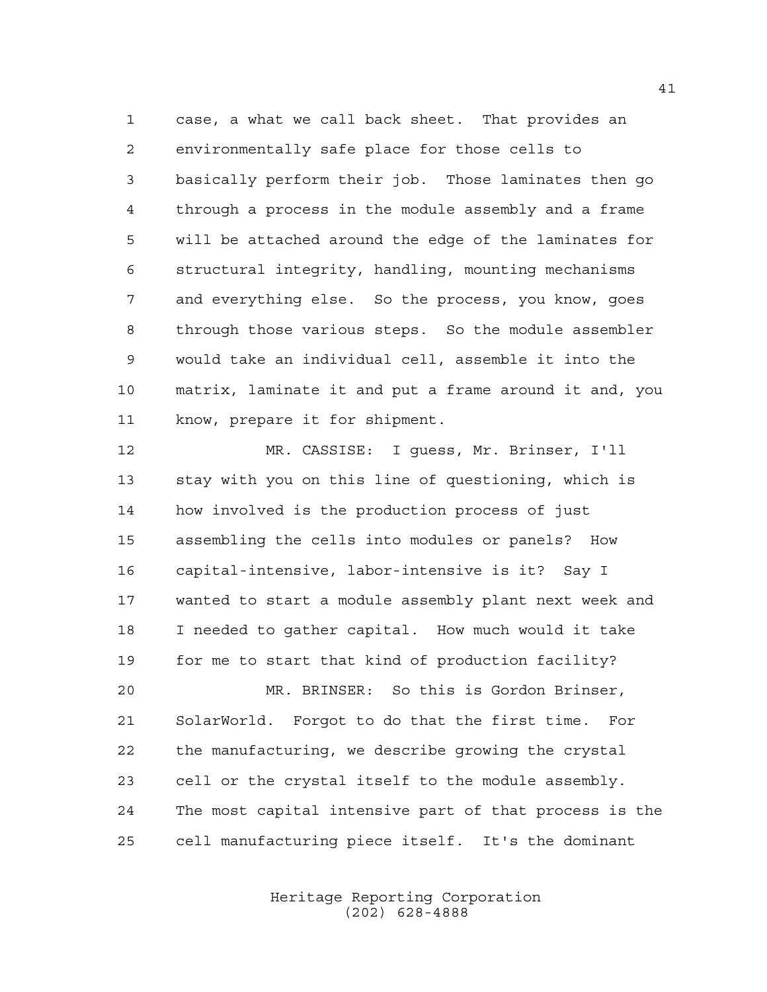case, a what we call back sheet. That provides an environmentally safe place for those cells to basically perform their job. Those laminates then go through a process in the module assembly and a frame will be attached around the edge of the laminates for structural integrity, handling, mounting mechanisms and everything else. So the process, you know, goes through those various steps. So the module assembler would take an individual cell, assemble it into the matrix, laminate it and put a frame around it and, you know, prepare it for shipment.

 MR. CASSISE: I guess, Mr. Brinser, I'll stay with you on this line of questioning, which is how involved is the production process of just assembling the cells into modules or panels? How capital-intensive, labor-intensive is it? Say I wanted to start a module assembly plant next week and I needed to gather capital. How much would it take for me to start that kind of production facility? MR. BRINSER: So this is Gordon Brinser, SolarWorld. Forgot to do that the first time. For the manufacturing, we describe growing the crystal cell or the crystal itself to the module assembly. The most capital intensive part of that process is the cell manufacturing piece itself. It's the dominant

> Heritage Reporting Corporation (202) 628-4888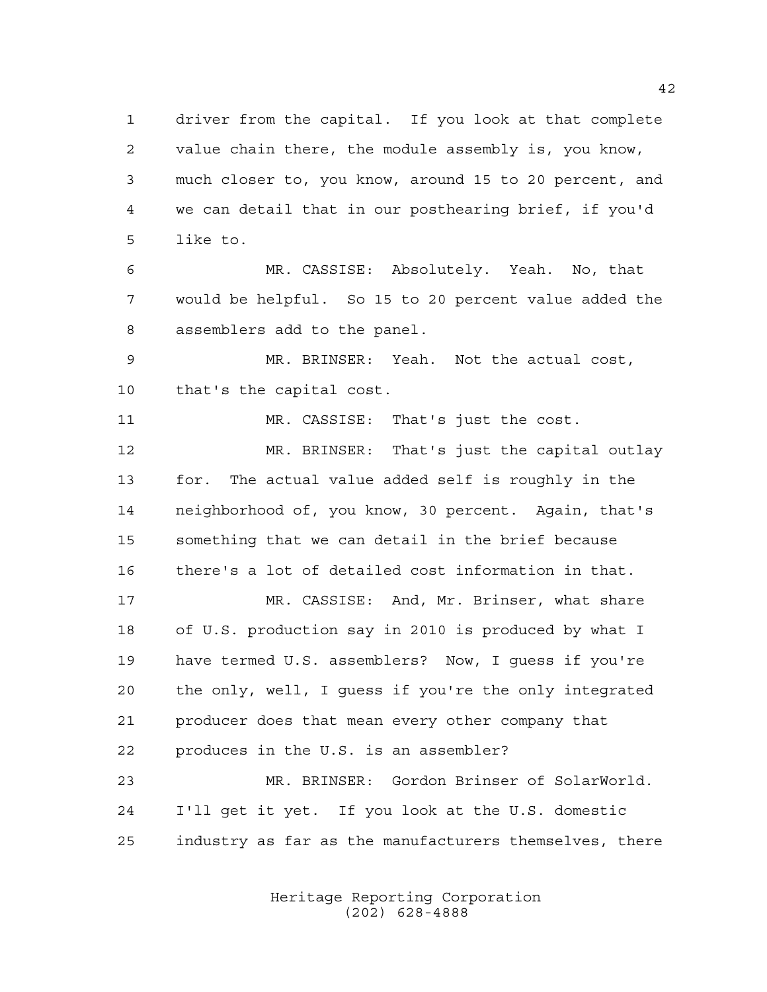driver from the capital. If you look at that complete value chain there, the module assembly is, you know, much closer to, you know, around 15 to 20 percent, and we can detail that in our posthearing brief, if you'd like to.

 MR. CASSISE: Absolutely. Yeah. No, that would be helpful. So 15 to 20 percent value added the assemblers add to the panel.

 MR. BRINSER: Yeah. Not the actual cost, that's the capital cost.

11 MR. CASSISE: That's just the cost. MR. BRINSER: That's just the capital outlay for. The actual value added self is roughly in the neighborhood of, you know, 30 percent. Again, that's something that we can detail in the brief because there's a lot of detailed cost information in that.

 MR. CASSISE: And, Mr. Brinser, what share of U.S. production say in 2010 is produced by what I have termed U.S. assemblers? Now, I guess if you're the only, well, I guess if you're the only integrated producer does that mean every other company that produces in the U.S. is an assembler? MR. BRINSER: Gordon Brinser of SolarWorld.

 I'll get it yet. If you look at the U.S. domestic industry as far as the manufacturers themselves, there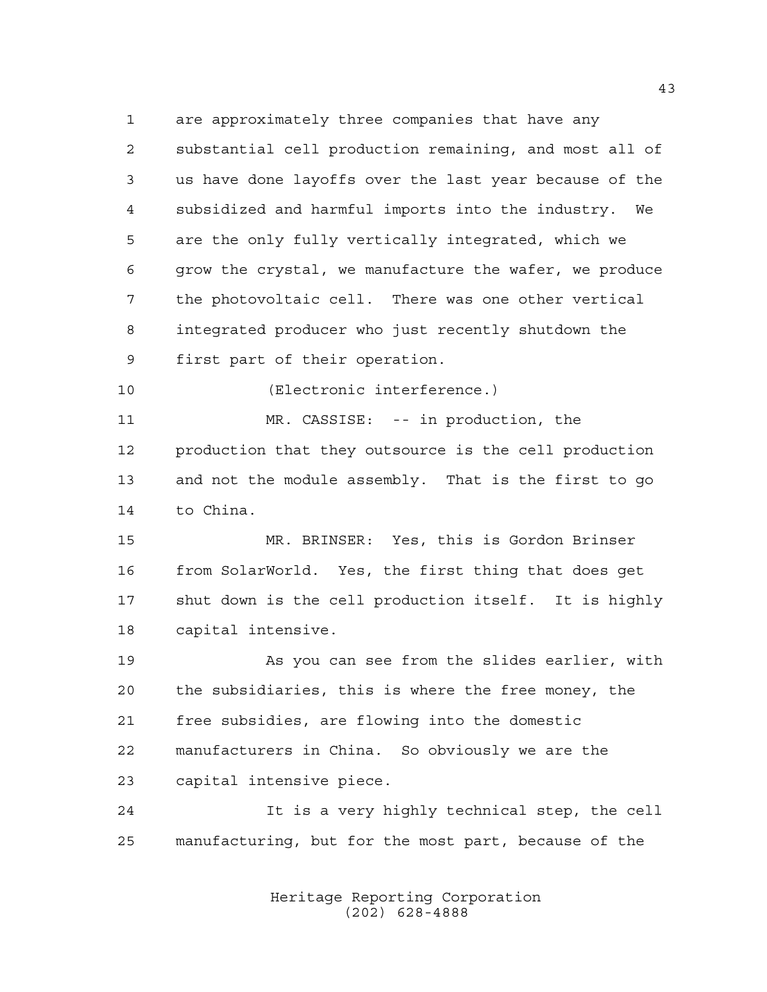are approximately three companies that have any substantial cell production remaining, and most all of us have done layoffs over the last year because of the subsidized and harmful imports into the industry. We are the only fully vertically integrated, which we grow the crystal, we manufacture the wafer, we produce the photovoltaic cell. There was one other vertical integrated producer who just recently shutdown the first part of their operation.

(Electronic interference.)

 MR. CASSISE: -- in production, the production that they outsource is the cell production and not the module assembly. That is the first to go to China.

 MR. BRINSER: Yes, this is Gordon Brinser from SolarWorld. Yes, the first thing that does get shut down is the cell production itself. It is highly capital intensive.

 As you can see from the slides earlier, with the subsidiaries, this is where the free money, the free subsidies, are flowing into the domestic manufacturers in China. So obviously we are the capital intensive piece.

 It is a very highly technical step, the cell manufacturing, but for the most part, because of the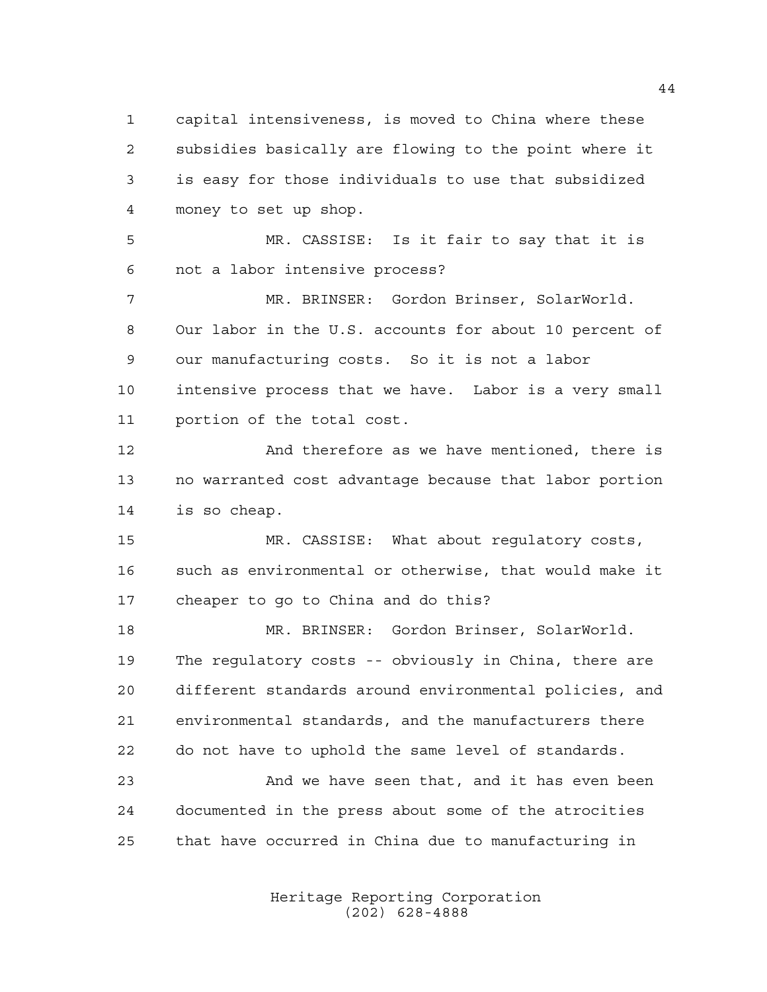capital intensiveness, is moved to China where these subsidies basically are flowing to the point where it is easy for those individuals to use that subsidized money to set up shop.

 MR. CASSISE: Is it fair to say that it is not a labor intensive process?

 MR. BRINSER: Gordon Brinser, SolarWorld. Our labor in the U.S. accounts for about 10 percent of our manufacturing costs. So it is not a labor intensive process that we have. Labor is a very small portion of the total cost.

12 And therefore as we have mentioned, there is no warranted cost advantage because that labor portion is so cheap.

 MR. CASSISE: What about regulatory costs, such as environmental or otherwise, that would make it cheaper to go to China and do this?

 MR. BRINSER: Gordon Brinser, SolarWorld. The regulatory costs -- obviously in China, there are different standards around environmental policies, and environmental standards, and the manufacturers there do not have to uphold the same level of standards.

23 And we have seen that, and it has even been documented in the press about some of the atrocities that have occurred in China due to manufacturing in

> Heritage Reporting Corporation (202) 628-4888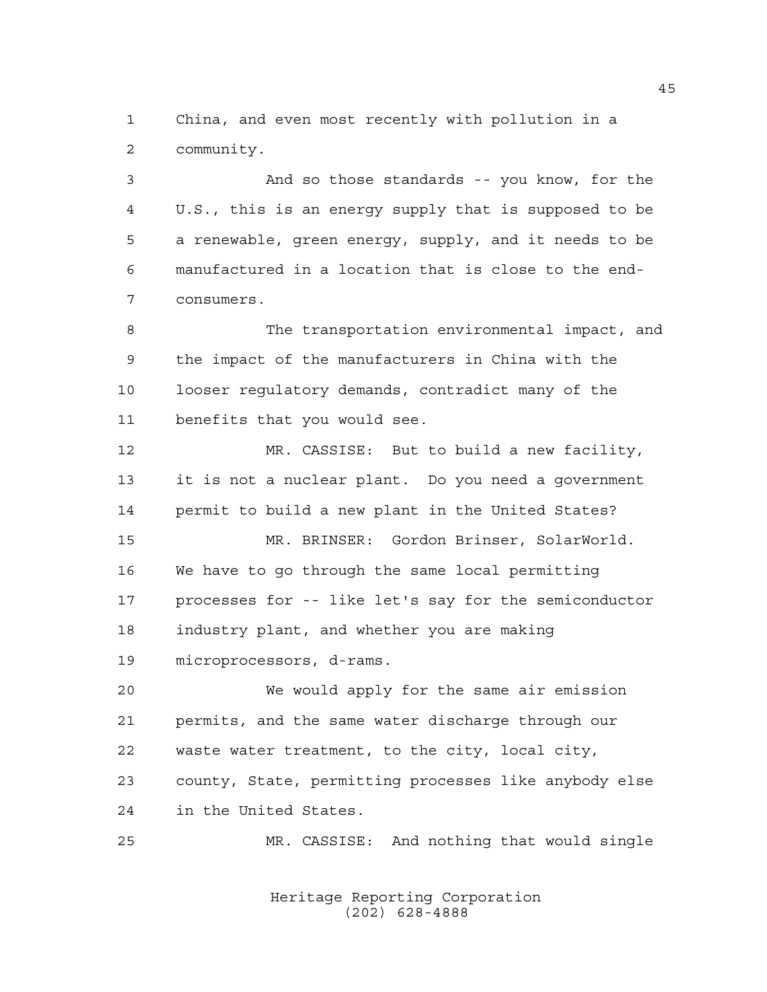China, and even most recently with pollution in a community.

 And so those standards -- you know, for the U.S., this is an energy supply that is supposed to be a renewable, green energy, supply, and it needs to be manufactured in a location that is close to the end-consumers.

 The transportation environmental impact, and the impact of the manufacturers in China with the looser regulatory demands, contradict many of the benefits that you would see.

 MR. CASSISE: But to build a new facility, it is not a nuclear plant. Do you need a government permit to build a new plant in the United States?

 MR. BRINSER: Gordon Brinser, SolarWorld. We have to go through the same local permitting processes for -- like let's say for the semiconductor industry plant, and whether you are making microprocessors, d-rams.

 We would apply for the same air emission permits, and the same water discharge through our waste water treatment, to the city, local city, county, State, permitting processes like anybody else in the United States.

MR. CASSISE: And nothing that would single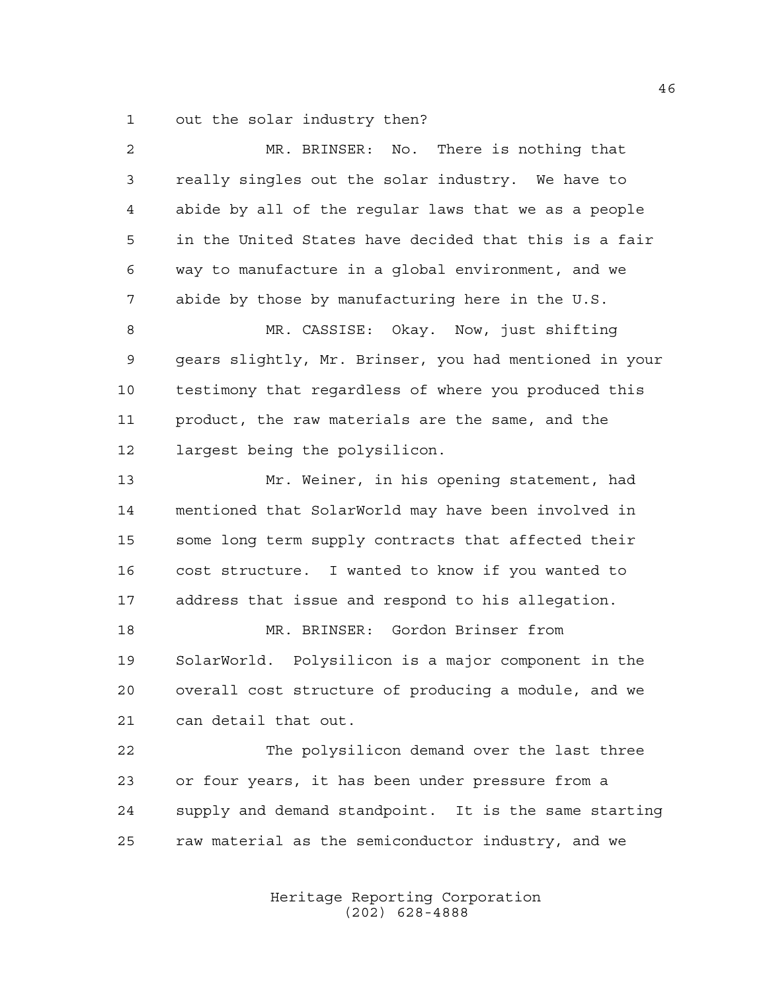out the solar industry then?

| $\overline{a}$ | MR. BRINSER: No. There is nothing that                 |
|----------------|--------------------------------------------------------|
| 3              | really singles out the solar industry. We have to      |
| 4              | abide by all of the regular laws that we as a people   |
| 5              | in the United States have decided that this is a fair  |
| 6              | way to manufacture in a global environment, and we     |
| 7              | abide by those by manufacturing here in the U.S.       |
| 8              | MR. CASSISE: Okay. Now, just shifting                  |
| $\mathsf 9$    | gears slightly, Mr. Brinser, you had mentioned in your |
| 10             | testimony that regardless of where you produced this   |
| 11             | product, the raw materials are the same, and the       |
| 12             | largest being the polysilicon.                         |
| 13             | Mr. Weiner, in his opening statement, had              |
| 14             | mentioned that SolarWorld may have been involved in    |
| 15             | some long term supply contracts that affected their    |
| 16             | cost structure. I wanted to know if you wanted to      |
| 17             | address that issue and respond to his allegation.      |
| 18             | MR. BRINSER: Gordon Brinser from                       |
| 19             | SolarWorld. Polysilicon is a major component in the    |
| 20             | overall cost structure of producing a module, and we   |
| 21             | can detail that out.                                   |
| 22             | The polysilicon demand over the last three             |
| 23             | or four years, it has been under pressure from a       |
| 24             | supply and demand standpoint. It is the same starting  |
| 25             | raw material as the semiconductor industry, and we     |
|                |                                                        |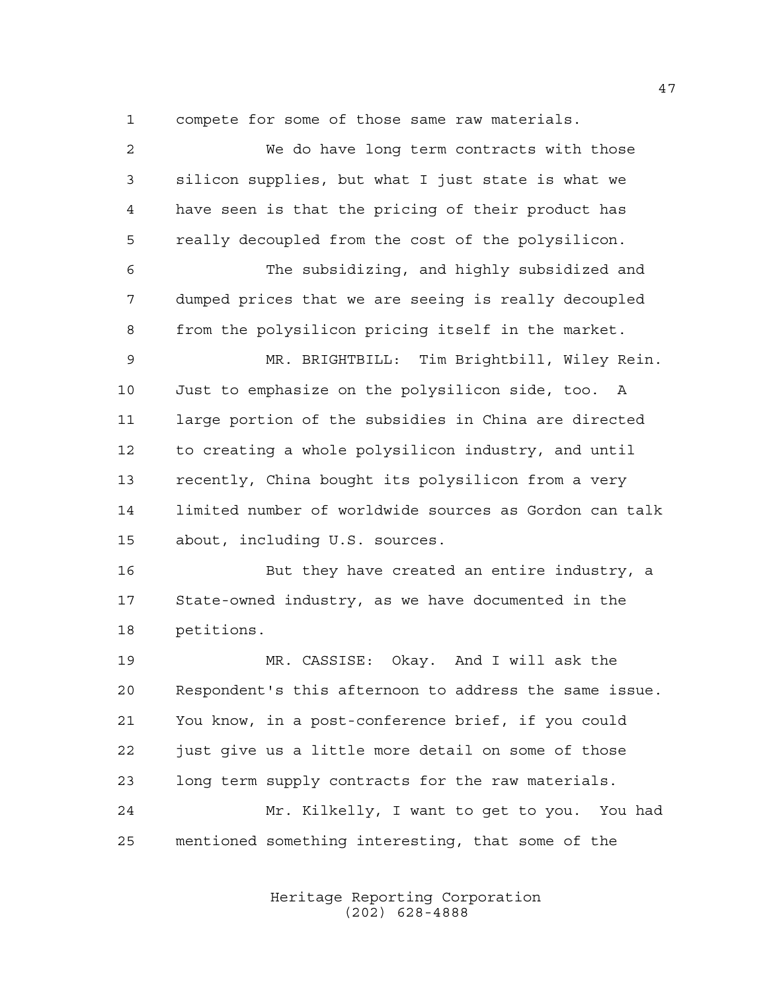compete for some of those same raw materials.

 We do have long term contracts with those silicon supplies, but what I just state is what we have seen is that the pricing of their product has really decoupled from the cost of the polysilicon. The subsidizing, and highly subsidized and dumped prices that we are seeing is really decoupled from the polysilicon pricing itself in the market. MR. BRIGHTBILL: Tim Brightbill, Wiley Rein. Just to emphasize on the polysilicon side, too. A large portion of the subsidies in China are directed to creating a whole polysilicon industry, and until recently, China bought its polysilicon from a very limited number of worldwide sources as Gordon can talk about, including U.S. sources. But they have created an entire industry, a State-owned industry, as we have documented in the petitions. MR. CASSISE: Okay. And I will ask the Respondent's this afternoon to address the same issue. You know, in a post-conference brief, if you could just give us a little more detail on some of those long term supply contracts for the raw materials. Mr. Kilkelly, I want to get to you. You had mentioned something interesting, that some of the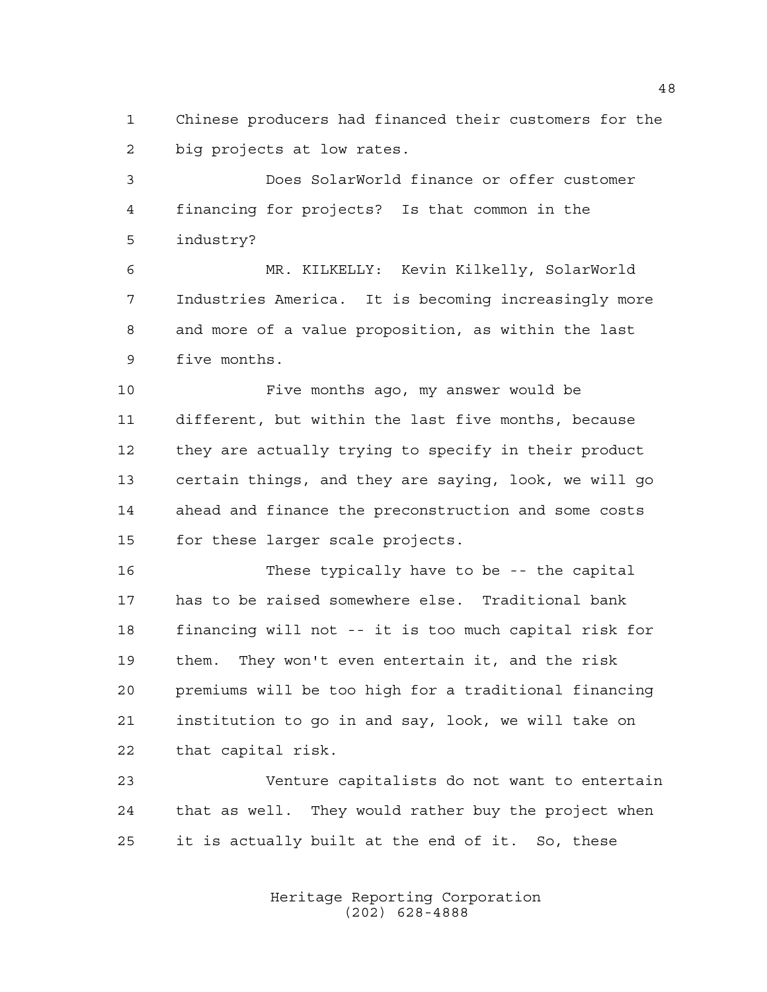Chinese producers had financed their customers for the big projects at low rates.

 Does SolarWorld finance or offer customer financing for projects? Is that common in the industry?

 MR. KILKELLY: Kevin Kilkelly, SolarWorld Industries America. It is becoming increasingly more and more of a value proposition, as within the last five months.

 Five months ago, my answer would be different, but within the last five months, because they are actually trying to specify in their product certain things, and they are saying, look, we will go ahead and finance the preconstruction and some costs for these larger scale projects.

 These typically have to be -- the capital has to be raised somewhere else. Traditional bank financing will not -- it is too much capital risk for them. They won't even entertain it, and the risk premiums will be too high for a traditional financing institution to go in and say, look, we will take on that capital risk.

 Venture capitalists do not want to entertain that as well. They would rather buy the project when it is actually built at the end of it. So, these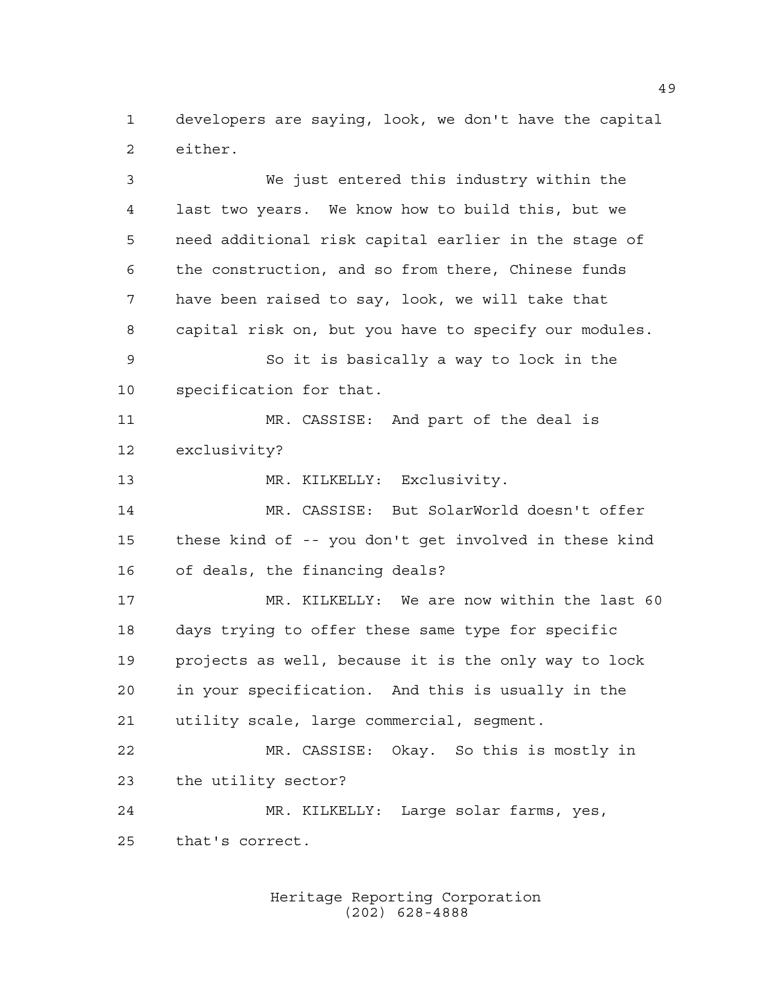developers are saying, look, we don't have the capital either.

 We just entered this industry within the last two years. We know how to build this, but we need additional risk capital earlier in the stage of the construction, and so from there, Chinese funds have been raised to say, look, we will take that capital risk on, but you have to specify our modules. So it is basically a way to lock in the specification for that. MR. CASSISE: And part of the deal is exclusivity? MR. KILKELLY: Exclusivity. MR. CASSISE: But SolarWorld doesn't offer these kind of -- you don't get involved in these kind of deals, the financing deals? MR. KILKELLY: We are now within the last 60 days trying to offer these same type for specific projects as well, because it is the only way to lock in your specification. And this is usually in the utility scale, large commercial, segment. MR. CASSISE: Okay. So this is mostly in the utility sector? MR. KILKELLY: Large solar farms, yes, that's correct.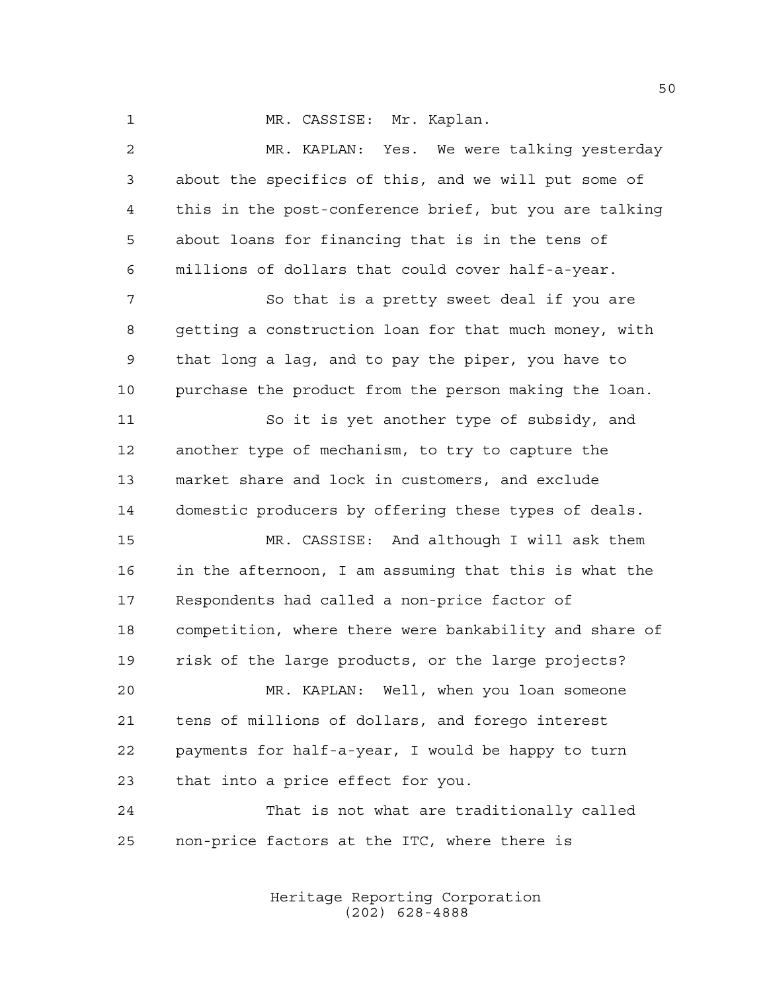1 MR. CASSISE: Mr. Kaplan.

 MR. KAPLAN: Yes. We were talking yesterday about the specifics of this, and we will put some of this in the post-conference brief, but you are talking about loans for financing that is in the tens of millions of dollars that could cover half-a-year. So that is a pretty sweet deal if you are getting a construction loan for that much money, with that long a lag, and to pay the piper, you have to purchase the product from the person making the loan. So it is yet another type of subsidy, and another type of mechanism, to try to capture the market share and lock in customers, and exclude domestic producers by offering these types of deals. MR. CASSISE: And although I will ask them in the afternoon, I am assuming that this is what the Respondents had called a non-price factor of competition, where there were bankability and share of risk of the large products, or the large projects? MR. KAPLAN: Well, when you loan someone tens of millions of dollars, and forego interest payments for half-a-year, I would be happy to turn that into a price effect for you. That is not what are traditionally called non-price factors at the ITC, where there is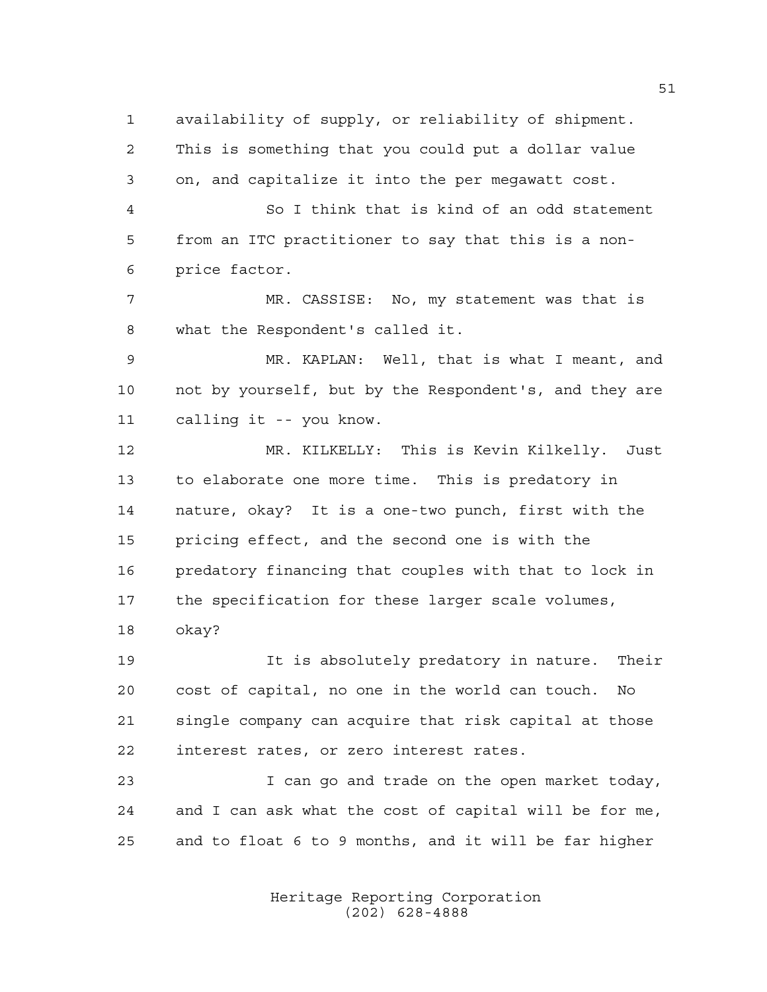availability of supply, or reliability of shipment. This is something that you could put a dollar value on, and capitalize it into the per megawatt cost. So I think that is kind of an odd statement from an ITC practitioner to say that this is a non- price factor. MR. CASSISE: No, my statement was that is what the Respondent's called it. MR. KAPLAN: Well, that is what I meant, and not by yourself, but by the Respondent's, and they are calling it -- you know. MR. KILKELLY: This is Kevin Kilkelly. Just to elaborate one more time. This is predatory in nature, okay? It is a one-two punch, first with the pricing effect, and the second one is with the predatory financing that couples with that to lock in the specification for these larger scale volumes, okay? It is absolutely predatory in nature. Their cost of capital, no one in the world can touch. No

 single company can acquire that risk capital at those interest rates, or zero interest rates.

 I can go and trade on the open market today, and I can ask what the cost of capital will be for me, and to float 6 to 9 months, and it will be far higher

> Heritage Reporting Corporation (202) 628-4888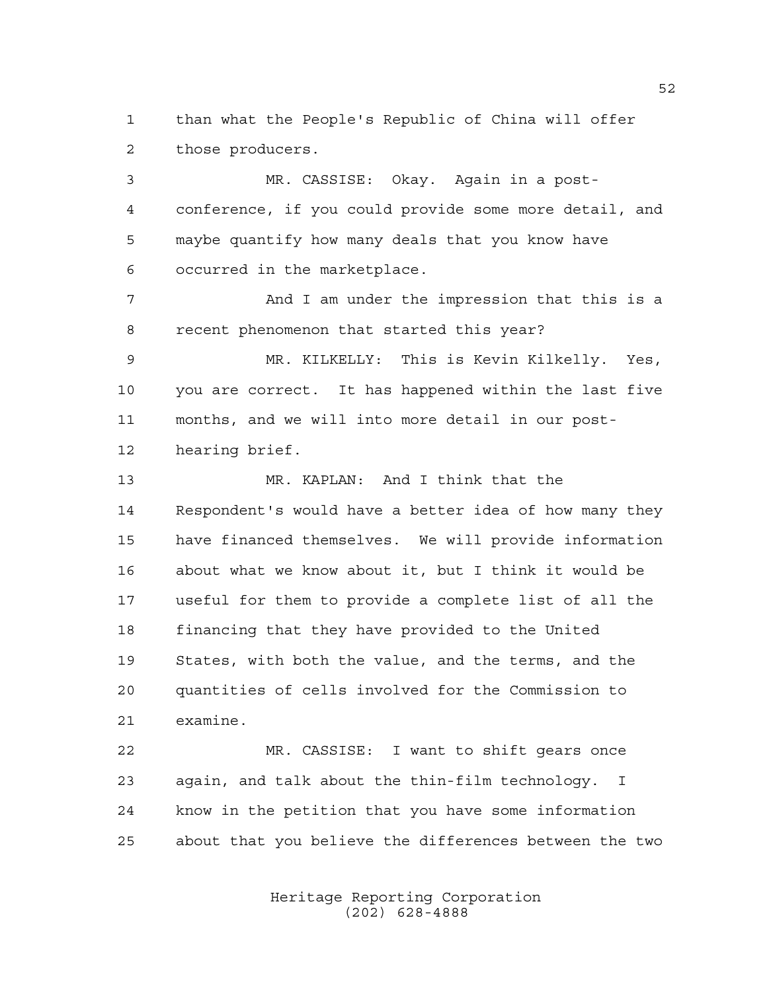than what the People's Republic of China will offer those producers.

 MR. CASSISE: Okay. Again in a post- conference, if you could provide some more detail, and maybe quantify how many deals that you know have occurred in the marketplace. And I am under the impression that this is a recent phenomenon that started this year? MR. KILKELLY: This is Kevin Kilkelly. Yes,

 you are correct. It has happened within the last five months, and we will into more detail in our post-hearing brief.

 MR. KAPLAN: And I think that the Respondent's would have a better idea of how many they have financed themselves. We will provide information about what we know about it, but I think it would be useful for them to provide a complete list of all the financing that they have provided to the United States, with both the value, and the terms, and the quantities of cells involved for the Commission to examine.

 MR. CASSISE: I want to shift gears once again, and talk about the thin-film technology. I know in the petition that you have some information about that you believe the differences between the two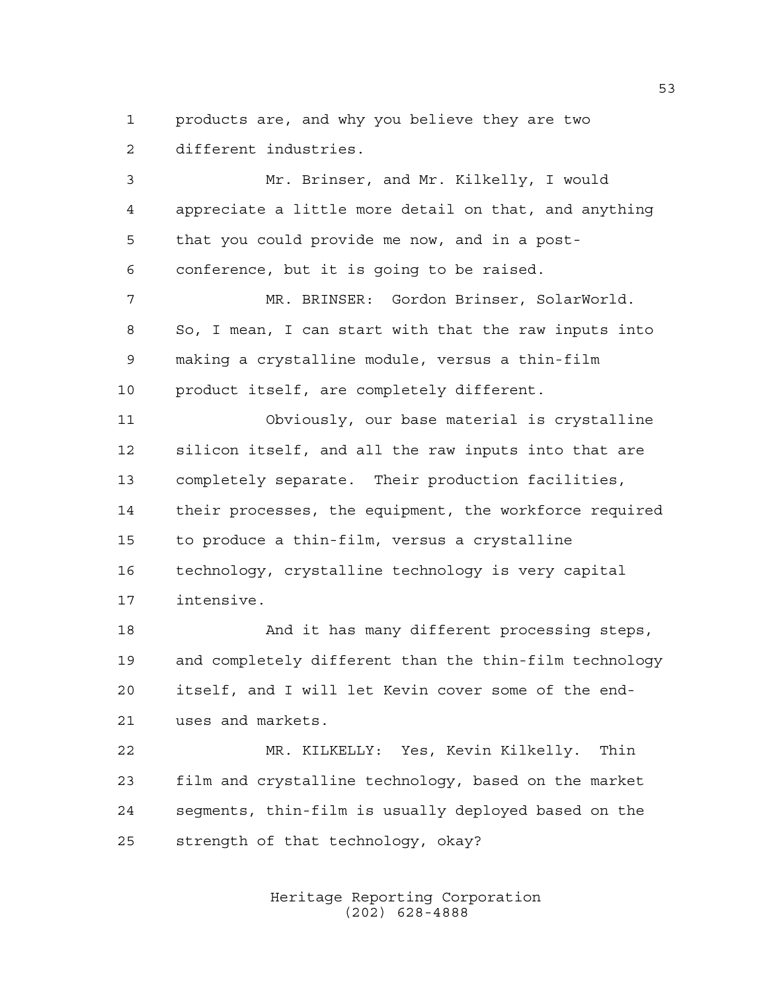products are, and why you believe they are two different industries.

 Mr. Brinser, and Mr. Kilkelly, I would appreciate a little more detail on that, and anything that you could provide me now, and in a post- conference, but it is going to be raised. MR. BRINSER: Gordon Brinser, SolarWorld. So, I mean, I can start with that the raw inputs into making a crystalline module, versus a thin-film product itself, are completely different. Obviously, our base material is crystalline silicon itself, and all the raw inputs into that are completely separate. Their production facilities, their processes, the equipment, the workforce required to produce a thin-film, versus a crystalline technology, crystalline technology is very capital intensive. And it has many different processing steps, and completely different than the thin-film technology itself, and I will let Kevin cover some of the end- uses and markets. MR. KILKELLY: Yes, Kevin Kilkelly. Thin film and crystalline technology, based on the market segments, thin-film is usually deployed based on the

strength of that technology, okay?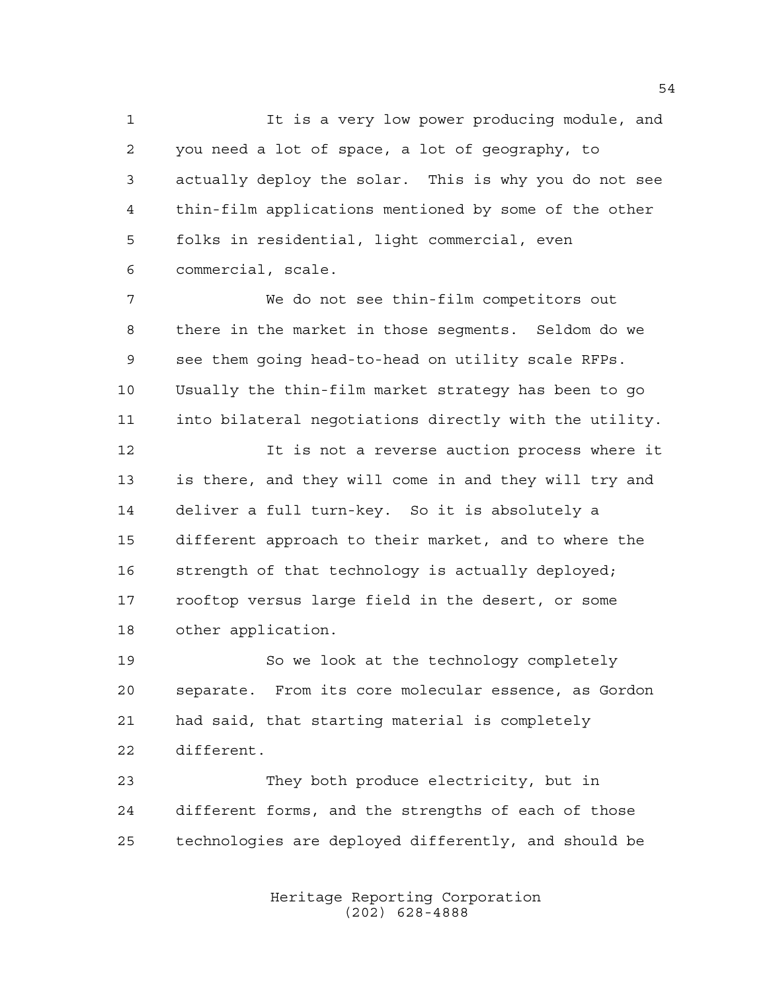It is a very low power producing module, and you need a lot of space, a lot of geography, to actually deploy the solar. This is why you do not see thin-film applications mentioned by some of the other folks in residential, light commercial, even commercial, scale.

 We do not see thin-film competitors out there in the market in those segments. Seldom do we see them going head-to-head on utility scale RFPs. Usually the thin-film market strategy has been to go into bilateral negotiations directly with the utility.

 It is not a reverse auction process where it is there, and they will come in and they will try and deliver a full turn-key. So it is absolutely a different approach to their market, and to where the 16 strength of that technology is actually deployed; rooftop versus large field in the desert, or some other application.

 So we look at the technology completely separate. From its core molecular essence, as Gordon had said, that starting material is completely different.

 They both produce electricity, but in different forms, and the strengths of each of those technologies are deployed differently, and should be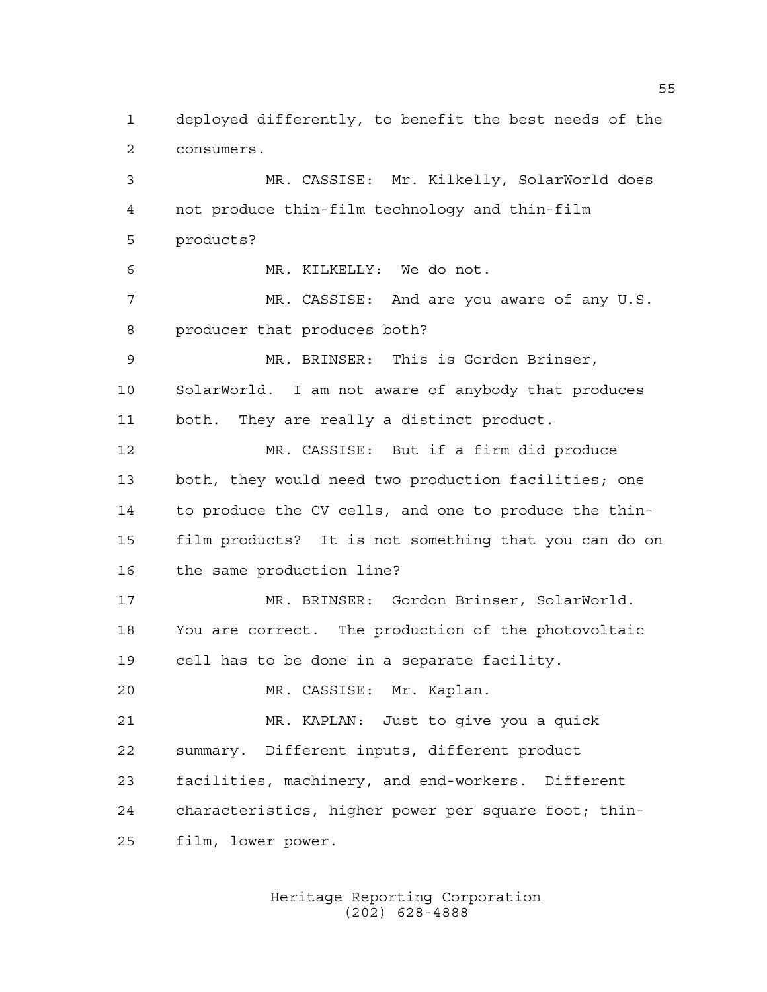deployed differently, to benefit the best needs of the consumers.

 MR. CASSISE: Mr. Kilkelly, SolarWorld does not produce thin-film technology and thin-film products? MR. KILKELLY: We do not. MR. CASSISE: And are you aware of any U.S. producer that produces both? MR. BRINSER: This is Gordon Brinser, SolarWorld. I am not aware of anybody that produces both. They are really a distinct product. MR. CASSISE: But if a firm did produce both, they would need two production facilities; one to produce the CV cells, and one to produce the thin- film products? It is not something that you can do on the same production line? MR. BRINSER: Gordon Brinser, SolarWorld. You are correct. The production of the photovoltaic cell has to be done in a separate facility. MR. CASSISE: Mr. Kaplan. MR. KAPLAN: Just to give you a quick summary. Different inputs, different product facilities, machinery, and end-workers. Different characteristics, higher power per square foot; thin-film, lower power.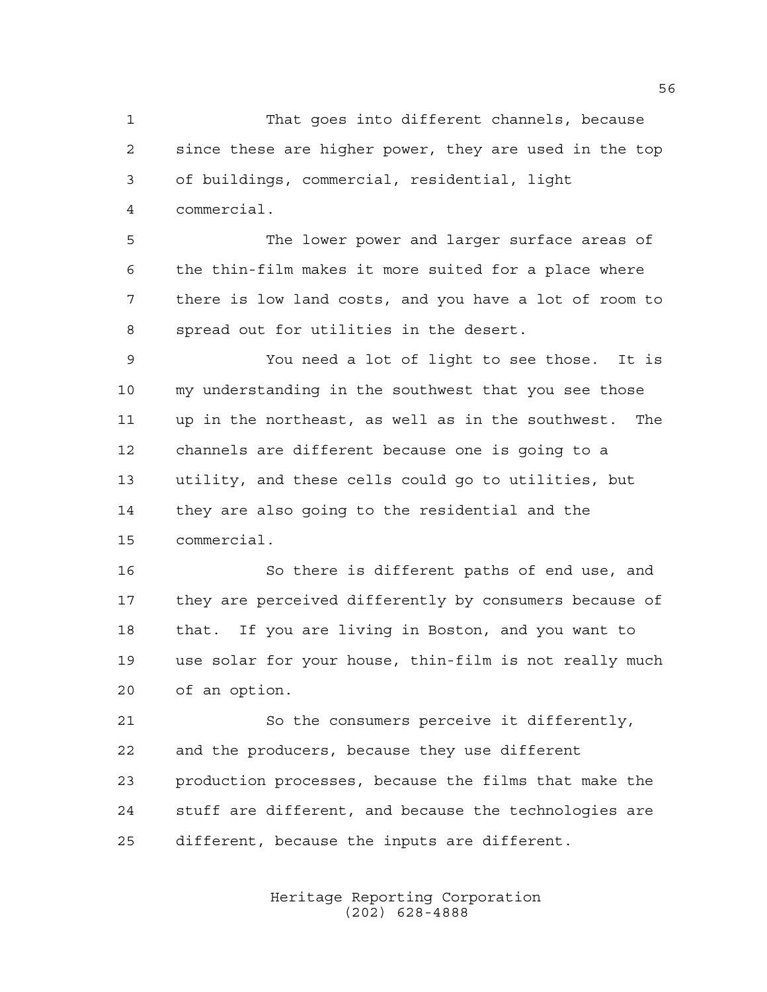That goes into different channels, because since these are higher power, they are used in the top of buildings, commercial, residential, light commercial.

 The lower power and larger surface areas of the thin-film makes it more suited for a place where there is low land costs, and you have a lot of room to spread out for utilities in the desert.

 You need a lot of light to see those. It is my understanding in the southwest that you see those up in the northeast, as well as in the southwest. The channels are different because one is going to a utility, and these cells could go to utilities, but they are also going to the residential and the commercial.

 So there is different paths of end use, and they are perceived differently by consumers because of that. If you are living in Boston, and you want to use solar for your house, thin-film is not really much of an option.

 So the consumers perceive it differently, and the producers, because they use different production processes, because the films that make the stuff are different, and because the technologies are different, because the inputs are different.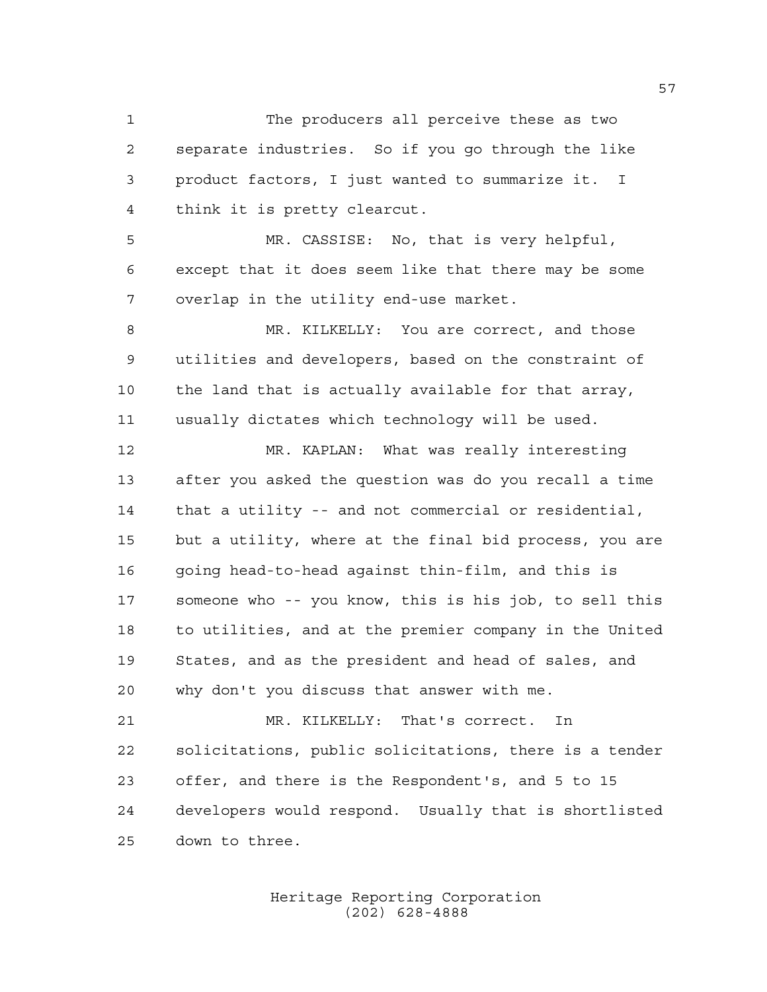The producers all perceive these as two separate industries. So if you go through the like product factors, I just wanted to summarize it. I think it is pretty clearcut.

 MR. CASSISE: No, that is very helpful, except that it does seem like that there may be some overlap in the utility end-use market.

 MR. KILKELLY: You are correct, and those utilities and developers, based on the constraint of the land that is actually available for that array, usually dictates which technology will be used.

 MR. KAPLAN: What was really interesting after you asked the question was do you recall a time that a utility -- and not commercial or residential, but a utility, where at the final bid process, you are going head-to-head against thin-film, and this is someone who -- you know, this is his job, to sell this to utilities, and at the premier company in the United States, and as the president and head of sales, and why don't you discuss that answer with me.

 MR. KILKELLY: That's correct. In solicitations, public solicitations, there is a tender offer, and there is the Respondent's, and 5 to 15 developers would respond. Usually that is shortlisted down to three.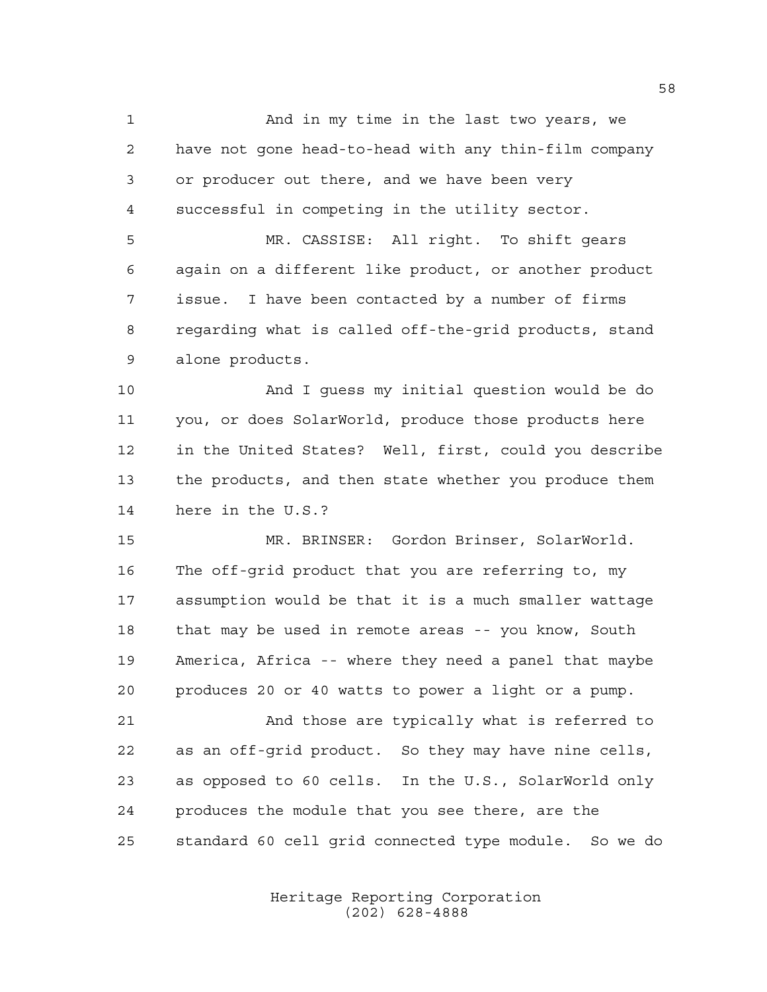And in my time in the last two years, we have not gone head-to-head with any thin-film company or producer out there, and we have been very successful in competing in the utility sector.

 MR. CASSISE: All right. To shift gears again on a different like product, or another product issue. I have been contacted by a number of firms regarding what is called off-the-grid products, stand alone products.

 And I guess my initial question would be do you, or does SolarWorld, produce those products here in the United States? Well, first, could you describe the products, and then state whether you produce them here in the U.S.?

 MR. BRINSER: Gordon Brinser, SolarWorld. The off-grid product that you are referring to, my assumption would be that it is a much smaller wattage that may be used in remote areas -- you know, South America, Africa -- where they need a panel that maybe produces 20 or 40 watts to power a light or a pump.

 And those are typically what is referred to as an off-grid product. So they may have nine cells, as opposed to 60 cells. In the U.S., SolarWorld only produces the module that you see there, are the standard 60 cell grid connected type module. So we do

> Heritage Reporting Corporation (202) 628-4888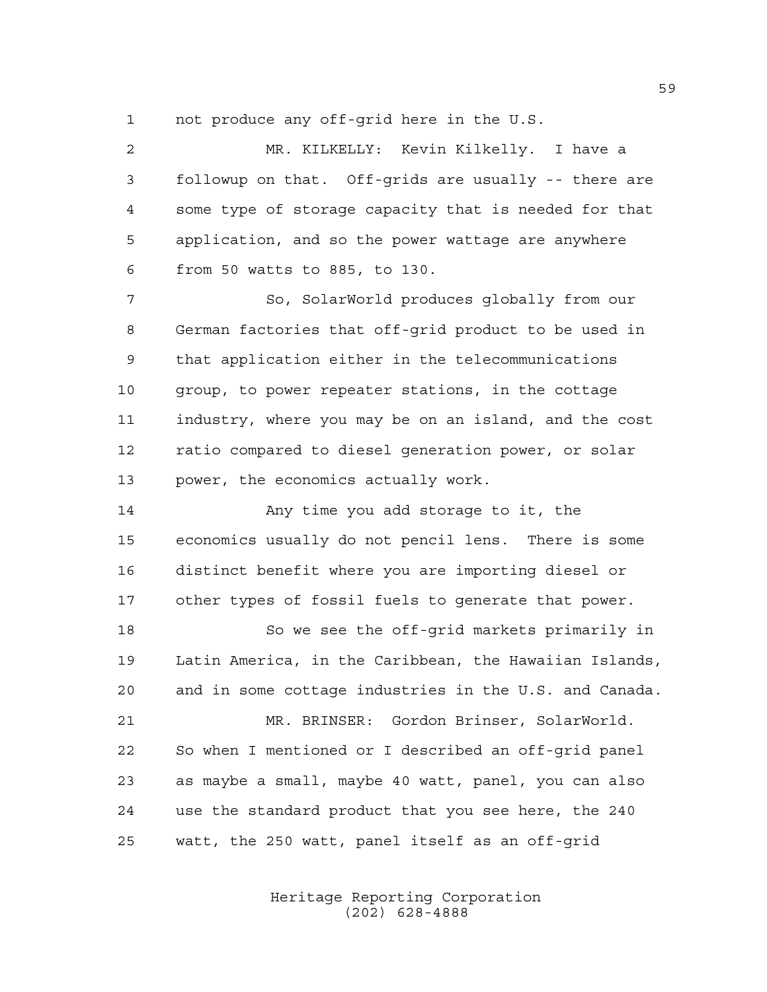not produce any off-grid here in the U.S.

 MR. KILKELLY: Kevin Kilkelly. I have a followup on that. Off-grids are usually -- there are some type of storage capacity that is needed for that application, and so the power wattage are anywhere from 50 watts to 885, to 130.

 So, SolarWorld produces globally from our German factories that off-grid product to be used in that application either in the telecommunications group, to power repeater stations, in the cottage industry, where you may be on an island, and the cost ratio compared to diesel generation power, or solar power, the economics actually work.

**Any time you add storage to it, the**  economics usually do not pencil lens. There is some distinct benefit where you are importing diesel or other types of fossil fuels to generate that power.

 So we see the off-grid markets primarily in Latin America, in the Caribbean, the Hawaiian Islands, and in some cottage industries in the U.S. and Canada.

 MR. BRINSER: Gordon Brinser, SolarWorld. So when I mentioned or I described an off-grid panel as maybe a small, maybe 40 watt, panel, you can also use the standard product that you see here, the 240 watt, the 250 watt, panel itself as an off-grid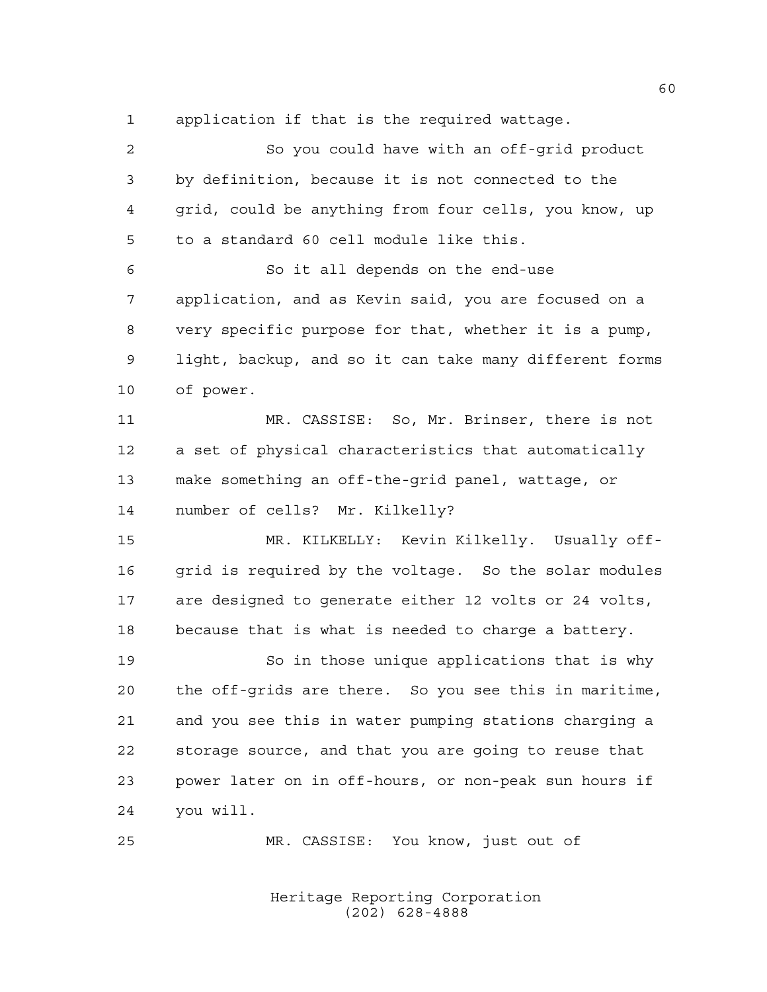application if that is the required wattage.

 So you could have with an off-grid product by definition, because it is not connected to the grid, could be anything from four cells, you know, up to a standard 60 cell module like this. So it all depends on the end-use application, and as Kevin said, you are focused on a very specific purpose for that, whether it is a pump, light, backup, and so it can take many different forms of power. MR. CASSISE: So, Mr. Brinser, there is not a set of physical characteristics that automatically make something an off-the-grid panel, wattage, or number of cells? Mr. Kilkelly? MR. KILKELLY: Kevin Kilkelly. Usually off-16 grid is required by the voltage. So the solar modules are designed to generate either 12 volts or 24 volts, because that is what is needed to charge a battery. So in those unique applications that is why the off-grids are there. So you see this in maritime, and you see this in water pumping stations charging a storage source, and that you are going to reuse that power later on in off-hours, or non-peak sun hours if you will. MR. CASSISE: You know, just out of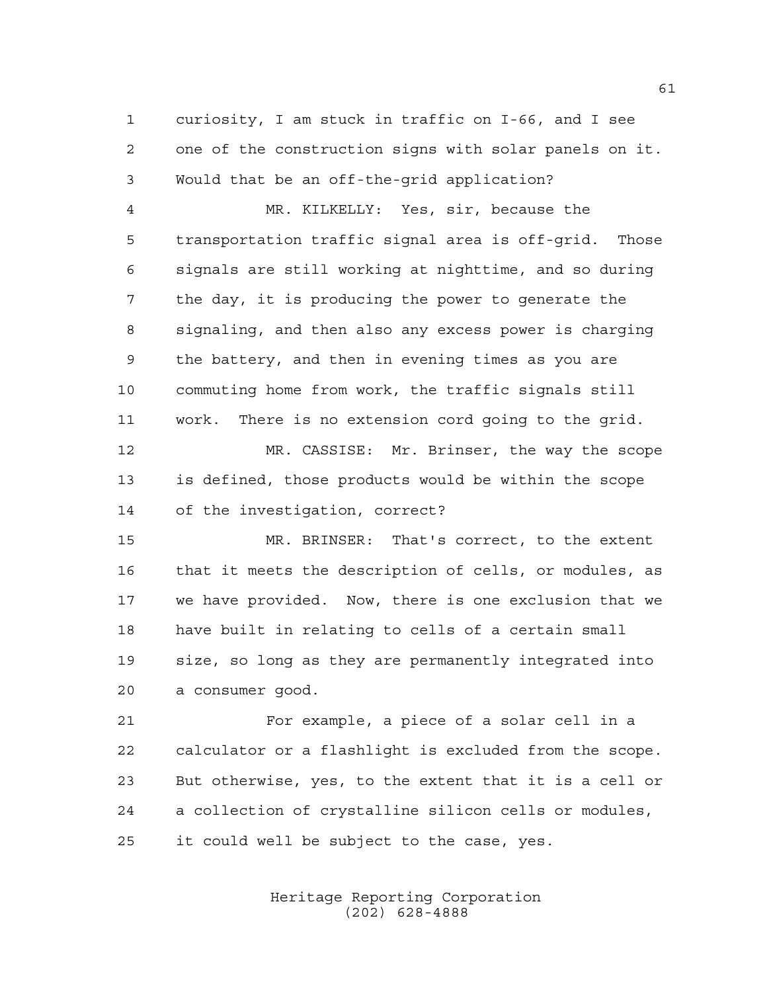curiosity, I am stuck in traffic on I-66, and I see one of the construction signs with solar panels on it. Would that be an off-the-grid application?

 MR. KILKELLY: Yes, sir, because the transportation traffic signal area is off-grid. Those signals are still working at nighttime, and so during the day, it is producing the power to generate the signaling, and then also any excess power is charging the battery, and then in evening times as you are commuting home from work, the traffic signals still work. There is no extension cord going to the grid.

 MR. CASSISE: Mr. Brinser, the way the scope is defined, those products would be within the scope of the investigation, correct?

 MR. BRINSER: That's correct, to the extent that it meets the description of cells, or modules, as we have provided. Now, there is one exclusion that we have built in relating to cells of a certain small size, so long as they are permanently integrated into a consumer good.

 For example, a piece of a solar cell in a calculator or a flashlight is excluded from the scope. But otherwise, yes, to the extent that it is a cell or a collection of crystalline silicon cells or modules, it could well be subject to the case, yes.

> Heritage Reporting Corporation (202) 628-4888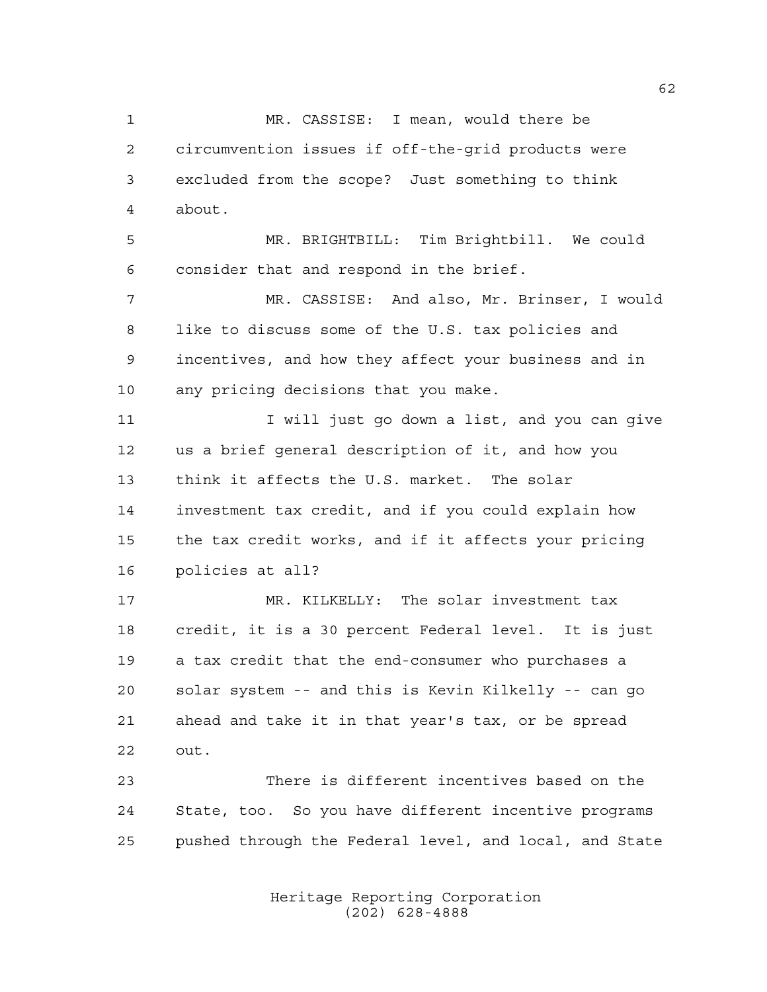MR. CASSISE: I mean, would there be circumvention issues if off-the-grid products were excluded from the scope? Just something to think about.

 MR. BRIGHTBILL: Tim Brightbill. We could consider that and respond in the brief.

 MR. CASSISE: And also, Mr. Brinser, I would like to discuss some of the U.S. tax policies and incentives, and how they affect your business and in any pricing decisions that you make.

11 I vill just go down a list, and you can give us a brief general description of it, and how you think it affects the U.S. market. The solar investment tax credit, and if you could explain how the tax credit works, and if it affects your pricing policies at all?

 MR. KILKELLY: The solar investment tax credit, it is a 30 percent Federal level. It is just a tax credit that the end-consumer who purchases a solar system -- and this is Kevin Kilkelly -- can go ahead and take it in that year's tax, or be spread out.

 There is different incentives based on the State, too. So you have different incentive programs pushed through the Federal level, and local, and State

> Heritage Reporting Corporation (202) 628-4888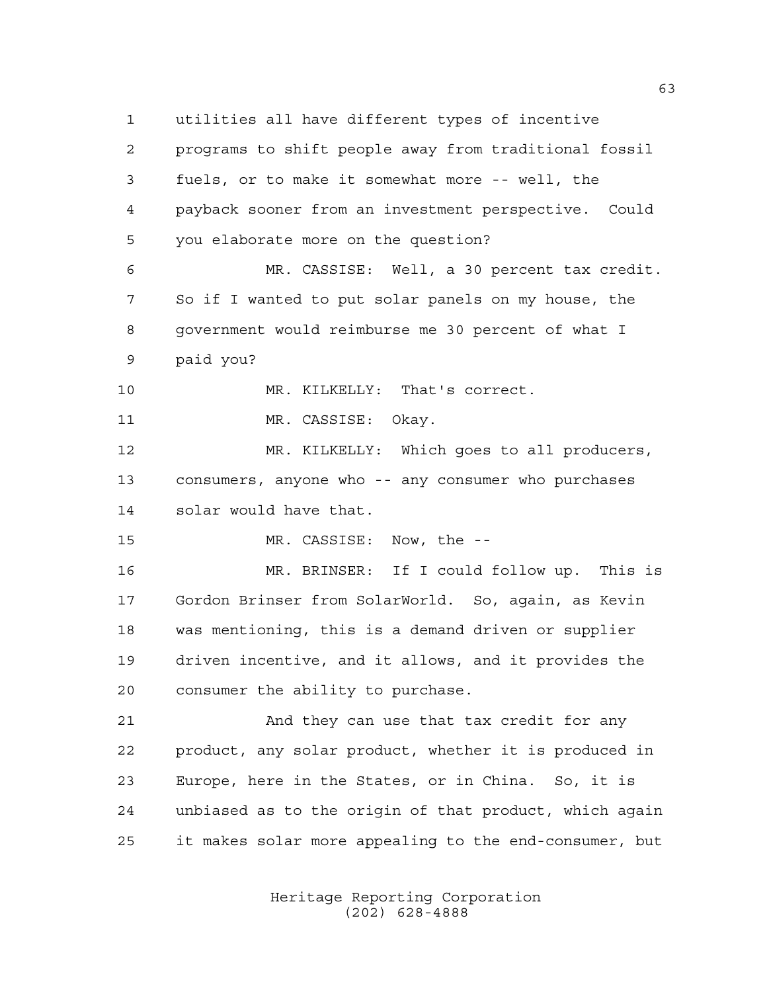utilities all have different types of incentive programs to shift people away from traditional fossil fuels, or to make it somewhat more -- well, the payback sooner from an investment perspective. Could you elaborate more on the question? MR. CASSISE: Well, a 30 percent tax credit. So if I wanted to put solar panels on my house, the government would reimburse me 30 percent of what I paid you? MR. KILKELLY: That's correct. 11 MR. CASSISE: Okay. MR. KILKELLY: Which goes to all producers, consumers, anyone who -- any consumer who purchases solar would have that. MR. CASSISE: Now, the -- MR. BRINSER: If I could follow up. This is Gordon Brinser from SolarWorld. So, again, as Kevin was mentioning, this is a demand driven or supplier driven incentive, and it allows, and it provides the consumer the ability to purchase. And they can use that tax credit for any product, any solar product, whether it is produced in Europe, here in the States, or in China. So, it is unbiased as to the origin of that product, which again it makes solar more appealing to the end-consumer, but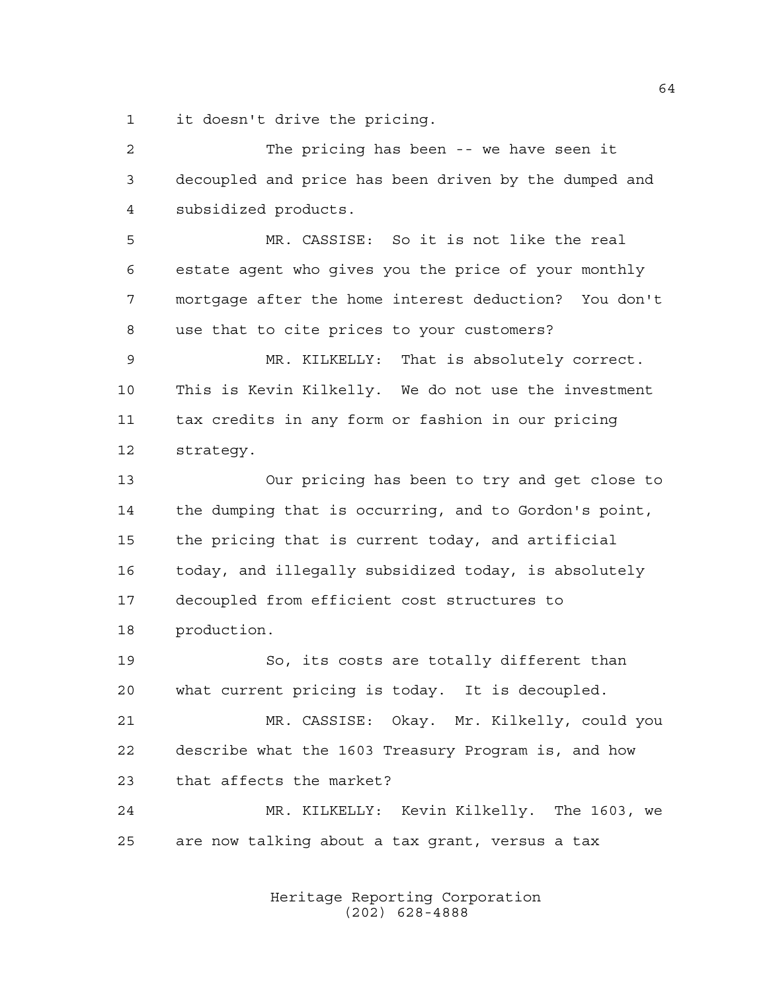it doesn't drive the pricing.

 The pricing has been -- we have seen it decoupled and price has been driven by the dumped and subsidized products. MR. CASSISE: So it is not like the real estate agent who gives you the price of your monthly mortgage after the home interest deduction? You don't use that to cite prices to your customers? MR. KILKELLY: That is absolutely correct. This is Kevin Kilkelly. We do not use the investment tax credits in any form or fashion in our pricing strategy. Our pricing has been to try and get close to the dumping that is occurring, and to Gordon's point, the pricing that is current today, and artificial today, and illegally subsidized today, is absolutely decoupled from efficient cost structures to production. So, its costs are totally different than what current pricing is today. It is decoupled. MR. CASSISE: Okay. Mr. Kilkelly, could you describe what the 1603 Treasury Program is, and how that affects the market? MR. KILKELLY: Kevin Kilkelly. The 1603, we are now talking about a tax grant, versus a tax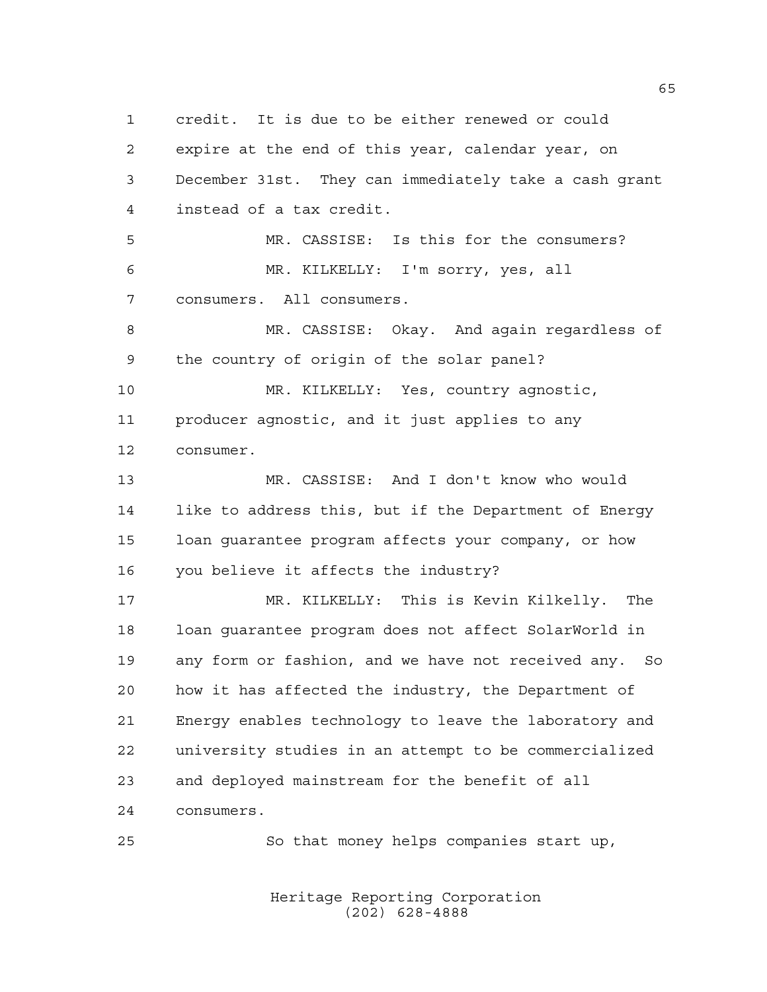credit. It is due to be either renewed or could expire at the end of this year, calendar year, on December 31st. They can immediately take a cash grant instead of a tax credit. MR. CASSISE: Is this for the consumers? MR. KILKELLY: I'm sorry, yes, all consumers. All consumers. MR. CASSISE: Okay. And again regardless of the country of origin of the solar panel? MR. KILKELLY: Yes, country agnostic, producer agnostic, and it just applies to any consumer. MR. CASSISE: And I don't know who would like to address this, but if the Department of Energy loan guarantee program affects your company, or how you believe it affects the industry? MR. KILKELLY: This is Kevin Kilkelly. The loan guarantee program does not affect SolarWorld in any form or fashion, and we have not received any. So how it has affected the industry, the Department of Energy enables technology to leave the laboratory and university studies in an attempt to be commercialized and deployed mainstream for the benefit of all consumers. So that money helps companies start up,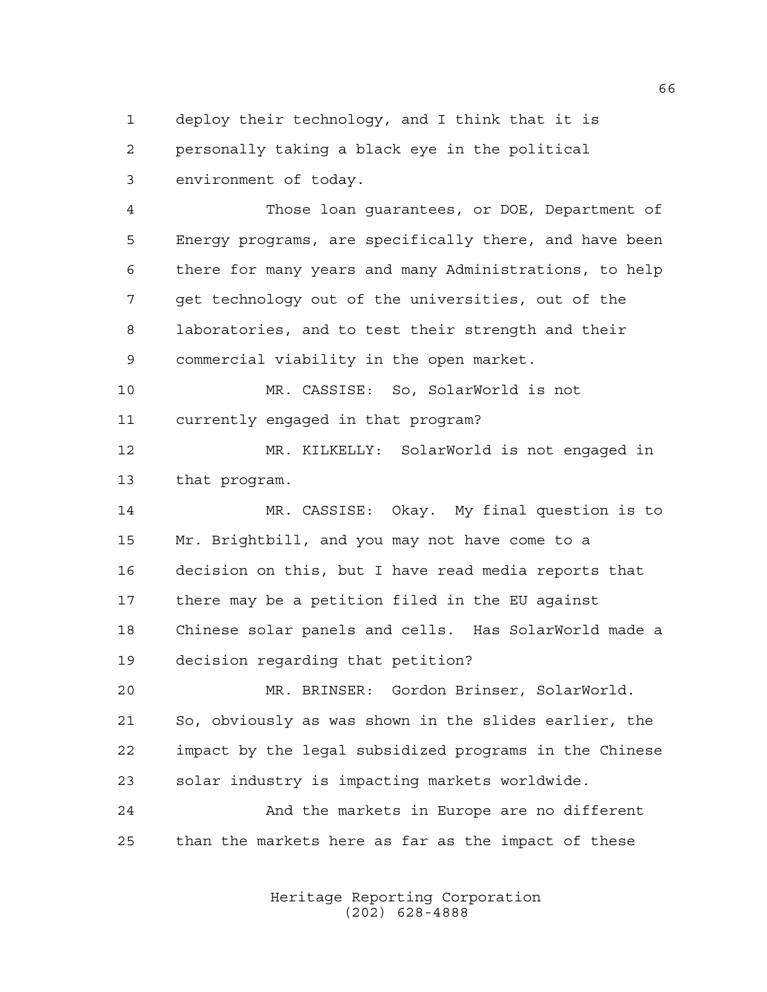deploy their technology, and I think that it is personally taking a black eye in the political environment of today.

 Those loan guarantees, or DOE, Department of Energy programs, are specifically there, and have been there for many years and many Administrations, to help get technology out of the universities, out of the laboratories, and to test their strength and their commercial viability in the open market.

 MR. CASSISE: So, SolarWorld is not currently engaged in that program?

 MR. KILKELLY: SolarWorld is not engaged in that program.

 MR. CASSISE: Okay. My final question is to Mr. Brightbill, and you may not have come to a decision on this, but I have read media reports that there may be a petition filed in the EU against Chinese solar panels and cells. Has SolarWorld made a decision regarding that petition?

 MR. BRINSER: Gordon Brinser, SolarWorld. So, obviously as was shown in the slides earlier, the impact by the legal subsidized programs in the Chinese solar industry is impacting markets worldwide.

 And the markets in Europe are no different than the markets here as far as the impact of these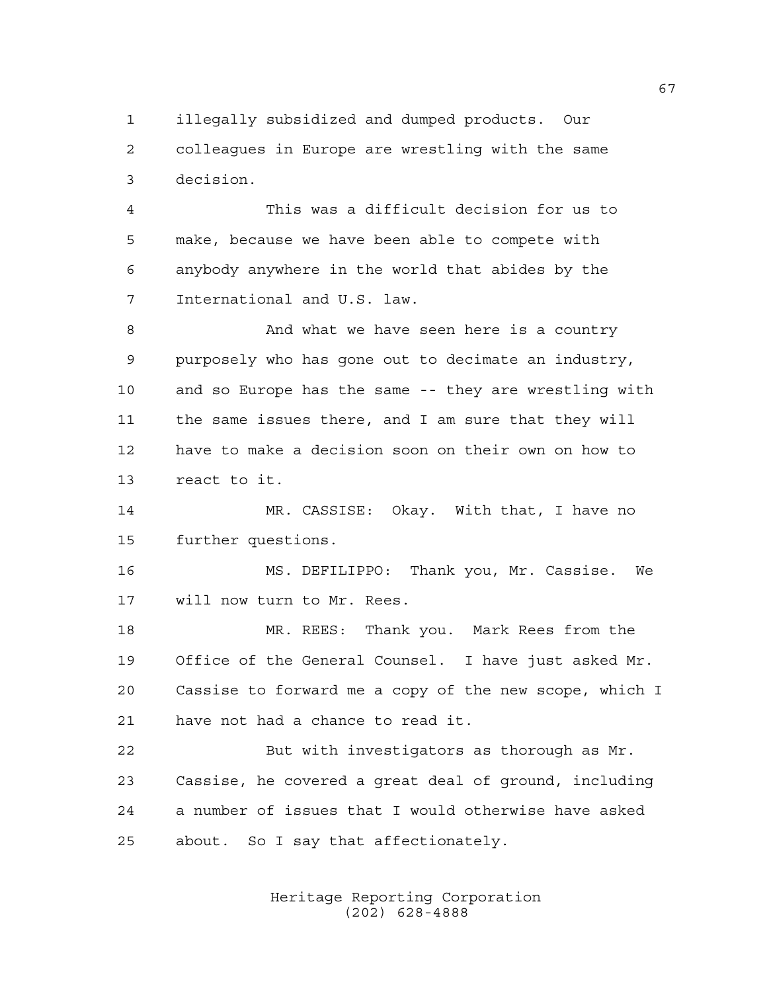illegally subsidized and dumped products. Our colleagues in Europe are wrestling with the same decision.

 This was a difficult decision for us to make, because we have been able to compete with anybody anywhere in the world that abides by the International and U.S. law.

8 And what we have seen here is a country purposely who has gone out to decimate an industry, and so Europe has the same -- they are wrestling with the same issues there, and I am sure that they will have to make a decision soon on their own on how to react to it.

 MR. CASSISE: Okay. With that, I have no further questions.

 MS. DEFILIPPO: Thank you, Mr. Cassise. We will now turn to Mr. Rees.

 MR. REES: Thank you. Mark Rees from the Office of the General Counsel. I have just asked Mr. Cassise to forward me a copy of the new scope, which I have not had a chance to read it.

 But with investigators as thorough as Mr. Cassise, he covered a great deal of ground, including a number of issues that I would otherwise have asked about. So I say that affectionately.

> Heritage Reporting Corporation (202) 628-4888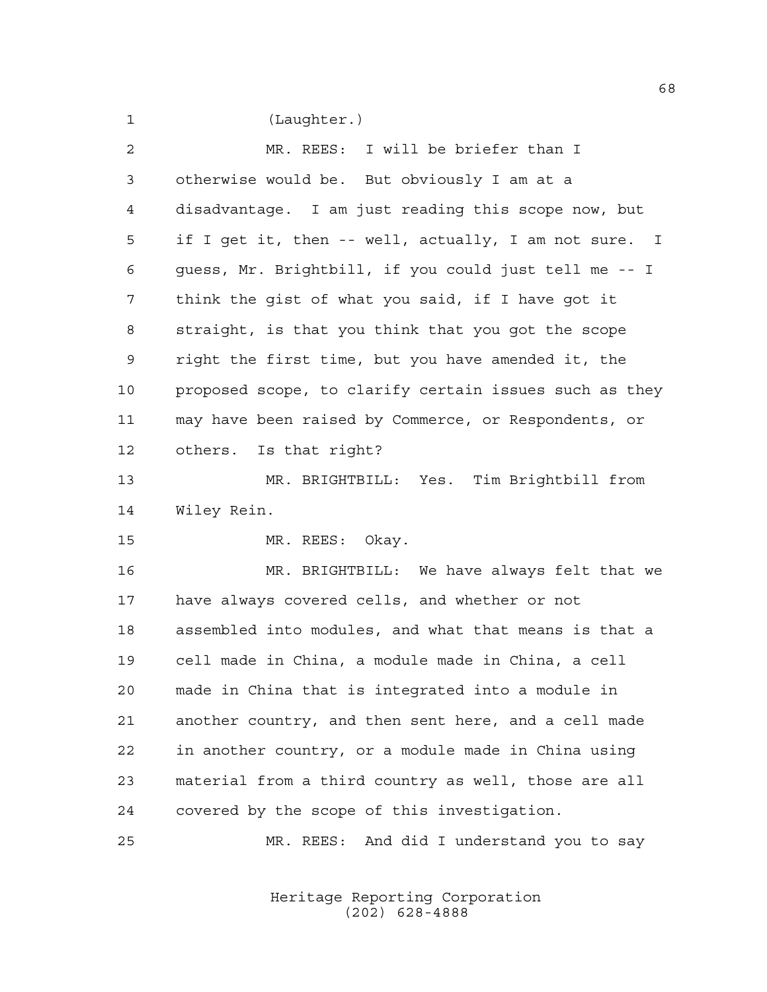(Laughter.)

| $\overline{a}$ | MR. REES: I will be briefer than I                     |
|----------------|--------------------------------------------------------|
| 3              | otherwise would be. But obviously I am at a            |
| $\overline{4}$ | disadvantage. I am just reading this scope now, but    |
| 5              | if I get it, then -- well, actually, I am not sure. I  |
| 6              | quess, Mr. Brightbill, if you could just tell me -- I  |
| 7              | think the gist of what you said, if I have got it      |
| 8              | straight, is that you think that you got the scope     |
| $\mathsf 9$    | right the first time, but you have amended it, the     |
| 10             | proposed scope, to clarify certain issues such as they |
| 11             | may have been raised by Commerce, or Respondents, or   |
| 12             | others. Is that right?                                 |
| 13             | MR. BRIGHTBILL: Yes. Tim Brightbill from               |
| 14             | Wiley Rein.                                            |
| 15             | MR. REES: Okay.                                        |
| 16             | MR. BRIGHTBILL: We have always felt that we            |
| 17             | have always covered cells, and whether or not          |
| 18             | assembled into modules, and what that means is that a  |
| 19             | cell made in China, a module made in China, a cell     |
| 20             | made in China that is integrated into a module in      |
| 21             | another country, and then sent here, and a cell made   |
| 22             | in another country, or a module made in China using    |
| 23             | material from a third country as well, those are all   |
| 24             | covered by the scope of this investigation.            |
| 25             | MR. REES: And did I understand you to say              |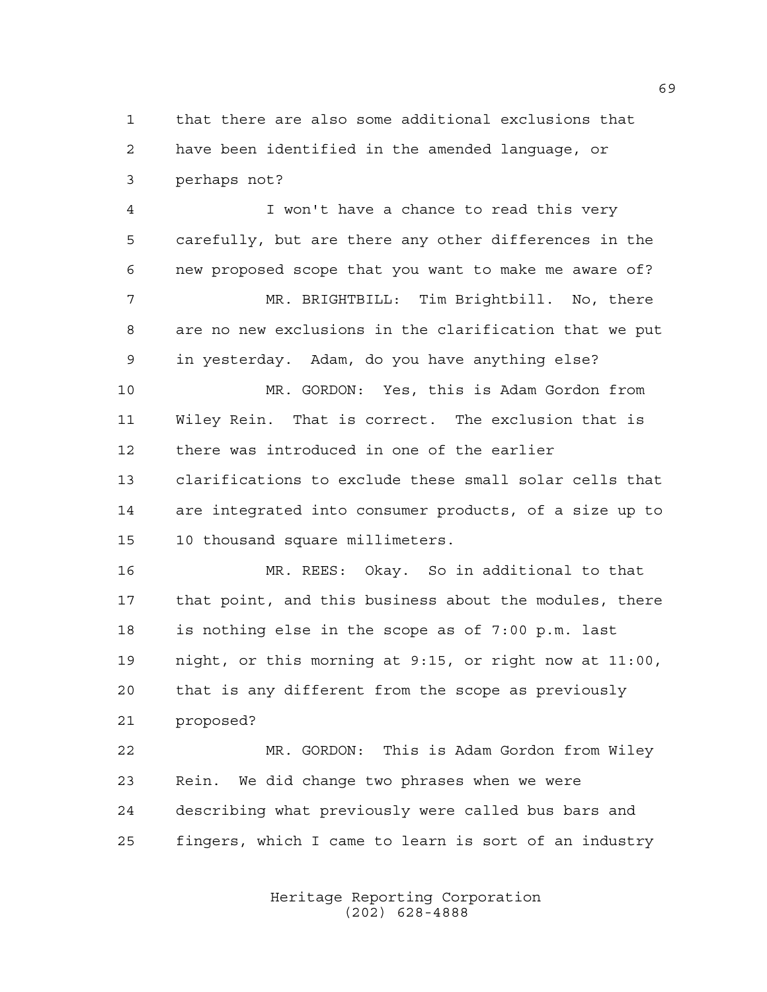that there are also some additional exclusions that have been identified in the amended language, or perhaps not?

 I won't have a chance to read this very carefully, but are there any other differences in the new proposed scope that you want to make me aware of? MR. BRIGHTBILL: Tim Brightbill. No, there are no new exclusions in the clarification that we put in yesterday. Adam, do you have anything else? MR. GORDON: Yes, this is Adam Gordon from Wiley Rein. That is correct. The exclusion that is there was introduced in one of the earlier clarifications to exclude these small solar cells that are integrated into consumer products, of a size up to 10 thousand square millimeters.

 MR. REES: Okay. So in additional to that that point, and this business about the modules, there is nothing else in the scope as of 7:00 p.m. last night, or this morning at 9:15, or right now at 11:00, that is any different from the scope as previously proposed?

 MR. GORDON: This is Adam Gordon from Wiley Rein. We did change two phrases when we were describing what previously were called bus bars and fingers, which I came to learn is sort of an industry

> Heritage Reporting Corporation (202) 628-4888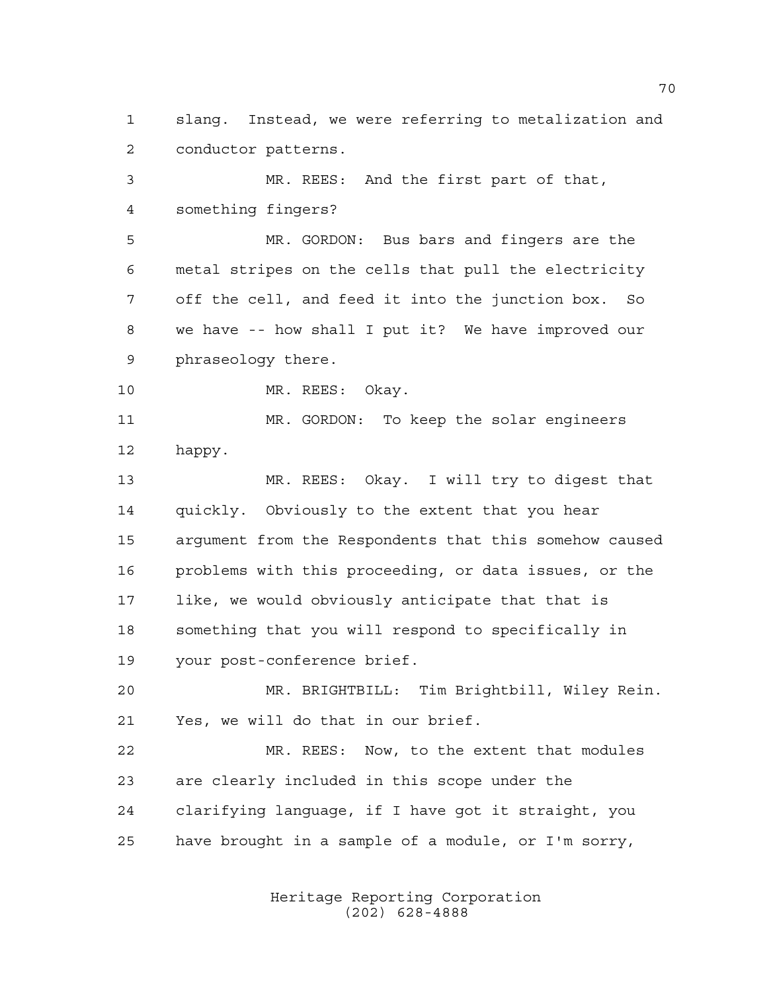slang. Instead, we were referring to metalization and conductor patterns.

 MR. REES: And the first part of that, something fingers?

 MR. GORDON: Bus bars and fingers are the metal stripes on the cells that pull the electricity off the cell, and feed it into the junction box. So we have -- how shall I put it? We have improved our phraseology there.

10 MR. REES: Okay.

 MR. GORDON: To keep the solar engineers happy.

 MR. REES: Okay. I will try to digest that quickly. Obviously to the extent that you hear argument from the Respondents that this somehow caused problems with this proceeding, or data issues, or the like, we would obviously anticipate that that is something that you will respond to specifically in your post-conference brief.

 MR. BRIGHTBILL: Tim Brightbill, Wiley Rein. Yes, we will do that in our brief.

 MR. REES: Now, to the extent that modules are clearly included in this scope under the clarifying language, if I have got it straight, you have brought in a sample of a module, or I'm sorry,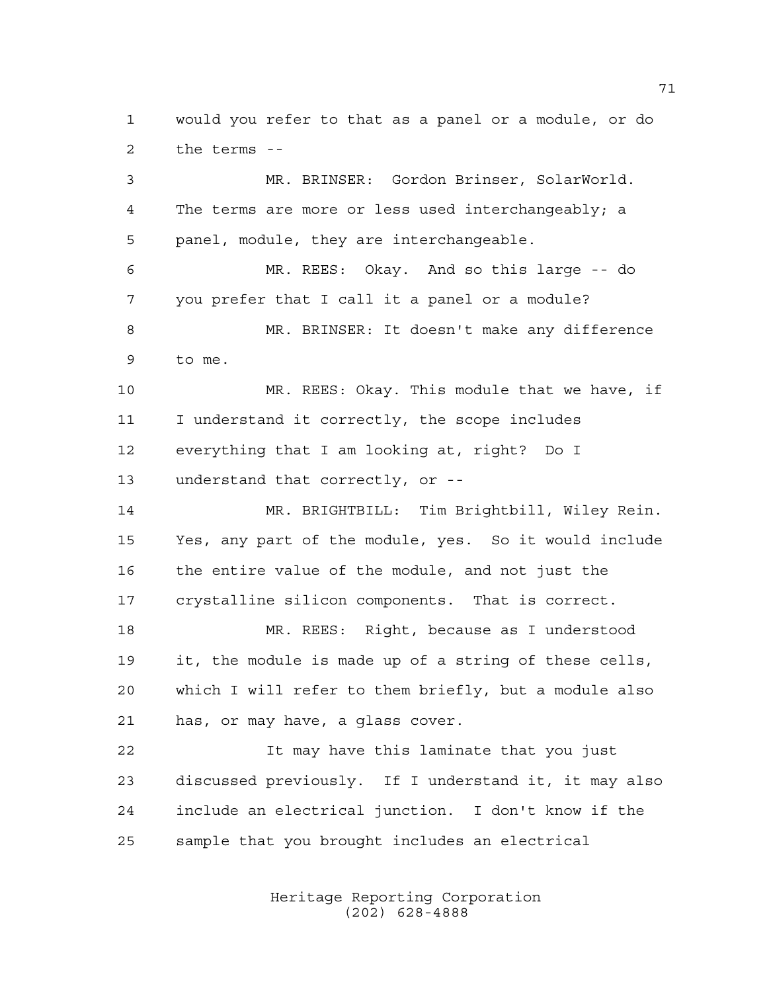would you refer to that as a panel or a module, or do the terms --

 MR. BRINSER: Gordon Brinser, SolarWorld. The terms are more or less used interchangeably; a panel, module, they are interchangeable. MR. REES: Okay. And so this large -- do you prefer that I call it a panel or a module? MR. BRINSER: It doesn't make any difference to me. MR. REES: Okay. This module that we have, if I understand it correctly, the scope includes everything that I am looking at, right? Do I understand that correctly, or -- MR. BRIGHTBILL: Tim Brightbill, Wiley Rein. Yes, any part of the module, yes. So it would include the entire value of the module, and not just the crystalline silicon components. That is correct. MR. REES: Right, because as I understood it, the module is made up of a string of these cells, which I will refer to them briefly, but a module also has, or may have, a glass cover. It may have this laminate that you just discussed previously. If I understand it, it may also include an electrical junction. I don't know if the sample that you brought includes an electrical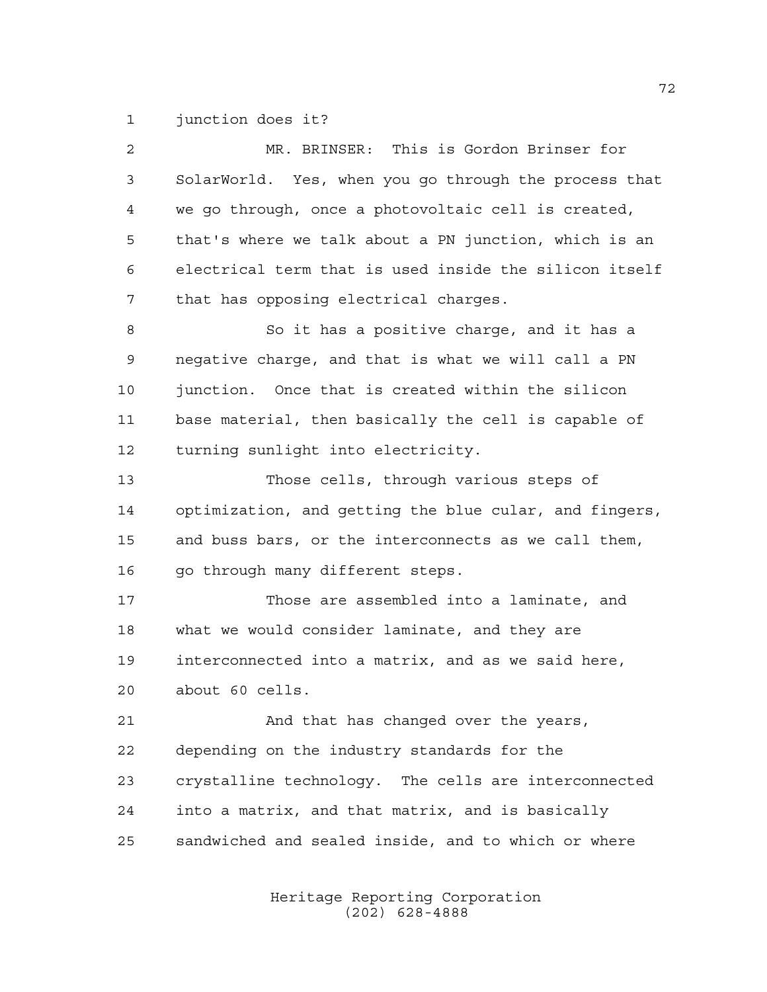junction does it?

| $\overline{a}$ | MR. BRINSER: This is Gordon Brinser for                |
|----------------|--------------------------------------------------------|
| 3              | SolarWorld. Yes, when you go through the process that  |
| 4              | we go through, once a photovoltaic cell is created,    |
| 5              | that's where we talk about a PN junction, which is an  |
| 6              | electrical term that is used inside the silicon itself |
| 7              | that has opposing electrical charges.                  |
| 8              | So it has a positive charge, and it has a              |
| 9              | negative charge, and that is what we will call a PN    |
| 10             | junction. Once that is created within the silicon      |
| 11             | base material, then basically the cell is capable of   |
| 12             | turning sunlight into electricity.                     |
| 13             | Those cells, through various steps of                  |
| 14             | optimization, and getting the blue cular, and fingers, |
| 15             | and buss bars, or the interconnects as we call them,   |
| 16             | go through many different steps.                       |
| 17             | Those are assembled into a laminate, and               |
| 18             | what we would consider laminate, and they are          |
| 19             | interconnected into a matrix, and as we said here,     |
| 20             | about 60 cells.                                        |
| 21             | And that has changed over the years,                   |
| 22             | depending on the industry standards for the            |
| 23             | crystalline technology. The cells are interconnected   |
| 24             | into a matrix, and that matrix, and is basically       |
| 25             | sandwiched and sealed inside, and to which or where    |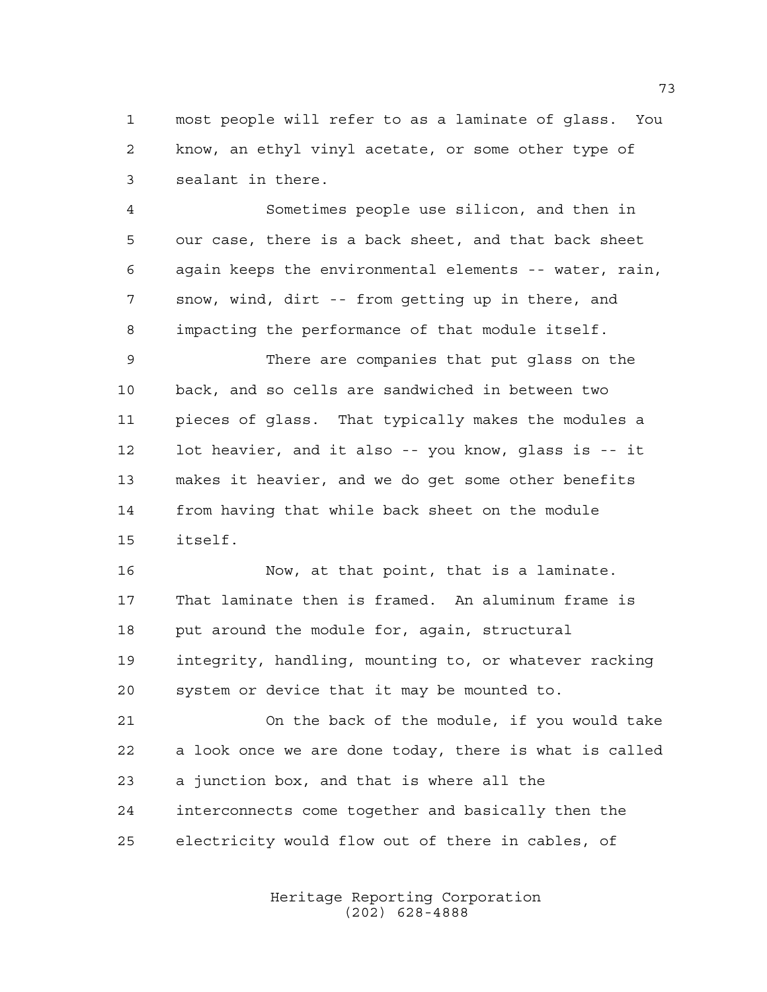most people will refer to as a laminate of glass. You know, an ethyl vinyl acetate, or some other type of sealant in there.

 Sometimes people use silicon, and then in our case, there is a back sheet, and that back sheet again keeps the environmental elements -- water, rain, snow, wind, dirt -- from getting up in there, and impacting the performance of that module itself.

 There are companies that put glass on the back, and so cells are sandwiched in between two pieces of glass. That typically makes the modules a lot heavier, and it also -- you know, glass is -- it makes it heavier, and we do get some other benefits from having that while back sheet on the module itself.

 Now, at that point, that is a laminate. That laminate then is framed. An aluminum frame is put around the module for, again, structural integrity, handling, mounting to, or whatever racking system or device that it may be mounted to.

 On the back of the module, if you would take a look once we are done today, there is what is called a junction box, and that is where all the interconnects come together and basically then the electricity would flow out of there in cables, of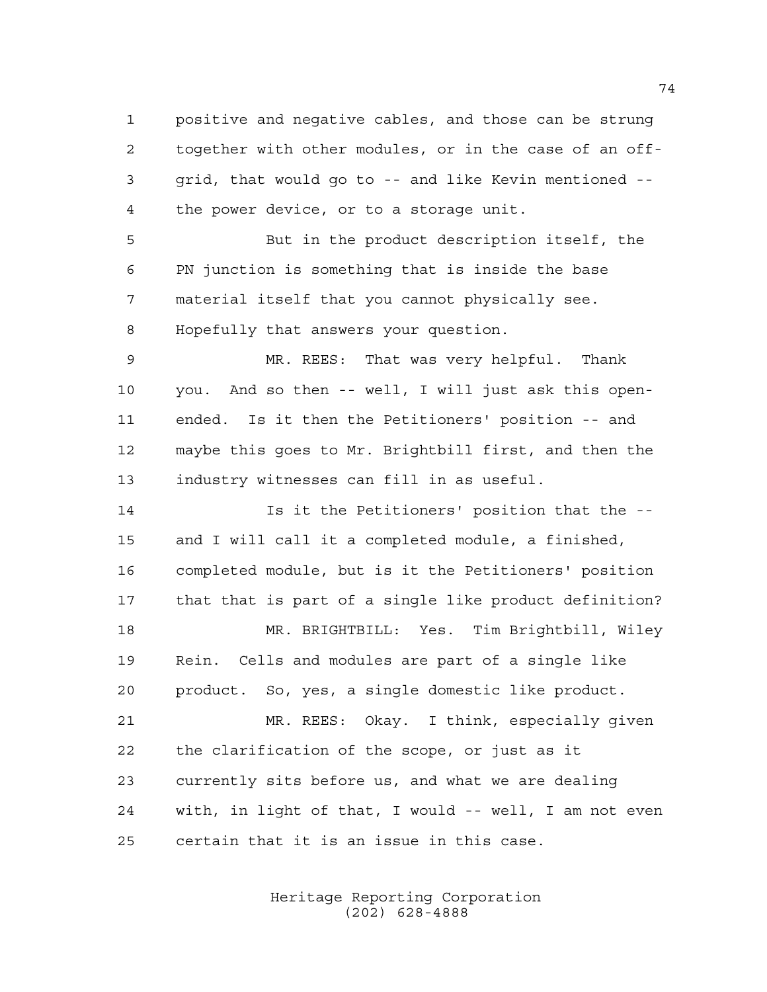positive and negative cables, and those can be strung together with other modules, or in the case of an off- grid, that would go to -- and like Kevin mentioned -- the power device, or to a storage unit. But in the product description itself, the

 PN junction is something that is inside the base material itself that you cannot physically see. Hopefully that answers your question.

 MR. REES: That was very helpful. Thank you. And so then -- well, I will just ask this open- ended. Is it then the Petitioners' position -- and maybe this goes to Mr. Brightbill first, and then the industry witnesses can fill in as useful.

 Is it the Petitioners' position that the -- and I will call it a completed module, a finished, completed module, but is it the Petitioners' position that that is part of a single like product definition? MR. BRIGHTBILL: Yes. Tim Brightbill, Wiley Rein. Cells and modules are part of a single like product. So, yes, a single domestic like product. MR. REES: Okay. I think, especially given the clarification of the scope, or just as it currently sits before us, and what we are dealing

 with, in light of that, I would -- well, I am not even certain that it is an issue in this case.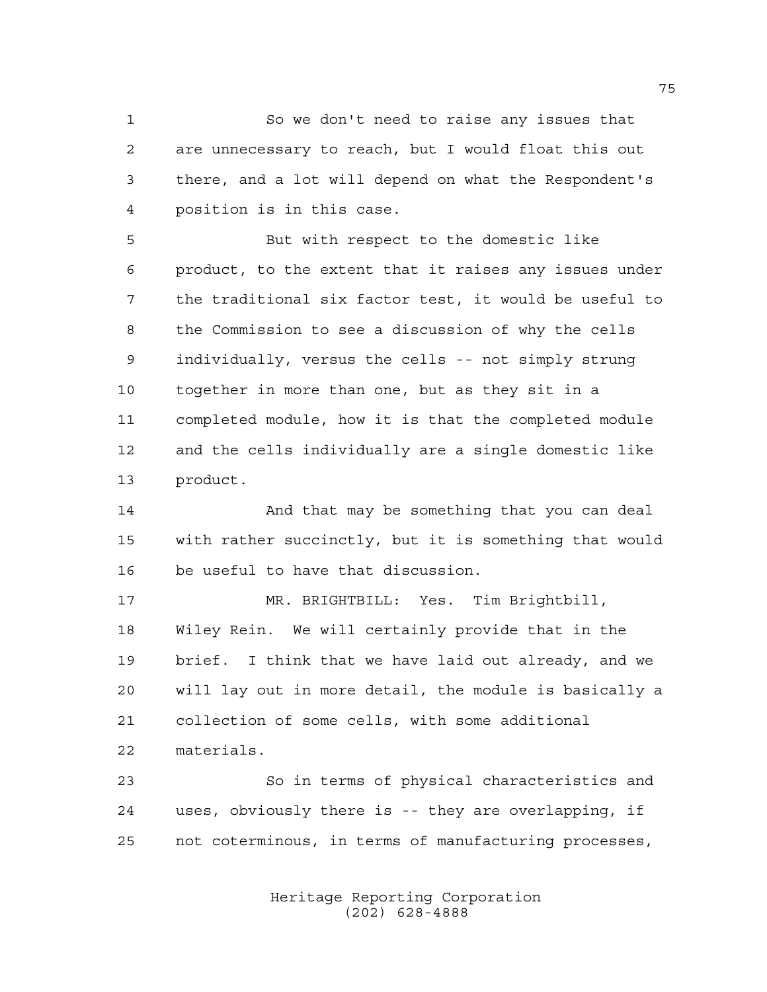So we don't need to raise any issues that are unnecessary to reach, but I would float this out there, and a lot will depend on what the Respondent's position is in this case.

 But with respect to the domestic like product, to the extent that it raises any issues under the traditional six factor test, it would be useful to the Commission to see a discussion of why the cells individually, versus the cells -- not simply strung together in more than one, but as they sit in a completed module, how it is that the completed module and the cells individually are a single domestic like product.

 And that may be something that you can deal with rather succinctly, but it is something that would be useful to have that discussion.

 MR. BRIGHTBILL: Yes. Tim Brightbill, Wiley Rein. We will certainly provide that in the brief. I think that we have laid out already, and we will lay out in more detail, the module is basically a collection of some cells, with some additional materials.

 So in terms of physical characteristics and uses, obviously there is -- they are overlapping, if not coterminous, in terms of manufacturing processes,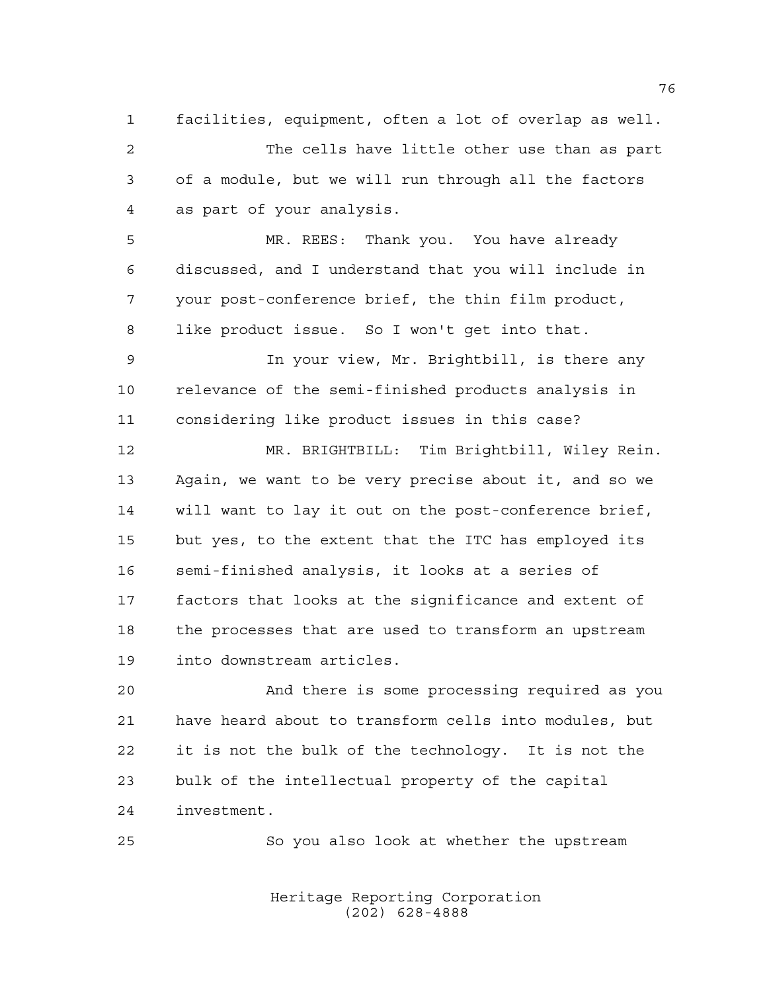facilities, equipment, often a lot of overlap as well. The cells have little other use than as part of a module, but we will run through all the factors as part of your analysis.

 MR. REES: Thank you. You have already discussed, and I understand that you will include in your post-conference brief, the thin film product, like product issue. So I won't get into that.

 In your view, Mr. Brightbill, is there any relevance of the semi-finished products analysis in considering like product issues in this case?

 MR. BRIGHTBILL: Tim Brightbill, Wiley Rein. Again, we want to be very precise about it, and so we will want to lay it out on the post-conference brief, but yes, to the extent that the ITC has employed its semi-finished analysis, it looks at a series of factors that looks at the significance and extent of the processes that are used to transform an upstream into downstream articles.

 And there is some processing required as you have heard about to transform cells into modules, but it is not the bulk of the technology. It is not the bulk of the intellectual property of the capital investment.

So you also look at whether the upstream

Heritage Reporting Corporation (202) 628-4888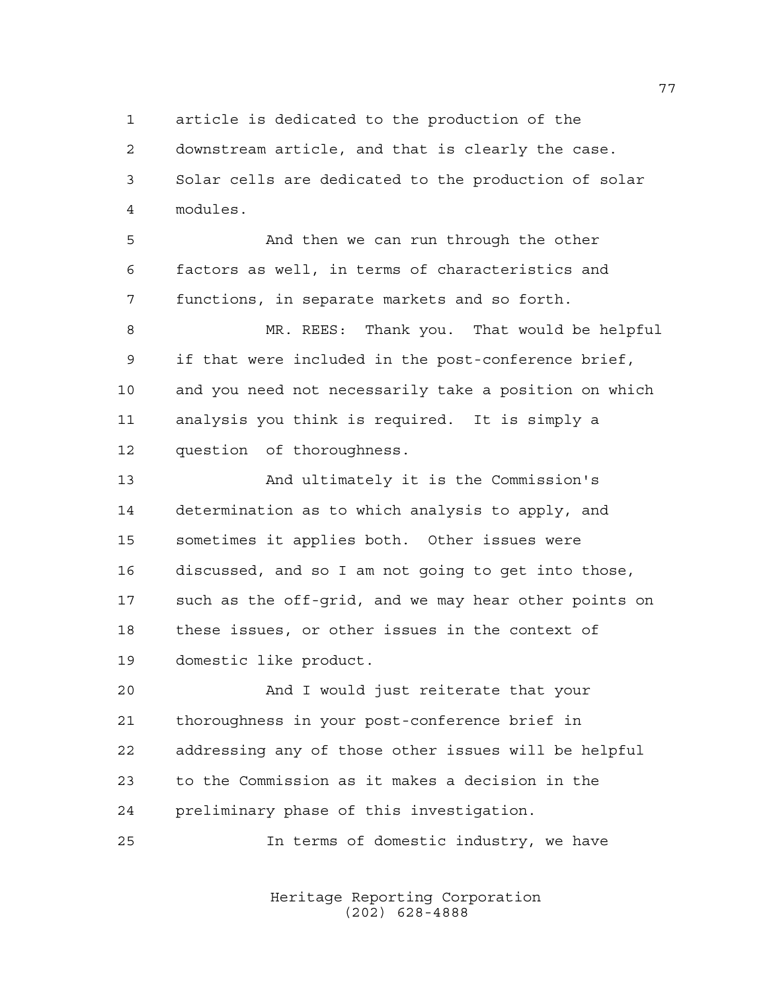article is dedicated to the production of the

 downstream article, and that is clearly the case. Solar cells are dedicated to the production of solar modules.

 And then we can run through the other factors as well, in terms of characteristics and functions, in separate markets and so forth.

8 MR. REES: Thank you. That would be helpful if that were included in the post-conference brief, and you need not necessarily take a position on which analysis you think is required. It is simply a question of thoroughness.

 And ultimately it is the Commission's determination as to which analysis to apply, and sometimes it applies both. Other issues were discussed, and so I am not going to get into those, such as the off-grid, and we may hear other points on these issues, or other issues in the context of domestic like product.

 And I would just reiterate that your thoroughness in your post-conference brief in addressing any of those other issues will be helpful to the Commission as it makes a decision in the preliminary phase of this investigation.

In terms of domestic industry, we have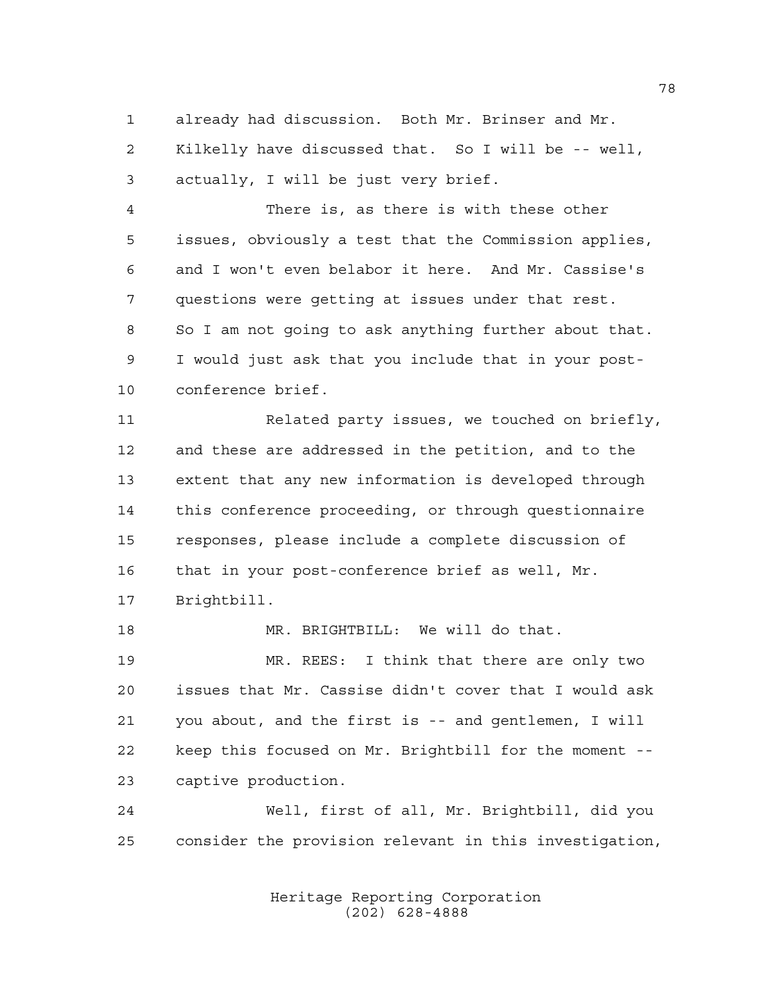already had discussion. Both Mr. Brinser and Mr. Kilkelly have discussed that. So I will be -- well, actually, I will be just very brief.

 There is, as there is with these other issues, obviously a test that the Commission applies, and I won't even belabor it here. And Mr. Cassise's questions were getting at issues under that rest. So I am not going to ask anything further about that. I would just ask that you include that in your post-conference brief.

 Related party issues, we touched on briefly, and these are addressed in the petition, and to the extent that any new information is developed through this conference proceeding, or through questionnaire responses, please include a complete discussion of that in your post-conference brief as well, Mr. Brightbill.

 MR. BRIGHTBILL: We will do that. MR. REES: I think that there are only two issues that Mr. Cassise didn't cover that I would ask you about, and the first is -- and gentlemen, I will keep this focused on Mr. Brightbill for the moment -- captive production.

 Well, first of all, Mr. Brightbill, did you consider the provision relevant in this investigation,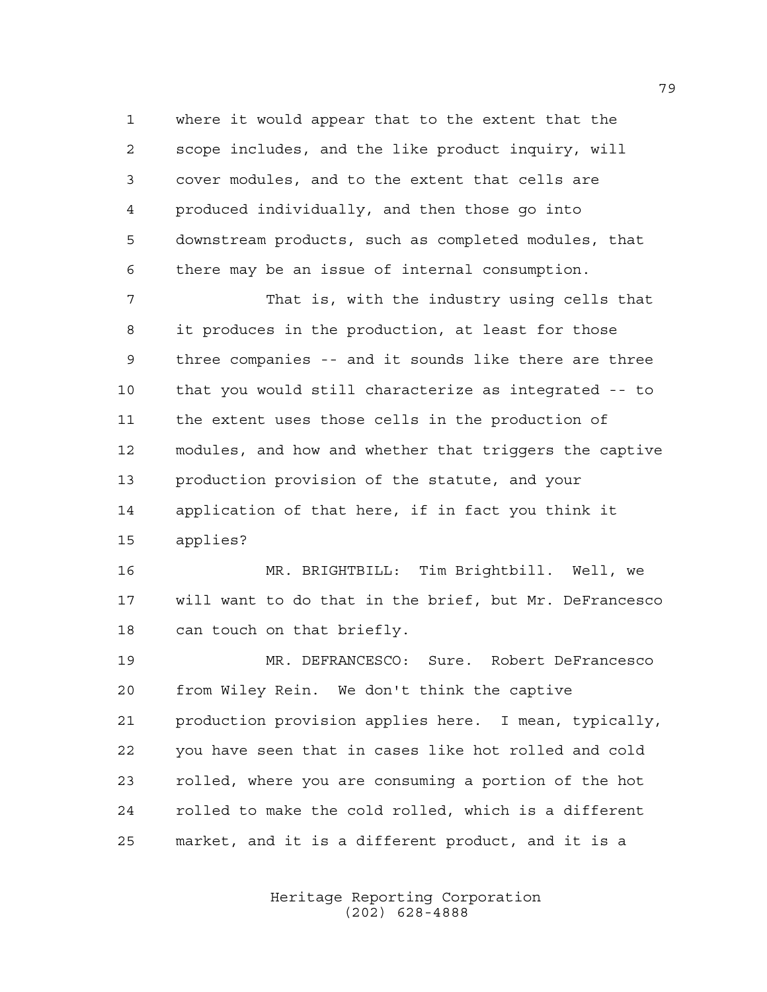where it would appear that to the extent that the scope includes, and the like product inquiry, will cover modules, and to the extent that cells are produced individually, and then those go into downstream products, such as completed modules, that there may be an issue of internal consumption.

 That is, with the industry using cells that it produces in the production, at least for those three companies -- and it sounds like there are three that you would still characterize as integrated -- to the extent uses those cells in the production of modules, and how and whether that triggers the captive production provision of the statute, and your application of that here, if in fact you think it applies?

 MR. BRIGHTBILL: Tim Brightbill. Well, we will want to do that in the brief, but Mr. DeFrancesco can touch on that briefly.

 MR. DEFRANCESCO: Sure. Robert DeFrancesco from Wiley Rein. We don't think the captive production provision applies here. I mean, typically, you have seen that in cases like hot rolled and cold rolled, where you are consuming a portion of the hot rolled to make the cold rolled, which is a different market, and it is a different product, and it is a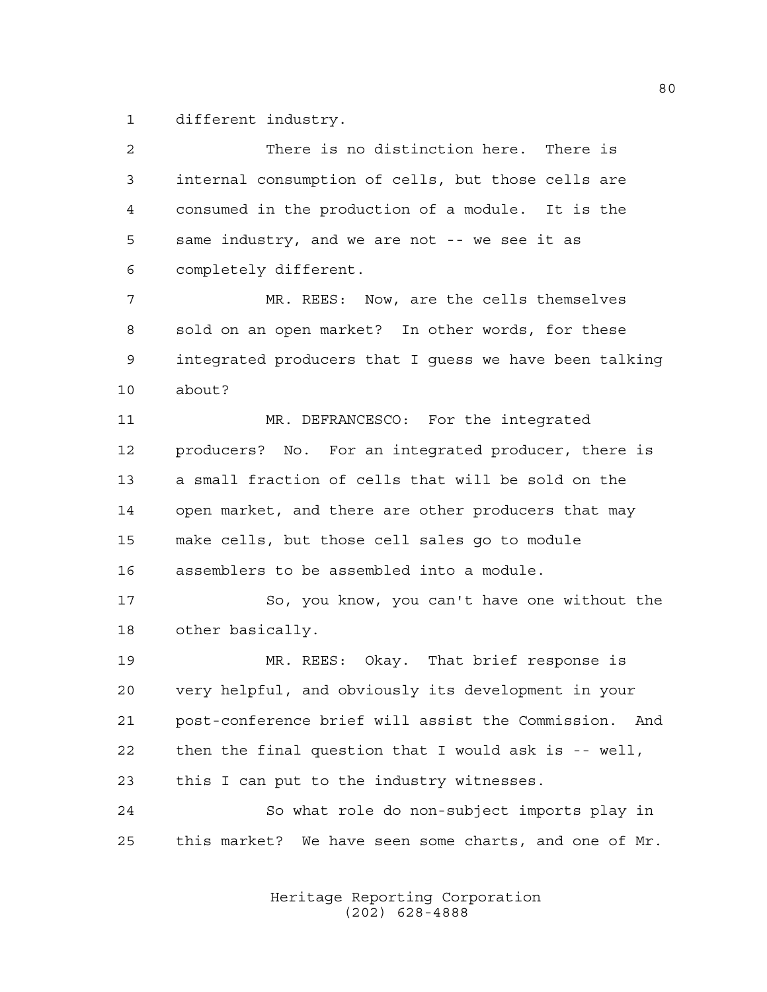different industry.

| $\overline{a}$ | There is no distinction here. There is                   |
|----------------|----------------------------------------------------------|
| 3              | internal consumption of cells, but those cells are       |
| 4              | consumed in the production of a module. It is the        |
| 5              | same industry, and we are not -- we see it as            |
| 6              | completely different.                                    |
| 7              | MR. REES: Now, are the cells themselves                  |
| 8              | sold on an open market? In other words, for these        |
| 9              | integrated producers that I guess we have been talking   |
| 10             | about?                                                   |
| 11             | MR. DEFRANCESCO: For the integrated                      |
| 12             | producers? No. For an integrated producer, there is      |
| 13             | a small fraction of cells that will be sold on the       |
| 14             | open market, and there are other producers that may      |
| 15             | make cells, but those cell sales go to module            |
| 16             | assemblers to be assembled into a module.                |
| 17             | So, you know, you can't have one without the             |
| 18             | other basically.                                         |
| 19             | MR. REES: Okay. That brief response is                   |
| 20             | very helpful, and obviously its development in your      |
| 21             | post-conference brief will assist the Commission. And    |
| 22             | then the final question that I would ask is -- well,     |
| 23             | this I can put to the industry witnesses.                |
| 24             | So what role do non-subject imports play in              |
| 25             | this market?<br>We have seen some charts, and one of Mr. |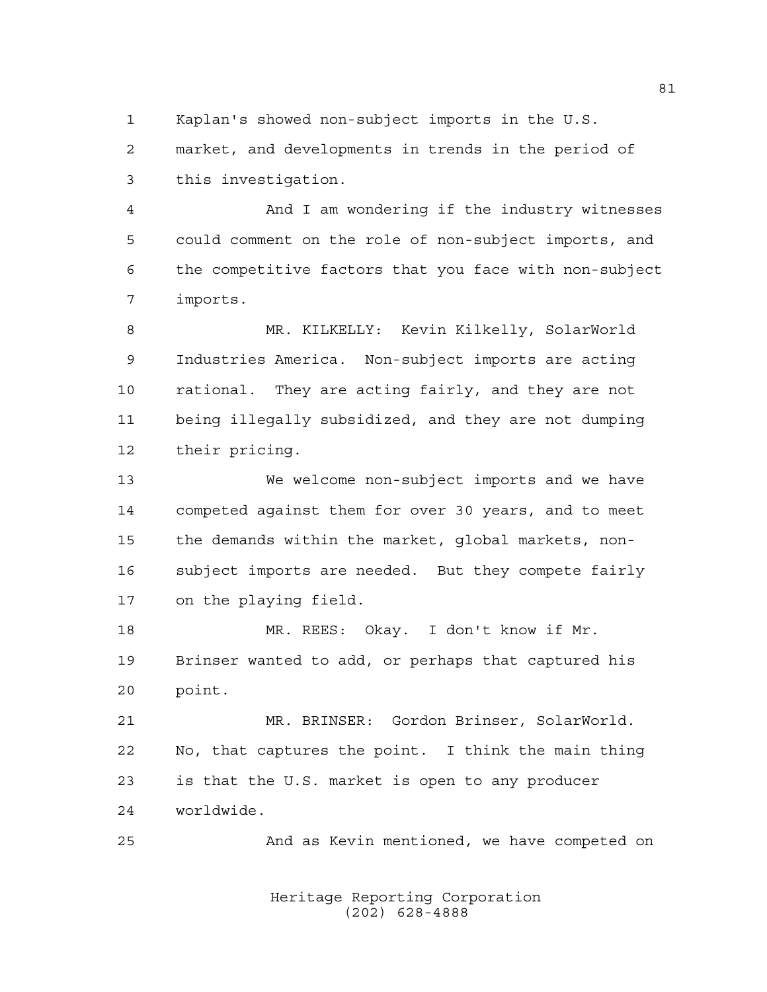Kaplan's showed non-subject imports in the U.S.

 market, and developments in trends in the period of this investigation.

 And I am wondering if the industry witnesses could comment on the role of non-subject imports, and the competitive factors that you face with non-subject imports.

 MR. KILKELLY: Kevin Kilkelly, SolarWorld Industries America. Non-subject imports are acting rational. They are acting fairly, and they are not being illegally subsidized, and they are not dumping their pricing.

 We welcome non-subject imports and we have competed against them for over 30 years, and to meet the demands within the market, global markets, non- subject imports are needed. But they compete fairly on the playing field.

18 MR. REES: Okay. I don't know if Mr. Brinser wanted to add, or perhaps that captured his point.

 MR. BRINSER: Gordon Brinser, SolarWorld. No, that captures the point. I think the main thing is that the U.S. market is open to any producer worldwide.

And as Kevin mentioned, we have competed on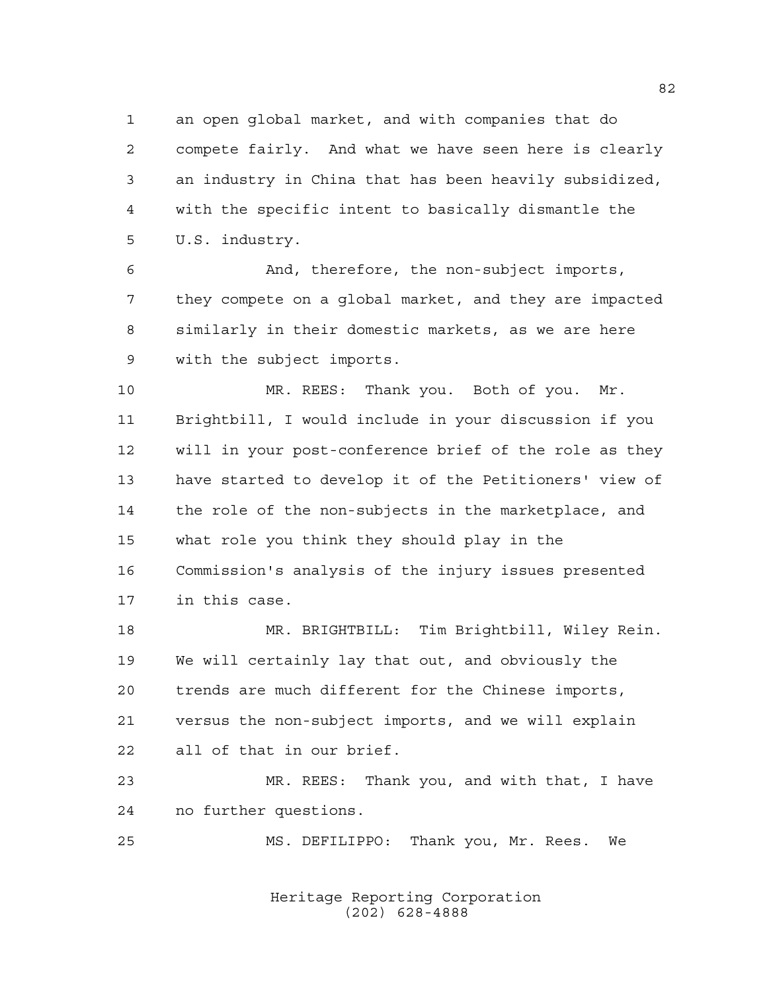an open global market, and with companies that do compete fairly. And what we have seen here is clearly an industry in China that has been heavily subsidized, with the specific intent to basically dismantle the U.S. industry.

 And, therefore, the non-subject imports, they compete on a global market, and they are impacted similarly in their domestic markets, as we are here with the subject imports.

 MR. REES: Thank you. Both of you. Mr. Brightbill, I would include in your discussion if you will in your post-conference brief of the role as they have started to develop it of the Petitioners' view of the role of the non-subjects in the marketplace, and what role you think they should play in the Commission's analysis of the injury issues presented in this case.

 MR. BRIGHTBILL: Tim Brightbill, Wiley Rein. We will certainly lay that out, and obviously the trends are much different for the Chinese imports, versus the non-subject imports, and we will explain all of that in our brief.

 MR. REES: Thank you, and with that, I have no further questions.

MS. DEFILIPPO: Thank you, Mr. Rees. We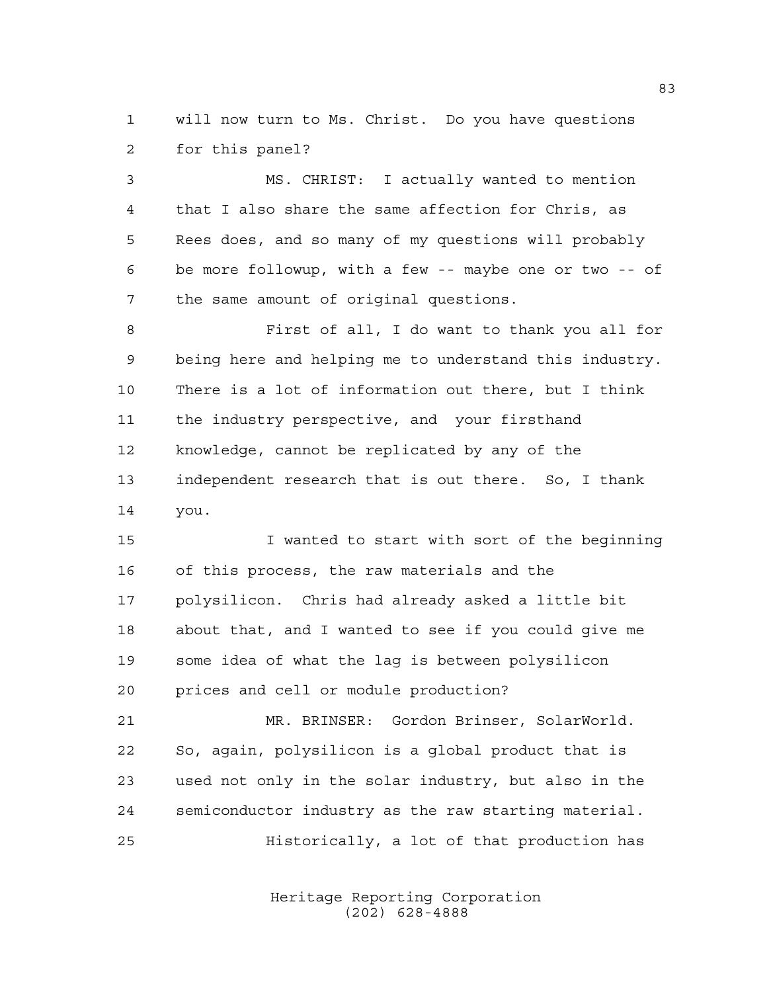will now turn to Ms. Christ. Do you have questions for this panel?

 MS. CHRIST: I actually wanted to mention that I also share the same affection for Chris, as Rees does, and so many of my questions will probably be more followup, with a few -- maybe one or two -- of the same amount of original questions.

 First of all, I do want to thank you all for being here and helping me to understand this industry. There is a lot of information out there, but I think the industry perspective, and your firsthand knowledge, cannot be replicated by any of the independent research that is out there. So, I thank you.

 I wanted to start with sort of the beginning of this process, the raw materials and the polysilicon. Chris had already asked a little bit about that, and I wanted to see if you could give me some idea of what the lag is between polysilicon prices and cell or module production?

 MR. BRINSER: Gordon Brinser, SolarWorld. So, again, polysilicon is a global product that is used not only in the solar industry, but also in the semiconductor industry as the raw starting material. Historically, a lot of that production has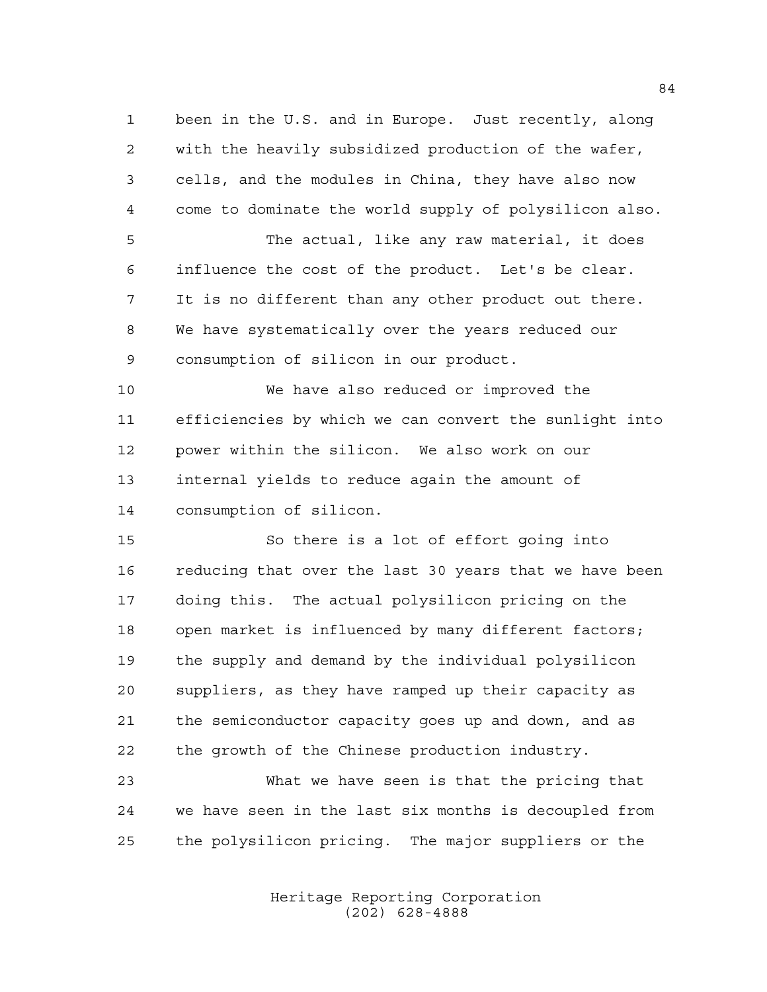been in the U.S. and in Europe. Just recently, along with the heavily subsidized production of the wafer, cells, and the modules in China, they have also now come to dominate the world supply of polysilicon also.

 The actual, like any raw material, it does influence the cost of the product. Let's be clear. It is no different than any other product out there. We have systematically over the years reduced our consumption of silicon in our product.

 We have also reduced or improved the efficiencies by which we can convert the sunlight into power within the silicon. We also work on our internal yields to reduce again the amount of consumption of silicon.

 So there is a lot of effort going into reducing that over the last 30 years that we have been doing this. The actual polysilicon pricing on the 18 open market is influenced by many different factors; the supply and demand by the individual polysilicon suppliers, as they have ramped up their capacity as the semiconductor capacity goes up and down, and as the growth of the Chinese production industry.

 What we have seen is that the pricing that we have seen in the last six months is decoupled from the polysilicon pricing. The major suppliers or the

> Heritage Reporting Corporation (202) 628-4888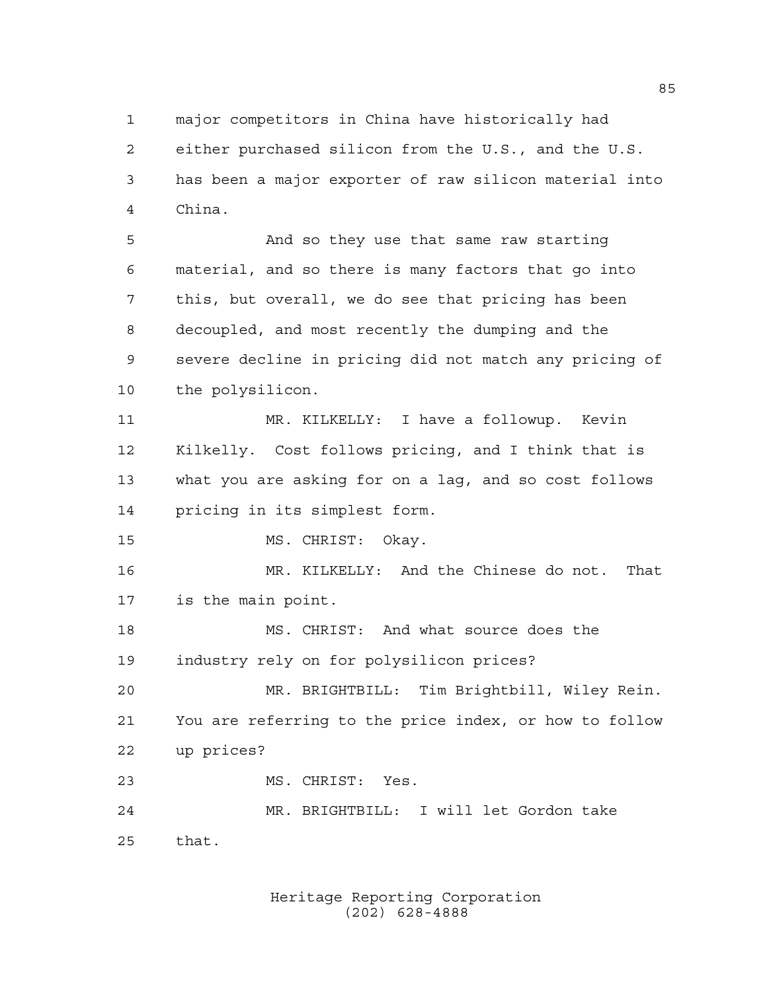major competitors in China have historically had either purchased silicon from the U.S., and the U.S. has been a major exporter of raw silicon material into China.

 And so they use that same raw starting material, and so there is many factors that go into this, but overall, we do see that pricing has been decoupled, and most recently the dumping and the severe decline in pricing did not match any pricing of the polysilicon.

 MR. KILKELLY: I have a followup. Kevin Kilkelly. Cost follows pricing, and I think that is what you are asking for on a lag, and so cost follows pricing in its simplest form.

MS. CHRIST: Okay.

 MR. KILKELLY: And the Chinese do not. That is the main point.

 MS. CHRIST: And what source does the industry rely on for polysilicon prices?

 MR. BRIGHTBILL: Tim Brightbill, Wiley Rein. You are referring to the price index, or how to follow up prices?

MS. CHRIST: Yes.

 MR. BRIGHTBILL: I will let Gordon take that.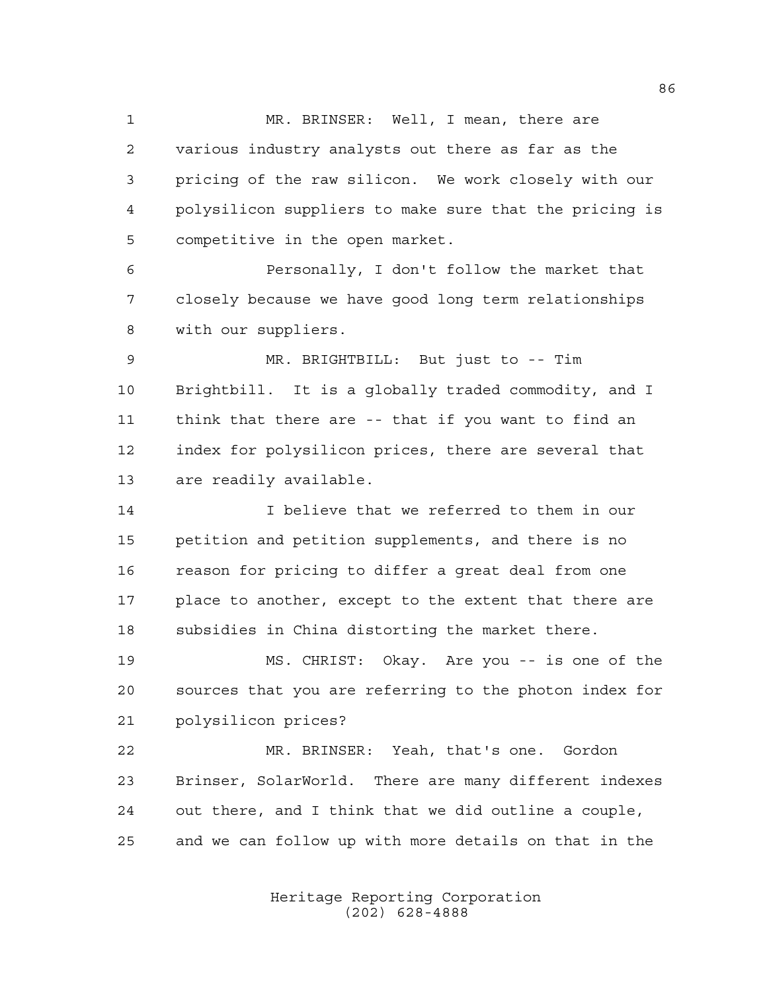1 MR. BRINSER: Well, I mean, there are various industry analysts out there as far as the pricing of the raw silicon. We work closely with our polysilicon suppliers to make sure that the pricing is competitive in the open market.

 Personally, I don't follow the market that closely because we have good long term relationships with our suppliers.

 MR. BRIGHTBILL: But just to -- Tim Brightbill. It is a globally traded commodity, and I think that there are -- that if you want to find an index for polysilicon prices, there are several that are readily available.

 I believe that we referred to them in our petition and petition supplements, and there is no reason for pricing to differ a great deal from one place to another, except to the extent that there are subsidies in China distorting the market there.

 MS. CHRIST: Okay. Are you -- is one of the sources that you are referring to the photon index for polysilicon prices?

 MR. BRINSER: Yeah, that's one. Gordon Brinser, SolarWorld. There are many different indexes out there, and I think that we did outline a couple, and we can follow up with more details on that in the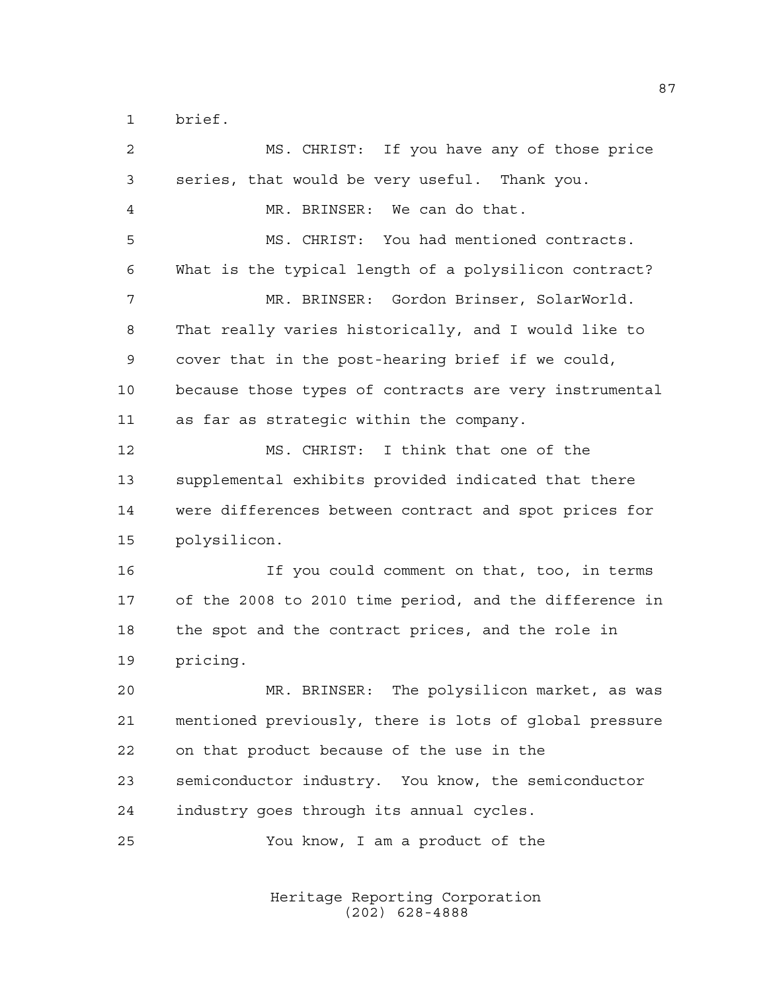brief.

| 2              | MS. CHRIST: If you have any of those price             |
|----------------|--------------------------------------------------------|
| 3              | series, that would be very useful. Thank you.          |
| $\overline{4}$ | MR. BRINSER: We can do that.                           |
| 5              | MS. CHRIST: You had mentioned contracts.               |
| 6              | What is the typical length of a polysilicon contract?  |
| 7              | MR. BRINSER: Gordon Brinser, SolarWorld.               |
| 8              | That really varies historically, and I would like to   |
| 9              | cover that in the post-hearing brief if we could,      |
| 10             | because those types of contracts are very instrumental |
| 11             | as far as strategic within the company.                |
| 12             | MS. CHRIST: I think that one of the                    |
| 13             | supplemental exhibits provided indicated that there    |
| 14             | were differences between contract and spot prices for  |
| 15             | polysilicon.                                           |
| 16             | If you could comment on that, too, in terms            |
| 17             | of the 2008 to 2010 time period, and the difference in |
| 18             | the spot and the contract prices, and the role in      |
| 19             | pricing.                                               |
| 20             | The polysilicon market, as was<br>MR. BRINSER:         |
| 21             | mentioned previously, there is lots of global pressure |
| 22             | on that product because of the use in the              |
| 23             | semiconductor industry. You know, the semiconductor    |
| 24             | industry goes through its annual cycles.               |
| 25             | You know, I am a product of the                        |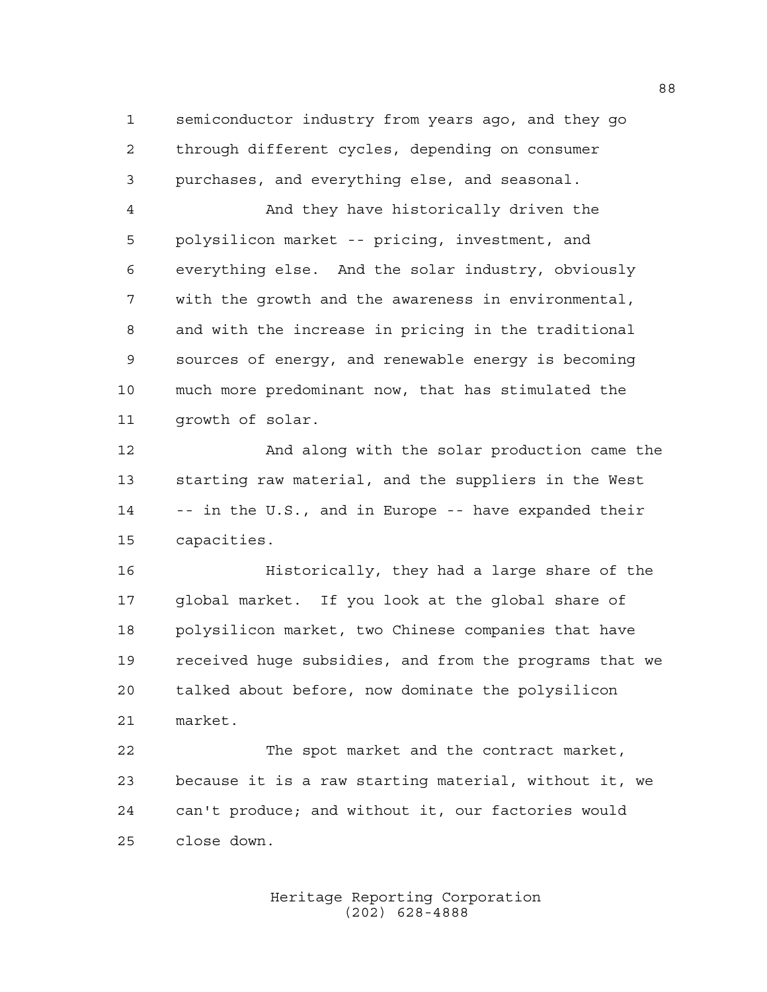semiconductor industry from years ago, and they go through different cycles, depending on consumer purchases, and everything else, and seasonal.

 And they have historically driven the polysilicon market -- pricing, investment, and everything else. And the solar industry, obviously with the growth and the awareness in environmental, and with the increase in pricing in the traditional sources of energy, and renewable energy is becoming much more predominant now, that has stimulated the growth of solar.

 And along with the solar production came the starting raw material, and the suppliers in the West -- in the U.S., and in Europe -- have expanded their capacities.

 Historically, they had a large share of the global market. If you look at the global share of polysilicon market, two Chinese companies that have received huge subsidies, and from the programs that we talked about before, now dominate the polysilicon market.

 The spot market and the contract market, because it is a raw starting material, without it, we can't produce; and without it, our factories would close down.

> Heritage Reporting Corporation (202) 628-4888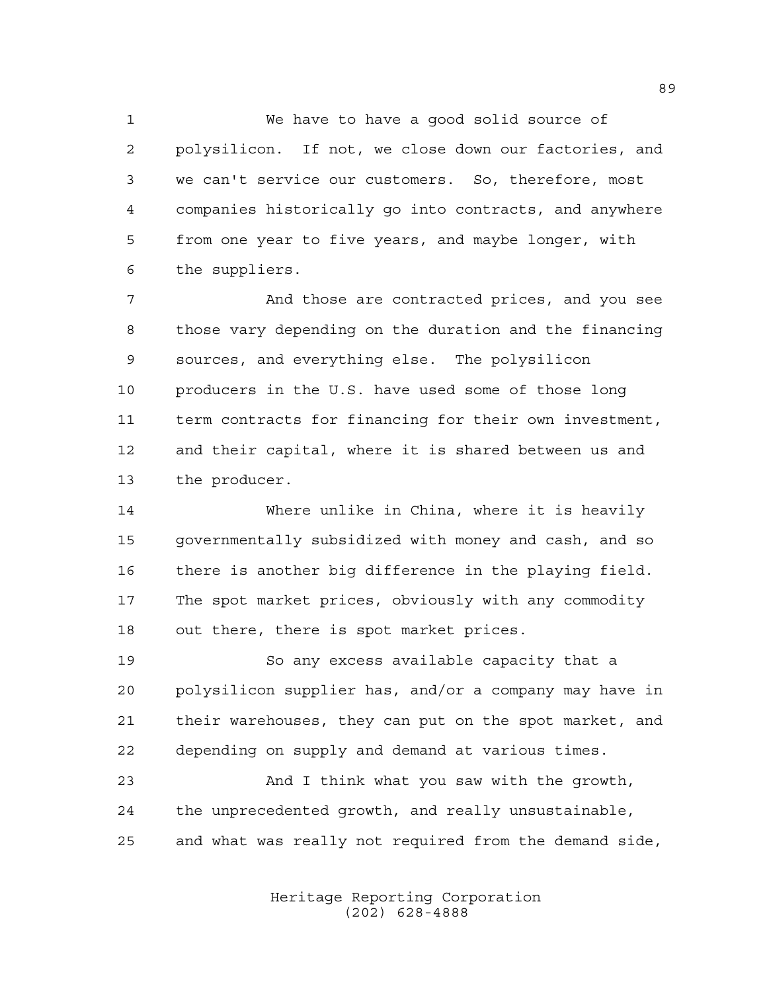We have to have a good solid source of polysilicon. If not, we close down our factories, and we can't service our customers. So, therefore, most companies historically go into contracts, and anywhere from one year to five years, and maybe longer, with the suppliers.

 And those are contracted prices, and you see those vary depending on the duration and the financing sources, and everything else. The polysilicon producers in the U.S. have used some of those long term contracts for financing for their own investment, and their capital, where it is shared between us and the producer.

 Where unlike in China, where it is heavily governmentally subsidized with money and cash, and so there is another big difference in the playing field. The spot market prices, obviously with any commodity out there, there is spot market prices.

 So any excess available capacity that a polysilicon supplier has, and/or a company may have in their warehouses, they can put on the spot market, and depending on supply and demand at various times.

 And I think what you saw with the growth, the unprecedented growth, and really unsustainable, and what was really not required from the demand side,

> Heritage Reporting Corporation (202) 628-4888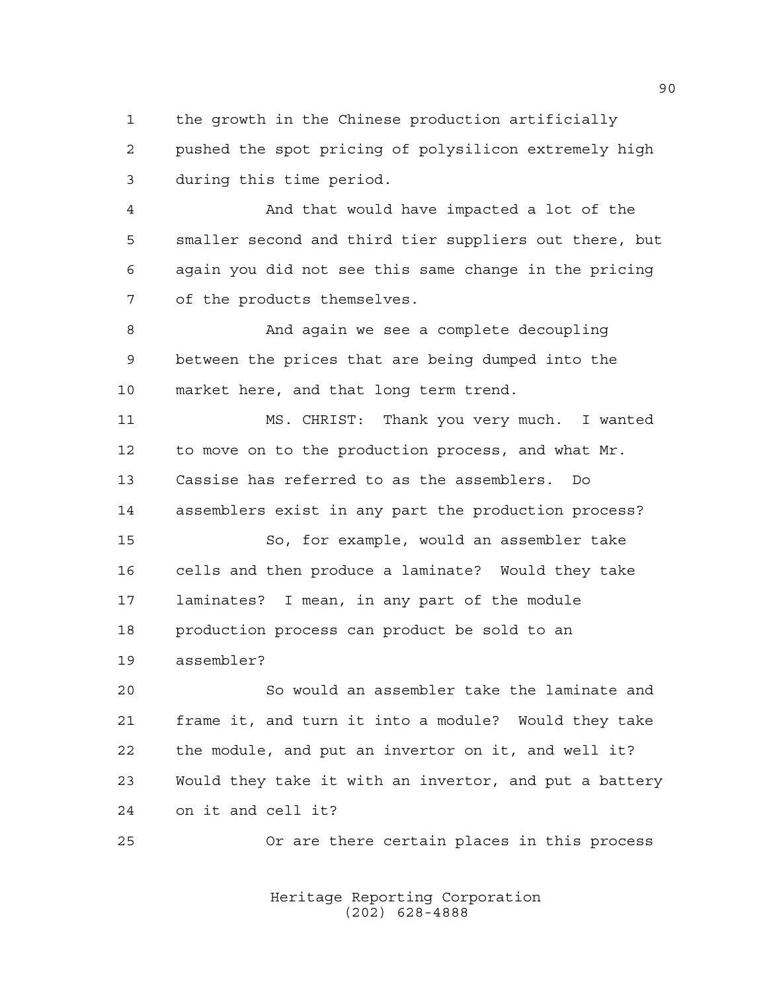the growth in the Chinese production artificially pushed the spot pricing of polysilicon extremely high during this time period.

 And that would have impacted a lot of the smaller second and third tier suppliers out there, but again you did not see this same change in the pricing of the products themselves.

 And again we see a complete decoupling between the prices that are being dumped into the market here, and that long term trend.

 MS. CHRIST: Thank you very much. I wanted to move on to the production process, and what Mr. Cassise has referred to as the assemblers. Do assemblers exist in any part the production process?

 So, for example, would an assembler take cells and then produce a laminate? Would they take laminates? I mean, in any part of the module production process can product be sold to an assembler?

 So would an assembler take the laminate and frame it, and turn it into a module? Would they take the module, and put an invertor on it, and well it? Would they take it with an invertor, and put a battery on it and cell it?

Or are there certain places in this process

Heritage Reporting Corporation (202) 628-4888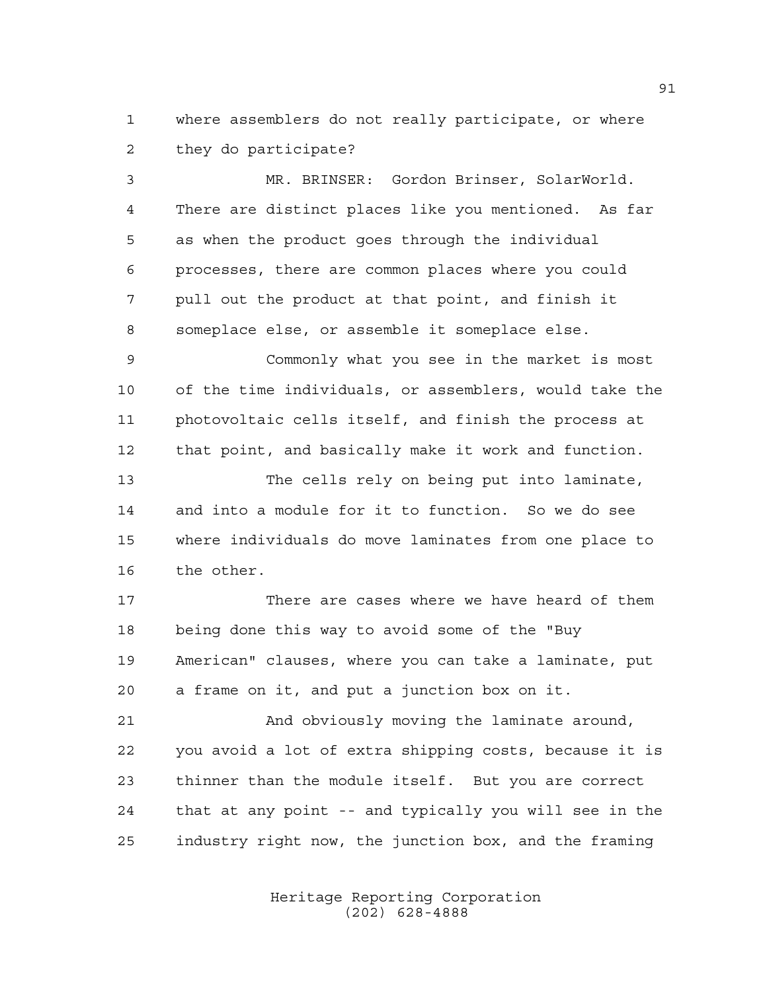where assemblers do not really participate, or where they do participate?

 MR. BRINSER: Gordon Brinser, SolarWorld. There are distinct places like you mentioned. As far as when the product goes through the individual processes, there are common places where you could pull out the product at that point, and finish it someplace else, or assemble it someplace else.

 Commonly what you see in the market is most of the time individuals, or assemblers, would take the photovoltaic cells itself, and finish the process at that point, and basically make it work and function.

 The cells rely on being put into laminate, and into a module for it to function. So we do see where individuals do move laminates from one place to the other.

 There are cases where we have heard of them being done this way to avoid some of the "Buy American" clauses, where you can take a laminate, put a frame on it, and put a junction box on it.

 And obviously moving the laminate around, you avoid a lot of extra shipping costs, because it is thinner than the module itself. But you are correct that at any point -- and typically you will see in the industry right now, the junction box, and the framing

> Heritage Reporting Corporation (202) 628-4888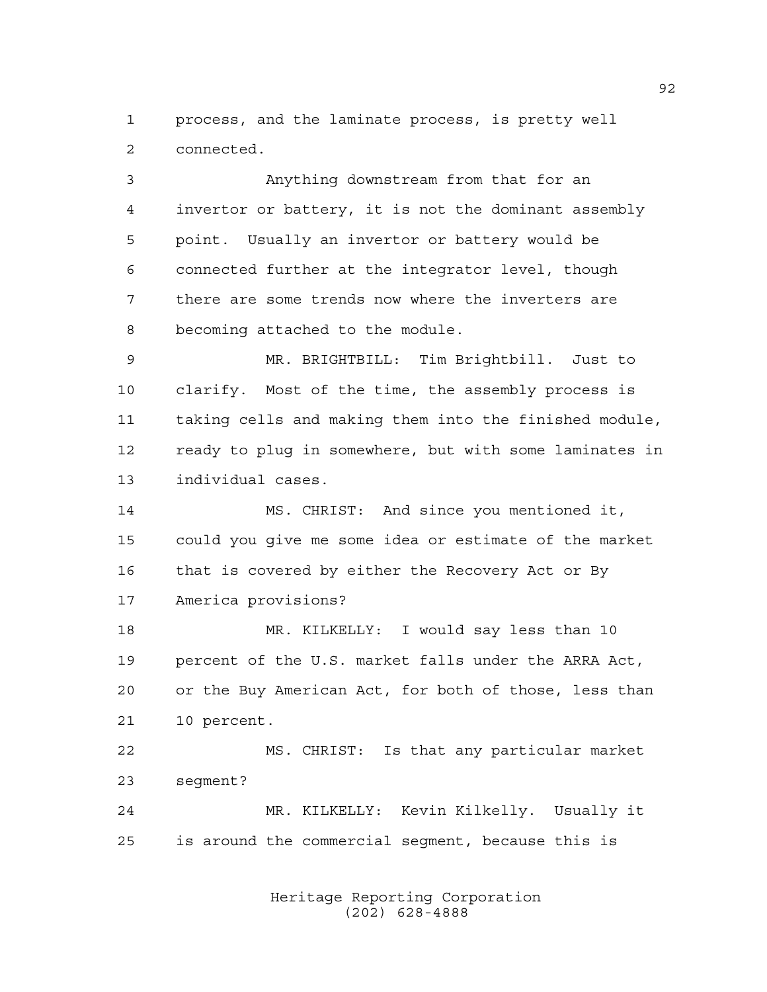process, and the laminate process, is pretty well connected.

 Anything downstream from that for an invertor or battery, it is not the dominant assembly point. Usually an invertor or battery would be connected further at the integrator level, though there are some trends now where the inverters are becoming attached to the module.

 MR. BRIGHTBILL: Tim Brightbill. Just to clarify. Most of the time, the assembly process is taking cells and making them into the finished module, ready to plug in somewhere, but with some laminates in individual cases.

 MS. CHRIST: And since you mentioned it, could you give me some idea or estimate of the market 16 that is covered by either the Recovery Act or By America provisions?

 MR. KILKELLY: I would say less than 10 percent of the U.S. market falls under the ARRA Act, or the Buy American Act, for both of those, less than 10 percent.

 MS. CHRIST: Is that any particular market segment?

 MR. KILKELLY: Kevin Kilkelly. Usually it is around the commercial segment, because this is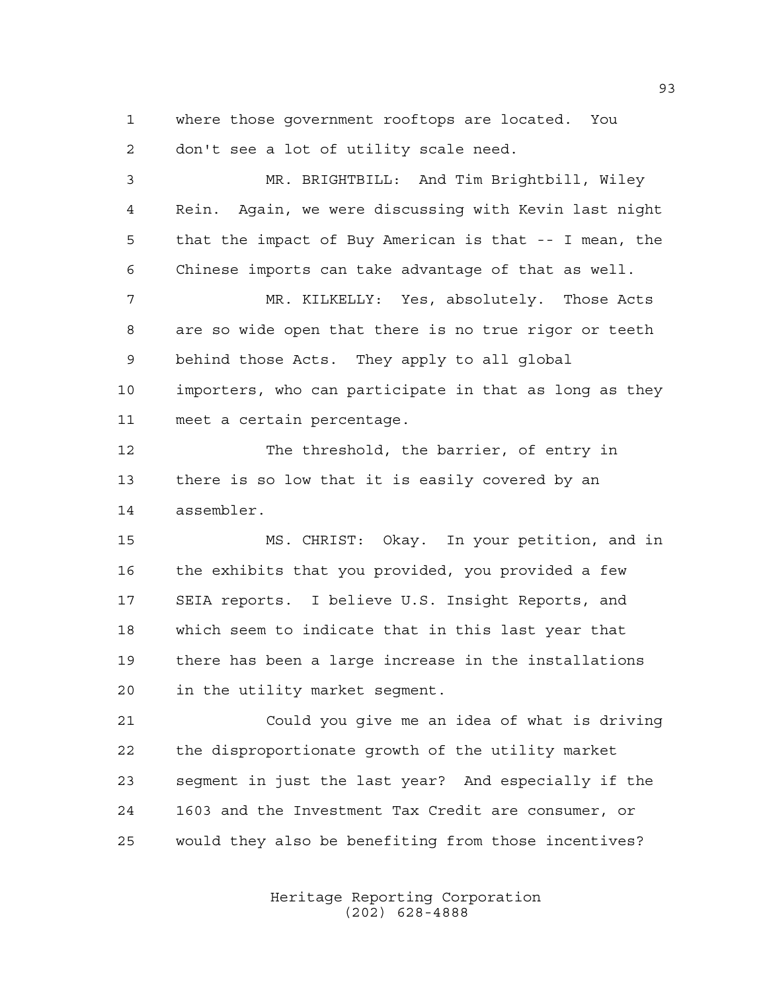where those government rooftops are located. You don't see a lot of utility scale need.

 MR. BRIGHTBILL: And Tim Brightbill, Wiley Rein. Again, we were discussing with Kevin last night that the impact of Buy American is that -- I mean, the Chinese imports can take advantage of that as well. MR. KILKELLY: Yes, absolutely. Those Acts are so wide open that there is no true rigor or teeth behind those Acts. They apply to all global importers, who can participate in that as long as they meet a certain percentage.

 The threshold, the barrier, of entry in there is so low that it is easily covered by an assembler.

 MS. CHRIST: Okay. In your petition, and in the exhibits that you provided, you provided a few SEIA reports. I believe U.S. Insight Reports, and which seem to indicate that in this last year that there has been a large increase in the installations in the utility market segment.

 Could you give me an idea of what is driving the disproportionate growth of the utility market segment in just the last year? And especially if the 1603 and the Investment Tax Credit are consumer, or would they also be benefiting from those incentives?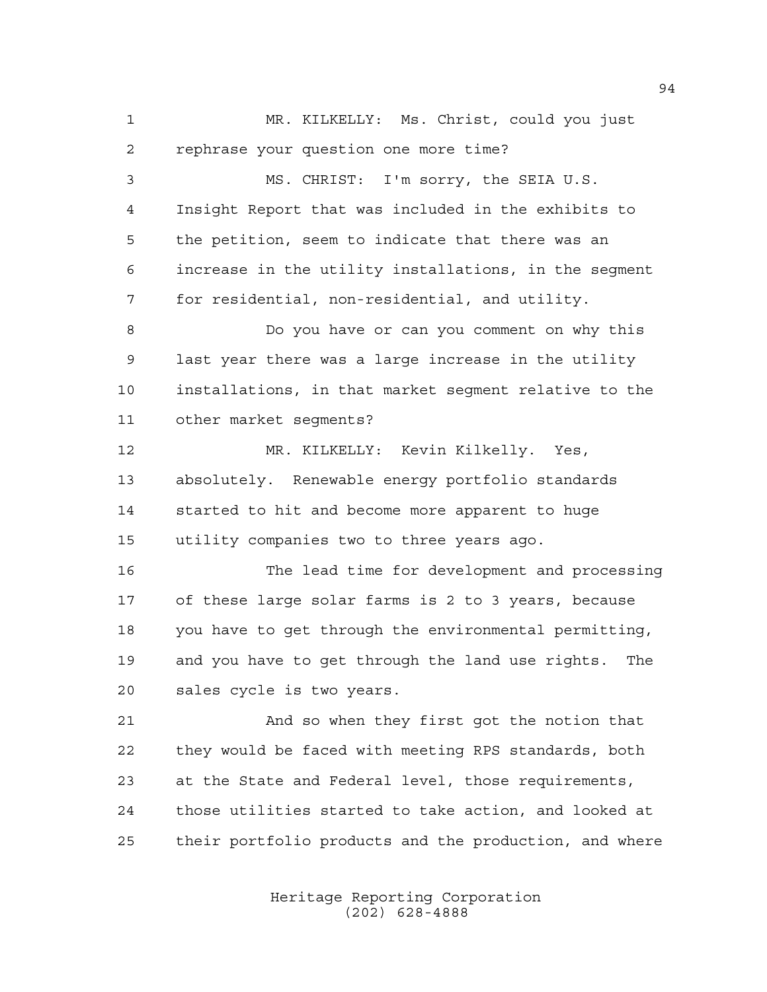MR. KILKELLY: Ms. Christ, could you just rephrase your question one more time?

 MS. CHRIST: I'm sorry, the SEIA U.S. Insight Report that was included in the exhibits to the petition, seem to indicate that there was an increase in the utility installations, in the segment for residential, non-residential, and utility. Do you have or can you comment on why this last year there was a large increase in the utility installations, in that market segment relative to the other market segments? MR. KILKELLY: Kevin Kilkelly. Yes, absolutely. Renewable energy portfolio standards started to hit and become more apparent to huge utility companies two to three years ago. The lead time for development and processing

 of these large solar farms is 2 to 3 years, because you have to get through the environmental permitting, and you have to get through the land use rights. The sales cycle is two years.

 And so when they first got the notion that they would be faced with meeting RPS standards, both at the State and Federal level, those requirements, those utilities started to take action, and looked at their portfolio products and the production, and where

> Heritage Reporting Corporation (202) 628-4888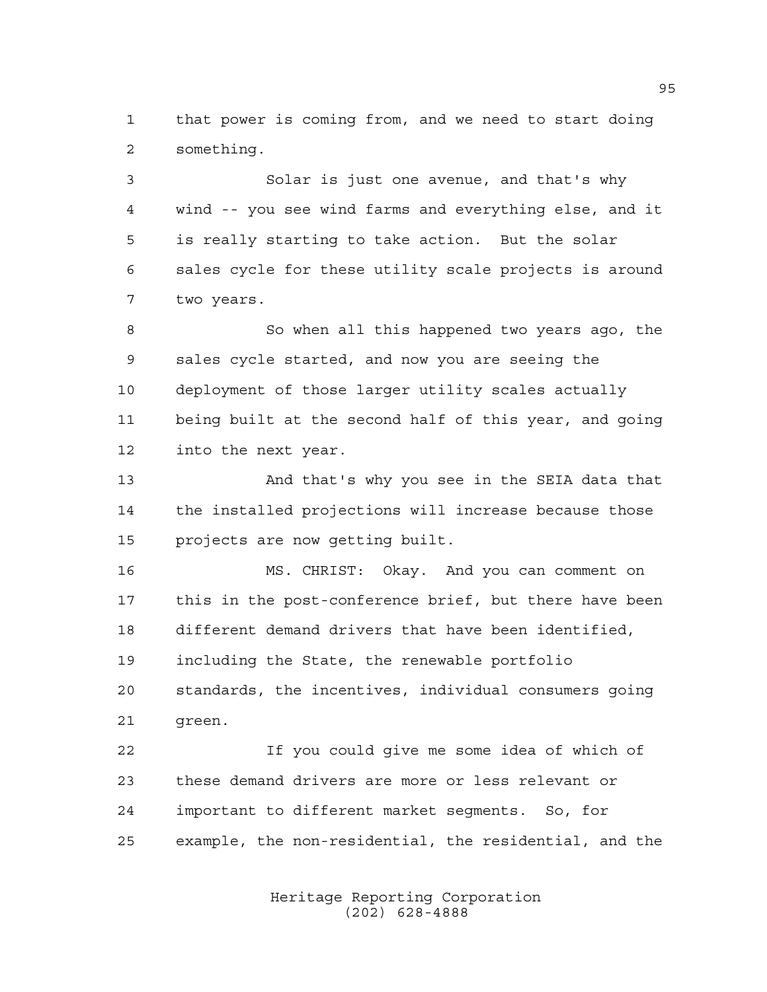that power is coming from, and we need to start doing something.

 Solar is just one avenue, and that's why wind -- you see wind farms and everything else, and it is really starting to take action. But the solar sales cycle for these utility scale projects is around two years.

8 So when all this happened two years ago, the sales cycle started, and now you are seeing the deployment of those larger utility scales actually being built at the second half of this year, and going into the next year.

 And that's why you see in the SEIA data that the installed projections will increase because those projects are now getting built.

 MS. CHRIST: Okay. And you can comment on this in the post-conference brief, but there have been different demand drivers that have been identified, including the State, the renewable portfolio standards, the incentives, individual consumers going green.

 If you could give me some idea of which of these demand drivers are more or less relevant or important to different market segments. So, for example, the non-residential, the residential, and the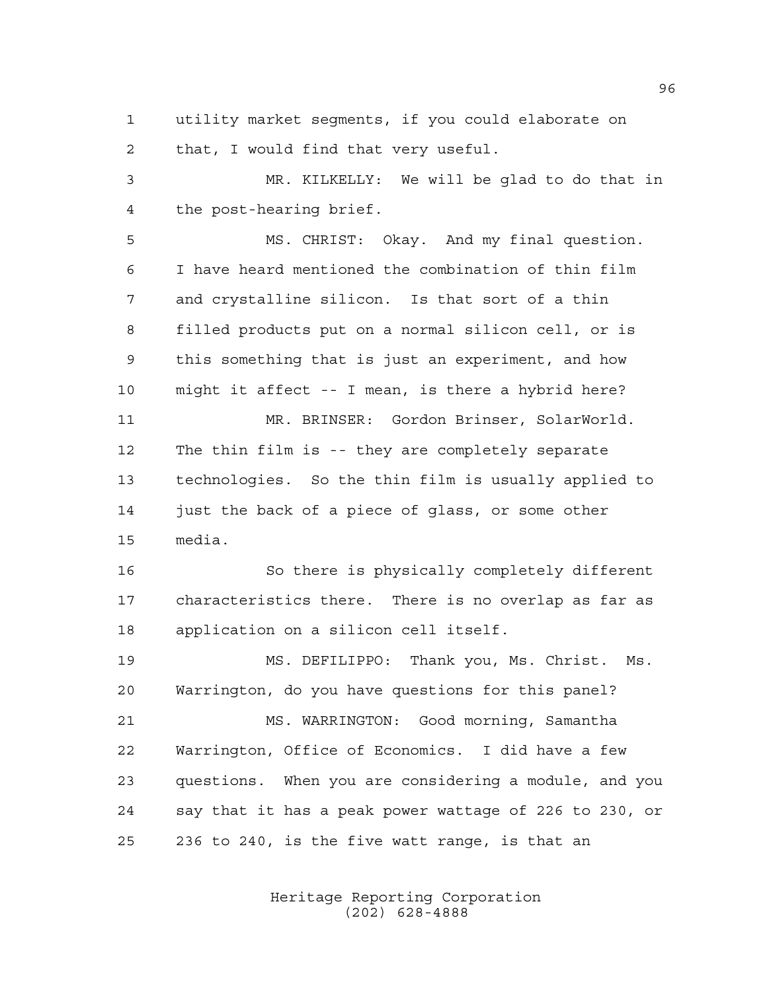utility market segments, if you could elaborate on that, I would find that very useful.

 MR. KILKELLY: We will be glad to do that in the post-hearing brief.

 MS. CHRIST: Okay. And my final question. I have heard mentioned the combination of thin film and crystalline silicon. Is that sort of a thin filled products put on a normal silicon cell, or is this something that is just an experiment, and how might it affect -- I mean, is there a hybrid here? MR. BRINSER: Gordon Brinser, SolarWorld. The thin film is -- they are completely separate technologies. So the thin film is usually applied to 14 just the back of a piece of glass, or some other media.

 So there is physically completely different characteristics there. There is no overlap as far as application on a silicon cell itself.

 MS. DEFILIPPO: Thank you, Ms. Christ. Ms. Warrington, do you have questions for this panel? MS. WARRINGTON: Good morning, Samantha Warrington, Office of Economics. I did have a few questions. When you are considering a module, and you say that it has a peak power wattage of 226 to 230, or 236 to 240, is the five watt range, is that an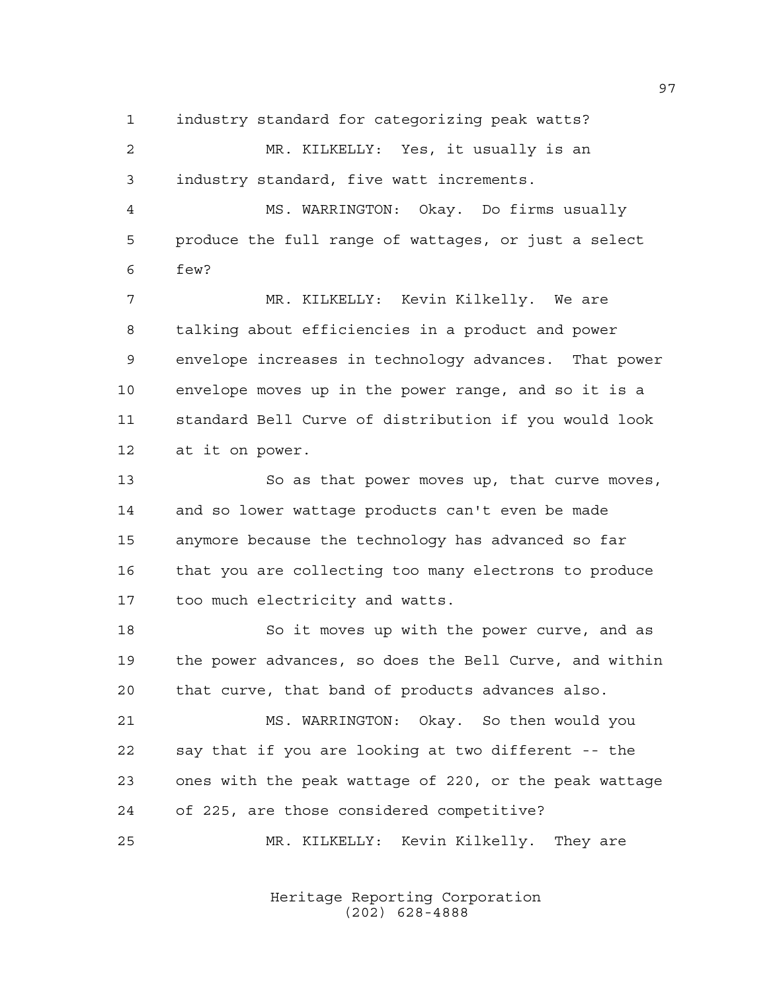industry standard for categorizing peak watts?

 MR. KILKELLY: Yes, it usually is an industry standard, five watt increments.

 MS. WARRINGTON: Okay. Do firms usually produce the full range of wattages, or just a select few?

 MR. KILKELLY: Kevin Kilkelly. We are talking about efficiencies in a product and power envelope increases in technology advances. That power envelope moves up in the power range, and so it is a standard Bell Curve of distribution if you would look at it on power.

 So as that power moves up, that curve moves, and so lower wattage products can't even be made anymore because the technology has advanced so far that you are collecting too many electrons to produce too much electricity and watts.

18 So it moves up with the power curve, and as the power advances, so does the Bell Curve, and within that curve, that band of products advances also.

 MS. WARRINGTON: Okay. So then would you say that if you are looking at two different -- the ones with the peak wattage of 220, or the peak wattage of 225, are those considered competitive?

MR. KILKELLY: Kevin Kilkelly. They are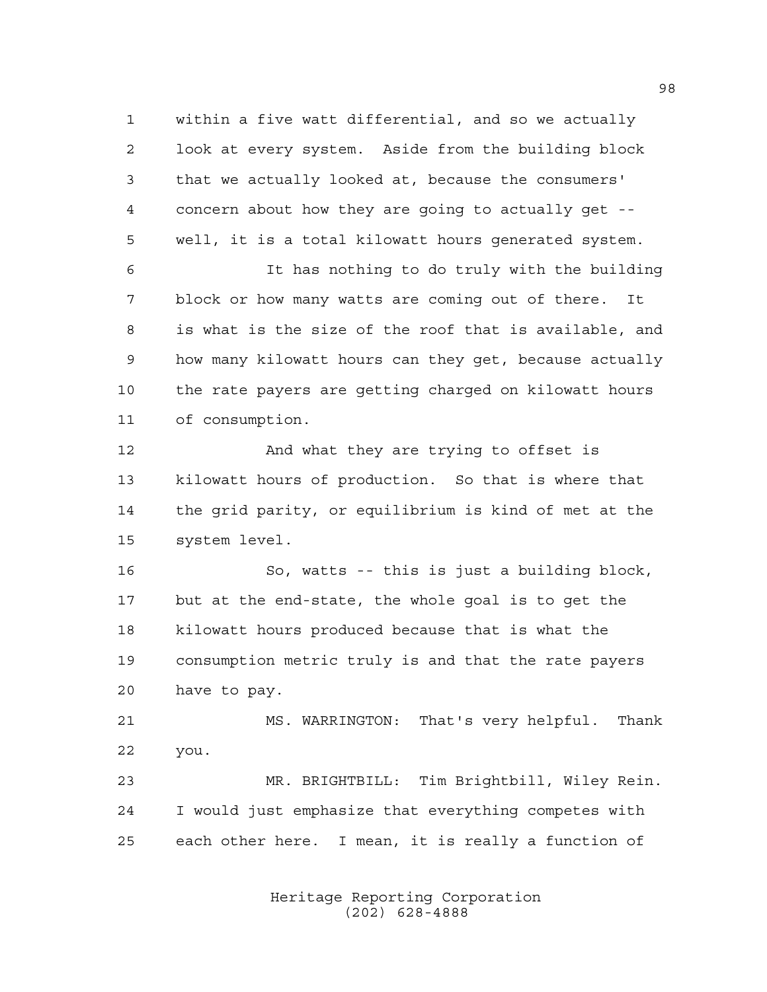within a five watt differential, and so we actually look at every system. Aside from the building block that we actually looked at, because the consumers' concern about how they are going to actually get -- well, it is a total kilowatt hours generated system.

 It has nothing to do truly with the building block or how many watts are coming out of there. It is what is the size of the roof that is available, and how many kilowatt hours can they get, because actually the rate payers are getting charged on kilowatt hours of consumption.

 And what they are trying to offset is kilowatt hours of production. So that is where that the grid parity, or equilibrium is kind of met at the system level.

 So, watts -- this is just a building block, but at the end-state, the whole goal is to get the kilowatt hours produced because that is what the consumption metric truly is and that the rate payers have to pay.

 MS. WARRINGTON: That's very helpful. Thank you.

 MR. BRIGHTBILL: Tim Brightbill, Wiley Rein. I would just emphasize that everything competes with each other here. I mean, it is really a function of

> Heritage Reporting Corporation (202) 628-4888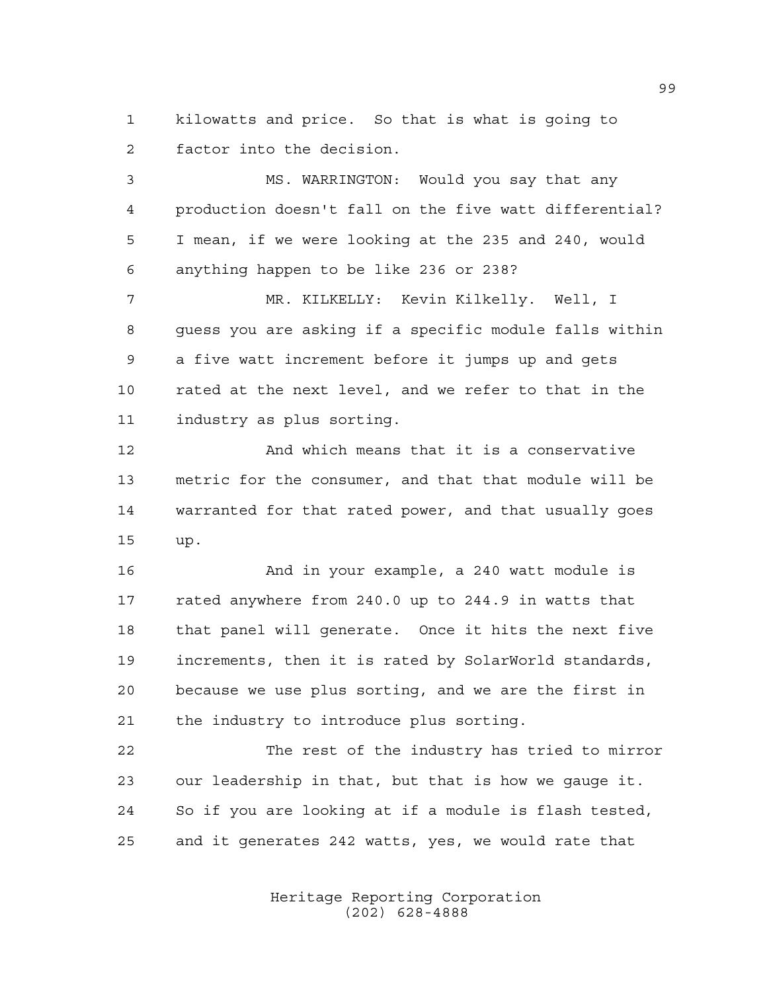kilowatts and price. So that is what is going to factor into the decision.

 MS. WARRINGTON: Would you say that any production doesn't fall on the five watt differential? I mean, if we were looking at the 235 and 240, would anything happen to be like 236 or 238?

 MR. KILKELLY: Kevin Kilkelly. Well, I guess you are asking if a specific module falls within a five watt increment before it jumps up and gets rated at the next level, and we refer to that in the industry as plus sorting.

 And which means that it is a conservative metric for the consumer, and that that module will be warranted for that rated power, and that usually goes up.

 And in your example, a 240 watt module is rated anywhere from 240.0 up to 244.9 in watts that that panel will generate. Once it hits the next five increments, then it is rated by SolarWorld standards, because we use plus sorting, and we are the first in the industry to introduce plus sorting.

 The rest of the industry has tried to mirror our leadership in that, but that is how we gauge it. So if you are looking at if a module is flash tested, and it generates 242 watts, yes, we would rate that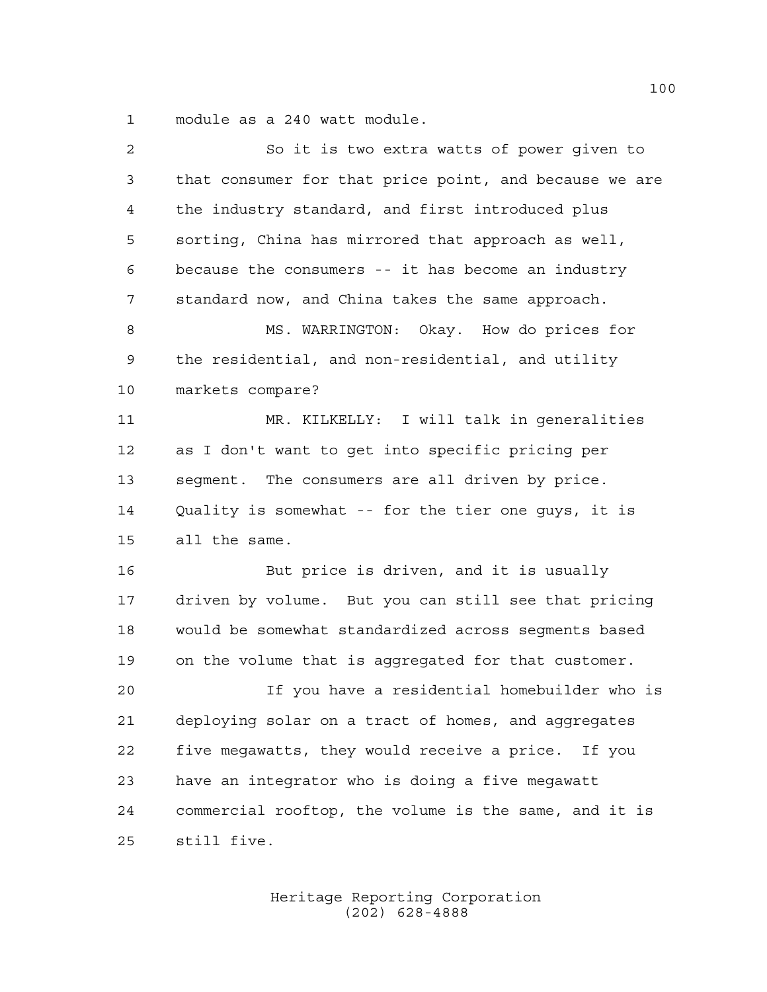module as a 240 watt module.

| $\overline{a}$ | So it is two extra watts of power given to             |
|----------------|--------------------------------------------------------|
| 3              | that consumer for that price point, and because we are |
| 4              | the industry standard, and first introduced plus       |
| 5              | sorting, China has mirrored that approach as well,     |
| 6              | because the consumers -- it has become an industry     |
| 7              | standard now, and China takes the same approach.       |
| 8              | MS. WARRINGTON: Okay. How do prices for                |
| 9              | the residential, and non-residential, and utility      |
| 10             | markets compare?                                       |
| 11             | MR. KILKELLY: I will talk in generalities              |
| 12             | as I don't want to get into specific pricing per       |
| 13             | segment. The consumers are all driven by price.        |
| 14             | Quality is somewhat -- for the tier one guys, it is    |
| 15             | all the same.                                          |
| 16             | But price is driven, and it is usually                 |
| 17             | driven by volume. But you can still see that pricing   |
| 18             | would be somewhat standardized across segments based   |
| 19             | on the volume that is aggregated for that customer.    |
| 20             | If you have a residential homebuilder who is           |
| 21             | deploying solar on a tract of homes, and aggregates    |
| 22             | five megawatts, they would receive a price. If you     |
| 23             | have an integrator who is doing a five megawatt        |
| 24             | commercial rooftop, the volume is the same, and it is  |
| 25             | still five.                                            |
|                |                                                        |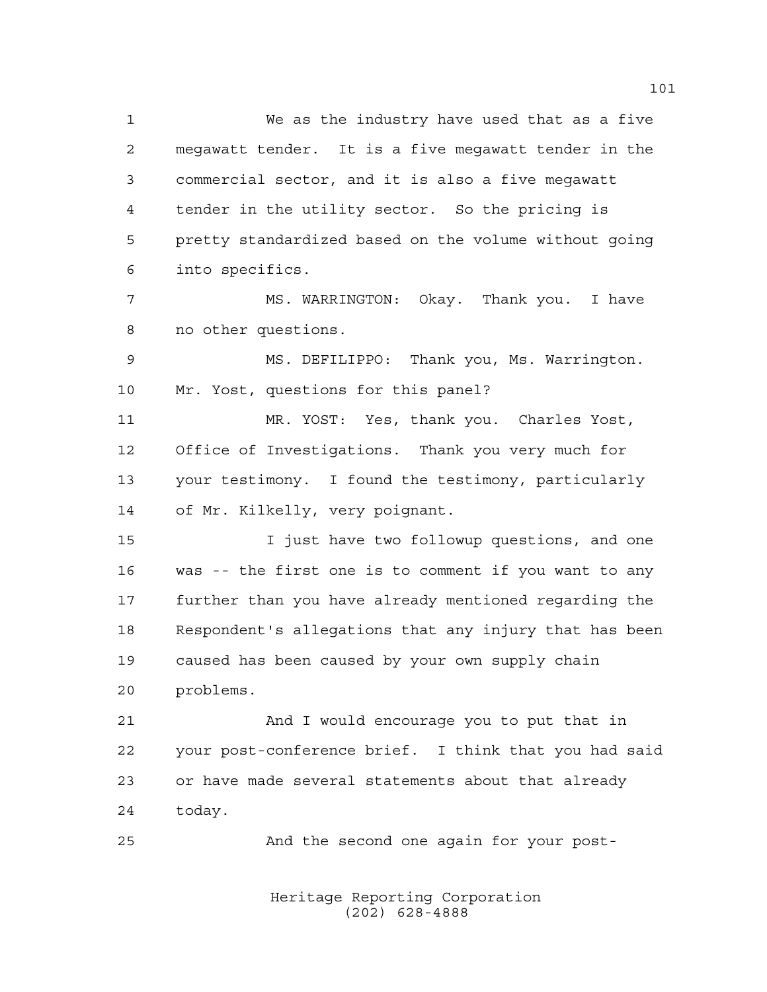We as the industry have used that as a five megawatt tender. It is a five megawatt tender in the commercial sector, and it is also a five megawatt tender in the utility sector. So the pricing is pretty standardized based on the volume without going into specifics. MS. WARRINGTON: Okay. Thank you. I have no other questions. MS. DEFILIPPO: Thank you, Ms. Warrington. Mr. Yost, questions for this panel? MR. YOST: Yes, thank you. Charles Yost, Office of Investigations. Thank you very much for your testimony. I found the testimony, particularly of Mr. Kilkelly, very poignant. I just have two followup questions, and one was -- the first one is to comment if you want to any further than you have already mentioned regarding the Respondent's allegations that any injury that has been caused has been caused by your own supply chain problems. And I would encourage you to put that in your post-conference brief. I think that you had said or have made several statements about that already today.

And the second one again for your post-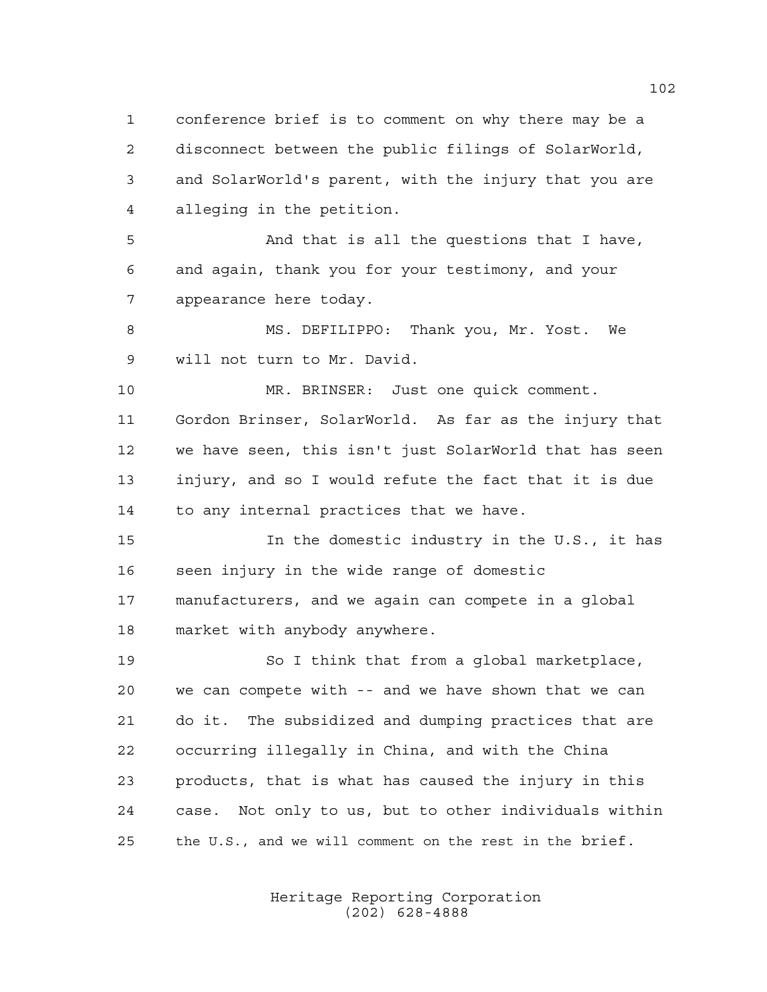conference brief is to comment on why there may be a disconnect between the public filings of SolarWorld, and SolarWorld's parent, with the injury that you are alleging in the petition.

 And that is all the questions that I have, and again, thank you for your testimony, and your appearance here today.

 MS. DEFILIPPO: Thank you, Mr. Yost. We will not turn to Mr. David.

 MR. BRINSER: Just one quick comment. Gordon Brinser, SolarWorld. As far as the injury that we have seen, this isn't just SolarWorld that has seen injury, and so I would refute the fact that it is due to any internal practices that we have.

 In the domestic industry in the U.S., it has seen injury in the wide range of domestic manufacturers, and we again can compete in a global market with anybody anywhere.

 So I think that from a global marketplace, we can compete with -- and we have shown that we can do it. The subsidized and dumping practices that are occurring illegally in China, and with the China products, that is what has caused the injury in this case. Not only to us, but to other individuals within the U.S., and we will comment on the rest in the brief.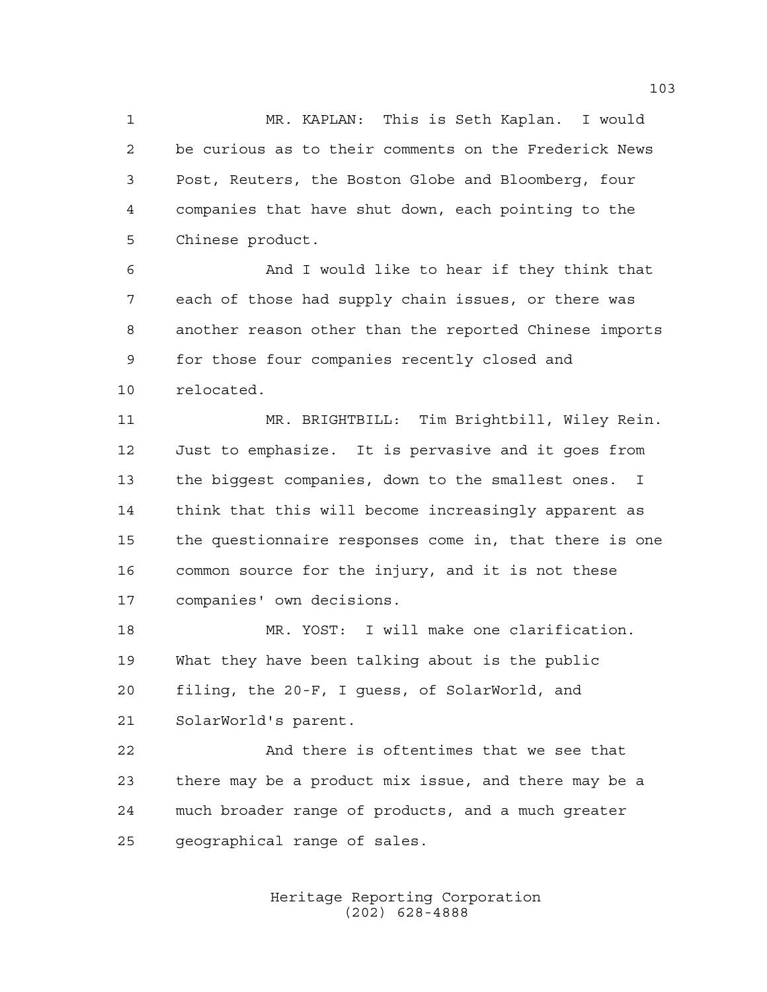MR. KAPLAN: This is Seth Kaplan. I would be curious as to their comments on the Frederick News Post, Reuters, the Boston Globe and Bloomberg, four companies that have shut down, each pointing to the Chinese product.

 And I would like to hear if they think that each of those had supply chain issues, or there was another reason other than the reported Chinese imports for those four companies recently closed and relocated.

 MR. BRIGHTBILL: Tim Brightbill, Wiley Rein. Just to emphasize. It is pervasive and it goes from the biggest companies, down to the smallest ones. I think that this will become increasingly apparent as the questionnaire responses come in, that there is one common source for the injury, and it is not these companies' own decisions.

 MR. YOST: I will make one clarification. What they have been talking about is the public filing, the 20-F, I guess, of SolarWorld, and SolarWorld's parent.

 And there is oftentimes that we see that there may be a product mix issue, and there may be a much broader range of products, and a much greater geographical range of sales.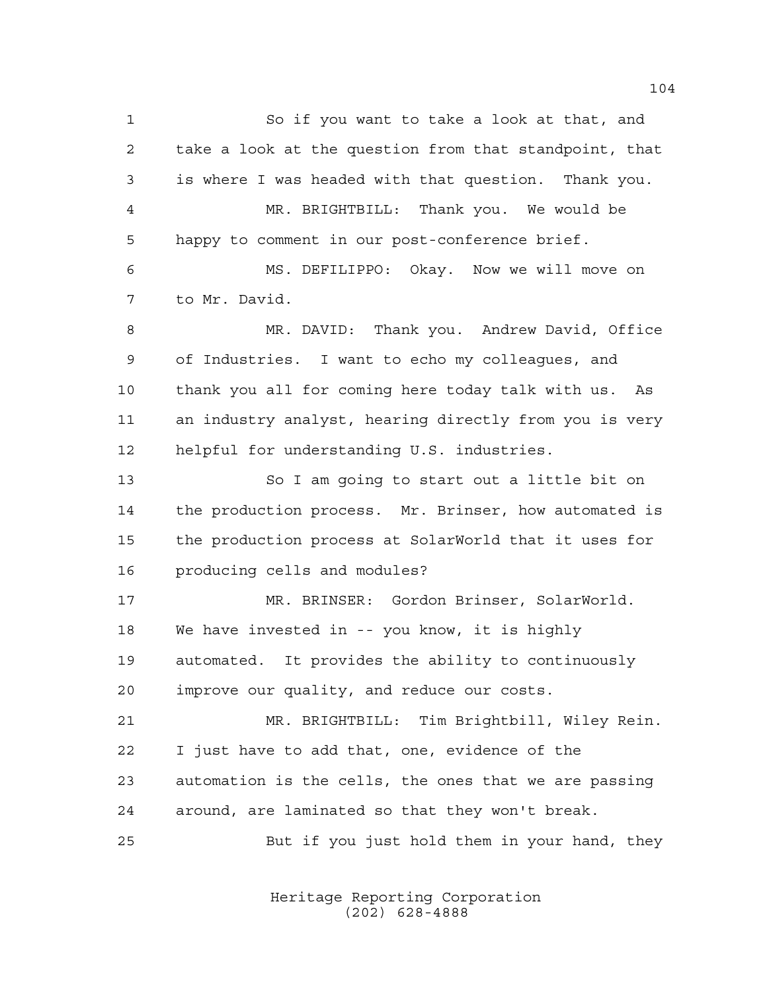So if you want to take a look at that, and take a look at the question from that standpoint, that is where I was headed with that question. Thank you. MR. BRIGHTBILL: Thank you. We would be happy to comment in our post-conference brief. MS. DEFILIPPO: Okay. Now we will move on to Mr. David. MR. DAVID: Thank you. Andrew David, Office of Industries. I want to echo my colleagues, and thank you all for coming here today talk with us. As an industry analyst, hearing directly from you is very helpful for understanding U.S. industries. So I am going to start out a little bit on the production process. Mr. Brinser, how automated is the production process at SolarWorld that it uses for producing cells and modules? MR. BRINSER: Gordon Brinser, SolarWorld. We have invested in -- you know, it is highly automated. It provides the ability to continuously improve our quality, and reduce our costs. MR. BRIGHTBILL: Tim Brightbill, Wiley Rein. I just have to add that, one, evidence of the automation is the cells, the ones that we are passing around, are laminated so that they won't break. But if you just hold them in your hand, they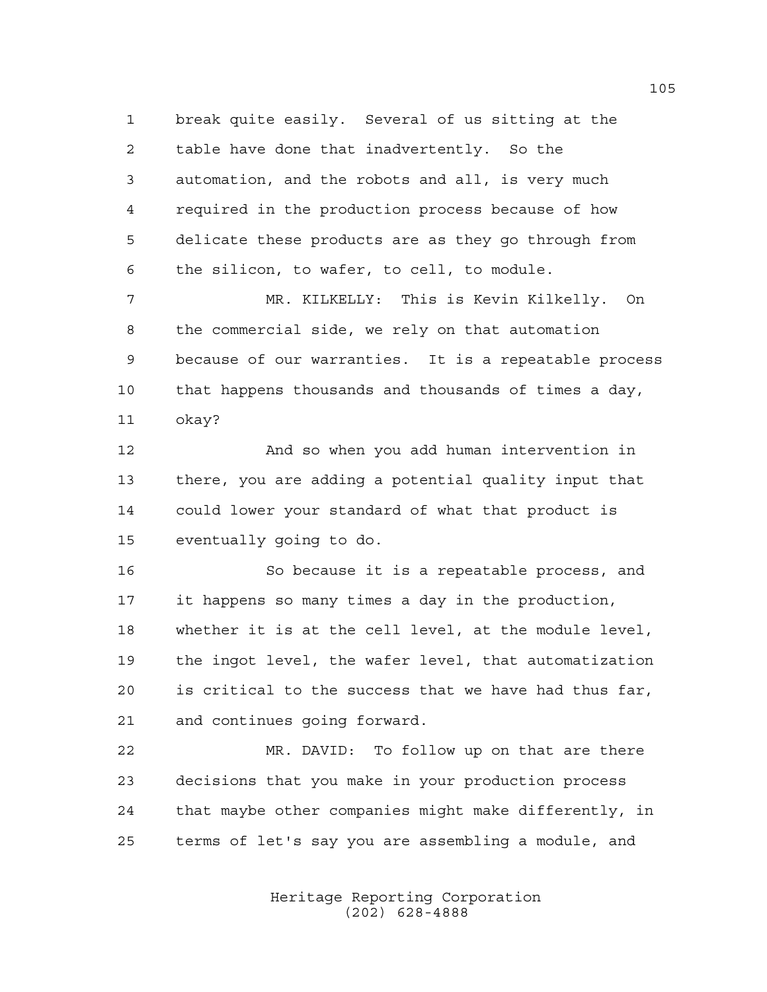break quite easily. Several of us sitting at the table have done that inadvertently. So the automation, and the robots and all, is very much required in the production process because of how delicate these products are as they go through from the silicon, to wafer, to cell, to module.

 MR. KILKELLY: This is Kevin Kilkelly. On the commercial side, we rely on that automation because of our warranties. It is a repeatable process that happens thousands and thousands of times a day, okay?

 And so when you add human intervention in there, you are adding a potential quality input that could lower your standard of what that product is eventually going to do.

 So because it is a repeatable process, and it happens so many times a day in the production, whether it is at the cell level, at the module level, the ingot level, the wafer level, that automatization is critical to the success that we have had thus far, and continues going forward.

 MR. DAVID: To follow up on that are there decisions that you make in your production process that maybe other companies might make differently, in terms of let's say you are assembling a module, and

> Heritage Reporting Corporation (202) 628-4888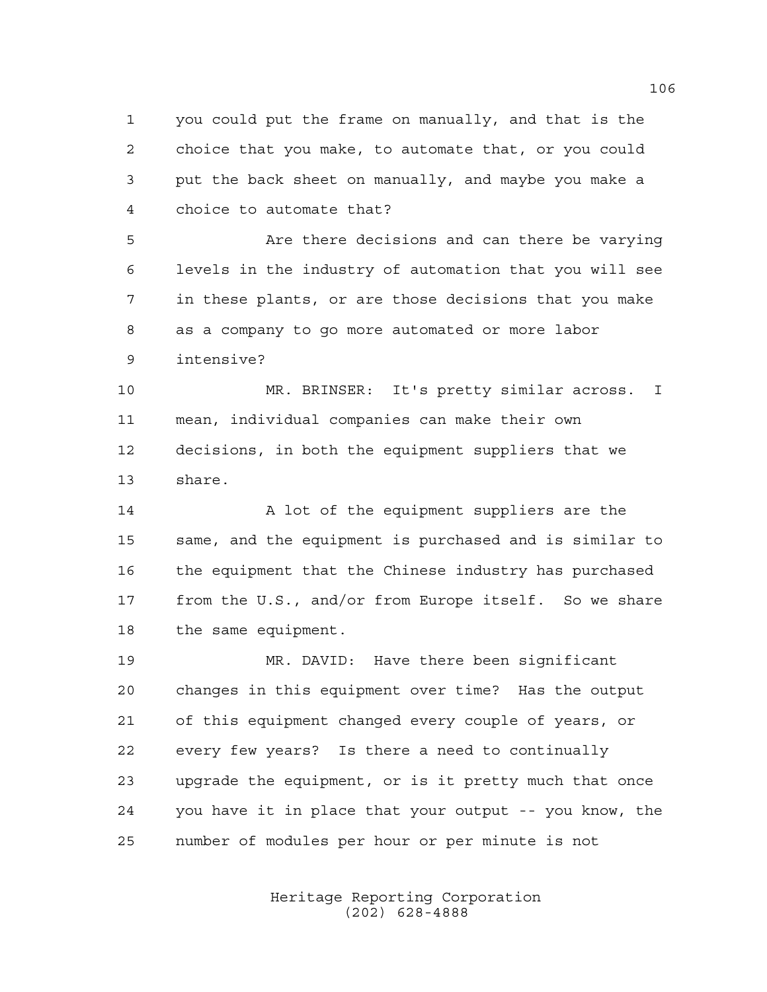you could put the frame on manually, and that is the choice that you make, to automate that, or you could put the back sheet on manually, and maybe you make a choice to automate that?

 Are there decisions and can there be varying levels in the industry of automation that you will see in these plants, or are those decisions that you make as a company to go more automated or more labor intensive?

 MR. BRINSER: It's pretty similar across. I mean, individual companies can make their own decisions, in both the equipment suppliers that we share.

14 A lot of the equipment suppliers are the same, and the equipment is purchased and is similar to 16 the equipment that the Chinese industry has purchased from the U.S., and/or from Europe itself. So we share the same equipment.

 MR. DAVID: Have there been significant changes in this equipment over time? Has the output of this equipment changed every couple of years, or every few years? Is there a need to continually upgrade the equipment, or is it pretty much that once you have it in place that your output -- you know, the number of modules per hour or per minute is not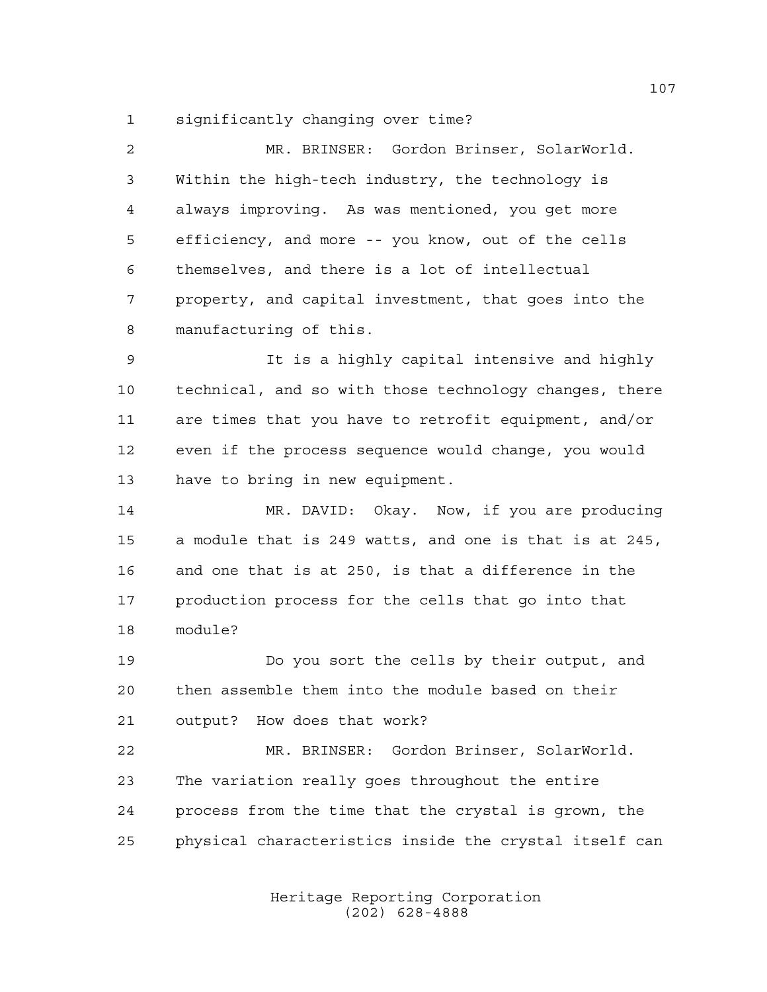significantly changing over time?

 MR. BRINSER: Gordon Brinser, SolarWorld. Within the high-tech industry, the technology is always improving. As was mentioned, you get more efficiency, and more -- you know, out of the cells themselves, and there is a lot of intellectual property, and capital investment, that goes into the manufacturing of this.

 It is a highly capital intensive and highly technical, and so with those technology changes, there are times that you have to retrofit equipment, and/or even if the process sequence would change, you would have to bring in new equipment.

14 MR. DAVID: Okay. Now, if you are producing a module that is 249 watts, and one is that is at 245, and one that is at 250, is that a difference in the production process for the cells that go into that module?

 Do you sort the cells by their output, and then assemble them into the module based on their output? How does that work?

 MR. BRINSER: Gordon Brinser, SolarWorld. The variation really goes throughout the entire process from the time that the crystal is grown, the physical characteristics inside the crystal itself can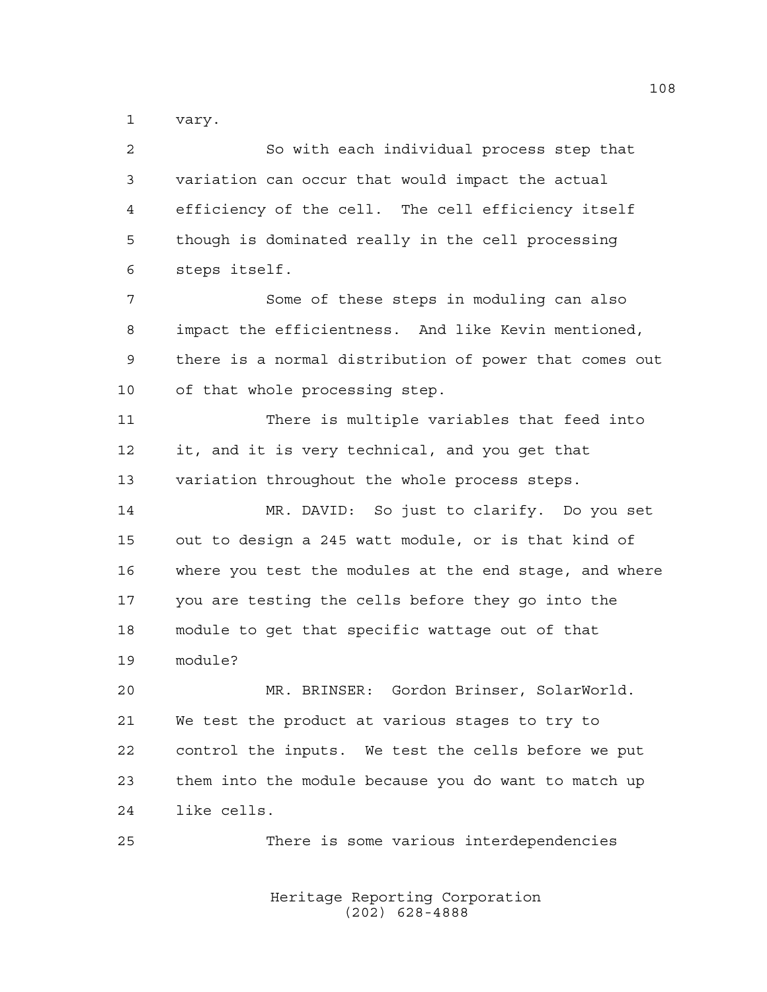vary.

| $\overline{a}$ | So with each individual process step that              |
|----------------|--------------------------------------------------------|
| 3              | variation can occur that would impact the actual       |
| 4              | efficiency of the cell. The cell efficiency itself     |
| 5              | though is dominated really in the cell processing      |
| 6              | steps itself.                                          |
| 7              | Some of these steps in moduling can also               |
| 8              | impact the efficientness. And like Kevin mentioned,    |
| 9              | there is a normal distribution of power that comes out |
| 10             | of that whole processing step.                         |
| 11             | There is multiple variables that feed into             |
| 12             | it, and it is very technical, and you get that         |
| 13             | variation throughout the whole process steps.          |
| 14             | MR. DAVID: So just to clarify. Do you set              |
| 15             | out to design a 245 watt module, or is that kind of    |
| 16             | where you test the modules at the end stage, and where |
| 17             | you are testing the cells before they go into the      |
| 18             | module to get that specific wattage out of that        |
| 19             | module?                                                |
| 20             | MR. BRINSER: Gordon Brinser, SolarWorld.               |
| 21             | We test the product at various stages to try to        |
| 22             | control the inputs. We test the cells before we put    |
| 23             | them into the module because you do want to match up   |
| 24             | like cells.                                            |
| 25             | There is some various interdependencies                |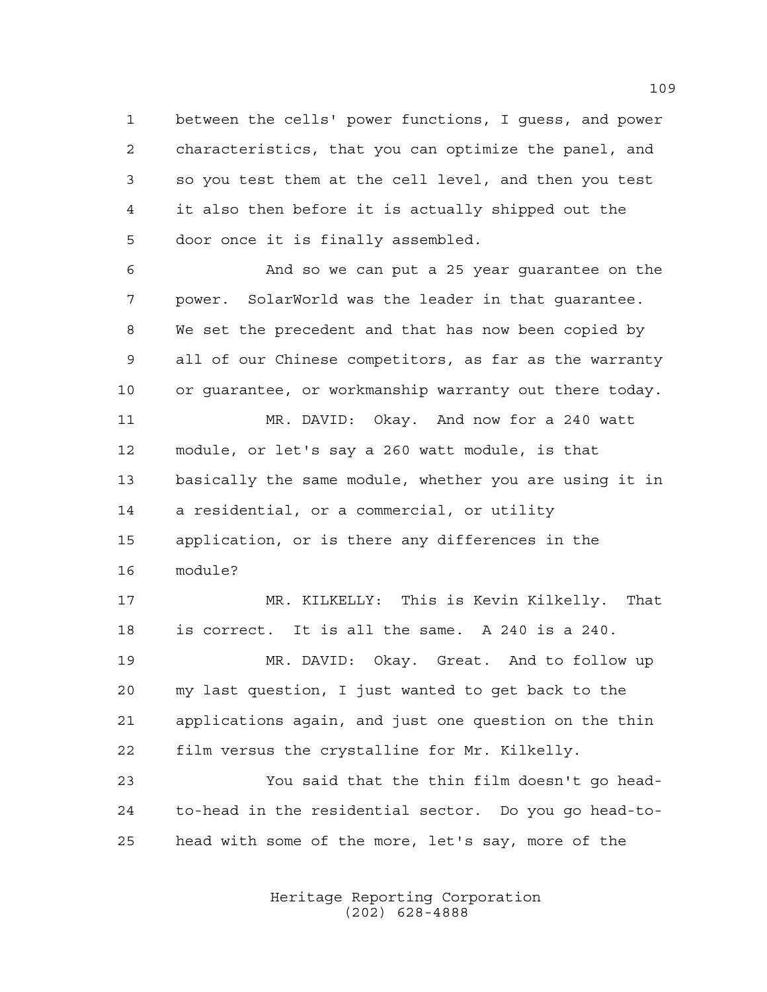between the cells' power functions, I guess, and power characteristics, that you can optimize the panel, and so you test them at the cell level, and then you test it also then before it is actually shipped out the door once it is finally assembled.

 And so we can put a 25 year guarantee on the power. SolarWorld was the leader in that guarantee. We set the precedent and that has now been copied by all of our Chinese competitors, as far as the warranty or guarantee, or workmanship warranty out there today.

 MR. DAVID: Okay. And now for a 240 watt module, or let's say a 260 watt module, is that basically the same module, whether you are using it in a residential, or a commercial, or utility application, or is there any differences in the module?

 MR. KILKELLY: This is Kevin Kilkelly. That is correct. It is all the same. A 240 is a 240.

 MR. DAVID: Okay. Great. And to follow up my last question, I just wanted to get back to the applications again, and just one question on the thin film versus the crystalline for Mr. Kilkelly.

 You said that the thin film doesn't go head- to-head in the residential sector. Do you go head-to-head with some of the more, let's say, more of the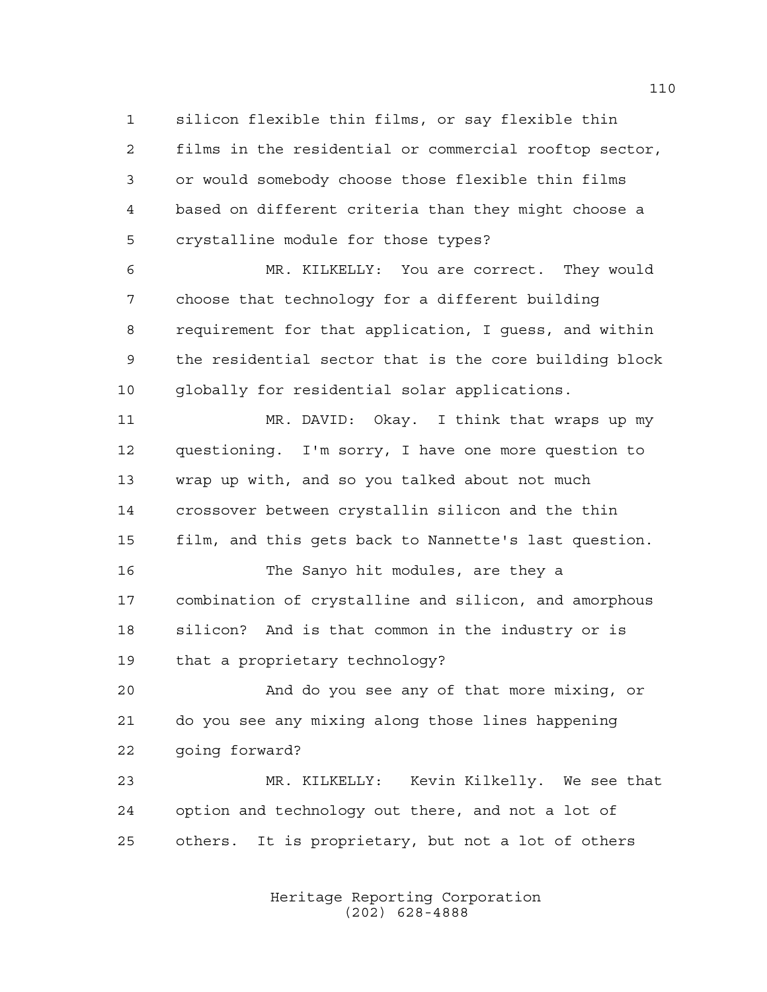silicon flexible thin films, or say flexible thin films in the residential or commercial rooftop sector, or would somebody choose those flexible thin films based on different criteria than they might choose a crystalline module for those types?

 MR. KILKELLY: You are correct. They would choose that technology for a different building requirement for that application, I guess, and within the residential sector that is the core building block globally for residential solar applications.

 MR. DAVID: Okay. I think that wraps up my questioning. I'm sorry, I have one more question to wrap up with, and so you talked about not much crossover between crystallin silicon and the thin film, and this gets back to Nannette's last question. The Sanyo hit modules, are they a combination of crystalline and silicon, and amorphous silicon? And is that common in the industry or is that a proprietary technology?

And do you see any of that more mixing, or

 do you see any mixing along those lines happening going forward?

 MR. KILKELLY: Kevin Kilkelly. We see that option and technology out there, and not a lot of others. It is proprietary, but not a lot of others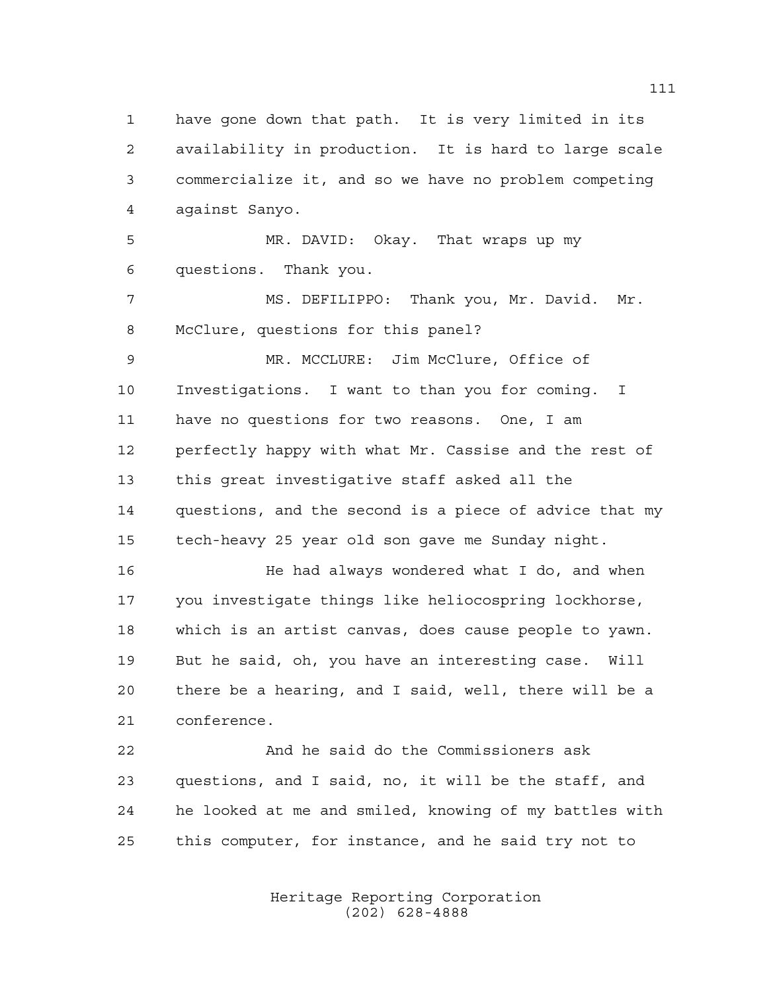have gone down that path. It is very limited in its availability in production. It is hard to large scale commercialize it, and so we have no problem competing against Sanyo. MR. DAVID: Okay. That wraps up my questions. Thank you. MS. DEFILIPPO: Thank you, Mr. David. Mr. McClure, questions for this panel? MR. MCCLURE: Jim McClure, Office of

 Investigations. I want to than you for coming. I have no questions for two reasons. One, I am perfectly happy with what Mr. Cassise and the rest of this great investigative staff asked all the questions, and the second is a piece of advice that my tech-heavy 25 year old son gave me Sunday night.

**He had always wondered what I do, and when**  you investigate things like heliocospring lockhorse, which is an artist canvas, does cause people to yawn. But he said, oh, you have an interesting case. Will there be a hearing, and I said, well, there will be a conference.

 And he said do the Commissioners ask questions, and I said, no, it will be the staff, and he looked at me and smiled, knowing of my battles with this computer, for instance, and he said try not to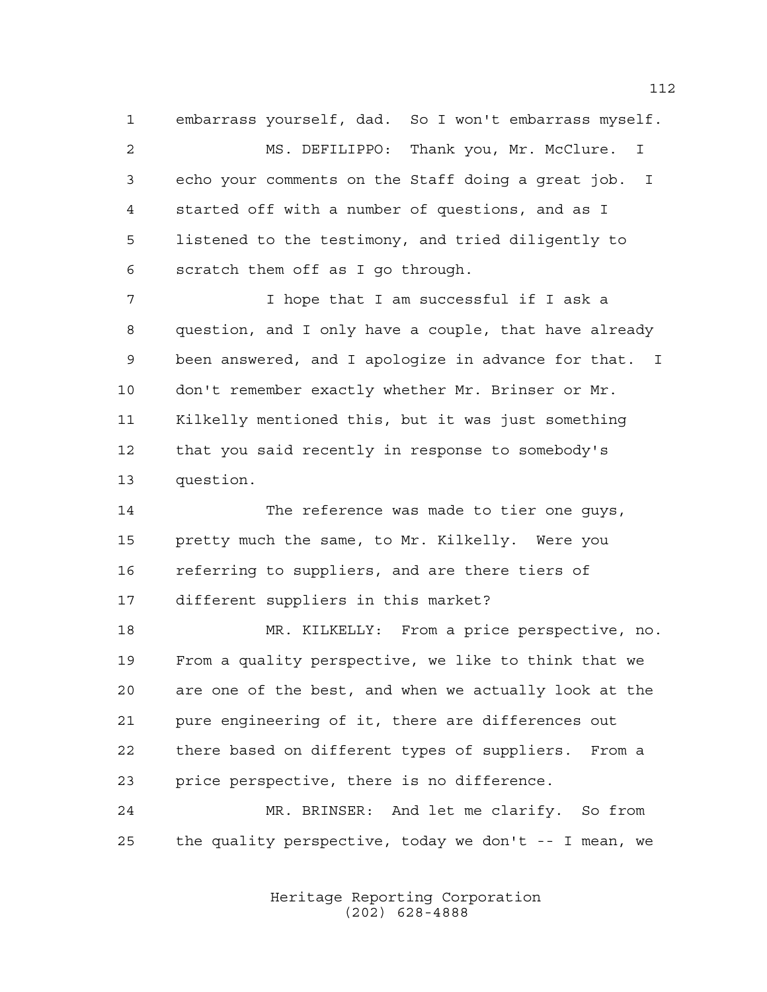embarrass yourself, dad. So I won't embarrass myself. MS. DEFILIPPO: Thank you, Mr. McClure. I echo your comments on the Staff doing a great job. I started off with a number of questions, and as I listened to the testimony, and tried diligently to scratch them off as I go through.

 I hope that I am successful if I ask a question, and I only have a couple, that have already been answered, and I apologize in advance for that. I don't remember exactly whether Mr. Brinser or Mr. Kilkelly mentioned this, but it was just something that you said recently in response to somebody's question.

 The reference was made to tier one guys, pretty much the same, to Mr. Kilkelly. Were you referring to suppliers, and are there tiers of different suppliers in this market?

 MR. KILKELLY: From a price perspective, no. From a quality perspective, we like to think that we are one of the best, and when we actually look at the pure engineering of it, there are differences out there based on different types of suppliers. From a price perspective, there is no difference.

 MR. BRINSER: And let me clarify. So from the quality perspective, today we don't -- I mean, we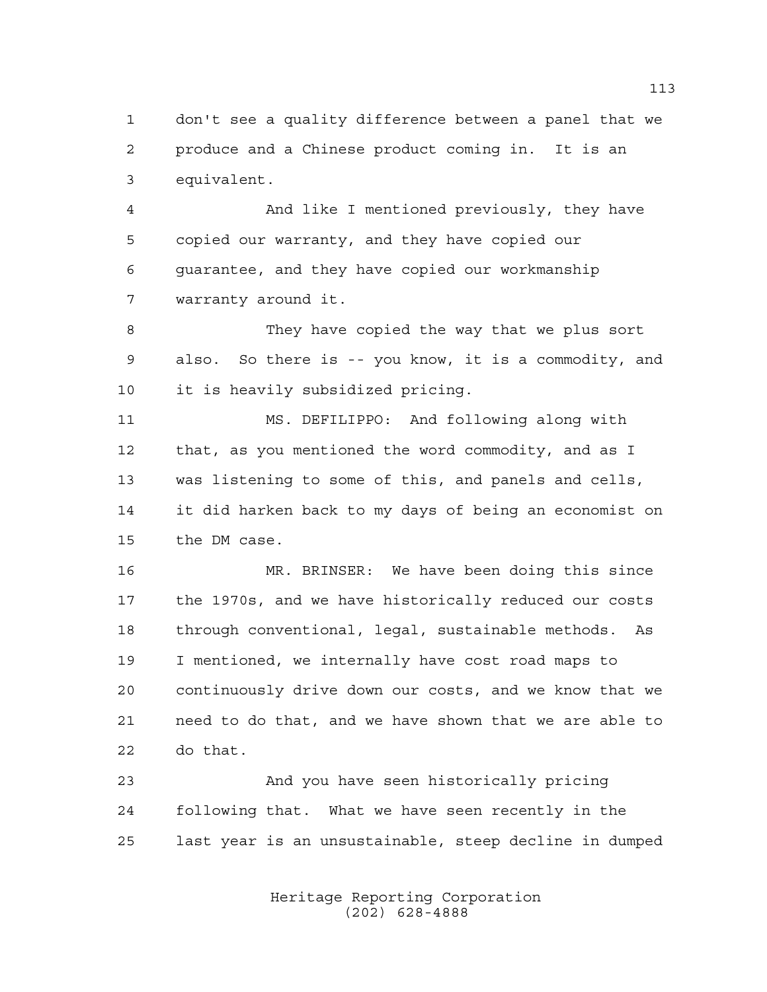don't see a quality difference between a panel that we produce and a Chinese product coming in. It is an equivalent.

 And like I mentioned previously, they have copied our warranty, and they have copied our guarantee, and they have copied our workmanship warranty around it.

 They have copied the way that we plus sort also. So there is -- you know, it is a commodity, and it is heavily subsidized pricing.

 MS. DEFILIPPO: And following along with that, as you mentioned the word commodity, and as I was listening to some of this, and panels and cells, it did harken back to my days of being an economist on the DM case.

 MR. BRINSER: We have been doing this since the 1970s, and we have historically reduced our costs through conventional, legal, sustainable methods. As I mentioned, we internally have cost road maps to continuously drive down our costs, and we know that we need to do that, and we have shown that we are able to do that.

 And you have seen historically pricing following that. What we have seen recently in the last year is an unsustainable, steep decline in dumped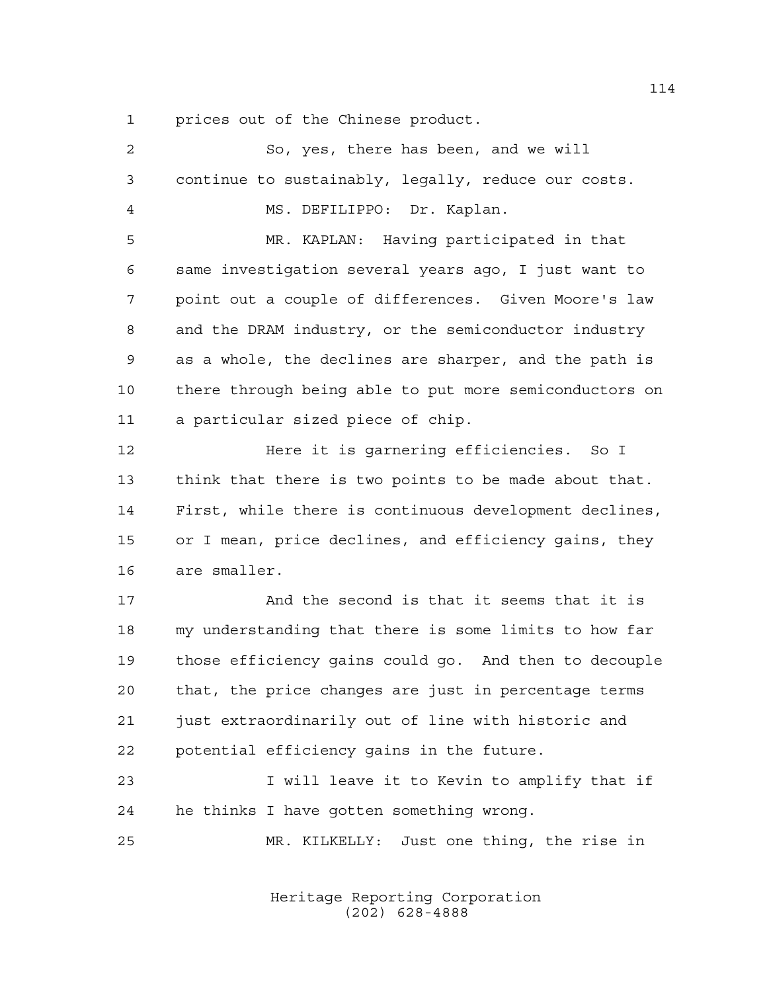prices out of the Chinese product.

| 2  | So, yes, there has been, and we will                   |
|----|--------------------------------------------------------|
| 3  | continue to sustainably, legally, reduce our costs.    |
| 4  | MS. DEFILIPPO: Dr. Kaplan.                             |
| 5  | MR. KAPLAN: Having participated in that                |
| 6  | same investigation several years ago, I just want to   |
| 7  | point out a couple of differences. Given Moore's law   |
| 8  | and the DRAM industry, or the semiconductor industry   |
| 9  | as a whole, the declines are sharper, and the path is  |
| 10 | there through being able to put more semiconductors on |
| 11 | a particular sized piece of chip.                      |
| 12 | Here it is garnering efficiencies. So I                |
| 13 | think that there is two points to be made about that.  |
| 14 | First, while there is continuous development declines, |
| 15 | or I mean, price declines, and efficiency gains, they  |
| 16 | are smaller.                                           |
| 17 | And the second is that it seems that it is             |
| 18 | my understanding that there is some limits to how far  |
| 19 | those efficiency gains could go. And then to decouple  |
| 20 | that, the price changes are just in percentage terms   |
| 21 | just extraordinarily out of line with historic and     |
| 22 | potential efficiency gains in the future.              |
| 23 | I will leave it to Kevin to amplify that if            |
| 24 | he thinks I have gotten something wrong.               |
| 25 | MR. KILKELLY: Just one thing, the rise in              |
|    |                                                        |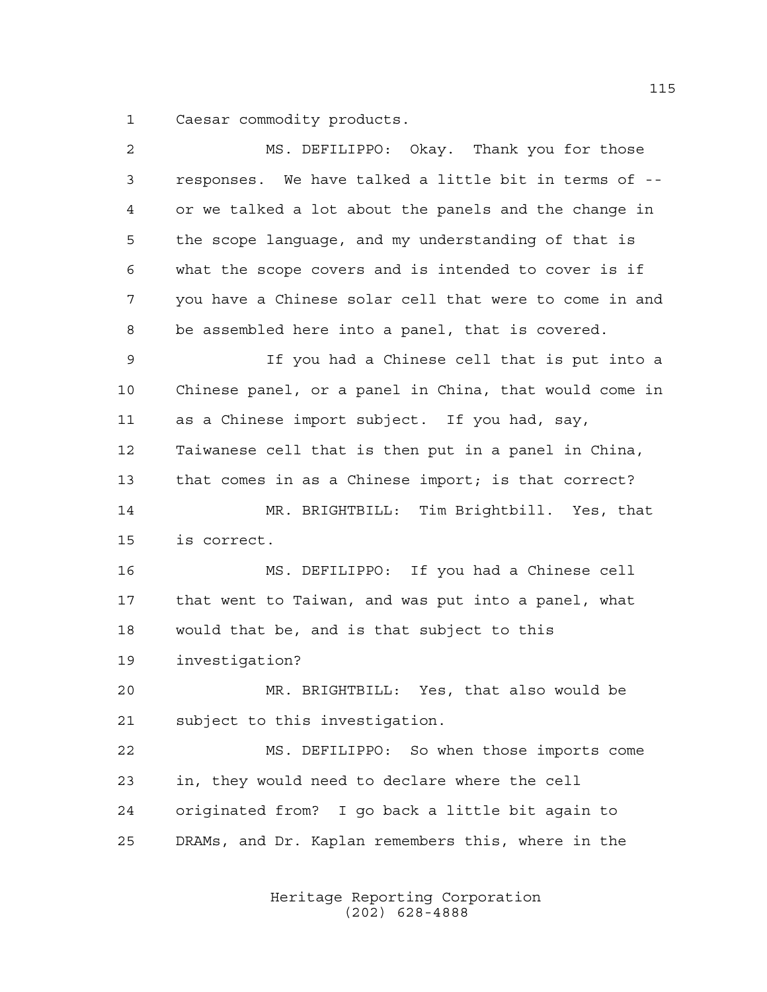Caesar commodity products.

| 2  | MS. DEFILIPPO: Okay. Thank you for those               |
|----|--------------------------------------------------------|
| 3  | responses. We have talked a little bit in terms of --  |
| 4  | or we talked a lot about the panels and the change in  |
| 5  | the scope language, and my understanding of that is    |
| 6  | what the scope covers and is intended to cover is if   |
| 7  | you have a Chinese solar cell that were to come in and |
| 8  | be assembled here into a panel, that is covered.       |
| 9  | If you had a Chinese cell that is put into a           |
| 10 | Chinese panel, or a panel in China, that would come in |
| 11 | as a Chinese import subject. If you had, say,          |
| 12 | Taiwanese cell that is then put in a panel in China,   |
| 13 | that comes in as a Chinese import; is that correct?    |
| 14 | MR. BRIGHTBILL: Tim Brightbill. Yes, that              |
| 15 | is correct.                                            |
| 16 | MS. DEFILIPPO: If you had a Chinese cell               |
| 17 | that went to Taiwan, and was put into a panel, what    |
| 18 | would that be, and is that subject to this             |
| 19 | investigation?                                         |
| 20 | MR. BRIGHTBILL: Yes, that also would be                |
| 21 | subject to this investigation.                         |
| 22 | MS. DEFILIPPO: So when those imports come              |
| 23 | in, they would need to declare where the cell          |
| 24 | originated from? I go back a little bit again to       |
| 25 | DRAMs, and Dr. Kaplan remembers this, where in the     |
|    |                                                        |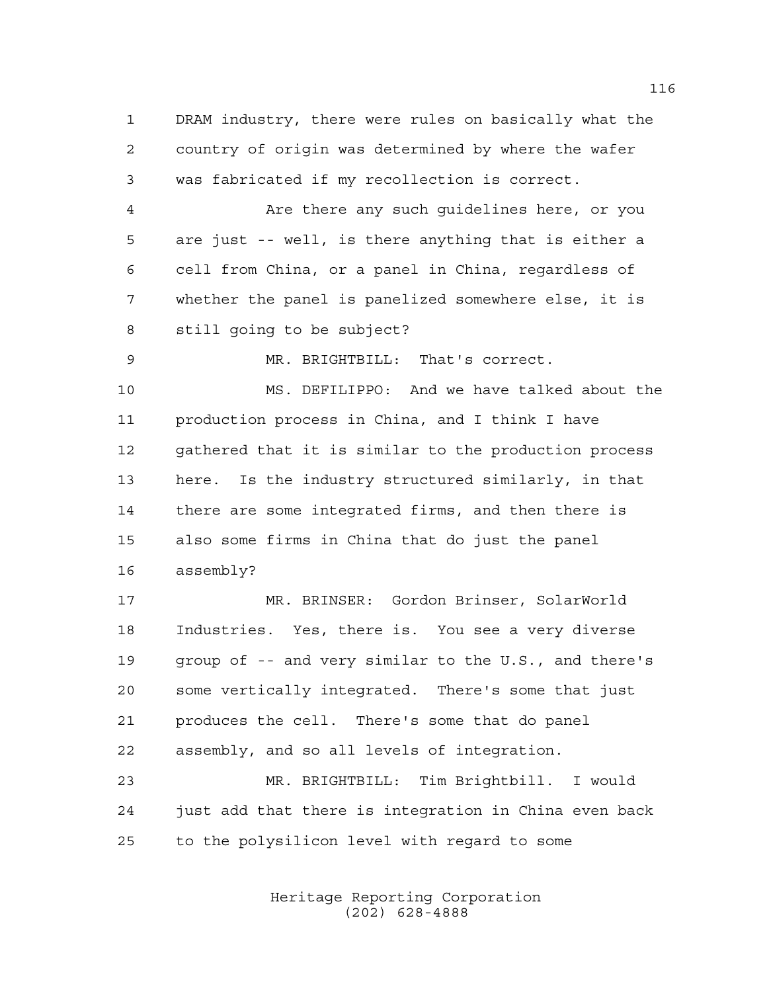DRAM industry, there were rules on basically what the country of origin was determined by where the wafer was fabricated if my recollection is correct.

 Are there any such guidelines here, or you are just -- well, is there anything that is either a cell from China, or a panel in China, regardless of whether the panel is panelized somewhere else, it is still going to be subject?

MR. BRIGHTBILL: That's correct.

 MS. DEFILIPPO: And we have talked about the production process in China, and I think I have gathered that it is similar to the production process here. Is the industry structured similarly, in that there are some integrated firms, and then there is also some firms in China that do just the panel assembly?

 MR. BRINSER: Gordon Brinser, SolarWorld Industries. Yes, there is. You see a very diverse group of -- and very similar to the U.S., and there's some vertically integrated. There's some that just produces the cell. There's some that do panel assembly, and so all levels of integration.

 MR. BRIGHTBILL: Tim Brightbill. I would just add that there is integration in China even back to the polysilicon level with regard to some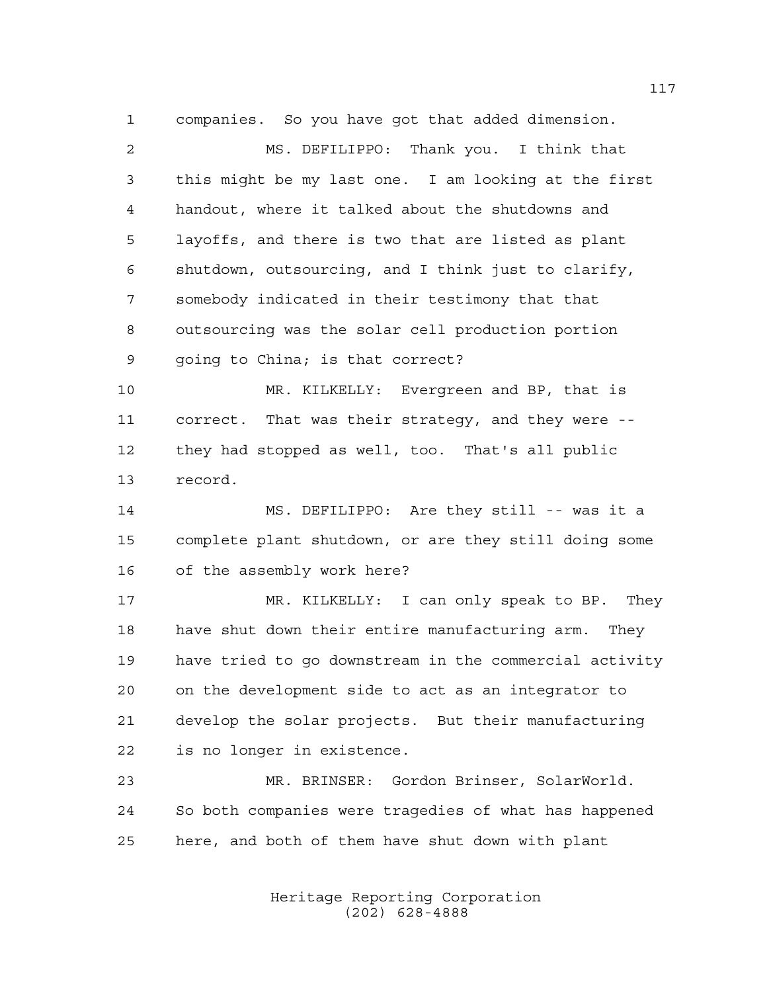companies. So you have got that added dimension. MS. DEFILIPPO: Thank you. I think that this might be my last one. I am looking at the first handout, where it talked about the shutdowns and layoffs, and there is two that are listed as plant shutdown, outsourcing, and I think just to clarify, somebody indicated in their testimony that that outsourcing was the solar cell production portion going to China; is that correct?

 MR. KILKELLY: Evergreen and BP, that is correct. That was their strategy, and they were -- they had stopped as well, too. That's all public record.

 MS. DEFILIPPO: Are they still -- was it a complete plant shutdown, or are they still doing some of the assembly work here?

 MR. KILKELLY: I can only speak to BP. They have shut down their entire manufacturing arm. They have tried to go downstream in the commercial activity on the development side to act as an integrator to develop the solar projects. But their manufacturing is no longer in existence.

 MR. BRINSER: Gordon Brinser, SolarWorld. So both companies were tragedies of what has happened here, and both of them have shut down with plant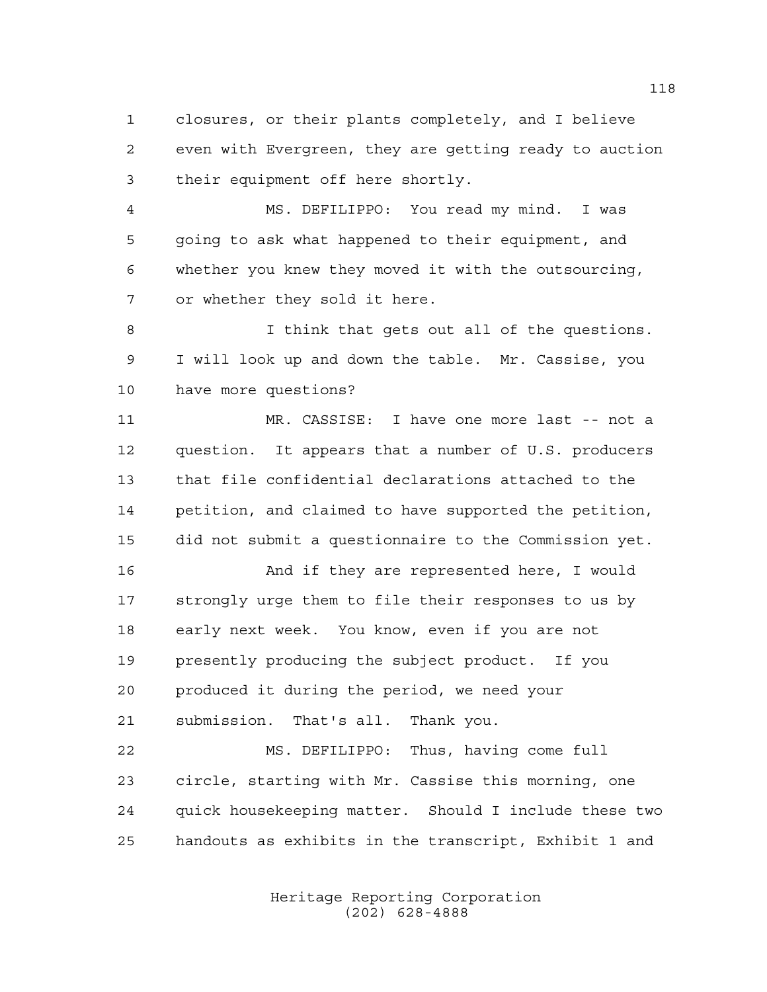closures, or their plants completely, and I believe even with Evergreen, they are getting ready to auction their equipment off here shortly.

 MS. DEFILIPPO: You read my mind. I was going to ask what happened to their equipment, and whether you knew they moved it with the outsourcing, or whether they sold it here.

 I think that gets out all of the questions. I will look up and down the table. Mr. Cassise, you have more questions?

 MR. CASSISE: I have one more last -- not a question. It appears that a number of U.S. producers that file confidential declarations attached to the petition, and claimed to have supported the petition, did not submit a questionnaire to the Commission yet.

 And if they are represented here, I would strongly urge them to file their responses to us by early next week. You know, even if you are not presently producing the subject product. If you produced it during the period, we need your submission. That's all. Thank you.

 MS. DEFILIPPO: Thus, having come full circle, starting with Mr. Cassise this morning, one quick housekeeping matter. Should I include these two handouts as exhibits in the transcript, Exhibit 1 and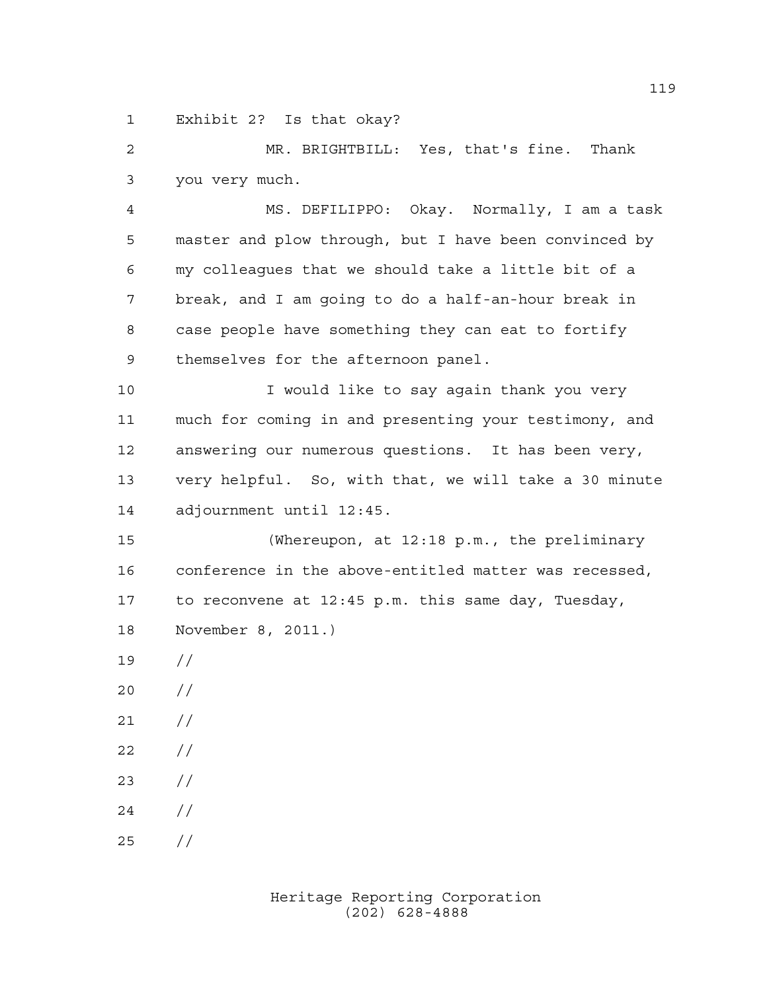Exhibit 2? Is that okay?

 MR. BRIGHTBILL: Yes, that's fine. Thank you very much.

 MS. DEFILIPPO: Okay. Normally, I am a task master and plow through, but I have been convinced by my colleagues that we should take a little bit of a break, and I am going to do a half-an-hour break in case people have something they can eat to fortify themselves for the afternoon panel.

10 10 I would like to say again thank you very much for coming in and presenting your testimony, and answering our numerous questions. It has been very, very helpful. So, with that, we will take a 30 minute adjournment until 12:45.

 (Whereupon, at 12:18 p.m., the preliminary conference in the above-entitled matter was recessed, to reconvene at 12:45 p.m. this same day, Tuesday, November 8, 2011.)

- //
- //
- $21 /$
- $22 / /$
- //
- $24 /$
- $25 / /$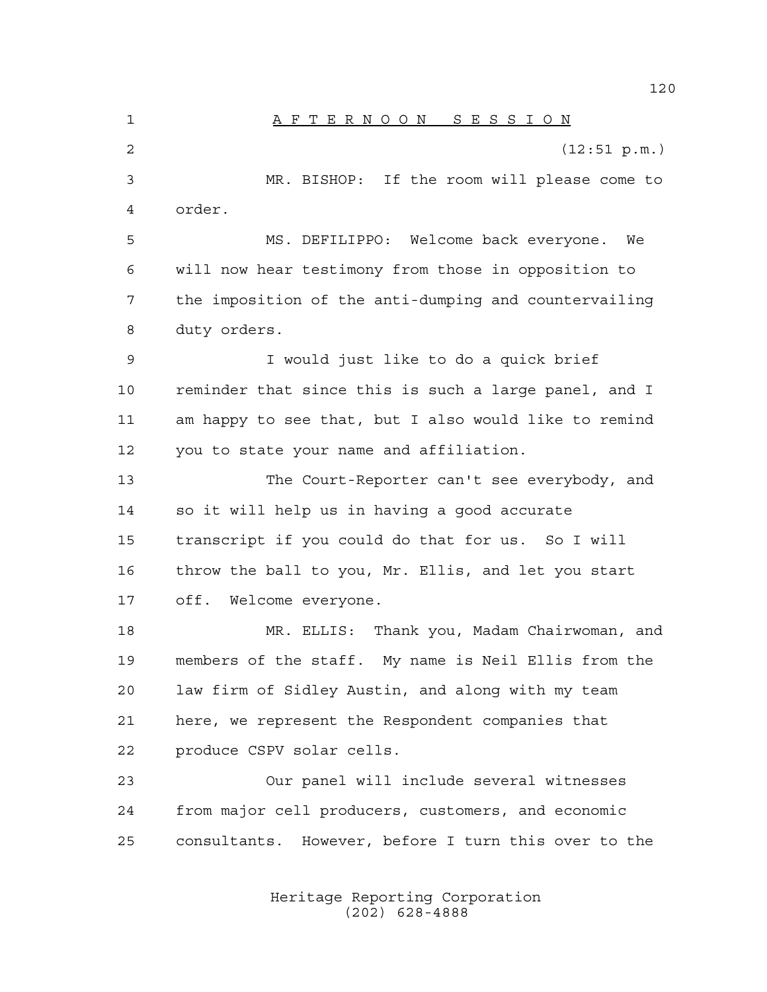A F T E R N O O N S E S S I O N (12:51 p.m.) MR. BISHOP: If the room will please come to order. MS. DEFILIPPO: Welcome back everyone. We will now hear testimony from those in opposition to the imposition of the anti-dumping and countervailing duty orders. I would just like to do a quick brief reminder that since this is such a large panel, and I am happy to see that, but I also would like to remind you to state your name and affiliation. The Court-Reporter can't see everybody, and so it will help us in having a good accurate transcript if you could do that for us. So I will throw the ball to you, Mr. Ellis, and let you start off. Welcome everyone. MR. ELLIS: Thank you, Madam Chairwoman, and members of the staff. My name is Neil Ellis from the law firm of Sidley Austin, and along with my team here, we represent the Respondent companies that produce CSPV solar cells. Our panel will include several witnesses from major cell producers, customers, and economic consultants. However, before I turn this over to the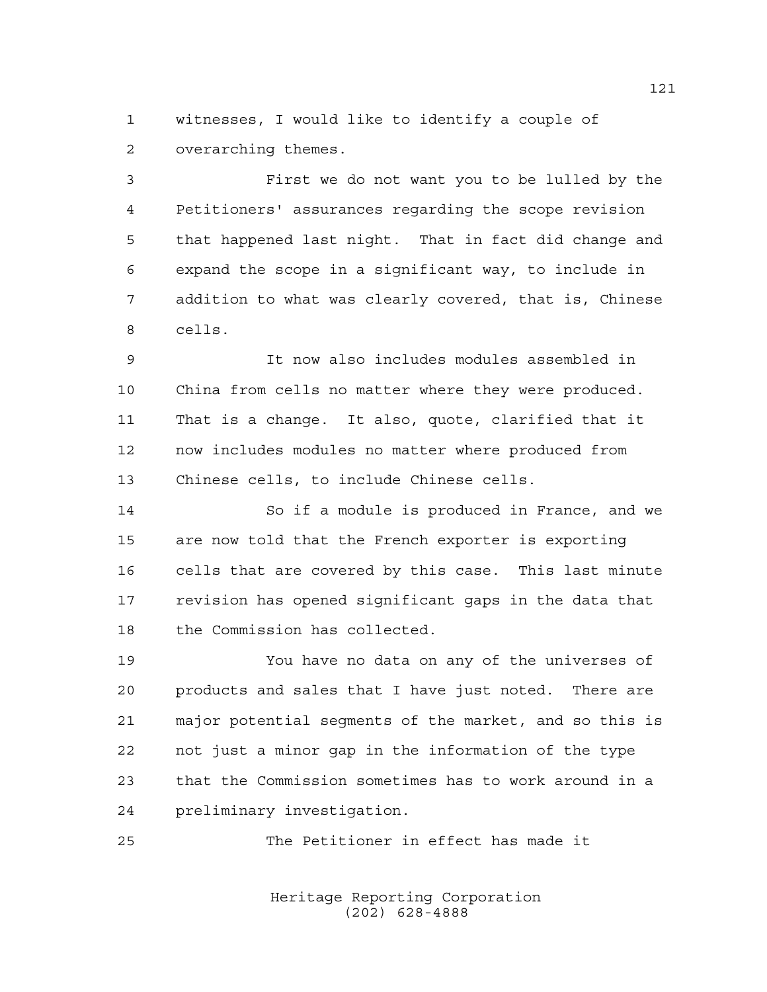witnesses, I would like to identify a couple of overarching themes.

 First we do not want you to be lulled by the Petitioners' assurances regarding the scope revision that happened last night. That in fact did change and expand the scope in a significant way, to include in addition to what was clearly covered, that is, Chinese cells.

 It now also includes modules assembled in China from cells no matter where they were produced. That is a change. It also, quote, clarified that it now includes modules no matter where produced from Chinese cells, to include Chinese cells.

 So if a module is produced in France, and we are now told that the French exporter is exporting cells that are covered by this case. This last minute revision has opened significant gaps in the data that the Commission has collected.

 You have no data on any of the universes of products and sales that I have just noted. There are major potential segments of the market, and so this is not just a minor gap in the information of the type that the Commission sometimes has to work around in a preliminary investigation.

The Petitioner in effect has made it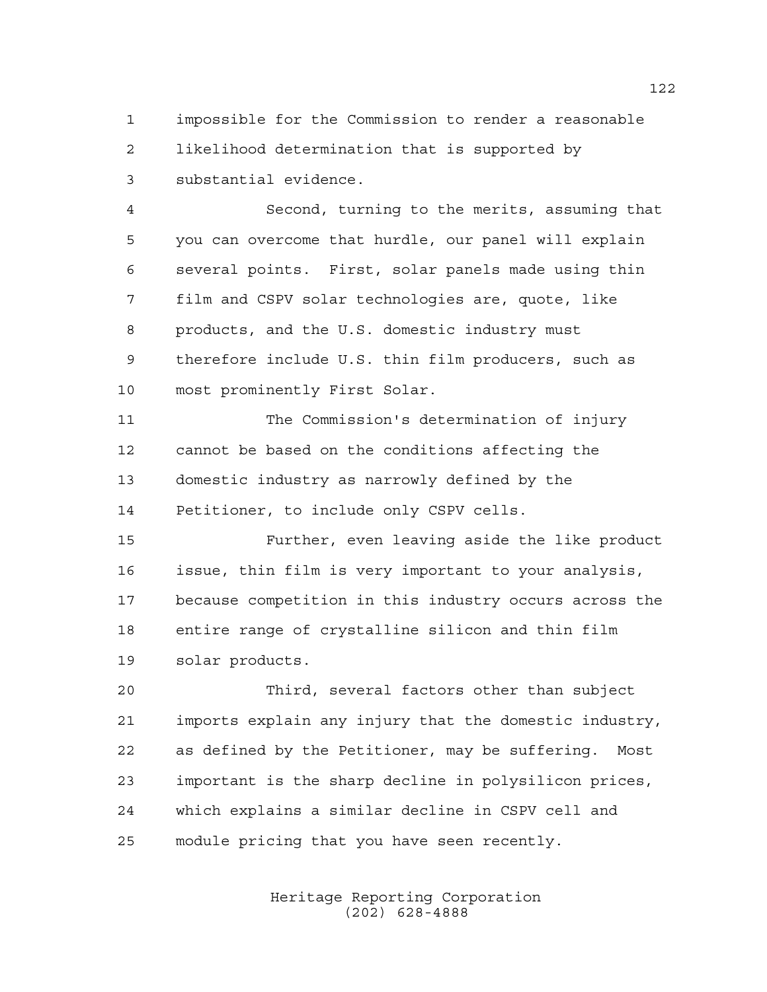impossible for the Commission to render a reasonable likelihood determination that is supported by substantial evidence.

 Second, turning to the merits, assuming that you can overcome that hurdle, our panel will explain several points. First, solar panels made using thin film and CSPV solar technologies are, quote, like products, and the U.S. domestic industry must therefore include U.S. thin film producers, such as most prominently First Solar.

 The Commission's determination of injury cannot be based on the conditions affecting the domestic industry as narrowly defined by the Petitioner, to include only CSPV cells.

 Further, even leaving aside the like product issue, thin film is very important to your analysis, because competition in this industry occurs across the entire range of crystalline silicon and thin film solar products.

 Third, several factors other than subject imports explain any injury that the domestic industry, as defined by the Petitioner, may be suffering. Most important is the sharp decline in polysilicon prices, which explains a similar decline in CSPV cell and module pricing that you have seen recently.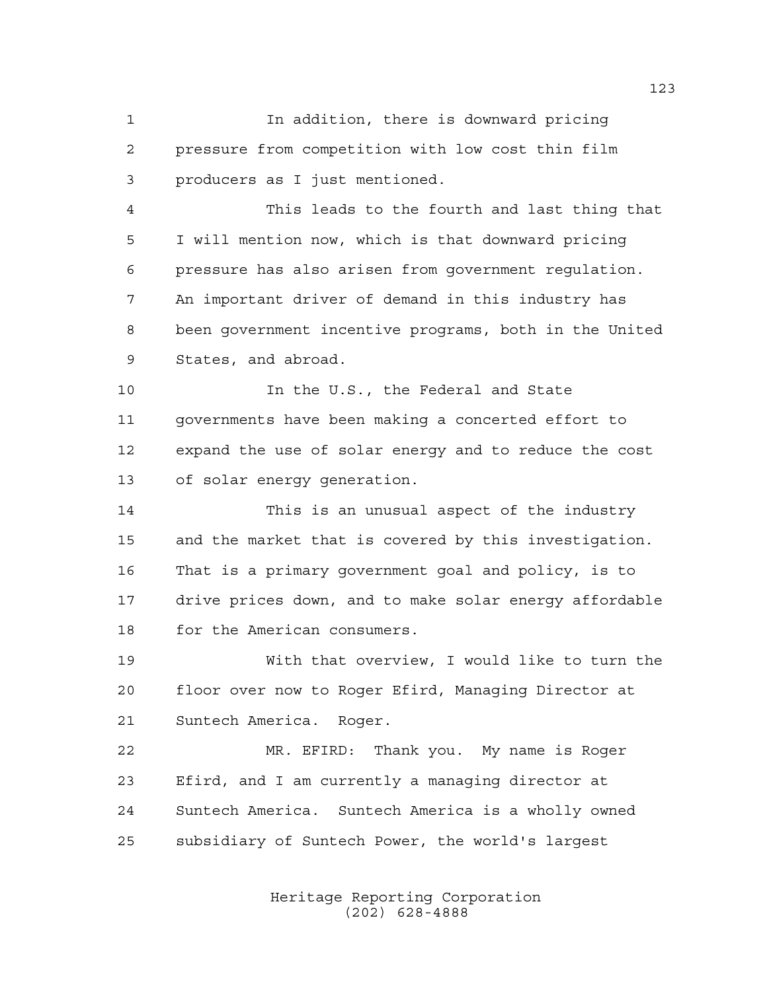In addition, there is downward pricing pressure from competition with low cost thin film producers as I just mentioned.

 This leads to the fourth and last thing that I will mention now, which is that downward pricing pressure has also arisen from government regulation. An important driver of demand in this industry has been government incentive programs, both in the United States, and abroad.

10 10 In the U.S., the Federal and State governments have been making a concerted effort to expand the use of solar energy and to reduce the cost of solar energy generation.

 This is an unusual aspect of the industry and the market that is covered by this investigation. That is a primary government goal and policy, is to drive prices down, and to make solar energy affordable for the American consumers.

 With that overview, I would like to turn the floor over now to Roger Efird, Managing Director at Suntech America. Roger.

 MR. EFIRD: Thank you. My name is Roger Efird, and I am currently a managing director at Suntech America. Suntech America is a wholly owned subsidiary of Suntech Power, the world's largest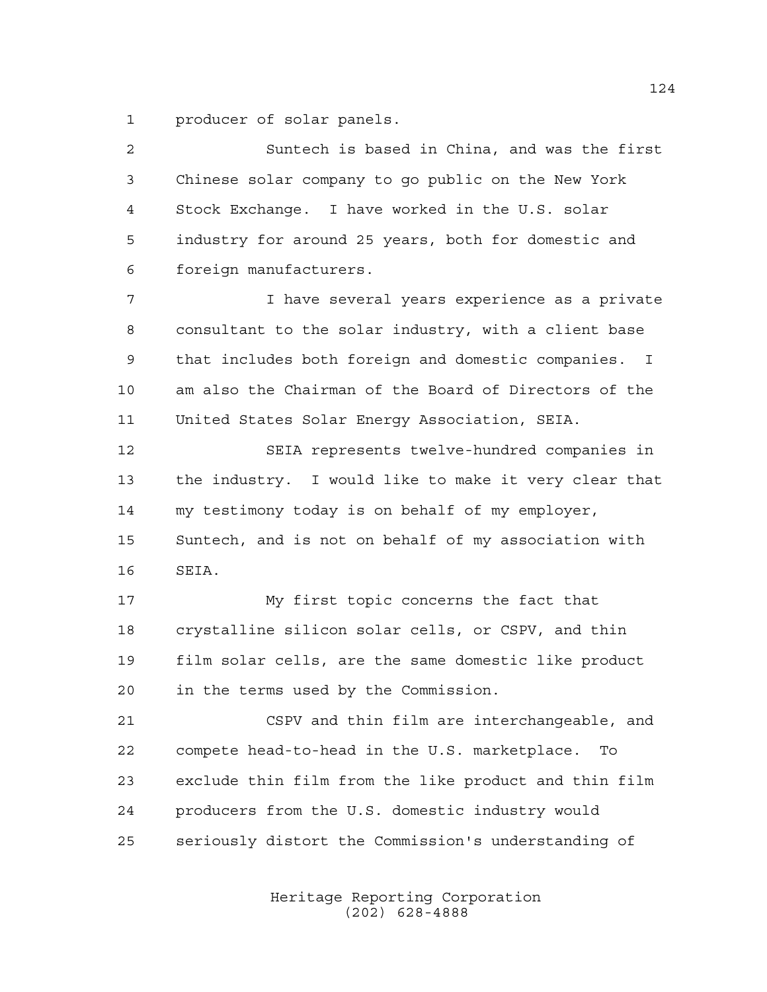producer of solar panels.

| 2  | Suntech is based in China, and was the first          |
|----|-------------------------------------------------------|
| 3  | Chinese solar company to go public on the New York    |
| 4  | Stock Exchange. I have worked in the U.S. solar       |
| 5  | industry for around 25 years, both for domestic and   |
| 6  | foreign manufacturers.                                |
| 7  | I have several years experience as a private          |
| 8  | consultant to the solar industry, with a client base  |
| 9  | that includes both foreign and domestic companies. I  |
| 10 | am also the Chairman of the Board of Directors of the |
| 11 | United States Solar Energy Association, SEIA.         |
| 12 | SEIA represents twelve-hundred companies in           |
| 13 | the industry. I would like to make it very clear that |
| 14 | my testimony today is on behalf of my employer,       |
| 15 | Suntech, and is not on behalf of my association with  |
| 16 | SEIA.                                                 |
| 17 | My first topic concerns the fact that                 |
| 18 | crystalline silicon solar cells, or CSPV, and thin    |
| 19 | film solar cells, are the same domestic like product  |
| 20 | in the terms used by the Commission.                  |
| 21 | CSPV and thin film are interchangeable, and           |
| 22 | compete head-to-head in the U.S. marketplace.<br>To   |
| 23 | exclude thin film from the like product and thin film |
| 24 | producers from the U.S. domestic industry would       |
| 25 | seriously distort the Commission's understanding of   |
|    |                                                       |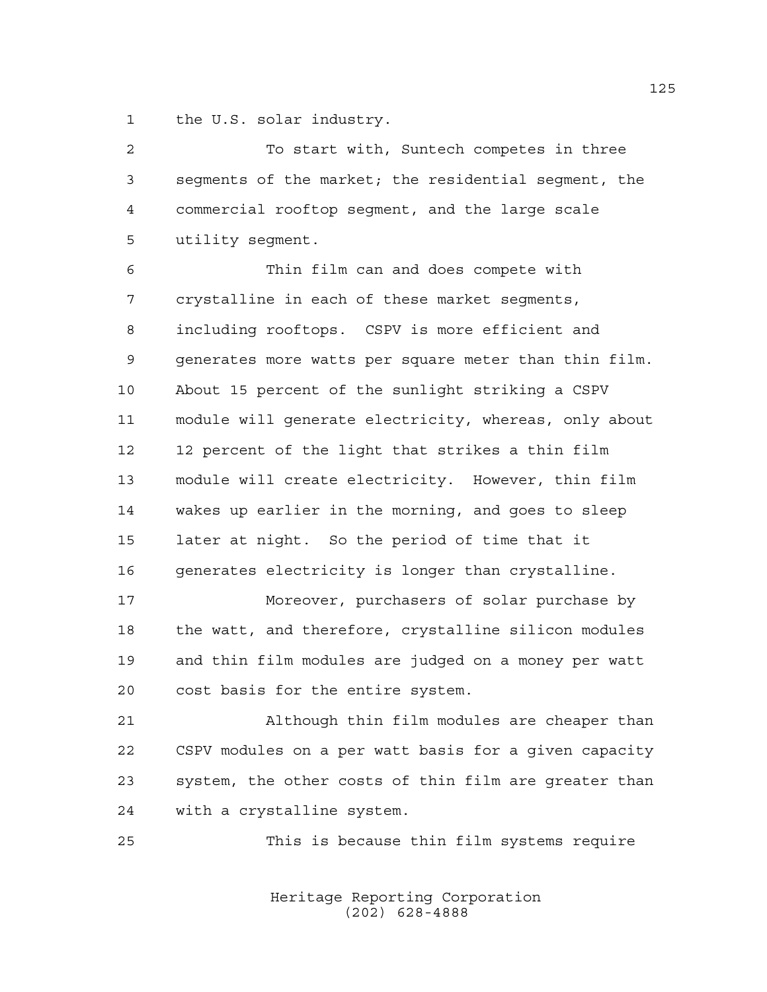the U.S. solar industry.

| $\overline{c}$ | To start with, Suntech competes in three              |
|----------------|-------------------------------------------------------|
| 3              | segments of the market; the residential segment, the  |
| 4              | commercial rooftop segment, and the large scale       |
| 5              | utility segment.                                      |
| 6              | Thin film can and does compete with                   |
| 7              | crystalline in each of these market seqments,         |
| 8              | including rooftops. CSPV is more efficient and        |
| 9              | generates more watts per square meter than thin film. |
| $10$           | About 15 percent of the sunlight striking a CSPV      |
| 11             | module will generate electricity, whereas, only about |
| 12             | 12 percent of the light that strikes a thin film      |
| 13             | module will create electricity. However, thin film    |
| 14             | wakes up earlier in the morning, and goes to sleep    |
| 15             | later at night. So the period of time that it         |
| 16             | generates electricity is longer than crystalline.     |
| 17             | Moreover, purchasers of solar purchase by             |
| 18             | the watt, and therefore, crystalline silicon modules  |
| 19             | and thin film modules are judged on a money per watt  |
| 20             | cost basis for the entire system.                     |
| 21             | Although thin film modules are cheaper than           |
| 22             | CSPV modules on a per watt basis for a given capacity |
| 23             | system, the other costs of thin film are greater than |
| 24             | with a crystalline system.                            |
| 25             | This is because thin film systems require             |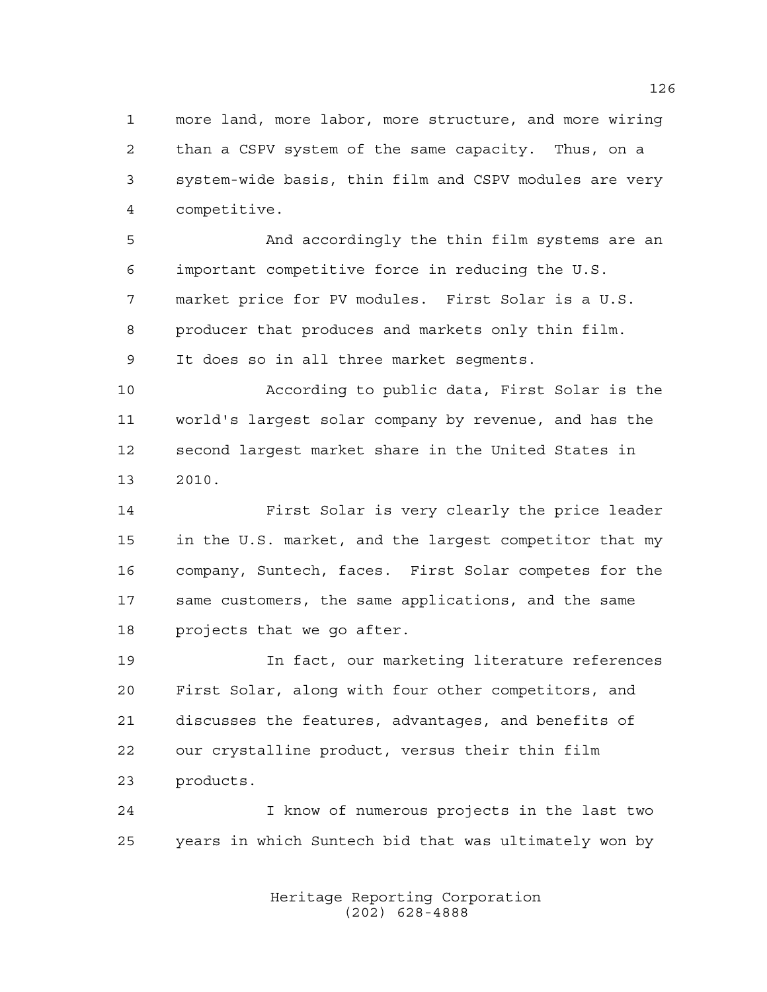more land, more labor, more structure, and more wiring than a CSPV system of the same capacity. Thus, on a system-wide basis, thin film and CSPV modules are very competitive.

 And accordingly the thin film systems are an important competitive force in reducing the U.S. market price for PV modules. First Solar is a U.S. producer that produces and markets only thin film. It does so in all three market segments.

 According to public data, First Solar is the world's largest solar company by revenue, and has the second largest market share in the United States in 2010.

 First Solar is very clearly the price leader in the U.S. market, and the largest competitor that my company, Suntech, faces. First Solar competes for the same customers, the same applications, and the same projects that we go after.

 In fact, our marketing literature references First Solar, along with four other competitors, and discusses the features, advantages, and benefits of our crystalline product, versus their thin film products.

 I know of numerous projects in the last two years in which Suntech bid that was ultimately won by

> Heritage Reporting Corporation (202) 628-4888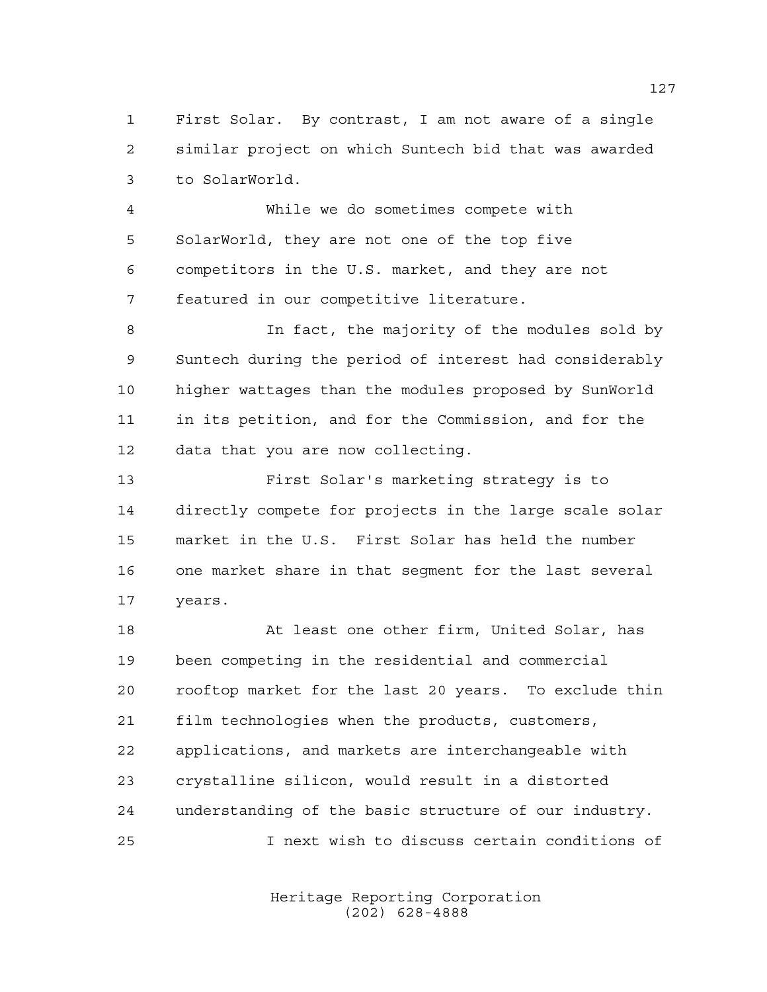First Solar. By contrast, I am not aware of a single similar project on which Suntech bid that was awarded to SolarWorld.

 While we do sometimes compete with SolarWorld, they are not one of the top five competitors in the U.S. market, and they are not featured in our competitive literature.

 In fact, the majority of the modules sold by Suntech during the period of interest had considerably higher wattages than the modules proposed by SunWorld in its petition, and for the Commission, and for the data that you are now collecting.

 First Solar's marketing strategy is to directly compete for projects in the large scale solar market in the U.S. First Solar has held the number one market share in that segment for the last several years.

18 At least one other firm, United Solar, has been competing in the residential and commercial rooftop market for the last 20 years. To exclude thin film technologies when the products, customers, applications, and markets are interchangeable with crystalline silicon, would result in a distorted understanding of the basic structure of our industry. I next wish to discuss certain conditions of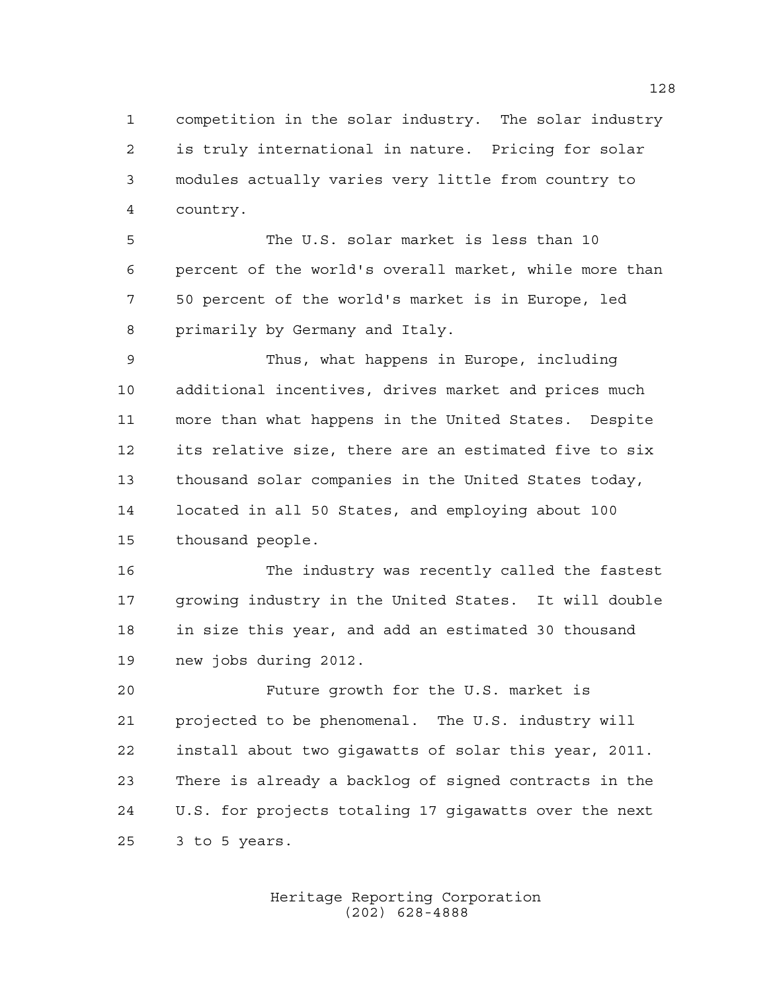competition in the solar industry. The solar industry is truly international in nature. Pricing for solar modules actually varies very little from country to country.

 The U.S. solar market is less than 10 percent of the world's overall market, while more than 50 percent of the world's market is in Europe, led primarily by Germany and Italy.

 Thus, what happens in Europe, including additional incentives, drives market and prices much more than what happens in the United States. Despite its relative size, there are an estimated five to six thousand solar companies in the United States today, located in all 50 States, and employing about 100 thousand people.

 The industry was recently called the fastest growing industry in the United States. It will double in size this year, and add an estimated 30 thousand new jobs during 2012.

 Future growth for the U.S. market is projected to be phenomenal. The U.S. industry will install about two gigawatts of solar this year, 2011. There is already a backlog of signed contracts in the U.S. for projects totaling 17 gigawatts over the next 3 to 5 years.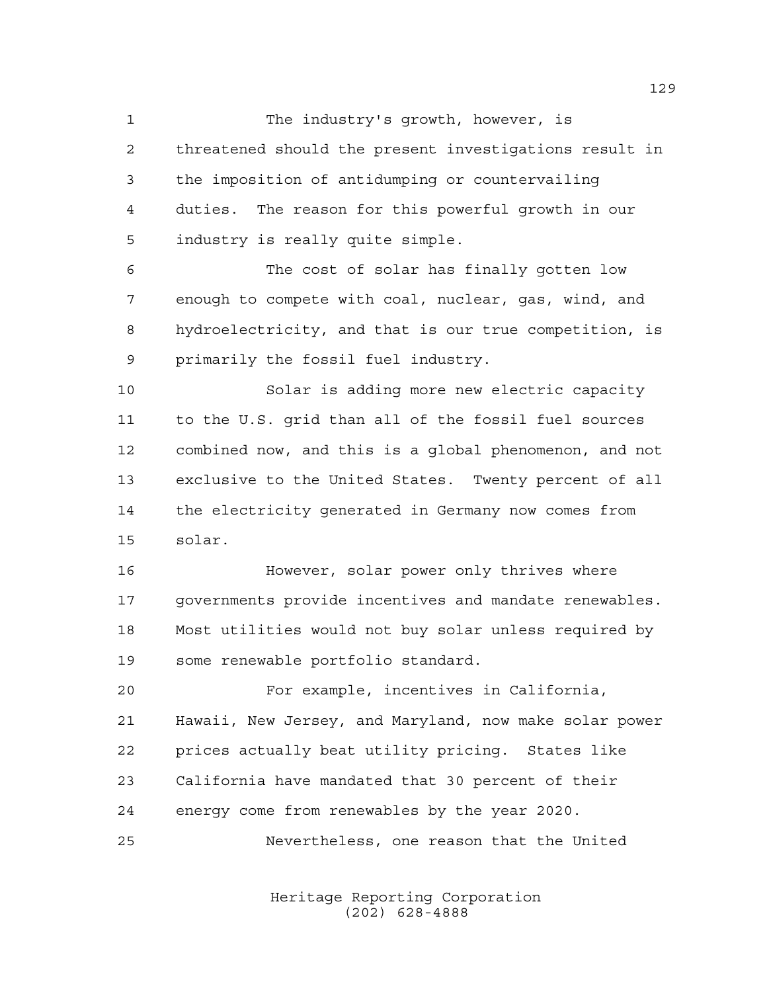The industry's growth, however, is threatened should the present investigations result in the imposition of antidumping or countervailing duties. The reason for this powerful growth in our industry is really quite simple.

 The cost of solar has finally gotten low enough to compete with coal, nuclear, gas, wind, and hydroelectricity, and that is our true competition, is primarily the fossil fuel industry.

 Solar is adding more new electric capacity to the U.S. grid than all of the fossil fuel sources combined now, and this is a global phenomenon, and not exclusive to the United States. Twenty percent of all the electricity generated in Germany now comes from solar.

 However, solar power only thrives where governments provide incentives and mandate renewables. Most utilities would not buy solar unless required by some renewable portfolio standard.

 For example, incentives in California, Hawaii, New Jersey, and Maryland, now make solar power prices actually beat utility pricing. States like California have mandated that 30 percent of their energy come from renewables by the year 2020. Nevertheless, one reason that the United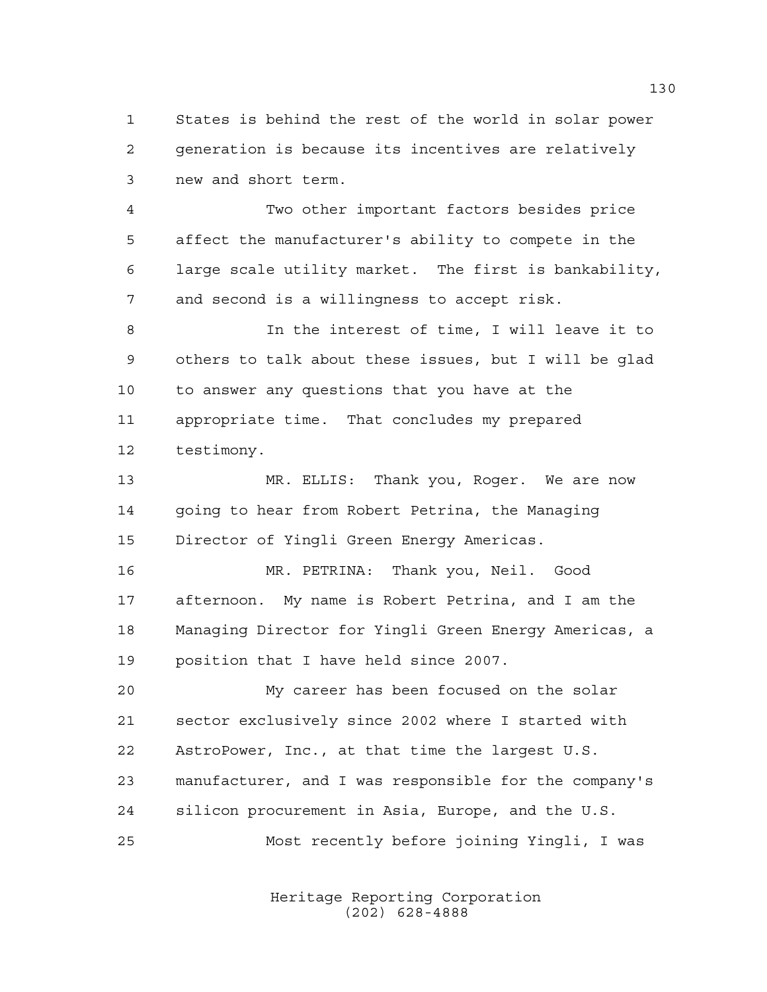States is behind the rest of the world in solar power generation is because its incentives are relatively new and short term.

 Two other important factors besides price affect the manufacturer's ability to compete in the large scale utility market. The first is bankability, and second is a willingness to accept risk.

 In the interest of time, I will leave it to others to talk about these issues, but I will be glad to answer any questions that you have at the appropriate time. That concludes my prepared testimony.

 MR. ELLIS: Thank you, Roger. We are now going to hear from Robert Petrina, the Managing Director of Yingli Green Energy Americas.

 MR. PETRINA: Thank you, Neil. Good afternoon. My name is Robert Petrina, and I am the Managing Director for Yingli Green Energy Americas, a position that I have held since 2007.

 My career has been focused on the solar sector exclusively since 2002 where I started with AstroPower, Inc., at that time the largest U.S. manufacturer, and I was responsible for the company's silicon procurement in Asia, Europe, and the U.S.

Most recently before joining Yingli, I was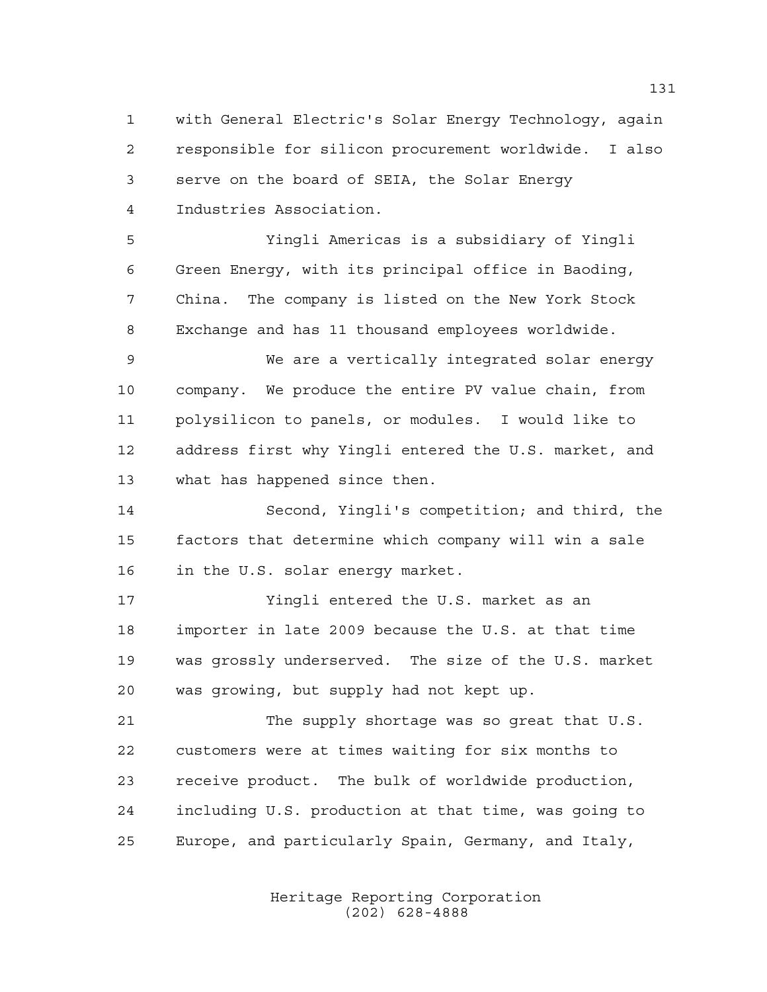with General Electric's Solar Energy Technology, again responsible for silicon procurement worldwide. I also serve on the board of SEIA, the Solar Energy Industries Association.

 Yingli Americas is a subsidiary of Yingli Green Energy, with its principal office in Baoding, China. The company is listed on the New York Stock Exchange and has 11 thousand employees worldwide.

 We are a vertically integrated solar energy company. We produce the entire PV value chain, from polysilicon to panels, or modules. I would like to address first why Yingli entered the U.S. market, and what has happened since then.

 Second, Yingli's competition; and third, the factors that determine which company will win a sale in the U.S. solar energy market.

 Yingli entered the U.S. market as an importer in late 2009 because the U.S. at that time was grossly underserved. The size of the U.S. market was growing, but supply had not kept up.

 The supply shortage was so great that U.S. customers were at times waiting for six months to receive product. The bulk of worldwide production, including U.S. production at that time, was going to Europe, and particularly Spain, Germany, and Italy,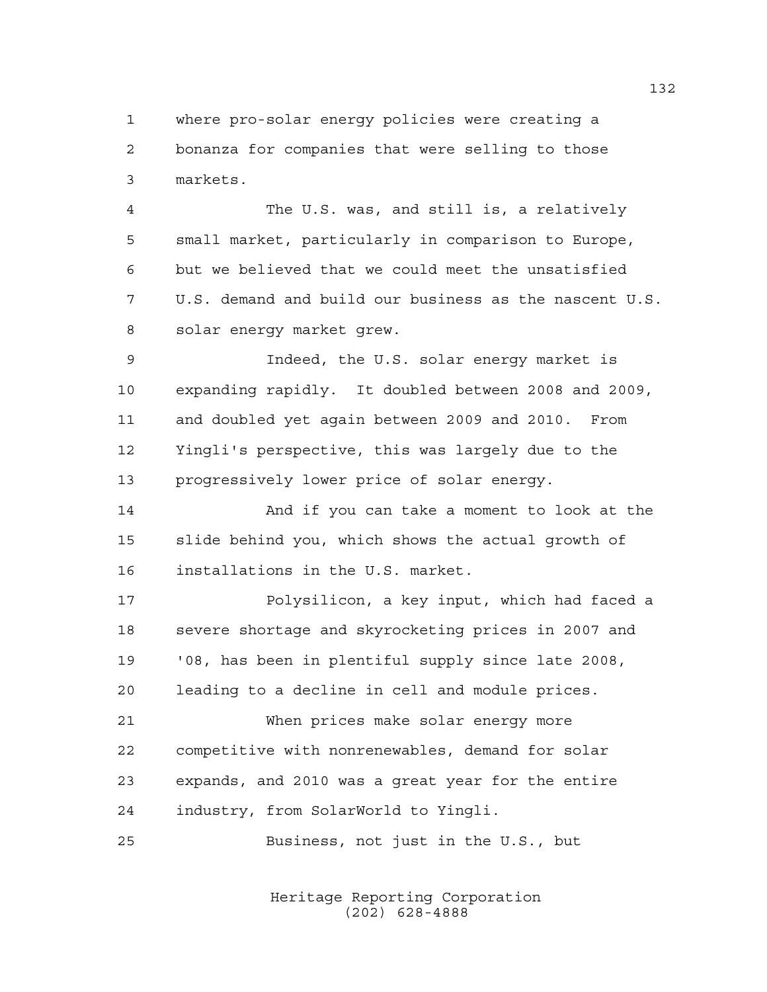where pro-solar energy policies were creating a bonanza for companies that were selling to those markets.

 The U.S. was, and still is, a relatively small market, particularly in comparison to Europe, but we believed that we could meet the unsatisfied U.S. demand and build our business as the nascent U.S. solar energy market grew.

 Indeed, the U.S. solar energy market is expanding rapidly. It doubled between 2008 and 2009, and doubled yet again between 2009 and 2010. From Yingli's perspective, this was largely due to the progressively lower price of solar energy.

 And if you can take a moment to look at the slide behind you, which shows the actual growth of installations in the U.S. market.

 Polysilicon, a key input, which had faced a severe shortage and skyrocketing prices in 2007 and '08, has been in plentiful supply since late 2008, leading to a decline in cell and module prices.

 When prices make solar energy more competitive with nonrenewables, demand for solar expands, and 2010 was a great year for the entire industry, from SolarWorld to Yingli.

Business, not just in the U.S., but

Heritage Reporting Corporation (202) 628-4888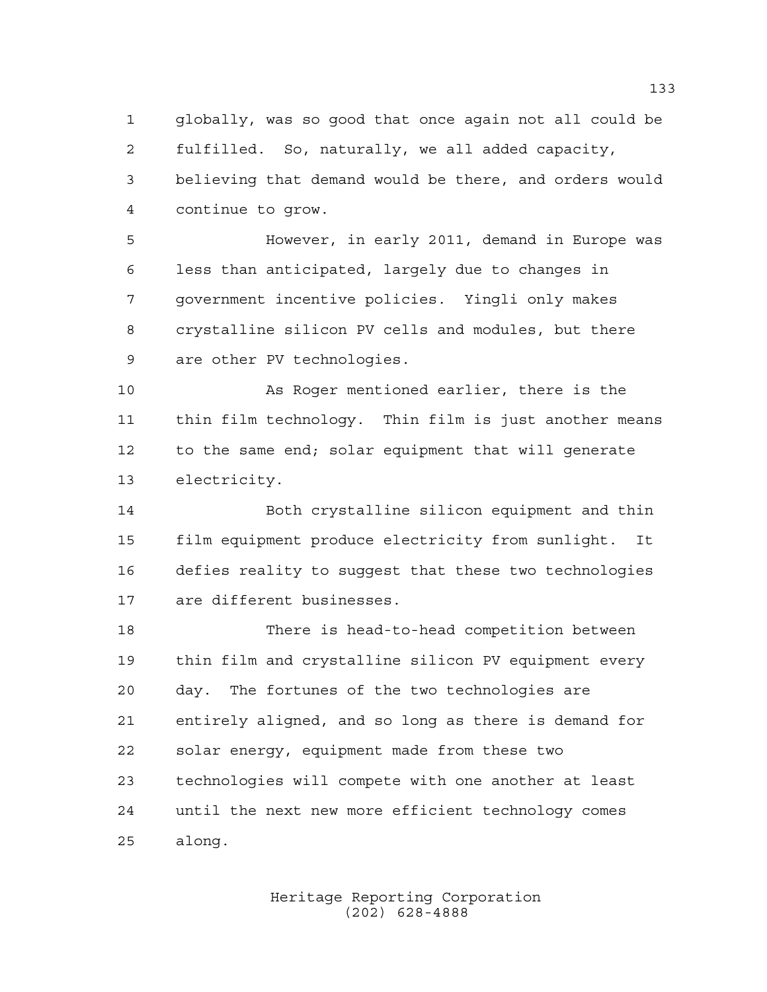globally, was so good that once again not all could be fulfilled. So, naturally, we all added capacity, believing that demand would be there, and orders would continue to grow.

 However, in early 2011, demand in Europe was less than anticipated, largely due to changes in government incentive policies. Yingli only makes crystalline silicon PV cells and modules, but there are other PV technologies.

 As Roger mentioned earlier, there is the thin film technology. Thin film is just another means to the same end; solar equipment that will generate electricity.

 Both crystalline silicon equipment and thin film equipment produce electricity from sunlight. It defies reality to suggest that these two technologies are different businesses.

 There is head-to-head competition between thin film and crystalline silicon PV equipment every day. The fortunes of the two technologies are entirely aligned, and so long as there is demand for solar energy, equipment made from these two technologies will compete with one another at least until the next new more efficient technology comes along.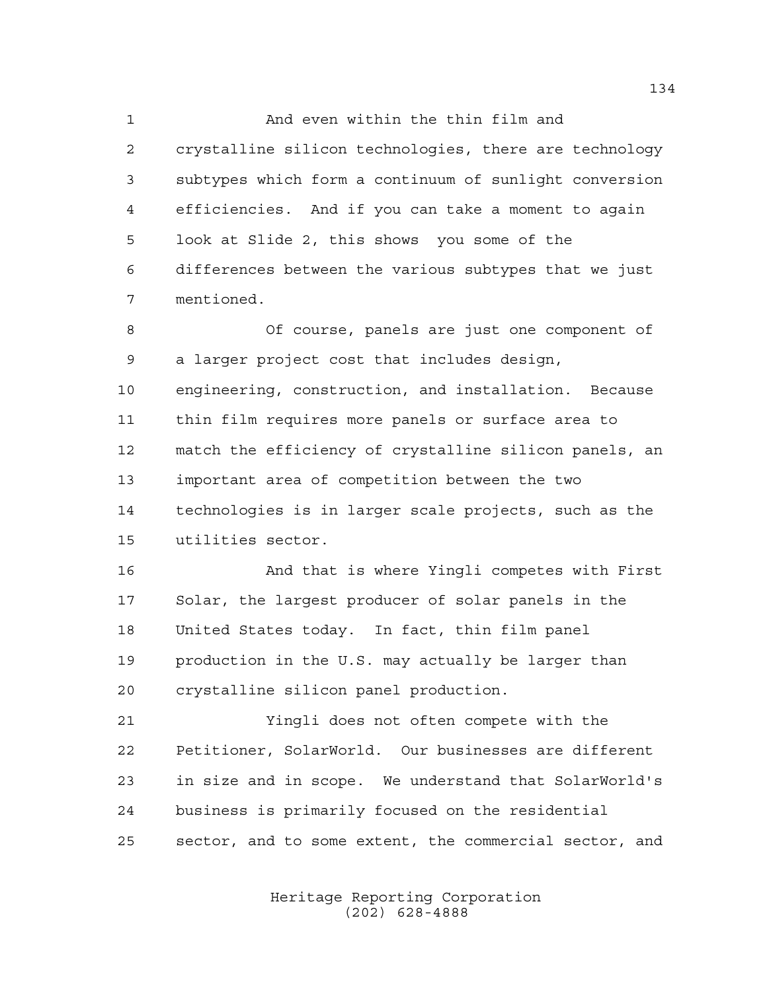And even within the thin film and crystalline silicon technologies, there are technology subtypes which form a continuum of sunlight conversion efficiencies. And if you can take a moment to again look at Slide 2, this shows you some of the differences between the various subtypes that we just mentioned.

 Of course, panels are just one component of a larger project cost that includes design, engineering, construction, and installation. Because thin film requires more panels or surface area to match the efficiency of crystalline silicon panels, an important area of competition between the two technologies is in larger scale projects, such as the utilities sector.

 And that is where Yingli competes with First Solar, the largest producer of solar panels in the United States today. In fact, thin film panel production in the U.S. may actually be larger than crystalline silicon panel production.

 Yingli does not often compete with the Petitioner, SolarWorld. Our businesses are different in size and in scope. We understand that SolarWorld's business is primarily focused on the residential sector, and to some extent, the commercial sector, and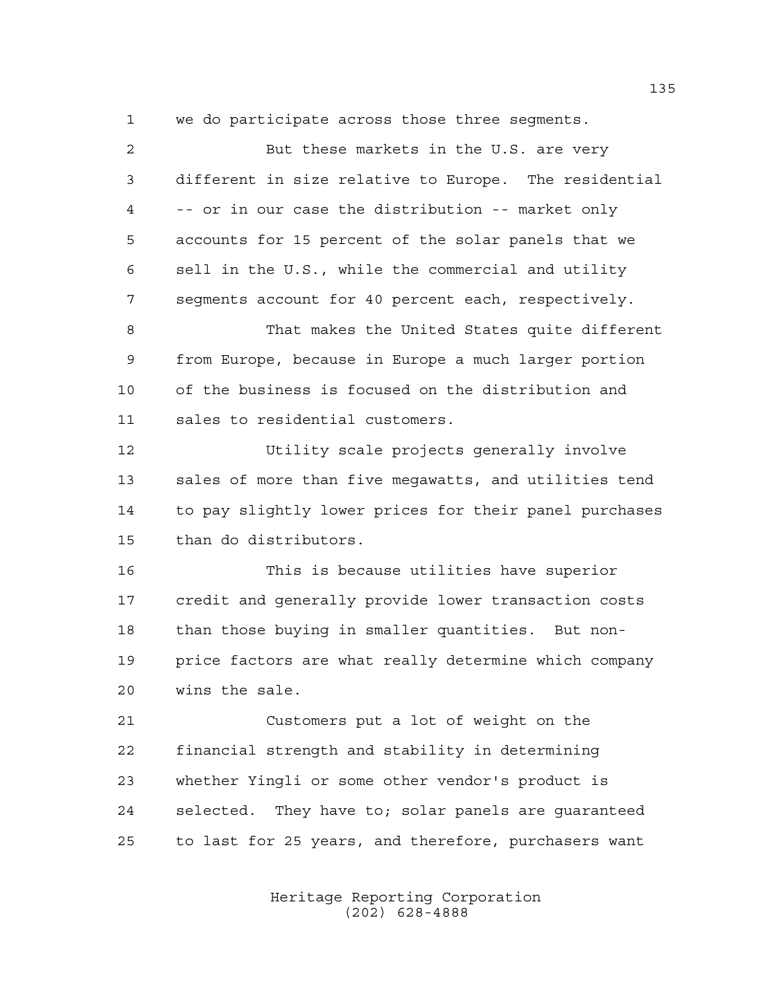But these markets in the U.S. are very different in size relative to Europe. The residential -- or in our case the distribution -- market only accounts for 15 percent of the solar panels that we sell in the U.S., while the commercial and utility segments account for 40 percent each, respectively. That makes the United States quite different from Europe, because in Europe a much larger portion of the business is focused on the distribution and sales to residential customers. Utility scale projects generally involve sales of more than five megawatts, and utilities tend to pay slightly lower prices for their panel purchases than do distributors. This is because utilities have superior credit and generally provide lower transaction costs than those buying in smaller quantities. But non- price factors are what really determine which company wins the sale. Customers put a lot of weight on the financial strength and stability in determining whether Yingli or some other vendor's product is selected. They have to; solar panels are guaranteed to last for 25 years, and therefore, purchasers want

we do participate across those three segments.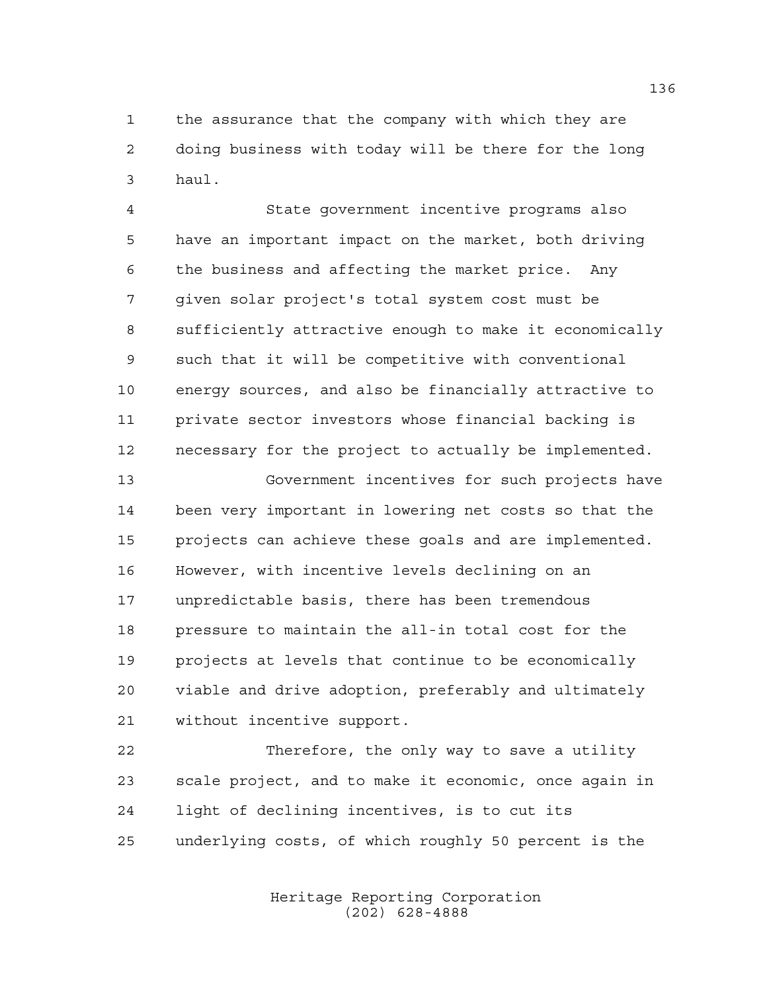the assurance that the company with which they are doing business with today will be there for the long haul.

 State government incentive programs also have an important impact on the market, both driving the business and affecting the market price. Any given solar project's total system cost must be sufficiently attractive enough to make it economically such that it will be competitive with conventional energy sources, and also be financially attractive to private sector investors whose financial backing is necessary for the project to actually be implemented.

 Government incentives for such projects have been very important in lowering net costs so that the projects can achieve these goals and are implemented. However, with incentive levels declining on an unpredictable basis, there has been tremendous pressure to maintain the all-in total cost for the projects at levels that continue to be economically viable and drive adoption, preferably and ultimately without incentive support.

 Therefore, the only way to save a utility scale project, and to make it economic, once again in light of declining incentives, is to cut its underlying costs, of which roughly 50 percent is the

> Heritage Reporting Corporation (202) 628-4888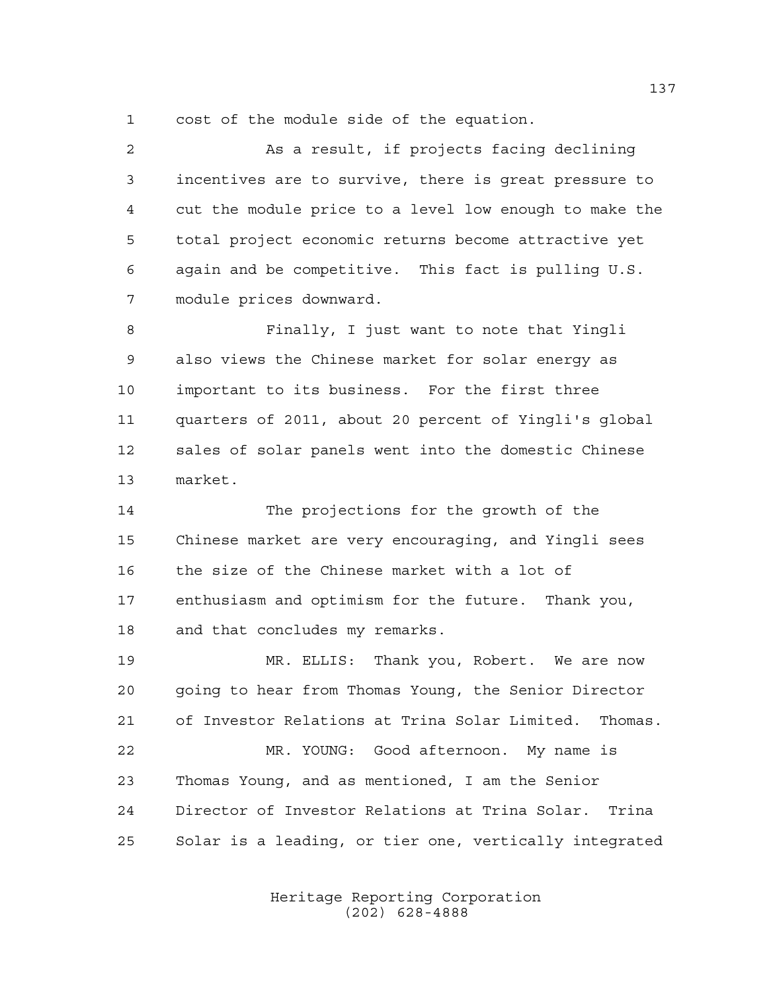cost of the module side of the equation.

 As a result, if projects facing declining incentives are to survive, there is great pressure to cut the module price to a level low enough to make the total project economic returns become attractive yet again and be competitive. This fact is pulling U.S. module prices downward.

 Finally, I just want to note that Yingli also views the Chinese market for solar energy as important to its business. For the first three quarters of 2011, about 20 percent of Yingli's global sales of solar panels went into the domestic Chinese market.

 The projections for the growth of the Chinese market are very encouraging, and Yingli sees the size of the Chinese market with a lot of enthusiasm and optimism for the future. Thank you, and that concludes my remarks.

 MR. ELLIS: Thank you, Robert. We are now going to hear from Thomas Young, the Senior Director of Investor Relations at Trina Solar Limited. Thomas.

 MR. YOUNG: Good afternoon. My name is Thomas Young, and as mentioned, I am the Senior Director of Investor Relations at Trina Solar. Trina Solar is a leading, or tier one, vertically integrated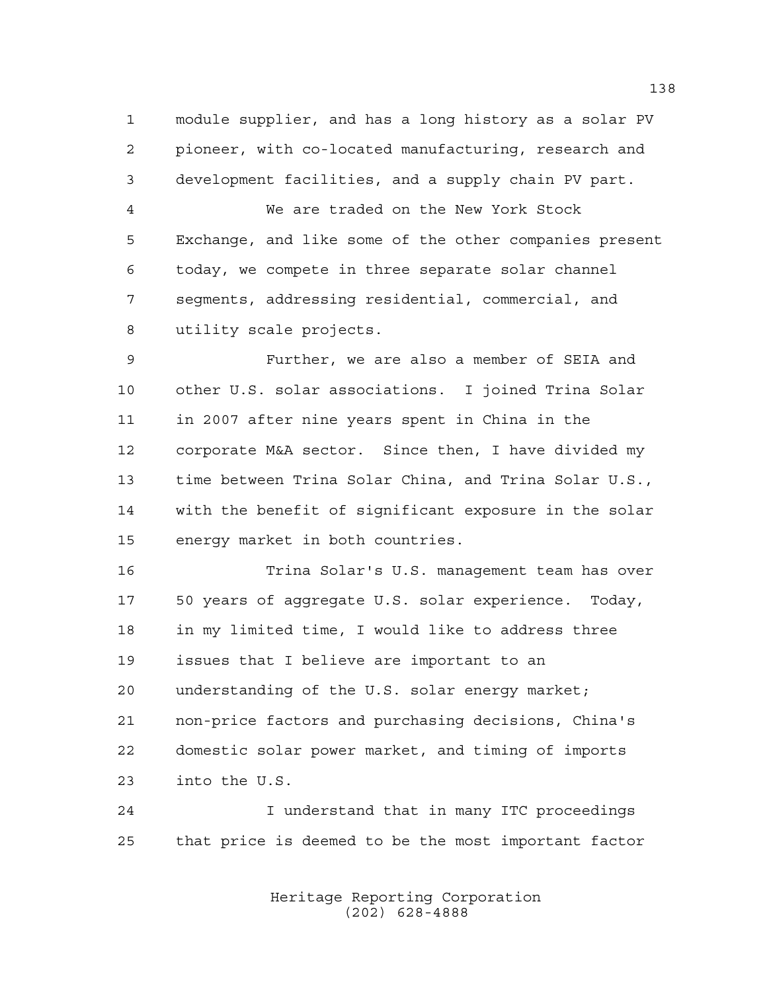module supplier, and has a long history as a solar PV pioneer, with co-located manufacturing, research and development facilities, and a supply chain PV part.

 We are traded on the New York Stock Exchange, and like some of the other companies present today, we compete in three separate solar channel segments, addressing residential, commercial, and utility scale projects.

 Further, we are also a member of SEIA and other U.S. solar associations. I joined Trina Solar in 2007 after nine years spent in China in the corporate M&A sector. Since then, I have divided my time between Trina Solar China, and Trina Solar U.S., with the benefit of significant exposure in the solar energy market in both countries.

 Trina Solar's U.S. management team has over 50 years of aggregate U.S. solar experience. Today, in my limited time, I would like to address three issues that I believe are important to an understanding of the U.S. solar energy market; non-price factors and purchasing decisions, China's domestic solar power market, and timing of imports into the U.S.

 I understand that in many ITC proceedings that price is deemed to be the most important factor

> Heritage Reporting Corporation (202) 628-4888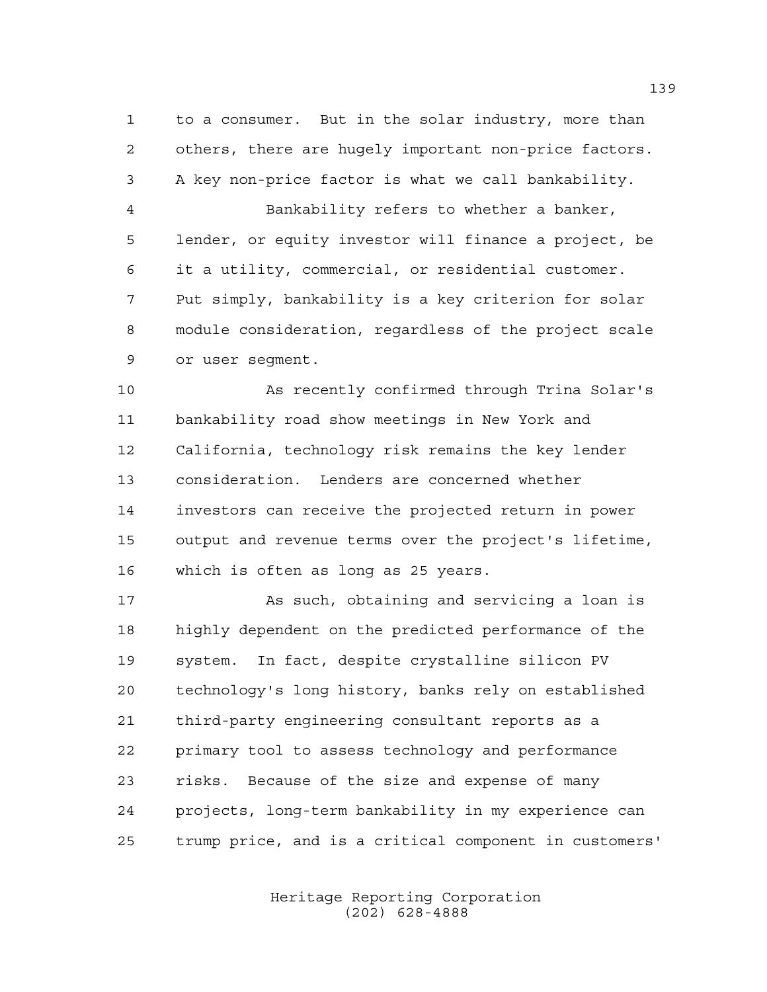to a consumer. But in the solar industry, more than others, there are hugely important non-price factors. A key non-price factor is what we call bankability. Bankability refers to whether a banker, lender, or equity investor will finance a project, be it a utility, commercial, or residential customer. Put simply, bankability is a key criterion for solar module consideration, regardless of the project scale or user segment.

 As recently confirmed through Trina Solar's bankability road show meetings in New York and California, technology risk remains the key lender consideration. Lenders are concerned whether investors can receive the projected return in power output and revenue terms over the project's lifetime, which is often as long as 25 years.

 As such, obtaining and servicing a loan is highly dependent on the predicted performance of the system. In fact, despite crystalline silicon PV technology's long history, banks rely on established third-party engineering consultant reports as a primary tool to assess technology and performance risks. Because of the size and expense of many projects, long-term bankability in my experience can trump price, and is a critical component in customers'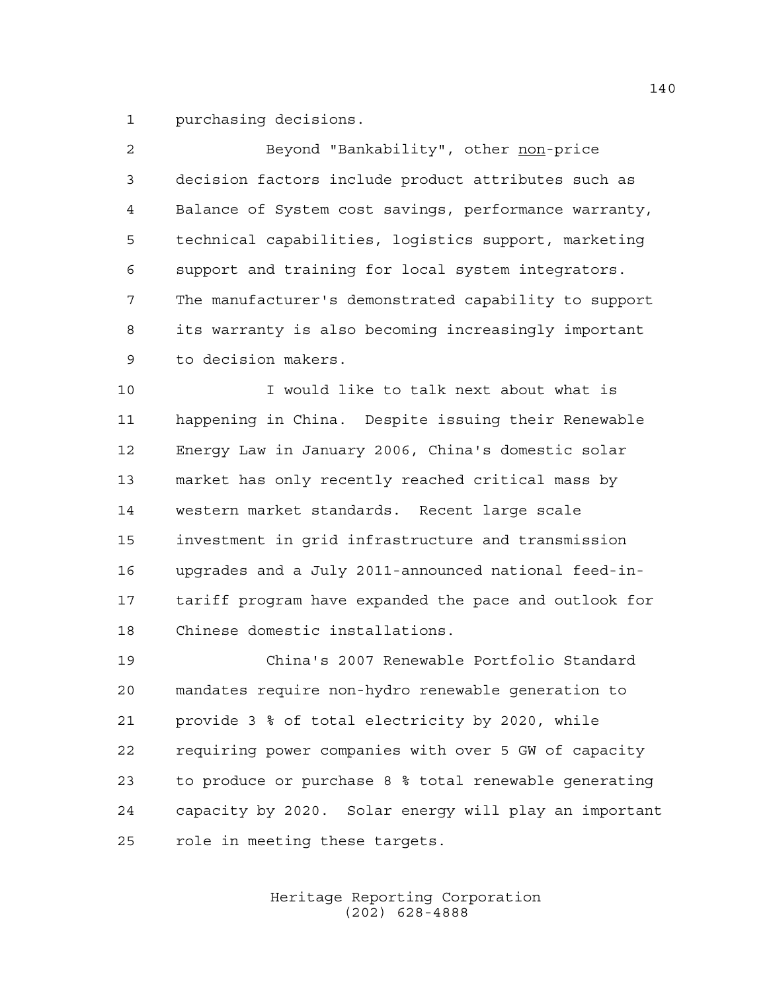purchasing decisions.

| $\mathcal{L}$ | Beyond "Bankability", other non-price                 |
|---------------|-------------------------------------------------------|
| 3             | decision factors include product attributes such as   |
| 4             | Balance of System cost savings, performance warranty, |
| 5             | technical capabilities, logistics support, marketing  |
| 6             | support and training for local system integrators.    |
| 7             | The manufacturer's demonstrated capability to support |
| 8             | its warranty is also becoming increasingly important  |
| 9             | to decision makers.                                   |

 I would like to talk next about what is happening in China. Despite issuing their Renewable Energy Law in January 2006, China's domestic solar market has only recently reached critical mass by western market standards. Recent large scale investment in grid infrastructure and transmission upgrades and a July 2011-announced national feed-in- tariff program have expanded the pace and outlook for Chinese domestic installations.

 China's 2007 Renewable Portfolio Standard mandates require non-hydro renewable generation to provide 3 % of total electricity by 2020, while requiring power companies with over 5 GW of capacity to produce or purchase 8 % total renewable generating capacity by 2020. Solar energy will play an important role in meeting these targets.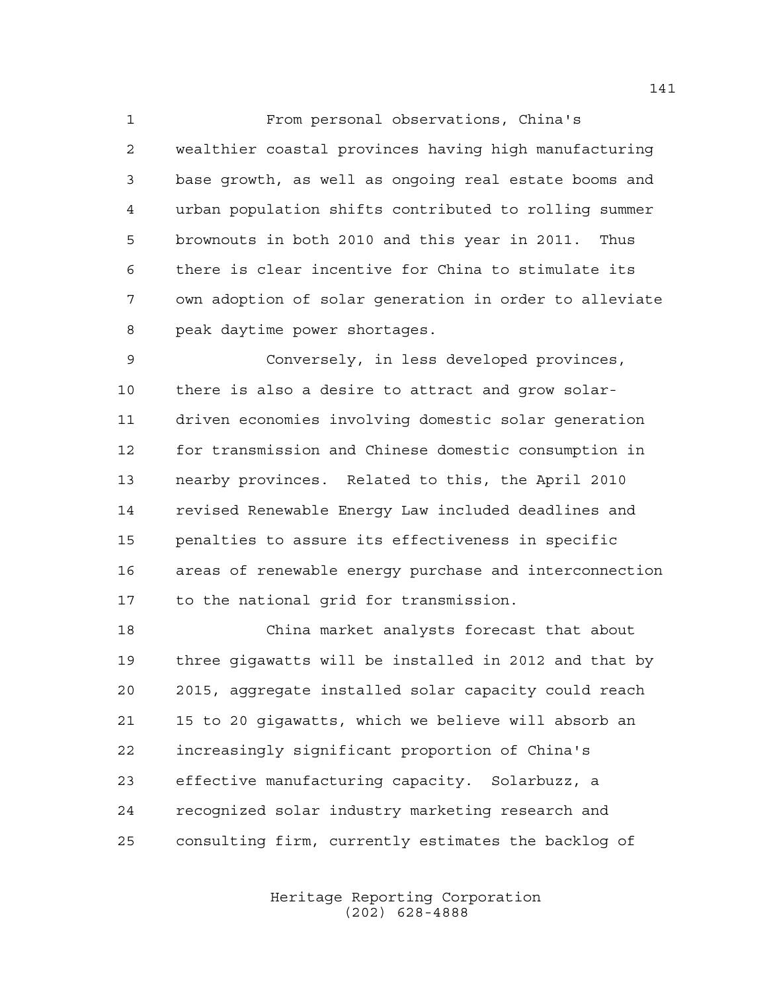From personal observations, China's wealthier coastal provinces having high manufacturing base growth, as well as ongoing real estate booms and urban population shifts contributed to rolling summer brownouts in both 2010 and this year in 2011. Thus there is clear incentive for China to stimulate its own adoption of solar generation in order to alleviate peak daytime power shortages.

 Conversely, in less developed provinces, there is also a desire to attract and grow solar- driven economies involving domestic solar generation for transmission and Chinese domestic consumption in nearby provinces. Related to this, the April 2010 revised Renewable Energy Law included deadlines and penalties to assure its effectiveness in specific areas of renewable energy purchase and interconnection to the national grid for transmission.

 China market analysts forecast that about three gigawatts will be installed in 2012 and that by 2015, aggregate installed solar capacity could reach 15 to 20 gigawatts, which we believe will absorb an increasingly significant proportion of China's effective manufacturing capacity. Solarbuzz, a recognized solar industry marketing research and consulting firm, currently estimates the backlog of

> Heritage Reporting Corporation (202) 628-4888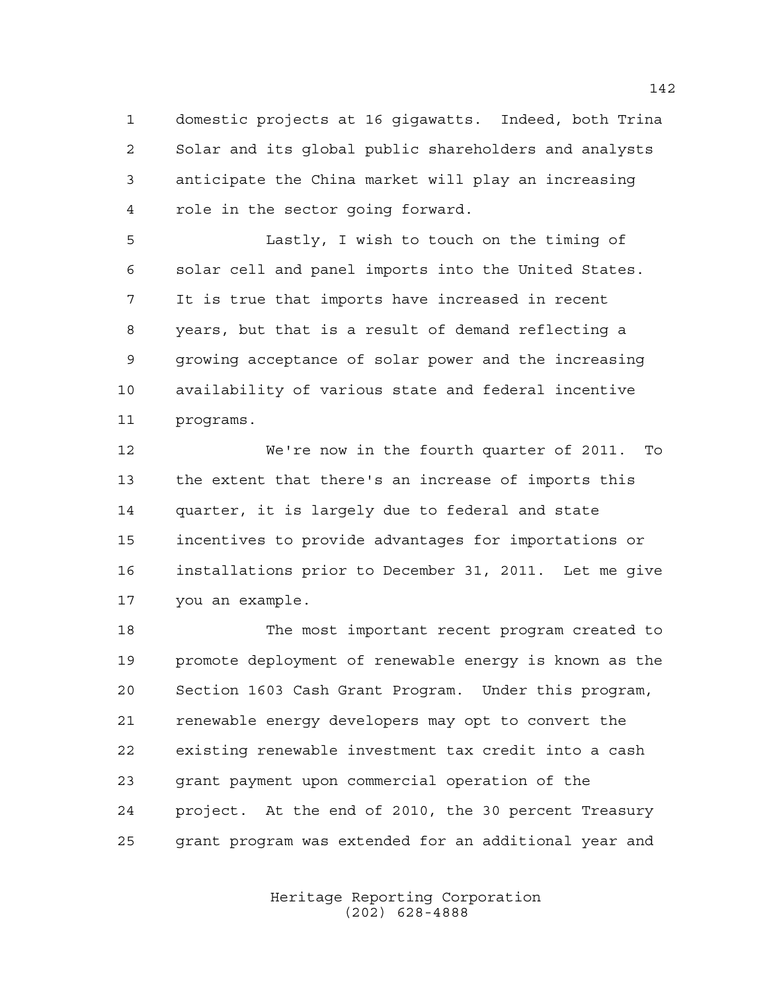domestic projects at 16 gigawatts. Indeed, both Trina Solar and its global public shareholders and analysts anticipate the China market will play an increasing role in the sector going forward.

 Lastly, I wish to touch on the timing of solar cell and panel imports into the United States. It is true that imports have increased in recent years, but that is a result of demand reflecting a growing acceptance of solar power and the increasing availability of various state and federal incentive programs.

 We're now in the fourth quarter of 2011. To the extent that there's an increase of imports this quarter, it is largely due to federal and state incentives to provide advantages for importations or installations prior to December 31, 2011. Let me give you an example.

 The most important recent program created to promote deployment of renewable energy is known as the Section 1603 Cash Grant Program. Under this program, renewable energy developers may opt to convert the existing renewable investment tax credit into a cash grant payment upon commercial operation of the project. At the end of 2010, the 30 percent Treasury grant program was extended for an additional year and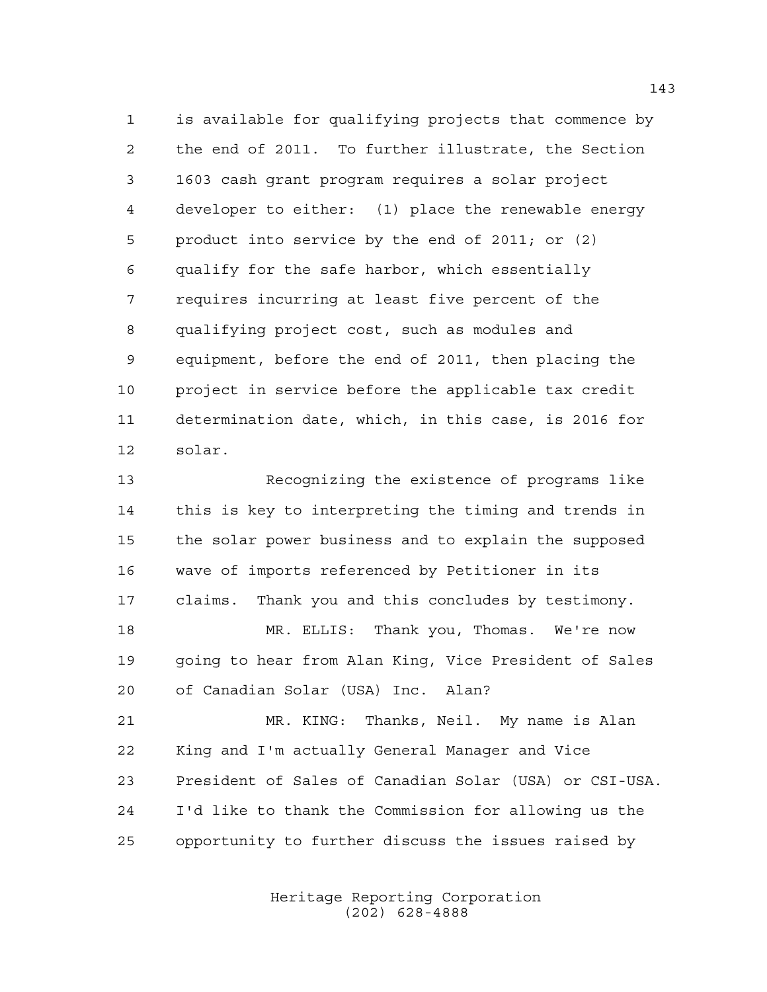is available for qualifying projects that commence by the end of 2011. To further illustrate, the Section 1603 cash grant program requires a solar project developer to either: (1) place the renewable energy product into service by the end of 2011; or (2) qualify for the safe harbor, which essentially requires incurring at least five percent of the qualifying project cost, such as modules and equipment, before the end of 2011, then placing the project in service before the applicable tax credit determination date, which, in this case, is 2016 for solar.

 Recognizing the existence of programs like this is key to interpreting the timing and trends in the solar power business and to explain the supposed wave of imports referenced by Petitioner in its claims. Thank you and this concludes by testimony.

 MR. ELLIS: Thank you, Thomas. We're now going to hear from Alan King, Vice President of Sales of Canadian Solar (USA) Inc. Alan?

 MR. KING: Thanks, Neil. My name is Alan King and I'm actually General Manager and Vice President of Sales of Canadian Solar (USA) or CSI-USA. I'd like to thank the Commission for allowing us the opportunity to further discuss the issues raised by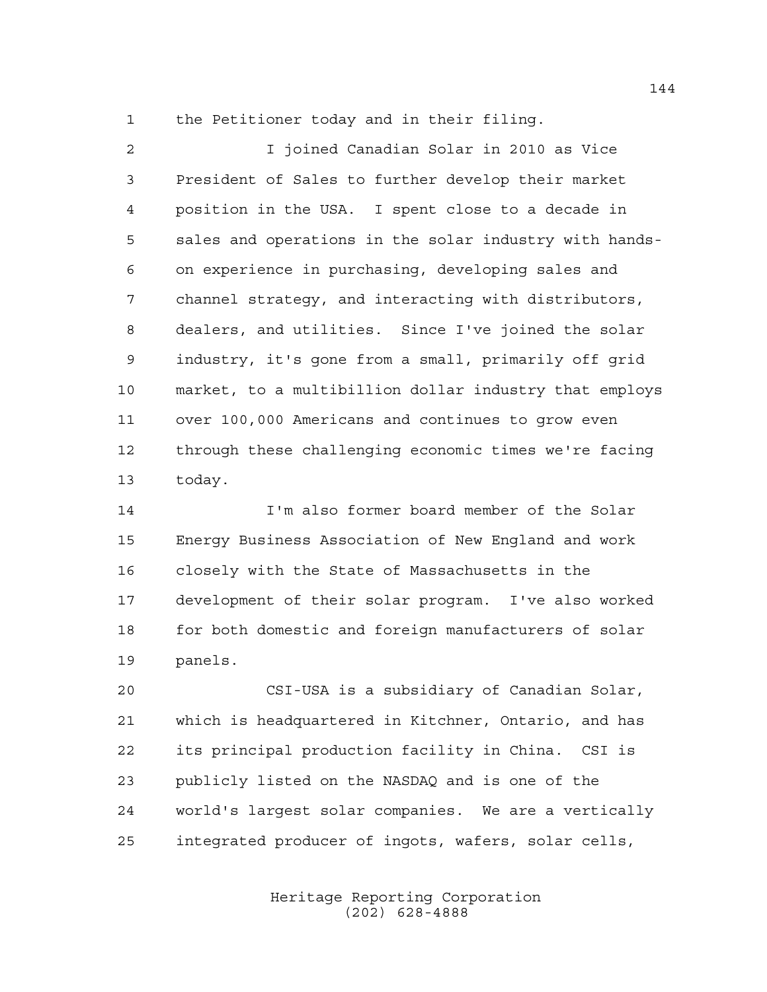the Petitioner today and in their filing.

 I joined Canadian Solar in 2010 as Vice President of Sales to further develop their market position in the USA. I spent close to a decade in sales and operations in the solar industry with hands- on experience in purchasing, developing sales and channel strategy, and interacting with distributors, dealers, and utilities. Since I've joined the solar industry, it's gone from a small, primarily off grid market, to a multibillion dollar industry that employs over 100,000 Americans and continues to grow even through these challenging economic times we're facing today.

 I'm also former board member of the Solar Energy Business Association of New England and work closely with the State of Massachusetts in the development of their solar program. I've also worked 18 for both domestic and foreign manufacturers of solar panels.

 CSI-USA is a subsidiary of Canadian Solar, which is headquartered in Kitchner, Ontario, and has its principal production facility in China. CSI is publicly listed on the NASDAQ and is one of the world's largest solar companies. We are a vertically integrated producer of ingots, wafers, solar cells,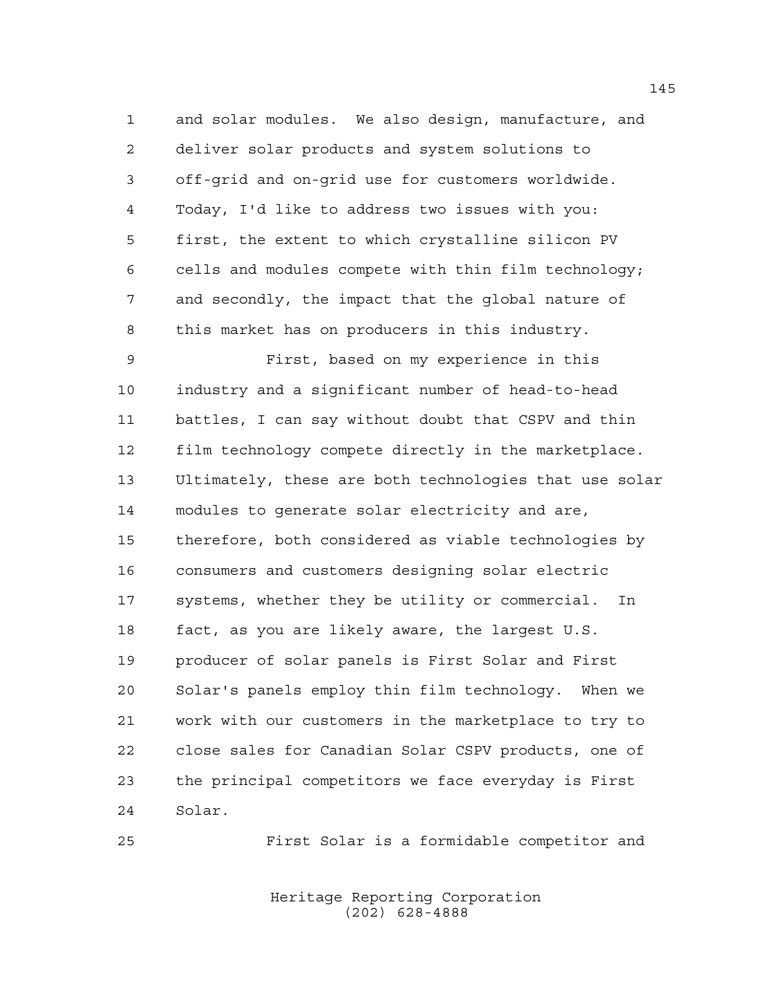and solar modules. We also design, manufacture, and deliver solar products and system solutions to off-grid and on-grid use for customers worldwide. Today, I'd like to address two issues with you: first, the extent to which crystalline silicon PV cells and modules compete with thin film technology; and secondly, the impact that the global nature of this market has on producers in this industry. First, based on my experience in this

 industry and a significant number of head-to-head battles, I can say without doubt that CSPV and thin film technology compete directly in the marketplace. Ultimately, these are both technologies that use solar modules to generate solar electricity and are, therefore, both considered as viable technologies by consumers and customers designing solar electric systems, whether they be utility or commercial. In fact, as you are likely aware, the largest U.S. producer of solar panels is First Solar and First Solar's panels employ thin film technology. When we work with our customers in the marketplace to try to close sales for Canadian Solar CSPV products, one of the principal competitors we face everyday is First Solar.

First Solar is a formidable competitor and

Heritage Reporting Corporation (202) 628-4888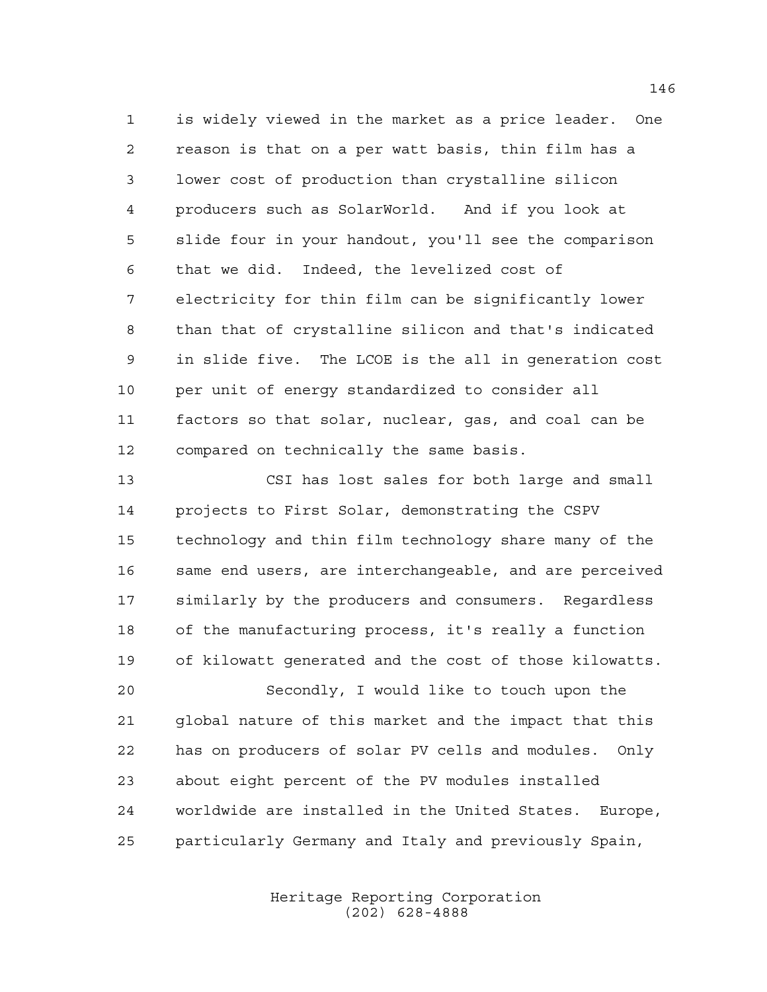is widely viewed in the market as a price leader. One reason is that on a per watt basis, thin film has a lower cost of production than crystalline silicon producers such as SolarWorld. And if you look at slide four in your handout, you'll see the comparison that we did. Indeed, the levelized cost of electricity for thin film can be significantly lower than that of crystalline silicon and that's indicated in slide five. The LCOE is the all in generation cost per unit of energy standardized to consider all factors so that solar, nuclear, gas, and coal can be compared on technically the same basis.

 CSI has lost sales for both large and small projects to First Solar, demonstrating the CSPV technology and thin film technology share many of the same end users, are interchangeable, and are perceived similarly by the producers and consumers. Regardless of the manufacturing process, it's really a function of kilowatt generated and the cost of those kilowatts. Secondly, I would like to touch upon the global nature of this market and the impact that this

 has on producers of solar PV cells and modules. Only about eight percent of the PV modules installed worldwide are installed in the United States. Europe, particularly Germany and Italy and previously Spain,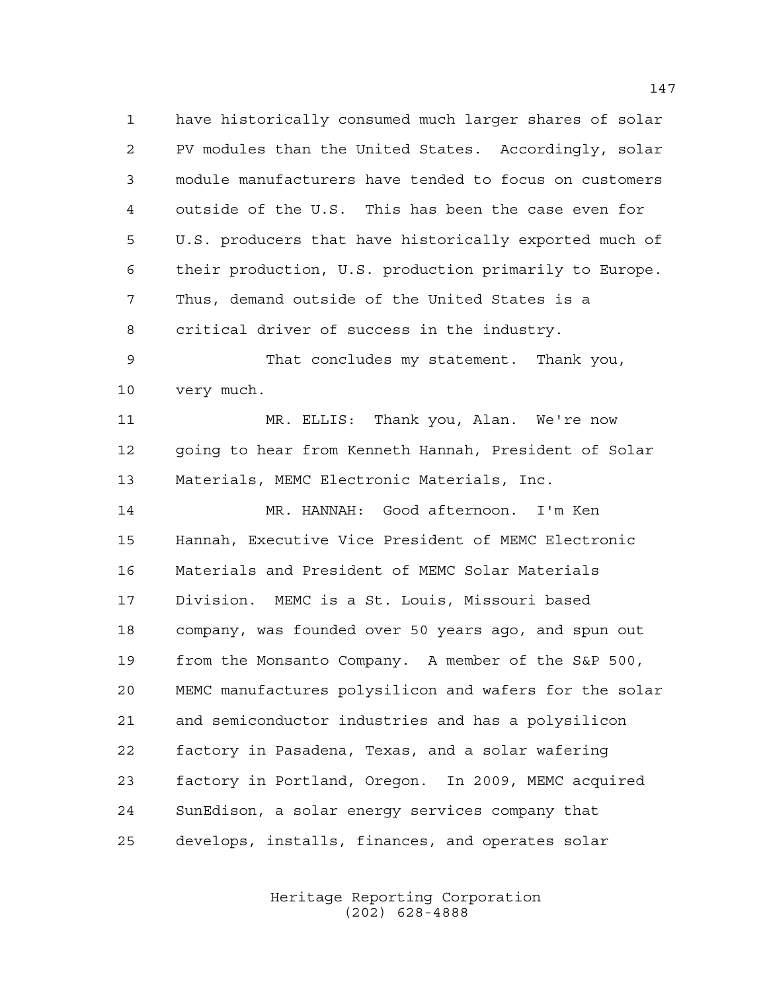have historically consumed much larger shares of solar PV modules than the United States. Accordingly, solar module manufacturers have tended to focus on customers outside of the U.S. This has been the case even for U.S. producers that have historically exported much of their production, U.S. production primarily to Europe. Thus, demand outside of the United States is a critical driver of success in the industry. That concludes my statement. Thank you, very much. MR. ELLIS: Thank you, Alan. We're now going to hear from Kenneth Hannah, President of Solar Materials, MEMC Electronic Materials, Inc. MR. HANNAH: Good afternoon. I'm Ken Hannah, Executive Vice President of MEMC Electronic Materials and President of MEMC Solar Materials Division. MEMC is a St. Louis, Missouri based company, was founded over 50 years ago, and spun out from the Monsanto Company. A member of the S&P 500, MEMC manufactures polysilicon and wafers for the solar and semiconductor industries and has a polysilicon factory in Pasadena, Texas, and a solar wafering factory in Portland, Oregon. In 2009, MEMC acquired

develops, installs, finances, and operates solar

SunEdison, a solar energy services company that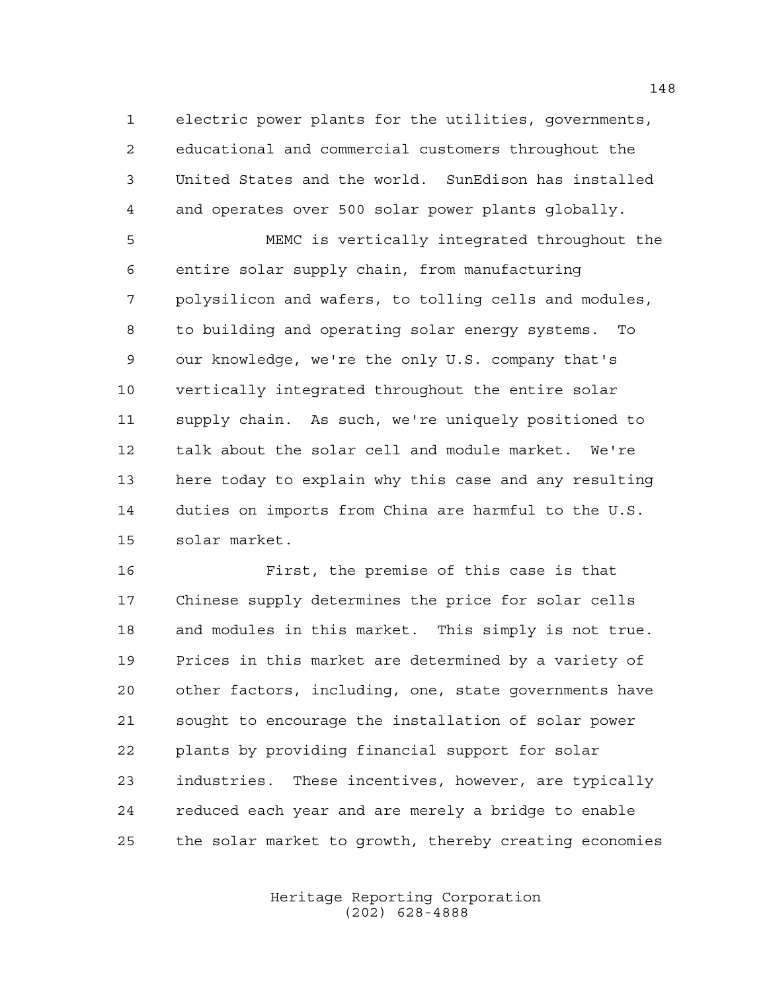electric power plants for the utilities, governments, educational and commercial customers throughout the United States and the world. SunEdison has installed and operates over 500 solar power plants globally.

 MEMC is vertically integrated throughout the entire solar supply chain, from manufacturing polysilicon and wafers, to tolling cells and modules, to building and operating solar energy systems. To our knowledge, we're the only U.S. company that's vertically integrated throughout the entire solar supply chain. As such, we're uniquely positioned to talk about the solar cell and module market. We're here today to explain why this case and any resulting duties on imports from China are harmful to the U.S. solar market.

 First, the premise of this case is that Chinese supply determines the price for solar cells and modules in this market. This simply is not true. Prices in this market are determined by a variety of other factors, including, one, state governments have sought to encourage the installation of solar power plants by providing financial support for solar industries. These incentives, however, are typically reduced each year and are merely a bridge to enable the solar market to growth, thereby creating economies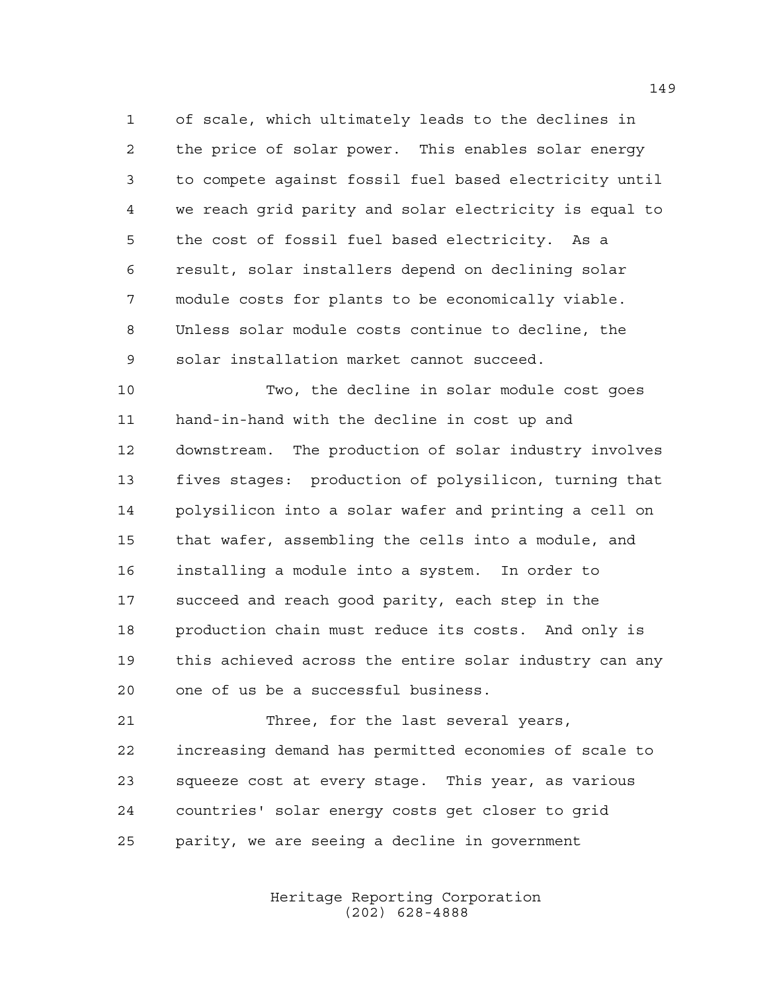of scale, which ultimately leads to the declines in the price of solar power. This enables solar energy to compete against fossil fuel based electricity until we reach grid parity and solar electricity is equal to the cost of fossil fuel based electricity. As a result, solar installers depend on declining solar module costs for plants to be economically viable. Unless solar module costs continue to decline, the solar installation market cannot succeed.

 Two, the decline in solar module cost goes hand-in-hand with the decline in cost up and downstream. The production of solar industry involves fives stages: production of polysilicon, turning that polysilicon into a solar wafer and printing a cell on that wafer, assembling the cells into a module, and installing a module into a system. In order to succeed and reach good parity, each step in the production chain must reduce its costs. And only is this achieved across the entire solar industry can any one of us be a successful business.

 Three, for the last several years, increasing demand has permitted economies of scale to squeeze cost at every stage. This year, as various countries' solar energy costs get closer to grid parity, we are seeing a decline in government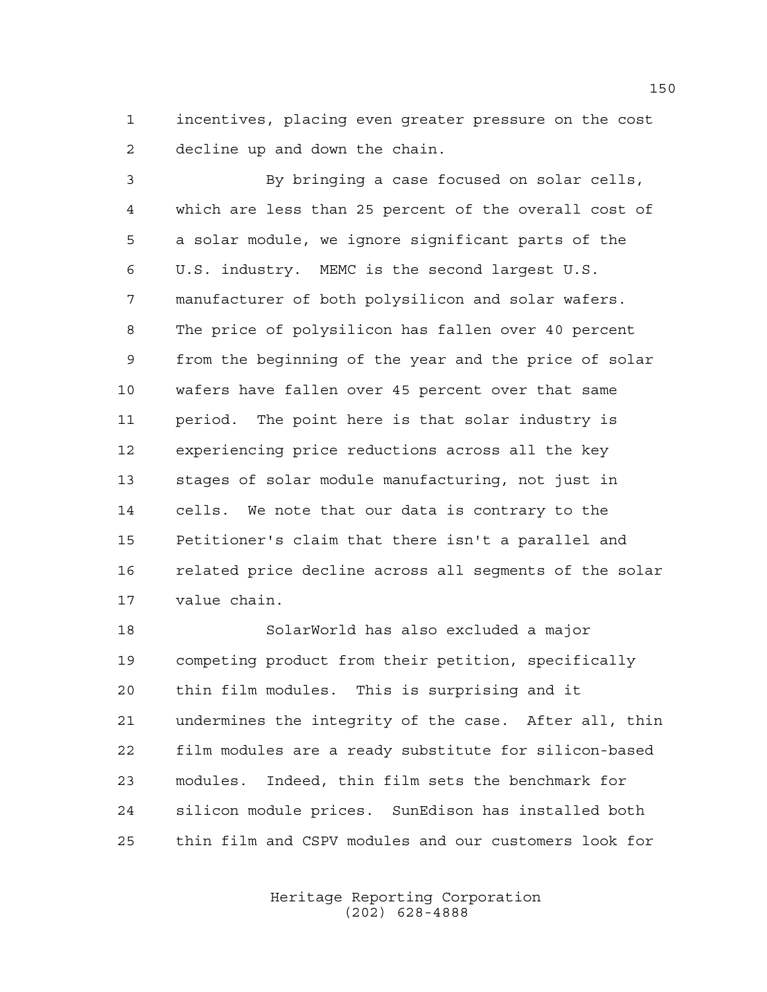incentives, placing even greater pressure on the cost decline up and down the chain.

 By bringing a case focused on solar cells, which are less than 25 percent of the overall cost of a solar module, we ignore significant parts of the U.S. industry. MEMC is the second largest U.S. manufacturer of both polysilicon and solar wafers. The price of polysilicon has fallen over 40 percent from the beginning of the year and the price of solar wafers have fallen over 45 percent over that same period. The point here is that solar industry is experiencing price reductions across all the key stages of solar module manufacturing, not just in cells. We note that our data is contrary to the Petitioner's claim that there isn't a parallel and related price decline across all segments of the solar value chain.

 SolarWorld has also excluded a major competing product from their petition, specifically thin film modules. This is surprising and it undermines the integrity of the case. After all, thin film modules are a ready substitute for silicon-based modules. Indeed, thin film sets the benchmark for silicon module prices. SunEdison has installed both thin film and CSPV modules and our customers look for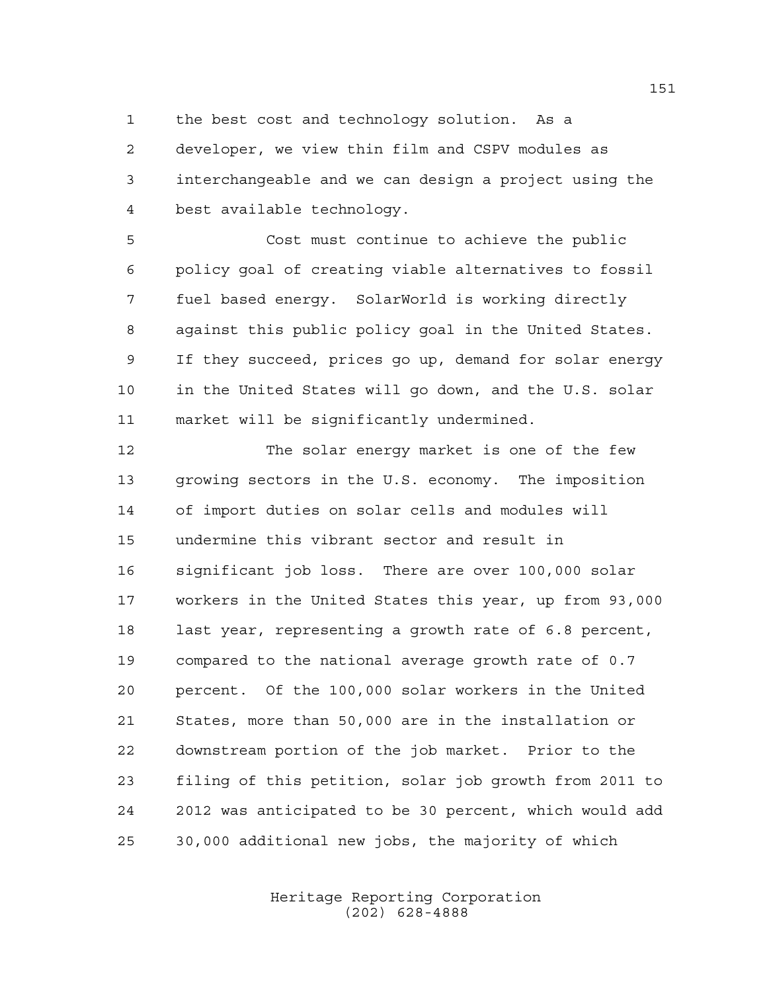the best cost and technology solution. As a

 developer, we view thin film and CSPV modules as interchangeable and we can design a project using the best available technology.

 Cost must continue to achieve the public policy goal of creating viable alternatives to fossil fuel based energy. SolarWorld is working directly against this public policy goal in the United States. If they succeed, prices go up, demand for solar energy in the United States will go down, and the U.S. solar market will be significantly undermined.

 The solar energy market is one of the few growing sectors in the U.S. economy. The imposition of import duties on solar cells and modules will undermine this vibrant sector and result in significant job loss. There are over 100,000 solar workers in the United States this year, up from 93,000 last year, representing a growth rate of 6.8 percent, compared to the national average growth rate of 0.7 percent. Of the 100,000 solar workers in the United States, more than 50,000 are in the installation or downstream portion of the job market. Prior to the filing of this petition, solar job growth from 2011 to 2012 was anticipated to be 30 percent, which would add 30,000 additional new jobs, the majority of which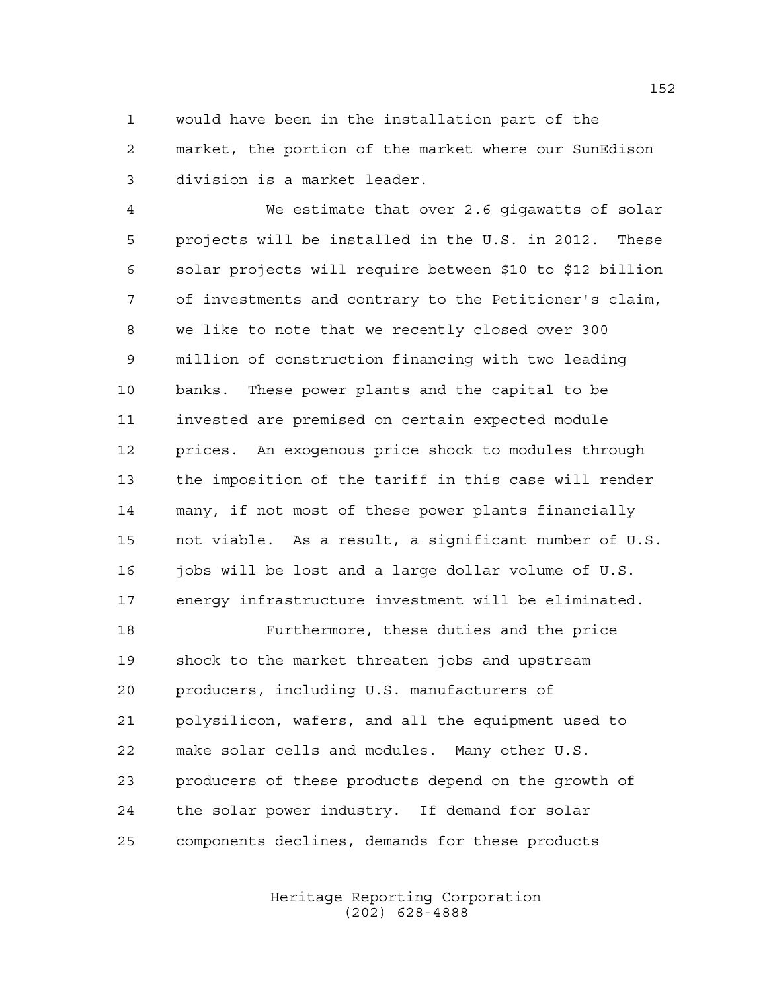would have been in the installation part of the market, the portion of the market where our SunEdison division is a market leader.

 We estimate that over 2.6 gigawatts of solar projects will be installed in the U.S. in 2012. These solar projects will require between \$10 to \$12 billion of investments and contrary to the Petitioner's claim, we like to note that we recently closed over 300 million of construction financing with two leading banks. These power plants and the capital to be invested are premised on certain expected module prices. An exogenous price shock to modules through the imposition of the tariff in this case will render many, if not most of these power plants financially not viable. As a result, a significant number of U.S. 16 jobs will be lost and a large dollar volume of U.S. energy infrastructure investment will be eliminated.

 Furthermore, these duties and the price shock to the market threaten jobs and upstream producers, including U.S. manufacturers of polysilicon, wafers, and all the equipment used to make solar cells and modules. Many other U.S. producers of these products depend on the growth of the solar power industry. If demand for solar components declines, demands for these products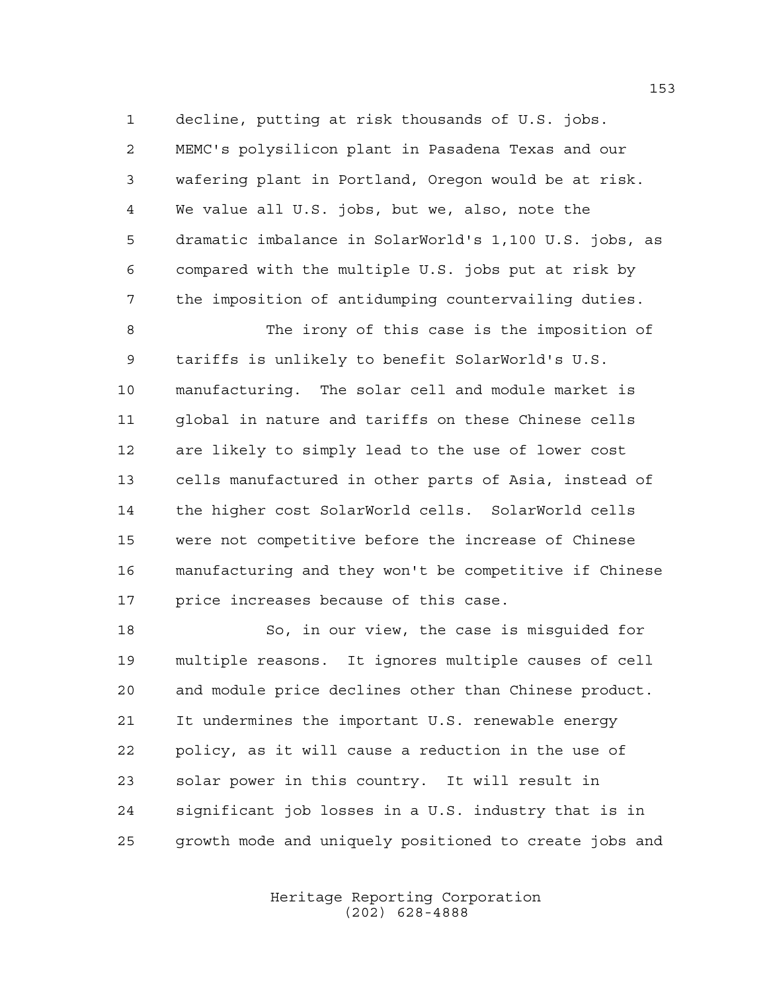decline, putting at risk thousands of U.S. jobs. MEMC's polysilicon plant in Pasadena Texas and our wafering plant in Portland, Oregon would be at risk. We value all U.S. jobs, but we, also, note the dramatic imbalance in SolarWorld's 1,100 U.S. jobs, as compared with the multiple U.S. jobs put at risk by the imposition of antidumping countervailing duties.

 The irony of this case is the imposition of tariffs is unlikely to benefit SolarWorld's U.S. manufacturing. The solar cell and module market is global in nature and tariffs on these Chinese cells are likely to simply lead to the use of lower cost cells manufactured in other parts of Asia, instead of the higher cost SolarWorld cells. SolarWorld cells were not competitive before the increase of Chinese manufacturing and they won't be competitive if Chinese price increases because of this case.

 So, in our view, the case is misguided for multiple reasons. It ignores multiple causes of cell and module price declines other than Chinese product. It undermines the important U.S. renewable energy policy, as it will cause a reduction in the use of solar power in this country. It will result in significant job losses in a U.S. industry that is in growth mode and uniquely positioned to create jobs and

> Heritage Reporting Corporation (202) 628-4888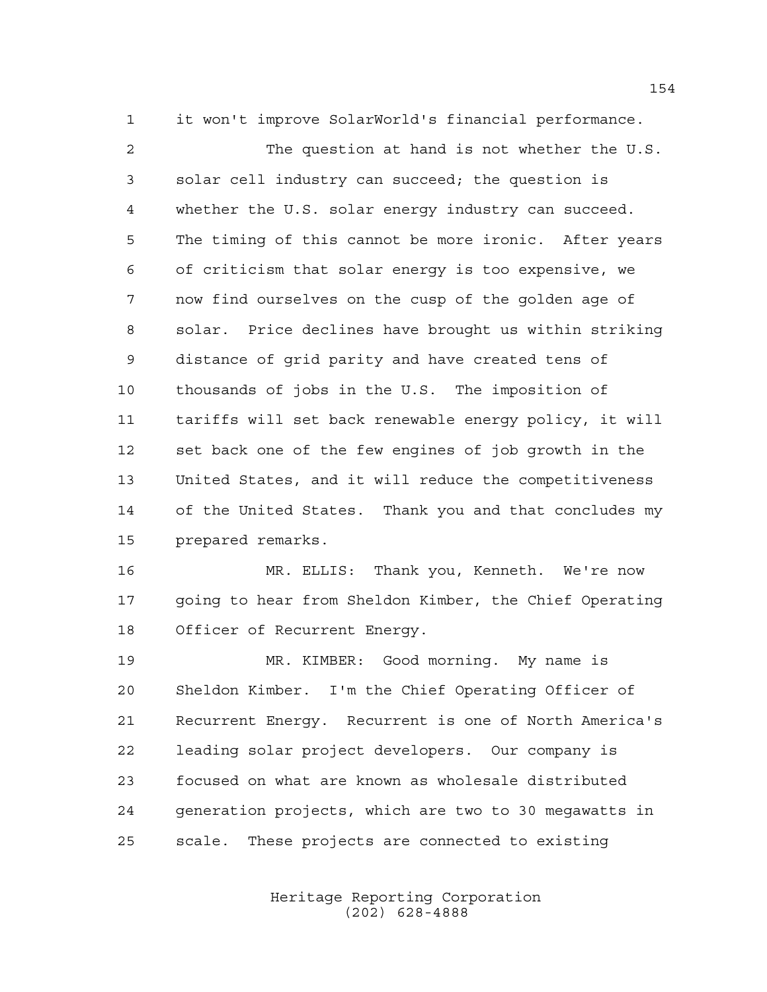it won't improve SolarWorld's financial performance. The question at hand is not whether the U.S. solar cell industry can succeed; the question is whether the U.S. solar energy industry can succeed. The timing of this cannot be more ironic. After years of criticism that solar energy is too expensive, we now find ourselves on the cusp of the golden age of solar. Price declines have brought us within striking distance of grid parity and have created tens of thousands of jobs in the U.S. The imposition of tariffs will set back renewable energy policy, it will set back one of the few engines of job growth in the United States, and it will reduce the competitiveness of the United States. Thank you and that concludes my prepared remarks.

 MR. ELLIS: Thank you, Kenneth. We're now going to hear from Sheldon Kimber, the Chief Operating Officer of Recurrent Energy.

 MR. KIMBER: Good morning. My name is Sheldon Kimber. I'm the Chief Operating Officer of Recurrent Energy. Recurrent is one of North America's leading solar project developers. Our company is focused on what are known as wholesale distributed generation projects, which are two to 30 megawatts in scale. These projects are connected to existing

> Heritage Reporting Corporation (202) 628-4888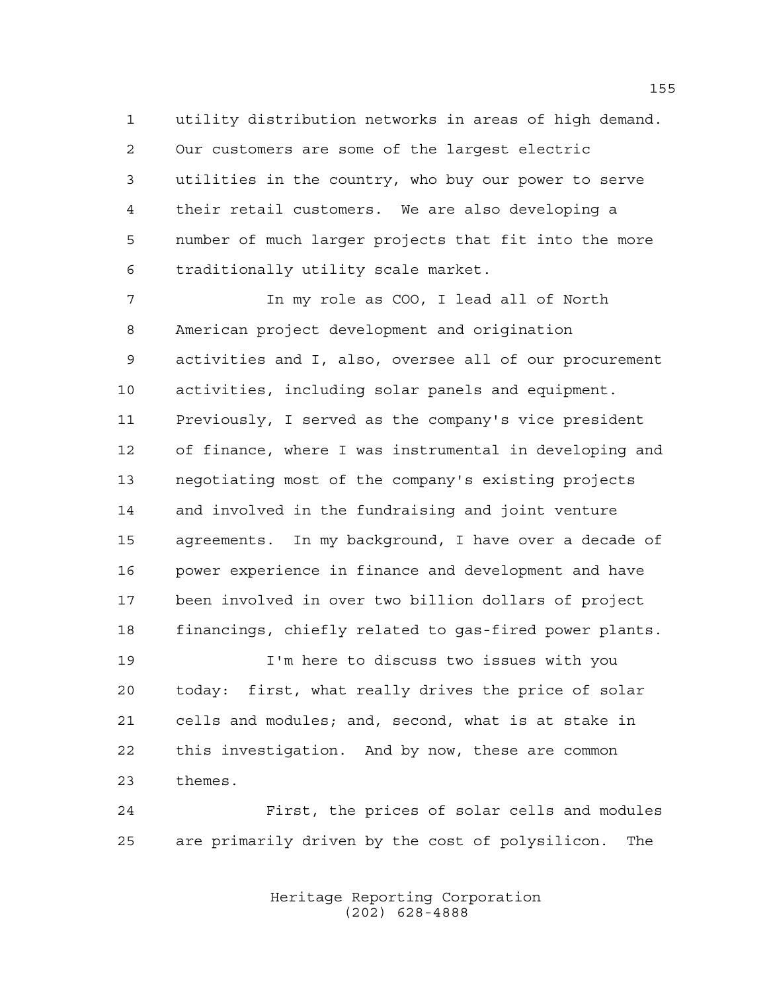utility distribution networks in areas of high demand. Our customers are some of the largest electric utilities in the country, who buy our power to serve their retail customers. We are also developing a number of much larger projects that fit into the more traditionally utility scale market.

 In my role as COO, I lead all of North American project development and origination activities and I, also, oversee all of our procurement activities, including solar panels and equipment. Previously, I served as the company's vice president of finance, where I was instrumental in developing and negotiating most of the company's existing projects and involved in the fundraising and joint venture agreements. In my background, I have over a decade of power experience in finance and development and have been involved in over two billion dollars of project financings, chiefly related to gas-fired power plants.

 I'm here to discuss two issues with you today: first, what really drives the price of solar cells and modules; and, second, what is at stake in this investigation. And by now, these are common themes.

 First, the prices of solar cells and modules are primarily driven by the cost of polysilicon. The

> Heritage Reporting Corporation (202) 628-4888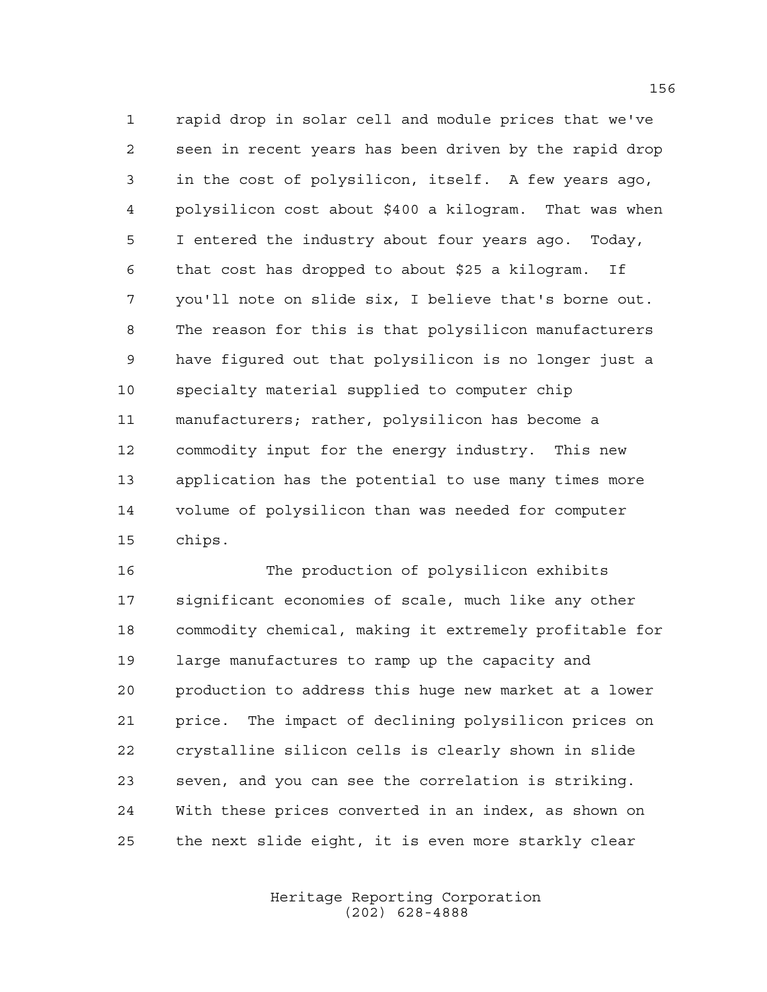rapid drop in solar cell and module prices that we've seen in recent years has been driven by the rapid drop in the cost of polysilicon, itself. A few years ago, polysilicon cost about \$400 a kilogram. That was when I entered the industry about four years ago. Today, that cost has dropped to about \$25 a kilogram. If you'll note on slide six, I believe that's borne out. The reason for this is that polysilicon manufacturers have figured out that polysilicon is no longer just a specialty material supplied to computer chip manufacturers; rather, polysilicon has become a commodity input for the energy industry. This new application has the potential to use many times more volume of polysilicon than was needed for computer chips.

 The production of polysilicon exhibits significant economies of scale, much like any other commodity chemical, making it extremely profitable for large manufactures to ramp up the capacity and production to address this huge new market at a lower price. The impact of declining polysilicon prices on crystalline silicon cells is clearly shown in slide seven, and you can see the correlation is striking. With these prices converted in an index, as shown on the next slide eight, it is even more starkly clear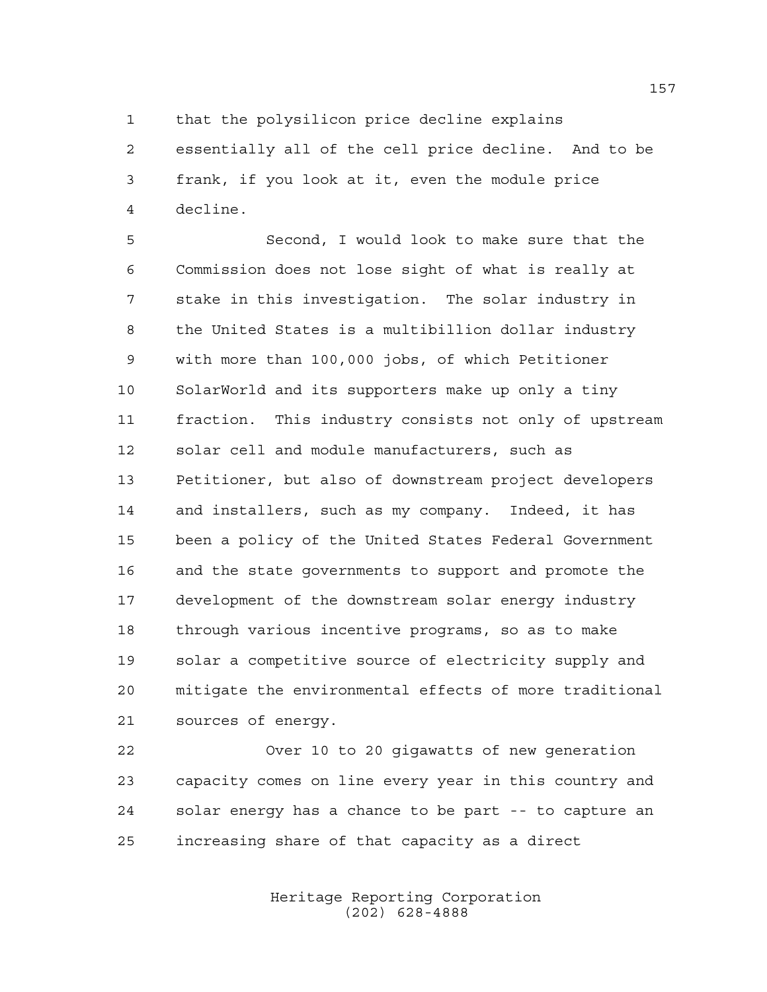that the polysilicon price decline explains

 essentially all of the cell price decline. And to be frank, if you look at it, even the module price decline.

 Second, I would look to make sure that the Commission does not lose sight of what is really at stake in this investigation. The solar industry in the United States is a multibillion dollar industry with more than 100,000 jobs, of which Petitioner SolarWorld and its supporters make up only a tiny fraction. This industry consists not only of upstream solar cell and module manufacturers, such as Petitioner, but also of downstream project developers and installers, such as my company. Indeed, it has been a policy of the United States Federal Government and the state governments to support and promote the development of the downstream solar energy industry through various incentive programs, so as to make solar a competitive source of electricity supply and mitigate the environmental effects of more traditional sources of energy.

 Over 10 to 20 gigawatts of new generation capacity comes on line every year in this country and solar energy has a chance to be part -- to capture an increasing share of that capacity as a direct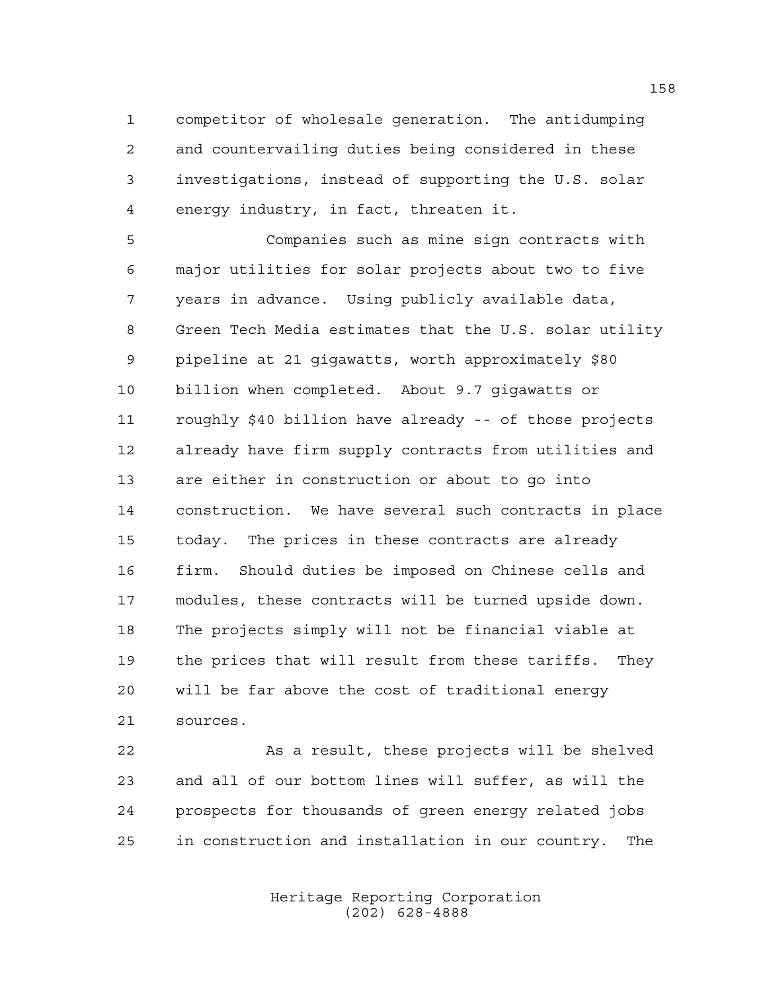competitor of wholesale generation. The antidumping and countervailing duties being considered in these investigations, instead of supporting the U.S. solar energy industry, in fact, threaten it.

 Companies such as mine sign contracts with major utilities for solar projects about two to five years in advance. Using publicly available data, Green Tech Media estimates that the U.S. solar utility pipeline at 21 gigawatts, worth approximately \$80 billion when completed. About 9.7 gigawatts or roughly \$40 billion have already -- of those projects already have firm supply contracts from utilities and are either in construction or about to go into construction. We have several such contracts in place today. The prices in these contracts are already firm. Should duties be imposed on Chinese cells and modules, these contracts will be turned upside down. The projects simply will not be financial viable at the prices that will result from these tariffs. They will be far above the cost of traditional energy sources.

 As a result, these projects will be shelved and all of our bottom lines will suffer, as will the prospects for thousands of green energy related jobs in construction and installation in our country. The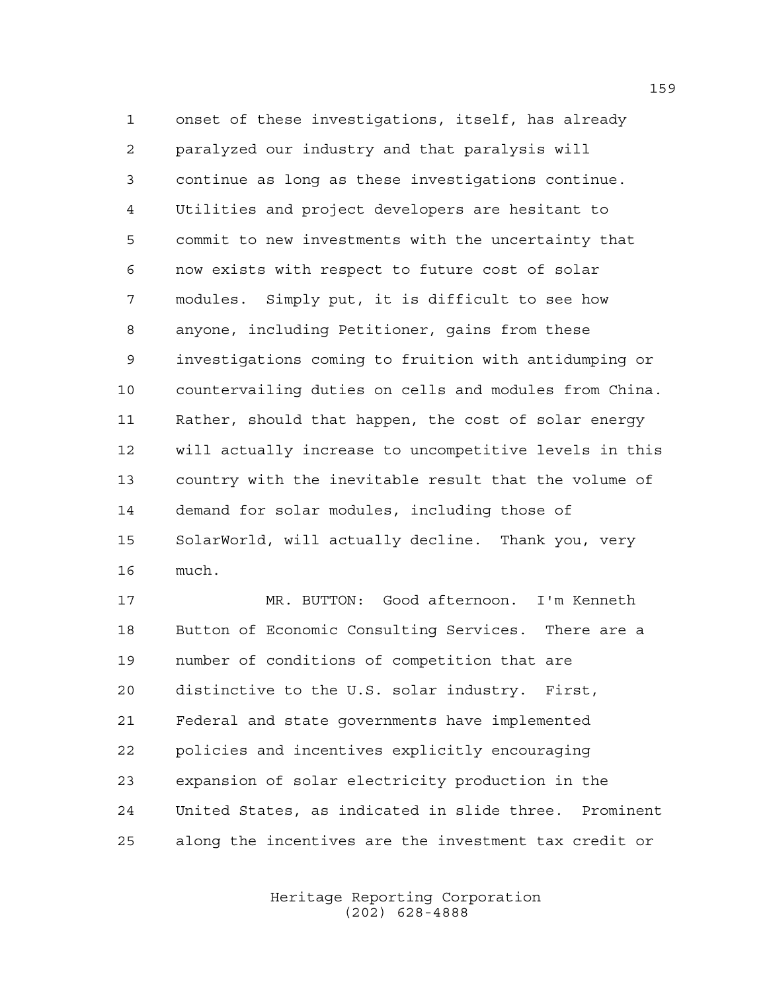onset of these investigations, itself, has already paralyzed our industry and that paralysis will continue as long as these investigations continue. Utilities and project developers are hesitant to commit to new investments with the uncertainty that now exists with respect to future cost of solar modules. Simply put, it is difficult to see how anyone, including Petitioner, gains from these investigations coming to fruition with antidumping or countervailing duties on cells and modules from China. Rather, should that happen, the cost of solar energy will actually increase to uncompetitive levels in this country with the inevitable result that the volume of demand for solar modules, including those of SolarWorld, will actually decline. Thank you, very much.

 MR. BUTTON: Good afternoon. I'm Kenneth Button of Economic Consulting Services. There are a number of conditions of competition that are distinctive to the U.S. solar industry. First, Federal and state governments have implemented policies and incentives explicitly encouraging expansion of solar electricity production in the United States, as indicated in slide three. Prominent along the incentives are the investment tax credit or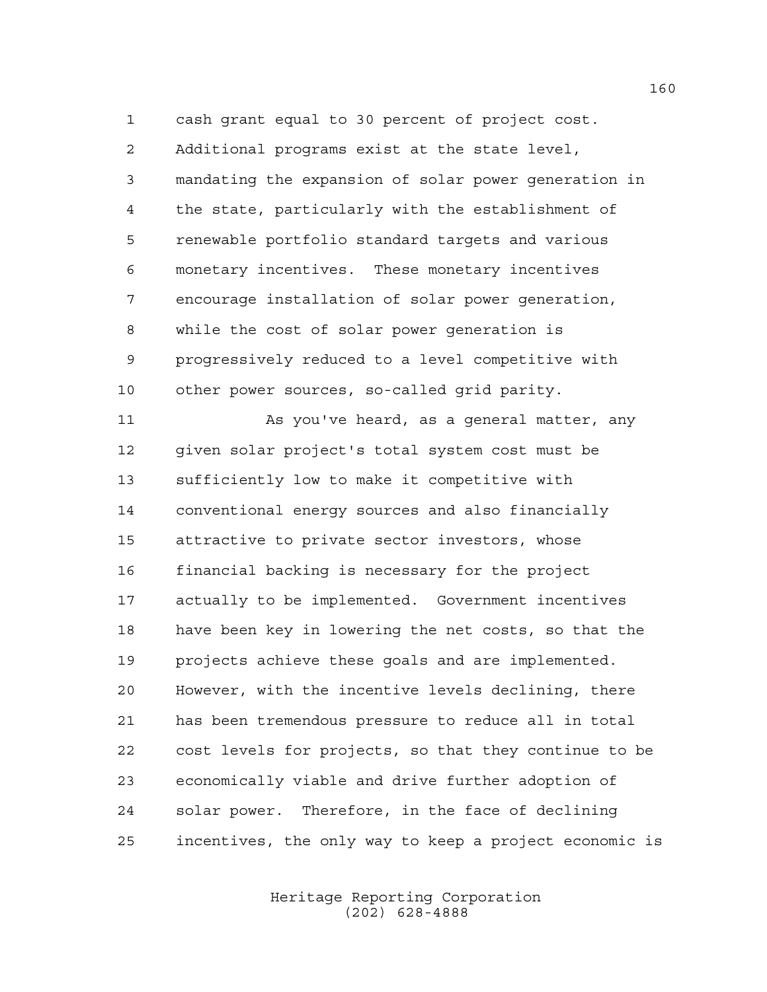cash grant equal to 30 percent of project cost. Additional programs exist at the state level, mandating the expansion of solar power generation in the state, particularly with the establishment of renewable portfolio standard targets and various monetary incentives. These monetary incentives encourage installation of solar power generation, while the cost of solar power generation is progressively reduced to a level competitive with other power sources, so-called grid parity.

11 As you've heard, as a general matter, any given solar project's total system cost must be sufficiently low to make it competitive with conventional energy sources and also financially attractive to private sector investors, whose financial backing is necessary for the project actually to be implemented. Government incentives have been key in lowering the net costs, so that the projects achieve these goals and are implemented. However, with the incentive levels declining, there has been tremendous pressure to reduce all in total cost levels for projects, so that they continue to be economically viable and drive further adoption of solar power. Therefore, in the face of declining incentives, the only way to keep a project economic is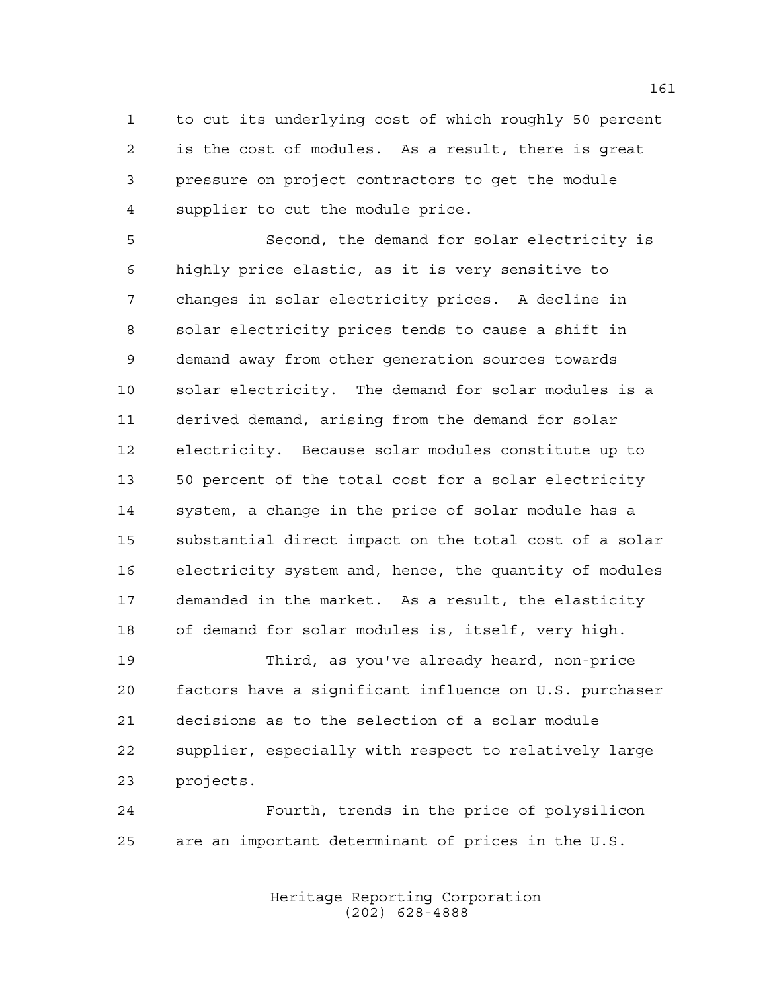to cut its underlying cost of which roughly 50 percent is the cost of modules. As a result, there is great pressure on project contractors to get the module supplier to cut the module price.

 Second, the demand for solar electricity is highly price elastic, as it is very sensitive to changes in solar electricity prices. A decline in solar electricity prices tends to cause a shift in demand away from other generation sources towards solar electricity. The demand for solar modules is a derived demand, arising from the demand for solar electricity. Because solar modules constitute up to 50 percent of the total cost for a solar electricity system, a change in the price of solar module has a substantial direct impact on the total cost of a solar electricity system and, hence, the quantity of modules demanded in the market. As a result, the elasticity of demand for solar modules is, itself, very high.

 Third, as you've already heard, non-price factors have a significant influence on U.S. purchaser decisions as to the selection of a solar module supplier, especially with respect to relatively large projects.

 Fourth, trends in the price of polysilicon are an important determinant of prices in the U.S.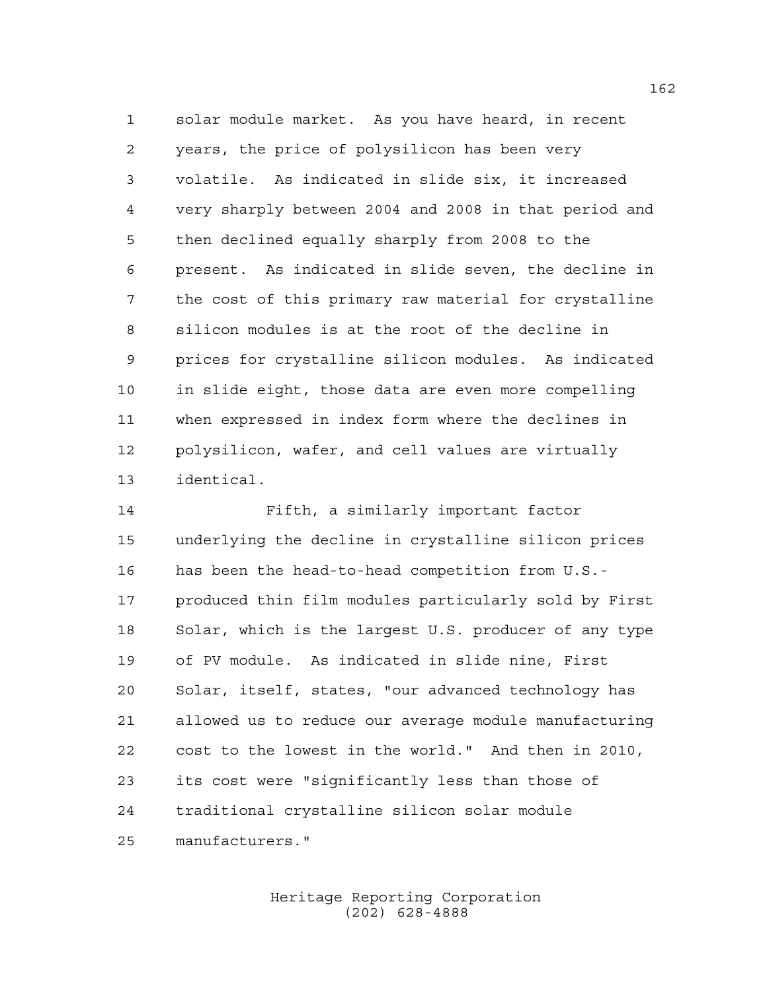solar module market. As you have heard, in recent years, the price of polysilicon has been very volatile. As indicated in slide six, it increased very sharply between 2004 and 2008 in that period and then declined equally sharply from 2008 to the present. As indicated in slide seven, the decline in the cost of this primary raw material for crystalline silicon modules is at the root of the decline in prices for crystalline silicon modules. As indicated in slide eight, those data are even more compelling when expressed in index form where the declines in polysilicon, wafer, and cell values are virtually identical.

 Fifth, a similarly important factor underlying the decline in crystalline silicon prices has been the head-to-head competition from U.S.- produced thin film modules particularly sold by First Solar, which is the largest U.S. producer of any type of PV module. As indicated in slide nine, First Solar, itself, states, "our advanced technology has allowed us to reduce our average module manufacturing cost to the lowest in the world." And then in 2010, its cost were "significantly less than those of traditional crystalline silicon solar module manufacturers."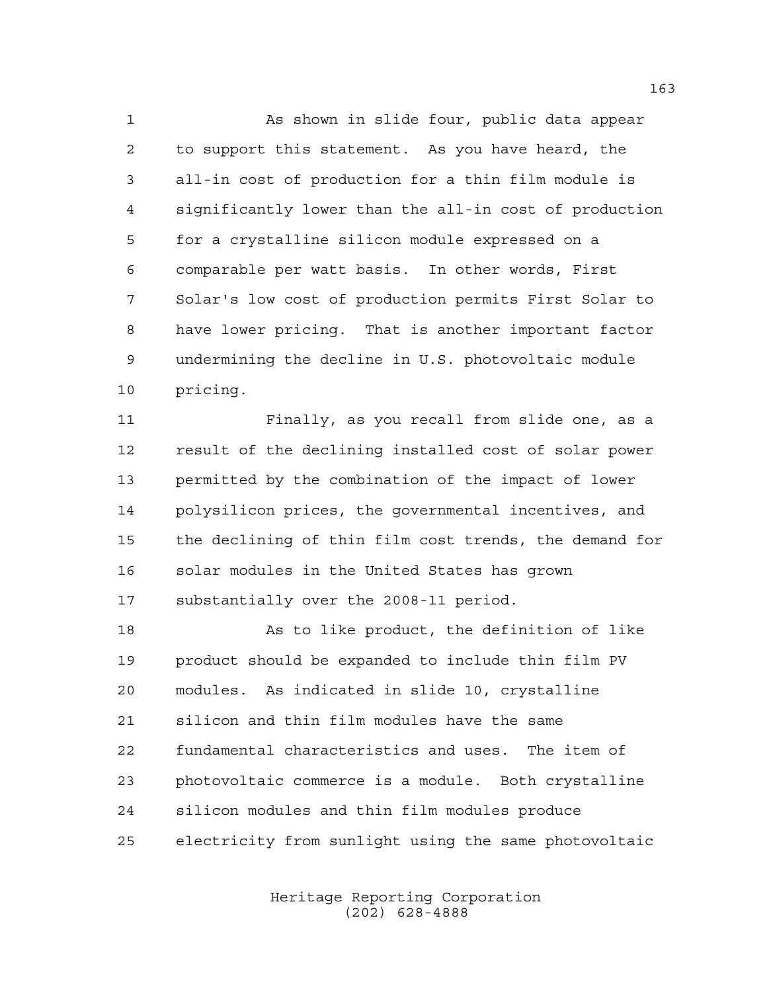As shown in slide four, public data appear to support this statement. As you have heard, the all-in cost of production for a thin film module is significantly lower than the all-in cost of production for a crystalline silicon module expressed on a comparable per watt basis. In other words, First Solar's low cost of production permits First Solar to have lower pricing. That is another important factor undermining the decline in U.S. photovoltaic module pricing.

 Finally, as you recall from slide one, as a result of the declining installed cost of solar power permitted by the combination of the impact of lower polysilicon prices, the governmental incentives, and the declining of thin film cost trends, the demand for solar modules in the United States has grown substantially over the 2008-11 period.

18 As to like product, the definition of like product should be expanded to include thin film PV modules. As indicated in slide 10, crystalline silicon and thin film modules have the same fundamental characteristics and uses. The item of photovoltaic commerce is a module. Both crystalline silicon modules and thin film modules produce electricity from sunlight using the same photovoltaic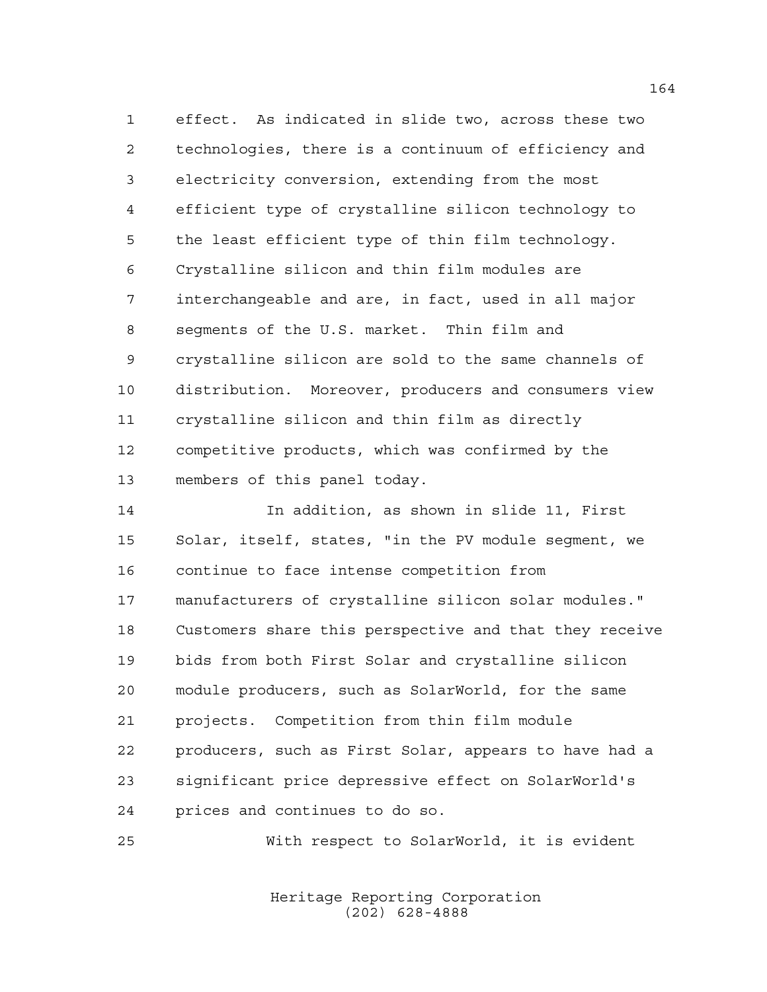effect. As indicated in slide two, across these two technologies, there is a continuum of efficiency and electricity conversion, extending from the most efficient type of crystalline silicon technology to the least efficient type of thin film technology. Crystalline silicon and thin film modules are interchangeable and are, in fact, used in all major segments of the U.S. market. Thin film and crystalline silicon are sold to the same channels of distribution. Moreover, producers and consumers view crystalline silicon and thin film as directly competitive products, which was confirmed by the members of this panel today.

 In addition, as shown in slide 11, First Solar, itself, states, "in the PV module segment, we continue to face intense competition from manufacturers of crystalline silicon solar modules." Customers share this perspective and that they receive bids from both First Solar and crystalline silicon module producers, such as SolarWorld, for the same projects. Competition from thin film module producers, such as First Solar, appears to have had a significant price depressive effect on SolarWorld's prices and continues to do so.

With respect to SolarWorld, it is evident

Heritage Reporting Corporation (202) 628-4888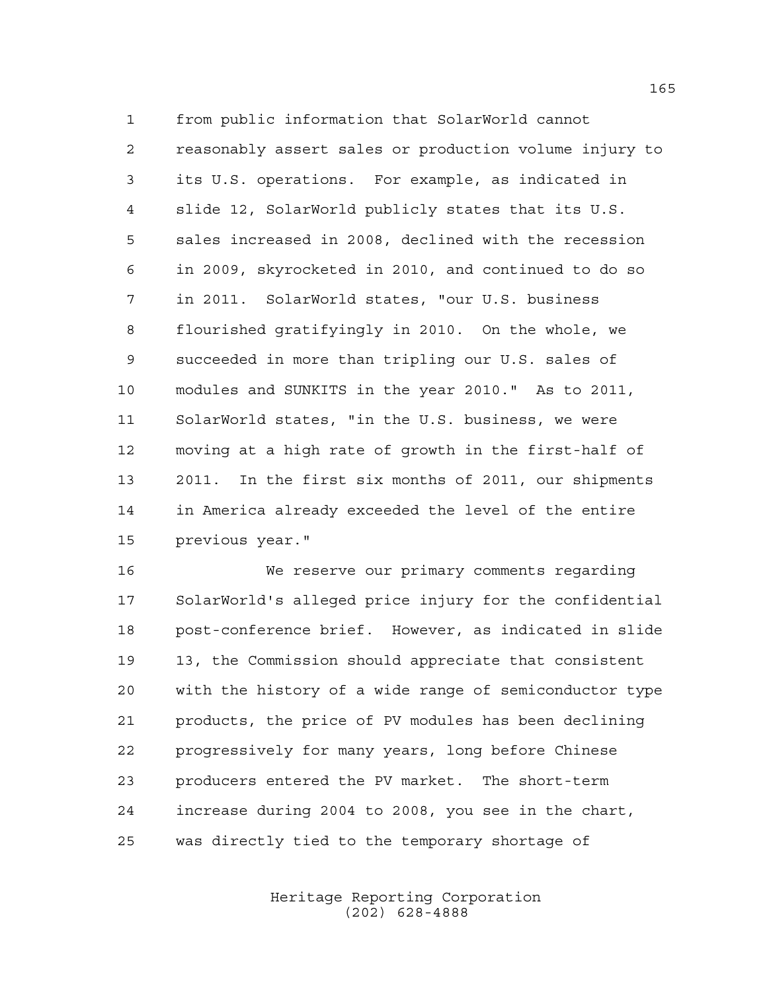from public information that SolarWorld cannot reasonably assert sales or production volume injury to its U.S. operations. For example, as indicated in slide 12, SolarWorld publicly states that its U.S. sales increased in 2008, declined with the recession in 2009, skyrocketed in 2010, and continued to do so in 2011. SolarWorld states, "our U.S. business flourished gratifyingly in 2010. On the whole, we succeeded in more than tripling our U.S. sales of modules and SUNKITS in the year 2010." As to 2011, SolarWorld states, "in the U.S. business, we were moving at a high rate of growth in the first-half of 2011. In the first six months of 2011, our shipments in America already exceeded the level of the entire previous year."

 We reserve our primary comments regarding SolarWorld's alleged price injury for the confidential post-conference brief. However, as indicated in slide 13, the Commission should appreciate that consistent with the history of a wide range of semiconductor type products, the price of PV modules has been declining progressively for many years, long before Chinese producers entered the PV market. The short-term increase during 2004 to 2008, you see in the chart, was directly tied to the temporary shortage of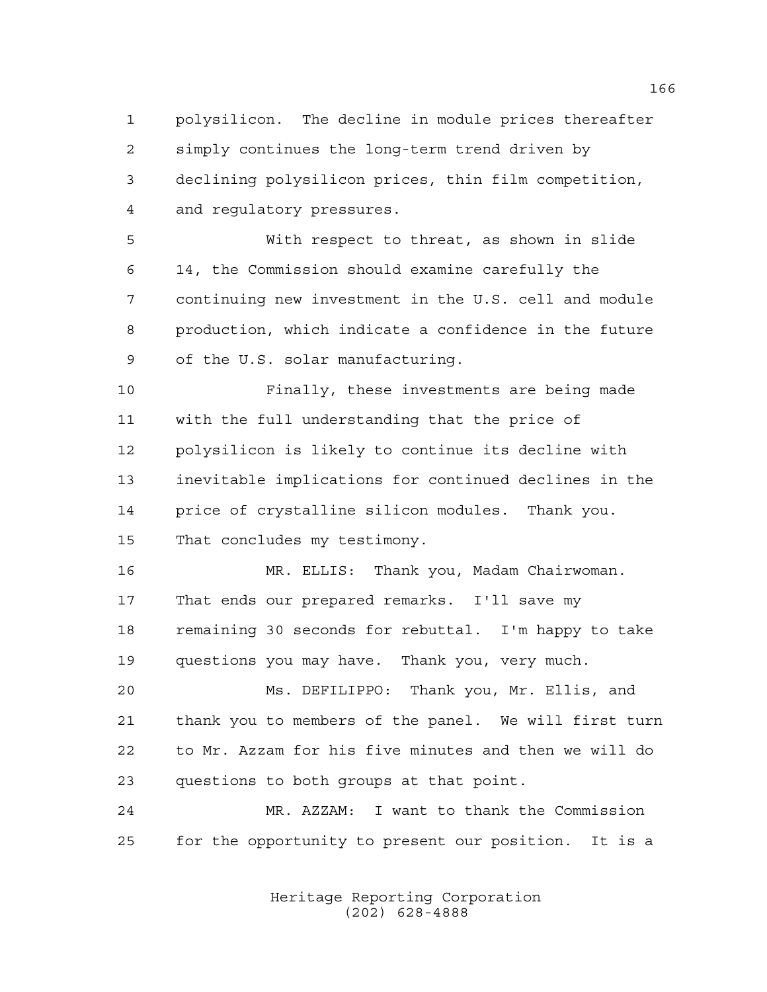polysilicon. The decline in module prices thereafter simply continues the long-term trend driven by declining polysilicon prices, thin film competition, and regulatory pressures.

 With respect to threat, as shown in slide 14, the Commission should examine carefully the continuing new investment in the U.S. cell and module production, which indicate a confidence in the future of the U.S. solar manufacturing.

 Finally, these investments are being made with the full understanding that the price of polysilicon is likely to continue its decline with inevitable implications for continued declines in the price of crystalline silicon modules. Thank you. That concludes my testimony.

 MR. ELLIS: Thank you, Madam Chairwoman. That ends our prepared remarks. I'll save my remaining 30 seconds for rebuttal. I'm happy to take questions you may have. Thank you, very much.

 Ms. DEFILIPPO: Thank you, Mr. Ellis, and thank you to members of the panel. We will first turn to Mr. Azzam for his five minutes and then we will do questions to both groups at that point.

 MR. AZZAM: I want to thank the Commission for the opportunity to present our position. It is a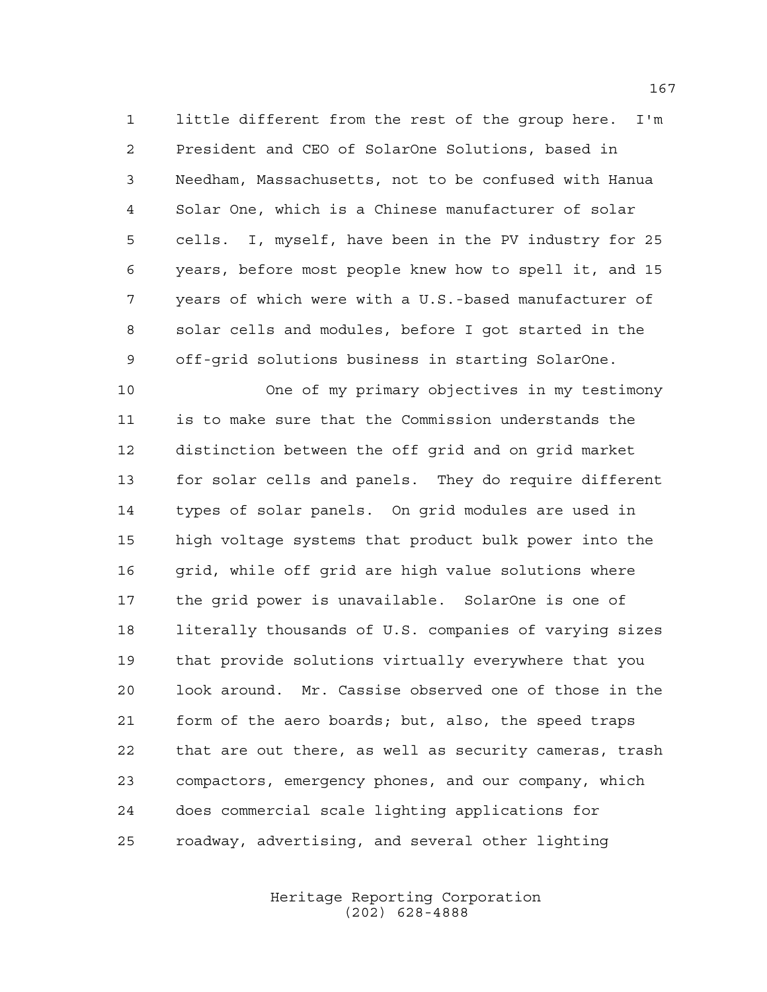little different from the rest of the group here. I'm President and CEO of SolarOne Solutions, based in Needham, Massachusetts, not to be confused with Hanua Solar One, which is a Chinese manufacturer of solar cells. I, myself, have been in the PV industry for 25 years, before most people knew how to spell it, and 15 years of which were with a U.S.-based manufacturer of solar cells and modules, before I got started in the off-grid solutions business in starting SolarOne.

 One of my primary objectives in my testimony is to make sure that the Commission understands the distinction between the off grid and on grid market for solar cells and panels. They do require different types of solar panels. On grid modules are used in high voltage systems that product bulk power into the 16 grid, while off grid are high value solutions where the grid power is unavailable. SolarOne is one of literally thousands of U.S. companies of varying sizes that provide solutions virtually everywhere that you look around. Mr. Cassise observed one of those in the form of the aero boards; but, also, the speed traps that are out there, as well as security cameras, trash compactors, emergency phones, and our company, which does commercial scale lighting applications for roadway, advertising, and several other lighting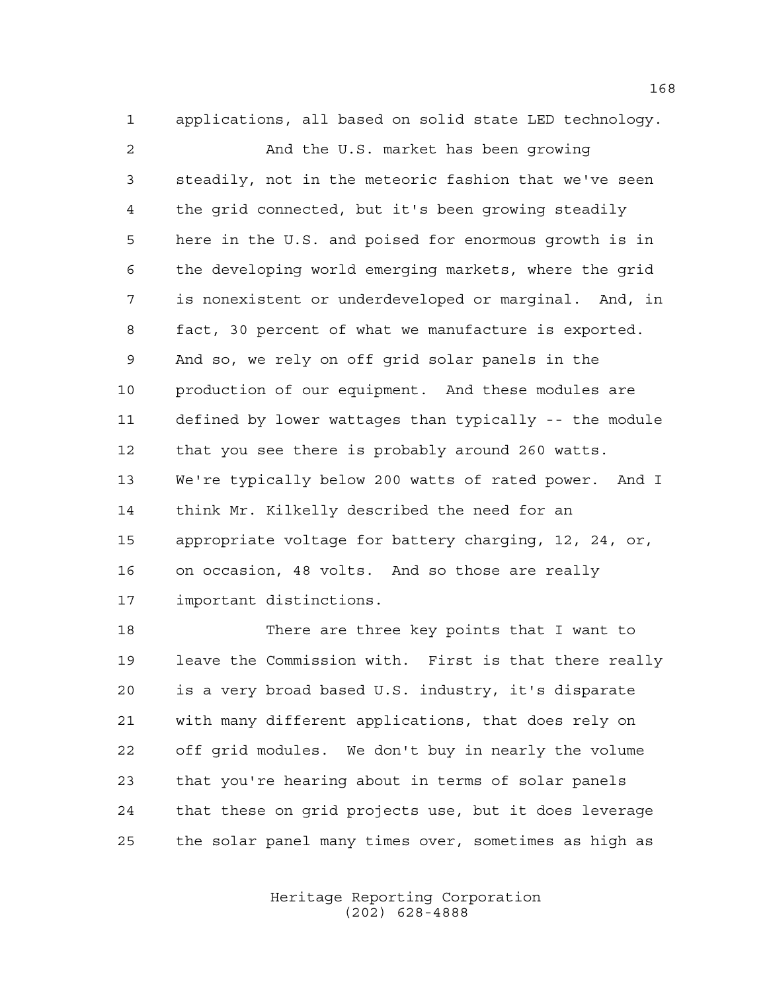applications, all based on solid state LED technology. And the U.S. market has been growing steadily, not in the meteoric fashion that we've seen the grid connected, but it's been growing steadily here in the U.S. and poised for enormous growth is in the developing world emerging markets, where the grid is nonexistent or underdeveloped or marginal. And, in fact, 30 percent of what we manufacture is exported. And so, we rely on off grid solar panels in the production of our equipment. And these modules are defined by lower wattages than typically -- the module that you see there is probably around 260 watts. We're typically below 200 watts of rated power. And I think Mr. Kilkelly described the need for an appropriate voltage for battery charging, 12, 24, or, on occasion, 48 volts. And so those are really important distinctions.

 There are three key points that I want to leave the Commission with. First is that there really is a very broad based U.S. industry, it's disparate with many different applications, that does rely on off grid modules. We don't buy in nearly the volume that you're hearing about in terms of solar panels that these on grid projects use, but it does leverage the solar panel many times over, sometimes as high as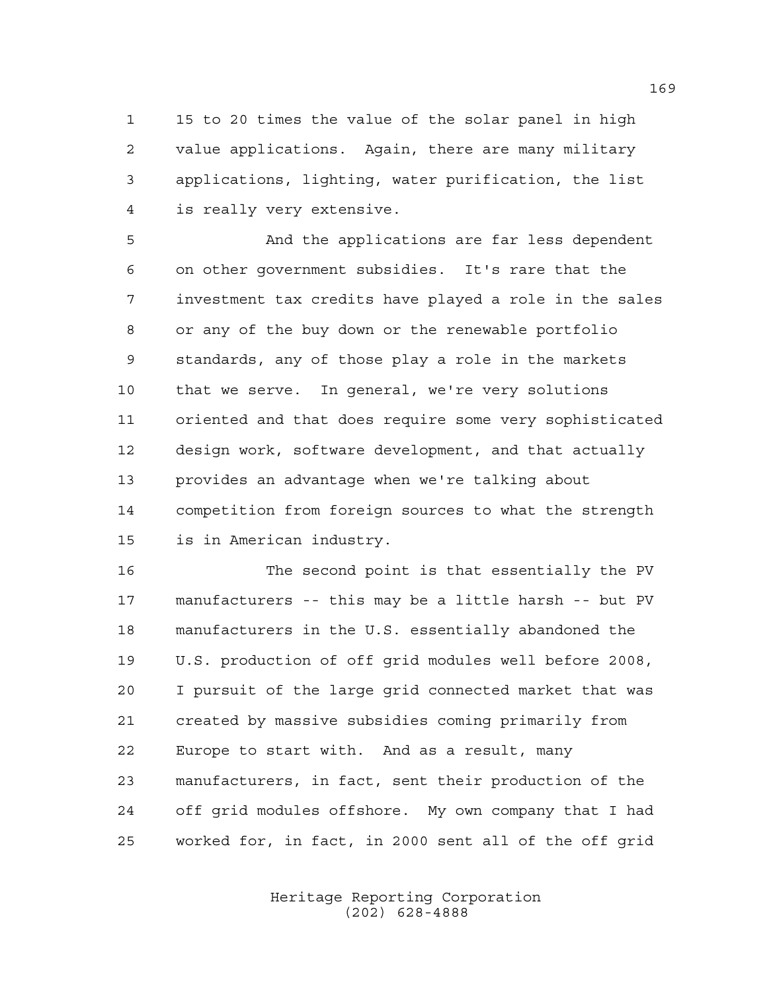15 to 20 times the value of the solar panel in high value applications. Again, there are many military applications, lighting, water purification, the list is really very extensive.

 And the applications are far less dependent on other government subsidies. It's rare that the investment tax credits have played a role in the sales or any of the buy down or the renewable portfolio standards, any of those play a role in the markets that we serve. In general, we're very solutions oriented and that does require some very sophisticated design work, software development, and that actually provides an advantage when we're talking about competition from foreign sources to what the strength is in American industry.

 The second point is that essentially the PV manufacturers -- this may be a little harsh -- but PV manufacturers in the U.S. essentially abandoned the U.S. production of off grid modules well before 2008, I pursuit of the large grid connected market that was created by massive subsidies coming primarily from Europe to start with. And as a result, many manufacturers, in fact, sent their production of the off grid modules offshore. My own company that I had worked for, in fact, in 2000 sent all of the off grid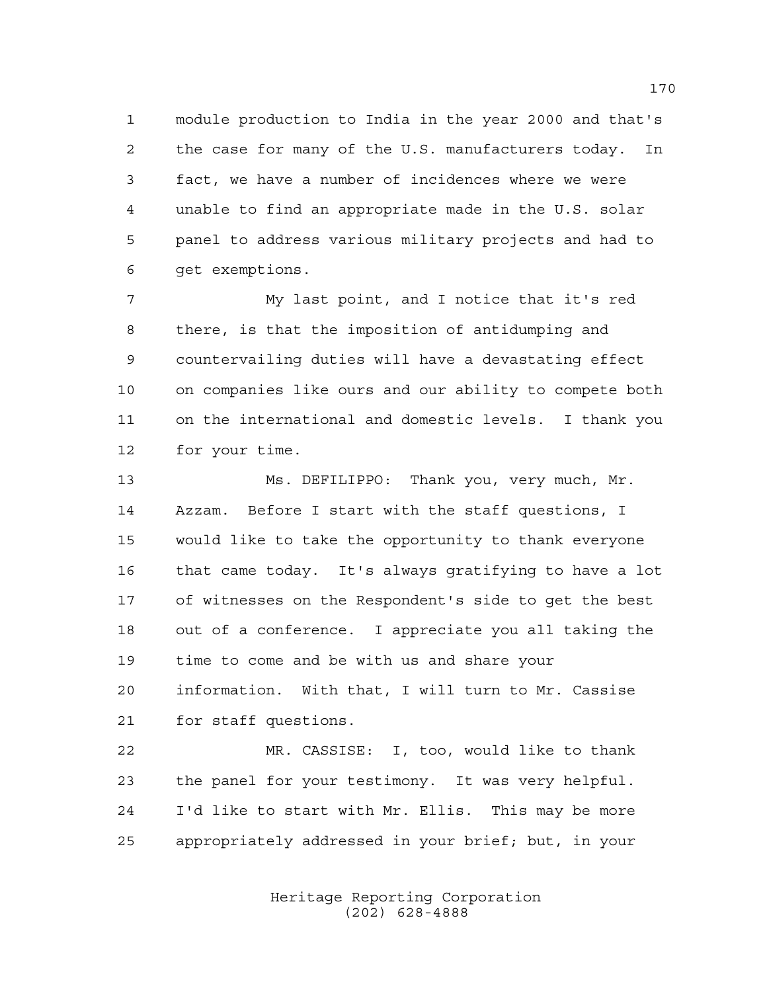module production to India in the year 2000 and that's the case for many of the U.S. manufacturers today. In fact, we have a number of incidences where we were unable to find an appropriate made in the U.S. solar panel to address various military projects and had to get exemptions.

 My last point, and I notice that it's red there, is that the imposition of antidumping and countervailing duties will have a devastating effect on companies like ours and our ability to compete both on the international and domestic levels. I thank you for your time.

 Ms. DEFILIPPO: Thank you, very much, Mr. Azzam. Before I start with the staff questions, I would like to take the opportunity to thank everyone that came today. It's always gratifying to have a lot of witnesses on the Respondent's side to get the best out of a conference. I appreciate you all taking the time to come and be with us and share your information. With that, I will turn to Mr. Cassise for staff questions.

 MR. CASSISE: I, too, would like to thank the panel for your testimony. It was very helpful. I'd like to start with Mr. Ellis. This may be more appropriately addressed in your brief; but, in your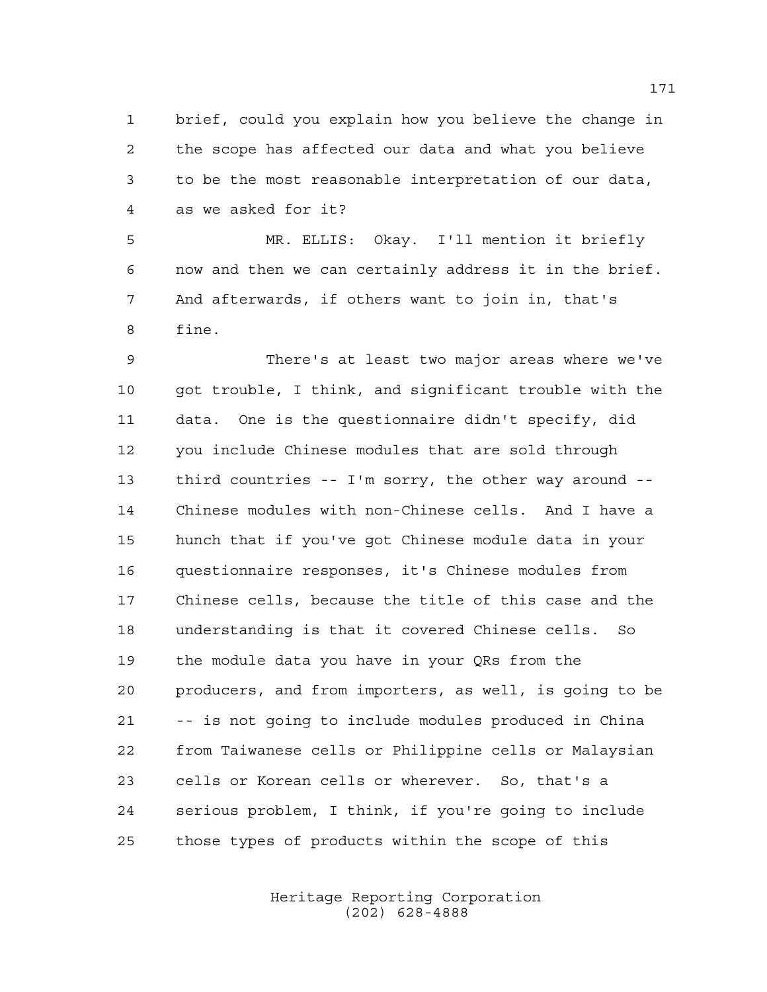brief, could you explain how you believe the change in the scope has affected our data and what you believe to be the most reasonable interpretation of our data, as we asked for it?

 MR. ELLIS: Okay. I'll mention it briefly now and then we can certainly address it in the brief. And afterwards, if others want to join in, that's fine.

 There's at least two major areas where we've got trouble, I think, and significant trouble with the data. One is the questionnaire didn't specify, did you include Chinese modules that are sold through third countries -- I'm sorry, the other way around -- Chinese modules with non-Chinese cells. And I have a hunch that if you've got Chinese module data in your questionnaire responses, it's Chinese modules from Chinese cells, because the title of this case and the understanding is that it covered Chinese cells. So the module data you have in your QRs from the producers, and from importers, as well, is going to be -- is not going to include modules produced in China from Taiwanese cells or Philippine cells or Malaysian cells or Korean cells or wherever. So, that's a serious problem, I think, if you're going to include those types of products within the scope of this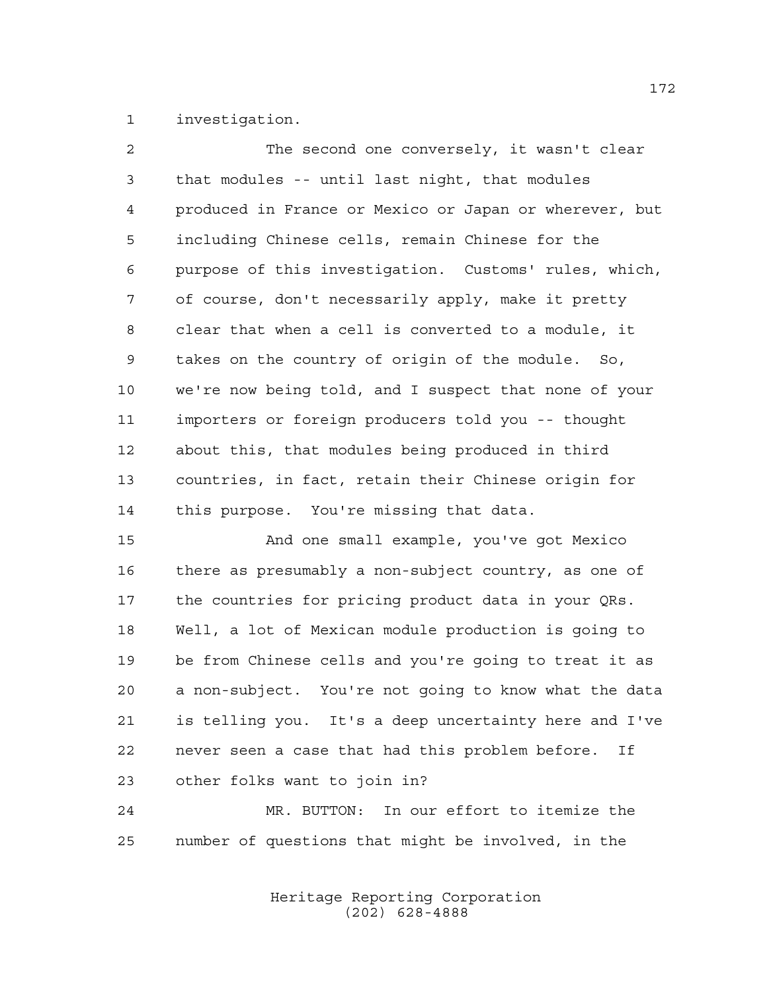investigation.

| $\overline{2}$  | The second one conversely, it wasn't clear             |
|-----------------|--------------------------------------------------------|
| $\mathfrak{Z}$  | that modules -- until last night, that modules         |
| 4               | produced in France or Mexico or Japan or wherever, but |
| 5               | including Chinese cells, remain Chinese for the        |
| 6               | purpose of this investigation. Customs' rules, which,  |
| 7               | of course, don't necessarily apply, make it pretty     |
| 8               | clear that when a cell is converted to a module, it    |
| 9               | takes on the country of origin of the module. So,      |
| 10 <sub>o</sub> | we're now being told, and I suspect that none of your  |
| 11              | importers or foreign producers told you -- thought     |
| 12 <sub>1</sub> | about this, that modules being produced in third       |
| 13              | countries, in fact, retain their Chinese origin for    |
| 14              | this purpose. You're missing that data.                |
|                 |                                                        |

 And one small example, you've got Mexico there as presumably a non-subject country, as one of the countries for pricing product data in your QRs. Well, a lot of Mexican module production is going to be from Chinese cells and you're going to treat it as a non-subject. You're not going to know what the data is telling you. It's a deep uncertainty here and I've never seen a case that had this problem before. If other folks want to join in?

 MR. BUTTON: In our effort to itemize the number of questions that might be involved, in the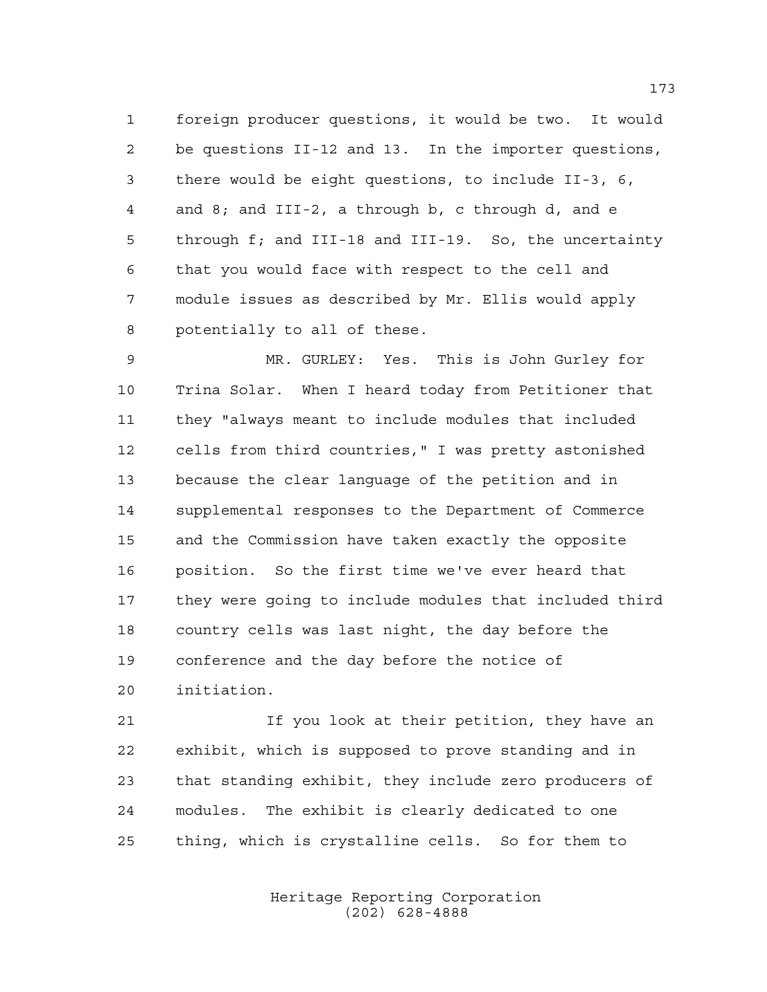foreign producer questions, it would be two. It would be questions II-12 and 13. In the importer questions, there would be eight questions, to include II-3, 6, and 8; and III-2, a through b, c through d, and e through f; and III-18 and III-19. So, the uncertainty that you would face with respect to the cell and module issues as described by Mr. Ellis would apply potentially to all of these.

 MR. GURLEY: Yes. This is John Gurley for Trina Solar. When I heard today from Petitioner that they "always meant to include modules that included cells from third countries," I was pretty astonished because the clear language of the petition and in supplemental responses to the Department of Commerce and the Commission have taken exactly the opposite position. So the first time we've ever heard that they were going to include modules that included third country cells was last night, the day before the conference and the day before the notice of initiation.

 If you look at their petition, they have an exhibit, which is supposed to prove standing and in that standing exhibit, they include zero producers of modules. The exhibit is clearly dedicated to one thing, which is crystalline cells. So for them to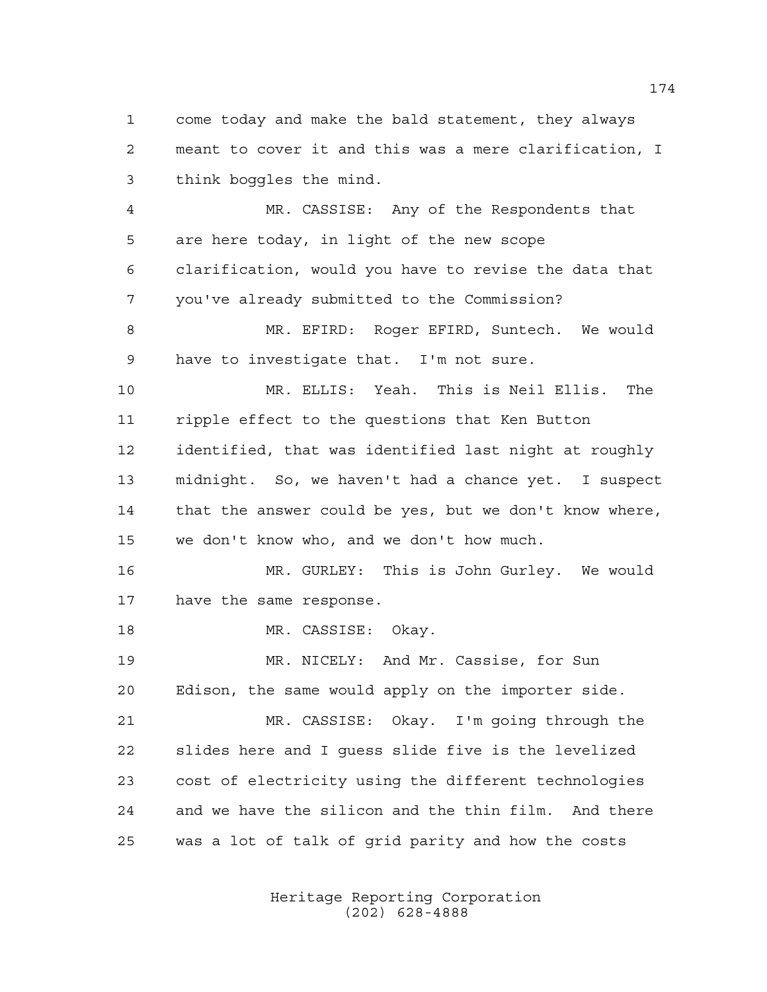come today and make the bald statement, they always meant to cover it and this was a mere clarification, I think boggles the mind.

 MR. CASSISE: Any of the Respondents that are here today, in light of the new scope clarification, would you have to revise the data that you've already submitted to the Commission?

8 MR. EFIRD: Roger EFIRD, Suntech. We would have to investigate that. I'm not sure.

 MR. ELLIS: Yeah. This is Neil Ellis. The ripple effect to the questions that Ken Button identified, that was identified last night at roughly midnight. So, we haven't had a chance yet. I suspect that the answer could be yes, but we don't know where, we don't know who, and we don't how much.

 MR. GURLEY: This is John Gurley. We would have the same response.

18 MR. CASSISE: Okay.

 MR. NICELY: And Mr. Cassise, for Sun Edison, the same would apply on the importer side.

 MR. CASSISE: Okay. I'm going through the slides here and I guess slide five is the levelized cost of electricity using the different technologies and we have the silicon and the thin film. And there was a lot of talk of grid parity and how the costs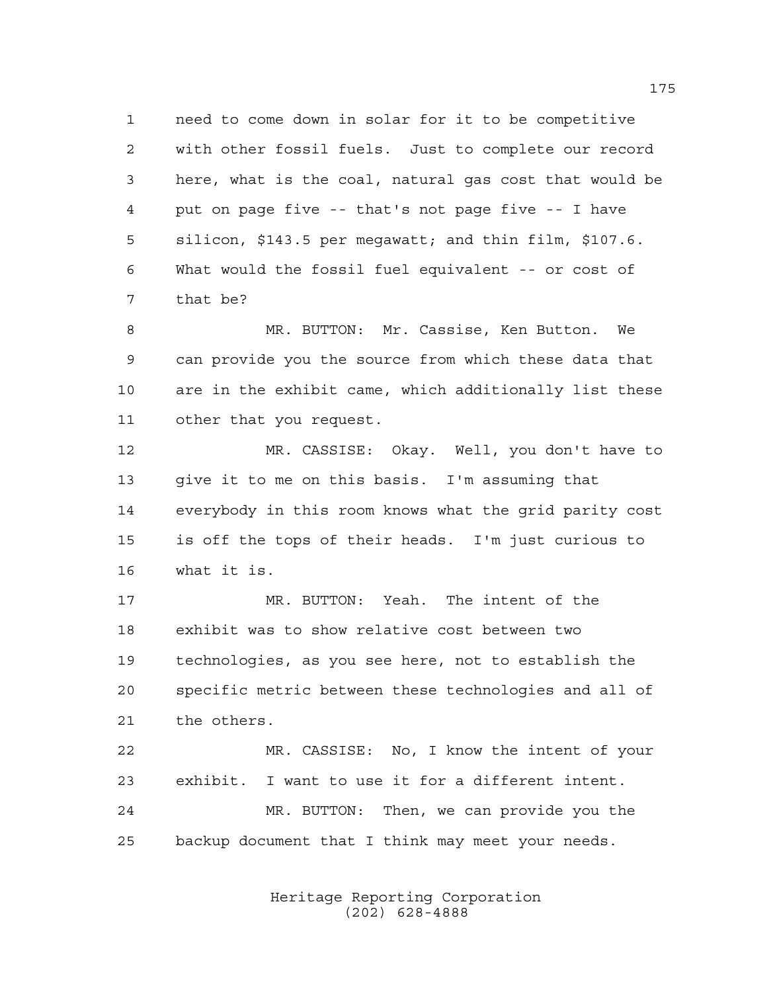need to come down in solar for it to be competitive with other fossil fuels. Just to complete our record here, what is the coal, natural gas cost that would be put on page five -- that's not page five -- I have silicon, \$143.5 per megawatt; and thin film, \$107.6. What would the fossil fuel equivalent -- or cost of that be?

 MR. BUTTON: Mr. Cassise, Ken Button. We can provide you the source from which these data that are in the exhibit came, which additionally list these other that you request.

 MR. CASSISE: Okay. Well, you don't have to give it to me on this basis. I'm assuming that everybody in this room knows what the grid parity cost is off the tops of their heads. I'm just curious to what it is.

 MR. BUTTON: Yeah. The intent of the exhibit was to show relative cost between two technologies, as you see here, not to establish the specific metric between these technologies and all of the others.

 MR. CASSISE: No, I know the intent of your exhibit. I want to use it for a different intent. MR. BUTTON: Then, we can provide you the backup document that I think may meet your needs.

> Heritage Reporting Corporation (202) 628-4888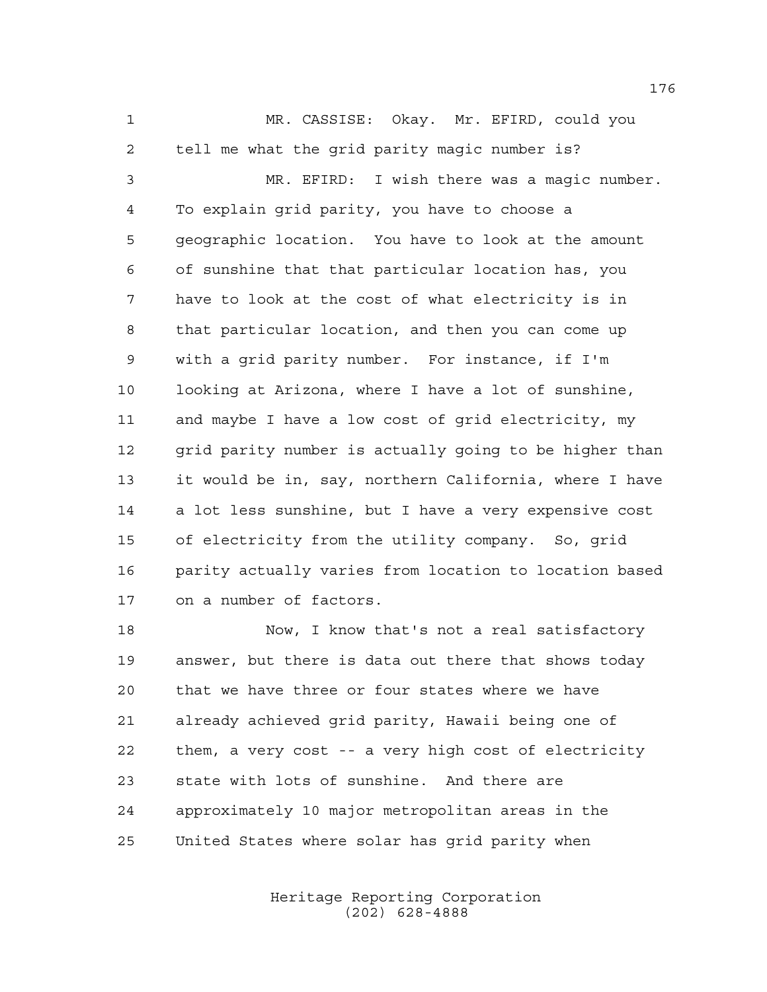MR. CASSISE: Okay. Mr. EFIRD, could you tell me what the grid parity magic number is? MR. EFIRD: I wish there was a magic number. To explain grid parity, you have to choose a geographic location. You have to look at the amount of sunshine that that particular location has, you have to look at the cost of what electricity is in that particular location, and then you can come up with a grid parity number. For instance, if I'm looking at Arizona, where I have a lot of sunshine, and maybe I have a low cost of grid electricity, my 12 grid parity number is actually going to be higher than it would be in, say, northern California, where I have a lot less sunshine, but I have a very expensive cost of electricity from the utility company. So, grid parity actually varies from location to location based on a number of factors.

 Now, I know that's not a real satisfactory answer, but there is data out there that shows today that we have three or four states where we have already achieved grid parity, Hawaii being one of them, a very cost -- a very high cost of electricity state with lots of sunshine. And there are approximately 10 major metropolitan areas in the United States where solar has grid parity when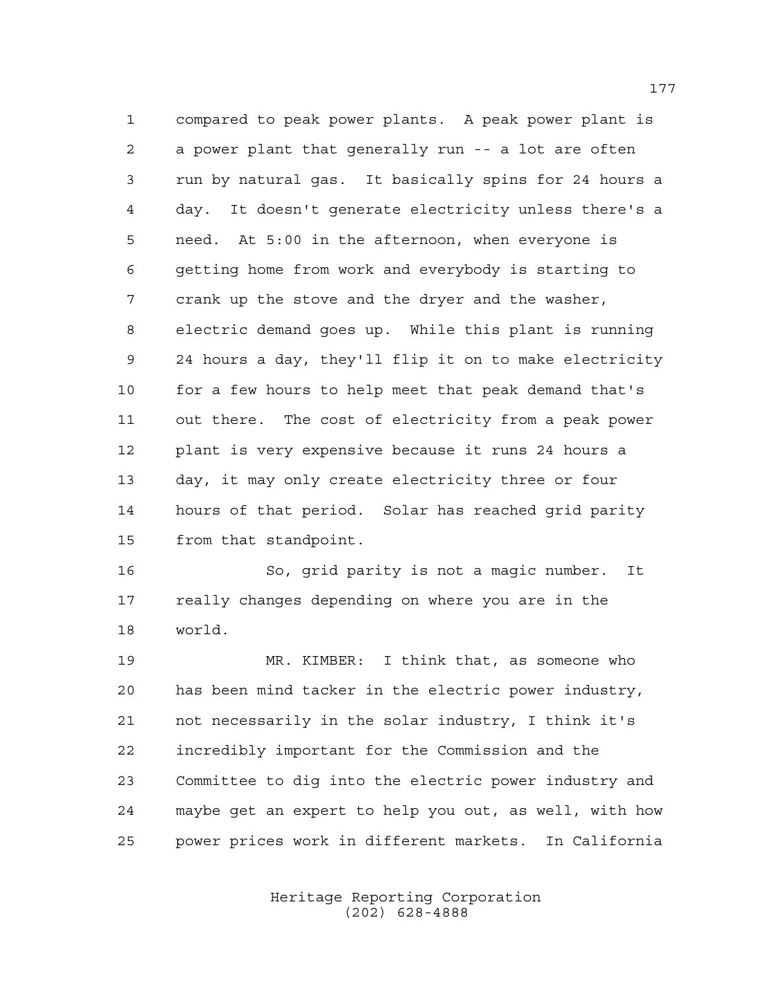compared to peak power plants. A peak power plant is a power plant that generally run -- a lot are often run by natural gas. It basically spins for 24 hours a day. It doesn't generate electricity unless there's a need. At 5:00 in the afternoon, when everyone is getting home from work and everybody is starting to crank up the stove and the dryer and the washer, electric demand goes up. While this plant is running 24 hours a day, they'll flip it on to make electricity for a few hours to help meet that peak demand that's out there. The cost of electricity from a peak power plant is very expensive because it runs 24 hours a day, it may only create electricity three or four hours of that period. Solar has reached grid parity from that standpoint.

 So, grid parity is not a magic number. It really changes depending on where you are in the world.

 MR. KIMBER: I think that, as someone who has been mind tacker in the electric power industry, not necessarily in the solar industry, I think it's incredibly important for the Commission and the Committee to dig into the electric power industry and maybe get an expert to help you out, as well, with how power prices work in different markets. In California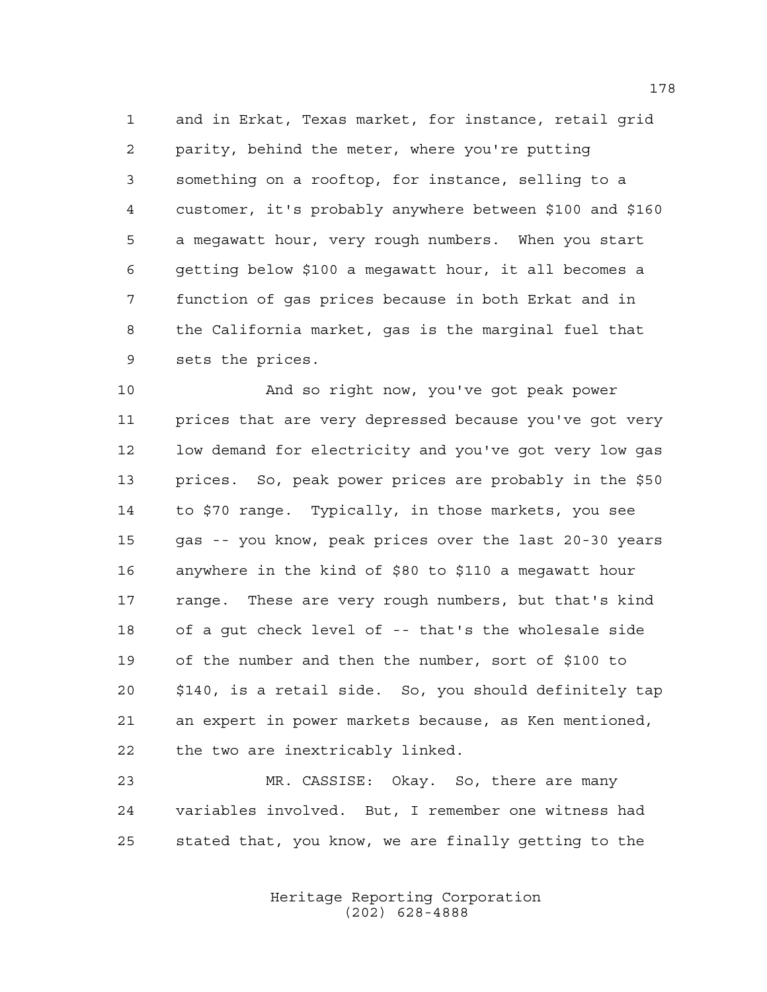and in Erkat, Texas market, for instance, retail grid parity, behind the meter, where you're putting something on a rooftop, for instance, selling to a customer, it's probably anywhere between \$100 and \$160 a megawatt hour, very rough numbers. When you start getting below \$100 a megawatt hour, it all becomes a function of gas prices because in both Erkat and in the California market, gas is the marginal fuel that sets the prices.

 And so right now, you've got peak power prices that are very depressed because you've got very low demand for electricity and you've got very low gas prices. So, peak power prices are probably in the \$50 to \$70 range. Typically, in those markets, you see gas -- you know, peak prices over the last 20-30 years anywhere in the kind of \$80 to \$110 a megawatt hour range. These are very rough numbers, but that's kind of a gut check level of -- that's the wholesale side of the number and then the number, sort of \$100 to \$140, is a retail side. So, you should definitely tap an expert in power markets because, as Ken mentioned, the two are inextricably linked.

 MR. CASSISE: Okay. So, there are many variables involved. But, I remember one witness had stated that, you know, we are finally getting to the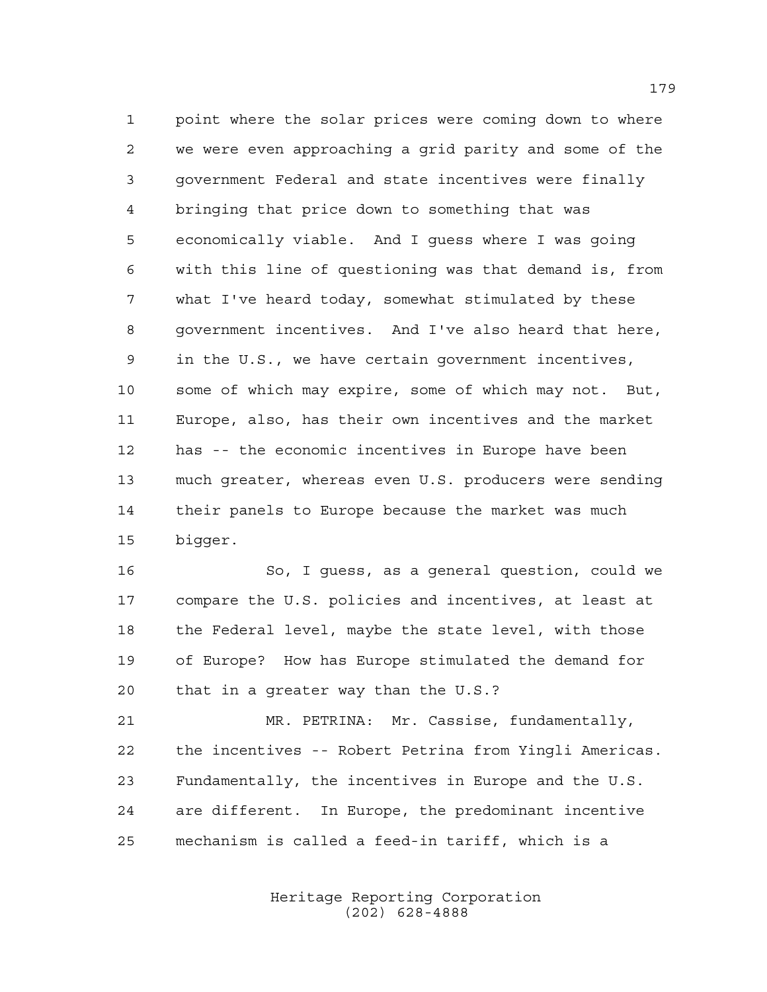point where the solar prices were coming down to where we were even approaching a grid parity and some of the government Federal and state incentives were finally bringing that price down to something that was economically viable. And I guess where I was going with this line of questioning was that demand is, from what I've heard today, somewhat stimulated by these government incentives. And I've also heard that here, in the U.S., we have certain government incentives, some of which may expire, some of which may not. But, Europe, also, has their own incentives and the market has -- the economic incentives in Europe have been much greater, whereas even U.S. producers were sending their panels to Europe because the market was much bigger.

 So, I guess, as a general question, could we compare the U.S. policies and incentives, at least at the Federal level, maybe the state level, with those of Europe? How has Europe stimulated the demand for that in a greater way than the U.S.?

 MR. PETRINA: Mr. Cassise, fundamentally, the incentives -- Robert Petrina from Yingli Americas. Fundamentally, the incentives in Europe and the U.S. are different. In Europe, the predominant incentive mechanism is called a feed-in tariff, which is a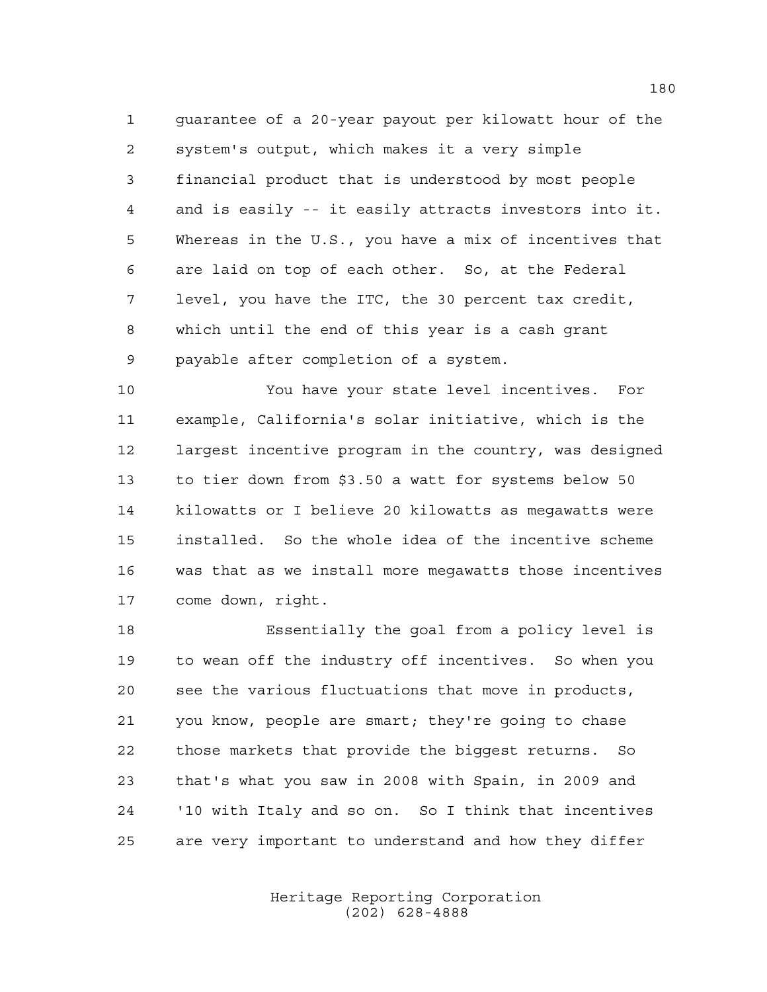guarantee of a 20-year payout per kilowatt hour of the system's output, which makes it a very simple financial product that is understood by most people and is easily -- it easily attracts investors into it. Whereas in the U.S., you have a mix of incentives that are laid on top of each other. So, at the Federal level, you have the ITC, the 30 percent tax credit, which until the end of this year is a cash grant payable after completion of a system.

 You have your state level incentives. For example, California's solar initiative, which is the largest incentive program in the country, was designed to tier down from \$3.50 a watt for systems below 50 kilowatts or I believe 20 kilowatts as megawatts were installed. So the whole idea of the incentive scheme was that as we install more megawatts those incentives come down, right.

 Essentially the goal from a policy level is to wean off the industry off incentives. So when you see the various fluctuations that move in products, you know, people are smart; they're going to chase those markets that provide the biggest returns. So that's what you saw in 2008 with Spain, in 2009 and '10 with Italy and so on. So I think that incentives are very important to understand and how they differ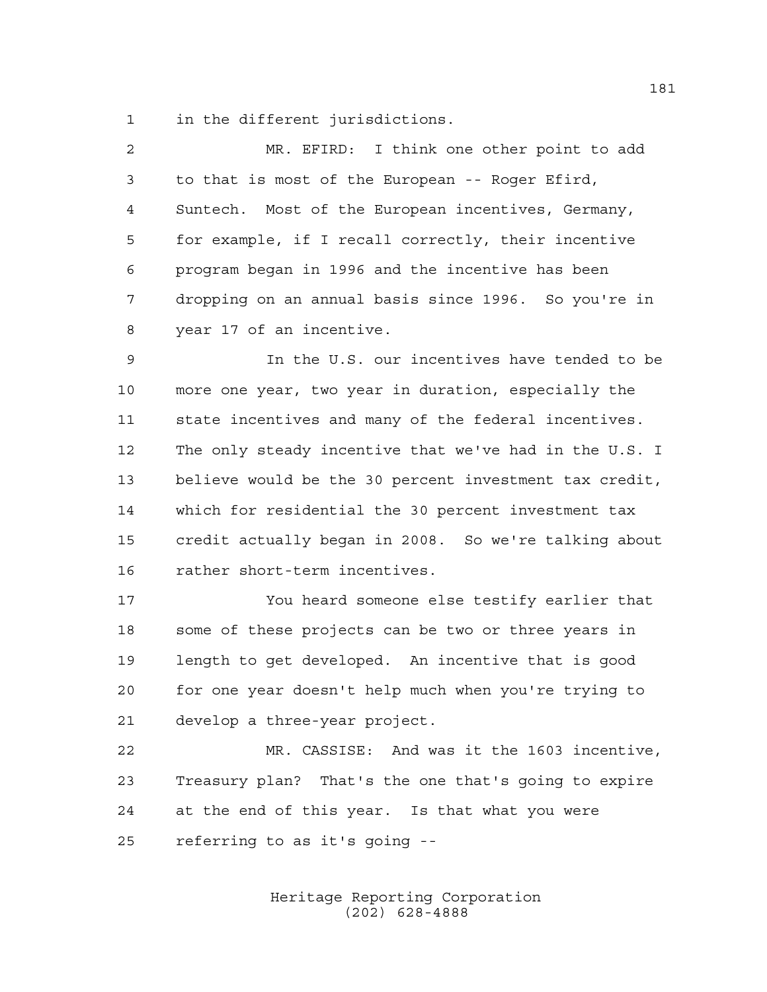in the different jurisdictions.

| 2  | MR. EFIRD: I think one other point to add              |
|----|--------------------------------------------------------|
| 3  | to that is most of the European -- Roger Efird,        |
| 4  | Suntech. Most of the European incentives, Germany,     |
| 5  | for example, if I recall correctly, their incentive    |
| 6  | program began in 1996 and the incentive has been       |
| 7  | dropping on an annual basis since 1996. So you're in   |
| 8  | year 17 of an incentive.                               |
| 9  | In the U.S. our incentives have tended to be           |
| 10 | more one year, two year in duration, especially the    |
| 11 | state incentives and many of the federal incentives.   |
| 12 | The only steady incentive that we've had in the U.S. I |
| 13 | believe would be the 30 percent investment tax credit, |
| 14 | which for residential the 30 percent investment tax    |
| 15 | credit actually began in 2008. So we're talking about  |
| 16 | rather short-term incentives.                          |
| 17 | You heard someone else testify earlier that            |
| 18 | some of these projects can be two or three years in    |

 some of these projects can be two or three years in length to get developed. An incentive that is good for one year doesn't help much when you're trying to develop a three-year project.

 MR. CASSISE: And was it the 1603 incentive, Treasury plan? That's the one that's going to expire at the end of this year. Is that what you were referring to as it's going --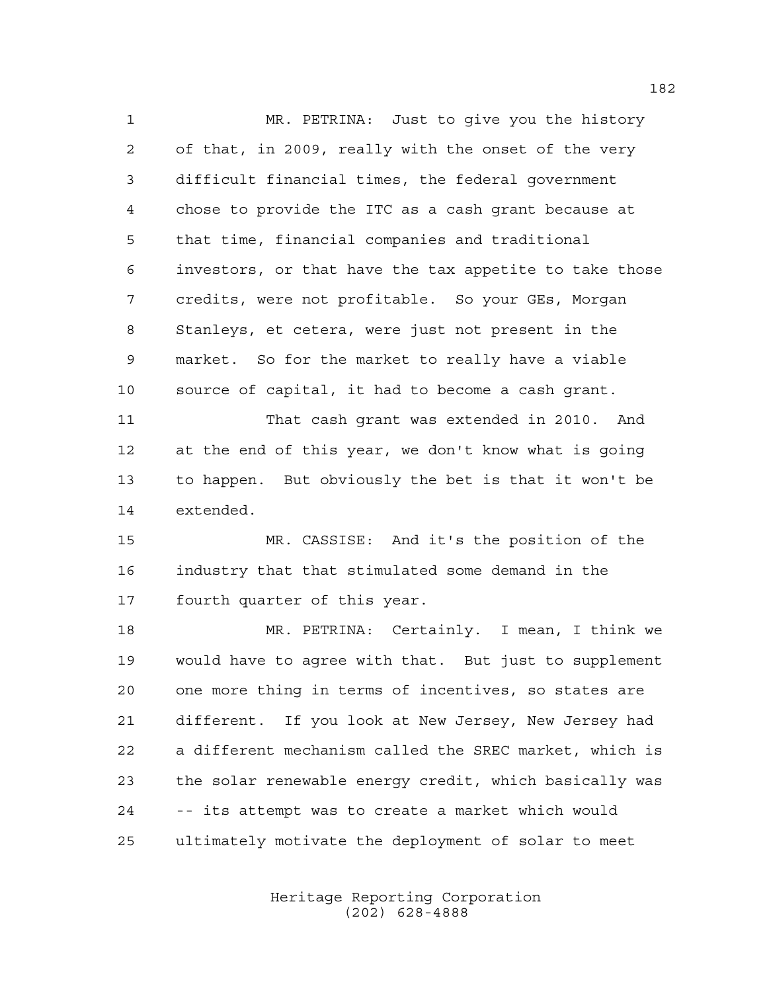MR. PETRINA: Just to give you the history of that, in 2009, really with the onset of the very difficult financial times, the federal government chose to provide the ITC as a cash grant because at that time, financial companies and traditional investors, or that have the tax appetite to take those credits, were not profitable. So your GEs, Morgan Stanleys, et cetera, were just not present in the market. So for the market to really have a viable source of capital, it had to become a cash grant. That cash grant was extended in 2010. And at the end of this year, we don't know what is going to happen. But obviously the bet is that it won't be extended. MR. CASSISE: And it's the position of the industry that that stimulated some demand in the fourth quarter of this year.

 MR. PETRINA: Certainly. I mean, I think we would have to agree with that. But just to supplement one more thing in terms of incentives, so states are different. If you look at New Jersey, New Jersey had a different mechanism called the SREC market, which is the solar renewable energy credit, which basically was -- its attempt was to create a market which would ultimately motivate the deployment of solar to meet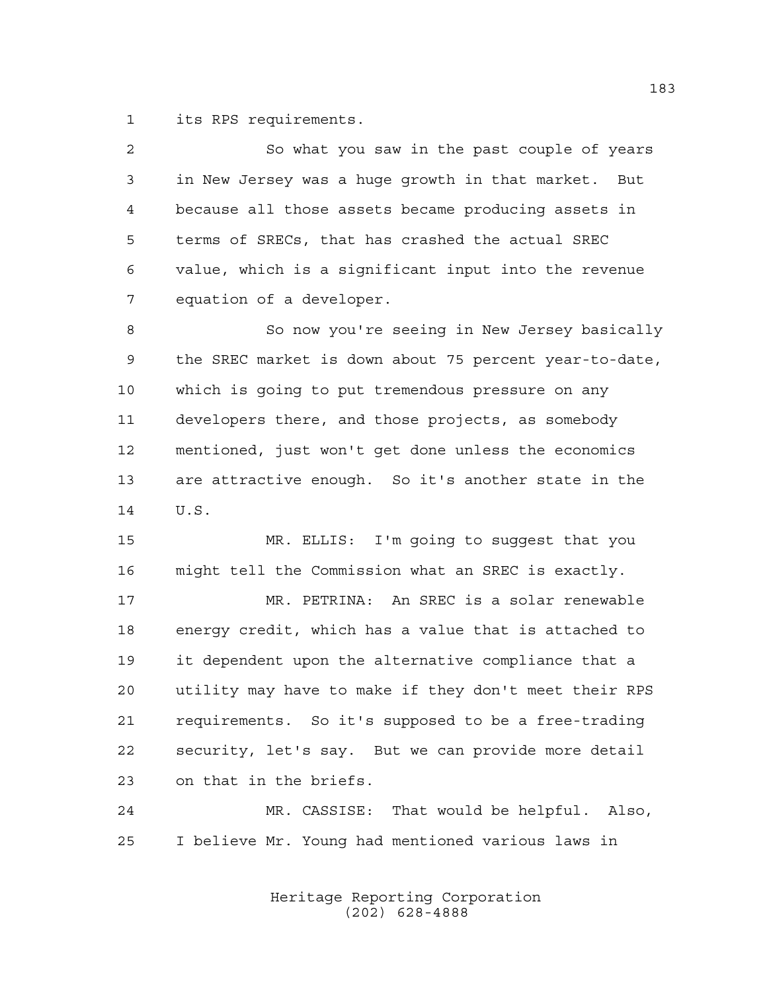its RPS requirements.

| 2           | So what you saw in the past couple of years            |
|-------------|--------------------------------------------------------|
| 3           | in New Jersey was a huge growth in that market. But    |
| 4           | because all those assets became producing assets in    |
| 5           | terms of SRECs, that has crashed the actual SREC       |
| 6           | value, which is a significant input into the revenue   |
| 7           | equation of a developer.                               |
| 8           | So now you're seeing in New Jersey basically           |
| $\mathsf 9$ | the SREC market is down about 75 percent year-to-date, |
| 10          | which is going to put tremendous pressure on any       |
| 11          | developers there, and those projects, as somebody      |
| 12          | mentioned, just won't get done unless the economics    |
| 13          | are attractive enough. So it's another state in the    |
| 14          | U.S.                                                   |
| 15          | MR. ELLIS: I'm going to suggest that you               |
| 16          | might tell the Commission what an SREC is exactly.     |
| 17          | MR. PETRINA: An SREC is a solar renewable              |
| 18          | energy credit, which has a value that is attached to   |

 it dependent upon the alternative compliance that a utility may have to make if they don't meet their RPS requirements. So it's supposed to be a free-trading security, let's say. But we can provide more detail on that in the briefs.

 MR. CASSISE: That would be helpful. Also, I believe Mr. Young had mentioned various laws in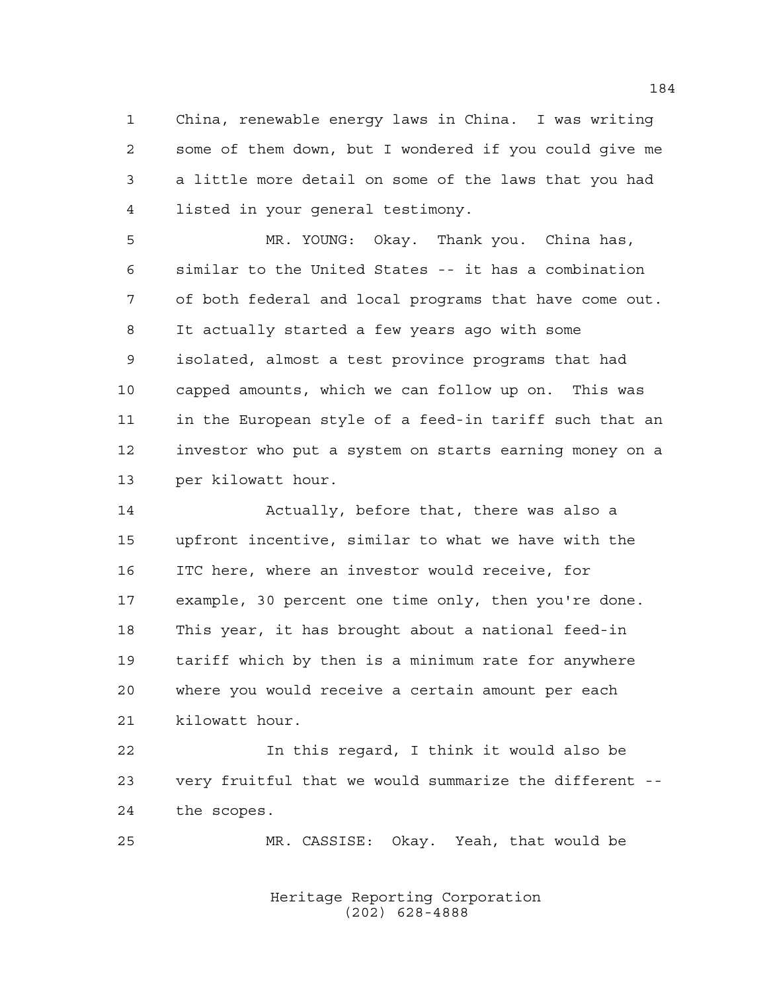China, renewable energy laws in China. I was writing some of them down, but I wondered if you could give me a little more detail on some of the laws that you had listed in your general testimony.

 MR. YOUNG: Okay. Thank you. China has, similar to the United States -- it has a combination of both federal and local programs that have come out. It actually started a few years ago with some isolated, almost a test province programs that had capped amounts, which we can follow up on. This was in the European style of a feed-in tariff such that an investor who put a system on starts earning money on a per kilowatt hour.

 Actually, before that, there was also a upfront incentive, similar to what we have with the ITC here, where an investor would receive, for example, 30 percent one time only, then you're done. This year, it has brought about a national feed-in tariff which by then is a minimum rate for anywhere where you would receive a certain amount per each kilowatt hour.

 In this regard, I think it would also be very fruitful that we would summarize the different -- the scopes.

MR. CASSISE: Okay. Yeah, that would be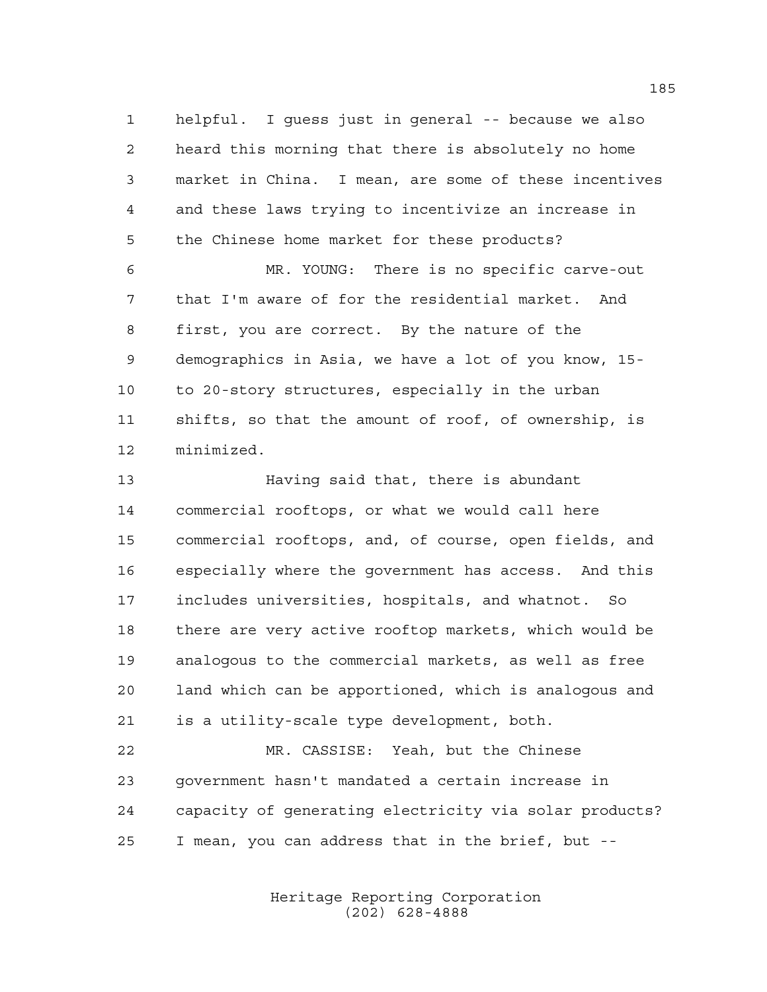helpful. I guess just in general -- because we also heard this morning that there is absolutely no home market in China. I mean, are some of these incentives and these laws trying to incentivize an increase in the Chinese home market for these products?

 MR. YOUNG: There is no specific carve-out that I'm aware of for the residential market. And first, you are correct. By the nature of the demographics in Asia, we have a lot of you know, 15- to 20-story structures, especially in the urban shifts, so that the amount of roof, of ownership, is minimized.

 Having said that, there is abundant commercial rooftops, or what we would call here commercial rooftops, and, of course, open fields, and especially where the government has access. And this includes universities, hospitals, and whatnot. So there are very active rooftop markets, which would be analogous to the commercial markets, as well as free land which can be apportioned, which is analogous and is a utility-scale type development, both.

 MR. CASSISE: Yeah, but the Chinese government hasn't mandated a certain increase in capacity of generating electricity via solar products? I mean, you can address that in the brief, but --

> Heritage Reporting Corporation (202) 628-4888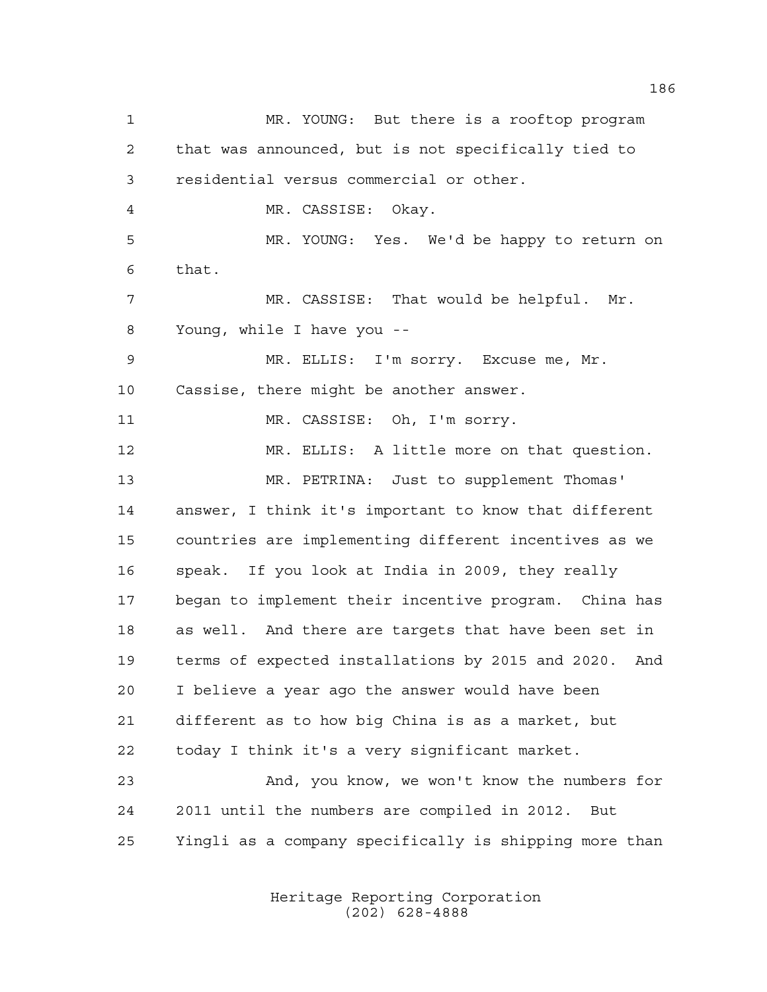MR. YOUNG: But there is a rooftop program that was announced, but is not specifically tied to residential versus commercial or other. MR. CASSISE: Okay. MR. YOUNG: Yes. We'd be happy to return on that. MR. CASSISE: That would be helpful. Mr. Young, while I have you -- MR. ELLIS: I'm sorry. Excuse me, Mr. Cassise, there might be another answer. 11 MR. CASSISE: Oh, I'm sorry. MR. ELLIS: A little more on that question. MR. PETRINA: Just to supplement Thomas' answer, I think it's important to know that different countries are implementing different incentives as we speak. If you look at India in 2009, they really began to implement their incentive program. China has as well. And there are targets that have been set in terms of expected installations by 2015 and 2020. And I believe a year ago the answer would have been different as to how big China is as a market, but today I think it's a very significant market. And, you know, we won't know the numbers for 2011 until the numbers are compiled in 2012. But Yingli as a company specifically is shipping more than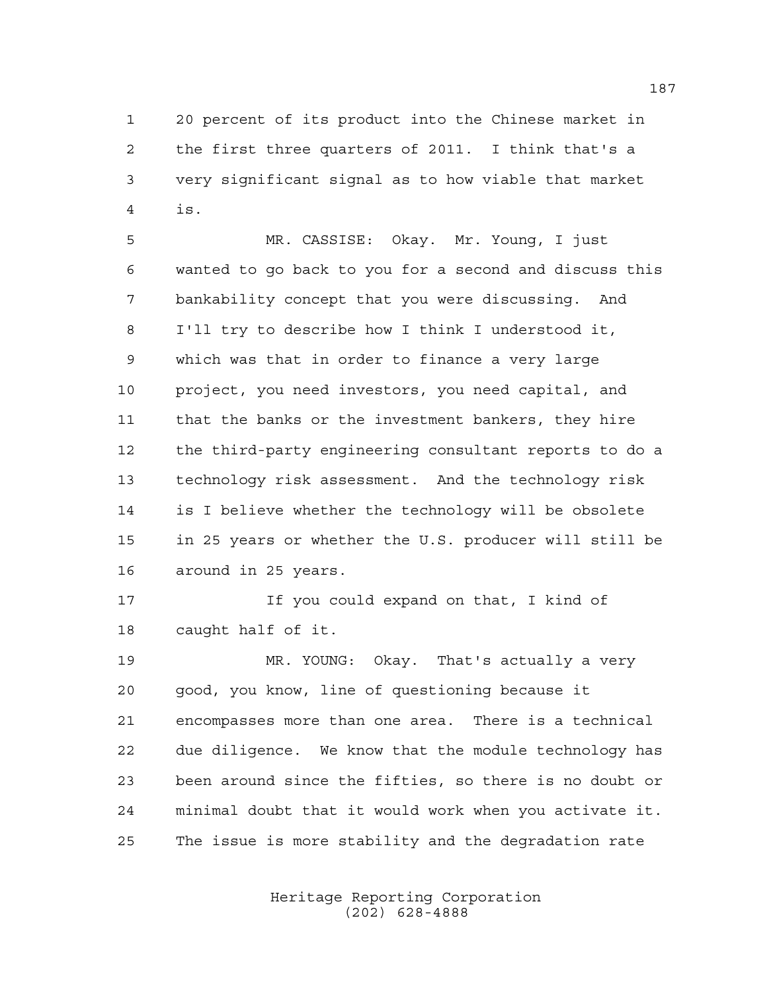20 percent of its product into the Chinese market in the first three quarters of 2011. I think that's a very significant signal as to how viable that market is.

 MR. CASSISE: Okay. Mr. Young, I just wanted to go back to you for a second and discuss this bankability concept that you were discussing. And I'll try to describe how I think I understood it, which was that in order to finance a very large project, you need investors, you need capital, and that the banks or the investment bankers, they hire the third-party engineering consultant reports to do a technology risk assessment. And the technology risk is I believe whether the technology will be obsolete in 25 years or whether the U.S. producer will still be around in 25 years.

 If you could expand on that, I kind of caught half of it.

 MR. YOUNG: Okay. That's actually a very good, you know, line of questioning because it encompasses more than one area. There is a technical due diligence. We know that the module technology has been around since the fifties, so there is no doubt or minimal doubt that it would work when you activate it. The issue is more stability and the degradation rate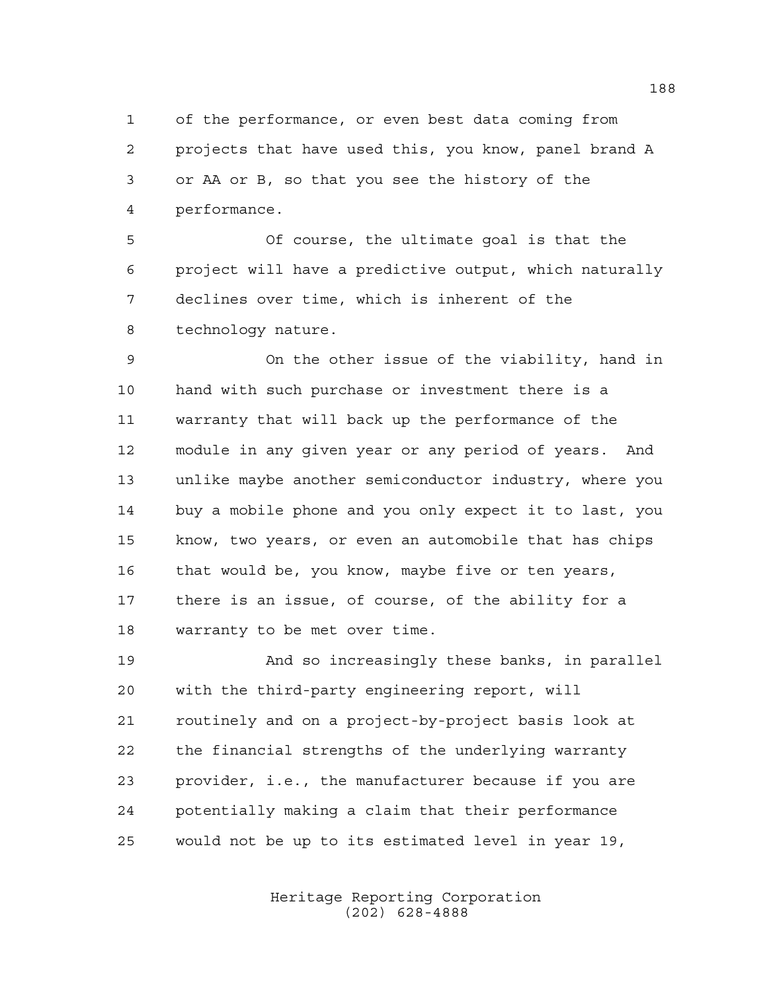of the performance, or even best data coming from projects that have used this, you know, panel brand A or AA or B, so that you see the history of the performance.

 Of course, the ultimate goal is that the project will have a predictive output, which naturally declines over time, which is inherent of the technology nature.

 On the other issue of the viability, hand in hand with such purchase or investment there is a warranty that will back up the performance of the module in any given year or any period of years. And unlike maybe another semiconductor industry, where you buy a mobile phone and you only expect it to last, you know, two years, or even an automobile that has chips 16 that would be, you know, maybe five or ten years, there is an issue, of course, of the ability for a warranty to be met over time.

 And so increasingly these banks, in parallel with the third-party engineering report, will routinely and on a project-by-project basis look at the financial strengths of the underlying warranty provider, i.e., the manufacturer because if you are potentially making a claim that their performance would not be up to its estimated level in year 19,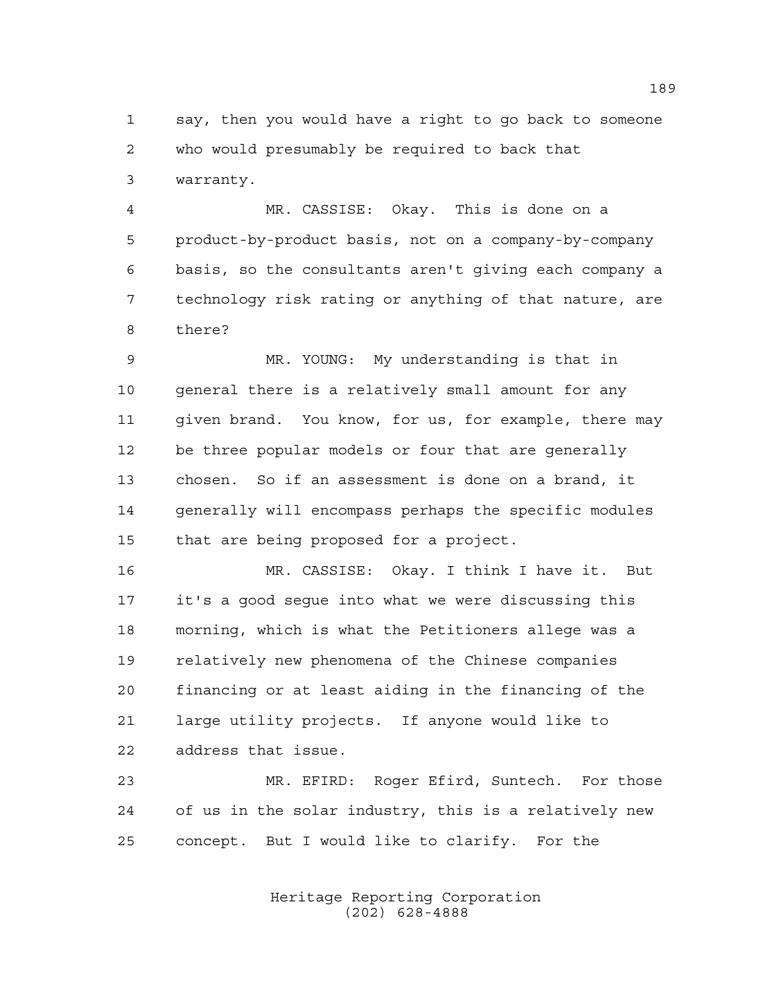say, then you would have a right to go back to someone who would presumably be required to back that warranty.

 MR. CASSISE: Okay. This is done on a product-by-product basis, not on a company-by-company basis, so the consultants aren't giving each company a technology risk rating or anything of that nature, are there?

 MR. YOUNG: My understanding is that in general there is a relatively small amount for any given brand. You know, for us, for example, there may be three popular models or four that are generally chosen. So if an assessment is done on a brand, it generally will encompass perhaps the specific modules that are being proposed for a project.

 MR. CASSISE: Okay. I think I have it. But it's a good segue into what we were discussing this morning, which is what the Petitioners allege was a relatively new phenomena of the Chinese companies financing or at least aiding in the financing of the large utility projects. If anyone would like to address that issue.

 MR. EFIRD: Roger Efird, Suntech. For those of us in the solar industry, this is a relatively new concept. But I would like to clarify. For the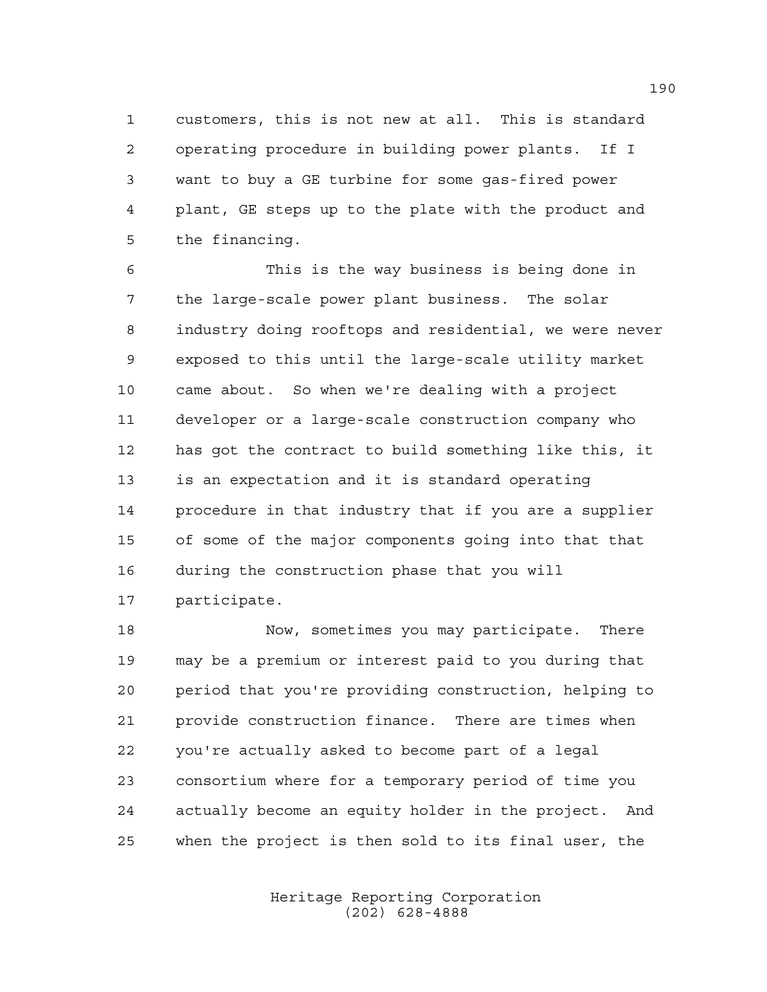customers, this is not new at all. This is standard operating procedure in building power plants. If I want to buy a GE turbine for some gas-fired power plant, GE steps up to the plate with the product and the financing.

 This is the way business is being done in the large-scale power plant business. The solar industry doing rooftops and residential, we were never exposed to this until the large-scale utility market came about. So when we're dealing with a project developer or a large-scale construction company who has got the contract to build something like this, it is an expectation and it is standard operating procedure in that industry that if you are a supplier of some of the major components going into that that during the construction phase that you will participate.

 Now, sometimes you may participate. There may be a premium or interest paid to you during that period that you're providing construction, helping to provide construction finance. There are times when you're actually asked to become part of a legal consortium where for a temporary period of time you actually become an equity holder in the project. And when the project is then sold to its final user, the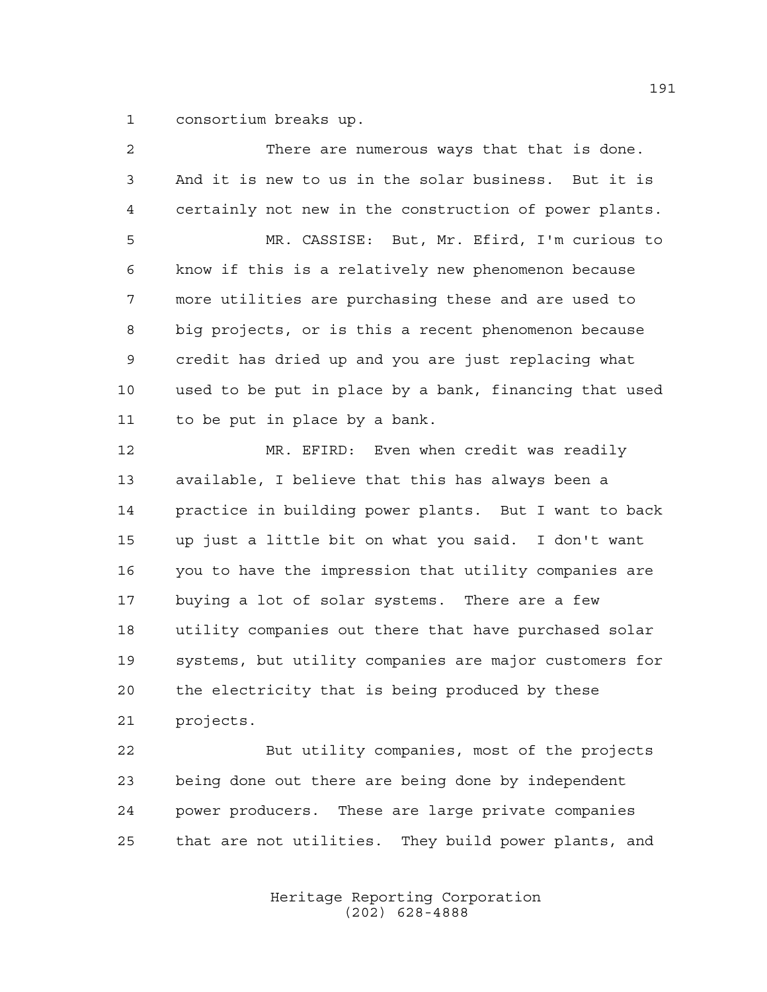consortium breaks up.

| $\overline{a}$ | There are numerous ways that that is done.             |
|----------------|--------------------------------------------------------|
| 3              | And it is new to us in the solar business. But it is   |
| $\overline{4}$ | certainly not new in the construction of power plants. |
| 5              | MR. CASSISE: But, Mr. Efird, I'm curious to            |
| 6              | know if this is a relatively new phenomenon because    |
| 7              | more utilities are purchasing these and are used to    |
| 8              | big projects, or is this a recent phenomenon because   |
| 9              | credit has dried up and you are just replacing what    |
| 10             | used to be put in place by a bank, financing that used |
| 11             | to be put in place by a bank.                          |
| 12             | MR. EFIRD: Even when credit was readily                |
| 13             | available, I believe that this has always been a       |
| 14             | practice in building power plants. But I want to back  |
| 15             | up just a little bit on what you said. I don't want    |
| 16             | you to have the impression that utility companies are  |
| 17             | buying a lot of solar systems. There are a few         |
| 18             | utility companies out there that have purchased solar  |
| 19             | systems, but utility companies are major customers for |
| 20             | the electricity that is being produced by these        |
| 21             | projects.                                              |
| 22             | But utility companies, most of the projects            |
| 23             | being done out there are being done by independent     |
|                |                                                        |

that are not utilities. They build power plants, and

power producers. These are large private companies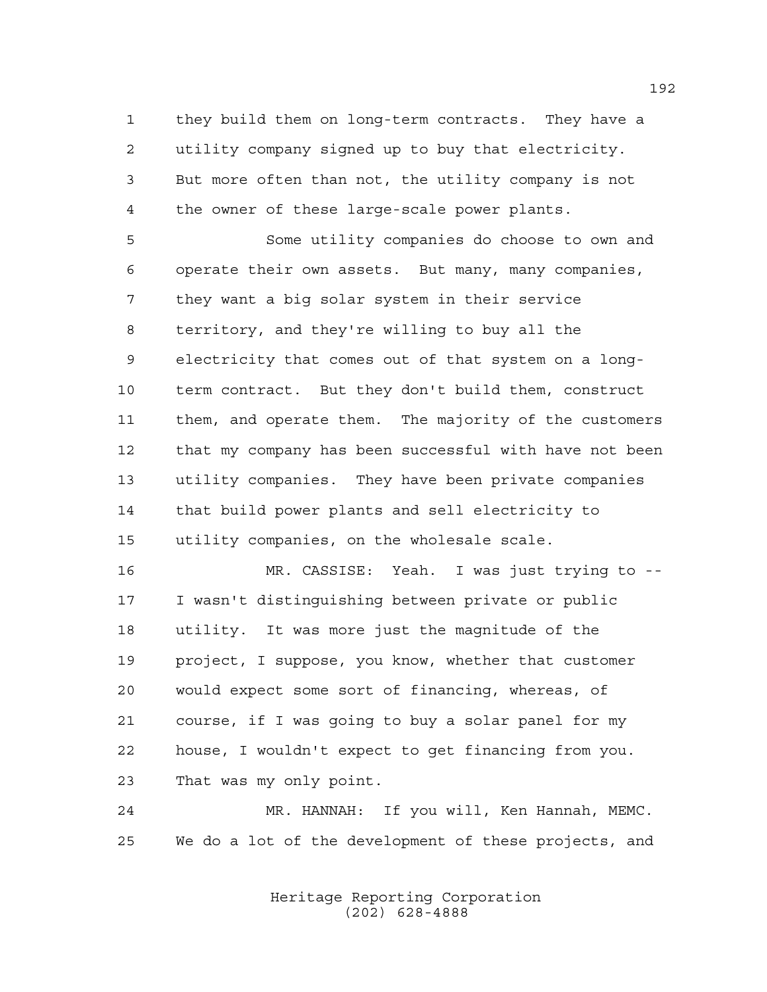they build them on long-term contracts. They have a utility company signed up to buy that electricity. But more often than not, the utility company is not the owner of these large-scale power plants.

 Some utility companies do choose to own and operate their own assets. But many, many companies, they want a big solar system in their service territory, and they're willing to buy all the electricity that comes out of that system on a long- term contract. But they don't build them, construct them, and operate them. The majority of the customers that my company has been successful with have not been utility companies. They have been private companies that build power plants and sell electricity to utility companies, on the wholesale scale.

 MR. CASSISE: Yeah. I was just trying to -- I wasn't distinguishing between private or public utility. It was more just the magnitude of the project, I suppose, you know, whether that customer would expect some sort of financing, whereas, of course, if I was going to buy a solar panel for my house, I wouldn't expect to get financing from you. That was my only point.

 MR. HANNAH: If you will, Ken Hannah, MEMC. We do a lot of the development of these projects, and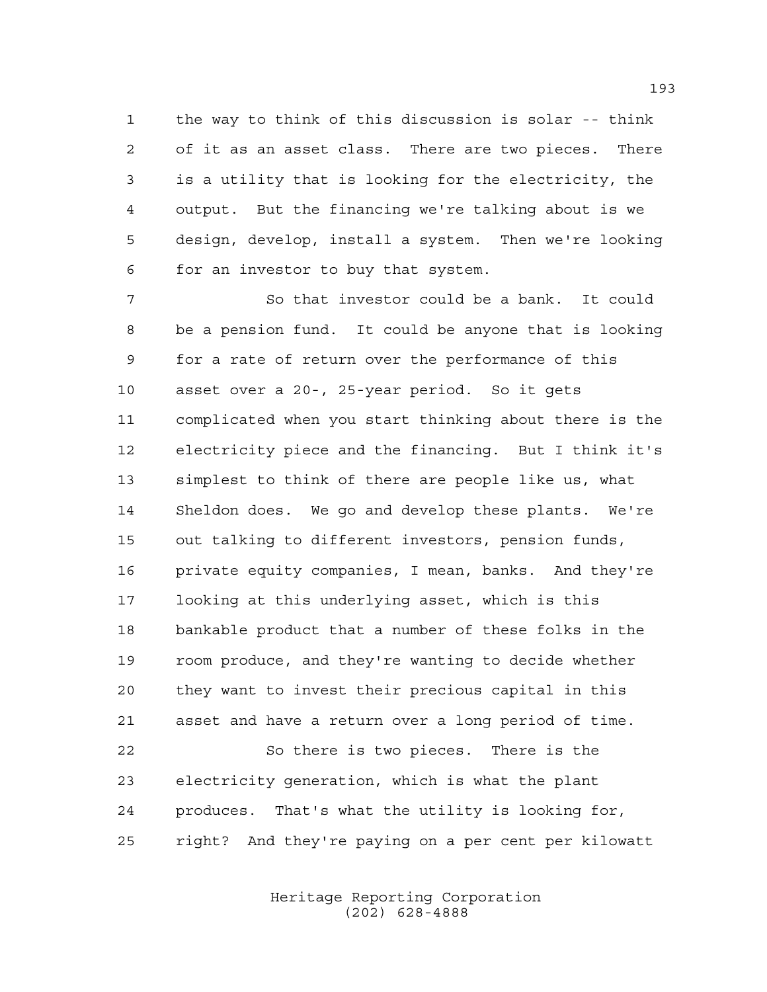the way to think of this discussion is solar -- think of it as an asset class. There are two pieces. There is a utility that is looking for the electricity, the output. But the financing we're talking about is we design, develop, install a system. Then we're looking for an investor to buy that system.

 So that investor could be a bank. It could be a pension fund. It could be anyone that is looking for a rate of return over the performance of this asset over a 20-, 25-year period. So it gets complicated when you start thinking about there is the electricity piece and the financing. But I think it's simplest to think of there are people like us, what Sheldon does. We go and develop these plants. We're out talking to different investors, pension funds, private equity companies, I mean, banks. And they're looking at this underlying asset, which is this bankable product that a number of these folks in the room produce, and they're wanting to decide whether they want to invest their precious capital in this asset and have a return over a long period of time.

 So there is two pieces. There is the electricity generation, which is what the plant produces. That's what the utility is looking for, right? And they're paying on a per cent per kilowatt

> Heritage Reporting Corporation (202) 628-4888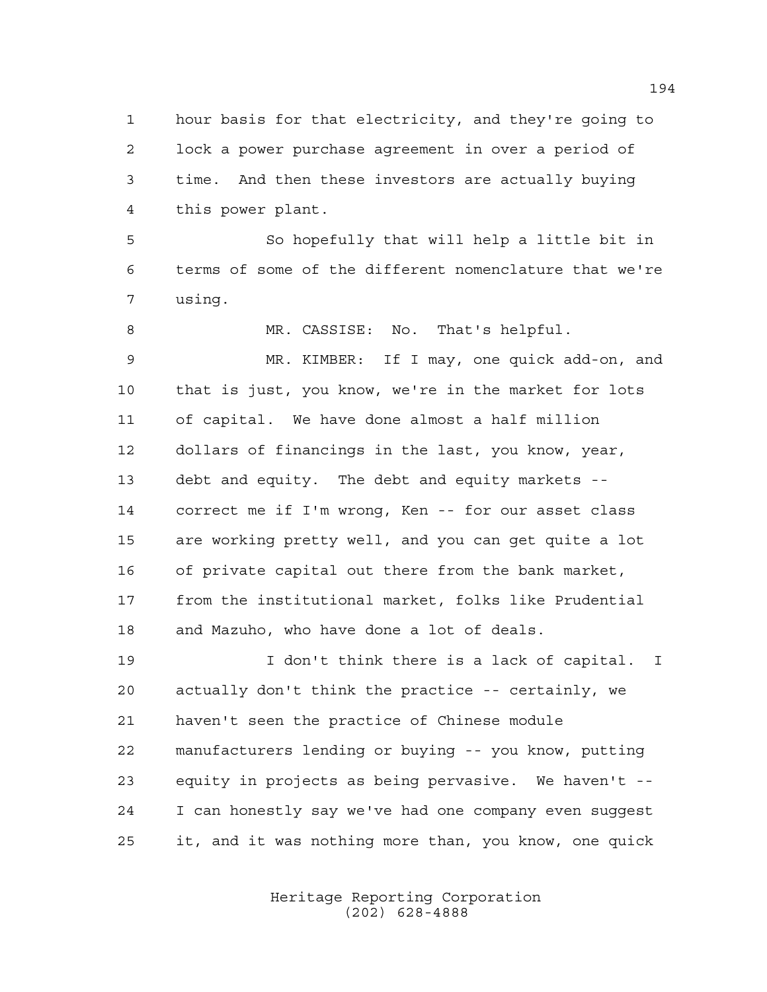hour basis for that electricity, and they're going to lock a power purchase agreement in over a period of time. And then these investors are actually buying this power plant.

 So hopefully that will help a little bit in terms of some of the different nomenclature that we're using.

 MR. CASSISE: No. That's helpful. MR. KIMBER: If I may, one quick add-on, and that is just, you know, we're in the market for lots of capital. We have done almost a half million dollars of financings in the last, you know, year, debt and equity. The debt and equity markets -- correct me if I'm wrong, Ken -- for our asset class are working pretty well, and you can get quite a lot of private capital out there from the bank market, from the institutional market, folks like Prudential and Mazuho, who have done a lot of deals.

 I don't think there is a lack of capital. I actually don't think the practice -- certainly, we haven't seen the practice of Chinese module manufacturers lending or buying -- you know, putting equity in projects as being pervasive. We haven't -- I can honestly say we've had one company even suggest it, and it was nothing more than, you know, one quick

> Heritage Reporting Corporation (202) 628-4888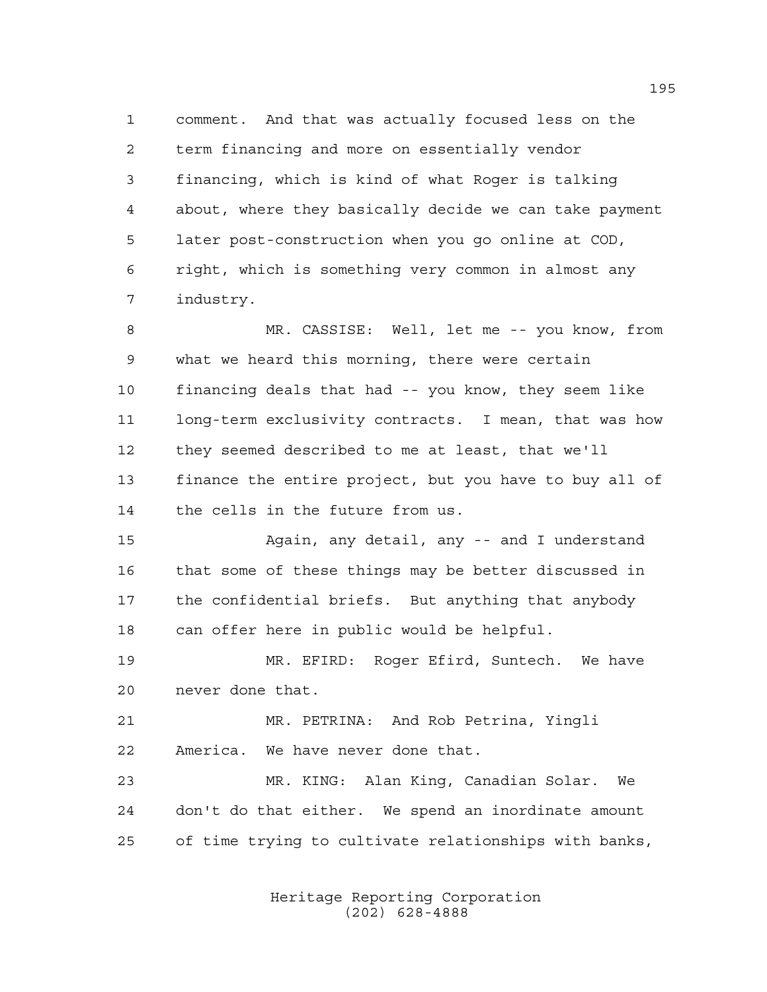comment. And that was actually focused less on the term financing and more on essentially vendor financing, which is kind of what Roger is talking about, where they basically decide we can take payment later post-construction when you go online at COD, right, which is something very common in almost any industry.

 MR. CASSISE: Well, let me -- you know, from what we heard this morning, there were certain financing deals that had -- you know, they seem like long-term exclusivity contracts. I mean, that was how they seemed described to me at least, that we'll finance the entire project, but you have to buy all of the cells in the future from us.

 Again, any detail, any -- and I understand that some of these things may be better discussed in the confidential briefs. But anything that anybody can offer here in public would be helpful.

 MR. EFIRD: Roger Efird, Suntech. We have never done that.

 MR. PETRINA: And Rob Petrina, Yingli America. We have never done that.

 MR. KING: Alan King, Canadian Solar. We don't do that either. We spend an inordinate amount of time trying to cultivate relationships with banks,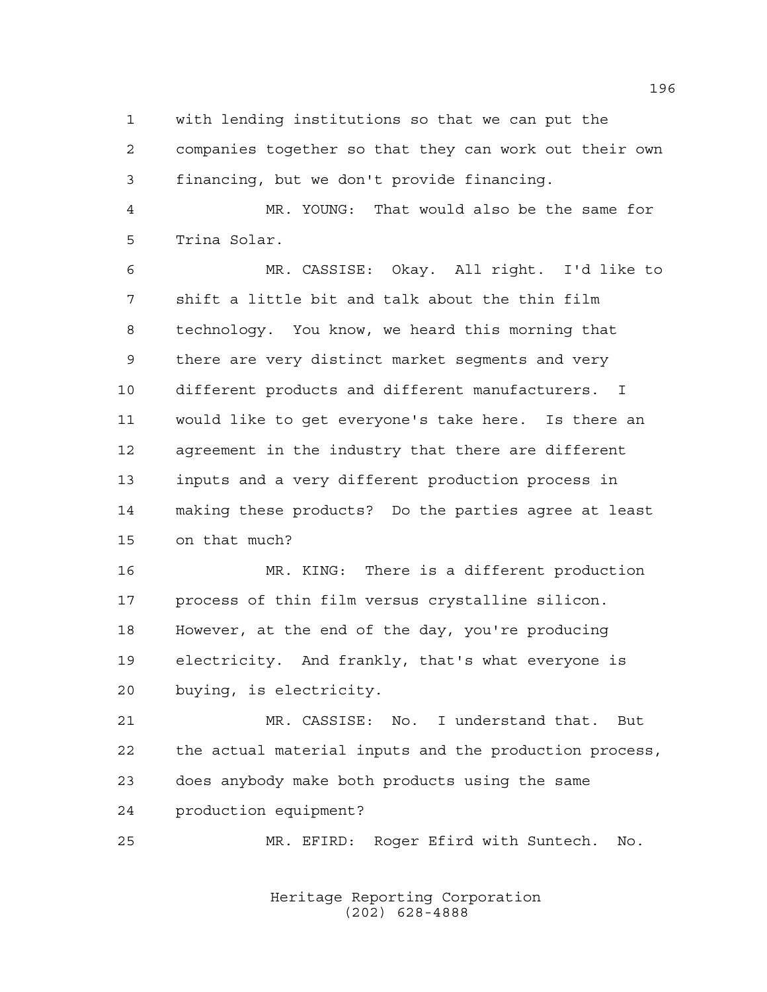with lending institutions so that we can put the companies together so that they can work out their own financing, but we don't provide financing.

 MR. YOUNG: That would also be the same for Trina Solar.

 MR. CASSISE: Okay. All right. I'd like to shift a little bit and talk about the thin film technology. You know, we heard this morning that there are very distinct market segments and very different products and different manufacturers. I would like to get everyone's take here. Is there an agreement in the industry that there are different inputs and a very different production process in making these products? Do the parties agree at least on that much?

 MR. KING: There is a different production process of thin film versus crystalline silicon. However, at the end of the day, you're producing electricity. And frankly, that's what everyone is buying, is electricity.

 MR. CASSISE: No. I understand that. But the actual material inputs and the production process, does anybody make both products using the same production equipment?

MR. EFIRD: Roger Efird with Suntech. No.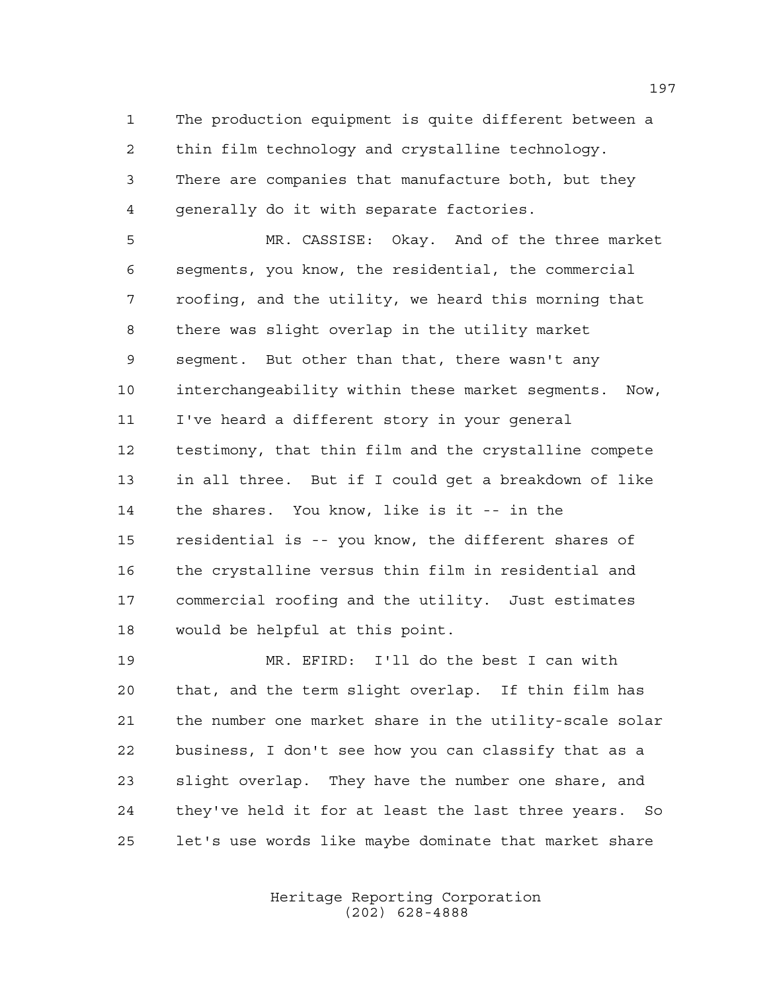The production equipment is quite different between a thin film technology and crystalline technology. There are companies that manufacture both, but they generally do it with separate factories.

 MR. CASSISE: Okay. And of the three market segments, you know, the residential, the commercial roofing, and the utility, we heard this morning that there was slight overlap in the utility market segment. But other than that, there wasn't any interchangeability within these market segments. Now, I've heard a different story in your general testimony, that thin film and the crystalline compete in all three. But if I could get a breakdown of like the shares. You know, like is it -- in the residential is -- you know, the different shares of the crystalline versus thin film in residential and commercial roofing and the utility. Just estimates would be helpful at this point.

 MR. EFIRD: I'll do the best I can with that, and the term slight overlap. If thin film has the number one market share in the utility-scale solar business, I don't see how you can classify that as a slight overlap. They have the number one share, and they've held it for at least the last three years. So let's use words like maybe dominate that market share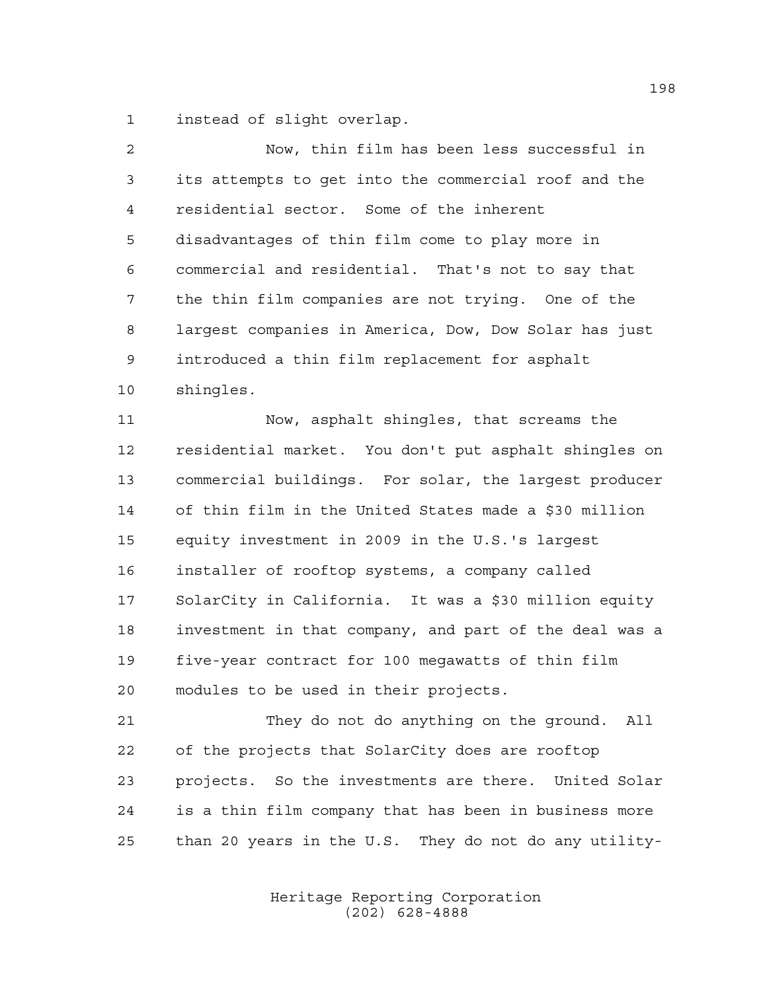instead of slight overlap.

| $\overline{a}$ | Now, thin film has been less successful in             |
|----------------|--------------------------------------------------------|
| 3              | its attempts to get into the commercial roof and the   |
| $\overline{4}$ | residential sector. Some of the inherent               |
| 5              | disadvantages of thin film come to play more in        |
| 6              | commercial and residential. That's not to say that     |
| 7              | the thin film companies are not trying. One of the     |
| 8              | largest companies in America, Dow, Dow Solar has just  |
| 9              | introduced a thin film replacement for asphalt         |
| 10             | shingles.                                              |
| 11             | Now, asphalt shingles, that screams the                |
| 12             | residential market. You don't put asphalt shingles on  |
| 13             | commercial buildings. For solar, the largest producer  |
| 14             | of thin film in the United States made a \$30 million  |
| 15             | equity investment in 2009 in the U.S.'s largest        |
| 16             | installer of rooftop systems, a company called         |
| 17             | SolarCity in California. It was a \$30 million equity  |
| 18             | investment in that company, and part of the deal was a |
| 19             | five-year contract for 100 megawatts of thin film      |
| 20             | modules to be used in their projects.                  |
| 21             | They do not do anything on the ground.<br>All          |

 of the projects that SolarCity does are rooftop projects. So the investments are there. United Solar is a thin film company that has been in business more than 20 years in the U.S. They do not do any utility-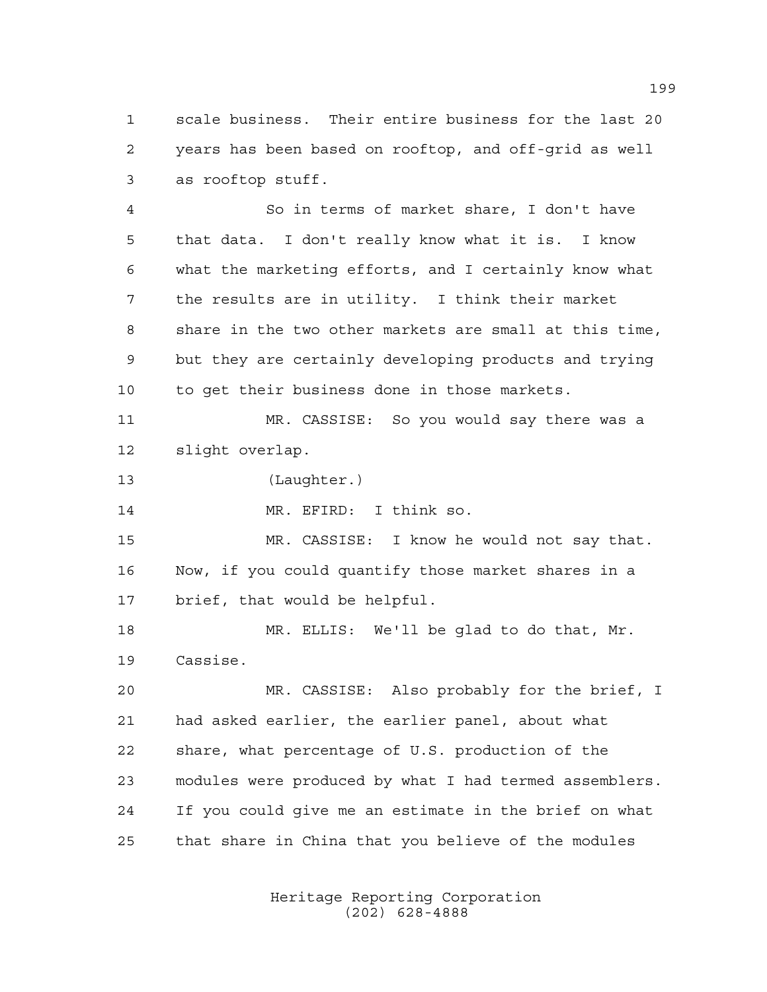scale business. Their entire business for the last 20 years has been based on rooftop, and off-grid as well as rooftop stuff.

 So in terms of market share, I don't have that data. I don't really know what it is. I know what the marketing efforts, and I certainly know what the results are in utility. I think their market share in the two other markets are small at this time, but they are certainly developing products and trying to get their business done in those markets.

 MR. CASSISE: So you would say there was a slight overlap.

(Laughter.)

MR. EFIRD: I think so.

 MR. CASSISE: I know he would not say that. Now, if you could quantify those market shares in a brief, that would be helpful.

 MR. ELLIS: We'll be glad to do that, Mr. Cassise.

 MR. CASSISE: Also probably for the brief, I had asked earlier, the earlier panel, about what share, what percentage of U.S. production of the modules were produced by what I had termed assemblers. If you could give me an estimate in the brief on what that share in China that you believe of the modules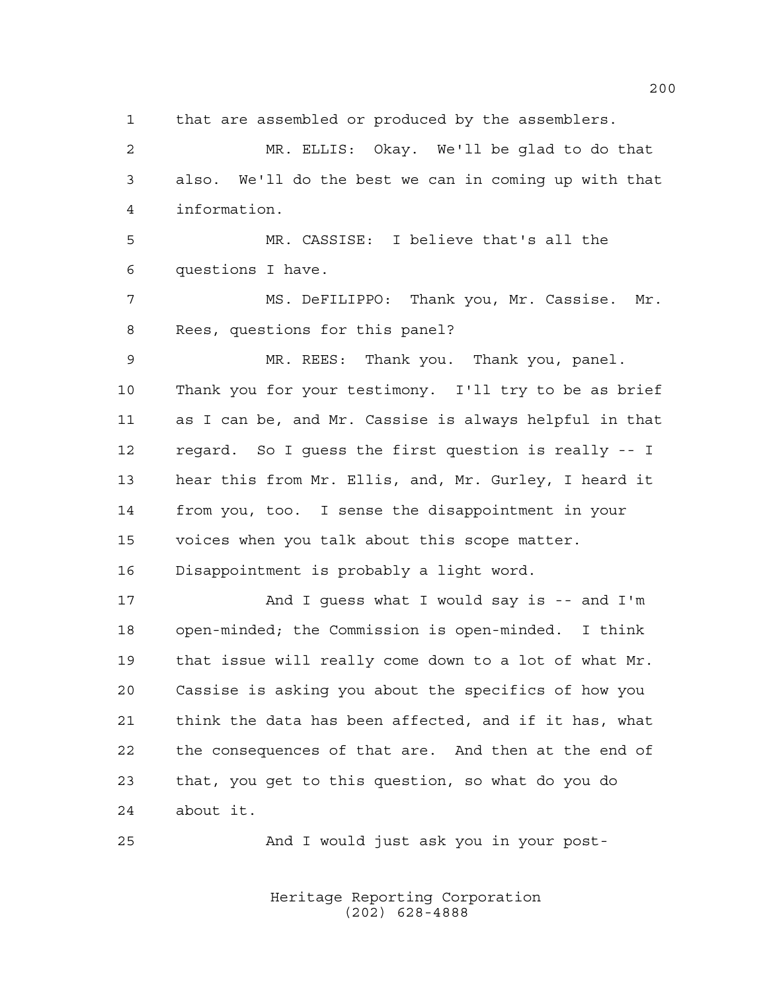that are assembled or produced by the assemblers. MR. ELLIS: Okay. We'll be glad to do that also. We'll do the best we can in coming up with that information. MR. CASSISE: I believe that's all the questions I have. MS. DeFILIPPO: Thank you, Mr. Cassise. Mr. Rees, questions for this panel? MR. REES: Thank you. Thank you, panel. Thank you for your testimony. I'll try to be as brief as I can be, and Mr. Cassise is always helpful in that regard. So I guess the first question is really -- I hear this from Mr. Ellis, and, Mr. Gurley, I heard it from you, too. I sense the disappointment in your voices when you talk about this scope matter. Disappointment is probably a light word. 17 And I quess what I would say is -- and I'm open-minded; the Commission is open-minded. I think that issue will really come down to a lot of what Mr. Cassise is asking you about the specifics of how you think the data has been affected, and if it has, what the consequences of that are. And then at the end of that, you get to this question, so what do you do about it. And I would just ask you in your post-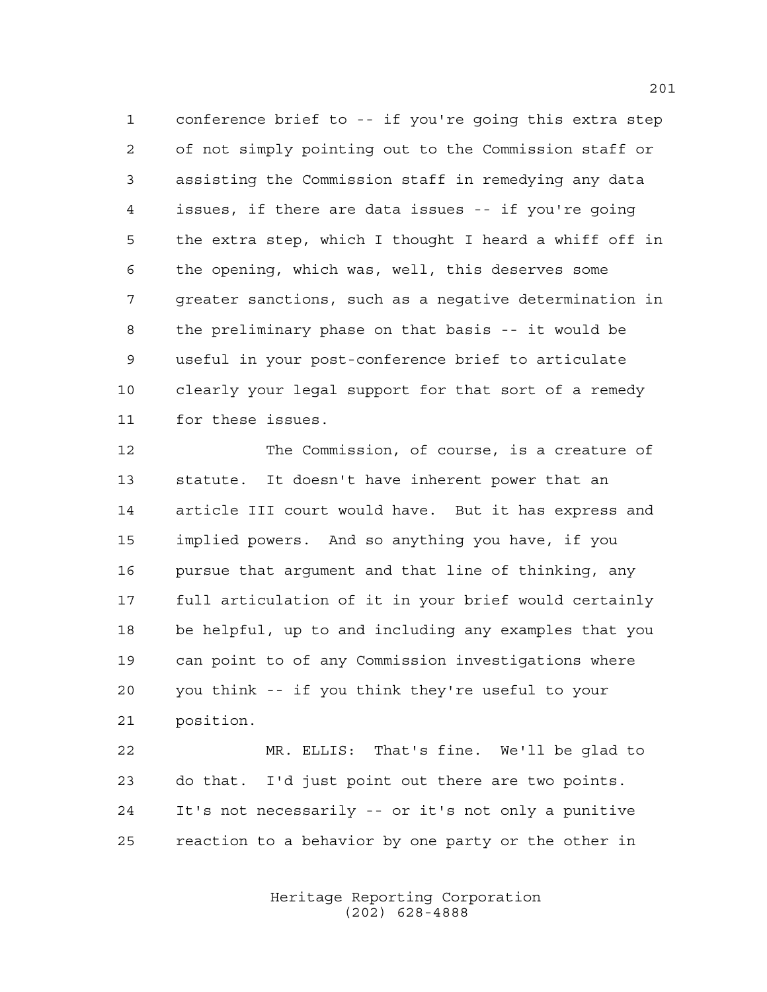conference brief to -- if you're going this extra step of not simply pointing out to the Commission staff or assisting the Commission staff in remedying any data issues, if there are data issues -- if you're going the extra step, which I thought I heard a whiff off in the opening, which was, well, this deserves some greater sanctions, such as a negative determination in the preliminary phase on that basis -- it would be useful in your post-conference brief to articulate clearly your legal support for that sort of a remedy for these issues.

 The Commission, of course, is a creature of statute. It doesn't have inherent power that an article III court would have. But it has express and implied powers. And so anything you have, if you pursue that argument and that line of thinking, any full articulation of it in your brief would certainly be helpful, up to and including any examples that you can point to of any Commission investigations where you think -- if you think they're useful to your position.

 MR. ELLIS: That's fine. We'll be glad to do that. I'd just point out there are two points. It's not necessarily -- or it's not only a punitive reaction to a behavior by one party or the other in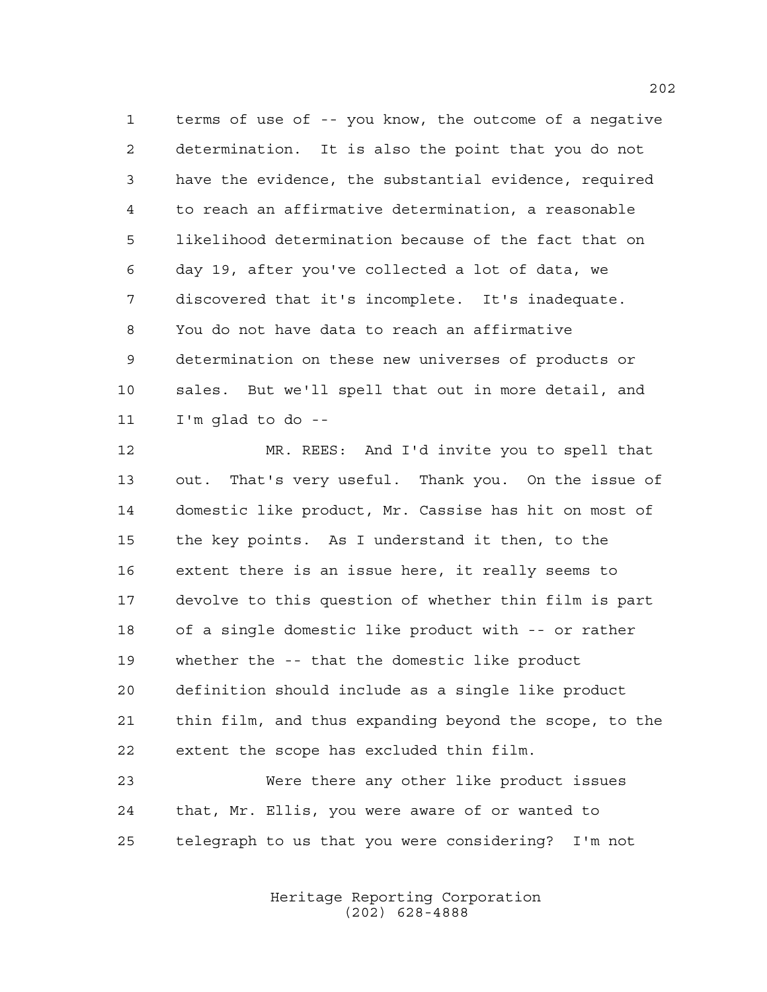terms of use of -- you know, the outcome of a negative determination. It is also the point that you do not have the evidence, the substantial evidence, required to reach an affirmative determination, a reasonable likelihood determination because of the fact that on day 19, after you've collected a lot of data, we discovered that it's incomplete. It's inadequate. You do not have data to reach an affirmative determination on these new universes of products or sales. But we'll spell that out in more detail, and I'm glad to do --

 MR. REES: And I'd invite you to spell that out. That's very useful. Thank you. On the issue of domestic like product, Mr. Cassise has hit on most of the key points. As I understand it then, to the extent there is an issue here, it really seems to devolve to this question of whether thin film is part of a single domestic like product with -- or rather whether the -- that the domestic like product definition should include as a single like product thin film, and thus expanding beyond the scope, to the extent the scope has excluded thin film.

 Were there any other like product issues that, Mr. Ellis, you were aware of or wanted to telegraph to us that you were considering? I'm not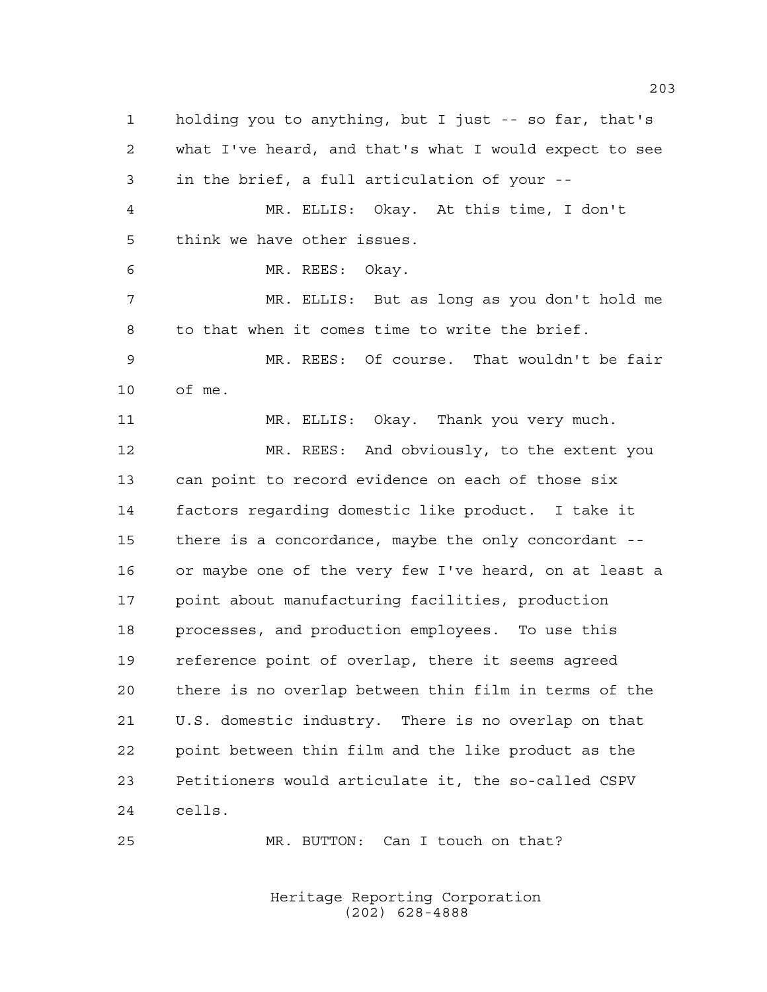holding you to anything, but I just -- so far, that's what I've heard, and that's what I would expect to see in the brief, a full articulation of your -- MR. ELLIS: Okay. At this time, I don't think we have other issues. MR. REES: Okay. MR. ELLIS: But as long as you don't hold me to that when it comes time to write the brief. MR. REES: Of course. That wouldn't be fair of me. MR. ELLIS: Okay. Thank you very much. MR. REES: And obviously, to the extent you can point to record evidence on each of those six factors regarding domestic like product. I take it there is a concordance, maybe the only concordant -- or maybe one of the very few I've heard, on at least a point about manufacturing facilities, production processes, and production employees. To use this reference point of overlap, there it seems agreed there is no overlap between thin film in terms of the U.S. domestic industry. There is no overlap on that point between thin film and the like product as the Petitioners would articulate it, the so-called CSPV cells.

MR. BUTTON: Can I touch on that?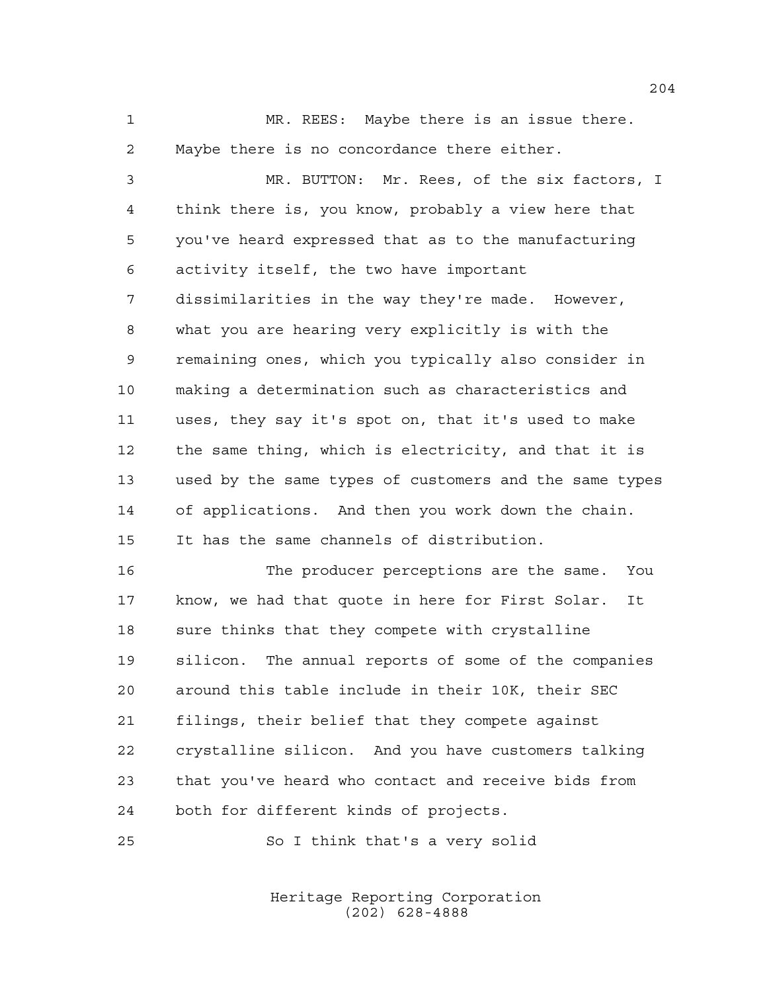MR. REES: Maybe there is an issue there. 2 Maybe there is no concordance there either.

 MR. BUTTON: Mr. Rees, of the six factors, I think there is, you know, probably a view here that you've heard expressed that as to the manufacturing activity itself, the two have important dissimilarities in the way they're made. However, what you are hearing very explicitly is with the remaining ones, which you typically also consider in making a determination such as characteristics and uses, they say it's spot on, that it's used to make the same thing, which is electricity, and that it is used by the same types of customers and the same types of applications. And then you work down the chain. It has the same channels of distribution.

 The producer perceptions are the same. You know, we had that quote in here for First Solar. It sure thinks that they compete with crystalline silicon. The annual reports of some of the companies around this table include in their 10K, their SEC filings, their belief that they compete against crystalline silicon. And you have customers talking that you've heard who contact and receive bids from both for different kinds of projects.

So I think that's a very solid

Heritage Reporting Corporation (202) 628-4888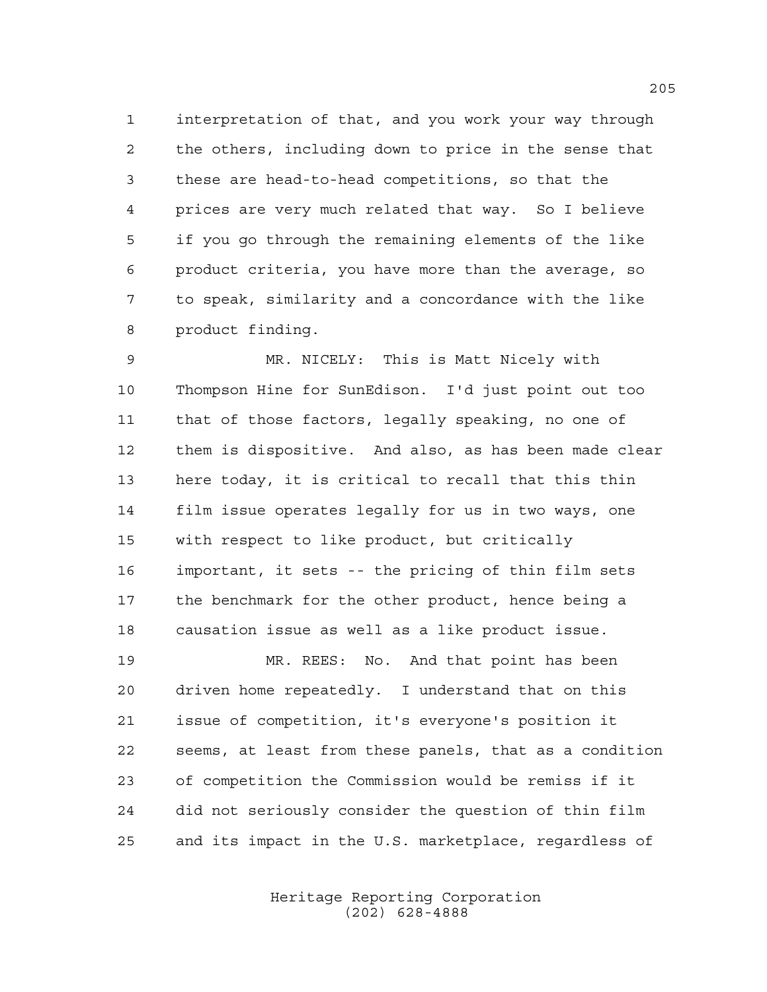interpretation of that, and you work your way through the others, including down to price in the sense that these are head-to-head competitions, so that the prices are very much related that way. So I believe if you go through the remaining elements of the like product criteria, you have more than the average, so to speak, similarity and a concordance with the like product finding.

 MR. NICELY: This is Matt Nicely with Thompson Hine for SunEdison. I'd just point out too that of those factors, legally speaking, no one of them is dispositive. And also, as has been made clear here today, it is critical to recall that this thin film issue operates legally for us in two ways, one with respect to like product, but critically important, it sets -- the pricing of thin film sets the benchmark for the other product, hence being a causation issue as well as a like product issue.

 MR. REES: No. And that point has been driven home repeatedly. I understand that on this issue of competition, it's everyone's position it seems, at least from these panels, that as a condition of competition the Commission would be remiss if it did not seriously consider the question of thin film and its impact in the U.S. marketplace, regardless of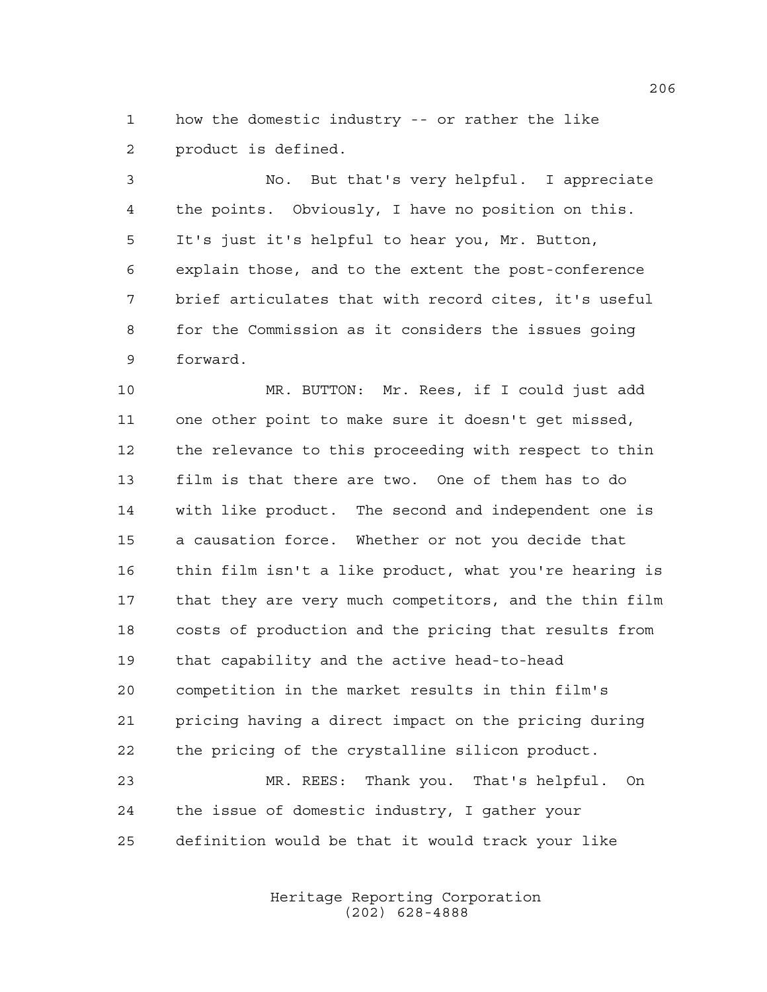how the domestic industry -- or rather the like product is defined.

 No. But that's very helpful. I appreciate the points. Obviously, I have no position on this. It's just it's helpful to hear you, Mr. Button, explain those, and to the extent the post-conference brief articulates that with record cites, it's useful for the Commission as it considers the issues going forward.

 MR. BUTTON: Mr. Rees, if I could just add one other point to make sure it doesn't get missed, the relevance to this proceeding with respect to thin film is that there are two. One of them has to do with like product. The second and independent one is a causation force. Whether or not you decide that thin film isn't a like product, what you're hearing is that they are very much competitors, and the thin film costs of production and the pricing that results from that capability and the active head-to-head competition in the market results in thin film's pricing having a direct impact on the pricing during the pricing of the crystalline silicon product. MR. REES: Thank you. That's helpful. On

 the issue of domestic industry, I gather your definition would be that it would track your like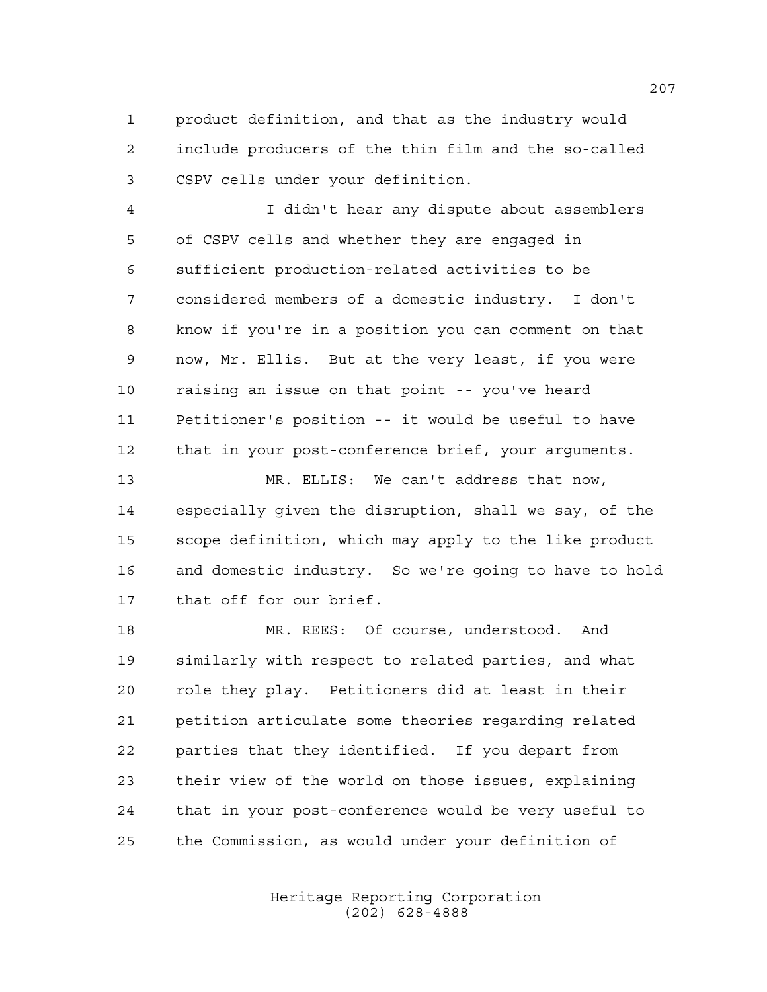product definition, and that as the industry would include producers of the thin film and the so-called CSPV cells under your definition.

 I didn't hear any dispute about assemblers of CSPV cells and whether they are engaged in sufficient production-related activities to be considered members of a domestic industry. I don't know if you're in a position you can comment on that now, Mr. Ellis. But at the very least, if you were raising an issue on that point -- you've heard Petitioner's position -- it would be useful to have that in your post-conference brief, your arguments.

 MR. ELLIS: We can't address that now, especially given the disruption, shall we say, of the scope definition, which may apply to the like product and domestic industry. So we're going to have to hold that off for our brief.

 MR. REES: Of course, understood. And similarly with respect to related parties, and what role they play. Petitioners did at least in their petition articulate some theories regarding related parties that they identified. If you depart from their view of the world on those issues, explaining that in your post-conference would be very useful to the Commission, as would under your definition of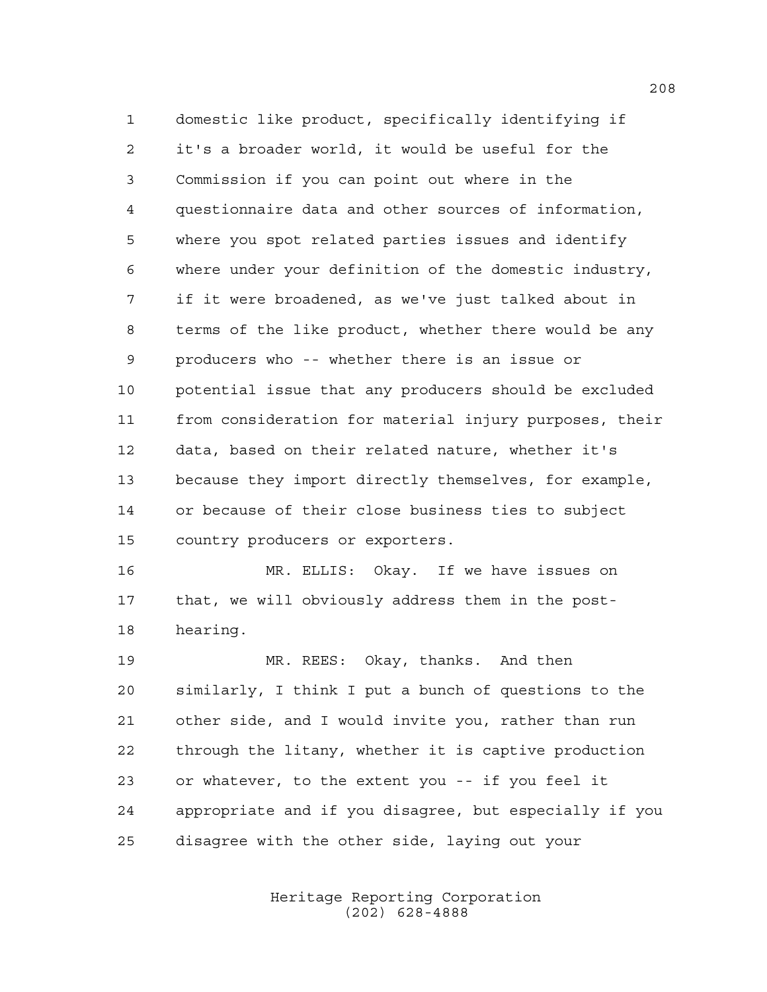domestic like product, specifically identifying if it's a broader world, it would be useful for the Commission if you can point out where in the questionnaire data and other sources of information, where you spot related parties issues and identify where under your definition of the domestic industry, if it were broadened, as we've just talked about in terms of the like product, whether there would be any producers who -- whether there is an issue or potential issue that any producers should be excluded from consideration for material injury purposes, their data, based on their related nature, whether it's because they import directly themselves, for example, or because of their close business ties to subject country producers or exporters.

 MR. ELLIS: Okay. If we have issues on that, we will obviously address them in the post-hearing.

 MR. REES: Okay, thanks. And then similarly, I think I put a bunch of questions to the other side, and I would invite you, rather than run through the litany, whether it is captive production or whatever, to the extent you -- if you feel it appropriate and if you disagree, but especially if you disagree with the other side, laying out your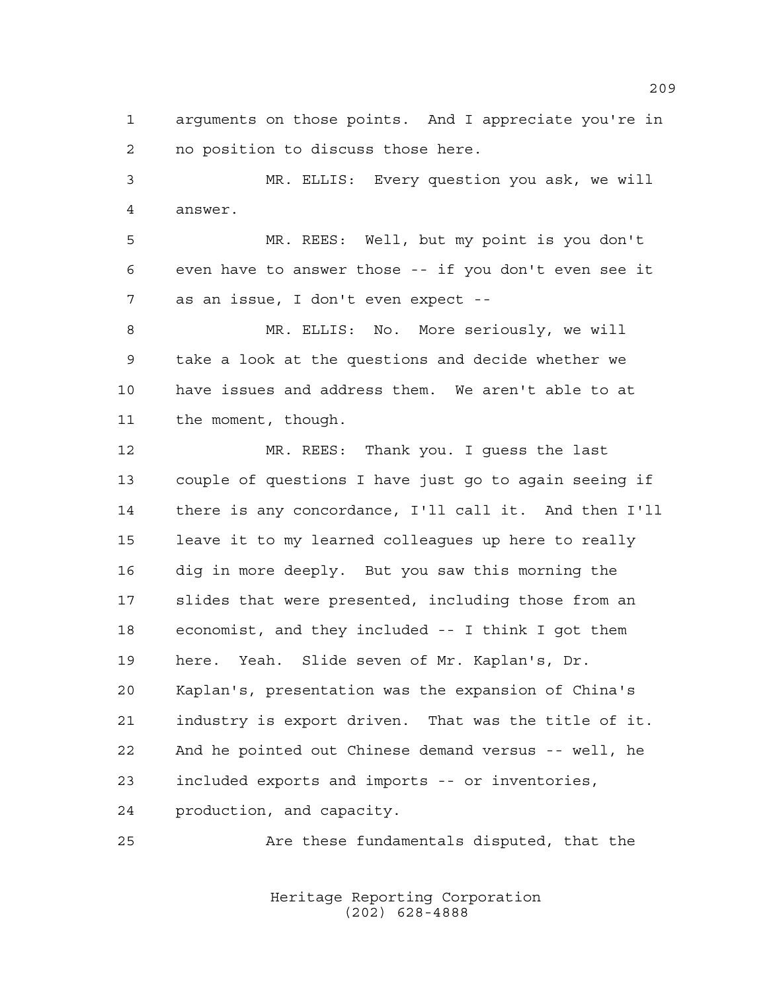arguments on those points. And I appreciate you're in no position to discuss those here.

 MR. ELLIS: Every question you ask, we will answer.

 MR. REES: Well, but my point is you don't even have to answer those -- if you don't even see it as an issue, I don't even expect --

 MR. ELLIS: No. More seriously, we will take a look at the questions and decide whether we have issues and address them. We aren't able to at the moment, though.

 MR. REES: Thank you. I guess the last couple of questions I have just go to again seeing if there is any concordance, I'll call it. And then I'll leave it to my learned colleagues up here to really dig in more deeply. But you saw this morning the slides that were presented, including those from an economist, and they included -- I think I got them here. Yeah. Slide seven of Mr. Kaplan's, Dr. Kaplan's, presentation was the expansion of China's industry is export driven. That was the title of it. And he pointed out Chinese demand versus -- well, he included exports and imports -- or inventories, production, and capacity.

Are these fundamentals disputed, that the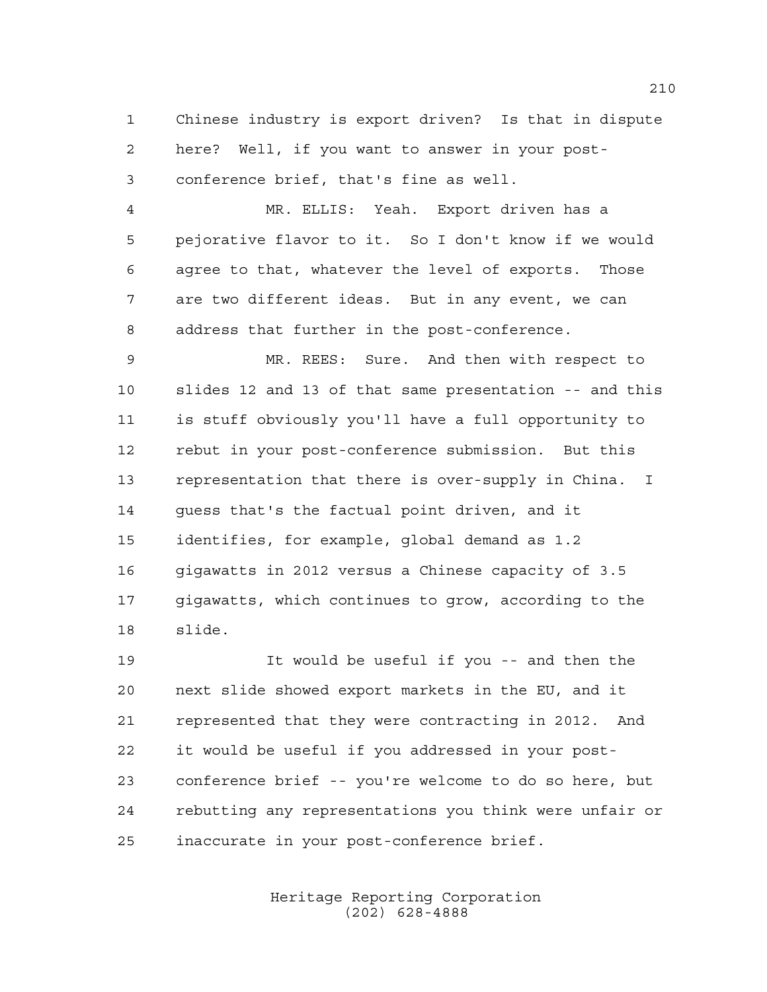Chinese industry is export driven? Is that in dispute here? Well, if you want to answer in your post-conference brief, that's fine as well.

 MR. ELLIS: Yeah. Export driven has a pejorative flavor to it. So I don't know if we would agree to that, whatever the level of exports. Those are two different ideas. But in any event, we can address that further in the post-conference.

 MR. REES: Sure. And then with respect to slides 12 and 13 of that same presentation -- and this is stuff obviously you'll have a full opportunity to rebut in your post-conference submission. But this representation that there is over-supply in China. I guess that's the factual point driven, and it identifies, for example, global demand as 1.2 gigawatts in 2012 versus a Chinese capacity of 3.5 gigawatts, which continues to grow, according to the slide.

 It would be useful if you -- and then the next slide showed export markets in the EU, and it represented that they were contracting in 2012. And it would be useful if you addressed in your post- conference brief -- you're welcome to do so here, but rebutting any representations you think were unfair or inaccurate in your post-conference brief.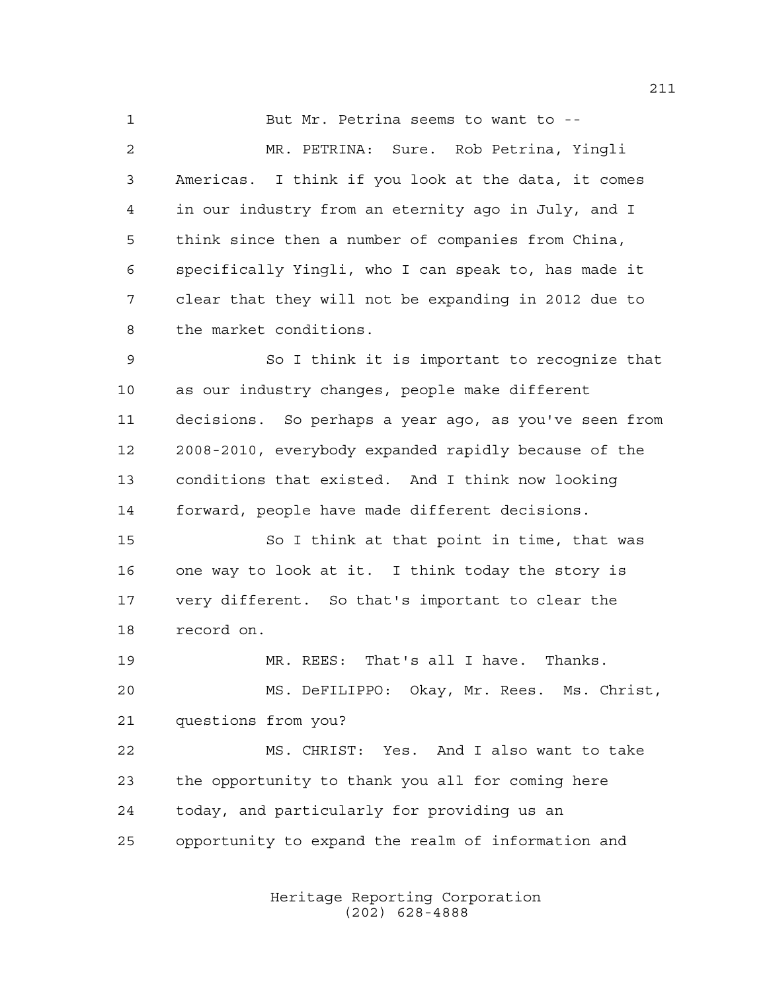But Mr. Petrina seems to want to -- MR. PETRINA: Sure. Rob Petrina, Yingli Americas. I think if you look at the data, it comes in our industry from an eternity ago in July, and I think since then a number of companies from China, specifically Yingli, who I can speak to, has made it clear that they will not be expanding in 2012 due to the market conditions.

 So I think it is important to recognize that as our industry changes, people make different decisions. So perhaps a year ago, as you've seen from 2008-2010, everybody expanded rapidly because of the conditions that existed. And I think now looking forward, people have made different decisions.

 So I think at that point in time, that was one way to look at it. I think today the story is very different. So that's important to clear the record on.

 MR. REES: That's all I have. Thanks. MS. DeFILIPPO: Okay, Mr. Rees. Ms. Christ, questions from you?

 MS. CHRIST: Yes. And I also want to take the opportunity to thank you all for coming here today, and particularly for providing us an opportunity to expand the realm of information and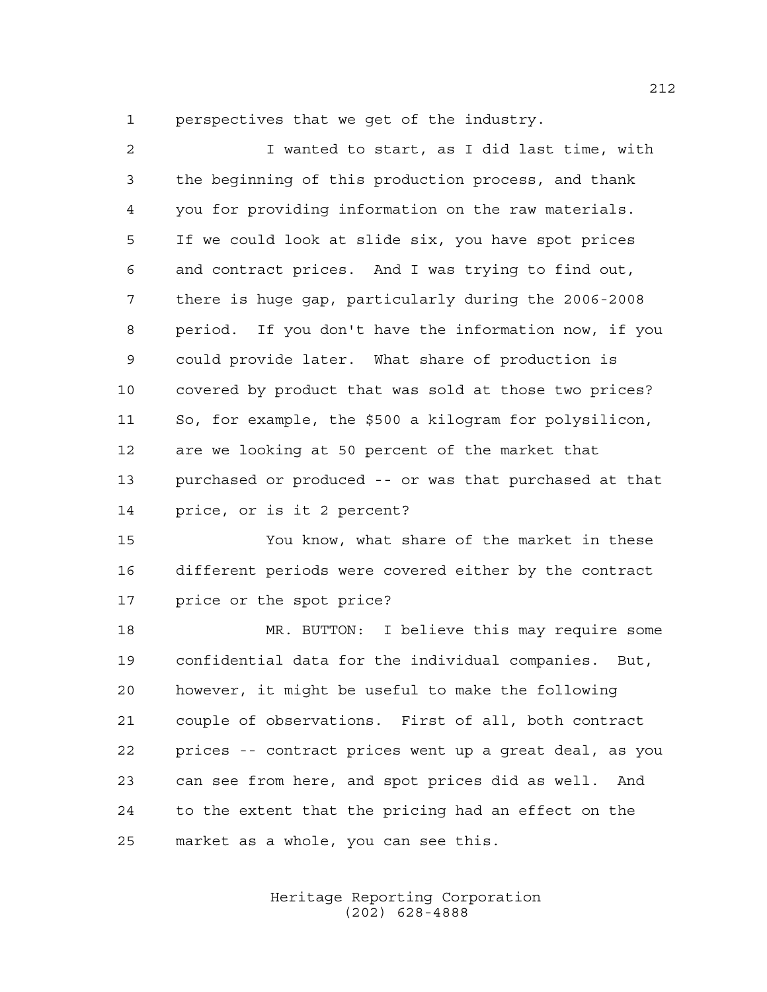perspectives that we get of the industry.

 I wanted to start, as I did last time, with the beginning of this production process, and thank you for providing information on the raw materials. If we could look at slide six, you have spot prices and contract prices. And I was trying to find out, there is huge gap, particularly during the 2006-2008 period. If you don't have the information now, if you could provide later. What share of production is covered by product that was sold at those two prices? So, for example, the \$500 a kilogram for polysilicon, are we looking at 50 percent of the market that purchased or produced -- or was that purchased at that price, or is it 2 percent?

 You know, what share of the market in these different periods were covered either by the contract price or the spot price?

 MR. BUTTON: I believe this may require some confidential data for the individual companies. But, however, it might be useful to make the following couple of observations. First of all, both contract prices -- contract prices went up a great deal, as you can see from here, and spot prices did as well. And to the extent that the pricing had an effect on the market as a whole, you can see this.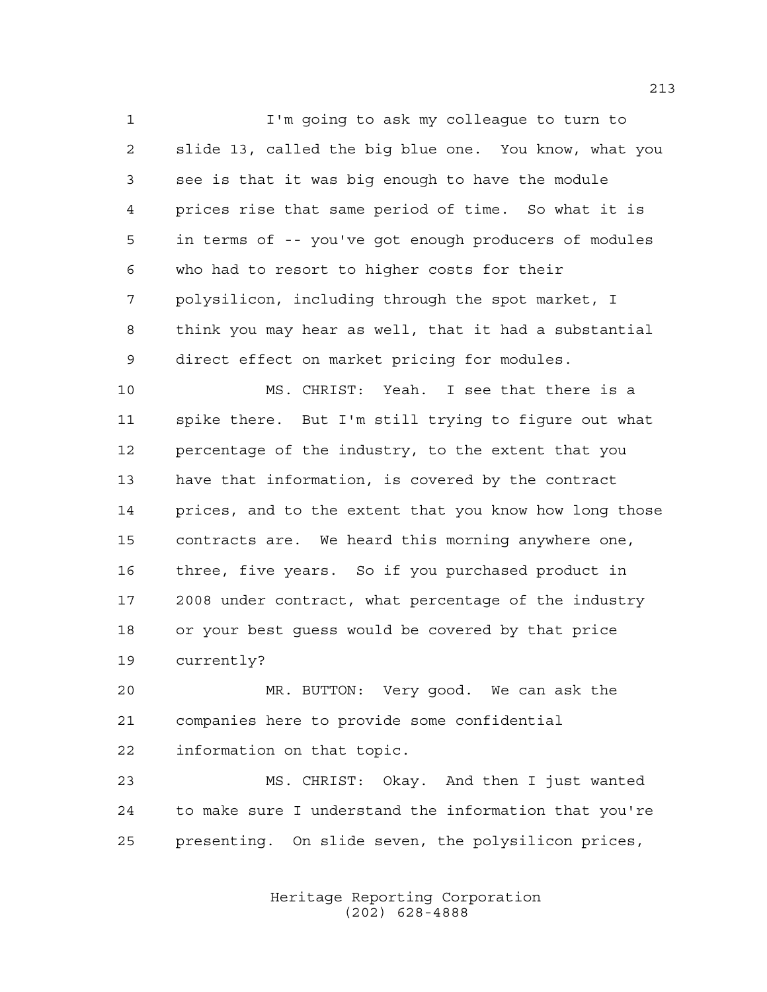I'm going to ask my colleague to turn to slide 13, called the big blue one. You know, what you see is that it was big enough to have the module prices rise that same period of time. So what it is in terms of -- you've got enough producers of modules who had to resort to higher costs for their polysilicon, including through the spot market, I think you may hear as well, that it had a substantial direct effect on market pricing for modules.

 MS. CHRIST: Yeah. I see that there is a spike there. But I'm still trying to figure out what percentage of the industry, to the extent that you have that information, is covered by the contract prices, and to the extent that you know how long those contracts are. We heard this morning anywhere one, three, five years. So if you purchased product in 2008 under contract, what percentage of the industry or your best guess would be covered by that price currently?

 MR. BUTTON: Very good. We can ask the companies here to provide some confidential information on that topic.

 MS. CHRIST: Okay. And then I just wanted to make sure I understand the information that you're presenting. On slide seven, the polysilicon prices,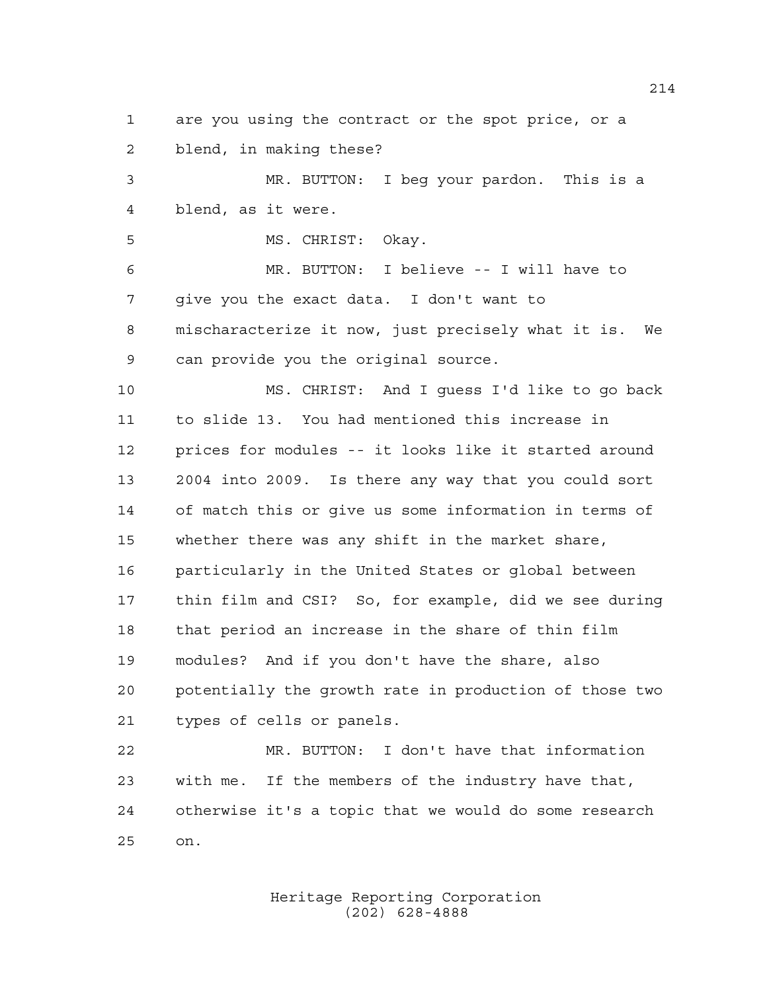are you using the contract or the spot price, or a blend, in making these?

 MR. BUTTON: I beg your pardon. This is a blend, as it were.

MS. CHRIST: Okay.

 MR. BUTTON: I believe -- I will have to give you the exact data. I don't want to mischaracterize it now, just precisely what it is. We can provide you the original source.

 MS. CHRIST: And I guess I'd like to go back to slide 13. You had mentioned this increase in prices for modules -- it looks like it started around 2004 into 2009. Is there any way that you could sort of match this or give us some information in terms of whether there was any shift in the market share, particularly in the United States or global between thin film and CSI? So, for example, did we see during that period an increase in the share of thin film modules? And if you don't have the share, also potentially the growth rate in production of those two types of cells or panels.

 MR. BUTTON: I don't have that information with me. If the members of the industry have that, otherwise it's a topic that we would do some research on.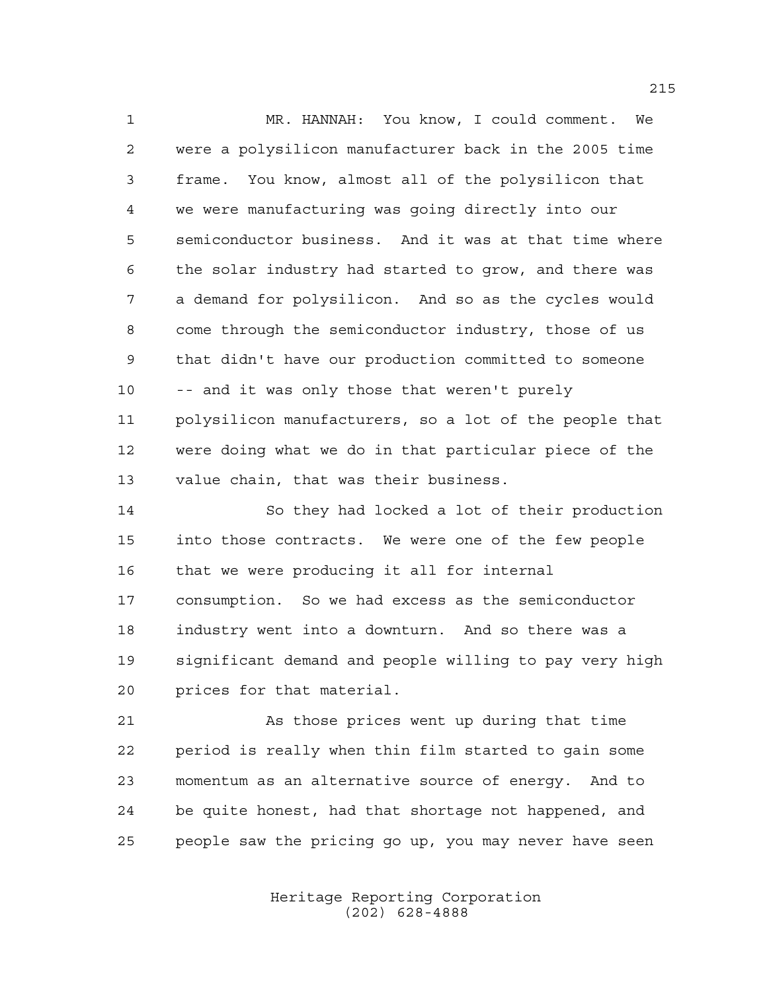MR. HANNAH: You know, I could comment. We were a polysilicon manufacturer back in the 2005 time frame. You know, almost all of the polysilicon that we were manufacturing was going directly into our semiconductor business. And it was at that time where the solar industry had started to grow, and there was a demand for polysilicon. And so as the cycles would come through the semiconductor industry, those of us that didn't have our production committed to someone -- and it was only those that weren't purely polysilicon manufacturers, so a lot of the people that were doing what we do in that particular piece of the value chain, that was their business.

 So they had locked a lot of their production into those contracts. We were one of the few people that we were producing it all for internal consumption. So we had excess as the semiconductor industry went into a downturn. And so there was a significant demand and people willing to pay very high prices for that material.

 As those prices went up during that time period is really when thin film started to gain some momentum as an alternative source of energy. And to be quite honest, had that shortage not happened, and people saw the pricing go up, you may never have seen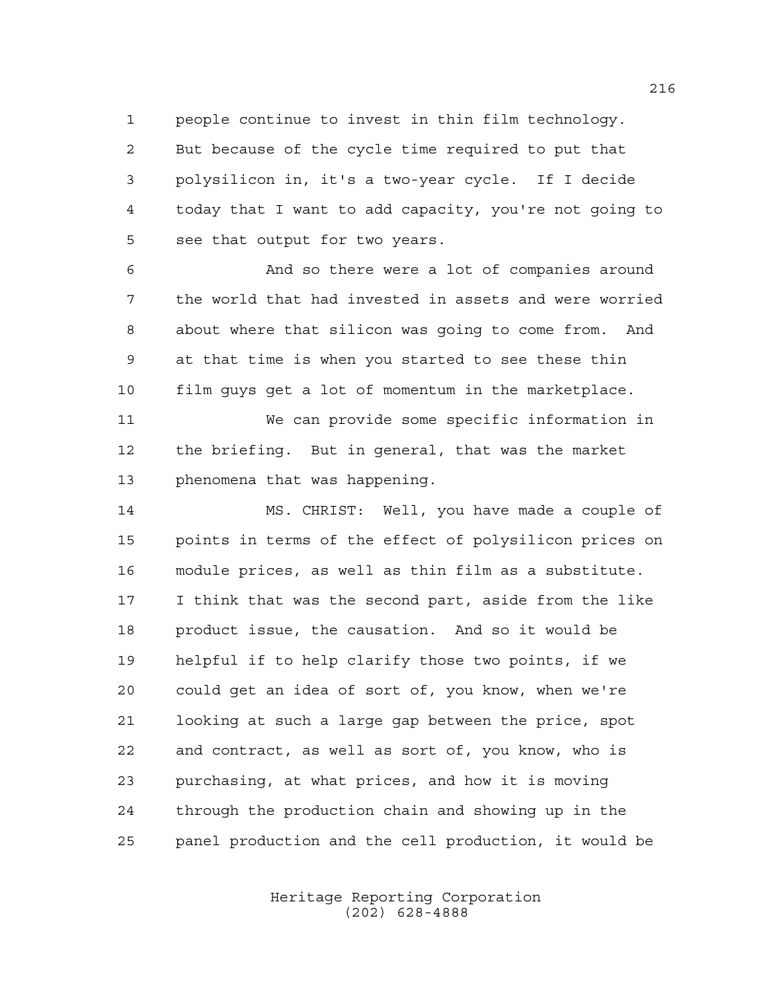people continue to invest in thin film technology. But because of the cycle time required to put that polysilicon in, it's a two-year cycle. If I decide today that I want to add capacity, you're not going to see that output for two years.

 And so there were a lot of companies around the world that had invested in assets and were worried about where that silicon was going to come from. And at that time is when you started to see these thin film guys get a lot of momentum in the marketplace.

 We can provide some specific information in the briefing. But in general, that was the market phenomena that was happening.

 MS. CHRIST: Well, you have made a couple of points in terms of the effect of polysilicon prices on module prices, as well as thin film as a substitute. I think that was the second part, aside from the like product issue, the causation. And so it would be helpful if to help clarify those two points, if we could get an idea of sort of, you know, when we're looking at such a large gap between the price, spot and contract, as well as sort of, you know, who is purchasing, at what prices, and how it is moving through the production chain and showing up in the panel production and the cell production, it would be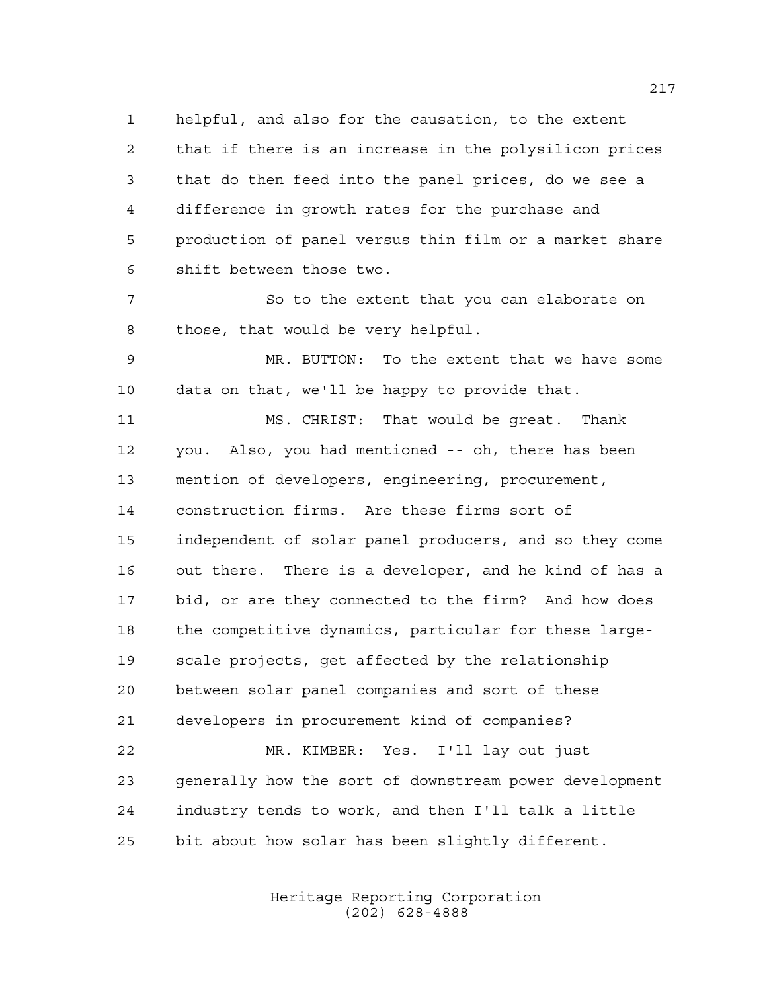helpful, and also for the causation, to the extent that if there is an increase in the polysilicon prices that do then feed into the panel prices, do we see a difference in growth rates for the purchase and production of panel versus thin film or a market share shift between those two.

 So to the extent that you can elaborate on those, that would be very helpful.

 MR. BUTTON: To the extent that we have some data on that, we'll be happy to provide that.

 MS. CHRIST: That would be great. Thank you. Also, you had mentioned -- oh, there has been mention of developers, engineering, procurement, construction firms. Are these firms sort of independent of solar panel producers, and so they come out there. There is a developer, and he kind of has a bid, or are they connected to the firm? And how does the competitive dynamics, particular for these large- scale projects, get affected by the relationship between solar panel companies and sort of these developers in procurement kind of companies? MR. KIMBER: Yes. I'll lay out just generally how the sort of downstream power development industry tends to work, and then I'll talk a little bit about how solar has been slightly different.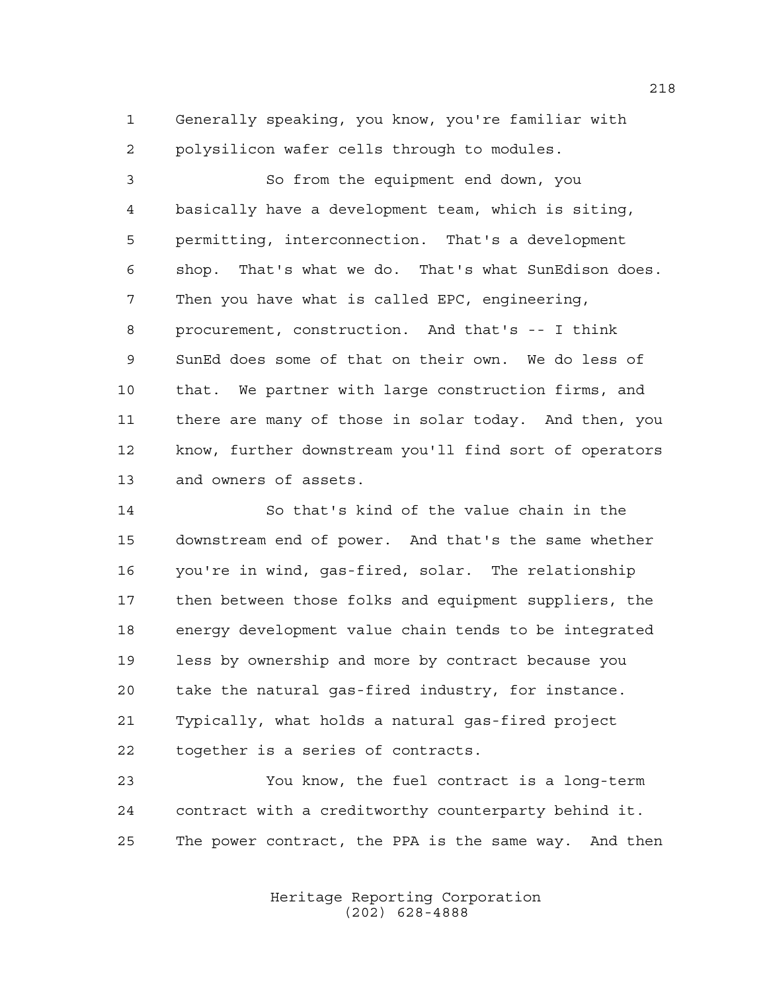Generally speaking, you know, you're familiar with polysilicon wafer cells through to modules.

 So from the equipment end down, you basically have a development team, which is siting, permitting, interconnection. That's a development shop. That's what we do. That's what SunEdison does. Then you have what is called EPC, engineering, procurement, construction. And that's -- I think SunEd does some of that on their own. We do less of that. We partner with large construction firms, and there are many of those in solar today. And then, you know, further downstream you'll find sort of operators and owners of assets.

 So that's kind of the value chain in the downstream end of power. And that's the same whether you're in wind, gas-fired, solar. The relationship then between those folks and equipment suppliers, the energy development value chain tends to be integrated less by ownership and more by contract because you take the natural gas-fired industry, for instance. Typically, what holds a natural gas-fired project together is a series of contracts.

 You know, the fuel contract is a long-term contract with a creditworthy counterparty behind it. The power contract, the PPA is the same way. And then

> Heritage Reporting Corporation (202) 628-4888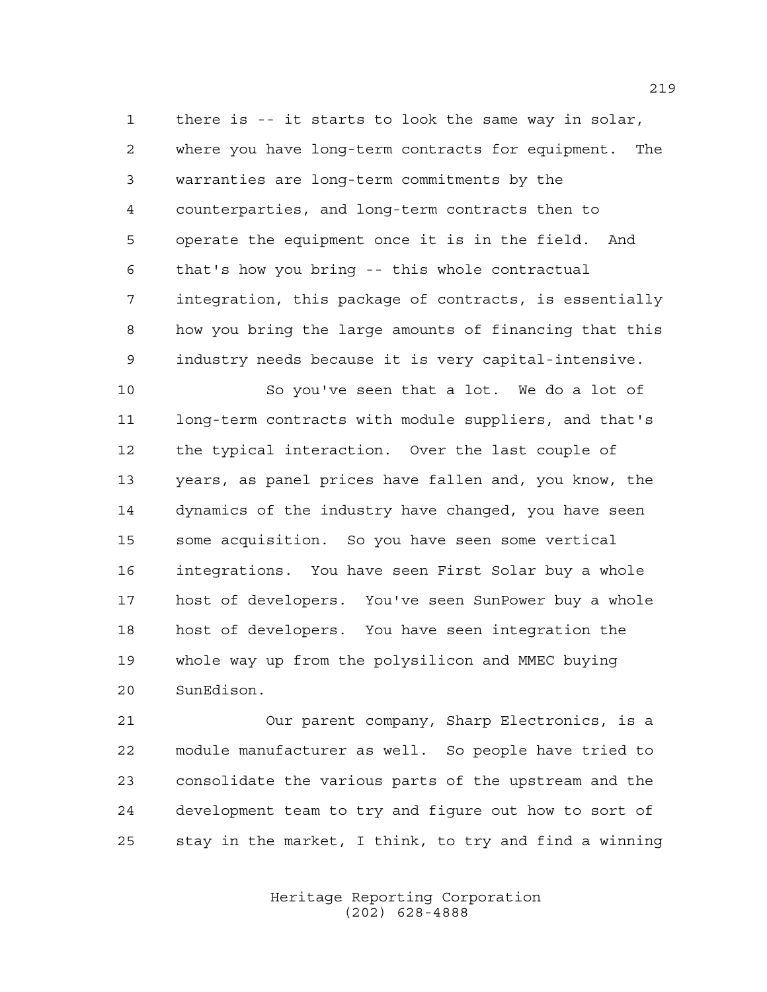there is -- it starts to look the same way in solar, where you have long-term contracts for equipment. The warranties are long-term commitments by the counterparties, and long-term contracts then to operate the equipment once it is in the field. And that's how you bring -- this whole contractual integration, this package of contracts, is essentially how you bring the large amounts of financing that this industry needs because it is very capital-intensive.

 So you've seen that a lot. We do a lot of long-term contracts with module suppliers, and that's the typical interaction. Over the last couple of years, as panel prices have fallen and, you know, the dynamics of the industry have changed, you have seen some acquisition. So you have seen some vertical integrations. You have seen First Solar buy a whole host of developers. You've seen SunPower buy a whole host of developers. You have seen integration the whole way up from the polysilicon and MMEC buying SunEdison.

 Our parent company, Sharp Electronics, is a module manufacturer as well. So people have tried to consolidate the various parts of the upstream and the development team to try and figure out how to sort of stay in the market, I think, to try and find a winning

> Heritage Reporting Corporation (202) 628-4888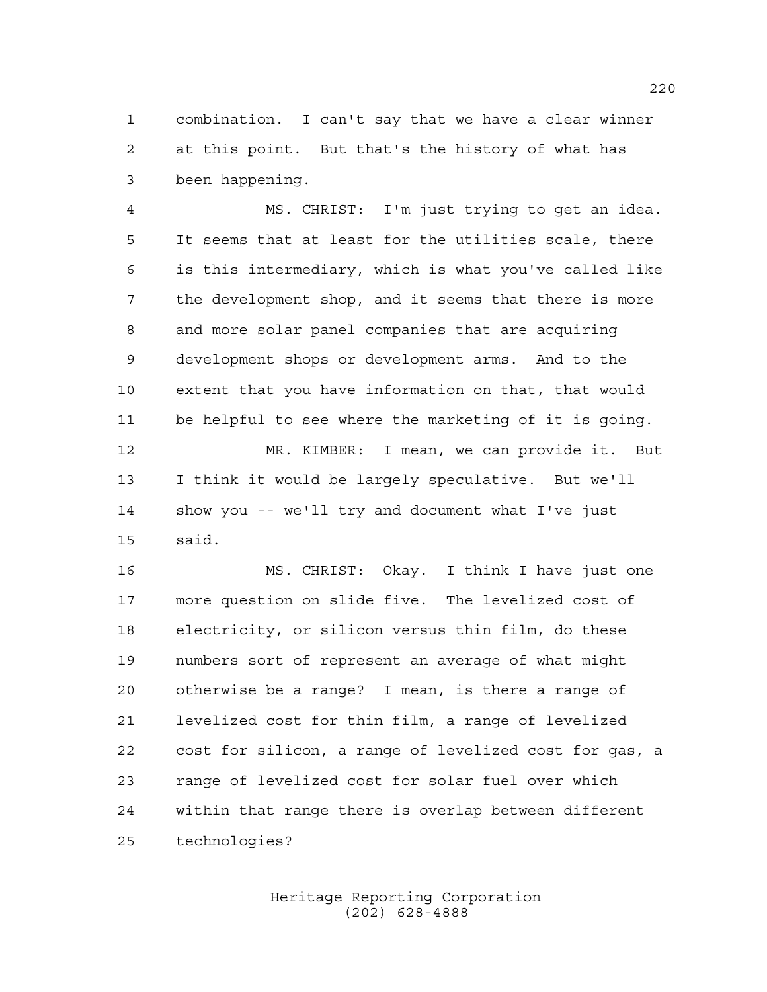combination. I can't say that we have a clear winner at this point. But that's the history of what has been happening.

 MS. CHRIST: I'm just trying to get an idea. It seems that at least for the utilities scale, there is this intermediary, which is what you've called like the development shop, and it seems that there is more and more solar panel companies that are acquiring development shops or development arms. And to the extent that you have information on that, that would be helpful to see where the marketing of it is going. MR. KIMBER: I mean, we can provide it. But I think it would be largely speculative. But we'll show you -- we'll try and document what I've just

said.

 MS. CHRIST: Okay. I think I have just one more question on slide five. The levelized cost of electricity, or silicon versus thin film, do these numbers sort of represent an average of what might otherwise be a range? I mean, is there a range of levelized cost for thin film, a range of levelized cost for silicon, a range of levelized cost for gas, a range of levelized cost for solar fuel over which within that range there is overlap between different technologies?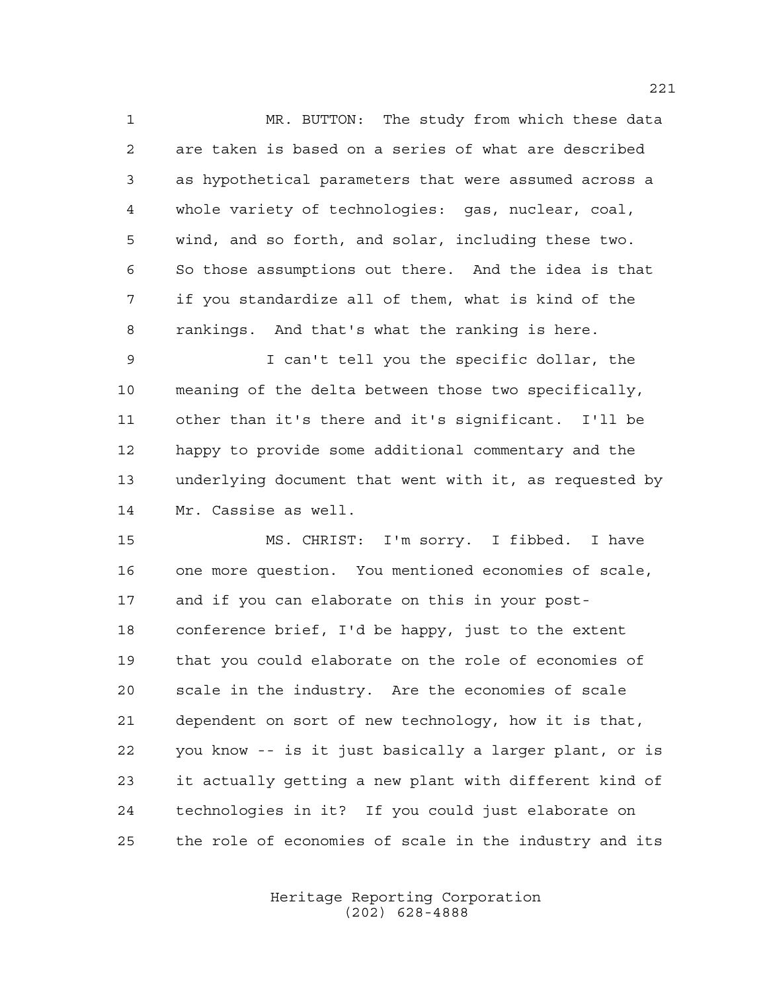MR. BUTTON: The study from which these data are taken is based on a series of what are described as hypothetical parameters that were assumed across a whole variety of technologies: gas, nuclear, coal, wind, and so forth, and solar, including these two. So those assumptions out there. And the idea is that if you standardize all of them, what is kind of the rankings. And that's what the ranking is here.

 I can't tell you the specific dollar, the meaning of the delta between those two specifically, other than it's there and it's significant. I'll be happy to provide some additional commentary and the underlying document that went with it, as requested by Mr. Cassise as well.

 MS. CHRIST: I'm sorry. I fibbed. I have one more question. You mentioned economies of scale, and if you can elaborate on this in your post- conference brief, I'd be happy, just to the extent that you could elaborate on the role of economies of scale in the industry. Are the economies of scale dependent on sort of new technology, how it is that, you know -- is it just basically a larger plant, or is it actually getting a new plant with different kind of technologies in it? If you could just elaborate on the role of economies of scale in the industry and its

> Heritage Reporting Corporation (202) 628-4888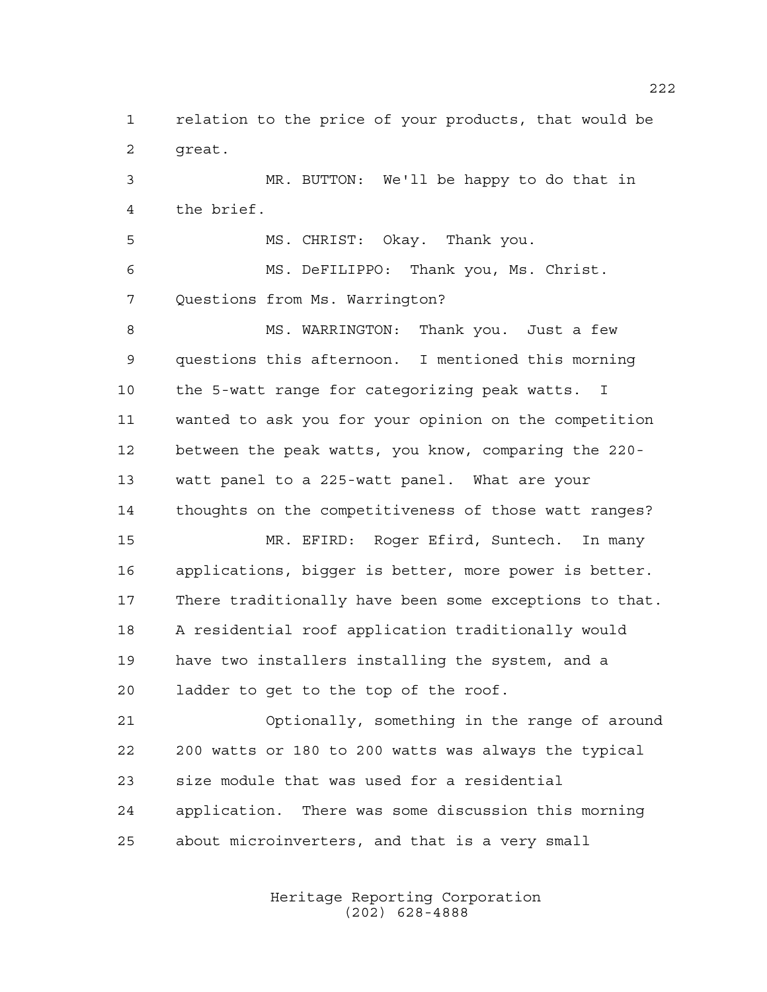relation to the price of your products, that would be great.

 MR. BUTTON: We'll be happy to do that in the brief.

 MS. CHRIST: Okay. Thank you. MS. DeFILIPPO: Thank you, Ms. Christ. Questions from Ms. Warrington?

8 MS. WARRINGTON: Thank you. Just a few questions this afternoon. I mentioned this morning the 5-watt range for categorizing peak watts. I wanted to ask you for your opinion on the competition between the peak watts, you know, comparing the 220- watt panel to a 225-watt panel. What are your thoughts on the competitiveness of those watt ranges?

 MR. EFIRD: Roger Efird, Suntech. In many applications, bigger is better, more power is better. There traditionally have been some exceptions to that. A residential roof application traditionally would have two installers installing the system, and a ladder to get to the top of the roof.

 Optionally, something in the range of around 200 watts or 180 to 200 watts was always the typical size module that was used for a residential application. There was some discussion this morning about microinverters, and that is a very small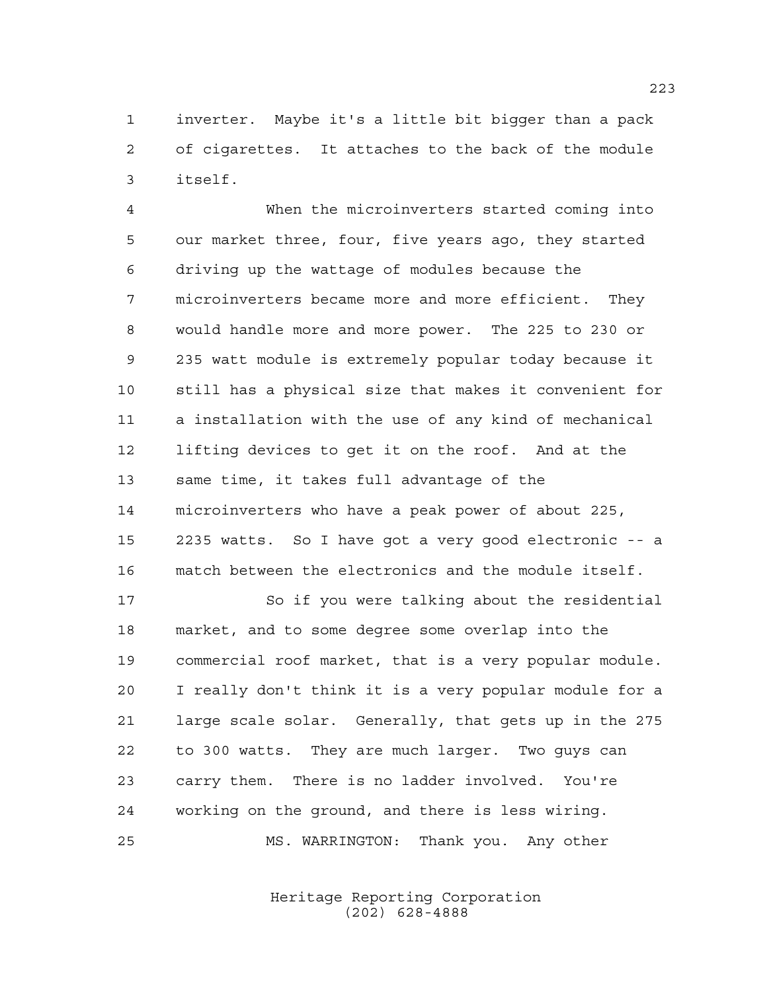inverter. Maybe it's a little bit bigger than a pack of cigarettes. It attaches to the back of the module itself.

 When the microinverters started coming into our market three, four, five years ago, they started driving up the wattage of modules because the microinverters became more and more efficient. They would handle more and more power. The 225 to 230 or 235 watt module is extremely popular today because it still has a physical size that makes it convenient for a installation with the use of any kind of mechanical lifting devices to get it on the roof. And at the same time, it takes full advantage of the microinverters who have a peak power of about 225, 2235 watts. So I have got a very good electronic -- a match between the electronics and the module itself.

 So if you were talking about the residential market, and to some degree some overlap into the commercial roof market, that is a very popular module. I really don't think it is a very popular module for a large scale solar. Generally, that gets up in the 275 to 300 watts. They are much larger. Two guys can carry them. There is no ladder involved. You're working on the ground, and there is less wiring. MS. WARRINGTON: Thank you. Any other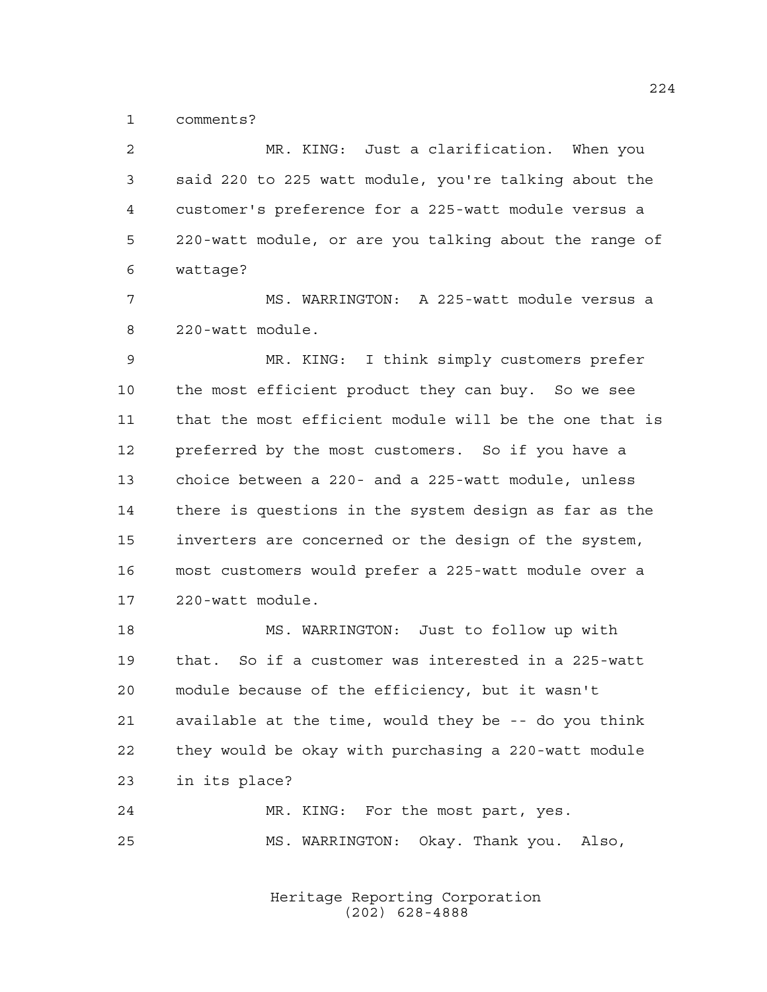comments?

 MR. KING: Just a clarification. When you said 220 to 225 watt module, you're talking about the customer's preference for a 225-watt module versus a 220-watt module, or are you talking about the range of wattage?

 MS. WARRINGTON: A 225-watt module versus a 220-watt module.

 MR. KING: I think simply customers prefer the most efficient product they can buy. So we see that the most efficient module will be the one that is preferred by the most customers. So if you have a choice between a 220- and a 225-watt module, unless there is questions in the system design as far as the inverters are concerned or the design of the system, most customers would prefer a 225-watt module over a 220-watt module.

 MS. WARRINGTON: Just to follow up with that. So if a customer was interested in a 225-watt module because of the efficiency, but it wasn't available at the time, would they be -- do you think they would be okay with purchasing a 220-watt module in its place?

 MR. KING: For the most part, yes. MS. WARRINGTON: Okay. Thank you. Also,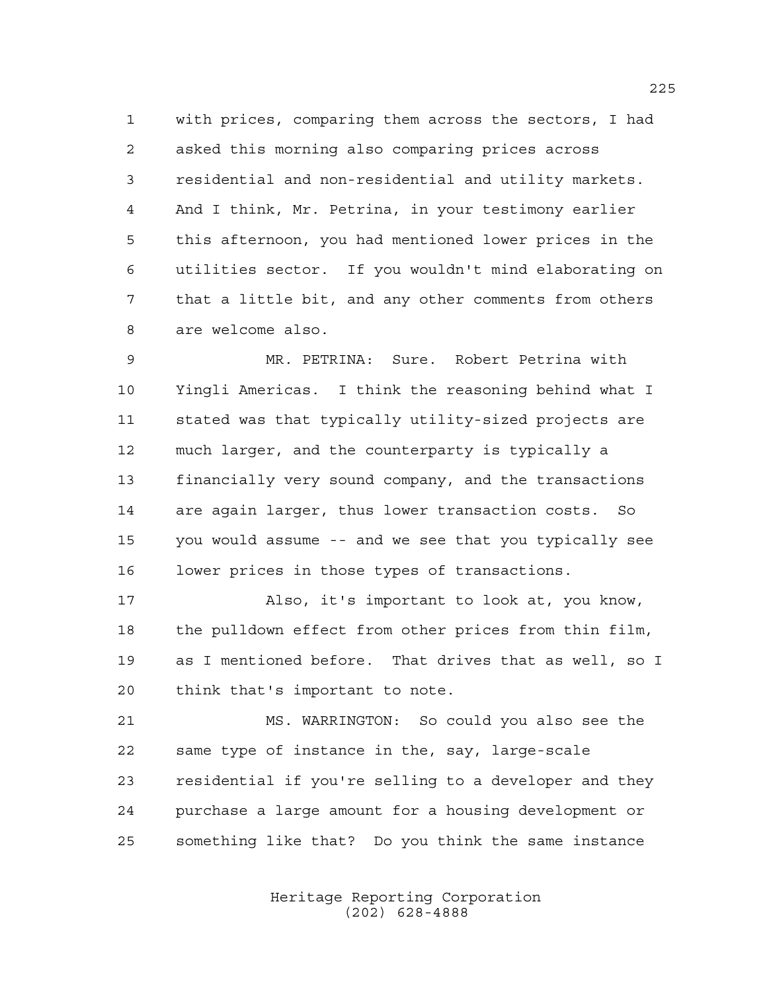with prices, comparing them across the sectors, I had asked this morning also comparing prices across residential and non-residential and utility markets. And I think, Mr. Petrina, in your testimony earlier this afternoon, you had mentioned lower prices in the utilities sector. If you wouldn't mind elaborating on that a little bit, and any other comments from others are welcome also.

 MR. PETRINA: Sure. Robert Petrina with Yingli Americas. I think the reasoning behind what I stated was that typically utility-sized projects are much larger, and the counterparty is typically a financially very sound company, and the transactions are again larger, thus lower transaction costs. So you would assume -- and we see that you typically see lower prices in those types of transactions.

 Also, it's important to look at, you know, the pulldown effect from other prices from thin film, as I mentioned before. That drives that as well, so I think that's important to note.

 MS. WARRINGTON: So could you also see the same type of instance in the, say, large-scale residential if you're selling to a developer and they purchase a large amount for a housing development or something like that? Do you think the same instance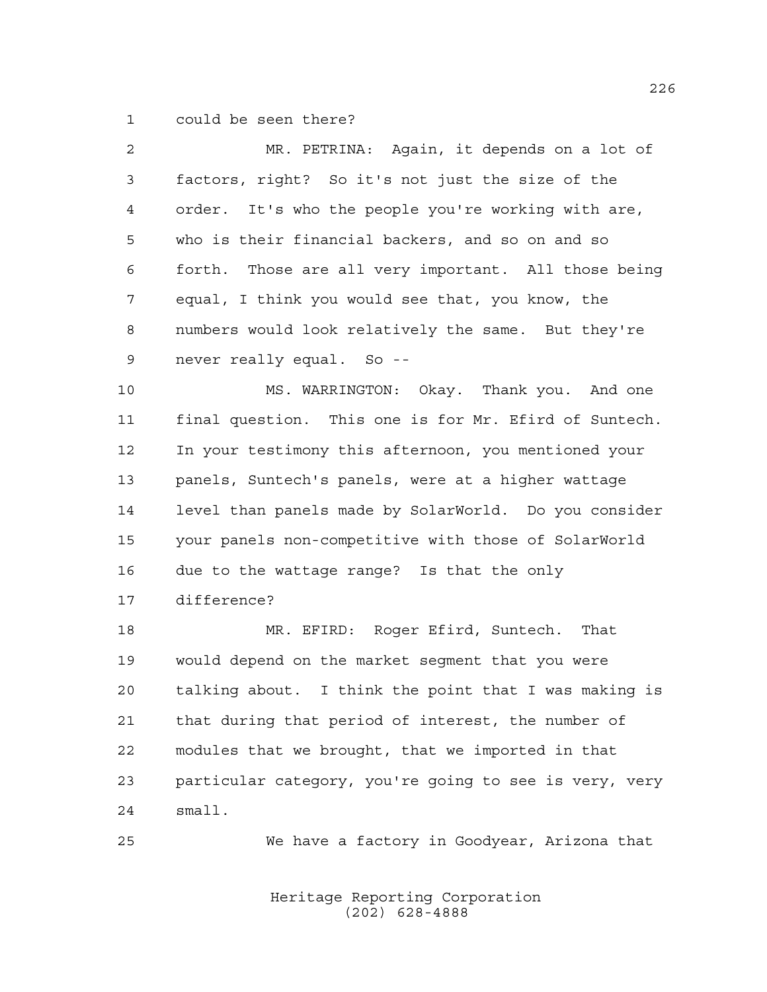could be seen there?

| $\overline{a}$ | MR. PETRINA: Again, it depends on a lot of              |
|----------------|---------------------------------------------------------|
| 3              | factors, right? So it's not just the size of the        |
| 4              | order. It's who the people you're working with are,     |
| 5              | who is their financial backers, and so on and so        |
| 6              | Those are all very important. All those being<br>forth. |
| 7              | equal, I think you would see that, you know, the        |
| 8              | numbers would look relatively the same. But they're     |
| 9              | never really equal. So --                               |
| 10             | MS. WARRINGTON: Okay. Thank you. And one                |
| 11             | final question. This one is for Mr. Efird of Suntech.   |
| 12             | In your testimony this afternoon, you mentioned your    |
| 13             | panels, Suntech's panels, were at a higher wattage      |
| 14             | level than panels made by SolarWorld. Do you consider   |
| 15             | your panels non-competitive with those of SolarWorld    |
| 16             | due to the wattage range? Is that the only              |
| 17             | difference?                                             |
| 18             | MR. EFIRD: Roger Efird, Suntech. That                   |
| 19             | would depend on the market segment that you were        |
| 20             | talking about. I think the point that I was making is   |
| 21             | that during that period of interest, the number of      |
| 22             | modules that we brought, that we imported in that       |
| 23             | particular category, you're going to see is very, very  |
| 24             | small.                                                  |
| 25             | We have a factory in Goodyear, Arizona that             |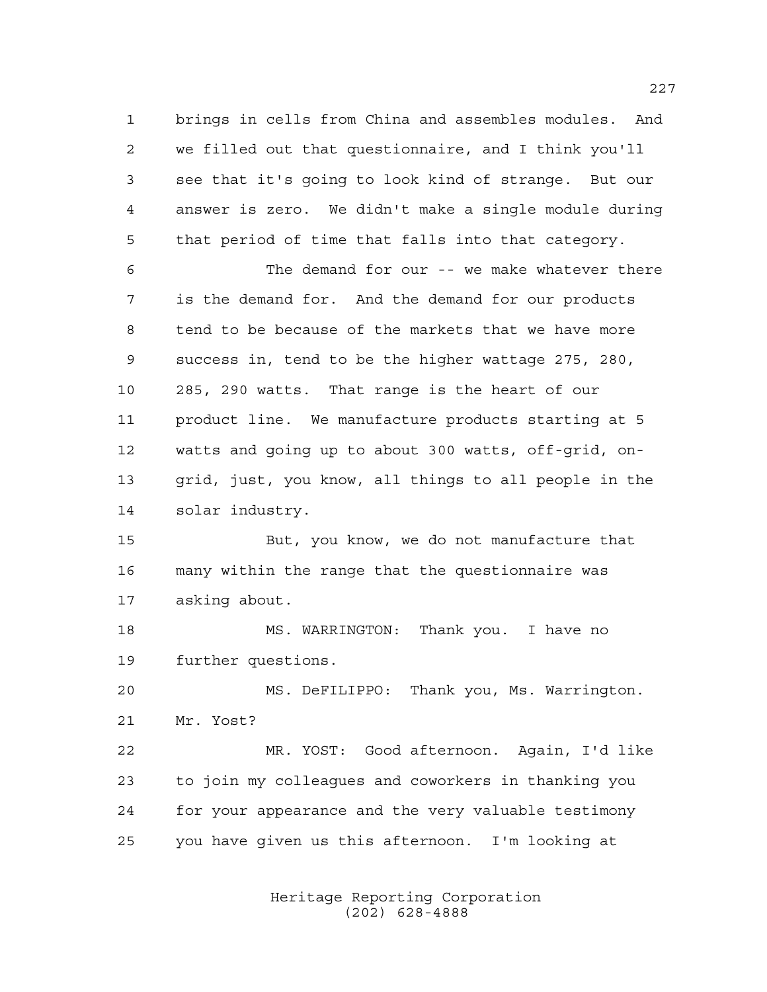brings in cells from China and assembles modules. And we filled out that questionnaire, and I think you'll see that it's going to look kind of strange. But our answer is zero. We didn't make a single module during that period of time that falls into that category.

 The demand for our -- we make whatever there is the demand for. And the demand for our products tend to be because of the markets that we have more success in, tend to be the higher wattage 275, 280, 285, 290 watts. That range is the heart of our product line. We manufacture products starting at 5 watts and going up to about 300 watts, off-grid, on- grid, just, you know, all things to all people in the solar industry.

 But, you know, we do not manufacture that many within the range that the questionnaire was asking about.

18 MS. WARRINGTON: Thank you. I have no further questions.

 MS. DeFILIPPO: Thank you, Ms. Warrington. Mr. Yost?

 MR. YOST: Good afternoon. Again, I'd like to join my colleagues and coworkers in thanking you for your appearance and the very valuable testimony you have given us this afternoon. I'm looking at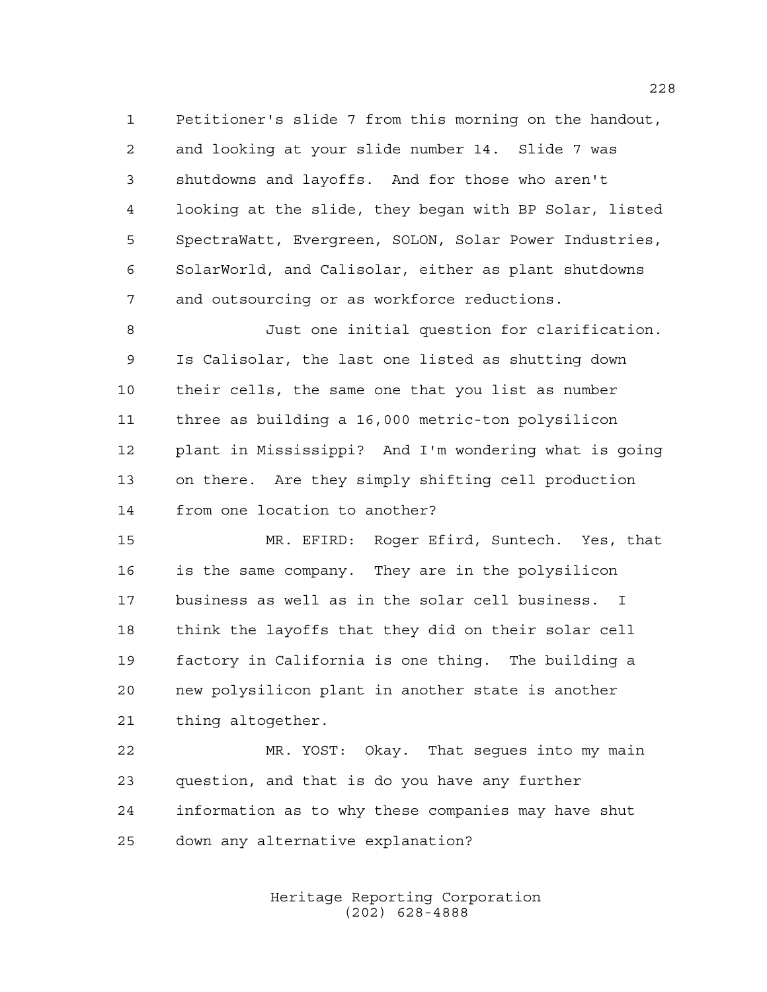Petitioner's slide 7 from this morning on the handout, and looking at your slide number 14. Slide 7 was shutdowns and layoffs. And for those who aren't looking at the slide, they began with BP Solar, listed SpectraWatt, Evergreen, SOLON, Solar Power Industries, SolarWorld, and Calisolar, either as plant shutdowns and outsourcing or as workforce reductions.

 Just one initial question for clarification. Is Calisolar, the last one listed as shutting down their cells, the same one that you list as number three as building a 16,000 metric-ton polysilicon plant in Mississippi? And I'm wondering what is going on there. Are they simply shifting cell production from one location to another?

 MR. EFIRD: Roger Efird, Suntech. Yes, that is the same company. They are in the polysilicon business as well as in the solar cell business. I think the layoffs that they did on their solar cell factory in California is one thing. The building a new polysilicon plant in another state is another thing altogether.

 MR. YOST: Okay. That segues into my main question, and that is do you have any further information as to why these companies may have shut down any alternative explanation?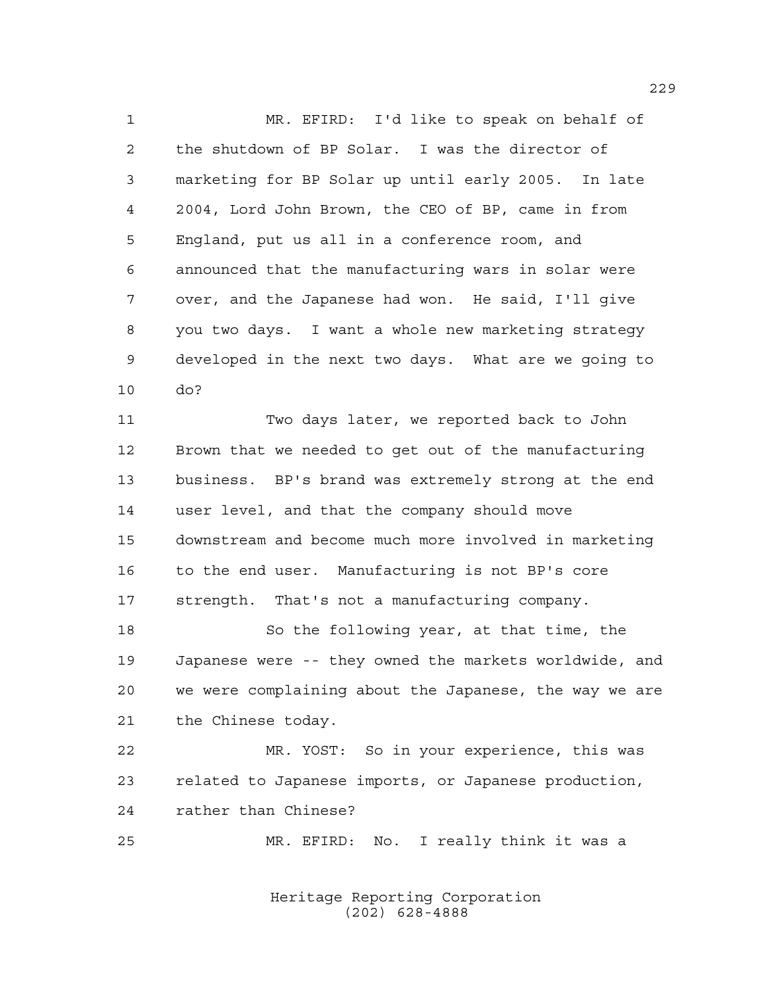MR. EFIRD: I'd like to speak on behalf of the shutdown of BP Solar. I was the director of marketing for BP Solar up until early 2005. In late 2004, Lord John Brown, the CEO of BP, came in from England, put us all in a conference room, and announced that the manufacturing wars in solar were over, and the Japanese had won. He said, I'll give you two days. I want a whole new marketing strategy developed in the next two days. What are we going to do?

 Two days later, we reported back to John Brown that we needed to get out of the manufacturing business. BP's brand was extremely strong at the end user level, and that the company should move downstream and become much more involved in marketing to the end user. Manufacturing is not BP's core strength. That's not a manufacturing company.

 So the following year, at that time, the Japanese were -- they owned the markets worldwide, and we were complaining about the Japanese, the way we are the Chinese today.

 MR. YOST: So in your experience, this was related to Japanese imports, or Japanese production, rather than Chinese?

MR. EFIRD: No. I really think it was a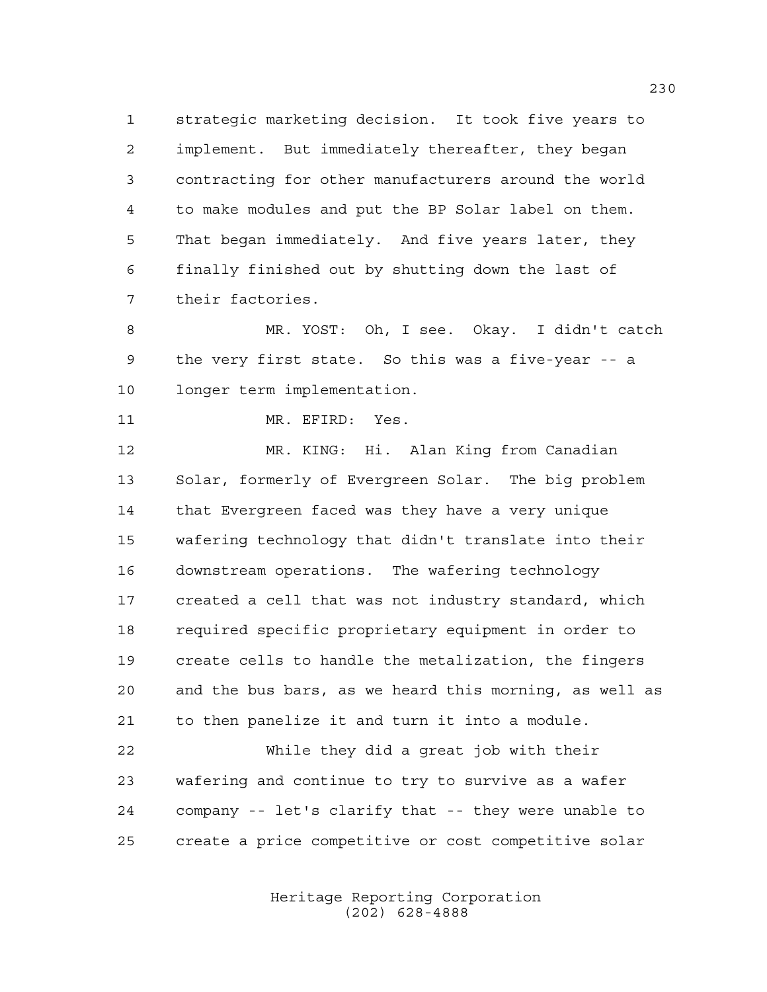strategic marketing decision. It took five years to implement. But immediately thereafter, they began contracting for other manufacturers around the world to make modules and put the BP Solar label on them. That began immediately. And five years later, they finally finished out by shutting down the last of their factories.

 MR. YOST: Oh, I see. Okay. I didn't catch the very first state. So this was a five-year -- a longer term implementation.

MR. EFIRD: Yes.

 MR. KING: Hi. Alan King from Canadian Solar, formerly of Evergreen Solar. The big problem that Evergreen faced was they have a very unique wafering technology that didn't translate into their downstream operations. The wafering technology created a cell that was not industry standard, which required specific proprietary equipment in order to create cells to handle the metalization, the fingers and the bus bars, as we heard this morning, as well as to then panelize it and turn it into a module.

 While they did a great job with their wafering and continue to try to survive as a wafer company -- let's clarify that -- they were unable to create a price competitive or cost competitive solar

> Heritage Reporting Corporation (202) 628-4888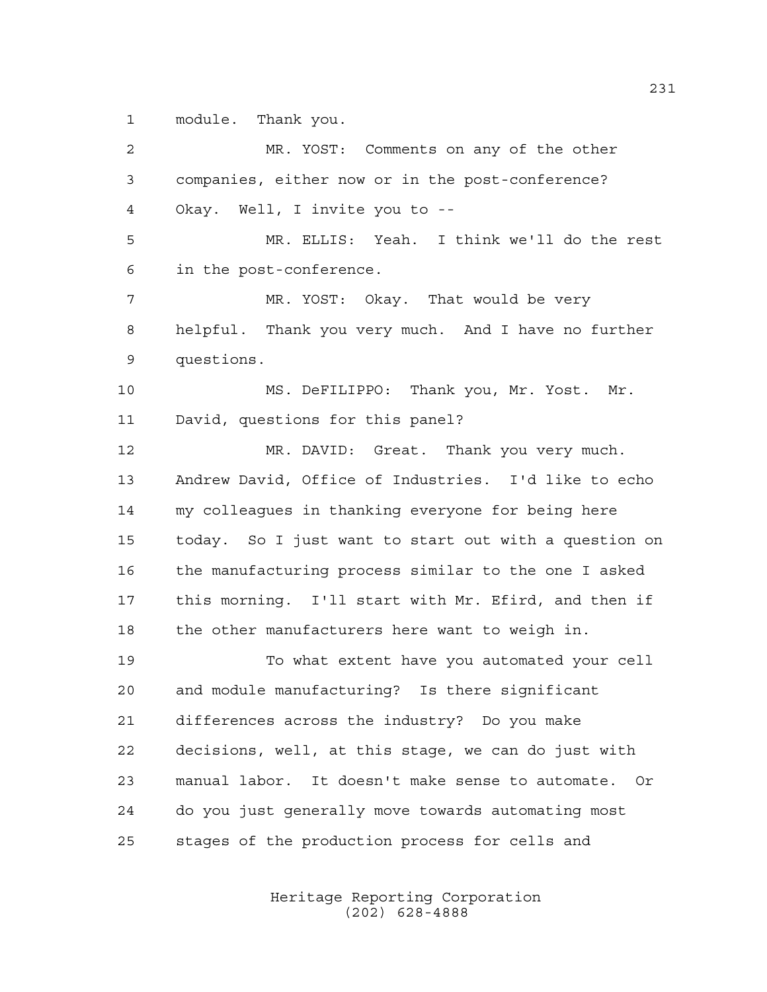module. Thank you.

 MR. YOST: Comments on any of the other companies, either now or in the post-conference? Okay. Well, I invite you to -- MR. ELLIS: Yeah. I think we'll do the rest in the post-conference. MR. YOST: Okay. That would be very helpful. Thank you very much. And I have no further questions. MS. DeFILIPPO: Thank you, Mr. Yost. Mr. David, questions for this panel? MR. DAVID: Great. Thank you very much. Andrew David, Office of Industries. I'd like to echo my colleagues in thanking everyone for being here today. So I just want to start out with a question on the manufacturing process similar to the one I asked this morning. I'll start with Mr. Efird, and then if the other manufacturers here want to weigh in. To what extent have you automated your cell and module manufacturing? Is there significant differences across the industry? Do you make decisions, well, at this stage, we can do just with manual labor. It doesn't make sense to automate. Or do you just generally move towards automating most stages of the production process for cells and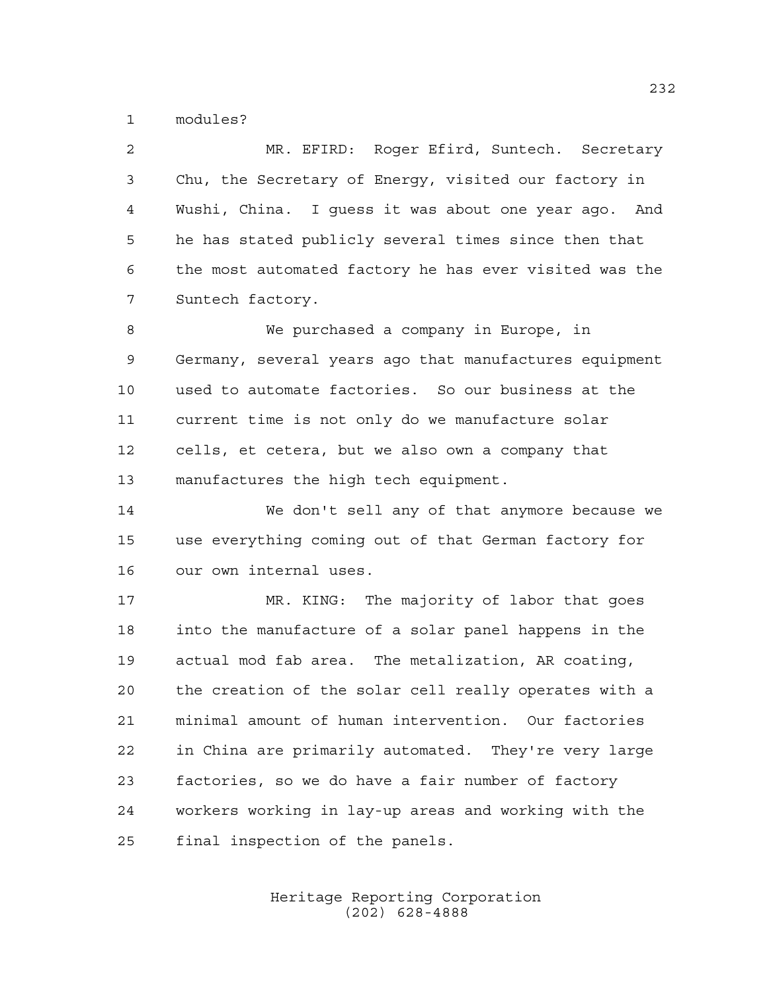modules?

 MR. EFIRD: Roger Efird, Suntech. Secretary Chu, the Secretary of Energy, visited our factory in Wushi, China. I guess it was about one year ago. And he has stated publicly several times since then that the most automated factory he has ever visited was the Suntech factory.

 We purchased a company in Europe, in Germany, several years ago that manufactures equipment used to automate factories. So our business at the current time is not only do we manufacture solar cells, et cetera, but we also own a company that manufactures the high tech equipment.

 We don't sell any of that anymore because we use everything coming out of that German factory for our own internal uses.

 MR. KING: The majority of labor that goes into the manufacture of a solar panel happens in the actual mod fab area. The metalization, AR coating, the creation of the solar cell really operates with a minimal amount of human intervention. Our factories in China are primarily automated. They're very large factories, so we do have a fair number of factory workers working in lay-up areas and working with the final inspection of the panels.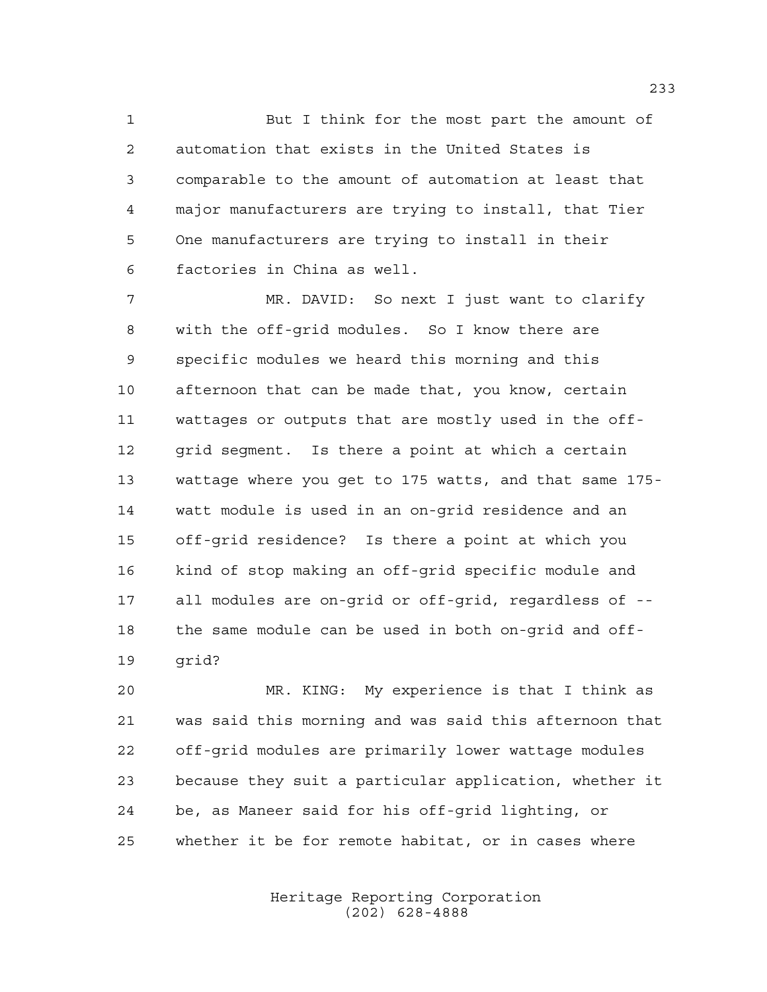But I think for the most part the amount of automation that exists in the United States is comparable to the amount of automation at least that major manufacturers are trying to install, that Tier One manufacturers are trying to install in their factories in China as well.

 MR. DAVID: So next I just want to clarify with the off-grid modules. So I know there are specific modules we heard this morning and this afternoon that can be made that, you know, certain wattages or outputs that are mostly used in the off- grid segment. Is there a point at which a certain wattage where you get to 175 watts, and that same 175- watt module is used in an on-grid residence and an off-grid residence? Is there a point at which you kind of stop making an off-grid specific module and all modules are on-grid or off-grid, regardless of -- the same module can be used in both on-grid and off-grid?

 MR. KING: My experience is that I think as was said this morning and was said this afternoon that off-grid modules are primarily lower wattage modules because they suit a particular application, whether it be, as Maneer said for his off-grid lighting, or whether it be for remote habitat, or in cases where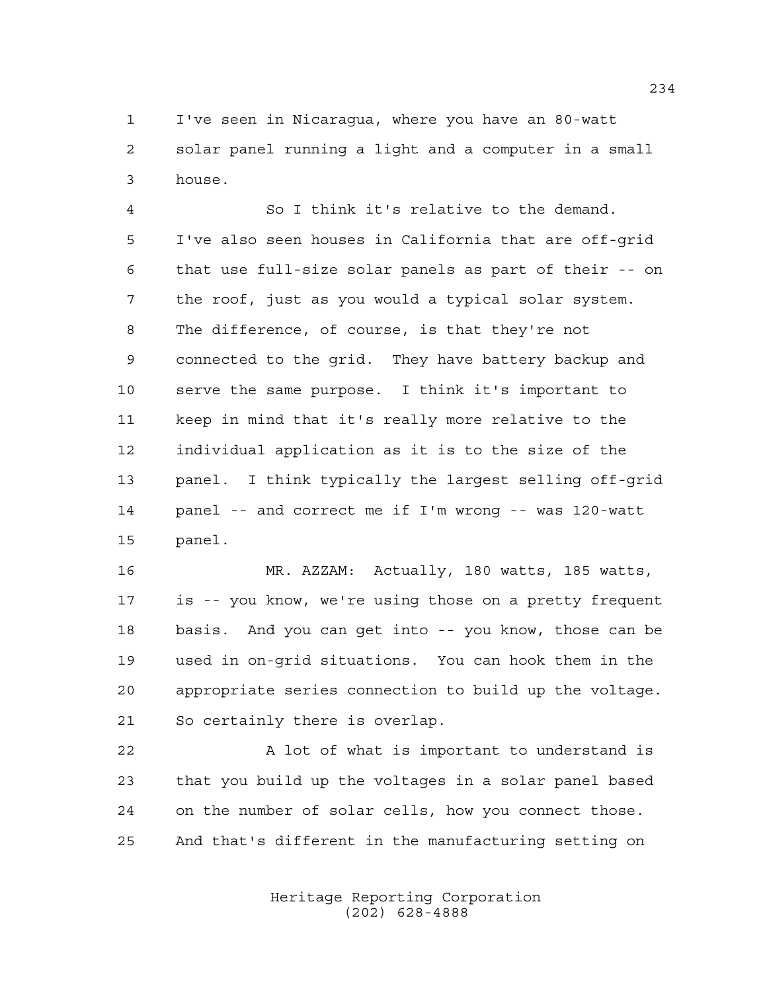I've seen in Nicaragua, where you have an 80-watt solar panel running a light and a computer in a small house.

 So I think it's relative to the demand. I've also seen houses in California that are off-grid that use full-size solar panels as part of their -- on the roof, just as you would a typical solar system. The difference, of course, is that they're not connected to the grid. They have battery backup and serve the same purpose. I think it's important to keep in mind that it's really more relative to the individual application as it is to the size of the panel. I think typically the largest selling off-grid panel -- and correct me if I'm wrong -- was 120-watt panel.

 MR. AZZAM: Actually, 180 watts, 185 watts, is -- you know, we're using those on a pretty frequent basis. And you can get into -- you know, those can be used in on-grid situations. You can hook them in the appropriate series connection to build up the voltage. So certainly there is overlap.

22 A lot of what is important to understand is that you build up the voltages in a solar panel based on the number of solar cells, how you connect those. And that's different in the manufacturing setting on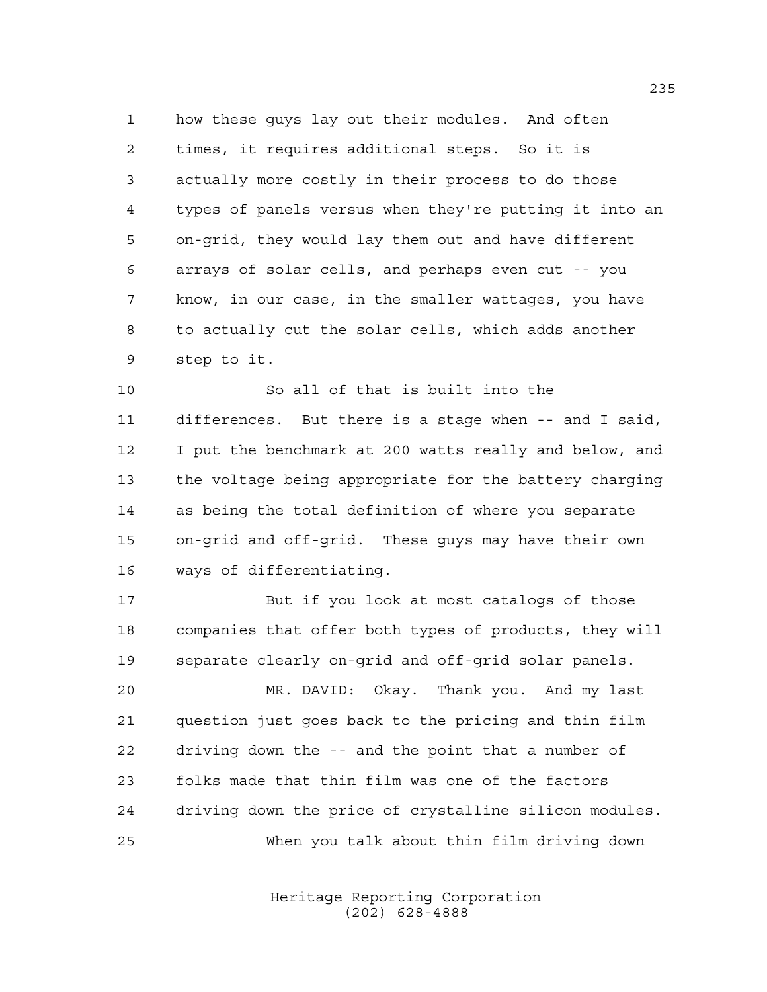how these guys lay out their modules. And often times, it requires additional steps. So it is actually more costly in their process to do those types of panels versus when they're putting it into an on-grid, they would lay them out and have different arrays of solar cells, and perhaps even cut -- you know, in our case, in the smaller wattages, you have to actually cut the solar cells, which adds another step to it.

 So all of that is built into the differences. But there is a stage when -- and I said, I put the benchmark at 200 watts really and below, and the voltage being appropriate for the battery charging as being the total definition of where you separate on-grid and off-grid. These guys may have their own ways of differentiating.

 But if you look at most catalogs of those companies that offer both types of products, they will separate clearly on-grid and off-grid solar panels.

 MR. DAVID: Okay. Thank you. And my last question just goes back to the pricing and thin film driving down the -- and the point that a number of folks made that thin film was one of the factors driving down the price of crystalline silicon modules. When you talk about thin film driving down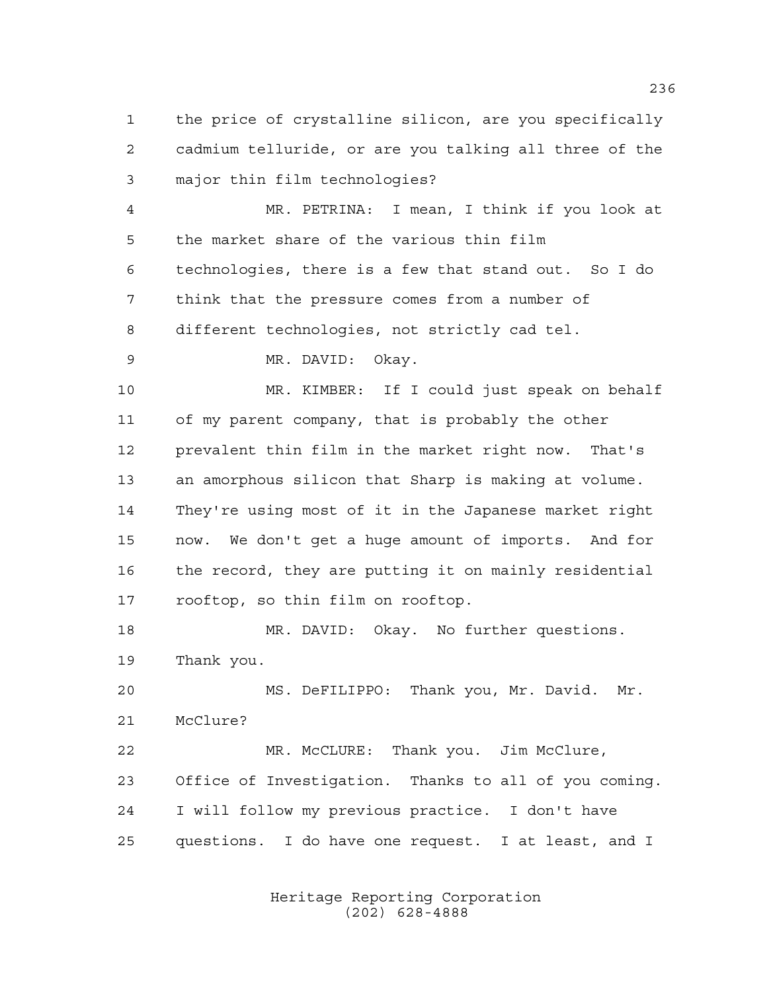the price of crystalline silicon, are you specifically cadmium telluride, or are you talking all three of the major thin film technologies?

 MR. PETRINA: I mean, I think if you look at the market share of the various thin film technologies, there is a few that stand out. So I do think that the pressure comes from a number of different technologies, not strictly cad tel.

MR. DAVID: Okay.

 MR. KIMBER: If I could just speak on behalf of my parent company, that is probably the other prevalent thin film in the market right now. That's an amorphous silicon that Sharp is making at volume. They're using most of it in the Japanese market right now. We don't get a huge amount of imports. And for the record, they are putting it on mainly residential rooftop, so thin film on rooftop.

 MR. DAVID: Okay. No further questions. Thank you.

 MS. DeFILIPPO: Thank you, Mr. David. Mr. McClure?

 MR. McCLURE: Thank you. Jim McClure, Office of Investigation. Thanks to all of you coming. I will follow my previous practice. I don't have questions. I do have one request. I at least, and I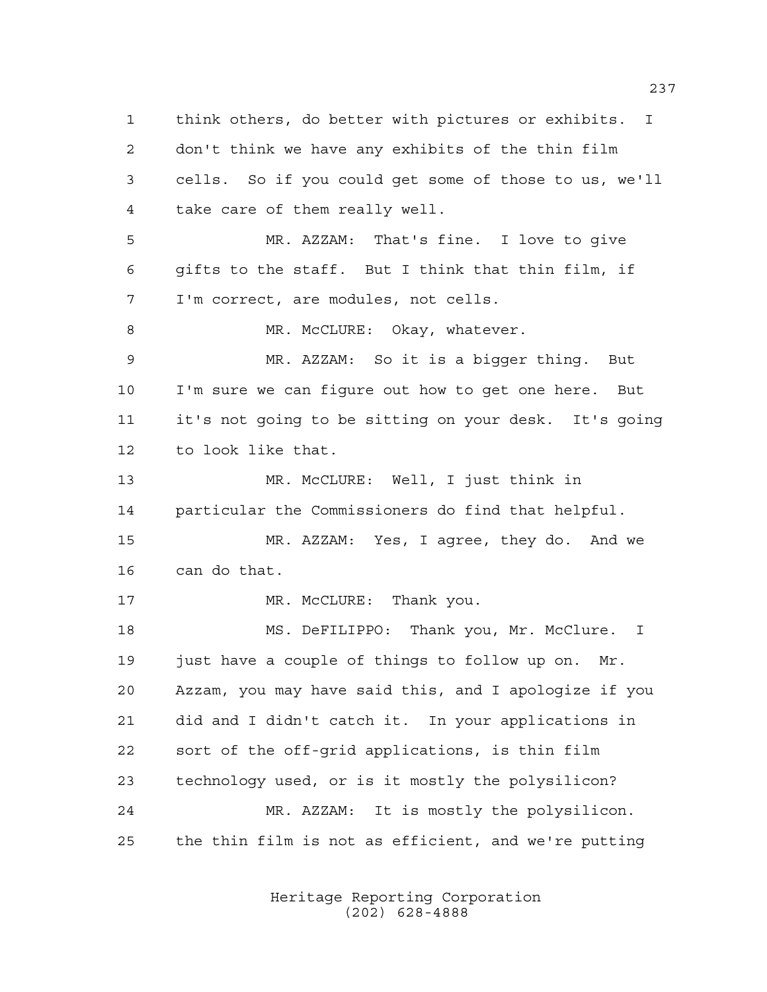think others, do better with pictures or exhibits. I don't think we have any exhibits of the thin film cells. So if you could get some of those to us, we'll take care of them really well. MR. AZZAM: That's fine. I love to give gifts to the staff. But I think that thin film, if I'm correct, are modules, not cells. 8 MR. McCLURE: Okay, whatever. MR. AZZAM: So it is a bigger thing. But I'm sure we can figure out how to get one here. But it's not going to be sitting on your desk. It's going to look like that. MR. McCLURE: Well, I just think in particular the Commissioners do find that helpful. MR. AZZAM: Yes, I agree, they do. And we can do that. 17 MR. McCLURE: Thank you. 18 MS. DeFILIPPO: Thank you, Mr. McClure. I 19 just have a couple of things to follow up on. Mr. Azzam, you may have said this, and I apologize if you did and I didn't catch it. In your applications in sort of the off-grid applications, is thin film technology used, or is it mostly the polysilicon? MR. AZZAM: It is mostly the polysilicon. the thin film is not as efficient, and we're putting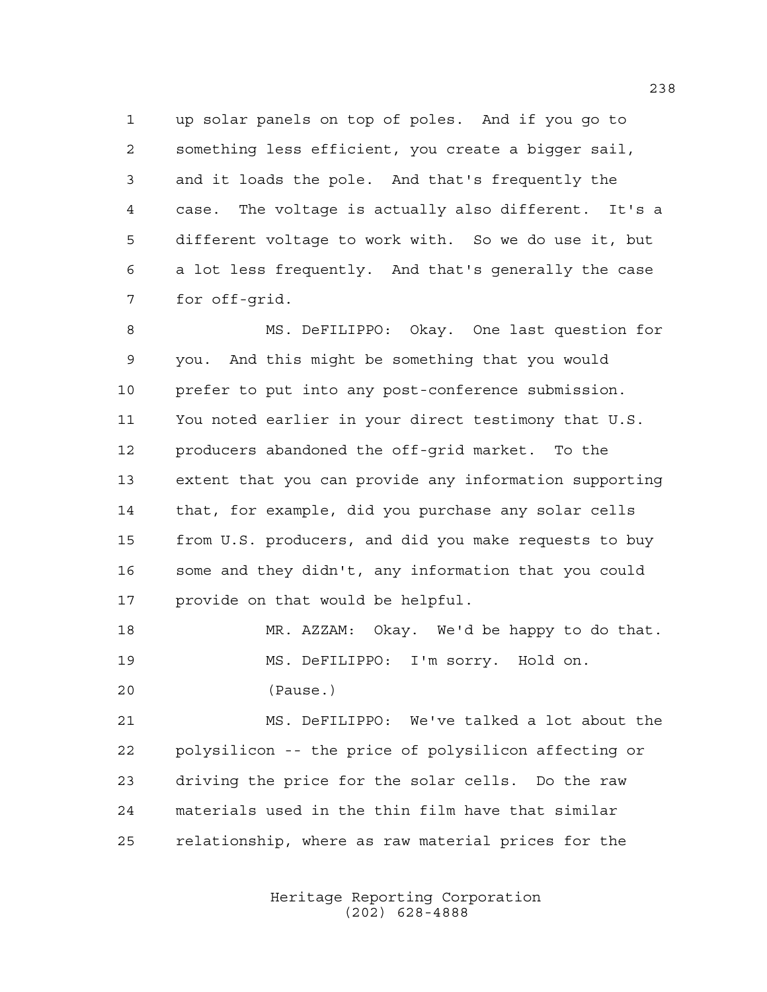up solar panels on top of poles. And if you go to something less efficient, you create a bigger sail, and it loads the pole. And that's frequently the case. The voltage is actually also different. It's a different voltage to work with. So we do use it, but a lot less frequently. And that's generally the case for off-grid.

 MS. DeFILIPPO: Okay. One last question for you. And this might be something that you would prefer to put into any post-conference submission. You noted earlier in your direct testimony that U.S. producers abandoned the off-grid market. To the extent that you can provide any information supporting that, for example, did you purchase any solar cells from U.S. producers, and did you make requests to buy some and they didn't, any information that you could provide on that would be helpful.

 MR. AZZAM: Okay. We'd be happy to do that. MS. DeFILIPPO: I'm sorry. Hold on. (Pause.)

 MS. DeFILIPPO: We've talked a lot about the polysilicon -- the price of polysilicon affecting or driving the price for the solar cells. Do the raw materials used in the thin film have that similar relationship, where as raw material prices for the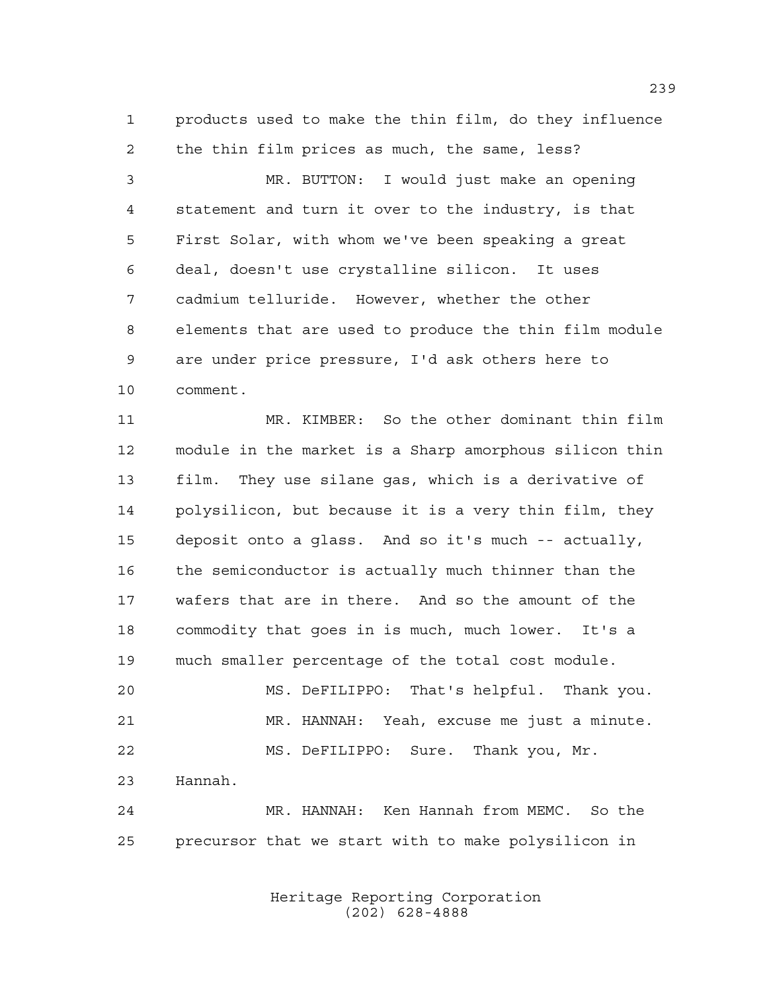products used to make the thin film, do they influence the thin film prices as much, the same, less?

 MR. BUTTON: I would just make an opening statement and turn it over to the industry, is that First Solar, with whom we've been speaking a great deal, doesn't use crystalline silicon. It uses cadmium telluride. However, whether the other elements that are used to produce the thin film module are under price pressure, I'd ask others here to comment.

 MR. KIMBER: So the other dominant thin film module in the market is a Sharp amorphous silicon thin film. They use silane gas, which is a derivative of polysilicon, but because it is a very thin film, they deposit onto a glass. And so it's much -- actually, 16 the semiconductor is actually much thinner than the wafers that are in there. And so the amount of the commodity that goes in is much, much lower. It's a much smaller percentage of the total cost module. MS. DeFILIPPO: That's helpful. Thank you.

 MR. HANNAH: Yeah, excuse me just a minute. MS. DeFILIPPO: Sure. Thank you, Mr. Hannah.

 MR. HANNAH: Ken Hannah from MEMC. So the precursor that we start with to make polysilicon in

> Heritage Reporting Corporation (202) 628-4888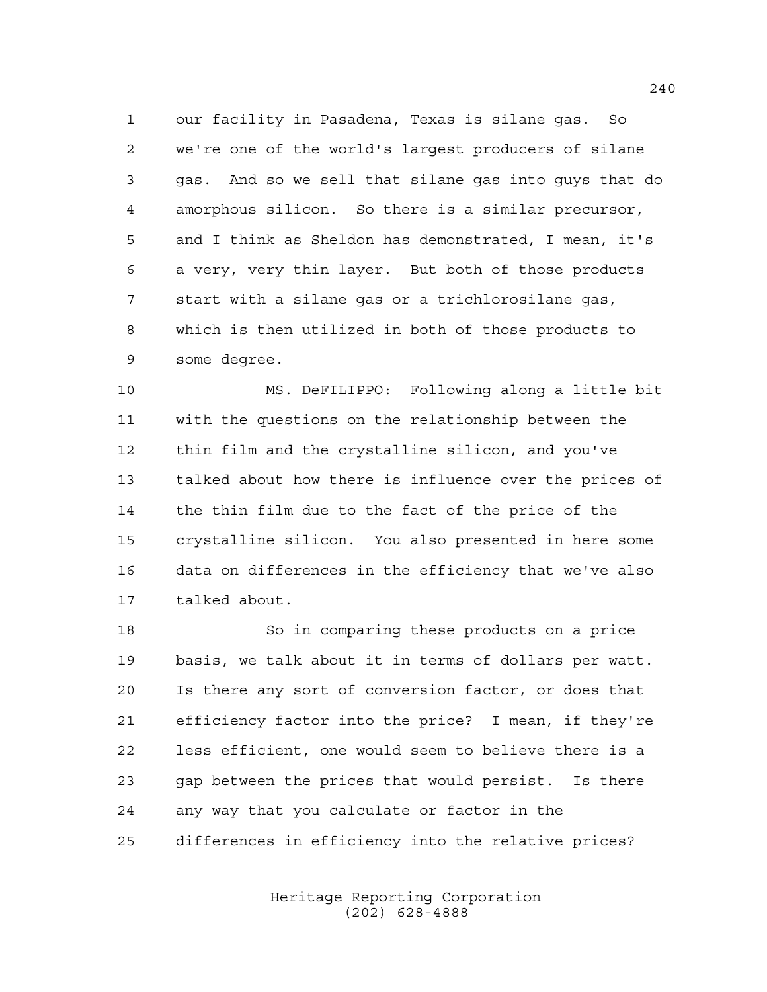our facility in Pasadena, Texas is silane gas. So we're one of the world's largest producers of silane gas. And so we sell that silane gas into guys that do amorphous silicon. So there is a similar precursor, and I think as Sheldon has demonstrated, I mean, it's a very, very thin layer. But both of those products start with a silane gas or a trichlorosilane gas, which is then utilized in both of those products to some degree.

 MS. DeFILIPPO: Following along a little bit with the questions on the relationship between the thin film and the crystalline silicon, and you've talked about how there is influence over the prices of the thin film due to the fact of the price of the crystalline silicon. You also presented in here some data on differences in the efficiency that we've also talked about.

 So in comparing these products on a price basis, we talk about it in terms of dollars per watt. Is there any sort of conversion factor, or does that efficiency factor into the price? I mean, if they're less efficient, one would seem to believe there is a gap between the prices that would persist. Is there any way that you calculate or factor in the differences in efficiency into the relative prices?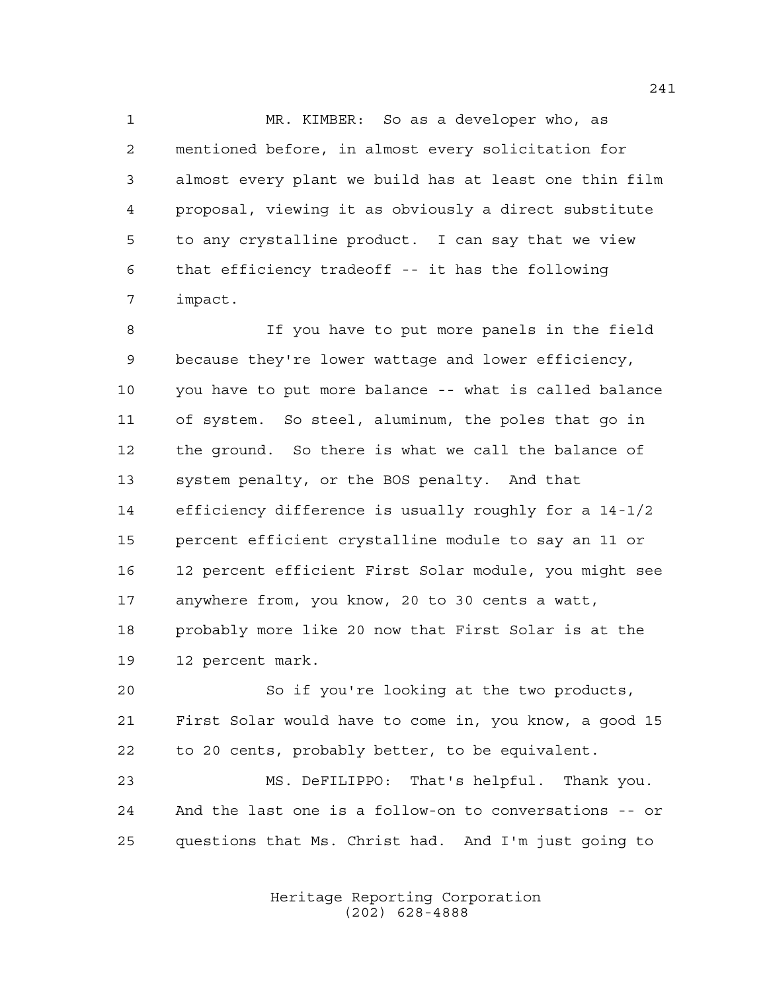MR. KIMBER: So as a developer who, as mentioned before, in almost every solicitation for almost every plant we build has at least one thin film proposal, viewing it as obviously a direct substitute to any crystalline product. I can say that we view that efficiency tradeoff -- it has the following impact.

 If you have to put more panels in the field because they're lower wattage and lower efficiency, you have to put more balance -- what is called balance of system. So steel, aluminum, the poles that go in the ground. So there is what we call the balance of system penalty, or the BOS penalty. And that efficiency difference is usually roughly for a 14-1/2 percent efficient crystalline module to say an 11 or 12 percent efficient First Solar module, you might see anywhere from, you know, 20 to 30 cents a watt, probably more like 20 now that First Solar is at the 12 percent mark.

 So if you're looking at the two products, First Solar would have to come in, you know, a good 15 to 20 cents, probably better, to be equivalent.

 MS. DeFILIPPO: That's helpful. Thank you. And the last one is a follow-on to conversations -- or questions that Ms. Christ had. And I'm just going to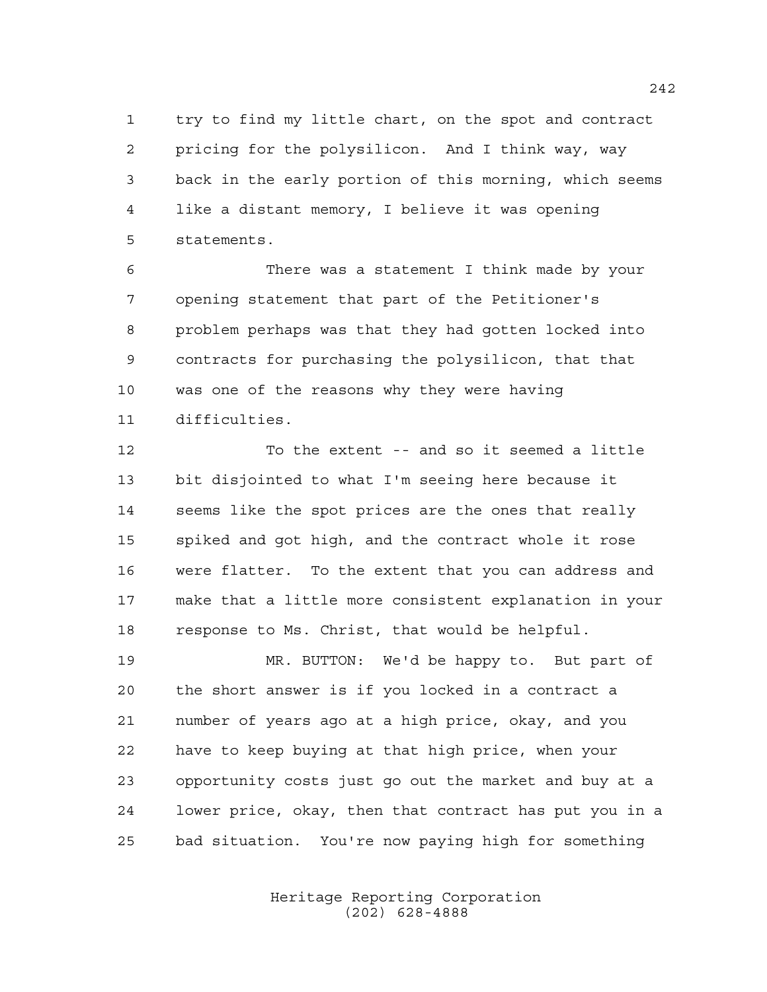try to find my little chart, on the spot and contract pricing for the polysilicon. And I think way, way back in the early portion of this morning, which seems like a distant memory, I believe it was opening statements.

 There was a statement I think made by your opening statement that part of the Petitioner's problem perhaps was that they had gotten locked into contracts for purchasing the polysilicon, that that was one of the reasons why they were having difficulties.

 To the extent -- and so it seemed a little bit disjointed to what I'm seeing here because it seems like the spot prices are the ones that really spiked and got high, and the contract whole it rose were flatter. To the extent that you can address and make that a little more consistent explanation in your response to Ms. Christ, that would be helpful.

 MR. BUTTON: We'd be happy to. But part of the short answer is if you locked in a contract a number of years ago at a high price, okay, and you have to keep buying at that high price, when your opportunity costs just go out the market and buy at a lower price, okay, then that contract has put you in a bad situation. You're now paying high for something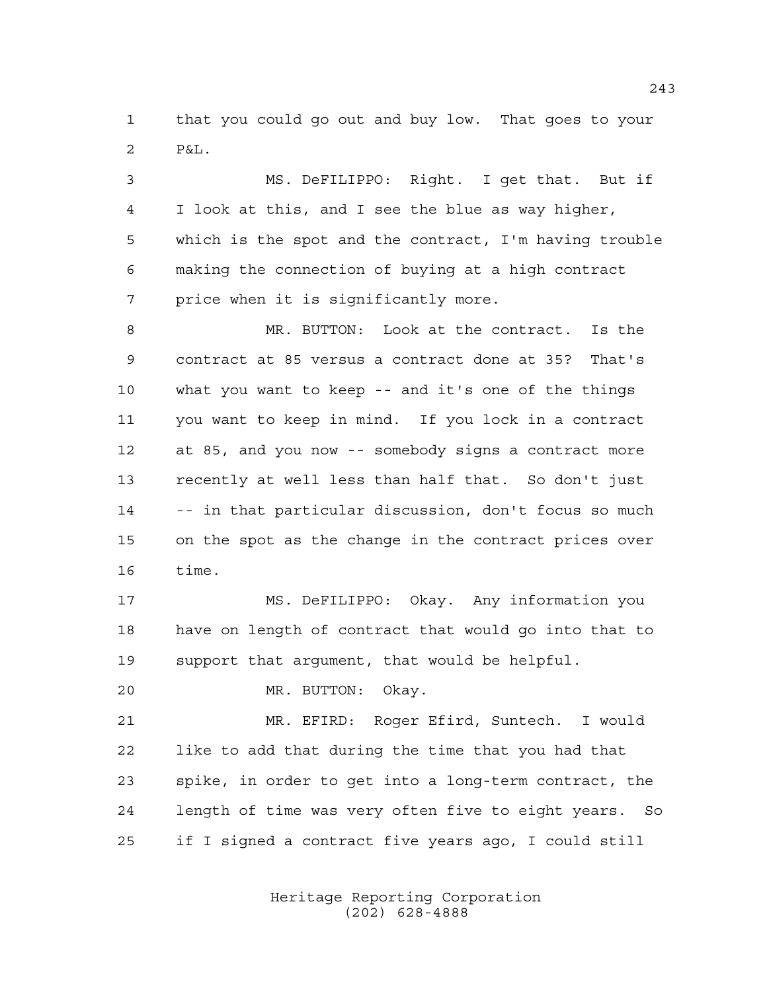that you could go out and buy low. That goes to your  $2 P_{\delta}I_{\delta}$ 

 MS. DeFILIPPO: Right. I get that. But if I look at this, and I see the blue as way higher, which is the spot and the contract, I'm having trouble making the connection of buying at a high contract price when it is significantly more.

 MR. BUTTON: Look at the contract. Is the contract at 85 versus a contract done at 35? That's what you want to keep -- and it's one of the things you want to keep in mind. If you lock in a contract at 85, and you now -- somebody signs a contract more recently at well less than half that. So don't just -- in that particular discussion, don't focus so much on the spot as the change in the contract prices over time.

 MS. DeFILIPPO: Okay. Any information you have on length of contract that would go into that to support that argument, that would be helpful.

MR. BUTTON: Okay.

 MR. EFIRD: Roger Efird, Suntech. I would like to add that during the time that you had that spike, in order to get into a long-term contract, the length of time was very often five to eight years. So if I signed a contract five years ago, I could still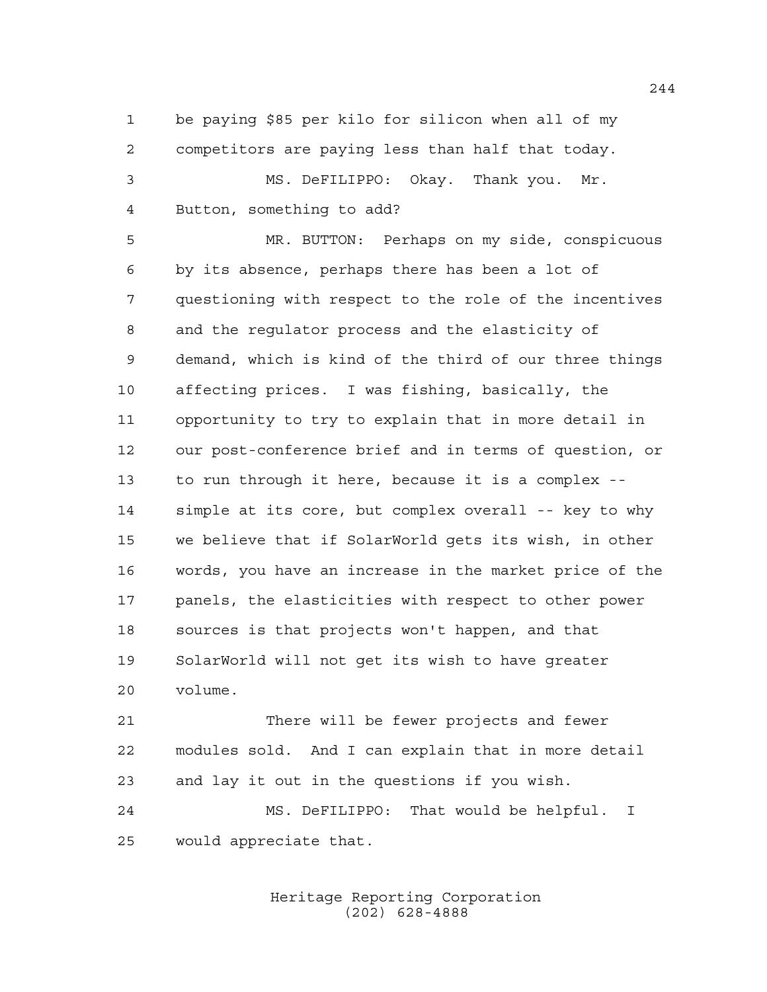be paying \$85 per kilo for silicon when all of my competitors are paying less than half that today.

```
3 MS. DeFILIPPO: Okay. Thank you. Mr.
4 Button, something to add?
```
 MR. BUTTON: Perhaps on my side, conspicuous by its absence, perhaps there has been a lot of questioning with respect to the role of the incentives and the regulator process and the elasticity of demand, which is kind of the third of our three things affecting prices. I was fishing, basically, the opportunity to try to explain that in more detail in our post-conference brief and in terms of question, or to run through it here, because it is a complex -- simple at its core, but complex overall -- key to why we believe that if SolarWorld gets its wish, in other words, you have an increase in the market price of the panels, the elasticities with respect to other power sources is that projects won't happen, and that SolarWorld will not get its wish to have greater volume.

 There will be fewer projects and fewer modules sold. And I can explain that in more detail and lay it out in the questions if you wish.

 MS. DeFILIPPO: That would be helpful. I would appreciate that.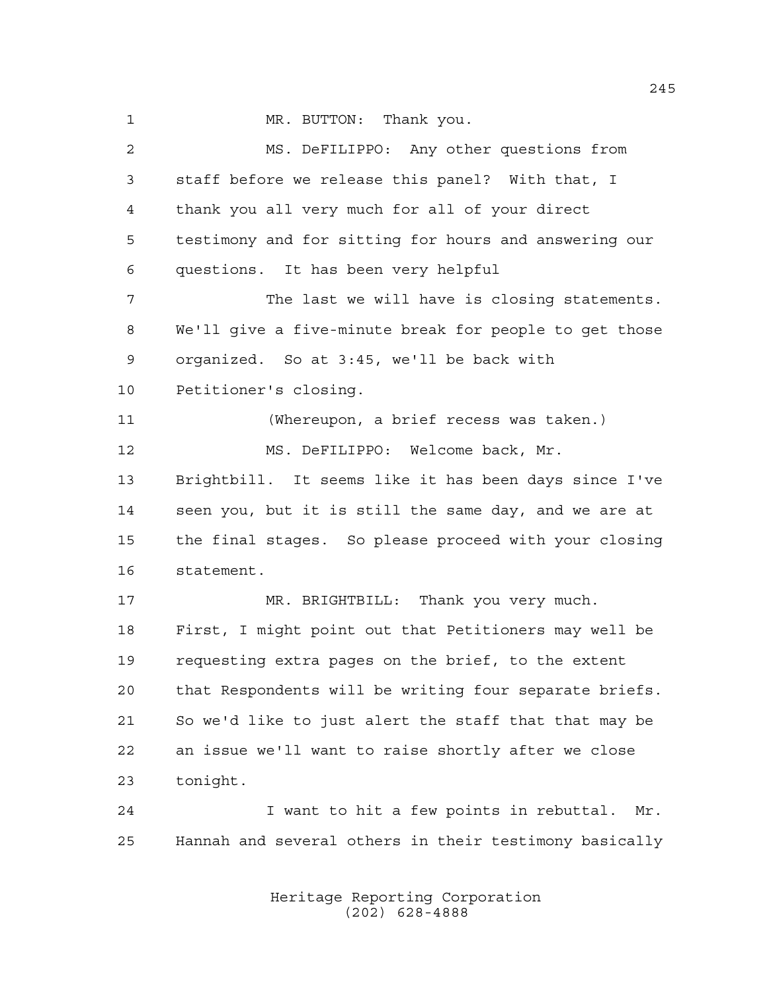1 MR. BUTTON: Thank you. MS. DeFILIPPO: Any other questions from staff before we release this panel? With that, I thank you all very much for all of your direct testimony and for sitting for hours and answering our questions. It has been very helpful The last we will have is closing statements. We'll give a five-minute break for people to get those organized. So at 3:45, we'll be back with Petitioner's closing. (Whereupon, a brief recess was taken.) MS. DeFILIPPO: Welcome back, Mr. Brightbill. It seems like it has been days since I've seen you, but it is still the same day, and we are at the final stages. So please proceed with your closing statement. MR. BRIGHTBILL: Thank you very much. First, I might point out that Petitioners may well be requesting extra pages on the brief, to the extent that Respondents will be writing four separate briefs. So we'd like to just alert the staff that that may be an issue we'll want to raise shortly after we close tonight. I want to hit a few points in rebuttal. Mr. Hannah and several others in their testimony basically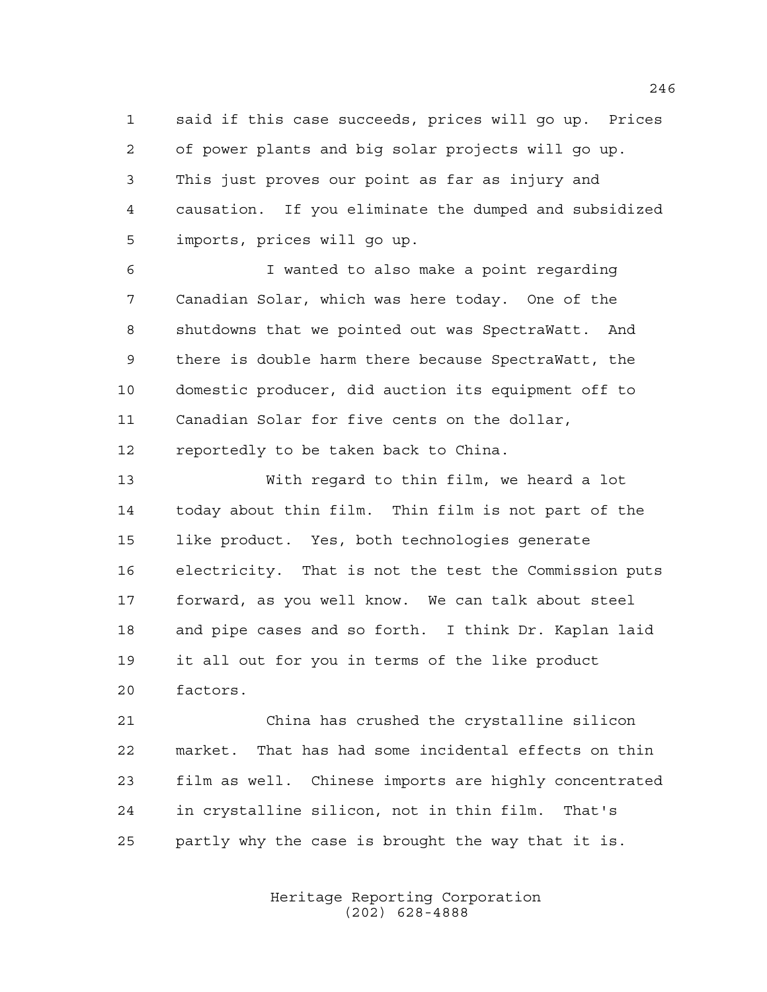said if this case succeeds, prices will go up. Prices of power plants and big solar projects will go up. This just proves our point as far as injury and causation. If you eliminate the dumped and subsidized imports, prices will go up.

 I wanted to also make a point regarding Canadian Solar, which was here today. One of the shutdowns that we pointed out was SpectraWatt. And there is double harm there because SpectraWatt, the domestic producer, did auction its equipment off to Canadian Solar for five cents on the dollar, reportedly to be taken back to China.

 With regard to thin film, we heard a lot today about thin film. Thin film is not part of the like product. Yes, both technologies generate electricity. That is not the test the Commission puts forward, as you well know. We can talk about steel and pipe cases and so forth. I think Dr. Kaplan laid it all out for you in terms of the like product factors.

 China has crushed the crystalline silicon market. That has had some incidental effects on thin film as well. Chinese imports are highly concentrated in crystalline silicon, not in thin film. That's partly why the case is brought the way that it is.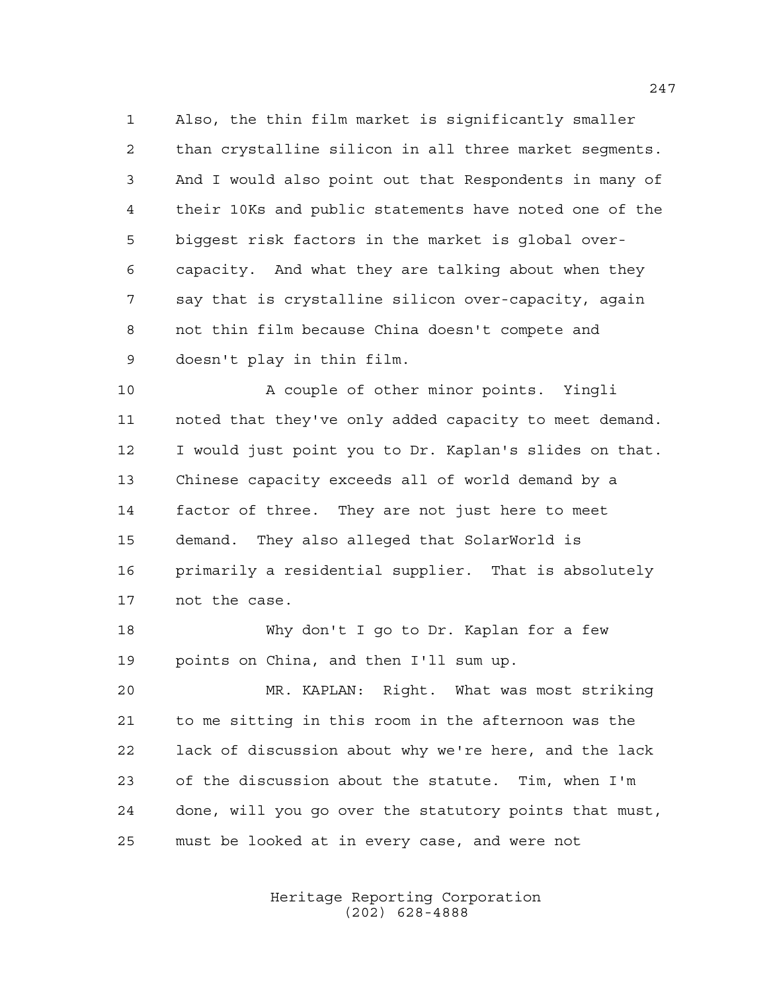Also, the thin film market is significantly smaller than crystalline silicon in all three market segments. And I would also point out that Respondents in many of their 10Ks and public statements have noted one of the biggest risk factors in the market is global over- capacity. And what they are talking about when they say that is crystalline silicon over-capacity, again not thin film because China doesn't compete and doesn't play in thin film.

10 A couple of other minor points. Yingli noted that they've only added capacity to meet demand. I would just point you to Dr. Kaplan's slides on that. Chinese capacity exceeds all of world demand by a factor of three. They are not just here to meet demand. They also alleged that SolarWorld is primarily a residential supplier. That is absolutely not the case.

 Why don't I go to Dr. Kaplan for a few points on China, and then I'll sum up.

 MR. KAPLAN: Right. What was most striking to me sitting in this room in the afternoon was the lack of discussion about why we're here, and the lack of the discussion about the statute. Tim, when I'm done, will you go over the statutory points that must, must be looked at in every case, and were not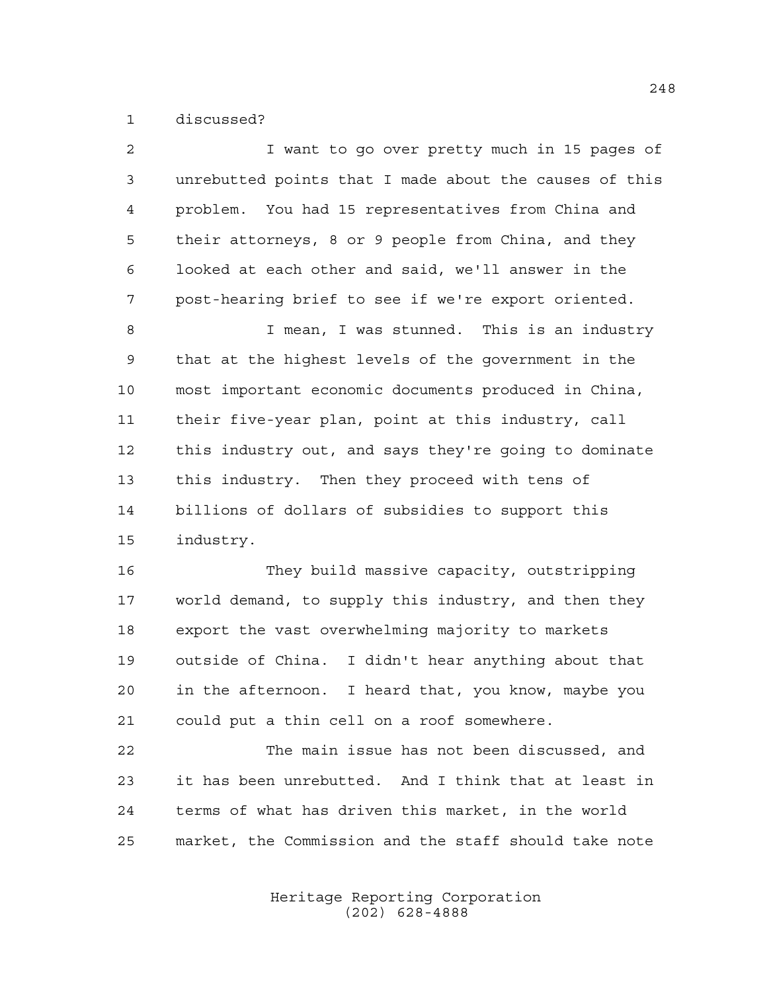discussed?

| 2  | I want to go over pretty much in 15 pages of           |
|----|--------------------------------------------------------|
| 3  | unrebutted points that I made about the causes of this |
| 4  | problem. You had 15 representatives from China and     |
| 5  | their attorneys, 8 or 9 people from China, and they    |
| 6  | looked at each other and said, we'll answer in the     |
| 7  | post-hearing brief to see if we're export oriented.    |
| 8  | I mean, I was stunned. This is an industry             |
| 9  | that at the highest levels of the government in the    |
| 10 | most important economic documents produced in China,   |
| 11 | their five-year plan, point at this industry, call     |
| 12 | this industry out, and says they're going to dominate  |
| 13 | this industry. Then they proceed with tens of          |
| 14 | billions of dollars of subsidies to support this       |
| 15 | industry.                                              |
| 16 | They build massive capacity, outstripping              |
| 17 | world demand, to supply this industry, and then they   |
| 18 | export the vast overwhelming majority to markets       |
| 19 | outside of China. I didn't hear anything about that    |
| 20 | in the afternoon. I heard that, you know, maybe you    |
| 21 | could put a thin cell on a roof somewhere.             |
| 22 | The main issue has not been discussed, and             |
| 23 | it has been unrebutted. And I think that at least in   |
| 24 | terms of what has driven this market, in the world     |

market, the Commission and the staff should take note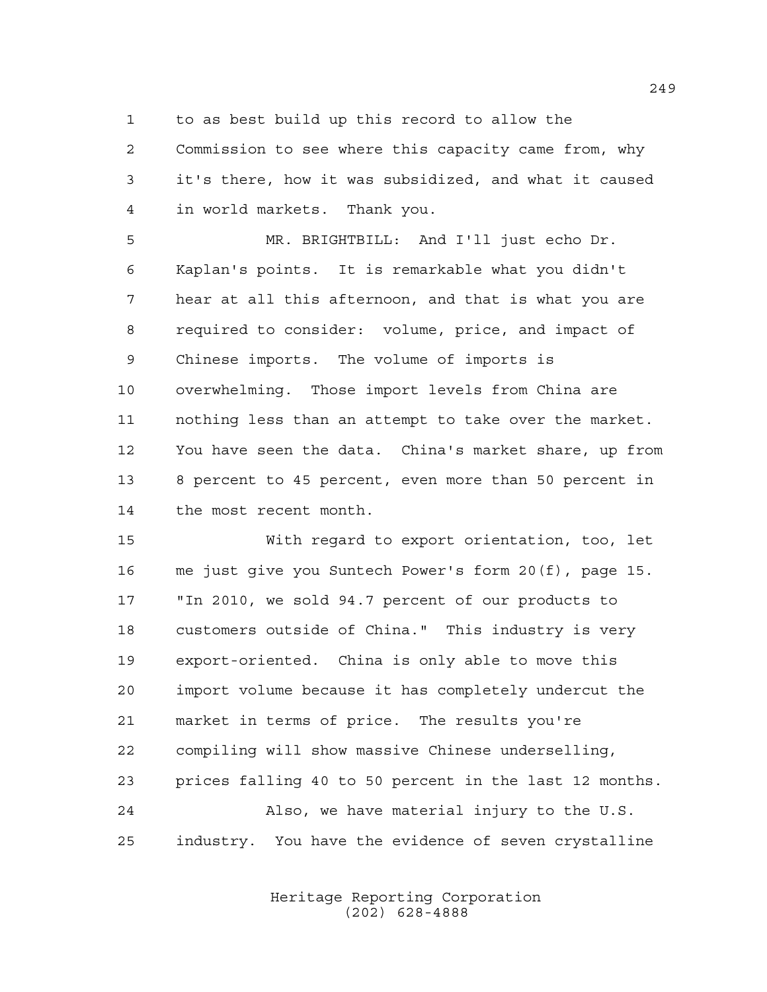to as best build up this record to allow the

 Commission to see where this capacity came from, why it's there, how it was subsidized, and what it caused in world markets. Thank you.

 MR. BRIGHTBILL: And I'll just echo Dr. Kaplan's points. It is remarkable what you didn't hear at all this afternoon, and that is what you are required to consider: volume, price, and impact of Chinese imports. The volume of imports is overwhelming. Those import levels from China are nothing less than an attempt to take over the market. You have seen the data. China's market share, up from 8 percent to 45 percent, even more than 50 percent in the most recent month.

 With regard to export orientation, too, let me just give you Suntech Power's form 20(f), page 15. "In 2010, we sold 94.7 percent of our products to customers outside of China." This industry is very export-oriented. China is only able to move this import volume because it has completely undercut the market in terms of price. The results you're compiling will show massive Chinese underselling, prices falling 40 to 50 percent in the last 12 months. Also, we have material injury to the U.S. industry. You have the evidence of seven crystalline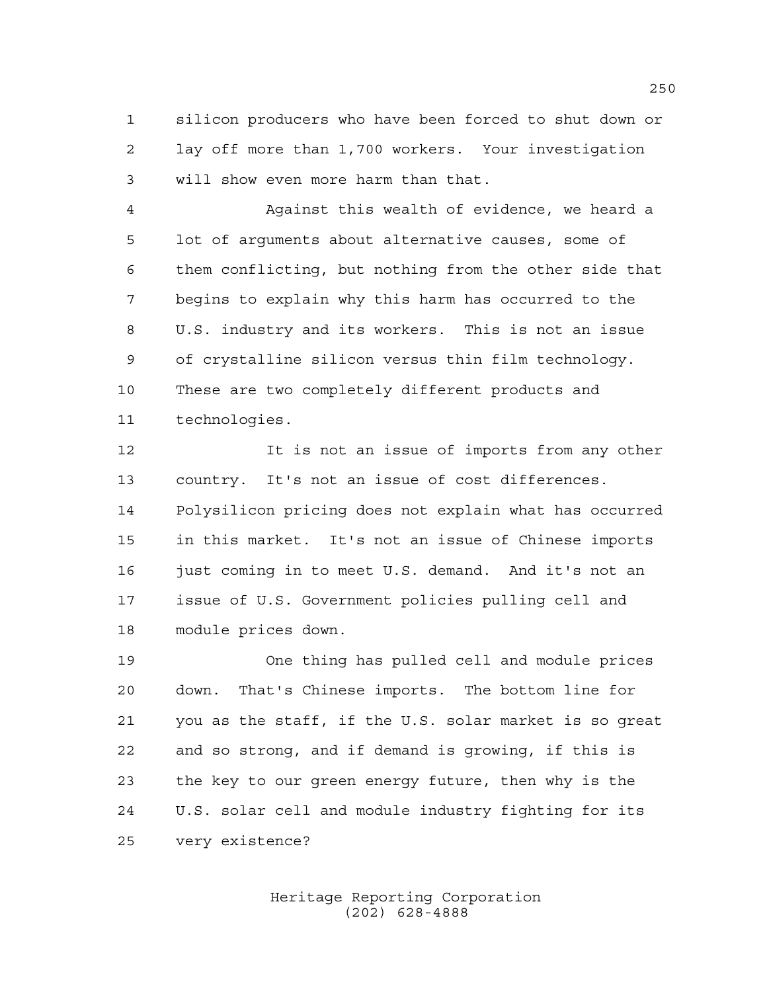silicon producers who have been forced to shut down or lay off more than 1,700 workers. Your investigation will show even more harm than that.

 Against this wealth of evidence, we heard a lot of arguments about alternative causes, some of them conflicting, but nothing from the other side that begins to explain why this harm has occurred to the U.S. industry and its workers. This is not an issue of crystalline silicon versus thin film technology. These are two completely different products and technologies.

 It is not an issue of imports from any other country. It's not an issue of cost differences. Polysilicon pricing does not explain what has occurred in this market. It's not an issue of Chinese imports 16 just coming in to meet U.S. demand. And it's not an issue of U.S. Government policies pulling cell and module prices down.

 One thing has pulled cell and module prices down. That's Chinese imports. The bottom line for you as the staff, if the U.S. solar market is so great and so strong, and if demand is growing, if this is the key to our green energy future, then why is the U.S. solar cell and module industry fighting for its very existence?

> Heritage Reporting Corporation (202) 628-4888

##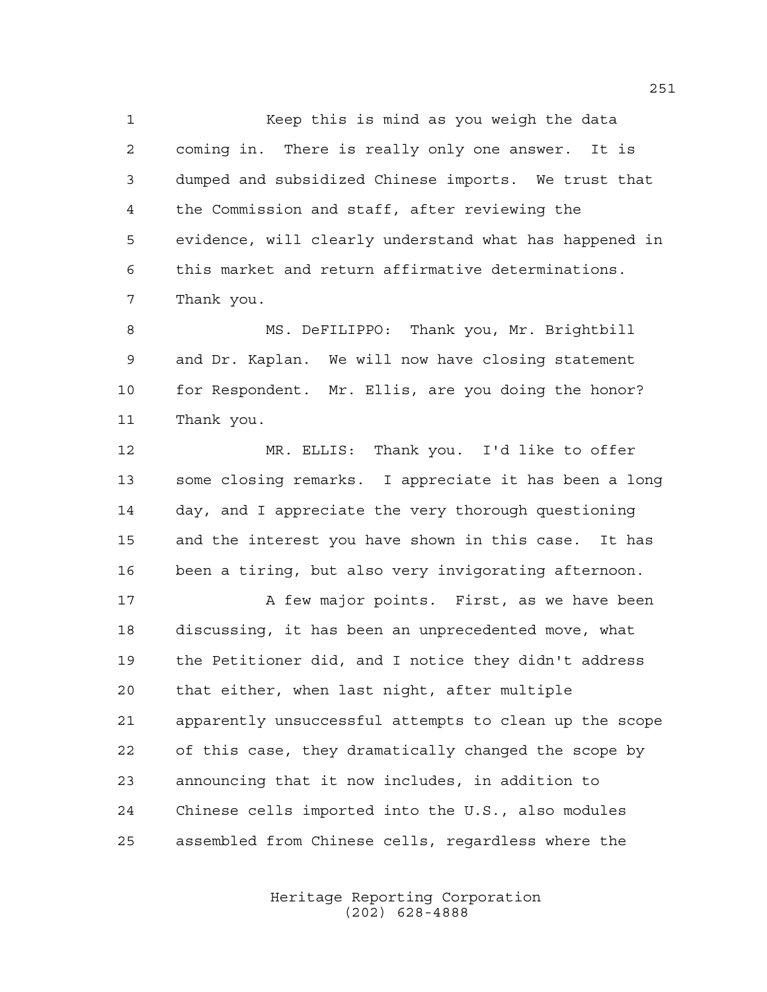Keep this is mind as you weigh the data coming in. There is really only one answer. It is dumped and subsidized Chinese imports. We trust that the Commission and staff, after reviewing the evidence, will clearly understand what has happened in this market and return affirmative determinations. Thank you.

 MS. DeFILIPPO: Thank you, Mr. Brightbill and Dr. Kaplan. We will now have closing statement for Respondent. Mr. Ellis, are you doing the honor? Thank you.

 MR. ELLIS: Thank you. I'd like to offer some closing remarks. I appreciate it has been a long day, and I appreciate the very thorough questioning and the interest you have shown in this case. It has been a tiring, but also very invigorating afternoon.

17 A few major points. First, as we have been discussing, it has been an unprecedented move, what the Petitioner did, and I notice they didn't address that either, when last night, after multiple apparently unsuccessful attempts to clean up the scope of this case, they dramatically changed the scope by announcing that it now includes, in addition to Chinese cells imported into the U.S., also modules assembled from Chinese cells, regardless where the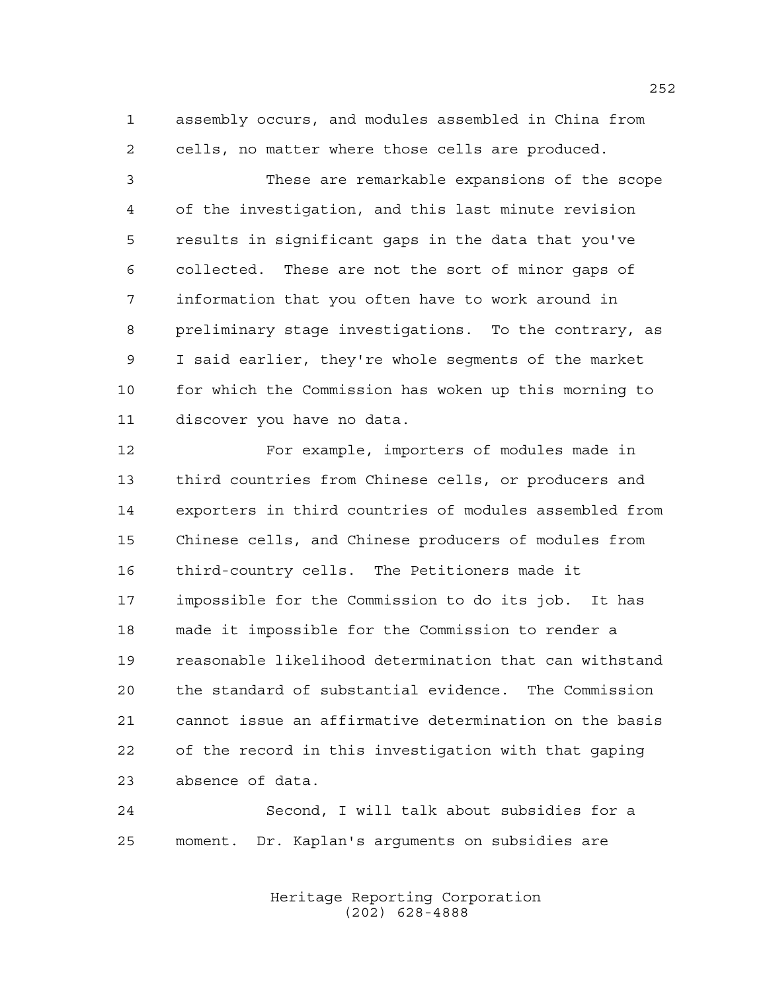assembly occurs, and modules assembled in China from cells, no matter where those cells are produced.

 These are remarkable expansions of the scope of the investigation, and this last minute revision results in significant gaps in the data that you've collected. These are not the sort of minor gaps of information that you often have to work around in preliminary stage investigations. To the contrary, as I said earlier, they're whole segments of the market for which the Commission has woken up this morning to discover you have no data.

 For example, importers of modules made in third countries from Chinese cells, or producers and exporters in third countries of modules assembled from Chinese cells, and Chinese producers of modules from third-country cells. The Petitioners made it impossible for the Commission to do its job. It has made it impossible for the Commission to render a reasonable likelihood determination that can withstand the standard of substantial evidence. The Commission cannot issue an affirmative determination on the basis of the record in this investigation with that gaping absence of data.

 Second, I will talk about subsidies for a moment. Dr. Kaplan's arguments on subsidies are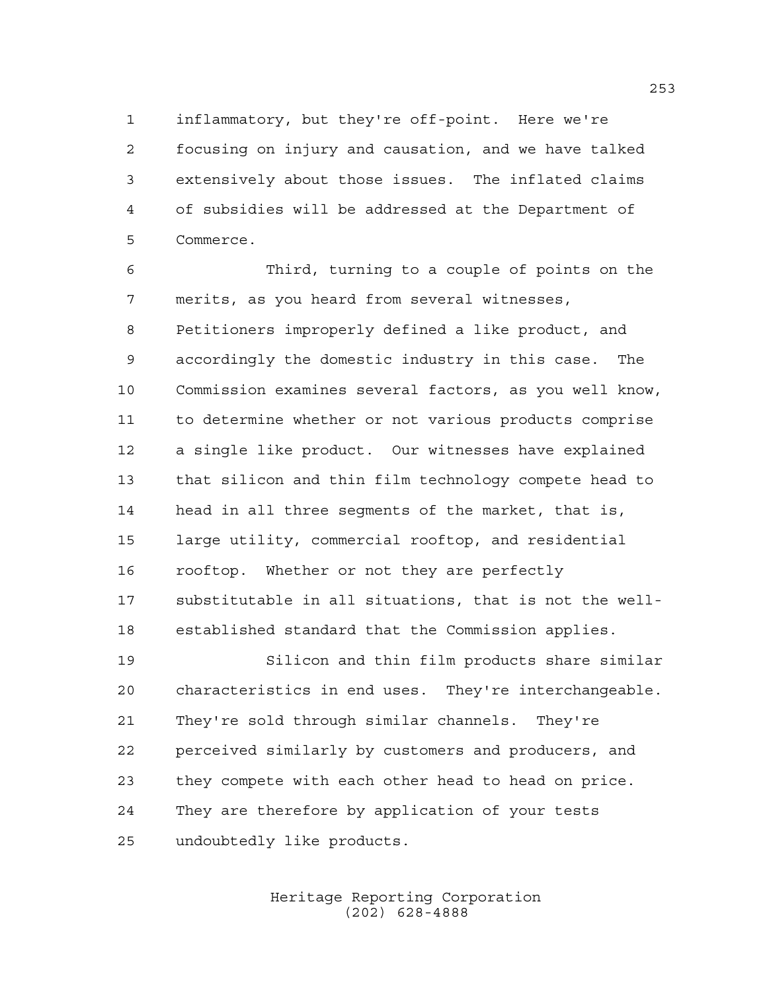inflammatory, but they're off-point. Here we're focusing on injury and causation, and we have talked extensively about those issues. The inflated claims of subsidies will be addressed at the Department of Commerce.

 Third, turning to a couple of points on the merits, as you heard from several witnesses, Petitioners improperly defined a like product, and accordingly the domestic industry in this case. The Commission examines several factors, as you well know, to determine whether or not various products comprise a single like product. Our witnesses have explained that silicon and thin film technology compete head to head in all three segments of the market, that is, large utility, commercial rooftop, and residential rooftop. Whether or not they are perfectly substitutable in all situations, that is not the well-established standard that the Commission applies.

 Silicon and thin film products share similar characteristics in end uses. They're interchangeable. They're sold through similar channels. They're perceived similarly by customers and producers, and they compete with each other head to head on price. They are therefore by application of your tests undoubtedly like products.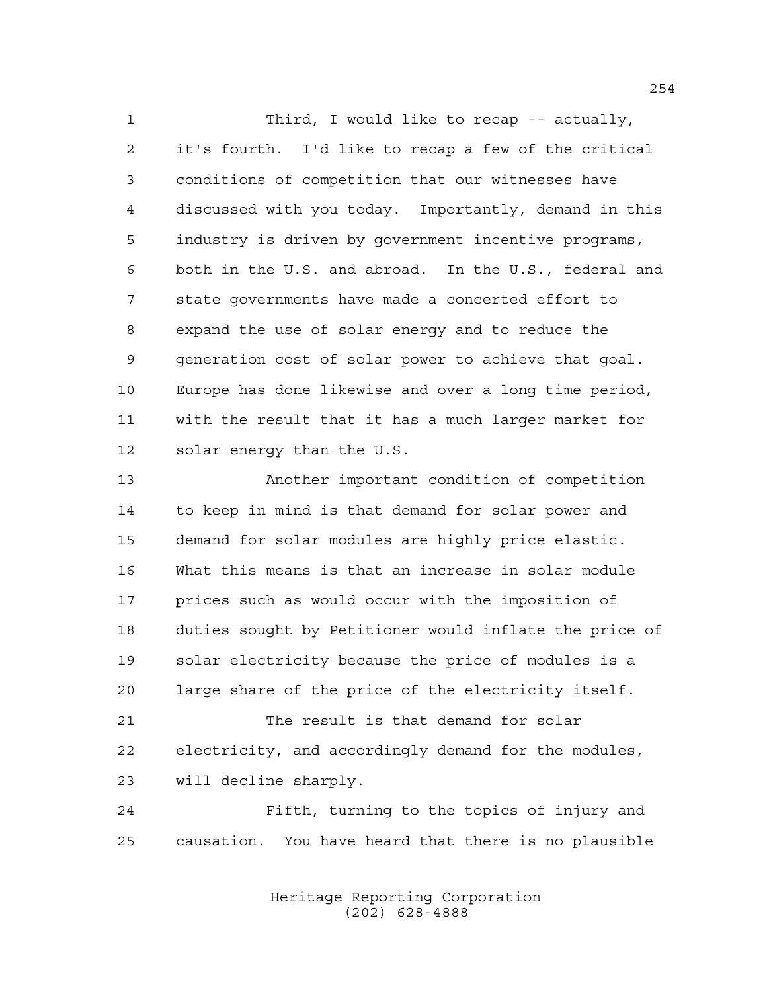Third, I would like to recap -- actually, it's fourth. I'd like to recap a few of the critical conditions of competition that our witnesses have discussed with you today. Importantly, demand in this industry is driven by government incentive programs, both in the U.S. and abroad. In the U.S., federal and state governments have made a concerted effort to expand the use of solar energy and to reduce the generation cost of solar power to achieve that goal. Europe has done likewise and over a long time period, with the result that it has a much larger market for solar energy than the U.S.

 Another important condition of competition to keep in mind is that demand for solar power and demand for solar modules are highly price elastic. What this means is that an increase in solar module prices such as would occur with the imposition of duties sought by Petitioner would inflate the price of solar electricity because the price of modules is a large share of the price of the electricity itself.

 The result is that demand for solar electricity, and accordingly demand for the modules, will decline sharply.

 Fifth, turning to the topics of injury and causation. You have heard that there is no plausible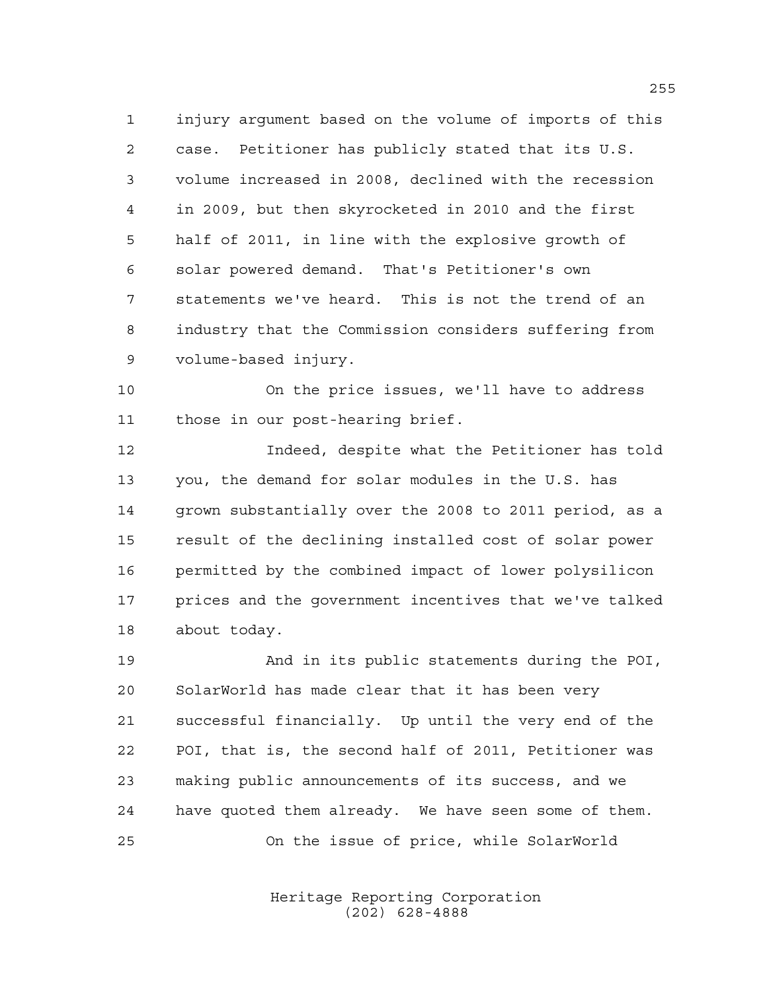injury argument based on the volume of imports of this case. Petitioner has publicly stated that its U.S. volume increased in 2008, declined with the recession in 2009, but then skyrocketed in 2010 and the first half of 2011, in line with the explosive growth of solar powered demand. That's Petitioner's own statements we've heard. This is not the trend of an industry that the Commission considers suffering from volume-based injury.

 On the price issues, we'll have to address those in our post-hearing brief.

 Indeed, despite what the Petitioner has told you, the demand for solar modules in the U.S. has grown substantially over the 2008 to 2011 period, as a result of the declining installed cost of solar power permitted by the combined impact of lower polysilicon prices and the government incentives that we've talked about today.

 And in its public statements during the POI, SolarWorld has made clear that it has been very successful financially. Up until the very end of the POI, that is, the second half of 2011, Petitioner was making public announcements of its success, and we have quoted them already. We have seen some of them. On the issue of price, while SolarWorld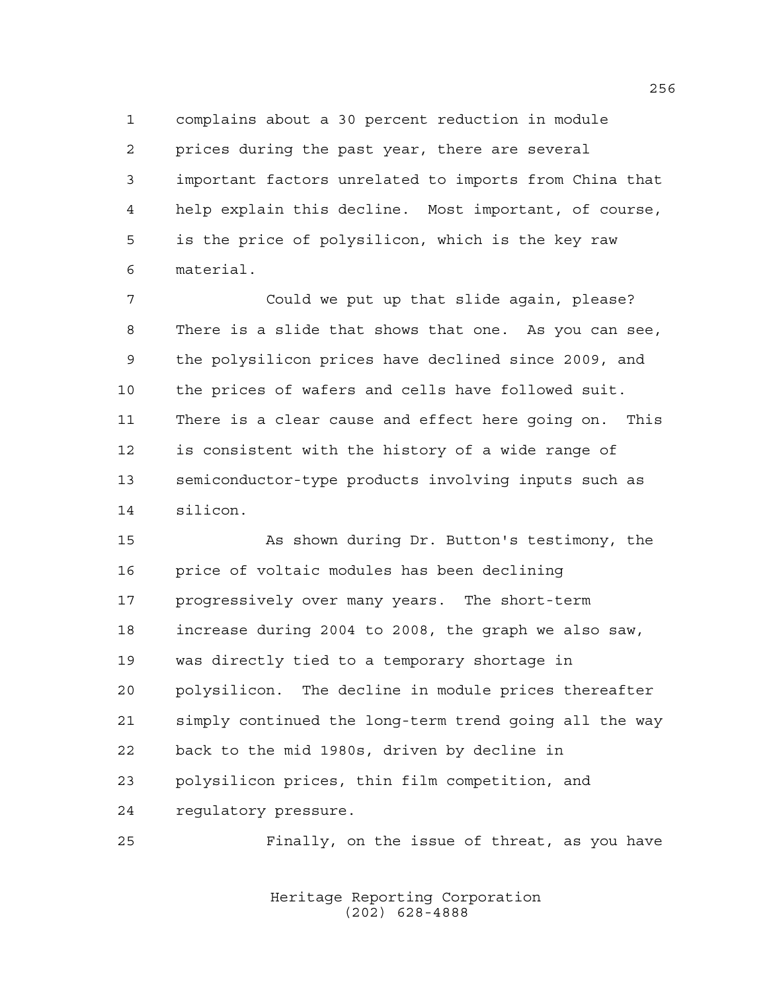complains about a 30 percent reduction in module prices during the past year, there are several important factors unrelated to imports from China that help explain this decline. Most important, of course, is the price of polysilicon, which is the key raw material.

 Could we put up that slide again, please? There is a slide that shows that one. As you can see, the polysilicon prices have declined since 2009, and the prices of wafers and cells have followed suit. There is a clear cause and effect here going on. This is consistent with the history of a wide range of semiconductor-type products involving inputs such as silicon.

 As shown during Dr. Button's testimony, the price of voltaic modules has been declining progressively over many years. The short-term increase during 2004 to 2008, the graph we also saw, was directly tied to a temporary shortage in polysilicon. The decline in module prices thereafter simply continued the long-term trend going all the way back to the mid 1980s, driven by decline in polysilicon prices, thin film competition, and regulatory pressure.

Finally, on the issue of threat, as you have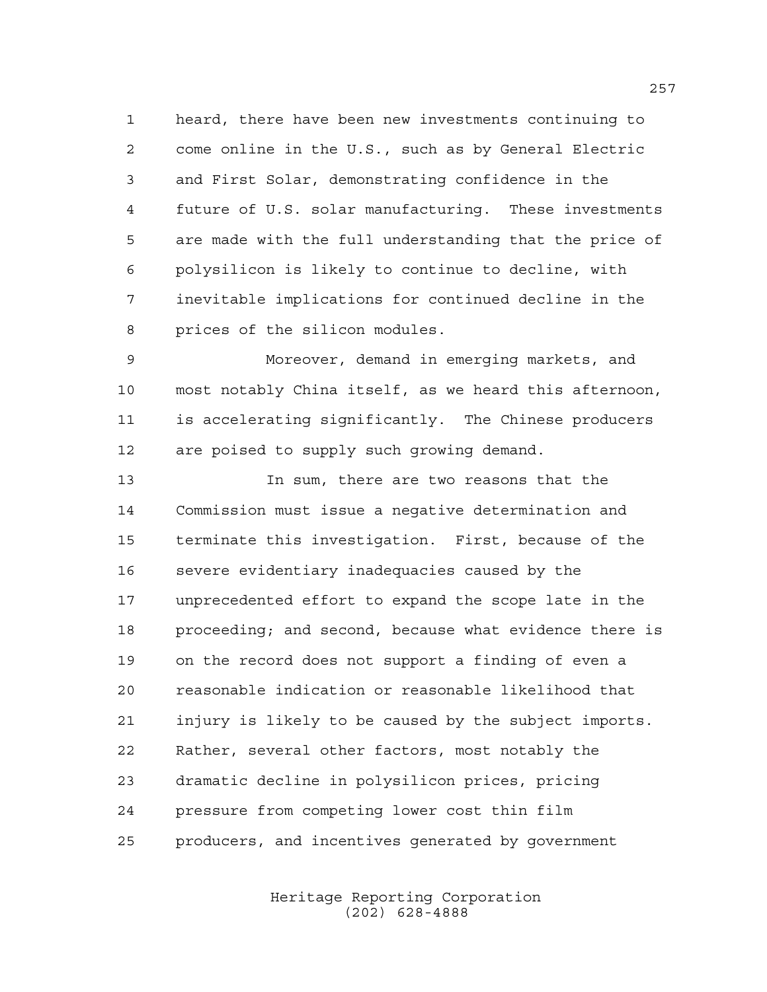heard, there have been new investments continuing to come online in the U.S., such as by General Electric and First Solar, demonstrating confidence in the future of U.S. solar manufacturing. These investments are made with the full understanding that the price of polysilicon is likely to continue to decline, with inevitable implications for continued decline in the prices of the silicon modules.

 Moreover, demand in emerging markets, and most notably China itself, as we heard this afternoon, is accelerating significantly. The Chinese producers are poised to supply such growing demand.

 In sum, there are two reasons that the Commission must issue a negative determination and terminate this investigation. First, because of the severe evidentiary inadequacies caused by the unprecedented effort to expand the scope late in the proceeding; and second, because what evidence there is on the record does not support a finding of even a reasonable indication or reasonable likelihood that injury is likely to be caused by the subject imports. Rather, several other factors, most notably the dramatic decline in polysilicon prices, pricing pressure from competing lower cost thin film producers, and incentives generated by government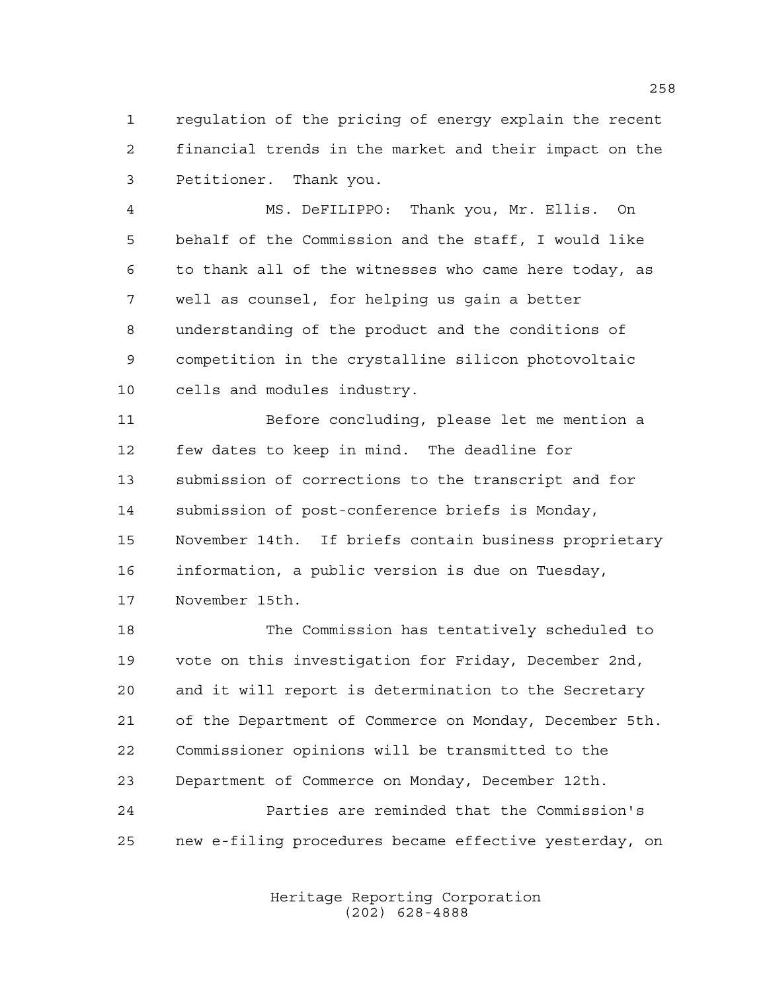regulation of the pricing of energy explain the recent financial trends in the market and their impact on the Petitioner. Thank you.

 MS. DeFILIPPO: Thank you, Mr. Ellis. On behalf of the Commission and the staff, I would like to thank all of the witnesses who came here today, as well as counsel, for helping us gain a better understanding of the product and the conditions of competition in the crystalline silicon photovoltaic cells and modules industry.

 Before concluding, please let me mention a few dates to keep in mind. The deadline for submission of corrections to the transcript and for submission of post-conference briefs is Monday, November 14th. If briefs contain business proprietary information, a public version is due on Tuesday, November 15th.

 The Commission has tentatively scheduled to vote on this investigation for Friday, December 2nd, and it will report is determination to the Secretary of the Department of Commerce on Monday, December 5th. Commissioner opinions will be transmitted to the Department of Commerce on Monday, December 12th. Parties are reminded that the Commission's new e-filing procedures became effective yesterday, on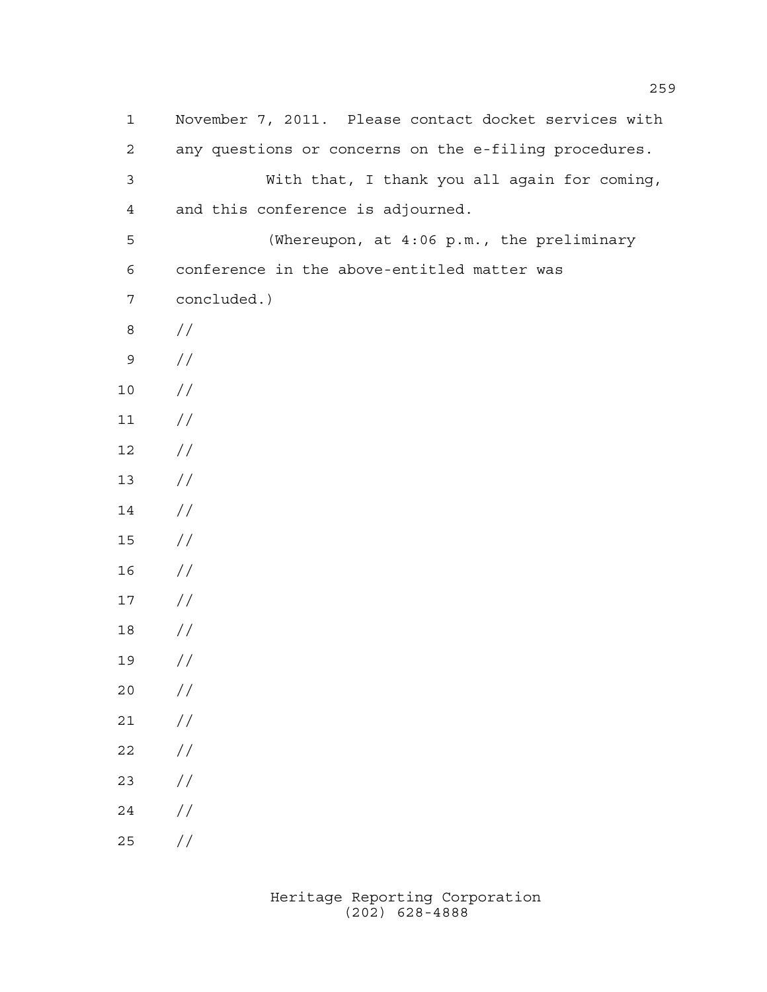| $\mathbf{1}$   | November 7, 2011. Please contact docket services with |
|----------------|-------------------------------------------------------|
| 2              | any questions or concerns on the e-filing procedures. |
| $\mathfrak{Z}$ | With that, I thank you all again for coming,          |
| $\overline{4}$ | and this conference is adjourned.                     |
| 5              | (Whereupon, at 4:06 p.m., the preliminary             |
| 6              | conference in the above-entitled matter was           |
| $\overline{7}$ | concluded.)                                           |
| $\,8\,$        | $\frac{1}{2}$                                         |
| $\mathsf 9$    | $\frac{1}{2}$                                         |
| 10             | $\frac{1}{2}$                                         |
| 11             | $\frac{1}{2}$                                         |
| 12             | $\frac{1}{2}$                                         |
| 13             | $\frac{1}{2}$                                         |
| 14             | $\frac{1}{2}$                                         |
| 15             | $\frac{1}{2}$                                         |
| 16             | $\frac{1}{2}$                                         |
| 17             | $\frac{1}{2}$                                         |
| 18             | $\frac{1}{2}$                                         |
| 19             | $\frac{1}{2}$                                         |
| 20             | //                                                    |
| 21             | $\frac{1}{2}$                                         |
| 22             | $\frac{1}{2}$                                         |
| 23             | $\frac{1}{2}$                                         |
| 24             | $\frac{1}{2}$                                         |
| 25             | $\frac{1}{2}$                                         |